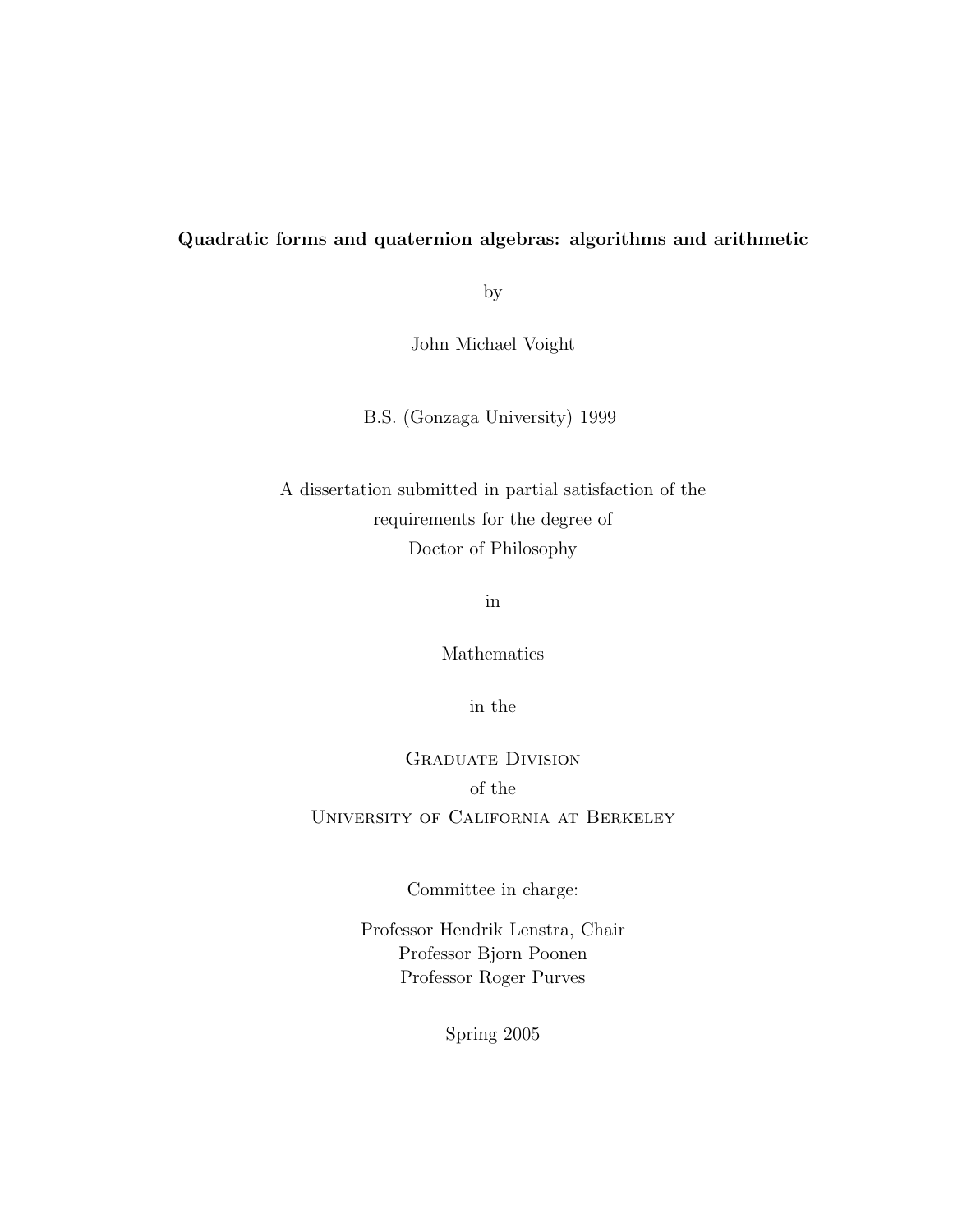### Quadratic forms and quaternion algebras: algorithms and arithmetic

by

John Michael Voight

B.S. (Gonzaga University) 1999

A dissertation submitted in partial satisfaction of the requirements for the degree of Doctor of Philosophy

in

Mathematics

in the

Graduate Division of the University of California at Berkeley

Committee in charge:

Professor Hendrik Lenstra, Chair Professor Bjorn Poonen Professor Roger Purves

Spring 2005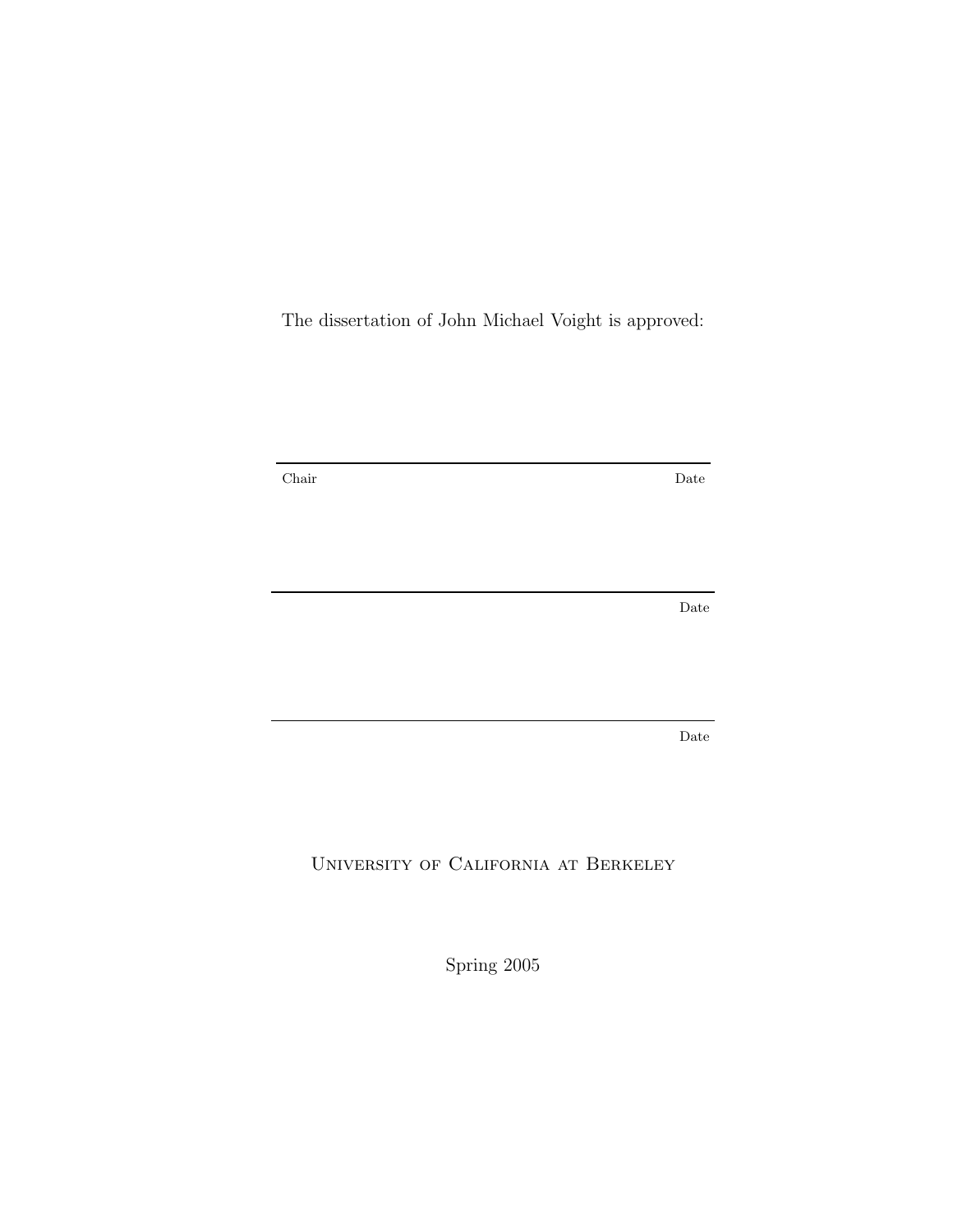The dissertation of John Michael Voight is approved:

Chair Date

Date

Date

University of California at Berkeley

Spring 2005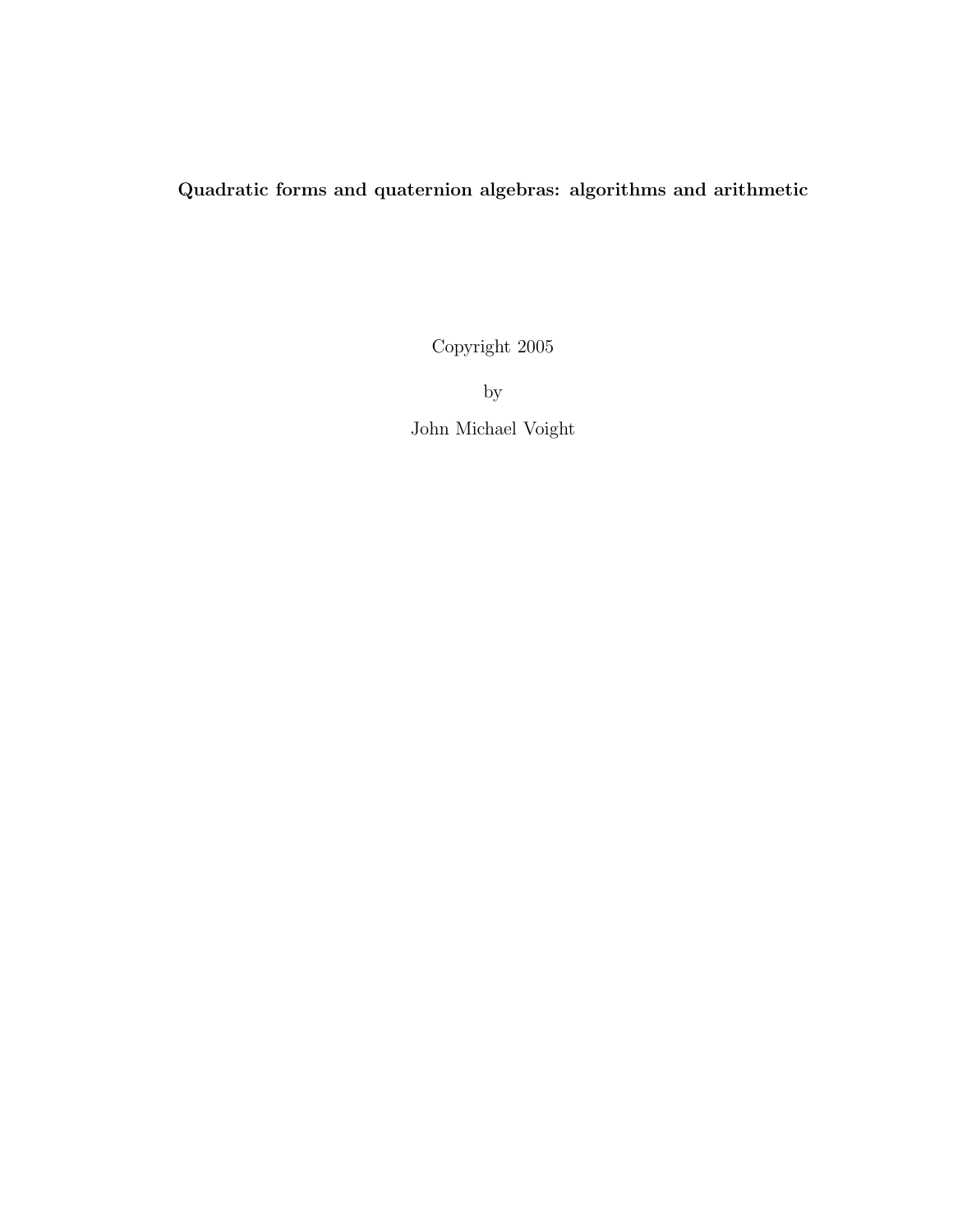### Quadratic forms and quaternion algebras: algorithms and arithmetic

Copyright 2005

by John Michael Voight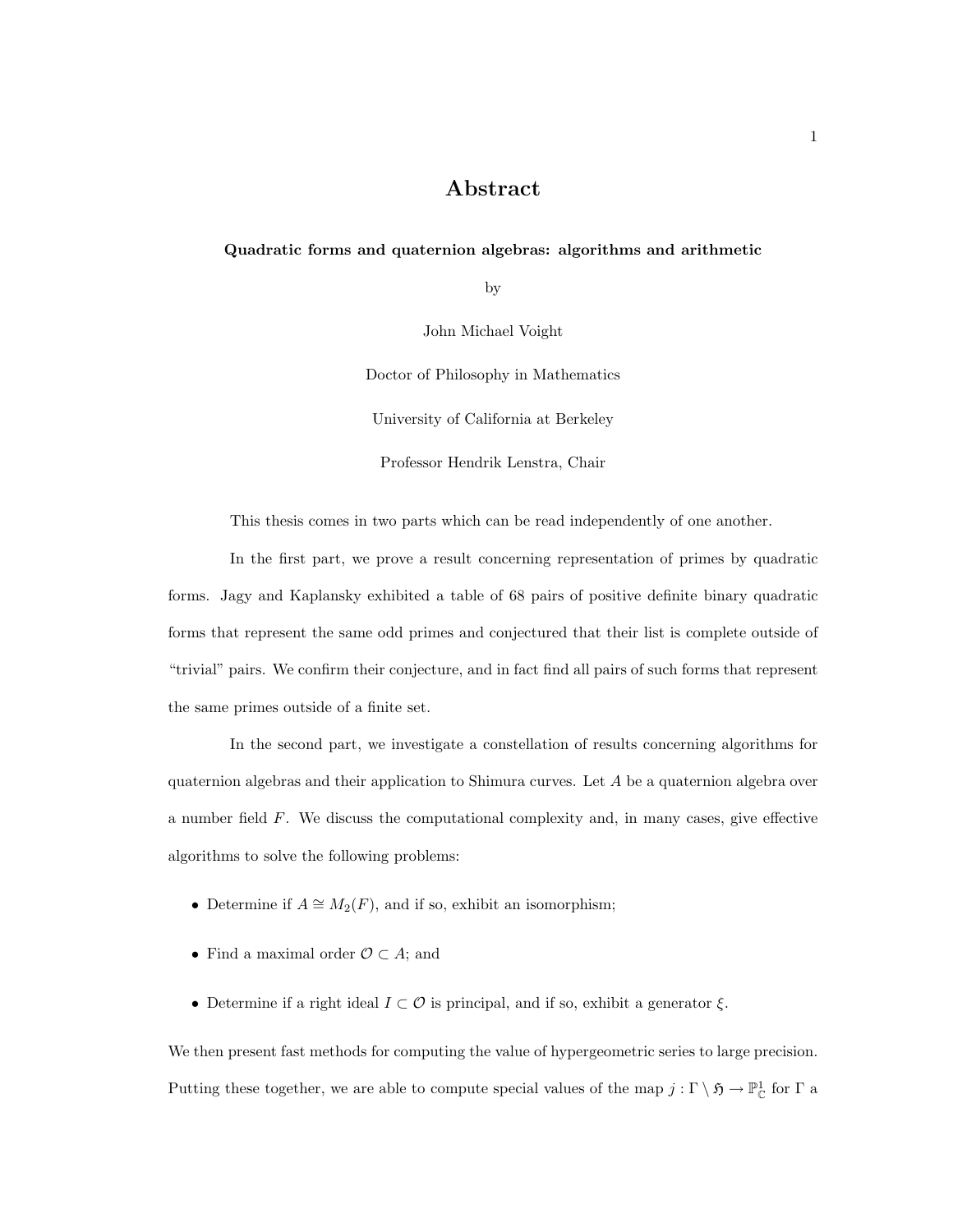### Abstract

#### Quadratic forms and quaternion algebras: algorithms and arithmetic

by

John Michael Voight

Doctor of Philosophy in Mathematics

University of California at Berkeley

Professor Hendrik Lenstra, Chair

This thesis comes in two parts which can be read independently of one another.

In the first part, we prove a result concerning representation of primes by quadratic forms. Jagy and Kaplansky exhibited a table of 68 pairs of positive definite binary quadratic forms that represent the same odd primes and conjectured that their list is complete outside of "trivial" pairs. We confirm their conjecture, and in fact find all pairs of such forms that represent the same primes outside of a finite set.

In the second part, we investigate a constellation of results concerning algorithms for quaternion algebras and their application to Shimura curves. Let  $A$  be a quaternion algebra over a number field F. We discuss the computational complexity and, in many cases, give effective algorithms to solve the following problems:

- Determine if  $A \cong M_2(F)$ , and if so, exhibit an isomorphism;
- Find a maximal order  $\mathcal{O} \subset A$ ; and
- Determine if a right ideal  $I \subset \mathcal{O}$  is principal, and if so, exhibit a generator  $\xi$ .

We then present fast methods for computing the value of hypergeometric series to large precision. Putting these together, we are able to compute special values of the map  $j:\Gamma \setminus \mathfrak{H} \to \mathbb{P}^1_{\mathbb{C}}$  for  $\Gamma$  a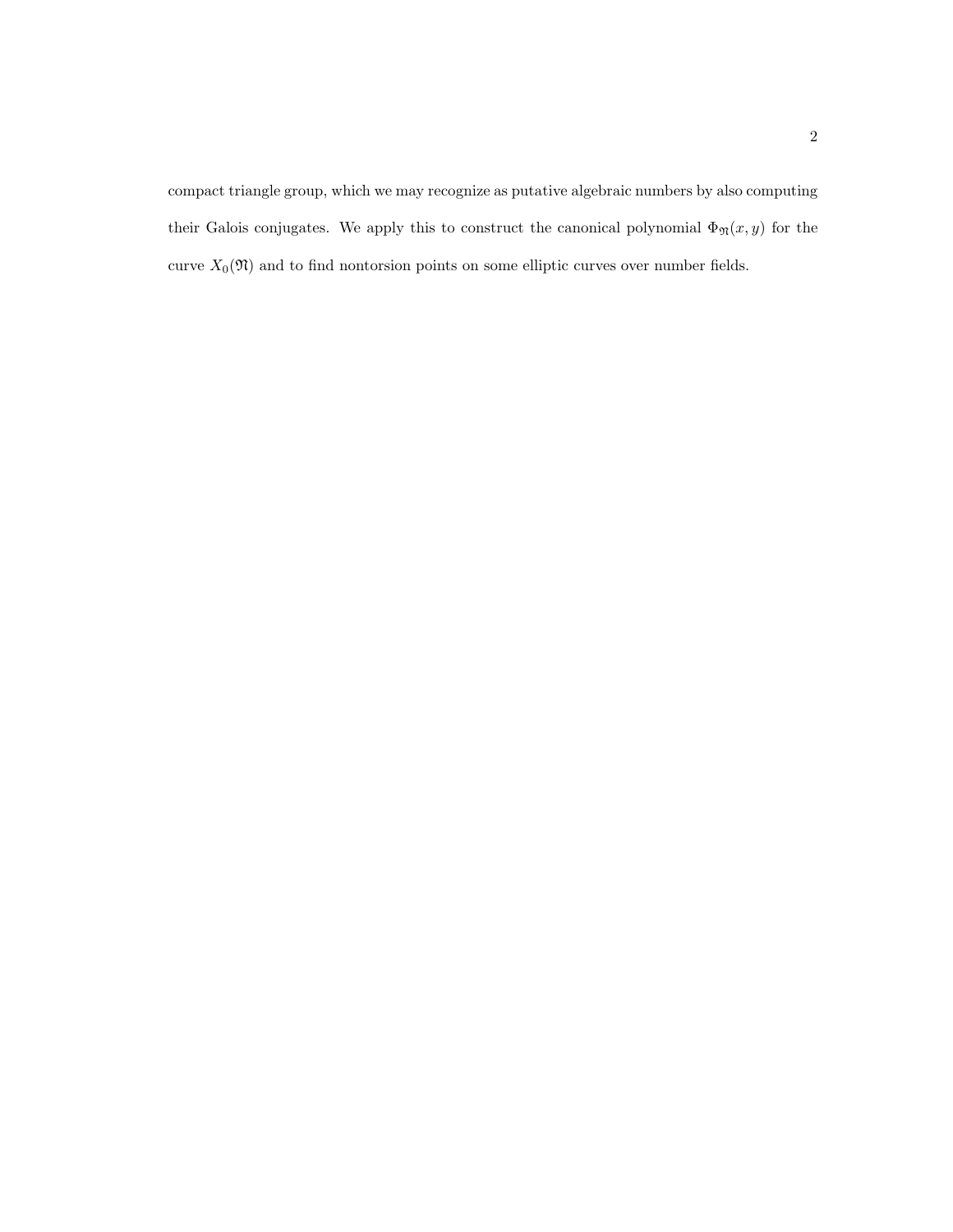compact triangle group, which we may recognize as putative algebraic numbers by also computing their Galois conjugates. We apply this to construct the canonical polynomial  $\Phi_{\mathfrak{N}}(x, y)$  for the curve  $X_0(\mathfrak{N})$  and to find nontorsion points on some elliptic curves over number fields.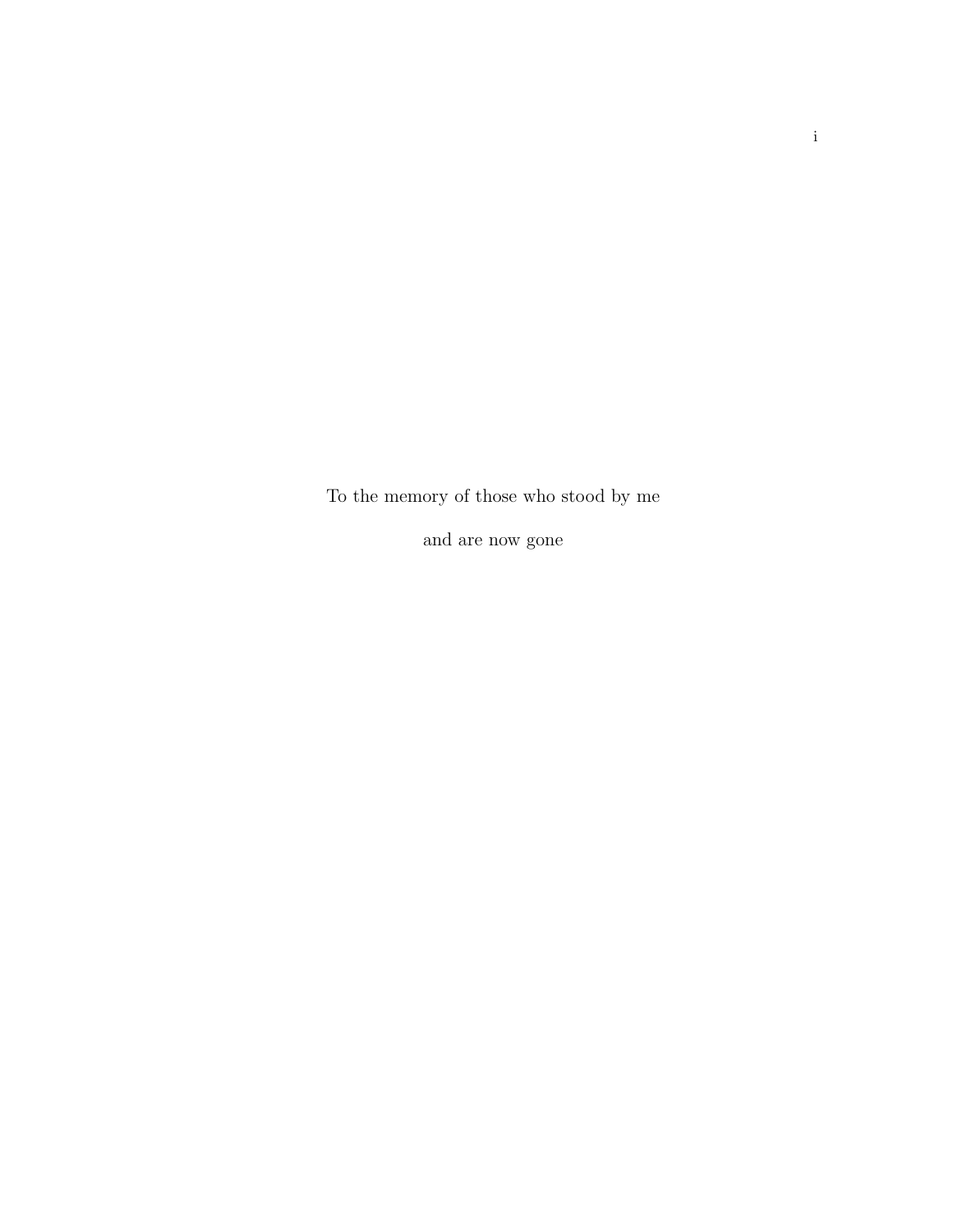To the memory of those who stood by me

and are now gone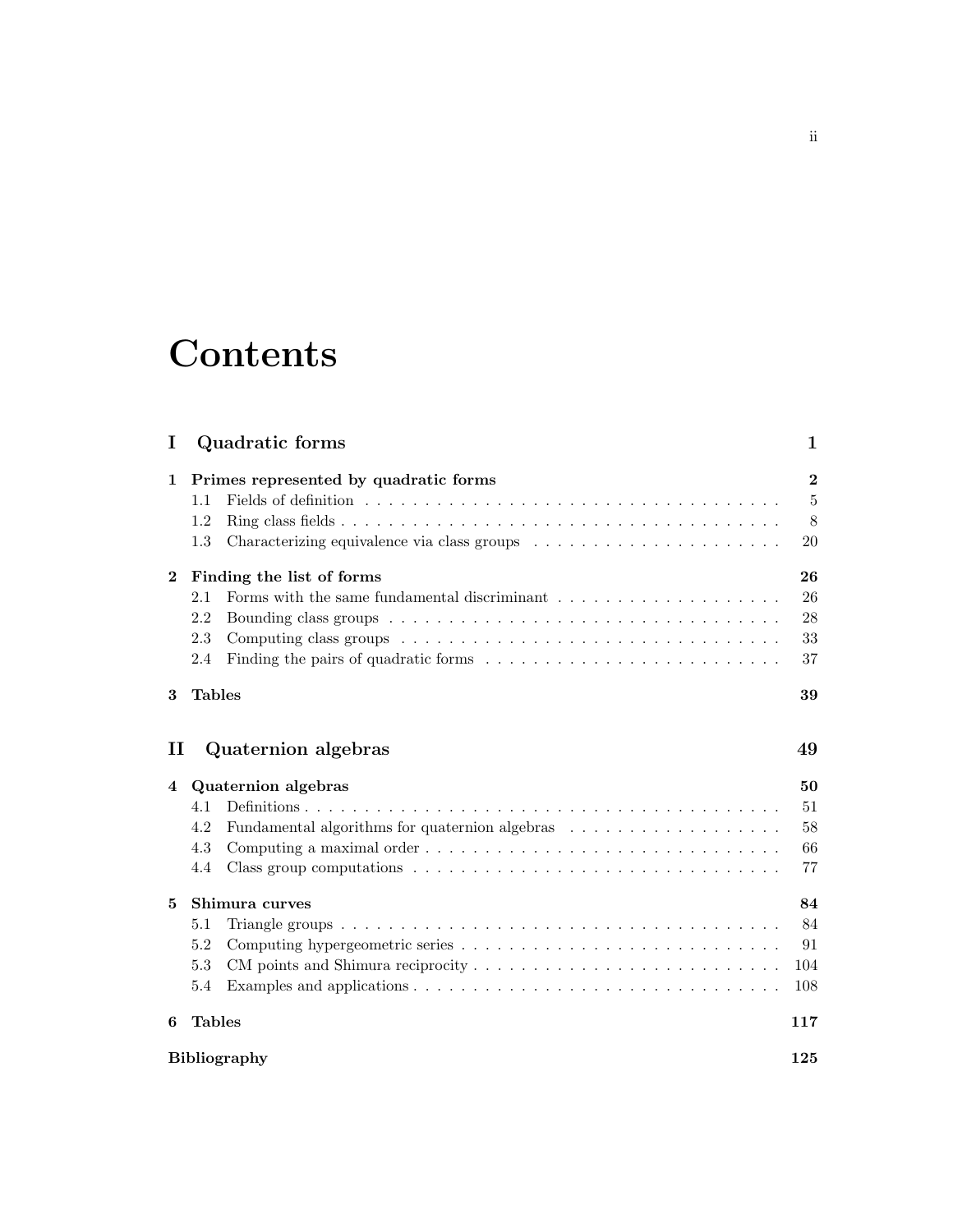# **Contents**

| I           |                           | Quadratic forms                                | $\mathbf 1$      |
|-------------|---------------------------|------------------------------------------------|------------------|
| $\mathbf 1$ |                           | Primes represented by quadratic forms          | $\boldsymbol{2}$ |
|             | 1.1                       |                                                | $\overline{5}$   |
|             | 1.2                       |                                                | 8                |
|             | 1.3                       |                                                | 20               |
| $\bf{2}$    | Finding the list of forms |                                                | 26               |
|             | 2.1                       |                                                | 26               |
|             | 2.2                       |                                                | 28               |
|             | 2.3                       |                                                | 33               |
|             | 2.4                       |                                                | 37               |
| 3           | <b>Tables</b>             |                                                | 39               |
| п           |                           | Quaternion algebras                            | 49               |
| 4           | Quaternion algebras       |                                                |                  |
|             | 4.1                       |                                                | 51               |
|             | 4.2                       | Fundamental algorithms for quaternion algebras | 58               |
|             | 4.3                       |                                                | 66               |
|             | 4.4                       |                                                | 77               |
| 5           | Shimura curves            |                                                |                  |
|             | 5.1                       |                                                | 84               |
|             | 5.2                       |                                                | 91               |
|             | 5.3                       |                                                | 104              |
|             | 5.4                       |                                                | 108              |
| 6           | <b>Tables</b>             |                                                | 117              |
|             | <b>Bibliography</b>       |                                                |                  |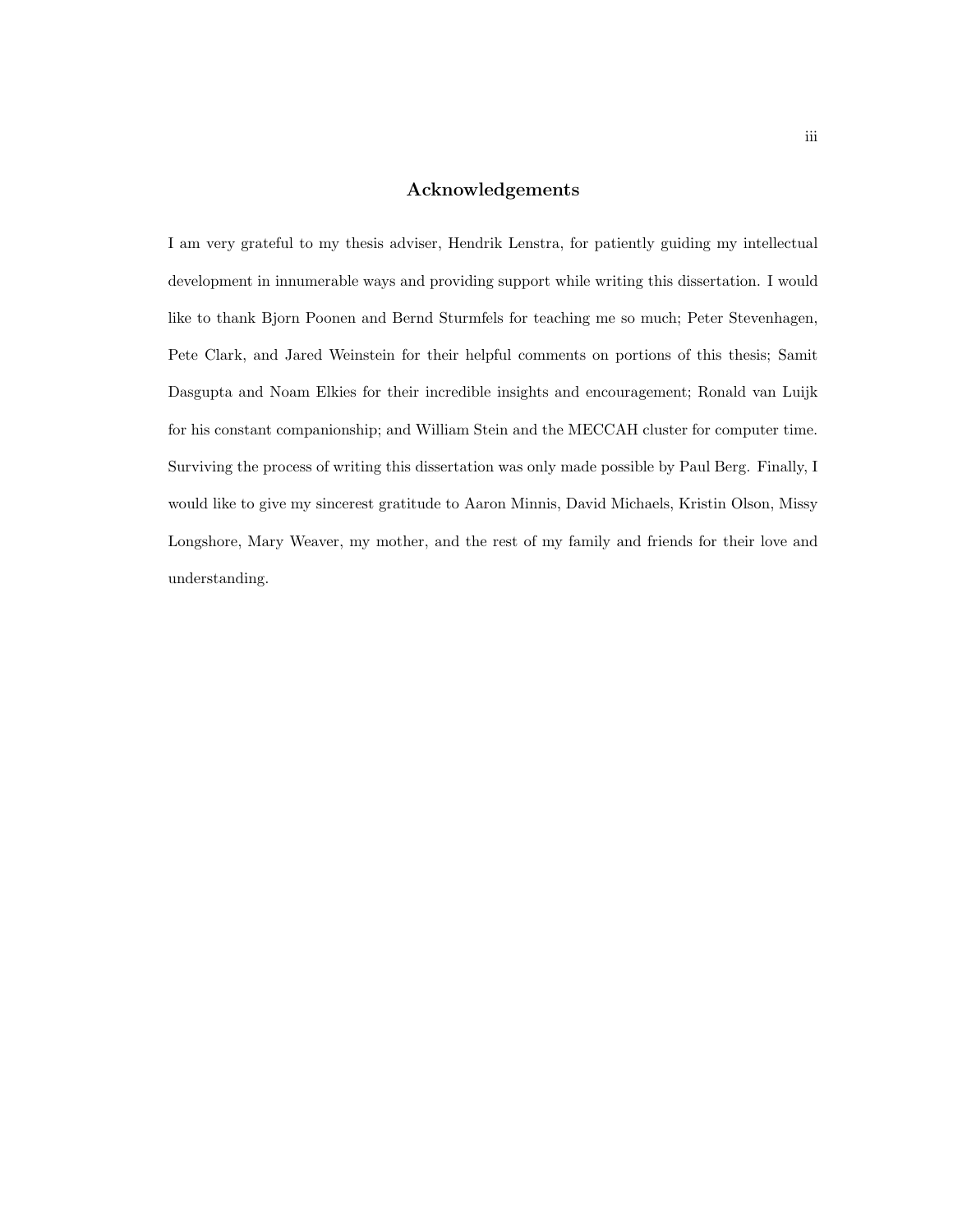### Acknowledgements

I am very grateful to my thesis adviser, Hendrik Lenstra, for patiently guiding my intellectual development in innumerable ways and providing support while writing this dissertation. I would like to thank Bjorn Poonen and Bernd Sturmfels for teaching me so much; Peter Stevenhagen, Pete Clark, and Jared Weinstein for their helpful comments on portions of this thesis; Samit Dasgupta and Noam Elkies for their incredible insights and encouragement; Ronald van Luijk for his constant companionship; and William Stein and the MECCAH cluster for computer time. Surviving the process of writing this dissertation was only made possible by Paul Berg. Finally, I would like to give my sincerest gratitude to Aaron Minnis, David Michaels, Kristin Olson, Missy Longshore, Mary Weaver, my mother, and the rest of my family and friends for their love and understanding.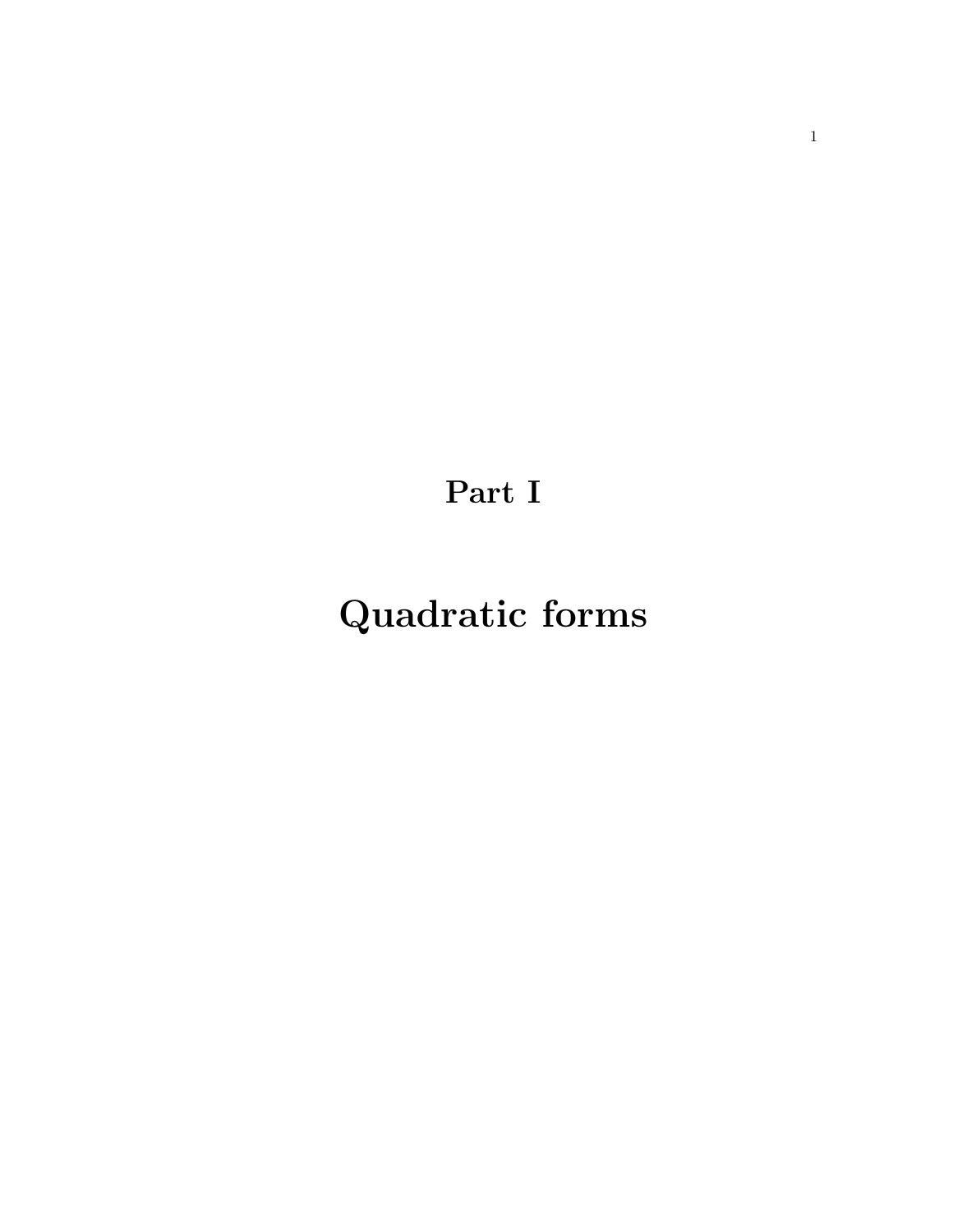Part I

# Quadratic forms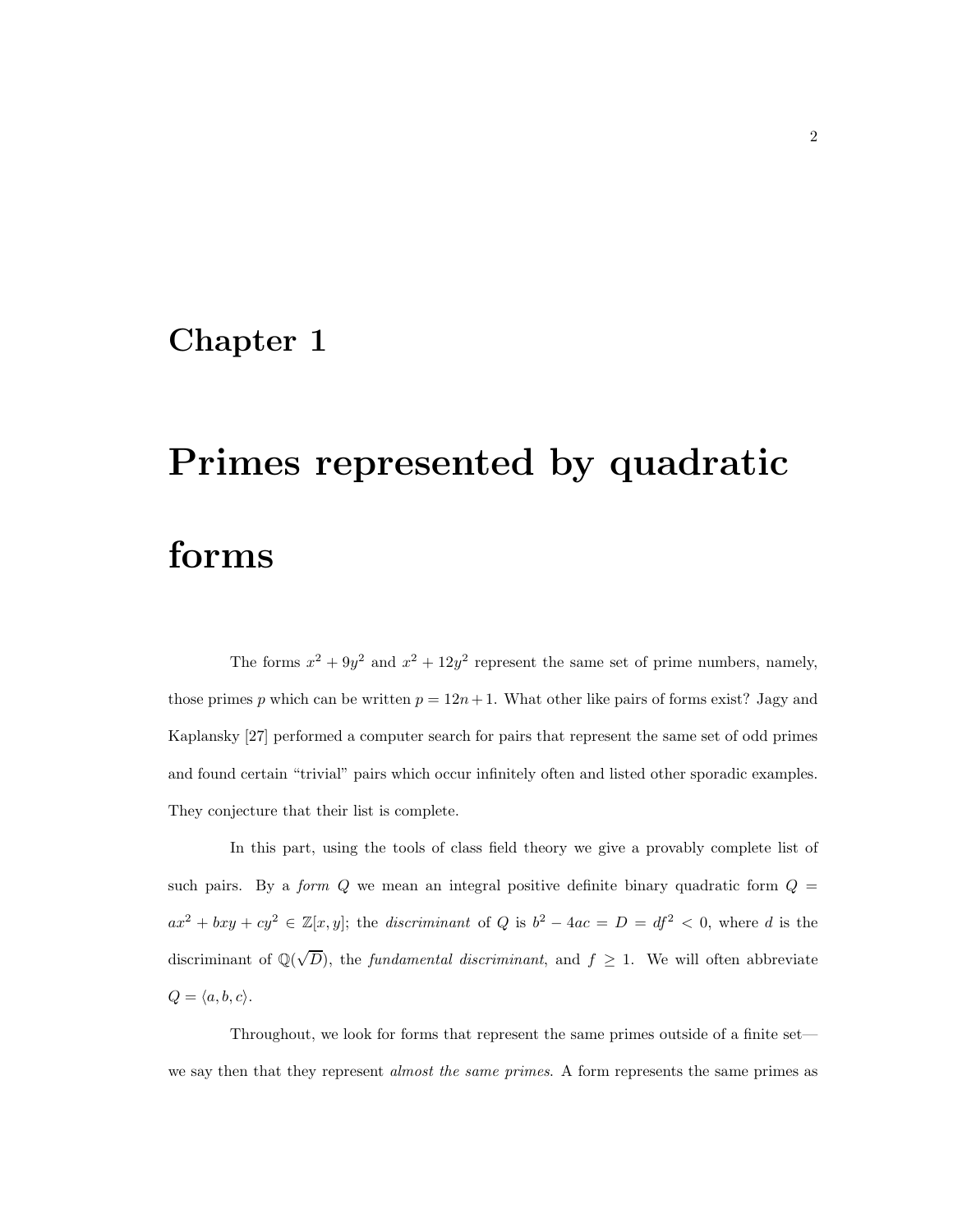### Chapter 1

# Primes represented by quadratic forms

The forms  $x^2 + 9y^2$  and  $x^2 + 12y^2$  represent the same set of prime numbers, namely, those primes p which can be written  $p = 12n + 1$ . What other like pairs of forms exist? Jagy and Kaplansky [27] performed a computer search for pairs that represent the same set of odd primes and found certain "trivial" pairs which occur infinitely often and listed other sporadic examples. They conjecture that their list is complete.

In this part, using the tools of class field theory we give a provably complete list of such pairs. By a *form Q* we mean an integral positive definite binary quadratic form  $Q =$  $ax^2 + bxy + cy^2 \in \mathbb{Z}[x, y]$ ; the *discriminant* of Q is  $b^2 - 4ac = D = df^2 < 0$ , where d is the discriminant of  $\mathbb{Q}(\sqrt{D})$ , the *fundamental discriminant*, and  $f \geq 1$ . We will often abbreviate  $Q = \langle a, b, c \rangle.$ 

Throughout, we look for forms that represent the same primes outside of a finite set we say then that they represent *almost the same primes*. A form represents the same primes as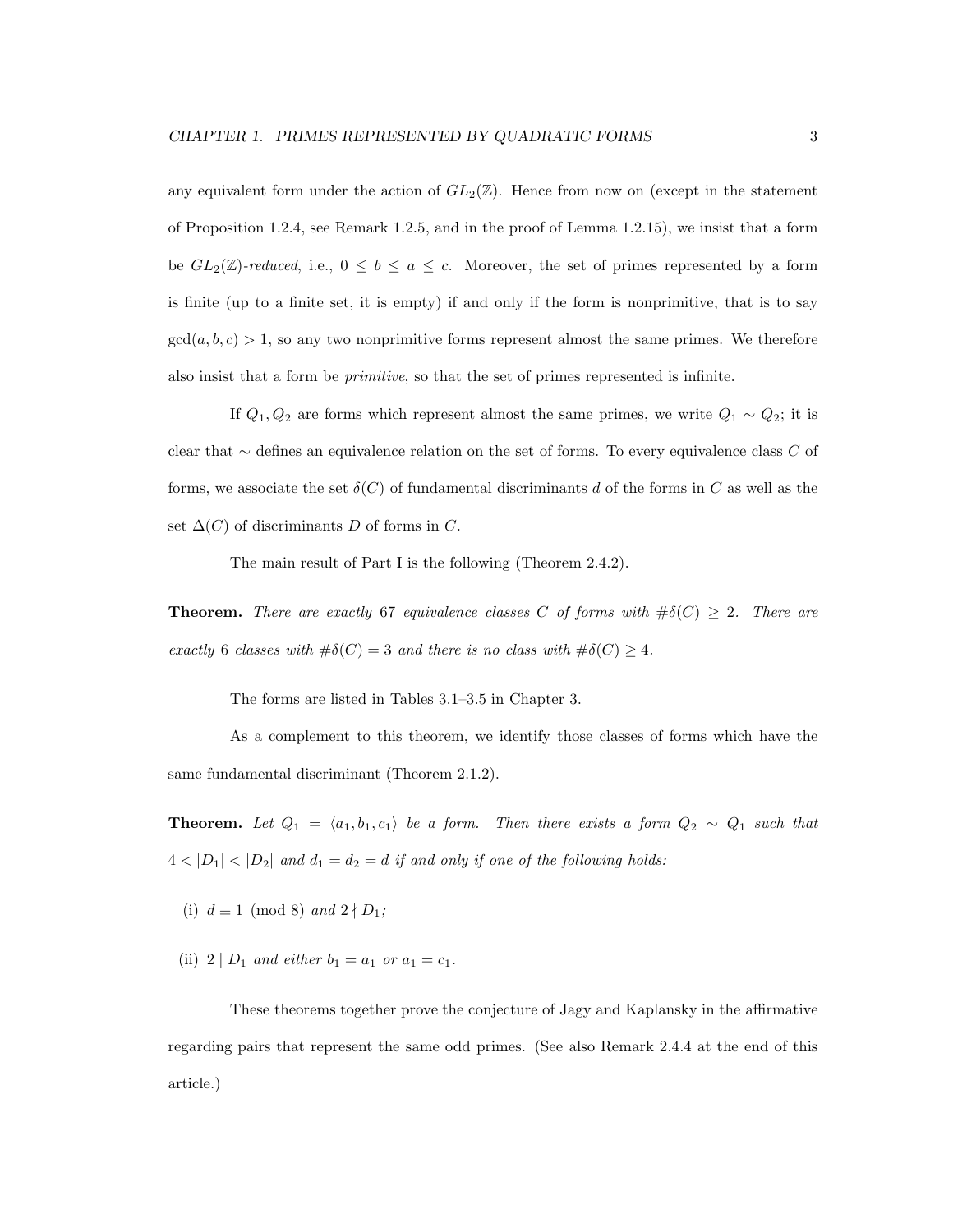any equivalent form under the action of  $GL_2(\mathbb{Z})$ . Hence from now on (except in the statement of Proposition 1.2.4, see Remark 1.2.5, and in the proof of Lemma 1.2.15), we insist that a form be  $GL_2(\mathbb{Z})$ -reduced, i.e.,  $0 \leq b \leq a \leq c$ . Moreover, the set of primes represented by a form is finite (up to a finite set, it is empty) if and only if the form is nonprimitive, that is to say  $gcd(a, b, c) > 1$ , so any two nonprimitive forms represent almost the same primes. We therefore also insist that a form be primitive, so that the set of primes represented is infinite.

If  $Q_1, Q_2$  are forms which represent almost the same primes, we write  $Q_1 \sim Q_2$ ; it is clear that ∼ defines an equivalence relation on the set of forms. To every equivalence class C of forms, we associate the set  $\delta(C)$  of fundamental discriminants d of the forms in C as well as the set  $\Delta(C)$  of discriminants D of forms in C.

The main result of Part I is the following (Theorem 2.4.2).

**Theorem.** There are exactly 67 equivalence classes C of forms with  $\#\delta(C) \geq 2$ . There are exactly 6 classes with  $\#\delta(C) = 3$  and there is no class with  $\#\delta(C) \geq 4$ .

The forms are listed in Tables 3.1–3.5 in Chapter 3.

As a complement to this theorem, we identify those classes of forms which have the same fundamental discriminant (Theorem 2.1.2).

**Theorem.** Let  $Q_1 = \langle a_1, b_1, c_1 \rangle$  be a form. Then there exists a form  $Q_2 \sim Q_1$  such that  $4 < |D_1| < |D_2|$  and  $d_1 = d_2 = d$  if and only if one of the following holds:

- (i)  $d \equiv 1 \pmod{8}$  and  $2 \nmid D_1$ ;
- (ii)  $2 | D_1$  and either  $b_1 = a_1$  or  $a_1 = c_1$ .

These theorems together prove the conjecture of Jagy and Kaplansky in the affirmative regarding pairs that represent the same odd primes. (See also Remark 2.4.4 at the end of this article.)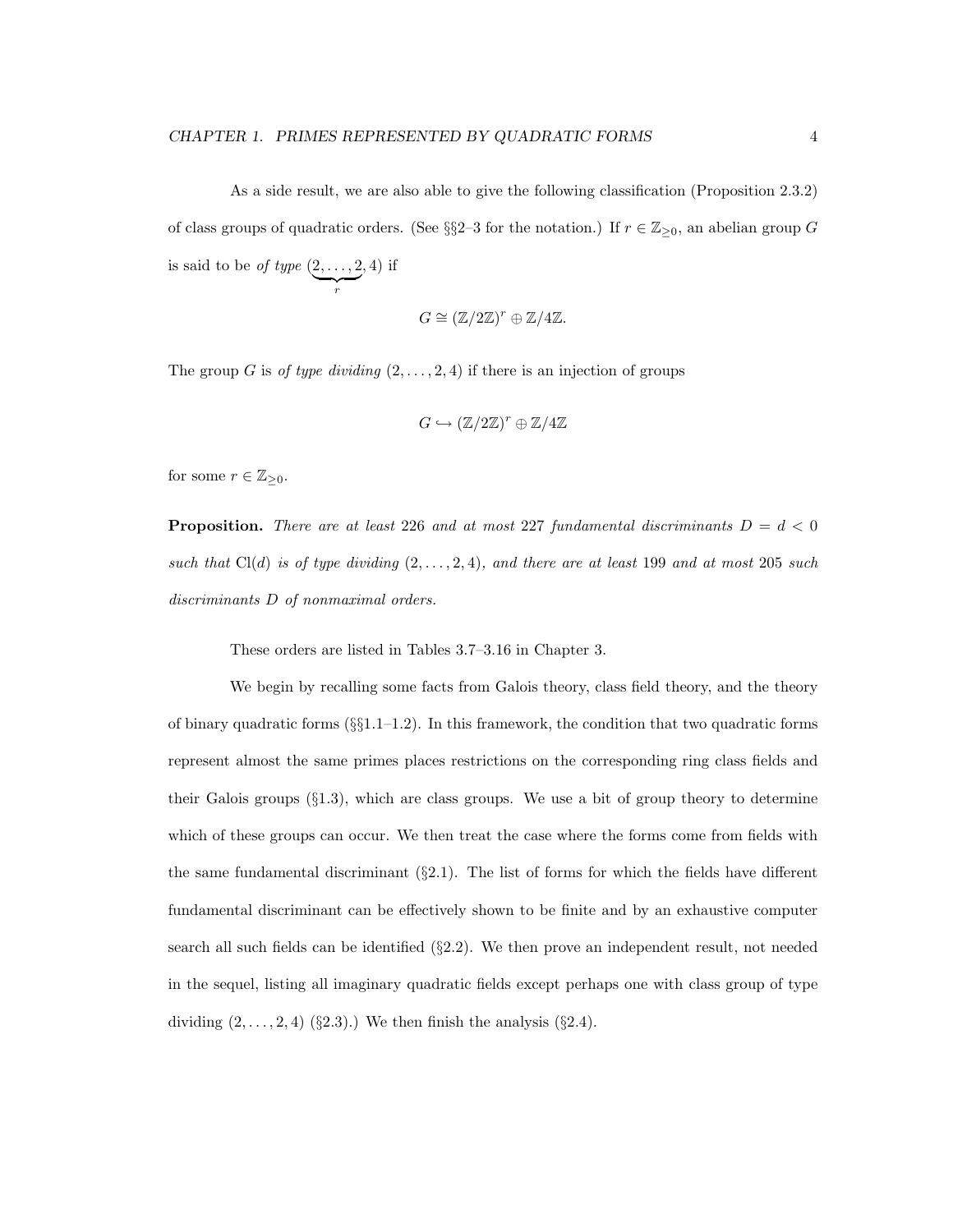As a side result, we are also able to give the following classification (Proposition 2.3.2) of class groups of quadratic orders. (See §§2–3 for the notation.) If  $r \in \mathbb{Z}_{\geq 0}$ , an abelian group G is said to be of type  $(2, \ldots, 2)$  $\sum_{r}$ , 4) if

$$
G \cong (\mathbb{Z}/2\mathbb{Z})^r \oplus \mathbb{Z}/4\mathbb{Z}.
$$

The group G is of type dividing  $(2, \ldots, 2, 4)$  if there is an injection of groups

$$
G\hookrightarrow (\mathbb{Z}/2\mathbb{Z})^r\oplus \mathbb{Z}/4\mathbb{Z}
$$

for some  $r \in \mathbb{Z}_{\geq 0}$ .

**Proposition.** There are at least 226 and at most 227 fundamental discriminants  $D = d < 0$ such that  $Cl(d)$  is of type dividing  $(2, \ldots, 2, 4)$ , and there are at least 199 and at most 205 such discriminants D of nonmaximal orders.

These orders are listed in Tables 3.7–3.16 in Chapter 3.

We begin by recalling some facts from Galois theory, class field theory, and the theory of binary quadratic forms  $(\S_{\S}1.1-1.2)$ . In this framework, the condition that two quadratic forms represent almost the same primes places restrictions on the corresponding ring class fields and their Galois groups  $(\S1.3)$ , which are class groups. We use a bit of group theory to determine which of these groups can occur. We then treat the case where the forms come from fields with the same fundamental discriminant  $(\S 2.1)$ . The list of forms for which the fields have different fundamental discriminant can be effectively shown to be finite and by an exhaustive computer search all such fields can be identified  $(\S2.2)$ . We then prove an independent result, not needed in the sequel, listing all imaginary quadratic fields except perhaps one with class group of type dividing  $(2, \ldots, 2, 4)$  (§2.3).) We then finish the analysis (§2.4).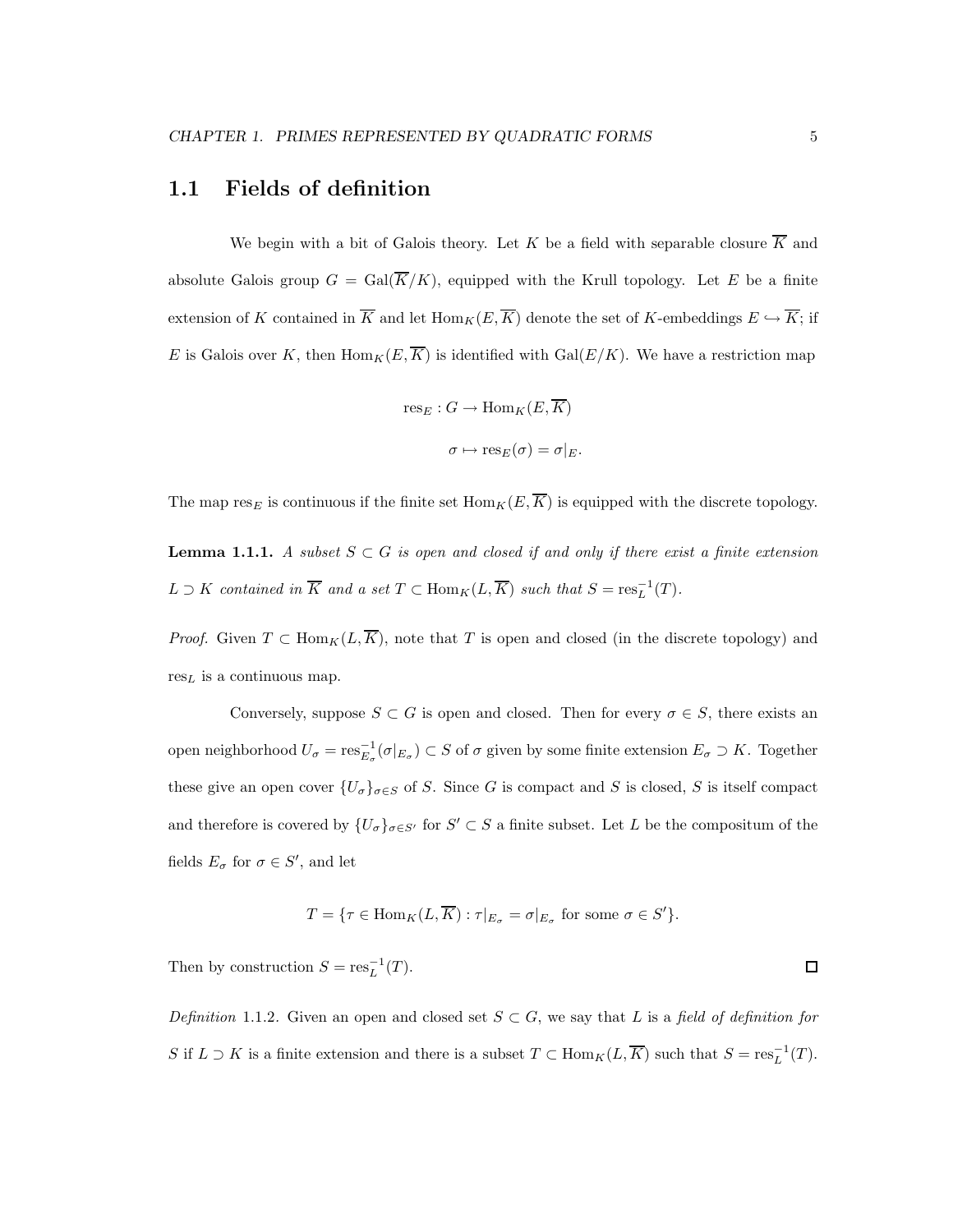### 1.1 Fields of definition

We begin with a bit of Galois theory. Let K be a field with separable closure  $\overline{K}$  and absolute Galois group  $G = \text{Gal}(\overline{K}/K)$ , equipped with the Krull topology. Let E be a finite extension of K contained in  $\overline{K}$  and let  $\text{Hom}_K(E, \overline{K})$  denote the set of K-embeddings  $E \hookrightarrow \overline{K}$ ; if E is Galois over K, then  $\text{Hom}_K(E,\overline{K})$  is identified with  $\text{Gal}(E/K)$ . We have a restriction map

$$
res_E : G \to Hom_K(E, \overline{K})
$$

$$
\sigma \mapsto res_E(\sigma) = \sigma|_E.
$$

The map res<sub>E</sub> is continuous if the finite set  $\text{Hom}_K(E, \overline{K})$  is equipped with the discrete topology.

**Lemma 1.1.1.** A subset  $S \subset G$  is open and closed if and only if there exist a finite extension  $L \supset K$  contained in  $\overline{K}$  and a set  $T \subset \text{Hom}_K(L, \overline{K})$  such that  $S = \text{res}_L^{-1}(T)$ .

*Proof.* Given  $T \subset \text{Hom}_K(L, \overline{K})$ , note that T is open and closed (in the discrete topology) and  $res<sub>L</sub>$  is a continuous map.

Conversely, suppose  $S \subset G$  is open and closed. Then for every  $\sigma \in S$ , there exists an open neighborhood  $U_{\sigma} = \text{res}_{E_{\sigma}}^{-1}(\sigma|_{E_{\sigma}}) \subset S$  of  $\sigma$  given by some finite extension  $E_{\sigma} \supset K$ . Together these give an open cover  $\{U_{\sigma}\}_{{\sigma}\in S}$  of S. Since G is compact and S is closed, S is itself compact and therefore is covered by  $\{U_{\sigma}\}_{{\sigma \in S'}}$  for  $S' \subset S$  a finite subset. Let L be the compositum of the fields  $E_{\sigma}$  for  $\sigma \in S'$ , and let

$$
T = \{ \tau \in \text{Hom}_K(L, \overline{K}) : \tau|_{E_{\sigma}} = \sigma|_{E_{\sigma}} \text{ for some } \sigma \in S' \}.
$$

Then by construction  $S = \operatorname{res}_{L}^{-1}(T)$ .

Definition 1.1.2. Given an open and closed set  $S \subset G$ , we say that L is a field of definition for S if  $L \supset K$  is a finite extension and there is a subset  $T \subset \text{Hom}_K(L, \overline{K})$  such that  $S = \text{res}_L^{-1}(T)$ .

 $\Box$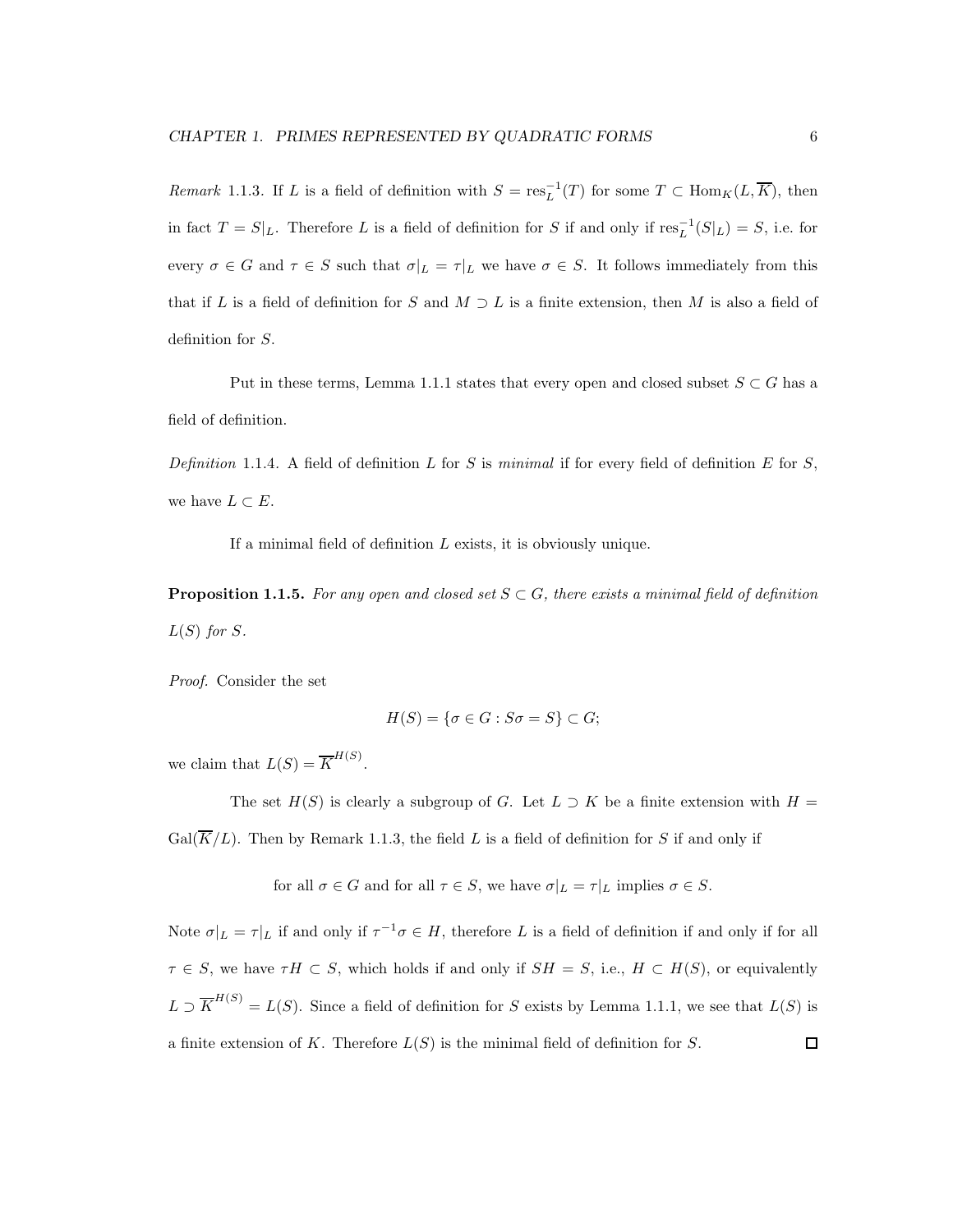*Remark* 1.1.3. If L is a field of definition with  $S = \text{res}_{L}^{-1}(T)$  for some  $T \subset \text{Hom}_{K}(L, \overline{K})$ , then in fact  $T = S|_L$ . Therefore L is a field of definition for S if and only if  $res_L^{-1}(S|_L) = S$ , i.e. for every  $\sigma \in G$  and  $\tau \in S$  such that  $\sigma|_L = \tau|_L$  we have  $\sigma \in S$ . It follows immediately from this that if L is a field of definition for S and  $M \supset L$  is a finite extension, then M is also a field of definition for S.

Put in these terms, Lemma 1.1.1 states that every open and closed subset  $S \subset G$  has a field of definition.

Definition 1.1.4. A field of definition L for S is minimal if for every field of definition E for S, we have  $L \subset E$ .

If a minimal field of definition  $L$  exists, it is obviously unique.

**Proposition 1.1.5.** For any open and closed set  $S \subset G$ , there exists a minimal field of definition  $L(S)$  for S.

Proof. Consider the set

$$
H(S) = \{ \sigma \in G : S\sigma = S \} \subset G;
$$

we claim that  $L(S) = \overline{K}^{H(S)}$ .

The set  $H(S)$  is clearly a subgroup of G. Let  $L \supset K$  be a finite extension with  $H =$  $Gal(\overline{K}/L)$ . Then by Remark 1.1.3, the field L is a field of definition for S if and only if

for all  $\sigma \in G$  and for all  $\tau \in S$ , we have  $\sigma|_L = \tau|_L$  implies  $\sigma \in S$ .

Note  $\sigma|_L = \tau|_L$  if and only if  $\tau^{-1}\sigma \in H$ , therefore L is a field of definition if and only if for all  $\tau \in S$ , we have  $\tau H \subset S$ , which holds if and only if  $SH = S$ , i.e.,  $H \subset H(S)$ , or equivalently  $L \supset \overline{K}^{H(S)} = L(S)$ . Since a field of definition for S exists by Lemma 1.1.1, we see that  $L(S)$  is a finite extension of K. Therefore  $L(S)$  is the minimal field of definition for S.  $\Box$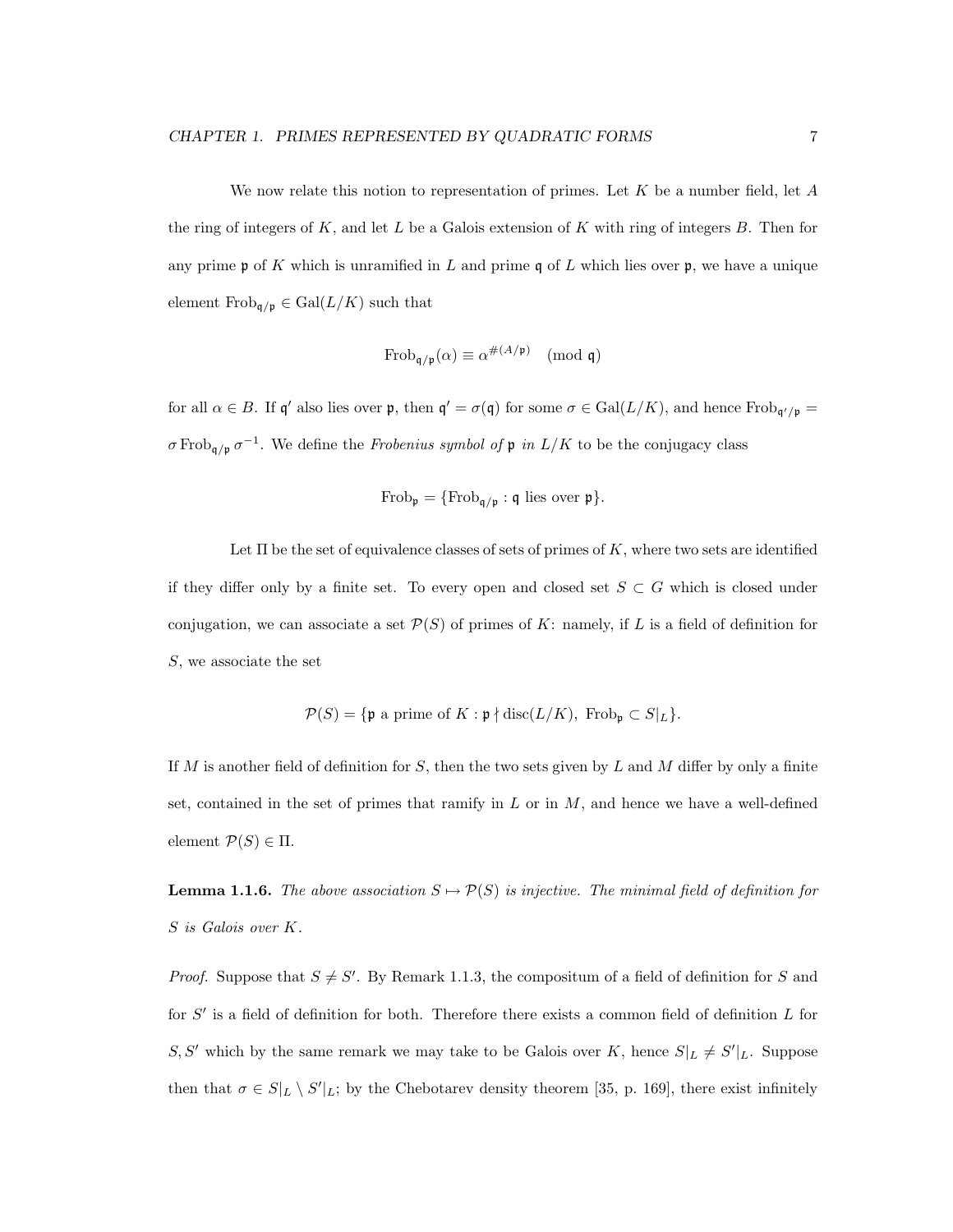We now relate this notion to representation of primes. Let  $K$  be a number field, let  $A$ the ring of integers of  $K$ , and let  $L$  be a Galois extension of  $K$  with ring of integers  $B$ . Then for any prime  $\mathfrak p$  of K which is unramified in L and prime q of L which lies over  $\mathfrak p$ , we have a unique element  $\text{Frob}_{\mathfrak{q}/\mathfrak{p}} \in \text{Gal}(L/K)$  such that

$$
\operatorname{Frob}_{\mathfrak{q}/\mathfrak{p}}(\alpha) \equiv \alpha^{\#(A/\mathfrak{p})} \pmod{\mathfrak{q}}
$$

for all  $\alpha \in B$ . If  $\mathfrak{q}'$  also lies over  $\mathfrak{p}$ , then  $\mathfrak{q}' = \sigma(\mathfrak{q})$  for some  $\sigma \in \text{Gal}(L/K)$ , and hence  $\text{Frob}_{\mathfrak{q}'/\mathfrak{p}} =$  $\sigma \text{Frob}_{\mathfrak{q}/\mathfrak{p}} \sigma^{-1}$ . We define the *Frobenius symbol of*  $\mathfrak{p}$  in  $L/K$  to be the conjugacy class

$$
\operatorname{Frob}_{\mathfrak{p}} = \{ \operatorname{Frob}_{\mathfrak{q}/\mathfrak{p}} : \mathfrak{q} \text{ lies over } \mathfrak{p} \}.
$$

Let  $\Pi$  be the set of equivalence classes of sets of primes of K, where two sets are identified if they differ only by a finite set. To every open and closed set  $S \subset G$  which is closed under conjugation, we can associate a set  $\mathcal{P}(S)$  of primes of K: namely, if L is a field of definition for S, we associate the set

$$
\mathcal{P}(S) = \{ \mathfrak{p} \text{ a prime of } K : \mathfrak{p} \nmid \text{disc}(L/K), \text{ Frob}_{\mathfrak{p}} \subset S|_L \}.
$$

If  $M$  is another field of definition for  $S$ , then the two sets given by  $L$  and  $M$  differ by only a finite set, contained in the set of primes that ramify in  $L$  or in  $M$ , and hence we have a well-defined element  $P(S) \in \Pi$ .

**Lemma 1.1.6.** The above association  $S \mapsto \mathcal{P}(S)$  is injective. The minimal field of definition for S is Galois over K.

*Proof.* Suppose that  $S \neq S'$ . By Remark 1.1.3, the compositum of a field of definition for S and for  $S'$  is a field of definition for both. Therefore there exists a common field of definition  $L$  for  $S, S'$  which by the same remark we may take to be Galois over K, hence  $S|_L \neq S'|_L$ . Suppose then that  $\sigma \in S|_L \setminus S'|_L$ ; by the Chebotarev density theorem [35, p. 169], there exist infinitely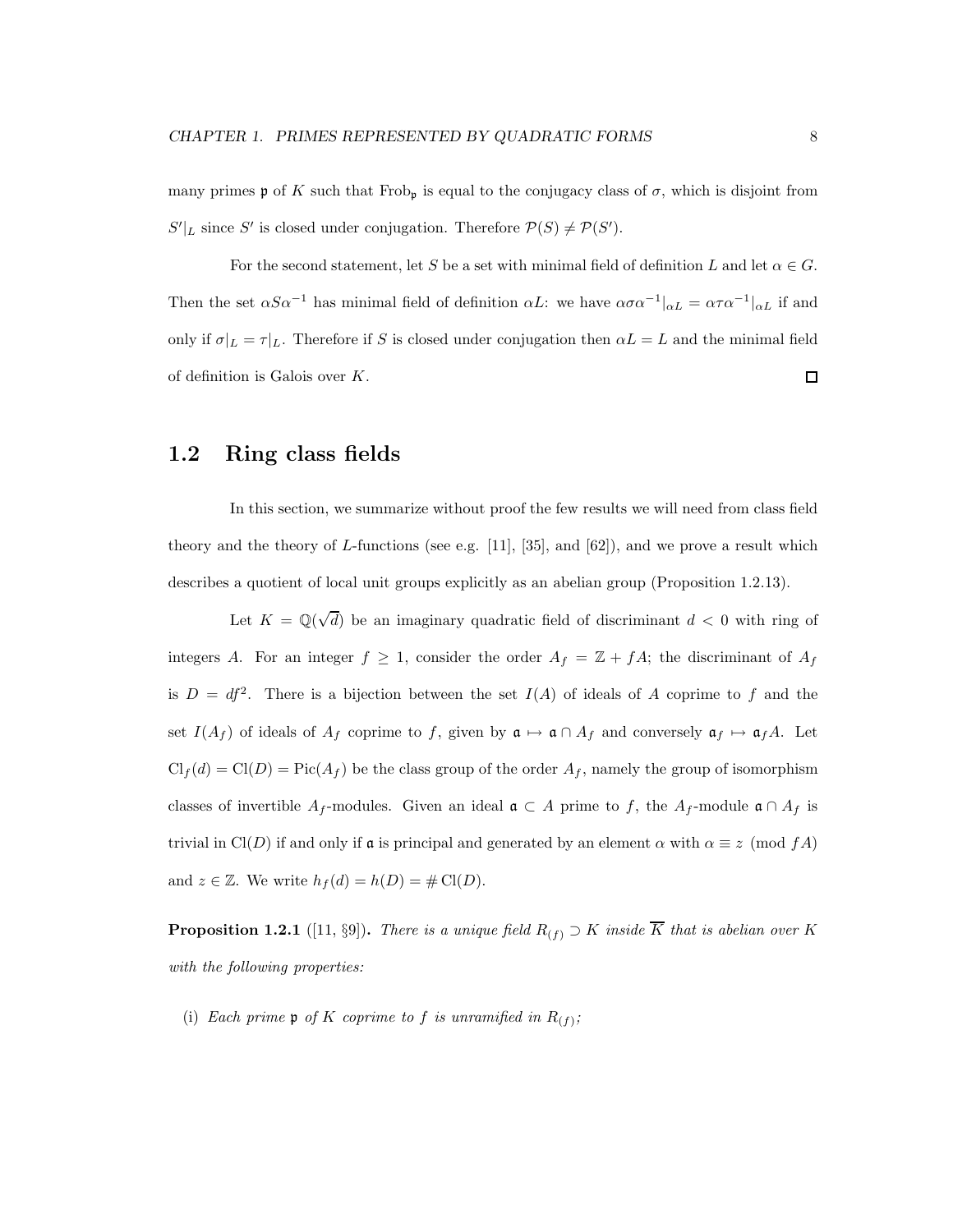many primes **p** of K such that Frob<sub>p</sub> is equal to the conjugacy class of  $\sigma$ , which is disjoint from  $S'|_L$  since S' is closed under conjugation. Therefore  $P(S) \neq P(S')$ .

For the second statement, let S be a set with minimal field of definition L and let  $\alpha \in G$ . Then the set  $\alpha S \alpha^{-1}$  has minimal field of definition  $\alpha L$ : we have  $\alpha \sigma \alpha^{-1}|_{\alpha L} = \alpha \tau \alpha^{-1}|_{\alpha L}$  if and only if  $\sigma|_L = \tau|_L$ . Therefore if S is closed under conjugation then  $\alpha L = L$  and the minimal field of definition is Galois over K.  $\Box$ 

### 1.2 Ring class fields

In this section, we summarize without proof the few results we will need from class field theory and the theory of L-functions (see e.g. [11], [35], and  $[62]$ ), and we prove a result which describes a quotient of local unit groups explicitly as an abelian group (Proposition 1.2.13).

Let  $K = \mathbb{Q}(\sqrt{d})$  be an imaginary quadratic field of discriminant  $d < 0$  with ring of integers A. For an integer  $f \geq 1$ , consider the order  $A_f = \mathbb{Z} + fA$ ; the discriminant of  $A_f$ is  $D = df^2$ . There is a bijection between the set  $I(A)$  of ideals of A coprime to f and the set  $I(A_f)$  of ideals of  $A_f$  coprime to f, given by  $\mathfrak{a} \mapsto \mathfrak{a} \cap A_f$  and conversely  $\mathfrak{a}_f \mapsto \mathfrak{a}_f A$ . Let  $\text{Cl}_f(d) = \text{Cl}(D) = \text{Pic}(A_f)$  be the class group of the order  $A_f$ , namely the group of isomorphism classes of invertible A<sub>f</sub>-modules. Given an ideal  $\mathfrak{a} \subset A$  prime to f, the A<sub>f</sub>-module  $\mathfrak{a} \cap A_f$  is trivial in Cl(D) if and only if **a** is principal and generated by an element  $\alpha$  with  $\alpha \equiv z \pmod{fA}$ and  $z \in \mathbb{Z}$ . We write  $h_f(d) = h(D) = \# \text{Cl}(D)$ .

**Proposition 1.2.1** ([11, §9]). There is a unique field  $R_{(f)} \supset K$  inside  $\overline{K}$  that is abelian over K with the following properties:

(i) Each prime  $\mathfrak p$  of K coprime to f is unramified in  $R_{(f)}$ ;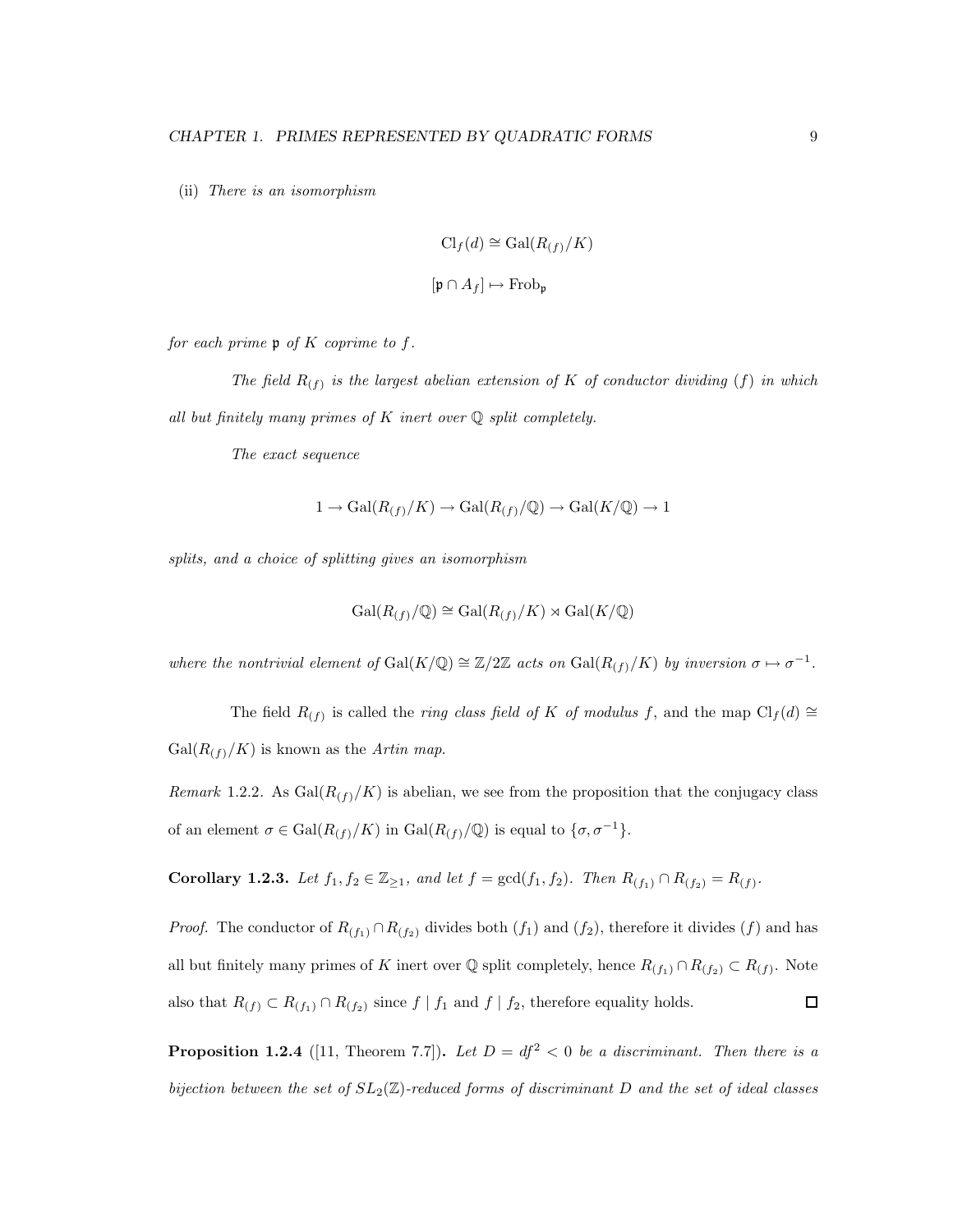(ii) There is an isomorphism

$$
\mathrm{Cl}_f(d) \cong \mathrm{Gal}(R_{(f)}/K)
$$

$$
[\mathfrak{p} \cap A_f] \mapsto \mathrm{Frob}_{\mathfrak{p}}
$$

for each prime  $\mathfrak p$  of K coprime to f.

The field  $R_{(f)}$  is the largest abelian extension of K of conductor dividing (f) in which all but finitely many primes of  $K$  inert over  $\mathbb Q$  split completely.

The exact sequence

$$
1 \to \text{Gal}(R_{(f)}/K) \to \text{Gal}(R_{(f)}/\mathbb{Q}) \to \text{Gal}(K/\mathbb{Q}) \to 1
$$

splits, and a choice of splitting gives an isomorphism

$$
\operatorname{Gal}(R_{(f)}/\mathbb{Q})\cong \operatorname{Gal}(R_{(f)}/K)\rtimes \operatorname{Gal}(K/\mathbb{Q})
$$

where the nontrivial element of  $Gal(K/\mathbb{Q}) \cong \mathbb{Z}/2\mathbb{Z}$  acts on  $Gal(R_{(f)}/K)$  by inversion  $\sigma \mapsto \sigma^{-1}$ .

The field  $R_{(f)}$  is called the *ring class field of K of modulus f*, and the map  $\text{Cl}_f(d) \cong$  $Gal(R<sub>(f)</sub>/K)$  is known as the *Artin map*.

Remark 1.2.2. As  $Gal(R<sub>(f)</sub>/K))$  is abelian, we see from the proposition that the conjugacy class of an element  $\sigma \in \text{Gal}(R_{(f)}/K)$  in  $\text{Gal}(R_{(f)}/\mathbb{Q})$  is equal to  $\{\sigma, \sigma^{-1}\}.$ 

Corollary 1.2.3. Let  $f_1, f_2 \in \mathbb{Z}_{\geq 1}$ , and let  $f = \gcd(f_1, f_2)$ . Then  $R_{(f_1)} \cap R_{(f_2)} = R_{(f)}$ .

*Proof.* The conductor of  $R_{(f_1)} \cap R_{(f_2)}$  divides both  $(f_1)$  and  $(f_2)$ , therefore it divides  $(f)$  and has all but finitely many primes of K inert over  $\mathbb Q$  split completely, hence  $R_{(f_1)} \cap R_{(f_2)} \subset R_{(f)}$ . Note also that  $R(f) \subset R(f_1) \cap R(f_2)$  since  $f | f_1$  and  $f | f_2$ , therefore equality holds.  $\Box$ 

**Proposition 1.2.4** ([11, Theorem 7.7]). Let  $D = df^2 < 0$  be a discriminant. Then there is a bijection between the set of  $SL_2(\mathbb{Z})$ -reduced forms of discriminant D and the set of ideal classes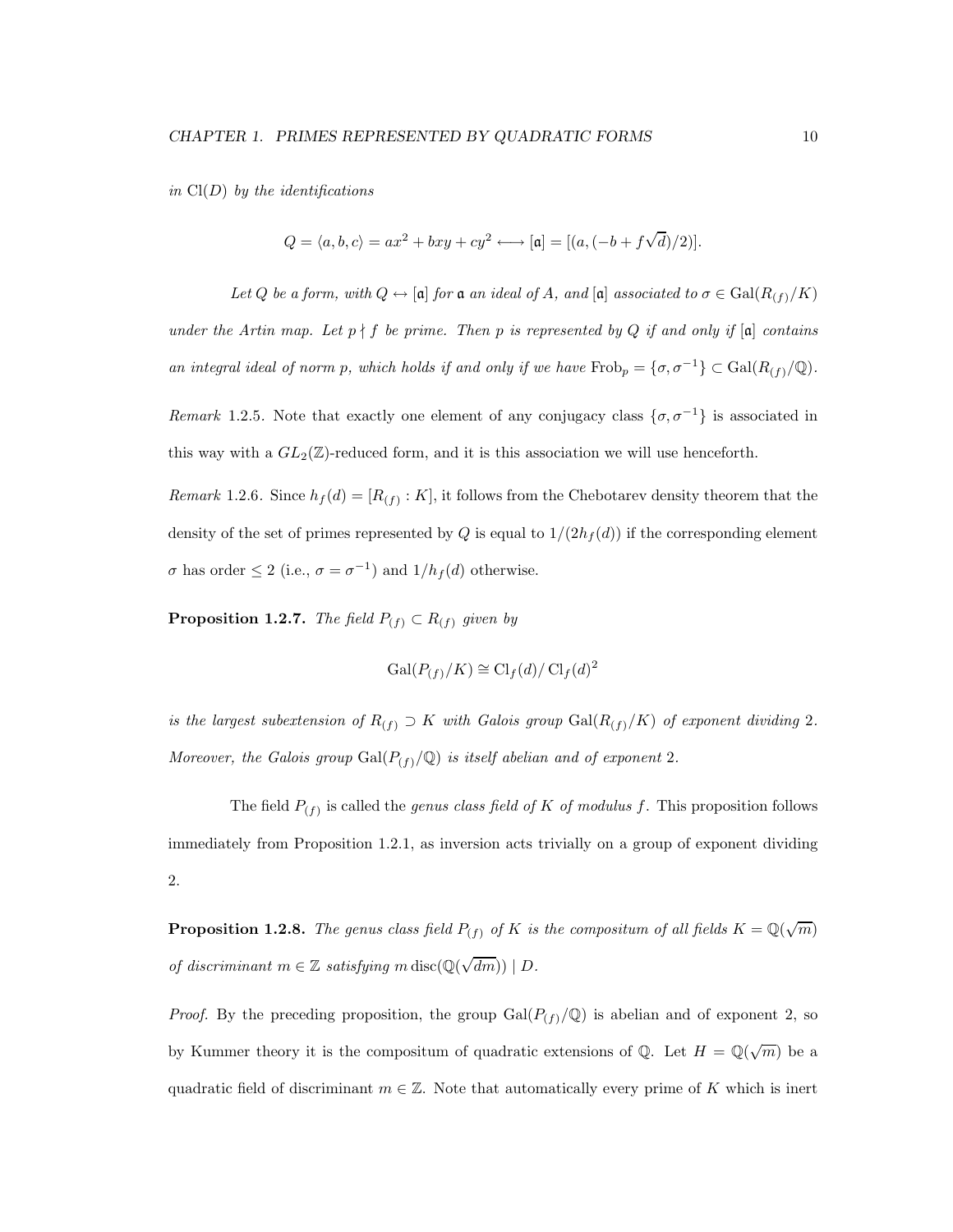in  $Cl(D)$  by the identifications

$$
Q = \langle a, b, c \rangle = ax^2 + bxy + cy^2 \longleftrightarrow [\mathfrak{a}] = [(a, (-b + f\sqrt{d})/2)].
$$

Let Q be a form, with  $Q \leftrightarrow [\mathfrak{a}]$  for  $\mathfrak{a}$  an ideal of A, and  $[\mathfrak{a}]$  associated to  $\sigma \in \text{Gal}(R_{(f)}/K)$ under the Artin map. Let  $p \nmid f$  be prime. Then p is represented by Q if and only if  $[a]$  contains an integral ideal of norm p, which holds if and only if we have  $\text{Frob}_p = {\sigma, \sigma^{-1}} \subset \text{Gal}(R_{(f)}/\mathbb{Q})$ .

Remark 1.2.5. Note that exactly one element of any conjugacy class  $\{\sigma, \sigma^{-1}\}\$ is associated in this way with a  $GL_2(\mathbb{Z})$ -reduced form, and it is this association we will use henceforth.

*Remark* 1.2.6. Since  $h_f(d) = [R(f) : K]$ , it follows from the Chebotarev density theorem that the density of the set of primes represented by Q is equal to  $1/(2h_f(d))$  if the corresponding element  $\sigma$  has order  $\leq 2$  (i.e.,  $\sigma = \sigma^{-1}$ ) and  $1/h_f(d)$  otherwise.

**Proposition 1.2.7.** The field  $P_{(f)} \subset R_{(f)}$  given by

$$
\operatorname{Gal}(P_{(f)}/K) \cong \operatorname{Cl}_f(d)/\operatorname{Cl}_f(d)^2
$$

is the largest subextension of  $R(f) \supset K$  with Galois group  $Gal(R(f)/K)$  of exponent dividing 2. Moreover, the Galois group  $Gal(P_{(f)}/\mathbb{Q})$  is itself abelian and of exponent 2.

The field  $P_{(f)}$  is called the *genus class field of K of modulus f*. This proposition follows immediately from Proposition 1.2.1, as inversion acts trivially on a group of exponent dividing 2.

**Proposition 1.2.8.** The genus class field  $P_{(f)}$  of K is the compositum of all fields  $K = \mathbb{Q}(\sqrt{m})$ of discriminant  $m \in \mathbb{Z}$  satisfying m disc $(\mathbb{Q}(\sqrt{dm})) \mid D$ .

*Proof.* By the preceding proposition, the group  $Gal(P_{(f)}/\mathbb{Q})$  is abelian and of exponent 2, so by Kummer theory it is the compositum of quadratic extensions of Q. Let  $H = \mathbb{Q}(\sqrt{m})$  be a quadratic field of discriminant  $m \in \mathbb{Z}$ . Note that automatically every prime of K which is inert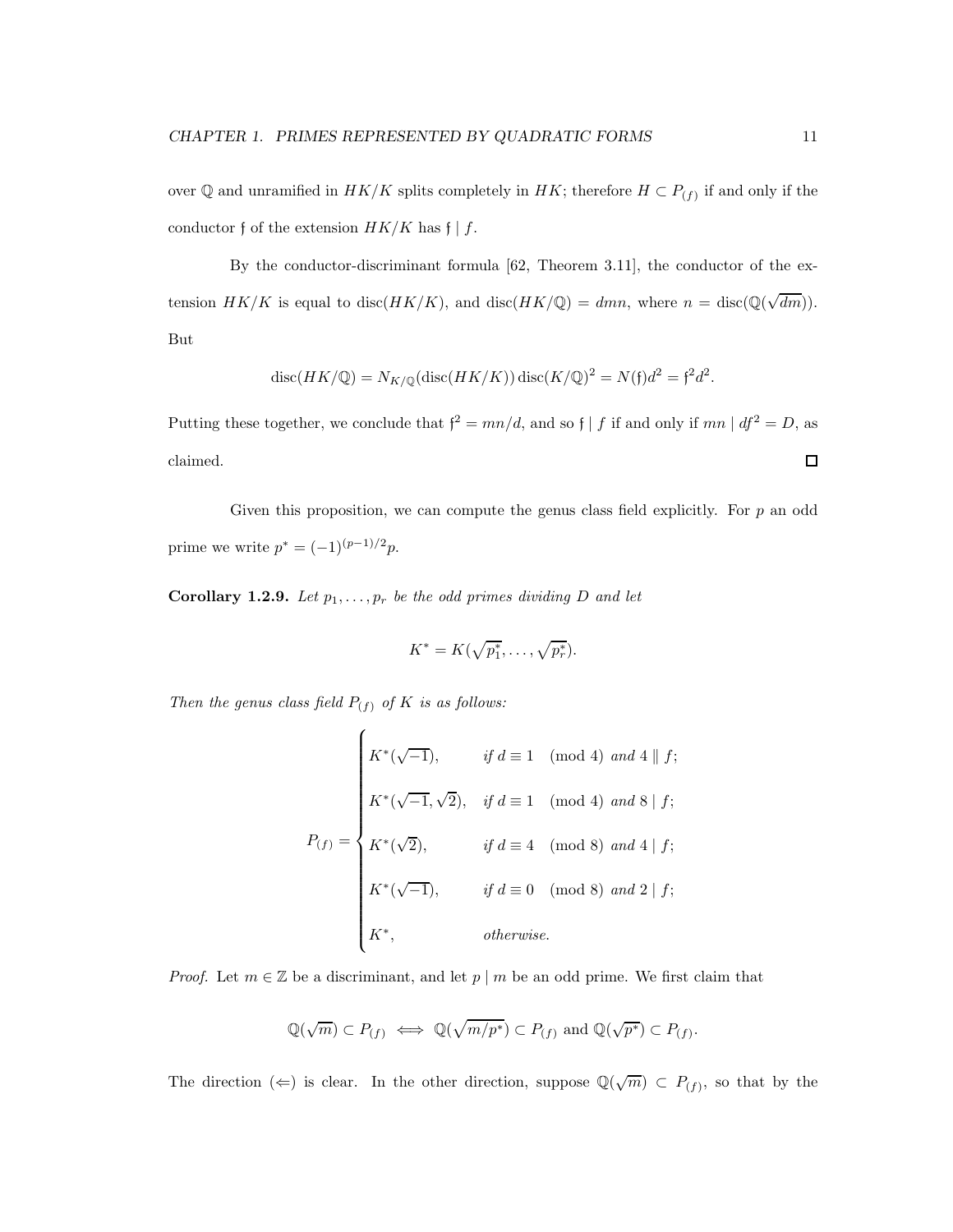over Q and unramified in  $HK/K$  splits completely in  $HK$ ; therefore  $H \subset P_{(f)}$  if and only if the conductor f of the extension  $HK/K$  has  $f | f$ .

By the conductor-discriminant formula [62, Theorem 3.11], the conductor of the extension  $HK/K$  is equal to disc( $HK/K$ ), and disc( $HK/\mathbb{Q}$ ) = dmn, where  $n = \text{disc}(\mathbb{Q}(\sqrt{dm}))$ . But

$$
\operatorname{disc}(HK/\mathbb{Q}) = N_{K/\mathbb{Q}}(\operatorname{disc}(HK/K)) \operatorname{disc}(K/\mathbb{Q})^2 = N(\mathfrak{f})d^2 = \mathfrak{f}^2 d^2.
$$

Putting these together, we conclude that  $f^2 = mn/d$ , and so  $f | f$  if and only if  $mn | df^2 = D$ , as claimed.  $\Box$ 

Given this proposition, we can compute the genus class field explicitly. For  $p$  an odd prime we write  $p^* = (-1)^{(p-1)/2} p$ .

**Corollary 1.2.9.** Let  $p_1, \ldots, p_r$  be the odd primes dividing D and let

$$
K^* = K(\sqrt{p_1^*}, \ldots, \sqrt{p_r^*}).
$$

Then the genus class field  $P_{(f)}$  of K is as follows:

$$
P_{(f)} = \begin{cases} K^*(\sqrt{-1}), & \text{if } d \equiv 1 \pmod{4} \text{ and } 4 \parallel f; \\ K^*(\sqrt{-1}, \sqrt{2}), & \text{if } d \equiv 1 \pmod{4} \text{ and } 8 \mid f; \\ K^*(\sqrt{2}), & \text{if } d \equiv 4 \pmod{8} \text{ and } 4 \mid f; \\ K^*(\sqrt{-1}), & \text{if } d \equiv 0 \pmod{8} \text{ and } 2 \mid f; \\ K^*, & \text{otherwise.} \end{cases}
$$

*Proof.* Let  $m \in \mathbb{Z}$  be a discriminant, and let  $p \mid m$  be an odd prime. We first claim that

$$
\mathbb{Q}(\sqrt{m})\subset P_{(f)}\iff \mathbb{Q}(\sqrt{m/p^*})\subset P_{(f)}\text{ and }\mathbb{Q}(\sqrt{p^*})\subset P_{(f)}.
$$

The direction ( $\Leftarrow$ ) is clear. In the other direction, suppose  $\mathbb{Q}(\sqrt{m}) \subset P_{(f)}$ , so that by the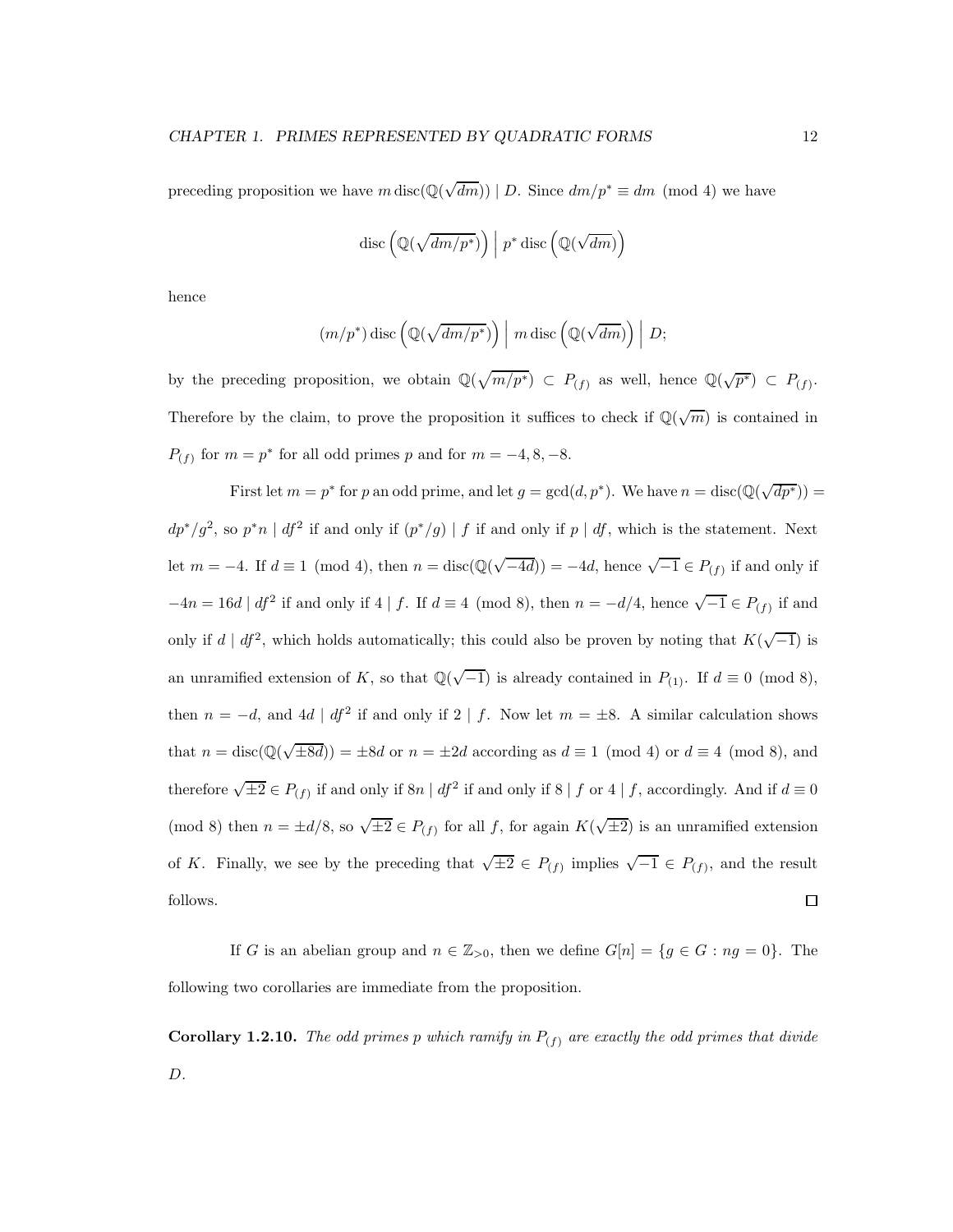preceding proposition we have  $m \operatorname{disc}(\mathbb{Q}(\sqrt{dm})) \mid D$ . Since  $dm/p^* \equiv dm \pmod{4}$  we have

$$
\mathrm{disc}\left(\mathbb{Q}(\sqrt{dm/p^*})\right)\Big|\;p^*\, \mathrm{disc}\left(\mathbb{Q}(\sqrt{dm})\right)
$$

hence

$$
(m/p^*)
$$
disc  $(\mathbb{Q}(\sqrt{dm/p^*})\) | m$ disc  $(\mathbb{Q}(\sqrt{dm})\) | D;$ 

by the preceding proposition, we obtain  $\mathbb{Q}(\sqrt{m/p^*}) \subset P_{(f)}$  as well, hence  $\mathbb{Q}(\sqrt{p^*}) \subset P_{(f)}$ . Therefore by the claim, to prove the proposition it suffices to check if  $\mathbb{Q}(\sqrt{m})$  is contained in  $P_{(f)}$  for  $m = p^*$  for all odd primes p and for  $m = -4, 8, -8$ .

First let  $m = p^*$  for p an odd prime, and let  $g = \gcd(d, p^*)$ . We have  $n = \text{disc}(\mathbb{Q}(\sqrt{dp^*})) =$  $dp^*/g^2$ , so  $p^*n \mid df^2$  if and only if  $(p^*/g) \mid f$  if and only if  $p \mid df$ , which is the statement. Next let  $m = -4$ . If  $d \equiv 1 \pmod{4}$ , then  $n = \text{disc}(\mathbb{Q}(\sqrt{-4d})) = -4d$ , hence  $\sqrt{-1} \in P_{(f)}$  if and only if  $-4n = 16d | df<sup>2</sup>$  if and only if 4 | f. If  $d \equiv 4 \pmod{8}$ , then  $n = -d/4$ , hence  $\sqrt{-1} \in P_{(f)}$  if and only if  $d | df^2$ , which holds automatically; this could also be proven by noting that  $K(\sqrt{-1})$  is an unramified extension of K, so that  $\mathbb{Q}(\sqrt{-1})$  is already contained in  $P_{(1)}$ . If  $d \equiv 0 \pmod{8}$ , then  $n = -d$ , and  $4d | df^2$  if and only if  $2 | f$ . Now let  $m = \pm 8$ . A similar calculation shows that  $n = \text{disc}(\mathbb{Q}(\sqrt{\pm 8d})) = \pm 8d$  or  $n = \pm 2d$  according as  $d \equiv 1 \pmod{4}$  or  $d \equiv 4 \pmod{8}$ , and therefore  $\sqrt{\pm 2} \in P_{(f)}$  if and only if  $8n | df^2$  if and only if  $8 | f$  or  $4 | f$ , accordingly. And if  $d \equiv 0$ (mod 8) then  $n = \pm d/8$ , so  $\sqrt{\pm 2} \in P_{(f)}$  for all f, for again  $K(\sqrt{\pm 2})$  is an unramified extension of K. Finally, we see by the preceding that  $\sqrt{\pm 2} \in P_{(f)}$  implies  $\sqrt{-1} \in P_{(f)}$ , and the result follows.  $\Box$ 

If G is an abelian group and  $n \in \mathbb{Z}_{>0}$ , then we define  $G[n] = \{g \in G : ng = 0\}$ . The following two corollaries are immediate from the proposition.

**Corollary 1.2.10.** The odd primes p which ramify in  $P_{(f)}$  are exactly the odd primes that divide D.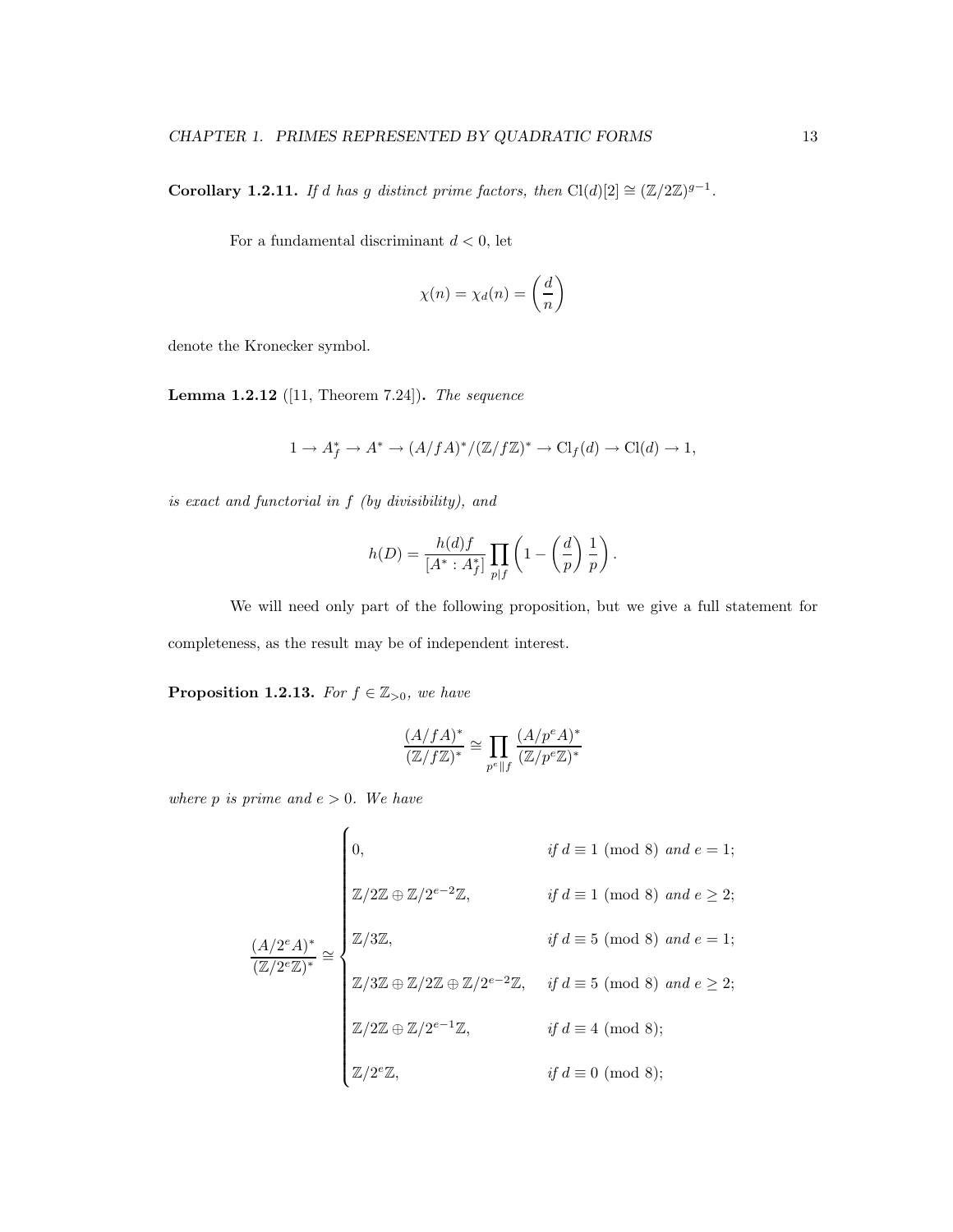**Corollary 1.2.11.** If d has g distinct prime factors, then  $Cl(d)[2] \cong (\mathbb{Z}/2\mathbb{Z})^{g-1}$ .

For a fundamental discriminant  $d < 0$ , let

$$
\chi(n) = \chi_d(n) = \left(\frac{d}{n}\right)
$$

denote the Kronecker symbol.

**Lemma 1.2.12** ([11, Theorem 7.24]). The sequence

$$
1 \to A_f^* \to A^* \to (A/fA)^*/(\mathbb{Z}/f\mathbb{Z})^* \to \mathrm{Cl}_f(d) \to \mathrm{Cl}(d) \to 1,
$$

is exact and functorial in f (by divisibility), and

$$
h(D) = \frac{h(d)f}{[A^* : A_f^*]} \prod_{p \mid f} \left(1 - \left(\frac{d}{p}\right) \frac{1}{p}\right).
$$

We will need only part of the following proposition, but we give a full statement for completeness, as the result may be of independent interest.

**Proposition 1.2.13.** For  $f \in \mathbb{Z}_{>0}$ , we have

$$
\frac{(A/fA)^*}{(\mathbb{Z}/f\mathbb{Z})^*}\cong \prod_{p^e\parallel f}\frac{(A/p^eA)^*}{(\mathbb{Z}/p^e\mathbb{Z})^*}
$$

where p is prime and  $e > 0$ . We have

$$
\frac{(A/2^e A)^*}{(\mathbb{Z}/2^e \mathbb{Z})^*} \cong \begin{cases}\n0, & \text{if } d \equiv 1 \pmod{8} \text{ and } e = 1; \\
\mathbb{Z}/2\mathbb{Z} \oplus \mathbb{Z}/2^{e-2}\mathbb{Z}, & \text{if } d \equiv 1 \pmod{8} \text{ and } e \ge 2; \\
\frac{(A/2^e A)^*}{(\mathbb{Z}/2^e \mathbb{Z})^*} \cong \begin{cases}\n\mathbb{Z}/3\mathbb{Z}, & \text{if } d \equiv 5 \pmod{8} \text{ and } e = 1; \\
\mathbb{Z}/3\mathbb{Z} \oplus \mathbb{Z}/2\mathbb{Z} \oplus \mathbb{Z}/2^{e-2}\mathbb{Z}, & \text{if } d \equiv 5 \pmod{8} \text{ and } e \ge 2; \\
\mathbb{Z}/2\mathbb{Z} \oplus \mathbb{Z}/2^{e-1}\mathbb{Z}, & \text{if } d \equiv 4 \pmod{8}; \\
\mathbb{Z}/2^e \mathbb{Z}, & \text{if } d \equiv 0 \pmod{8};\n\end{cases}
$$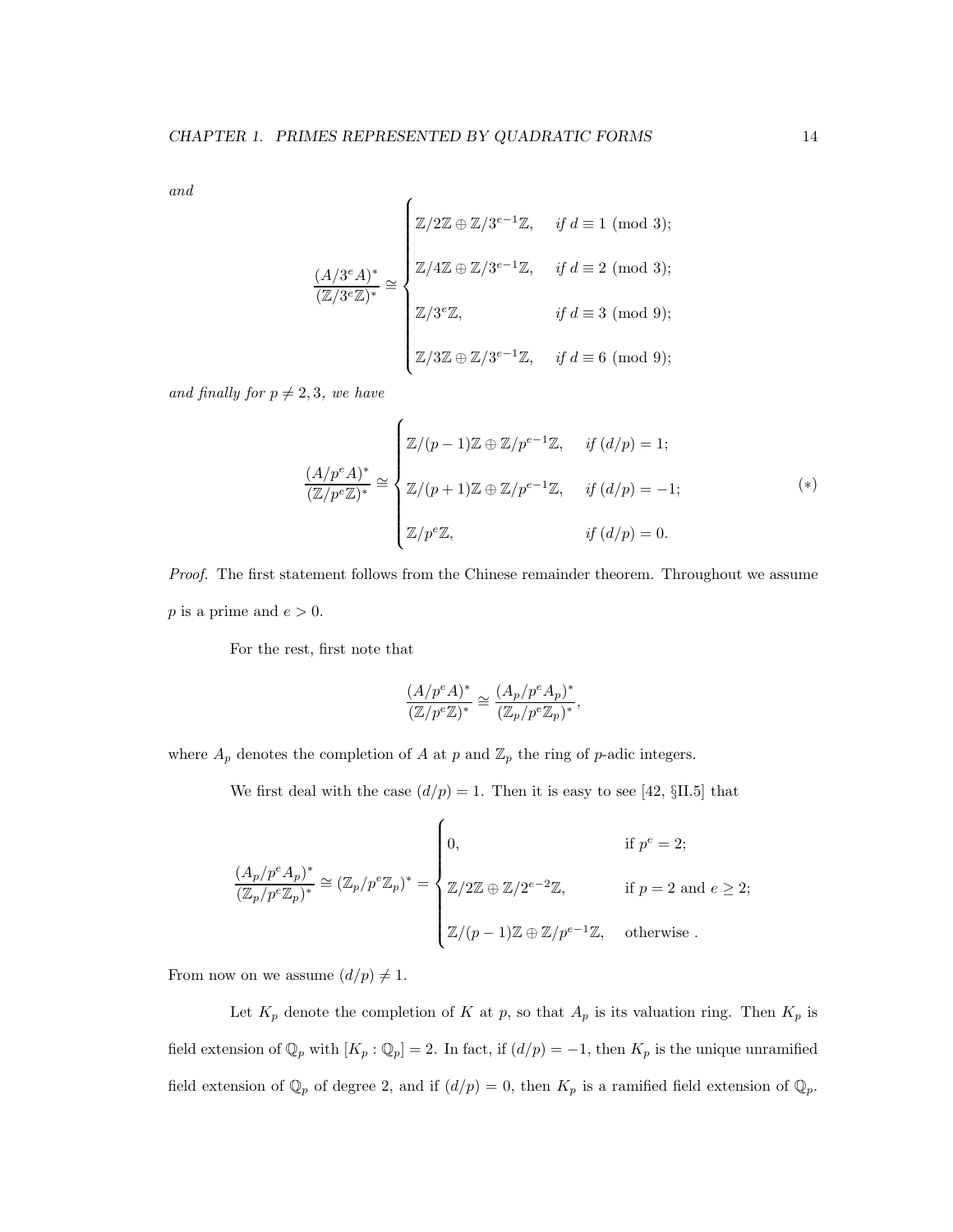and

$$
\frac{(A/3^e A)^*}{(\mathbb{Z}/3^e \mathbb{Z})^*} \cong \begin{cases} \mathbb{Z}/2\mathbb{Z} \oplus \mathbb{Z}/3^{e-1}\mathbb{Z}, & \text{if } d \equiv 1 \pmod{3}; \\ \mathbb{Z}/4\mathbb{Z} \oplus \mathbb{Z}/3^{e-1}\mathbb{Z}, & \text{if } d \equiv 2 \pmod{3}; \\ \mathbb{Z}/3^e \mathbb{Z}, & \text{if } d \equiv 3 \pmod{9}; \\ \mathbb{Z}/3\mathbb{Z} \oplus \mathbb{Z}/3^{e-1}\mathbb{Z}, & \text{if } d \equiv 6 \pmod{9}; \end{cases}
$$

and finally for  $p \neq 2, 3$ , we have

$$
\frac{(A/p^e A)^*}{(\mathbb{Z}/p^e \mathbb{Z})^*} \cong \begin{cases} \mathbb{Z}/(p-1)\mathbb{Z} \oplus \mathbb{Z}/p^{e-1}\mathbb{Z}, & \text{if } (d/p) = 1; \\ \\ \mathbb{Z}/(p+1)\mathbb{Z} \oplus \mathbb{Z}/p^{e-1}\mathbb{Z}, & \text{if } (d/p) = -1; \\ \\ \mathbb{Z}/p^e \mathbb{Z}, & \text{if } (d/p) = 0. \end{cases} (*)
$$

Proof. The first statement follows from the Chinese remainder theorem. Throughout we assume p is a prime and  $e > 0$ .

For the rest, first note that

$$
\frac{(A/p^eA)^*}{(\mathbb{Z}/p^e\mathbb{Z})^*} \cong \frac{(A_p/p^eA_p)^*}{(\mathbb{Z}_p/p^e\mathbb{Z}_p)^*},
$$

where  $A_p$  denotes the completion of A at p and  $\mathbb{Z}_p$  the ring of p-adic integers.

We first deal with the case  $(d/p) = 1$ . Then it is easy to see [42, §II.5] that

$$
\frac{(A_p/p^e A_p)^*}{(\mathbb{Z}_p/p^e \mathbb{Z}_p)^*} \cong (\mathbb{Z}_p/p^e \mathbb{Z}_p)^* = \begin{cases} 0, & \text{if } p^e = 2; \\ & \\ \mathbb{Z}/2\mathbb{Z} \oplus \mathbb{Z}/2^{e-2}\mathbb{Z}, & \text{if } p = 2 \text{ and } e \geq 2; \\ & \\ \mathbb{Z}/(p-1)\mathbb{Z} \oplus \mathbb{Z}/p^{e-1}\mathbb{Z}, & \text{otherwise.} \end{cases}
$$

From now on we assume  $(d/p) \neq 1$ .

Let  $K_p$  denote the completion of K at p, so that  $A_p$  is its valuation ring. Then  $K_p$  is field extension of  $\mathbb{Q}_p$  with  $[K_p : \mathbb{Q}_p] = 2$ . In fact, if  $(d/p) = -1$ , then  $K_p$  is the unique unramified field extension of  $\mathbb{Q}_p$  of degree 2, and if  $(d/p) = 0$ , then  $K_p$  is a ramified field extension of  $\mathbb{Q}_p$ .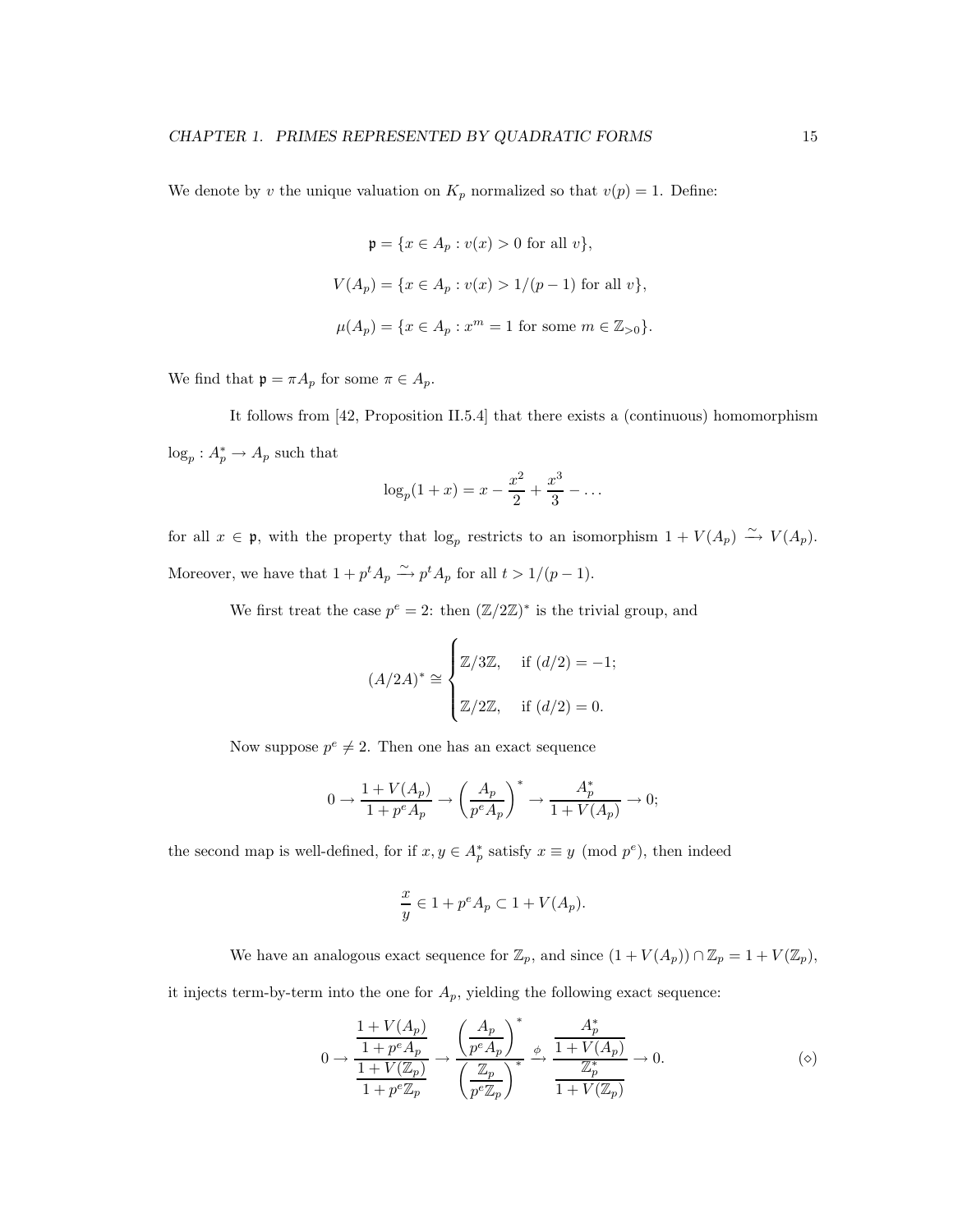We denote by v the unique valuation on  $K_p$  normalized so that  $v(p) = 1$ . Define:

$$
\mathfrak{p} = \{x \in A_p : v(x) > 0 \text{ for all } v\},
$$
  

$$
V(A_p) = \{x \in A_p : v(x) > 1/(p-1) \text{ for all } v\},
$$
  

$$
\mu(A_p) = \{x \in A_p : x^m = 1 \text{ for some } m \in \mathbb{Z}_{>0}\}.
$$

We find that  $\mathfrak{p} = \pi A_p$  for some  $\pi \in A_p$ .

It follows from [42, Proposition II.5.4] that there exists a (continuous) homomorphism  $\log_p: A_p^* \to A_p$  such that

$$
\log_p(1+x) = x - \frac{x^2}{2} + \frac{x^3}{3} - \dots
$$

for all  $x \in \mathfrak{p}$ , with the property that  $\log_p$  restricts to an isomorphism  $1 + V(A_p) \stackrel{\sim}{\rightarrow} V(A_p)$ . Moreover, we have that  $1 + p^t A_p \xrightarrow{\sim} p^t A_p$  for all  $t > 1/(p-1)$ .

We first treat the case  $p^e = 2$ : then  $(\mathbb{Z}/2\mathbb{Z})^*$  is the trivial group, and

$$
(A/2A)^* \approx \begin{cases} \mathbb{Z}/3\mathbb{Z}, & \text{if } (d/2) = -1; \\ \\ \mathbb{Z}/2\mathbb{Z}, & \text{if } (d/2) = 0. \end{cases}
$$

Now suppose  $p^e \neq 2$ . Then one has an exact sequence

$$
0\to \frac{1+V(A_p)}{1+p^eA_p}\to \left(\frac{A_p}{p^eA_p}\right)^*\to \frac{A_p^*}{1+V(A_p)}\to 0;
$$

the second map is well-defined, for if  $x, y \in A_p^*$  satisfy  $x \equiv y \pmod{p^e}$ , then indeed

$$
\frac{x}{y} \in 1 + p^e A_p \subset 1 + V(A_p).
$$

We have an analogous exact sequence for  $\mathbb{Z}_p$ , and since  $(1 + V(A_p)) \cap \mathbb{Z}_p = 1 + V(\mathbb{Z}_p)$ ,

it injects term-by-term into the one for  $A_p$ , yielding the following exact sequence:

$$
0 \to \frac{\frac{1+V(A_p)}{1+p^eA_p}}{\frac{1+V(\mathbb{Z}_p)}{1+p^e\mathbb{Z}_p}} \to \frac{\left(\frac{A_p}{p^eA_p}\right)^*}{\left(\frac{\mathbb{Z}_p}{p^e\mathbb{Z}_p}\right)^*} \xrightarrow{\phi} \frac{\frac{A_p^*}{1+V(A_p)}}{\frac{\mathbb{Z}_p^*}{1+V(\mathbb{Z}_p)}} \to 0.
$$
 (②)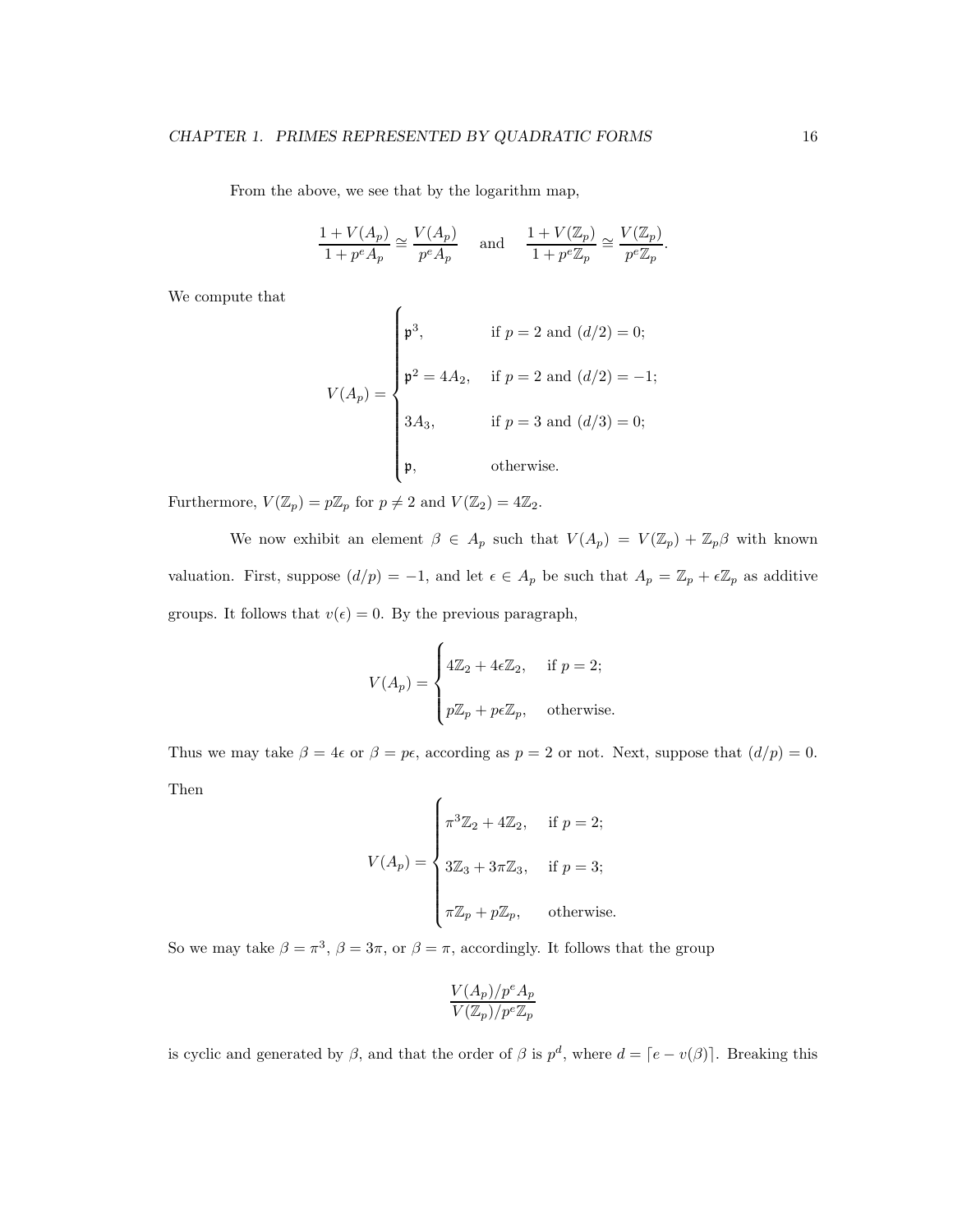From the above, we see that by the logarithm map,

$$
\frac{1+V(A_p)}{1+p^eA_p}\cong \frac{V(A_p)}{p^eA_p}\quad\text{ and }\quad \frac{1+V(\mathbb{Z}_p)}{1+p^e\mathbb{Z}_p}\cong \frac{V(\mathbb{Z}_p)}{p^e\mathbb{Z}_p}.
$$

We compute that

$$
V(A_p) = \begin{cases} \mathfrak{p}^3, & \text{if } p = 2 \text{ and } (d/2) = 0; \\ \mathfrak{p}^2 = 4A_2, & \text{if } p = 2 \text{ and } (d/2) = -1; \\ 3A_3, & \text{if } p = 3 \text{ and } (d/3) = 0; \\ \mathfrak{p}, & \text{otherwise.} \end{cases}
$$

Furthermore,  $V(\mathbb{Z}_p) = p\mathbb{Z}_p$  for  $p \neq 2$  and  $V(\mathbb{Z}_2) = 4\mathbb{Z}_2$ .

We now exhibit an element  $\beta \in A_p$  such that  $V(A_p) = V(\mathbb{Z}_p) + \mathbb{Z}_p\beta$  with known valuation. First, suppose  $(d/p) = -1$ , and let  $\epsilon \in A_p$  be such that  $A_p = \mathbb{Z}_p + \epsilon \mathbb{Z}_p$  as additive groups. It follows that  $v(\epsilon) = 0$ . By the previous paragraph,

$$
V(A_p) = \begin{cases} 4\mathbb{Z}_2 + 4\epsilon \mathbb{Z}_2, & \text{if } p = 2; \\ p\mathbb{Z}_p + p\epsilon \mathbb{Z}_p, & \text{otherwise.} \end{cases}
$$

Thus we may take  $\beta = 4\epsilon$  or  $\beta = p\epsilon$ , according as  $p = 2$  or not. Next, suppose that  $(d/p) = 0$ . Then

$$
V(A_p) = \begin{cases} \pi^3 \mathbb{Z}_2 + 4\mathbb{Z}_2, & \text{if } p = 2; \\ 3\mathbb{Z}_3 + 3\pi \mathbb{Z}_3, & \text{if } p = 3; \\ \pi \mathbb{Z}_p + p\mathbb{Z}_p, & \text{otherwise.} \end{cases}
$$

So we may take  $\beta = \pi^3$ ,  $\beta = 3\pi$ , or  $\beta = \pi$ , accordingly. It follows that the group

$$
\frac{V(A_p)/p^e A_p}{V(\mathbb{Z}_p)/p^e \mathbb{Z}_p}
$$

is cyclic and generated by  $\beta$ , and that the order of  $\beta$  is  $p^d$ , where  $d = \lceil e - v(\beta) \rceil$ . Breaking this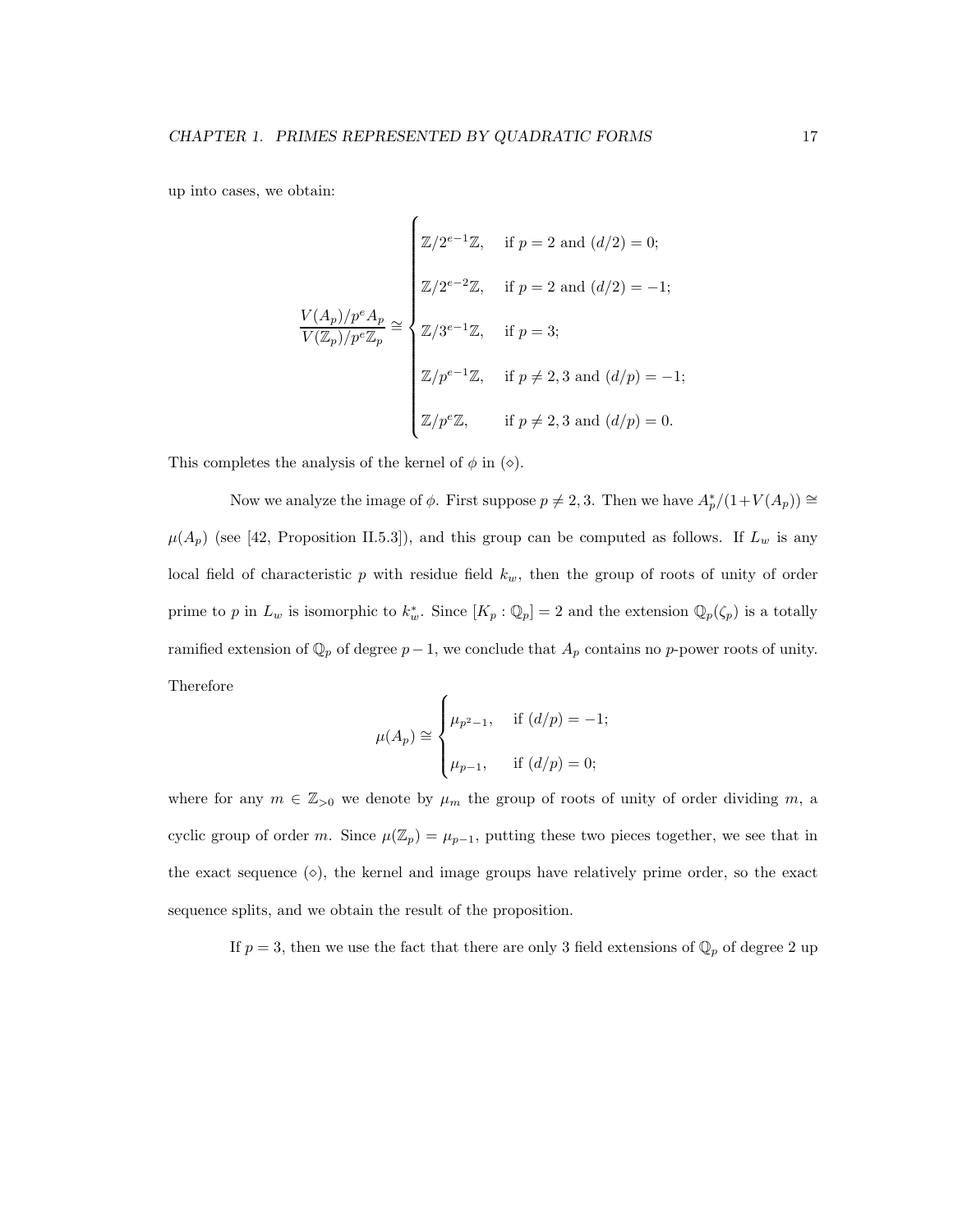up into cases, we obtain:

$$
\frac{V(A_p)/p^e A_p}{V(\mathbb{Z}_p)/p^e \mathbb{Z}_p} \cong \begin{cases} \mathbb{Z}/2^{e-1}\mathbb{Z}, & \text{if } p = 2 \text{ and } (d/2) = 0; \\ \mathbb{Z}/2^{e-2}\mathbb{Z}, & \text{if } p = 2 \text{ and } (d/2) = -1; \\ \mathbb{Z}/3^{e-1}\mathbb{Z}, & \text{if } p = 3; \\ \mathbb{Z}/p^{e-1}\mathbb{Z}, & \text{if } p \neq 2, 3 \text{ and } (d/p) = -1; \\ \mathbb{Z}/p^e \mathbb{Z}, & \text{if } p \neq 2, 3 \text{ and } (d/p) = 0. \end{cases}
$$

This completes the analysis of the kernel of  $\phi$  in ( $\diamond$ ).

Now we analyze the image of  $\phi$ . First suppose  $p \neq 2, 3$ . Then we have  $A_p^*/(1+V(A_p)) \cong$  $\mu(A_p)$  (see [42, Proposition II.5.3]), and this group can be computed as follows. If  $L_w$  is any local field of characteristic  $p$  with residue field  $k_w$ , then the group of roots of unity of order prime to p in  $L_w$  is isomorphic to  $k_w^*$ . Since  $[K_p : \mathbb{Q}_p] = 2$  and the extension  $\mathbb{Q}_p(\zeta_p)$  is a totally ramified extension of  $\mathbb{Q}_p$  of degree  $p-1$ , we conclude that  $A_p$  contains no p-power roots of unity. Therefore

$$
\mu(A_p) \cong \begin{cases} \mu_{p^2 - 1}, & \text{if } (d/p) = -1; \\ \mu_{p-1}, & \text{if } (d/p) = 0; \end{cases}
$$

where for any  $m \in \mathbb{Z}_{>0}$  we denote by  $\mu_m$  the group of roots of unity of order dividing m, a cyclic group of order m. Since  $\mu(\mathbb{Z}_p) = \mu_{p-1}$ , putting these two pieces together, we see that in the exact sequence  $(\diamond)$ , the kernel and image groups have relatively prime order, so the exact sequence splits, and we obtain the result of the proposition.

If  $p = 3$ , then we use the fact that there are only 3 field extensions of  $\mathbb{Q}_p$  of degree 2 up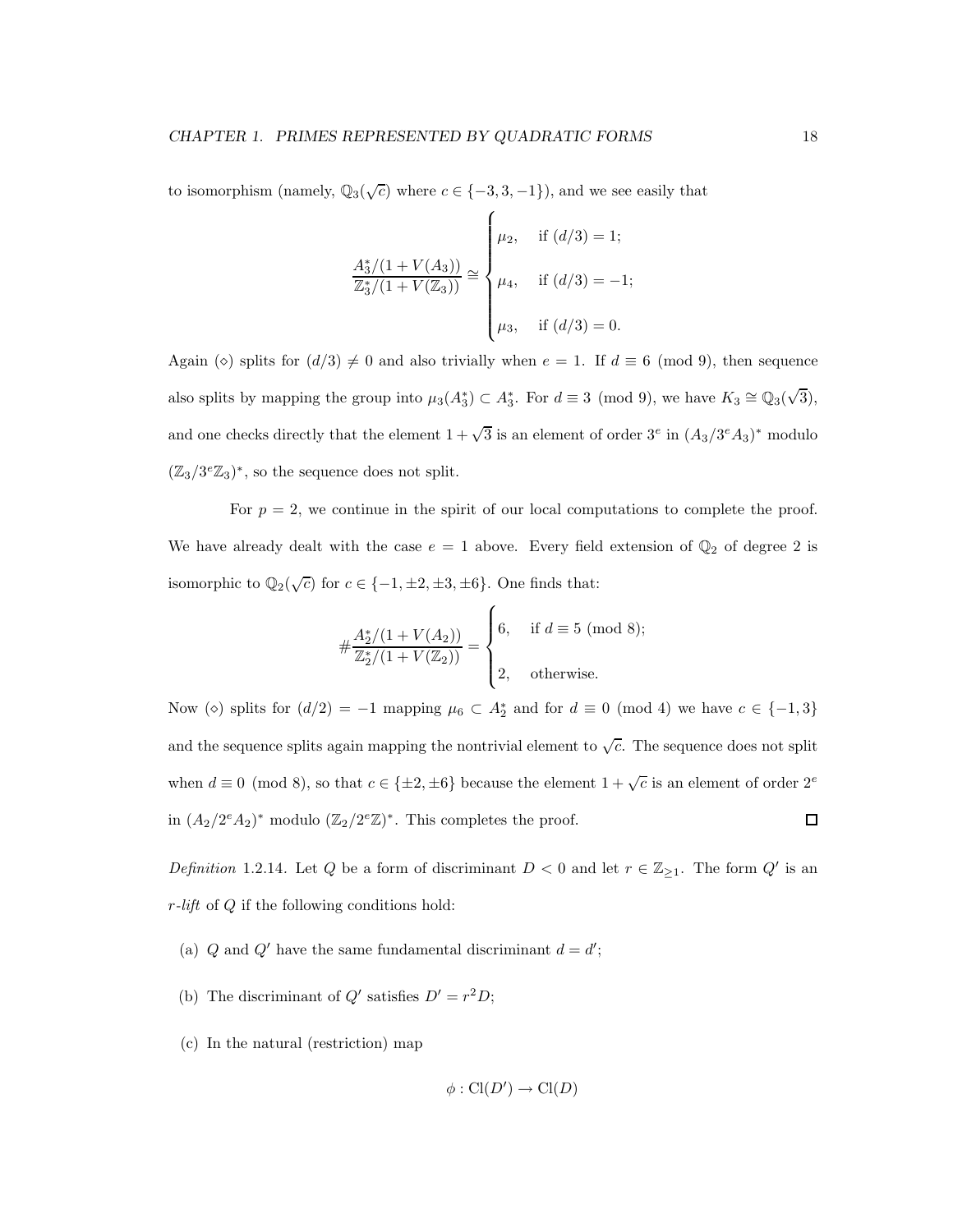to isomorphism (namely,  $\mathbb{Q}_3(\sqrt{c})$  where  $c \in \{-3, 3, -1\}$ ), and we see easily that

$$
\frac{A_3^*/(1+V(A_3))}{\mathbb{Z}_3^*/(1+V(\mathbb{Z}_3))} \cong \begin{cases} \mu_2, & \text{if } (d/3) = 1; \\ \mu_4, & \text{if } (d/3) = -1; \\ \mu_3, & \text{if } (d/3) = 0. \end{cases}
$$

Again ( $\circ$ ) splits for  $(d/3) \neq 0$  and also trivially when  $e = 1$ . If  $d \equiv 6 \pmod{9}$ , then sequence also splits by mapping the group into  $\mu_3(A_3^*) \subset A_3^*$ . For  $d \equiv 3 \pmod{9}$ , we have  $K_3 \cong \mathbb{Q}_3(\sqrt{3})$ , and one checks directly that the element  $1 + \sqrt{3}$  is an element of order  $3^e$  in  $(A_3/3^eA_3)^*$  modulo  $(\mathbb{Z}_3/3^e\mathbb{Z}_3)^*$ , so the sequence does not split.

For  $p = 2$ , we continue in the spirit of our local computations to complete the proof. We have already dealt with the case  $e = 1$  above. Every field extension of  $\mathbb{Q}_2$  of degree 2 is isomorphic to  $\mathbb{Q}_2(\sqrt{c})$  for  $c \in \{-1, \pm 2, \pm 3, \pm 6\}$ . One finds that:

$$
\#\frac{A_2^*/(1+V(A_2))}{\mathbb{Z}_2^*/(1+V(\mathbb{Z}_2))} = \begin{cases} 6, & \text{if } d \equiv 5 \pmod{8}; \\ 2, & \text{otherwise}. \end{cases}
$$

Now ( $\diamond$ ) splits for  $(d/2) = -1$  mapping  $\mu_6 \subset A_2^*$  and for  $d \equiv 0 \pmod{4}$  we have  $c \in \{-1,3\}$ and the sequence splits again mapping the nontrivial element to  $\sqrt{c}$ . The sequence does not split when  $d \equiv 0 \pmod{8}$ , so that  $c \in \{\pm 2, \pm 6\}$  because the element  $1 + \sqrt{c}$  is an element of order  $2^e$ in  $(A_2/2^eA_2)^*$  modulo  $(\mathbb{Z}_2/2^e\mathbb{Z})^*$ . This completes the proof.  $\Box$ 

Definition 1.2.14. Let Q be a form of discriminant  $D < 0$  and let  $r \in \mathbb{Z}_{\geq 1}$ . The form  $Q'$  is an  $r$ -lift of  $Q$  if the following conditions hold:

- (a)  $Q$  and  $Q'$  have the same fundamental discriminant  $d = d'$ ;
- (b) The discriminant of  $Q'$  satisfies  $D' = r^2 D$ ;
- (c) In the natural (restriction) map

$$
\phi: \mathrm{Cl}(D') \to \mathrm{Cl}(D)
$$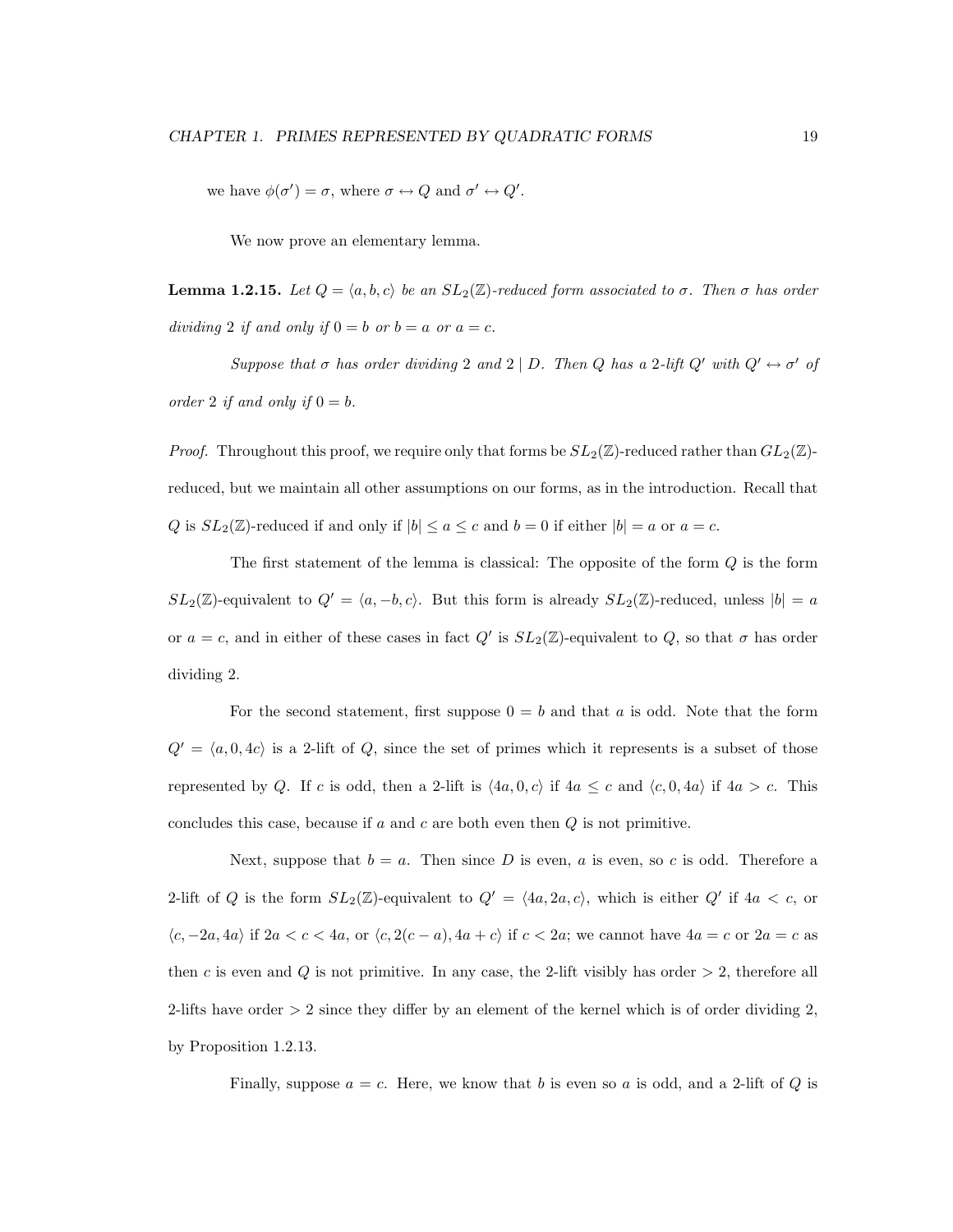we have  $\phi(\sigma') = \sigma$ , where  $\sigma \leftrightarrow Q$  and  $\sigma' \leftrightarrow Q'$ .

We now prove an elementary lemma.

**Lemma 1.2.15.** Let  $Q = \langle a, b, c \rangle$  be an  $SL_2(\mathbb{Z})$ -reduced form associated to  $\sigma$ . Then  $\sigma$  has order dividing 2 if and only if  $0 = b$  or  $b = a$  or  $a = c$ .

Suppose that  $\sigma$  has order dividing 2 and 2 | D. Then Q has a 2-lift  $Q'$  with  $Q' \leftrightarrow \sigma'$  of order 2 if and only if  $0 = b$ .

*Proof.* Throughout this proof, we require only that forms be  $SL_2(\mathbb{Z})$ -reduced rather than  $GL_2(\mathbb{Z})$ reduced, but we maintain all other assumptions on our forms, as in the introduction. Recall that Q is  $SL_2(\mathbb{Z})$ -reduced if and only if  $|b| \le a \le c$  and  $b = 0$  if either  $|b| = a$  or  $a = c$ .

The first statement of the lemma is classical: The opposite of the form Q is the form  $SL_2(\mathbb{Z})$ -equivalent to  $Q' = \langle a, -b, c \rangle$ . But this form is already  $SL_2(\mathbb{Z})$ -reduced, unless  $|b| = a$ or  $a = c$ , and in either of these cases in fact  $Q'$  is  $SL_2(\mathbb{Z})$ -equivalent to  $Q$ , so that  $\sigma$  has order dividing 2.

For the second statement, first suppose  $0 = b$  and that a is odd. Note that the form  $Q' = \langle a, 0, 4c \rangle$  is a 2-lift of Q, since the set of primes which it represents is a subset of those represented by Q. If c is odd, then a 2-lift is  $\langle 4a, 0, c \rangle$  if  $4a \leq c$  and  $\langle c, 0, 4a \rangle$  if  $4a > c$ . This concludes this case, because if  $a$  and  $c$  are both even then  $Q$  is not primitive.

Next, suppose that  $b = a$ . Then since D is even, a is even, so c is odd. Therefore a 2-lift of Q is the form  $SL_2(\mathbb{Z})$ -equivalent to  $Q' = \langle 4a, 2a, c \rangle$ , which is either  $Q'$  if  $4a < c$ , or  $\langle c, -2a, 4a \rangle$  if  $2a < c < 4a$ , or  $\langle c, 2(c - a), 4a + c \rangle$  if  $c < 2a$ ; we cannot have  $4a = c$  or  $2a = c$  as then c is even and Q is not primitive. In any case, the 2-lift visibly has order  $> 2$ , therefore all 2-lifts have order  $> 2$  since they differ by an element of the kernel which is of order dividing 2, by Proposition 1.2.13.

Finally, suppose  $a = c$ . Here, we know that b is even so a is odd, and a 2-lift of Q is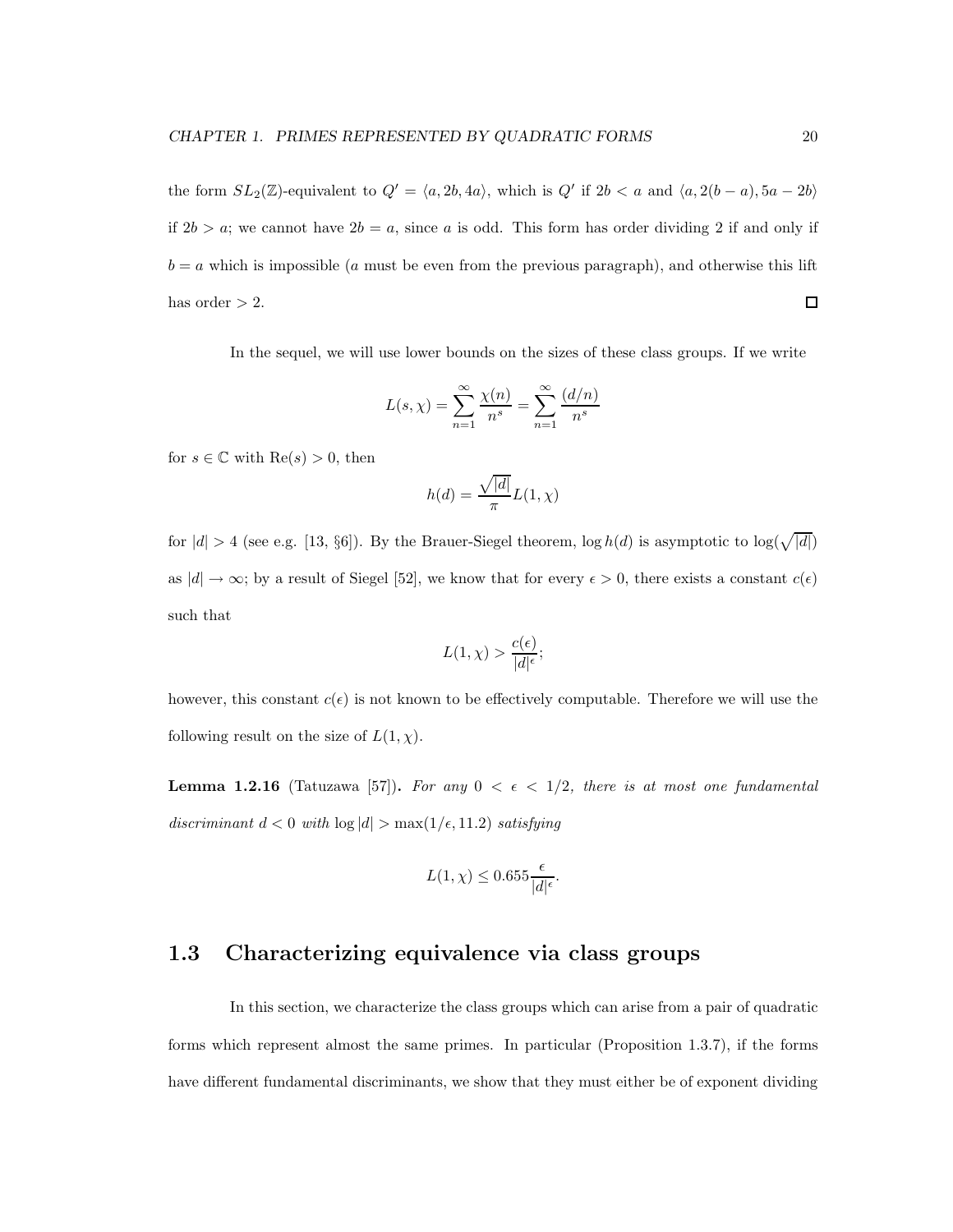the form  $SL_2(\mathbb{Z})$ -equivalent to  $Q' = \langle a, 2b, 4a \rangle$ , which is  $Q'$  if  $2b < a$  and  $\langle a, 2(b-a), 5a - 2b \rangle$ if  $2b > a$ ; we cannot have  $2b = a$ , since a is odd. This form has order dividing 2 if and only if  $b = a$  which is impossible (a must be even from the previous paragraph), and otherwise this lift  $\Box$ has order  $> 2$ .

In the sequel, we will use lower bounds on the sizes of these class groups. If we write

$$
L(s, \chi) = \sum_{n=1}^{\infty} \frac{\chi(n)}{n^s} = \sum_{n=1}^{\infty} \frac{(d/n)}{n^s}
$$

for  $s \in \mathbb{C}$  with  $\text{Re}(s) > 0$ , then

$$
h(d) = \frac{\sqrt{|d|}}{\pi}L(1,\chi)
$$

for  $|d| > 4$  (see e.g. [13, §6]). By the Brauer-Siegel theorem,  $\log h(d)$  is asymptotic to  $\log(\sqrt{|d|})$ as  $|d| \to \infty$ ; by a result of Siegel [52], we know that for every  $\epsilon > 0$ , there exists a constant  $c(\epsilon)$ such that

$$
L(1,\chi) > \frac{c(\epsilon)}{|d|^{\epsilon}};
$$

however, this constant  $c(\epsilon)$  is not known to be effectively computable. Therefore we will use the following result on the size of  $L(1, \chi)$ .

**Lemma 1.2.16** (Tatuzawa [57]). For any  $0 < \epsilon < 1/2$ , there is at most one fundamental discriminant  $d < 0$  with  $\log |d| > \max(1/\epsilon, 11.2)$  satisfying

$$
L(1,\chi) \leq 0.655 \frac{\epsilon}{|d|^{\epsilon}}.
$$

### 1.3 Characterizing equivalence via class groups

In this section, we characterize the class groups which can arise from a pair of quadratic forms which represent almost the same primes. In particular (Proposition 1.3.7), if the forms have different fundamental discriminants, we show that they must either be of exponent dividing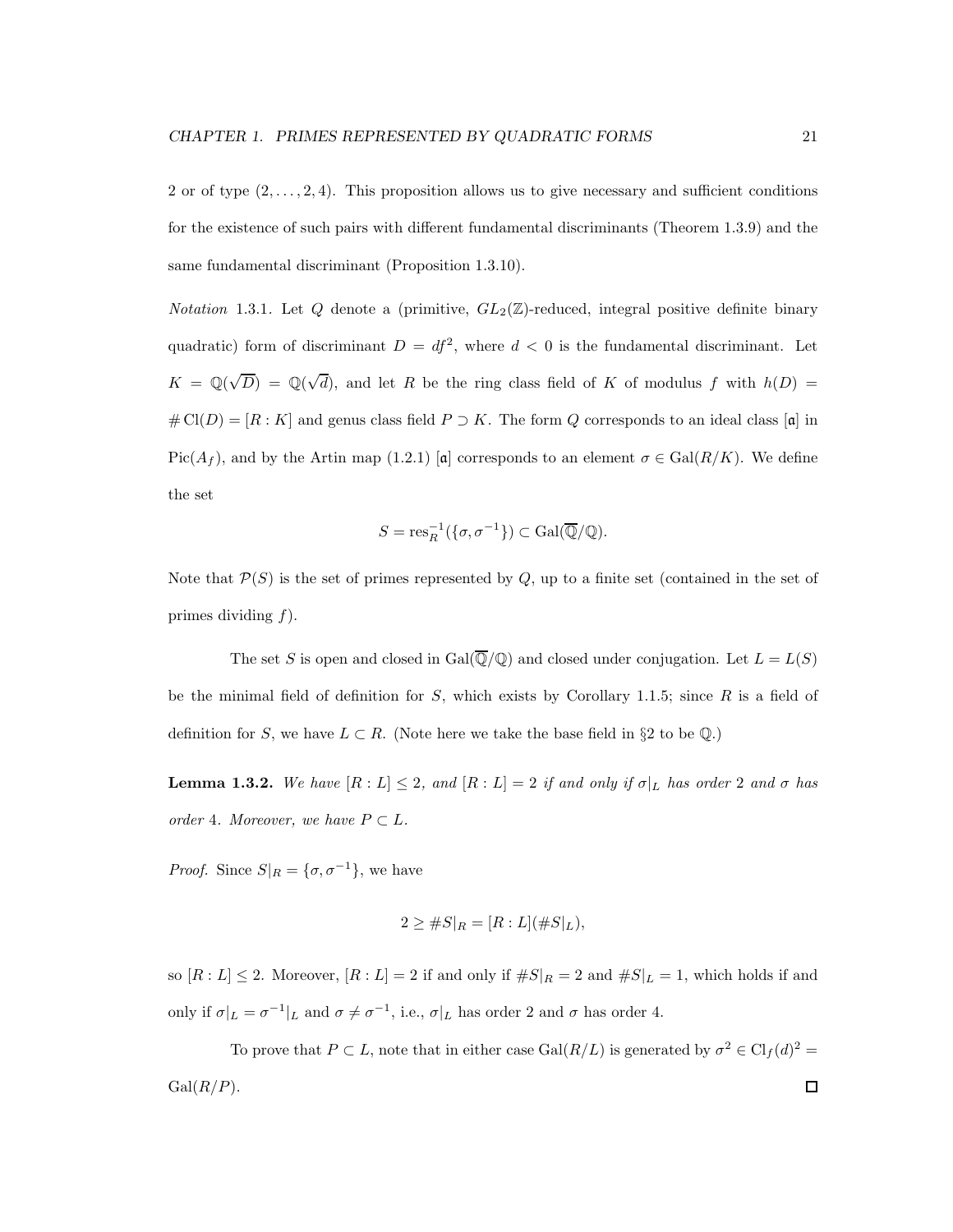2 or of type  $(2, \ldots, 2, 4)$ . This proposition allows us to give necessary and sufficient conditions for the existence of such pairs with different fundamental discriminants (Theorem 1.3.9) and the same fundamental discriminant (Proposition 1.3.10).

*Notation* 1.3.1. Let Q denote a (primitive,  $GL_2(\mathbb{Z})$ -reduced, integral positive definite binary quadratic) form of discriminant  $D = df^2$ , where  $d < 0$  is the fundamental discriminant. Let  $K = \mathbb{Q}(\sqrt{D}) = \mathbb{Q}(\sqrt{d})$ , and let R be the ring class field of K of modulus f with  $h(D) =$  $\# \text{Cl}(D) = [R : K]$  and genus class field  $P \supset K$ . The form Q corresponds to an ideal class [a] in  $Pic(A_f)$ , and by the Artin map (1.2.1) [a] corresponds to an element  $\sigma \in Gal(R/K)$ . We define the set

$$
S = \operatorname{res}_R^{-1}(\{\sigma, \sigma^{-1}\}) \subset \operatorname{Gal}(\overline{\mathbb{Q}}/\mathbb{Q}).
$$

Note that  $\mathcal{P}(S)$  is the set of primes represented by  $Q$ , up to a finite set (contained in the set of primes dividing  $f$ ).

The set S is open and closed in Gal $(\overline{Q}/Q)$  and closed under conjugation. Let  $L = L(S)$ be the minimal field of definition for  $S$ , which exists by Corollary 1.1.5; since  $R$  is a field of definition for S, we have  $L \subset R$ . (Note here we take the base field in §2 to be  $\mathbb{Q}$ .)

**Lemma 1.3.2.** We have  $[R: L] \leq 2$ , and  $[R: L] = 2$  if and only if  $\sigma|_L$  has order 2 and  $\sigma$  has order 4. Moreover, we have  $P \subset L$ .

*Proof.* Since  $S|_{R} = {\sigma, \sigma^{-1}}$ , we have

$$
2 \geq \#S|_{R} = [R:L](\#S|_{L}),
$$

so  $[R: L] \leq 2$ . Moreover,  $[R: L] = 2$  if and only if  $\#S|_R = 2$  and  $\#S|_L = 1$ , which holds if and only if  $\sigma|_L = \sigma^{-1}|_L$  and  $\sigma \neq \sigma^{-1}$ , i.e.,  $\sigma|_L$  has order 2 and  $\sigma$  has order 4.

To prove that  $P \subset L$ , note that in either case  $Gal(R/L)$  is generated by  $\sigma^2 \in Cl_f(d)^2$  =  $Gal(R/P).$  $\Box$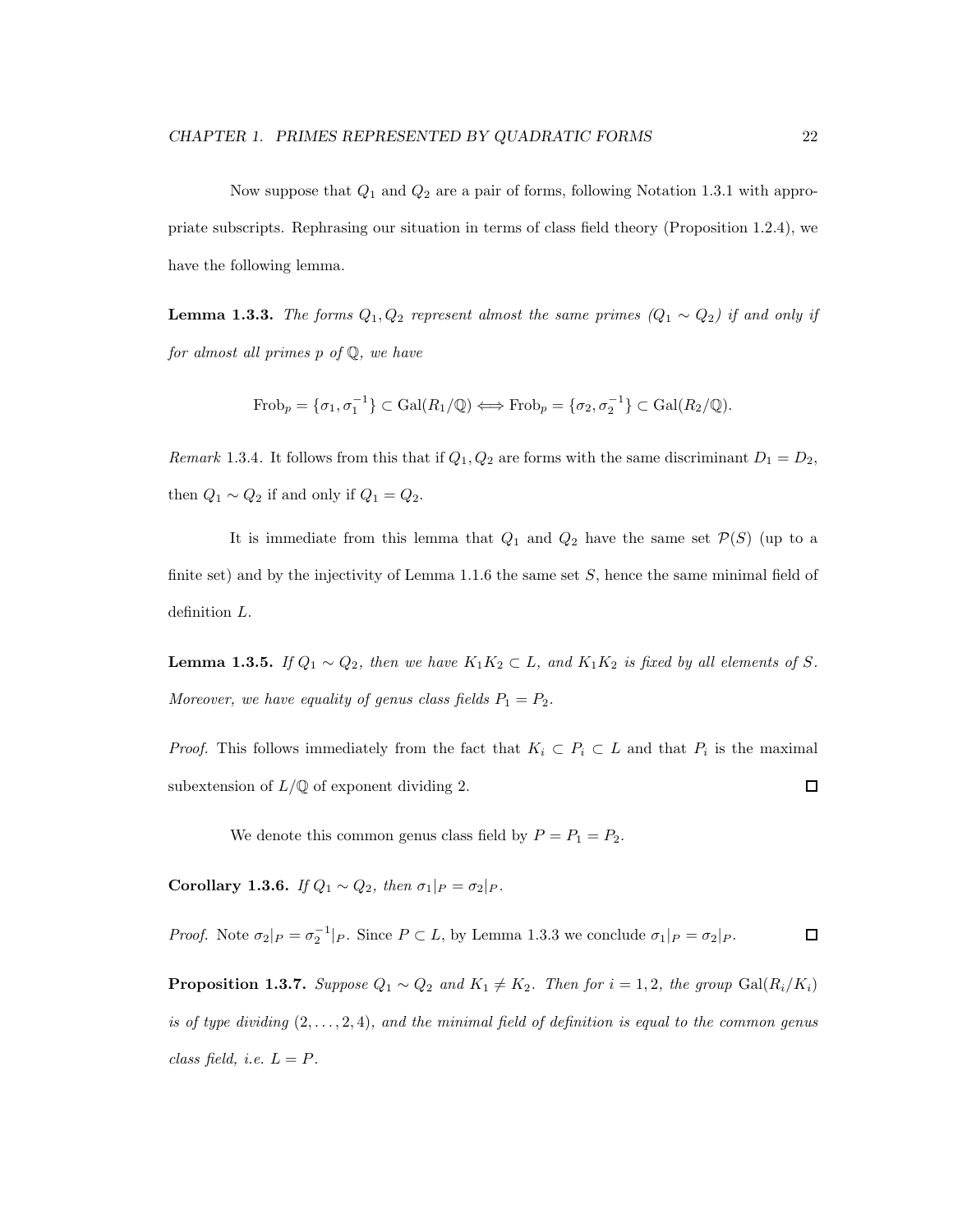Now suppose that  $Q_1$  and  $Q_2$  are a pair of forms, following Notation 1.3.1 with appropriate subscripts. Rephrasing our situation in terms of class field theory (Proposition 1.2.4), we have the following lemma.

**Lemma 1.3.3.** The forms  $Q_1, Q_2$  represent almost the same primes  $(Q_1 \sim Q_2)$  if and only if for almost all primes p of Q, we have

$$
\text{Frob}_p = \{\sigma_1, \sigma_1^{-1}\} \subset \text{Gal}(R_1/\mathbb{Q}) \Longleftrightarrow \text{Frob}_p = \{\sigma_2, \sigma_2^{-1}\} \subset \text{Gal}(R_2/\mathbb{Q}).
$$

Remark 1.3.4. It follows from this that if  $Q_1, Q_2$  are forms with the same discriminant  $D_1 = D_2$ , then  $Q_1 \sim Q_2$  if and only if  $Q_1 = Q_2$ .

It is immediate from this lemma that  $Q_1$  and  $Q_2$  have the same set  $\mathcal{P}(S)$  (up to a finite set) and by the injectivity of Lemma 1.1.6 the same set  $S$ , hence the same minimal field of definition L.

**Lemma 1.3.5.** If  $Q_1 \sim Q_2$ , then we have  $K_1K_2 \subset L$ , and  $K_1K_2$  is fixed by all elements of S. Moreover, we have equality of genus class fields  $P_1 = P_2$ .

*Proof.* This follows immediately from the fact that  $K_i \subset P_i \subset L$  and that  $P_i$  is the maximal subextension of  $L/\mathbb{Q}$  of exponent dividing 2.  $\Box$ 

We denote this common genus class field by  $P = P_1 = P_2$ .

Corollary 1.3.6. If  $Q_1 \sim Q_2$ , then  $\sigma_1|_P = \sigma_2|_P$ .

*Proof.* Note  $\sigma_2|_P = \sigma_2^{-1}|_P$ . Since  $P \subset L$ , by Lemma 1.3.3 we conclude  $\sigma_1|_P = \sigma_2|_P$ .  $\Box$ 

**Proposition 1.3.7.** Suppose  $Q_1 \sim Q_2$  and  $K_1 \neq K_2$ . Then for  $i = 1, 2$ , the group Gal $(R_i/K_i)$ is of type dividing  $(2, \ldots, 2, 4)$ , and the minimal field of definition is equal to the common genus class field, i.e.  $L = P$ .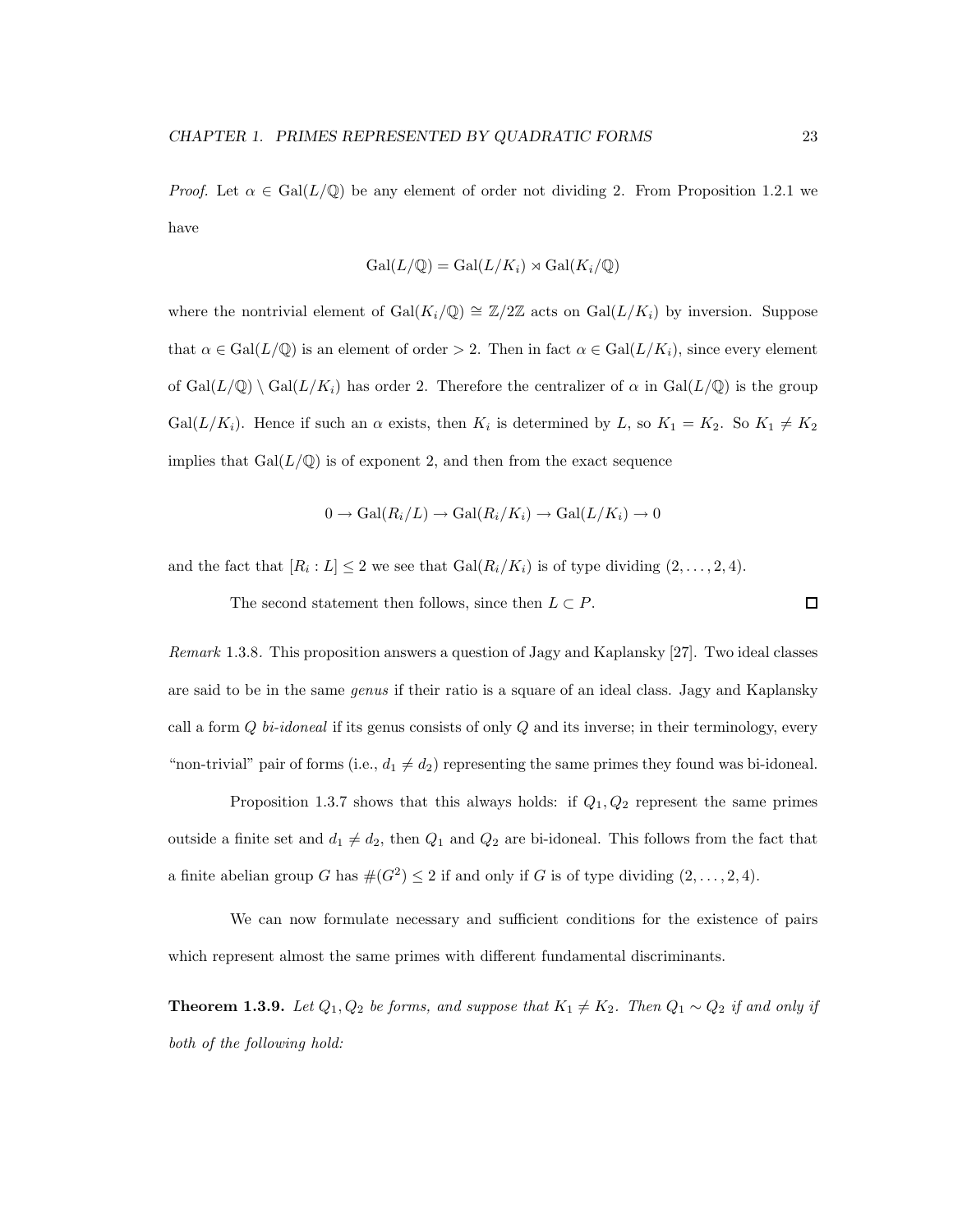*Proof.* Let  $\alpha \in \text{Gal}(L/\mathbb{Q})$  be any element of order not dividing 2. From Proposition 1.2.1 we have

$$
Gal(L/\mathbb{Q}) = Gal(L/K_i) \rtimes Gal(K_i/\mathbb{Q})
$$

where the nontrivial element of Gal( $K_i/\mathbb{Q}$ ) ≅  $\mathbb{Z}/2\mathbb{Z}$  acts on Gal( $L/K_i$ ) by inversion. Suppose that  $\alpha \in \text{Gal}(L/\mathbb{Q})$  is an element of order > 2. Then in fact  $\alpha \in \text{Gal}(L/K_i)$ , since every element of  $Gal(L/\mathbb{Q}) \setminus Gal(L/K_i)$  has order 2. Therefore the centralizer of  $\alpha$  in  $Gal(L/\mathbb{Q})$  is the group Gal $(L/K_i)$ . Hence if such an  $\alpha$  exists, then  $K_i$  is determined by L, so  $K_1 = K_2$ . So  $K_1 \neq K_2$ implies that  $Gal(L/\mathbb{Q})$  is of exponent 2, and then from the exact sequence

$$
0 \to \text{Gal}(R_i/L) \to \text{Gal}(R_i/K_i) \to \text{Gal}(L/K_i) \to 0
$$

and the fact that  $[R_i: L] \leq 2$  we see that  $Gal(R_i/K_i)$  is of type dividing  $(2, \ldots, 2, 4)$ .

The second statement then follows, since then  $L \subset P$ .

Remark 1.3.8. This proposition answers a question of Jagy and Kaplansky [27]. Two ideal classes are said to be in the same *genus* if their ratio is a square of an ideal class. Jagy and Kaplansky call a form  $Q$  bi-idoneal if its genus consists of only  $Q$  and its inverse; in their terminology, every "non-trivial" pair of forms (i.e.,  $d_1 \neq d_2$ ) representing the same primes they found was bi-idoneal.

Proposition 1.3.7 shows that this always holds: if  $Q_1, Q_2$  represent the same primes outside a finite set and  $d_1 \neq d_2$ , then  $Q_1$  and  $Q_2$  are bi-idoneal. This follows from the fact that a finite abelian group G has  $\#(G^2) \leq 2$  if and only if G is of type dividing  $(2, \ldots, 2, 4)$ .

We can now formulate necessary and sufficient conditions for the existence of pairs which represent almost the same primes with different fundamental discriminants.

**Theorem 1.3.9.** Let  $Q_1, Q_2$  be forms, and suppose that  $K_1 \neq K_2$ . Then  $Q_1 \sim Q_2$  if and only if both of the following hold:

□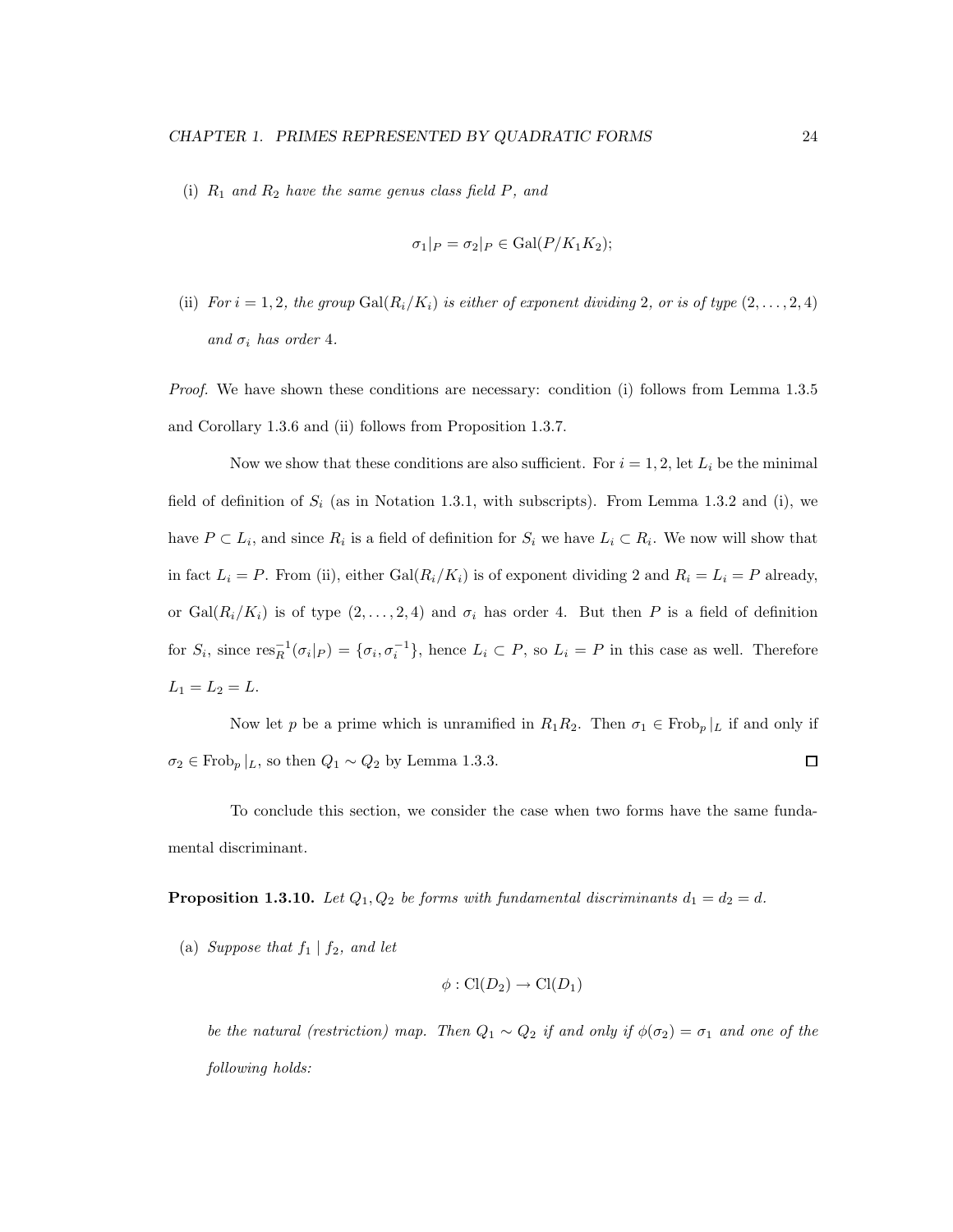(i)  $R_1$  and  $R_2$  have the same genus class field P, and

$$
\sigma_1|_P = \sigma_2|_P \in \text{Gal}(P/K_1K_2);
$$

(ii) For  $i = 1, 2$ , the group  $Gal(R_i/K_i)$  is either of exponent dividing 2, or is of type  $(2, \ldots, 2, 4)$ and  $\sigma_i$  has order 4.

Proof. We have shown these conditions are necessary: condition (i) follows from Lemma 1.3.5 and Corollary 1.3.6 and (ii) follows from Proposition 1.3.7.

Now we show that these conditions are also sufficient. For  $i = 1, 2$ , let  $L_i$  be the minimal field of definition of  $S_i$  (as in Notation 1.3.1, with subscripts). From Lemma 1.3.2 and (i), we have  $P \subset L_i$ , and since  $R_i$  is a field of definition for  $S_i$  we have  $L_i \subset R_i$ . We now will show that in fact  $L_i = P$ . From (ii), either  $Gal(R_i/K_i)$  is of exponent dividing 2 and  $R_i = L_i = P$  already, or  $Gal(R_i/K_i)$  is of type  $(2,\ldots,2,4)$  and  $\sigma_i$  has order 4. But then P is a field of definition for  $S_i$ , since  $res_R^{-1}(\sigma_i|_P) = {\sigma_i, \sigma_i^{-1}}$ , hence  $L_i \subset P$ , so  $L_i = P$  in this case as well. Therefore  $L_1 = L_2 = L.$ 

Now let p be a prime which is unramified in  $R_1R_2$ . Then  $\sigma_1 \in \text{Frob}_p|_L$  if and only if  $\Box$  $\sigma_2 \in \text{Frob}_p |_{L}$ , so then  $Q_1 \sim Q_2$  by Lemma 1.3.3.

To conclude this section, we consider the case when two forms have the same fundamental discriminant.

**Proposition 1.3.10.** Let  $Q_1, Q_2$  be forms with fundamental discriminants  $d_1 = d_2 = d$ .

(a) Suppose that  $f_1 | f_2$ , and let

$$
\phi: Cl(D_2) \to Cl(D_1)
$$

be the natural (restriction) map. Then  $Q_1 \sim Q_2$  if and only if  $\phi(\sigma_2) = \sigma_1$  and one of the following holds: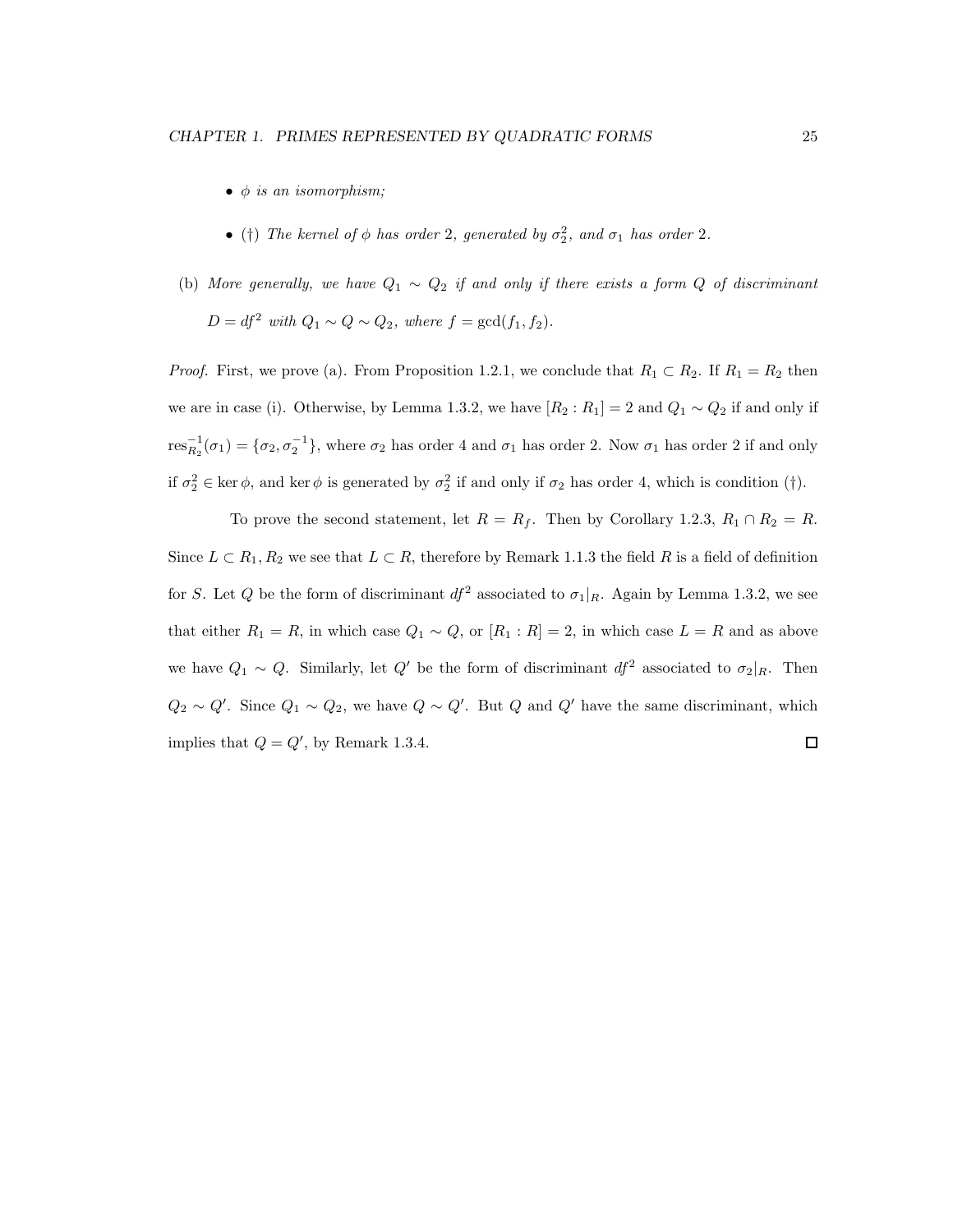- $\bullet$   $\phi$  is an isomorphism;
- (†) The kernel of  $\phi$  has order 2, generated by  $\sigma_2^2$ , and  $\sigma_1$  has order 2.
- (b) More generally, we have  $Q_1 \sim Q_2$  if and only if there exists a form Q of discriminant  $D = df^2$  with  $Q_1 \sim Q \sim Q_2$ , where  $f = \gcd(f_1, f_2)$ .

*Proof.* First, we prove (a). From Proposition 1.2.1, we conclude that  $R_1 \subset R_2$ . If  $R_1 = R_2$  then we are in case (i). Otherwise, by Lemma 1.3.2, we have  $[R_2:R_1]=2$  and  $Q_1 \sim Q_2$  if and only if  $res_{R_2}^{-1}(\sigma_1) = \{\sigma_2, \sigma_2^{-1}\}\$ , where  $\sigma_2$  has order 4 and  $\sigma_1$  has order 2. Now  $\sigma_1$  has order 2 if and only if  $\sigma_2^2 \in \text{ker } \phi$ , and  $\text{ker } \phi$  is generated by  $\sigma_2^2$  if and only if  $\sigma_2$  has order 4, which is condition (†).

To prove the second statement, let  $R = R_f$ . Then by Corollary 1.2.3,  $R_1 \cap R_2 = R$ . Since  $L \subset R_1, R_2$  we see that  $L \subset R$ , therefore by Remark 1.1.3 the field R is a field of definition for S. Let Q be the form of discriminant  $df^2$  associated to  $\sigma_1|_R$ . Again by Lemma 1.3.2, we see that either  $R_1 = R$ , in which case  $Q_1 \sim Q$ , or  $[R_1 : R] = 2$ , in which case  $L = R$  and as above we have  $Q_1 \sim Q$ . Similarly, let  $Q'$  be the form of discriminant  $df^2$  associated to  $\sigma_2|_R$ . Then  $Q_2 \sim Q'$ . Since  $Q_1 \sim Q_2$ , we have  $Q \sim Q'$ . But  $Q$  and  $Q'$  have the same discriminant, which implies that  $Q = Q'$ , by Remark 1.3.4.  $\Box$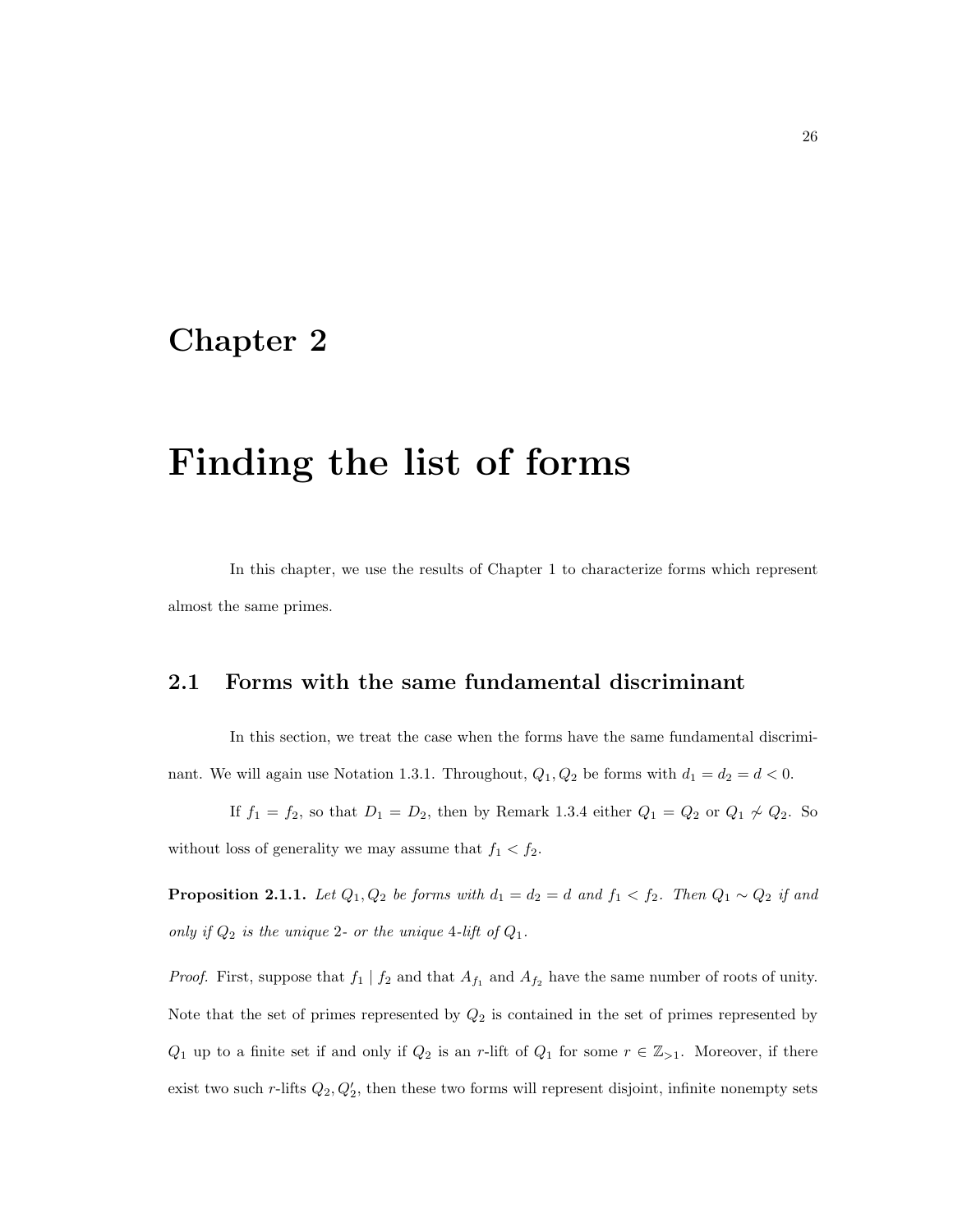## Chapter 2

## Finding the list of forms

In this chapter, we use the results of Chapter 1 to characterize forms which represent almost the same primes.

### 2.1 Forms with the same fundamental discriminant

In this section, we treat the case when the forms have the same fundamental discriminant. We will again use Notation 1.3.1. Throughout,  $Q_1, Q_2$  be forms with  $d_1 = d_2 = d < 0$ .

If  $f_1 = f_2$ , so that  $D_1 = D_2$ , then by Remark 1.3.4 either  $Q_1 = Q_2$  or  $Q_1 \nsim Q_2$ . So

without loss of generality we may assume that  $f_1 < f_2$ .

**Proposition 2.1.1.** Let  $Q_1, Q_2$  be forms with  $d_1 = d_2 = d$  and  $f_1 < f_2$ . Then  $Q_1 \sim Q_2$  if and only if  $Q_2$  is the unique 2- or the unique 4-lift of  $Q_1$ .

*Proof.* First, suppose that  $f_1 | f_2$  and that  $A_{f_1}$  and  $A_{f_2}$  have the same number of roots of unity. Note that the set of primes represented by  $Q_2$  is contained in the set of primes represented by  $Q_1$  up to a finite set if and only if  $Q_2$  is an r-lift of  $Q_1$  for some  $r \in \mathbb{Z}_{>1}$ . Moreover, if there exist two such r-lifts  $Q_2, Q'_2$ , then these two forms will represent disjoint, infinite nonempty sets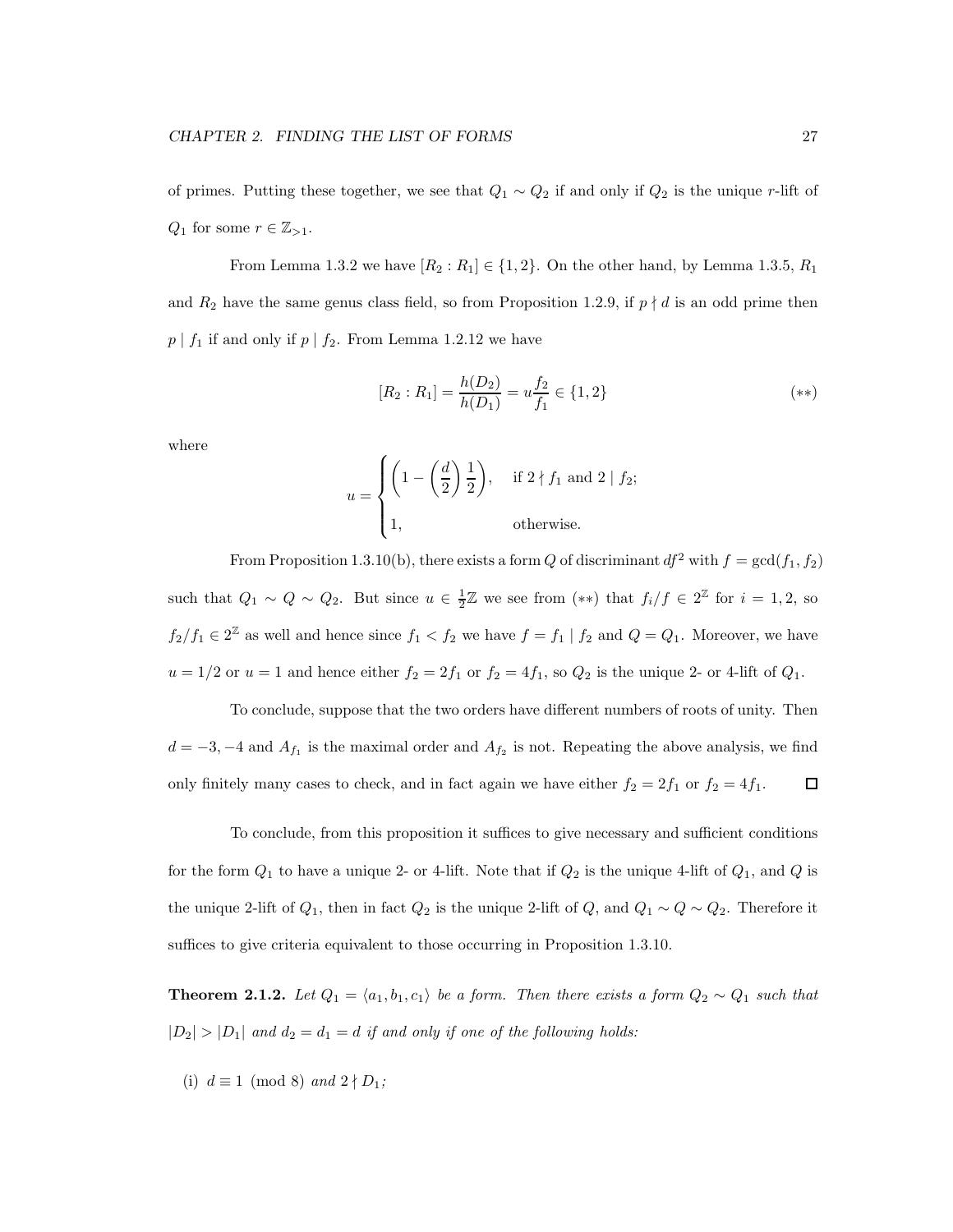of primes. Putting these together, we see that  $Q_1 \sim Q_2$  if and only if  $Q_2$  is the unique r-lift of  $Q_1$  for some  $r \in \mathbb{Z}_{>1}$ .

From Lemma 1.3.2 we have  $[R_2:R_1] \in \{1,2\}$ . On the other hand, by Lemma 1.3.5,  $R_1$ and  $R_2$  have the same genus class field, so from Proposition 1.2.9, if  $p \nmid d$  is an odd prime then  $p \mid f_1$  if and only if  $p \mid f_2$ . From Lemma 1.2.12 we have

$$
[R_2:R_1] = \frac{h(D_2)}{h(D_1)} = u\frac{f_2}{f_1} \in \{1,2\}
$$
 (\*\*)

where

$$
u = \begin{cases} \left(1 - \left(\frac{d}{2}\right)\frac{1}{2}\right), & \text{if } 2 \nmid f_1 \text{ and } 2 \mid f_2; \\ 1, & \text{otherwise.} \end{cases}
$$

From Proposition 1.3.10(b), there exists a form Q of discriminant  $df^2$  with  $f = \gcd(f_1, f_2)$ such that  $Q_1 \sim Q \sim Q_2$ . But since  $u \in \frac{1}{2}\mathbb{Z}$  we see from  $(**)$  that  $f_i/f \in 2^{\mathbb{Z}}$  for  $i = 1, 2$ , so  $f_2/f_1 \in 2^{\mathbb{Z}}$  as well and hence since  $f_1 < f_2$  we have  $f = f_1 | f_2$  and  $Q = Q_1$ . Moreover, we have  $u = 1/2$  or  $u = 1$  and hence either  $f_2 = 2f_1$  or  $f_2 = 4f_1$ , so  $Q_2$  is the unique 2- or 4-lift of  $Q_1$ .

To conclude, suppose that the two orders have different numbers of roots of unity. Then  $d = -3, -4$  and  $A_{f_1}$  is the maximal order and  $A_{f_2}$  is not. Repeating the above analysis, we find only finitely many cases to check, and in fact again we have either  $f_2 = 2f_1$  or  $f_2 = 4f_1$ . □

To conclude, from this proposition it suffices to give necessary and sufficient conditions for the form  $Q_1$  to have a unique 2- or 4-lift. Note that if  $Q_2$  is the unique 4-lift of  $Q_1$ , and  $Q$  is the unique 2-lift of  $Q_1$ , then in fact  $Q_2$  is the unique 2-lift of  $Q$ , and  $Q_1 \sim Q \sim Q_2$ . Therefore it suffices to give criteria equivalent to those occurring in Proposition 1.3.10.

**Theorem 2.1.2.** Let  $Q_1 = \langle a_1, b_1, c_1 \rangle$  be a form. Then there exists a form  $Q_2 \sim Q_1$  such that  $|D_2| > |D_1|$  and  $d_2 = d_1 = d$  if and only if one of the following holds:

(i)  $d \equiv 1 \pmod{8}$  and  $2 \nmid D_1$ ;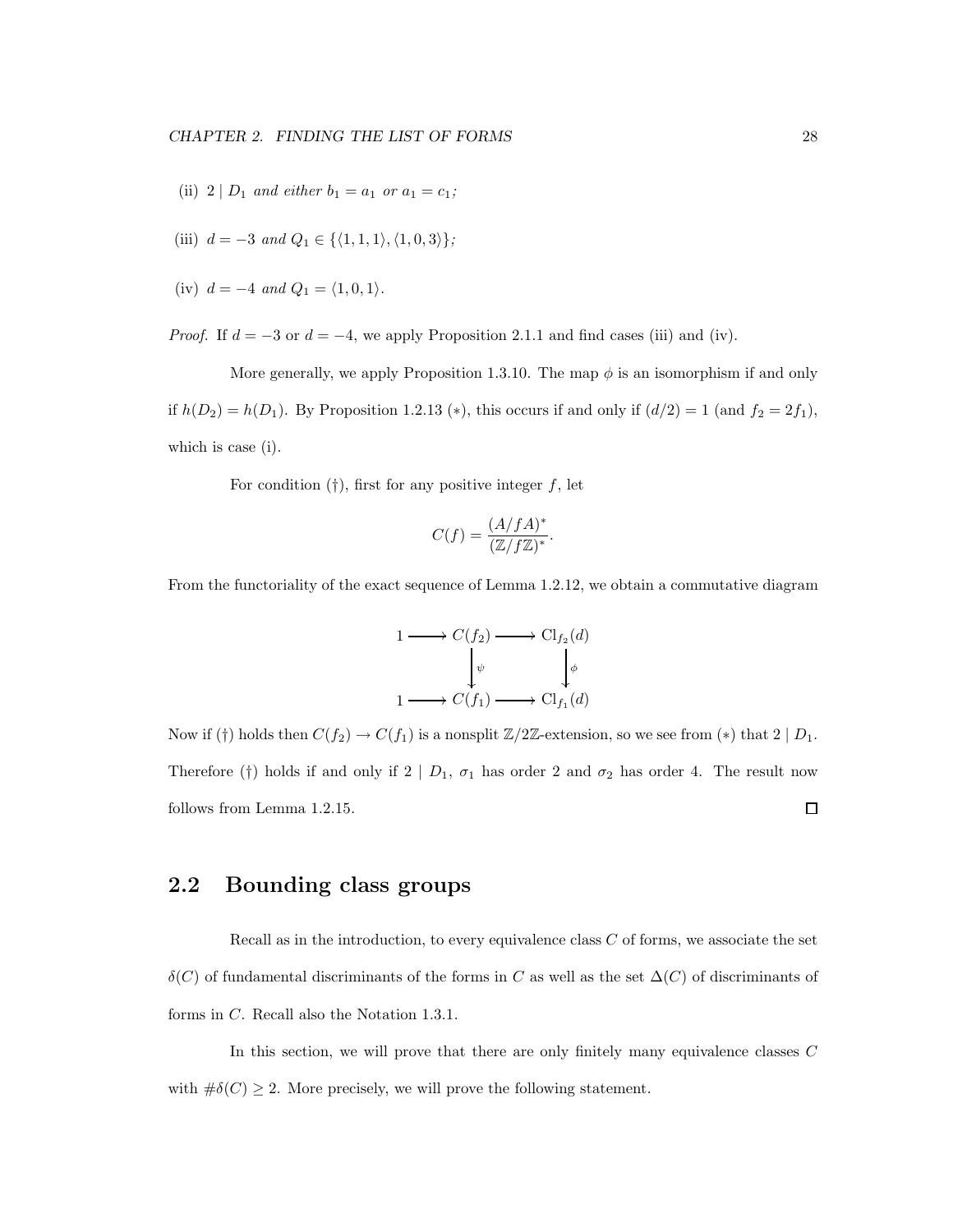- (ii) 2 |  $D_1$  and either  $b_1 = a_1$  or  $a_1 = c_1$ ;
- (iii)  $d = -3$  and  $Q_1 \in \{ \langle 1, 1, 1 \rangle, \langle 1, 0, 3 \rangle \};$
- (iv)  $d = -4$  and  $Q_1 = \langle 1, 0, 1 \rangle$ .

*Proof.* If  $d = -3$  or  $d = -4$ , we apply Proposition 2.1.1 and find cases (iii) and (iv).

More generally, we apply Proposition 1.3.10. The map  $\phi$  is an isomorphism if and only if  $h(D_2) = h(D_1)$ . By Proposition 1.2.13 (\*), this occurs if and only if  $(d/2) = 1$  (and  $f_2 = 2f_1$ ), which is case (i).

For condition  $(†)$ , first for any positive integer f, let

$$
C(f) = \frac{(A/fA)^*}{(\mathbb{Z}/f\mathbb{Z})^*}.
$$

From the functoriality of the exact sequence of Lemma 1.2.12, we obtain a commutative diagram

$$
1 \longrightarrow C(f_2) \longrightarrow \text{Cl}_{f_2}(d)
$$

$$
\downarrow^{\psi} \qquad \qquad \downarrow^{\phi}
$$

$$
1 \longrightarrow C(f_1) \longrightarrow \text{Cl}_{f_1}(d)
$$

Now if (†) holds then  $C(f_2) \to C(f_1)$  is a nonsplit  $\mathbb{Z}/2\mathbb{Z}$ -extension, so we see from (\*) that  $2 | D_1$ . Therefore (†) holds if and only if  $2 | D_1, \sigma_1$  has order 2 and  $\sigma_2$  has order 4. The result now follows from Lemma 1.2.15. 口

### 2.2 Bounding class groups

Recall as in the introduction, to every equivalence class  $C$  of forms, we associate the set δ(C) of fundamental discriminants of the forms in C as well as the set ∆(C) of discriminants of forms in C. Recall also the Notation 1.3.1.

In this section, we will prove that there are only finitely many equivalence classes C with  $\#\delta(C) \geq 2$ . More precisely, we will prove the following statement.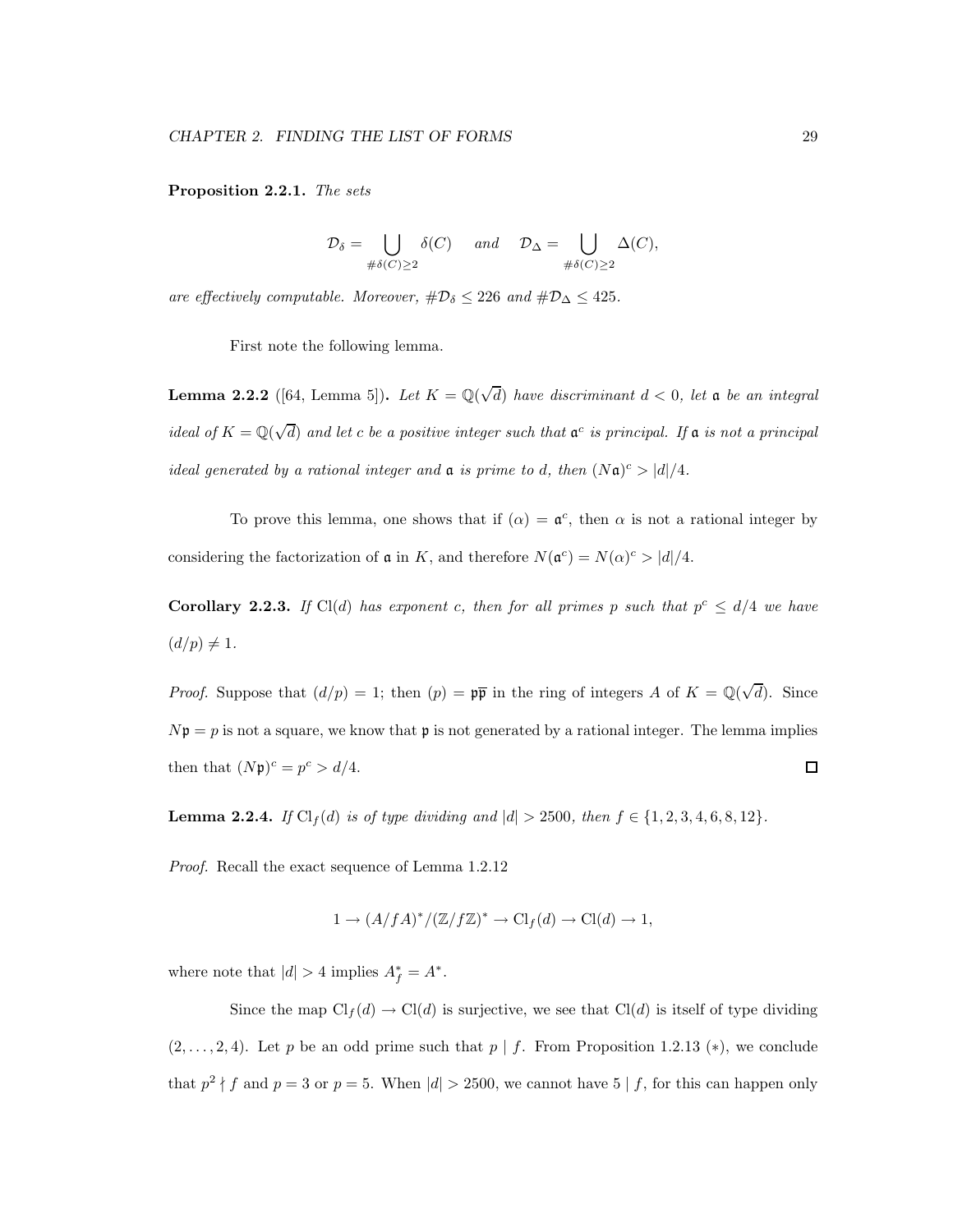Proposition 2.2.1. The sets

$$
\mathcal{D}_{\delta} = \bigcup_{\#\delta(C) \ge 2} \delta(C) \quad \text{and} \quad \mathcal{D}_{\Delta} = \bigcup_{\#\delta(C) \ge 2} \Delta(C),
$$

are effectively computable. Moreover,  $\#\mathcal{D}_{\delta} \leq 226$  and  $\#\mathcal{D}_{\Delta} \leq 425$ .

First note the following lemma.

**Lemma 2.2.2** ([64, Lemma 5]). Let  $K = \mathbb{Q}(\sqrt{d})$  have discriminant  $d < 0$ , let a be an integral ideal of  $K = \mathbb{Q}(\sqrt{d})$  and let c be a positive integer such that  $\mathfrak{a}^c$  is principal. If  $\mathfrak{a}$  is not a principal ideal generated by a rational integer and  $\mathfrak a$  is prime to d, then  $(N\mathfrak a)^c > |d|/4$ .

To prove this lemma, one shows that if  $(\alpha) = \mathfrak{a}^c$ , then  $\alpha$  is not a rational integer by considering the factorization of  $\mathfrak a$  in K, and therefore  $N(\mathfrak a^c) = N(\alpha)^c > |d|/4$ .

**Corollary 2.2.3.** If Cl(d) has exponent c, then for all primes p such that  $p^c \leq d/4$  we have  $(d/p) \neq 1.$ 

*Proof.* Suppose that  $(d/p) = 1$ ; then  $(p) = p\overline{p}$  in the ring of integers A of  $K = \mathbb{Q}(\sqrt{d})$ . Since  $N\mathfrak{p} = p$  is not a square, we know that **p** is not generated by a rational integer. The lemma implies then that  $(Np)^c = p^c > d/4$ .  $\Box$ 

**Lemma 2.2.4.** If  $Cl_f(d)$  is of type dividing and  $|d| > 2500$ , then  $f \in \{1, 2, 3, 4, 6, 8, 12\}$ .

Proof. Recall the exact sequence of Lemma 1.2.12

$$
1 \to (A/fA)^*/(\mathbb{Z}/f\mathbb{Z})^* \to \mathrm{Cl}_f(d) \to \mathrm{Cl}(d) \to 1,
$$

where note that  $|d| > 4$  implies  $A_f^* = A^*$ .

Since the map  $\text{Cl}_f(d) \to \text{Cl}(d)$  is surjective, we see that  $\text{Cl}(d)$  is itself of type dividing  $(2, \ldots, 2, 4)$ . Let p be an odd prime such that p | f. From Proposition 1.2.13 (\*), we conclude that  $p^2 \nmid f$  and  $p = 3$  or  $p = 5$ . When  $|d| > 2500$ , we cannot have  $5 \mid f$ , for this can happen only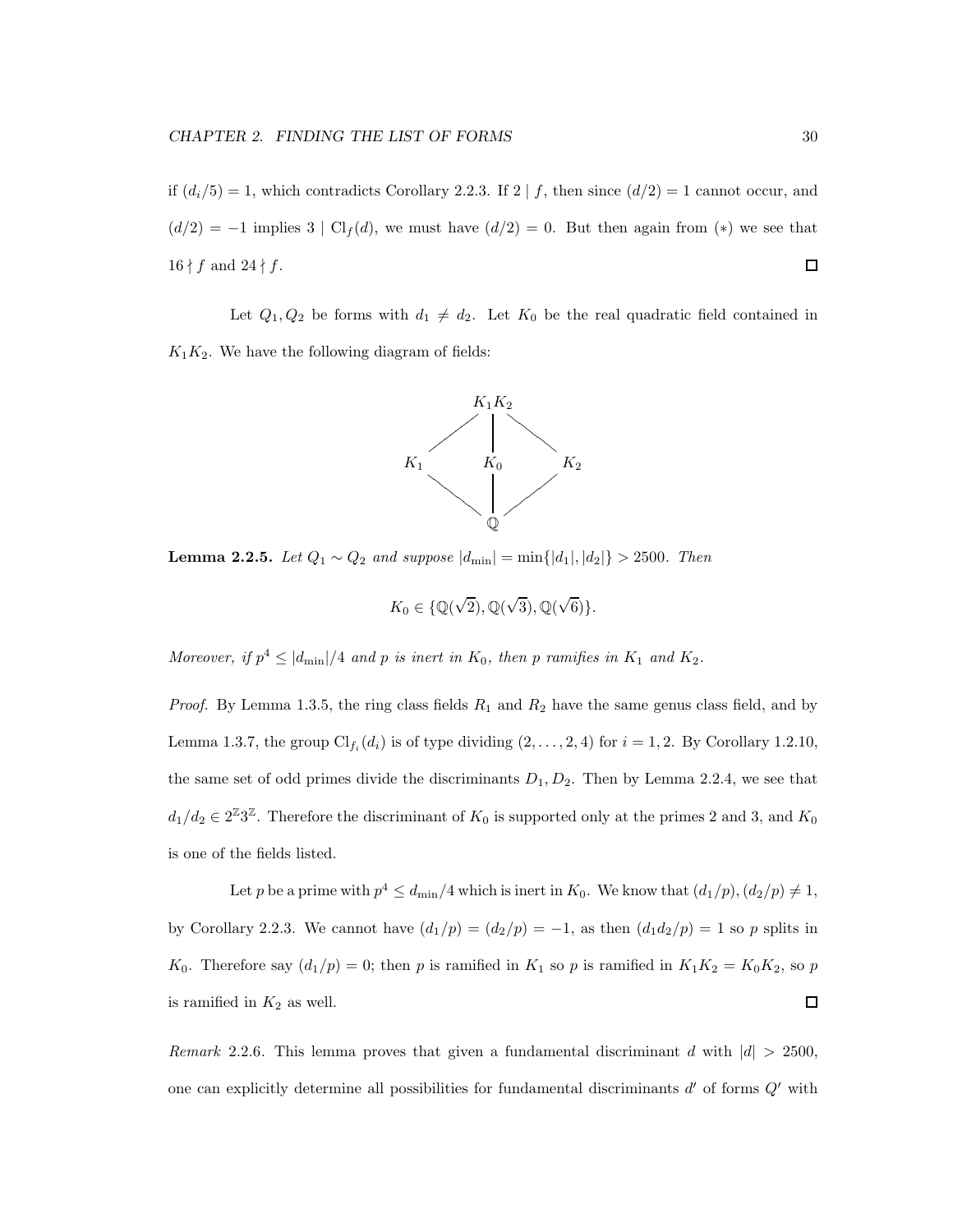if  $(d_i/5) = 1$ , which contradicts Corollary 2.2.3. If  $2 \mid f$ , then since  $(d/2) = 1$  cannot occur, and  $(d/2) = -1$  implies 3 | Cl<sub>f</sub>(d), we must have  $(d/2) = 0$ . But then again from (\*) we see that  $\Box$  $16 \nmid f$  and  $24 \nmid f$ .

Let  $Q_1, Q_2$  be forms with  $d_1 \neq d_2$ . Let  $K_0$  be the real quadratic field contained in  $K_1K_2$ . We have the following diagram of fields:



**Lemma 2.2.5.** Let  $Q_1 \sim Q_2$  and suppose  $|d_{\min}| = \min\{|d_1|, |d_2|\} > 2500$ . Then

$$
K_0 \in \{ \mathbb{Q}(\sqrt{2}), \mathbb{Q}(\sqrt{3}), \mathbb{Q}(\sqrt{6}) \}.
$$

Moreover, if  $p^4 \le |d_{\min}|/4$  and p is inert in  $K_0$ , then p ramifies in  $K_1$  and  $K_2$ .

*Proof.* By Lemma 1.3.5, the ring class fields  $R_1$  and  $R_2$  have the same genus class field, and by Lemma 1.3.7, the group  $\text{Cl}_{f_i}(d_i)$  is of type dividing  $(2,\ldots,2,4)$  for  $i=1,2$ . By Corollary 1.2.10, the same set of odd primes divide the discriminants  $D_1, D_2$ . Then by Lemma 2.2.4, we see that  $d_1/d_2 \in 2^{\mathbb{Z}} 3^{\mathbb{Z}}$ . Therefore the discriminant of  $K_0$  is supported only at the primes 2 and 3, and  $K_0$ is one of the fields listed.

Let p be a prime with  $p^4 \leq d_{\text{min}}/4$  which is inert in  $K_0$ . We know that  $(d_1/p), (d_2/p) \neq 1$ , by Corollary 2.2.3. We cannot have  $(d_1/p) = (d_2/p) = -1$ , as then  $(d_1d_2/p) = 1$  so p splits in  $K_0$ . Therefore say  $(d_1/p) = 0$ ; then p is ramified in  $K_1$  so p is ramified in  $K_1K_2 = K_0K_2$ , so p  $\Box$ is ramified in  $K_2$  as well.

Remark 2.2.6. This lemma proves that given a fundamental discriminant d with  $|d| > 2500$ , one can explicitly determine all possibilities for fundamental discriminants  $d'$  of forms  $Q'$  with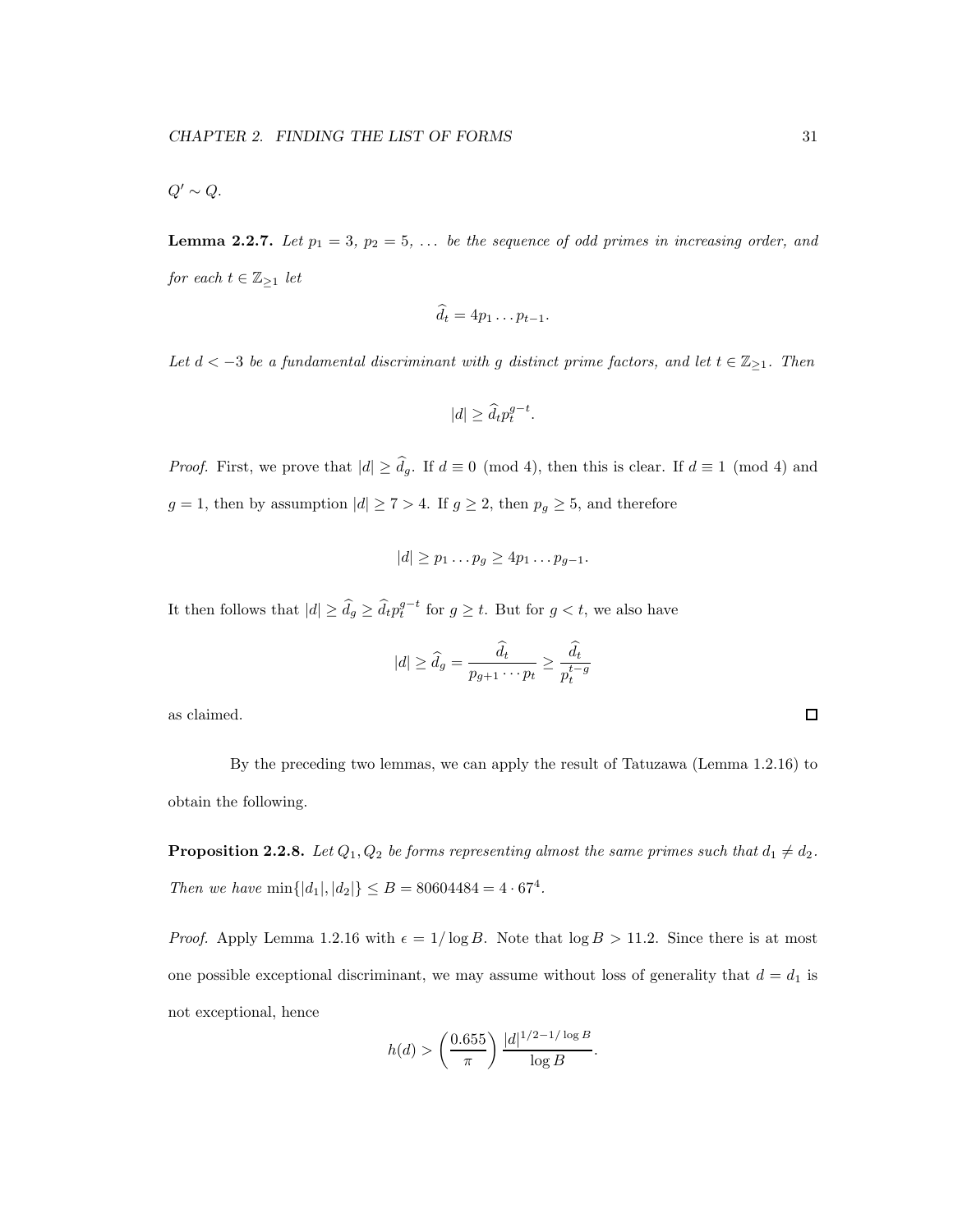**Lemma 2.2.7.** Let  $p_1 = 3$ ,  $p_2 = 5$ , ... be the sequence of odd primes in increasing order, and  $\emph{for each }t\in \mathbb{Z}_{\geq 1}$  let

$$
\hat{d}_t = 4p_1 \dots p_{t-1}.
$$

Let  $d < -3$  be a fundamental discriminant with g distinct prime factors, and let  $t \in \mathbb{Z}_{\geq 1}$ . Then

$$
|d|\geq \widehat d_t p_t^{g-t}.
$$

*Proof.* First, we prove that  $|d| \geq \hat{d}_g$ . If  $d \equiv 0 \pmod{4}$ , then this is clear. If  $d \equiv 1 \pmod{4}$  and  $g=1,$  then by assumption  $|d|\geq 7>4.$  If  $g\geq 2,$  then  $p_g\geq 5,$  and therefore

$$
|d| \geq p_1 \dots p_g \geq 4p_1 \dots p_{g-1}.
$$

It then follows that  $|d| \geq \widehat{d}_g \geq \widehat{d}_t p_t^{g-t}$  for  $g \geq t$ . But for  $g < t$ , we also have

$$
|d| \ge \widehat{d}_g = \frac{\widehat{d}_t}{p_{g+1} \cdots p_t} \ge \frac{\widehat{d}_t}{p_t^{t-g}}
$$

as claimed.

By the preceding two lemmas, we can apply the result of Tatuzawa (Lemma 1.2.16) to obtain the following.

**Proposition 2.2.8.** Let  $Q_1, Q_2$  be forms representing almost the same primes such that  $d_1 \neq d_2$ . Then we have  $\min\{|d_1|, |d_2|\} \le B = 80604484 = 4 \cdot 67^4$ .

*Proof.* Apply Lemma 1.2.16 with  $\epsilon = 1/\log B$ . Note that  $\log B > 11.2$ . Since there is at most one possible exceptional discriminant, we may assume without loss of generality that  $d = d_1$  is not exceptional, hence

$$
h(d) > \left(\frac{0.655}{\pi}\right) \frac{|d|^{1/2 - 1/\log B}}{\log B}.
$$

 $\Box$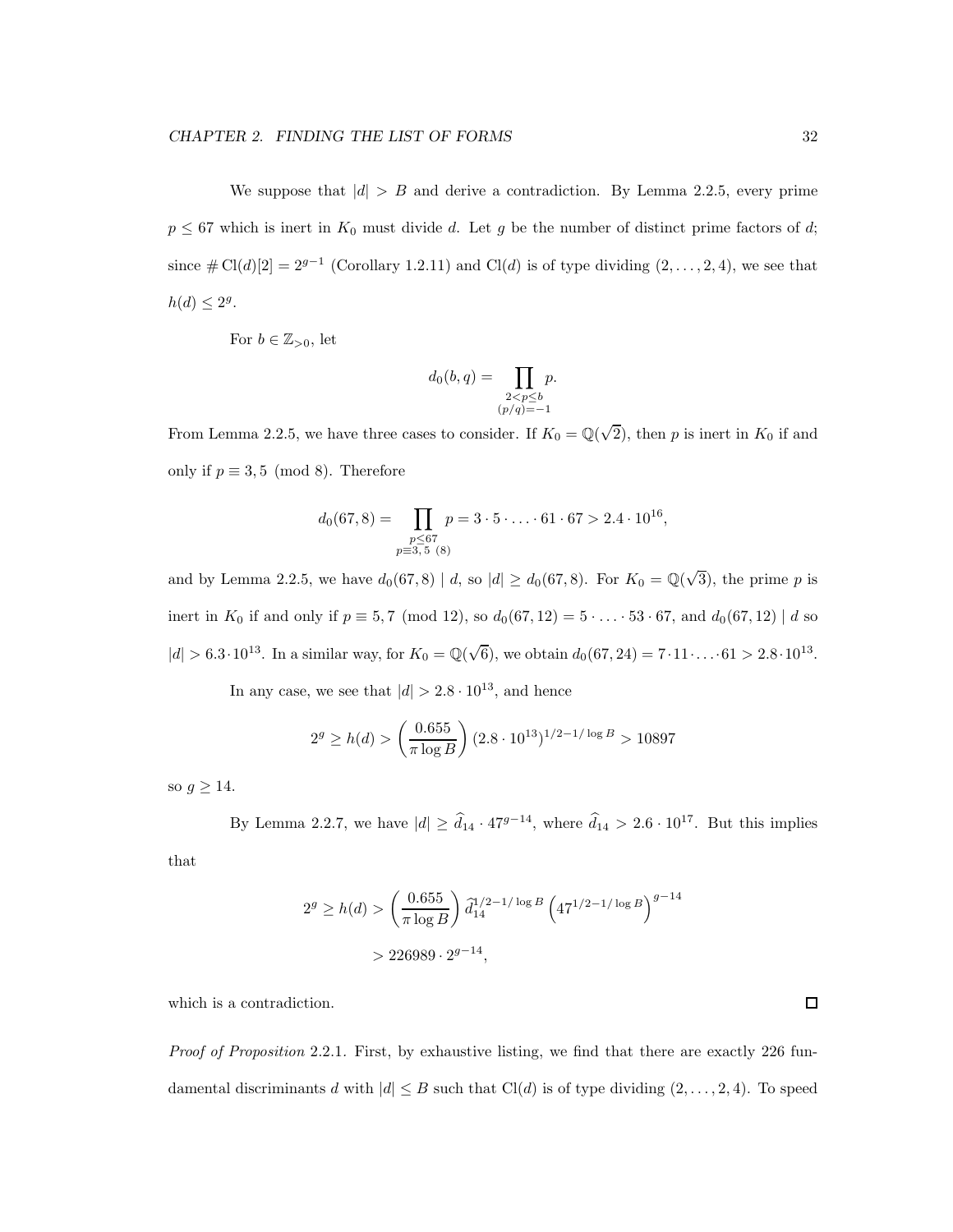We suppose that  $|d| > B$  and derive a contradiction. By Lemma 2.2.5, every prime  $p \leq 67$  which is inert in  $K_0$  must divide d. Let g be the number of distinct prime factors of d; since  $\# \text{Cl}(d)[2] = 2^{g-1}$  (Corollary 1.2.11) and Cl(d) is of type dividing  $(2, \ldots, 2, 4)$ , we see that  $h(d) \leq 2^g$ .

For  $b \in \mathbb{Z}_{>0}$ , let

$$
d_0(b,q) = \prod_{\substack{2 < p \le b \\ (p/q) = -1}} p.
$$

From Lemma 2.2.5, we have three cases to consider. If  $K_0 = \mathbb{Q}(\sqrt{2})$ , then p is inert in  $K_0$  if and only if  $p \equiv 3, 5 \pmod{8}$ . Therefore

$$
d_0(67,8) = \prod_{\substack{p \le 67 \\ p \equiv 3,5 \ (8)}} p = 3 \cdot 5 \cdot \ldots \cdot 61 \cdot 67 > 2.4 \cdot 10^{16},
$$

and by Lemma 2.2.5, we have  $d_0(67,8) | d$ , so  $|d| \geq d_0(67,8)$ . For  $K_0 = \mathbb{Q}(\sqrt{3})$ , the prime p is inert in  $K_0$  if and only if  $p \equiv 5, 7 \pmod{12}$ , so  $d_0(67, 12) = 5 \cdots 53 \cdot 67$ , and  $d_0(67, 12) | d$  so  $|d| > 6.3 \cdot 10^{13}$ . In a similar way, for  $K_0 = \mathbb{Q}(\sqrt{6})$ , we obtain  $d_0(67, 24) = 7 \cdot 11 \cdot ... \cdot 61 > 2.8 \cdot 10^{13}$ .

In any case, we see that  $|d| > 2.8 \cdot 10^{13}$ , and hence

$$
2^g \ge h(d) > \left(\frac{0.655}{\pi \log B}\right) (2.8 \cdot 10^{13})^{1/2 - 1/\log B} > 10897
$$

so  $g \geq 14$ .

By Lemma 2.2.7, we have  $|d| \geq \hat{d}_{14} \cdot 47^{g-14}$ , where  $\hat{d}_{14} > 2.6 \cdot 10^{17}$ . But this implies

that

$$
2g \ge h(d) > \left(\frac{0.655}{\pi \log B}\right) \tilde{d}_{14}^{1/2 - 1/\log B} \left(47^{1/2 - 1/\log B}\right)^{g - 14}
$$
  
> 226989 \cdot 2<sup>g - 14</sup>,

which is a contradiction.

Proof of Proposition 2.2.1. First, by exhaustive listing, we find that there are exactly 226 fundamental discriminants d with  $|d| \leq B$  such that Cl(d) is of type dividing  $(2, \ldots, 2, 4)$ . To speed

 $\Box$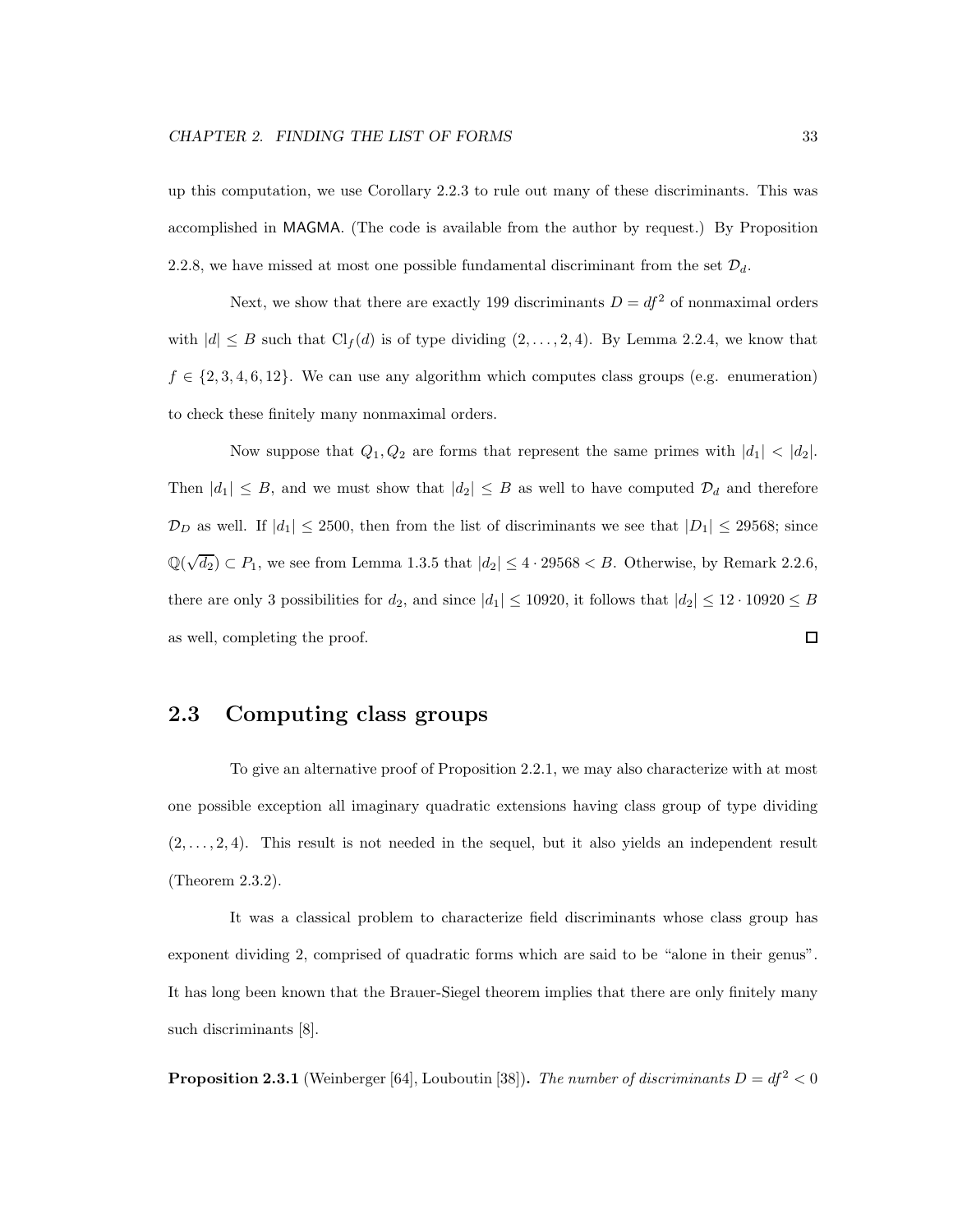up this computation, we use Corollary 2.2.3 to rule out many of these discriminants. This was accomplished in MAGMA. (The code is available from the author by request.) By Proposition 2.2.8, we have missed at most one possible fundamental discriminant from the set  $\mathcal{D}_d$ .

Next, we show that there are exactly 199 discriminants  $D = df^2$  of nonmaximal orders with  $|d| \leq B$  such that  $\text{Cl}_f(d)$  is of type dividing  $(2,\ldots,2,4)$ . By Lemma 2.2.4, we know that  $f \in \{2, 3, 4, 6, 12\}$ . We can use any algorithm which computes class groups (e.g. enumeration) to check these finitely many nonmaximal orders.

Now suppose that  $Q_1, Q_2$  are forms that represent the same primes with  $|d_1| < |d_2|$ . Then  $|d_1| \leq B$ , and we must show that  $|d_2| \leq B$  as well to have computed  $\mathcal{D}_d$  and therefore  $\mathcal{D}_D$  as well. If  $|d_1| \leq 2500$ , then from the list of discriminants we see that  $|D_1| \leq 29568$ ; since  $\mathbb{Q}(\sqrt{d_2}) \subset P_1$ , we see from Lemma 1.3.5 that  $|d_2| \leq 4 \cdot 29568 < B$ . Otherwise, by Remark 2.2.6, there are only 3 possibilities for  $d_2$ , and since  $|d_1| \le 10920$ , it follows that  $|d_2| \le 12 \cdot 10920 \le B$ as well, completing the proof. 口

### 2.3 Computing class groups

To give an alternative proof of Proposition 2.2.1, we may also characterize with at most one possible exception all imaginary quadratic extensions having class group of type dividing  $(2, \ldots, 2, 4)$ . This result is not needed in the sequel, but it also yields an independent result (Theorem 2.3.2).

It was a classical problem to characterize field discriminants whose class group has exponent dividing 2, comprised of quadratic forms which are said to be "alone in their genus". It has long been known that the Brauer-Siegel theorem implies that there are only finitely many such discriminants [8].

**Proposition 2.3.1** (Weinberger [64], Louboutin [38]). The number of discriminants  $D = df^2 < 0$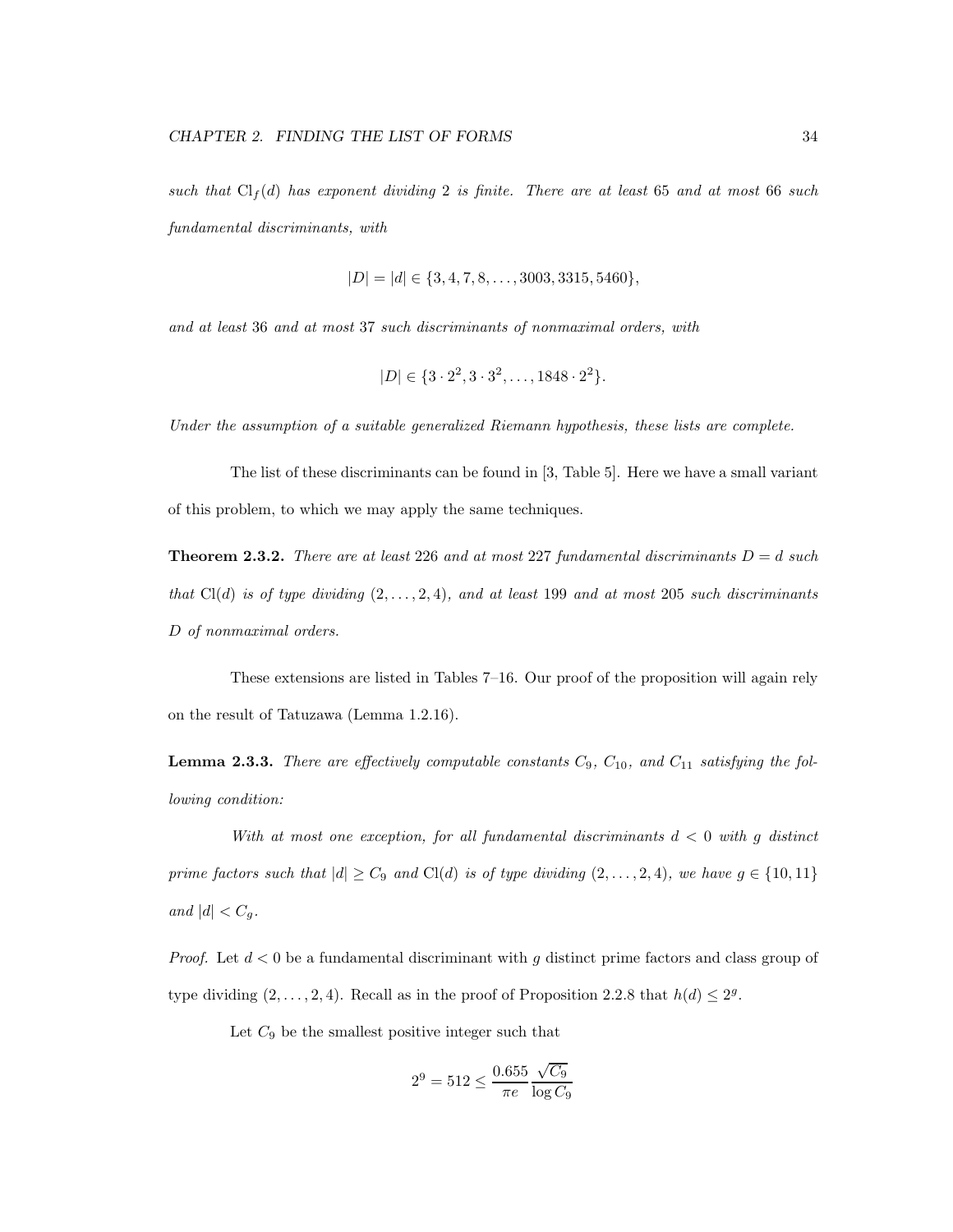such that  $Cl_f(d)$  has exponent dividing 2 is finite. There are at least 65 and at most 66 such fundamental discriminants, with

$$
|D| = |d| \in \{3, 4, 7, 8, \ldots, 3003, 3315, 5460\},\
$$

and at least 36 and at most 37 such discriminants of nonmaximal orders, with

$$
|D| \in \{3 \cdot 2^2, 3 \cdot 3^2, \dots, 1848 \cdot 2^2\}.
$$

Under the assumption of a suitable generalized Riemann hypothesis, these lists are complete.

The list of these discriminants can be found in [3, Table 5]. Here we have a small variant of this problem, to which we may apply the same techniques.

**Theorem 2.3.2.** There are at least 226 and at most 227 fundamental discriminants  $D = d$  such that  $Cl(d)$  is of type dividing  $(2, \ldots, 2, 4)$ , and at least 199 and at most 205 such discriminants D of nonmaximal orders.

These extensions are listed in Tables 7–16. Our proof of the proposition will again rely on the result of Tatuzawa (Lemma 1.2.16).

**Lemma 2.3.3.** There are effectively computable constants  $C_9$ ,  $C_{10}$ , and  $C_{11}$  satisfying the following condition:

With at most one exception, for all fundamental discriminants  $d < 0$  with g distinct prime factors such that  $|d| \geq C_9$  and Cl(d) is of type dividing  $(2,\ldots,2,4)$ , we have  $g \in \{10,11\}$ and  $|d| < C_g$ .

*Proof.* Let  $d < 0$  be a fundamental discriminant with g distinct prime factors and class group of type dividing  $(2, \ldots, 2, 4)$ . Recall as in the proof of Proposition 2.2.8 that  $h(d) \leq 2^g$ .

Let  $C_9$  be the smallest positive integer such that

$$
2^9 = 512 \le \frac{0.655 \sqrt{C_9}}{\pi e} \frac{\sqrt{C_9}}{\log C_9}
$$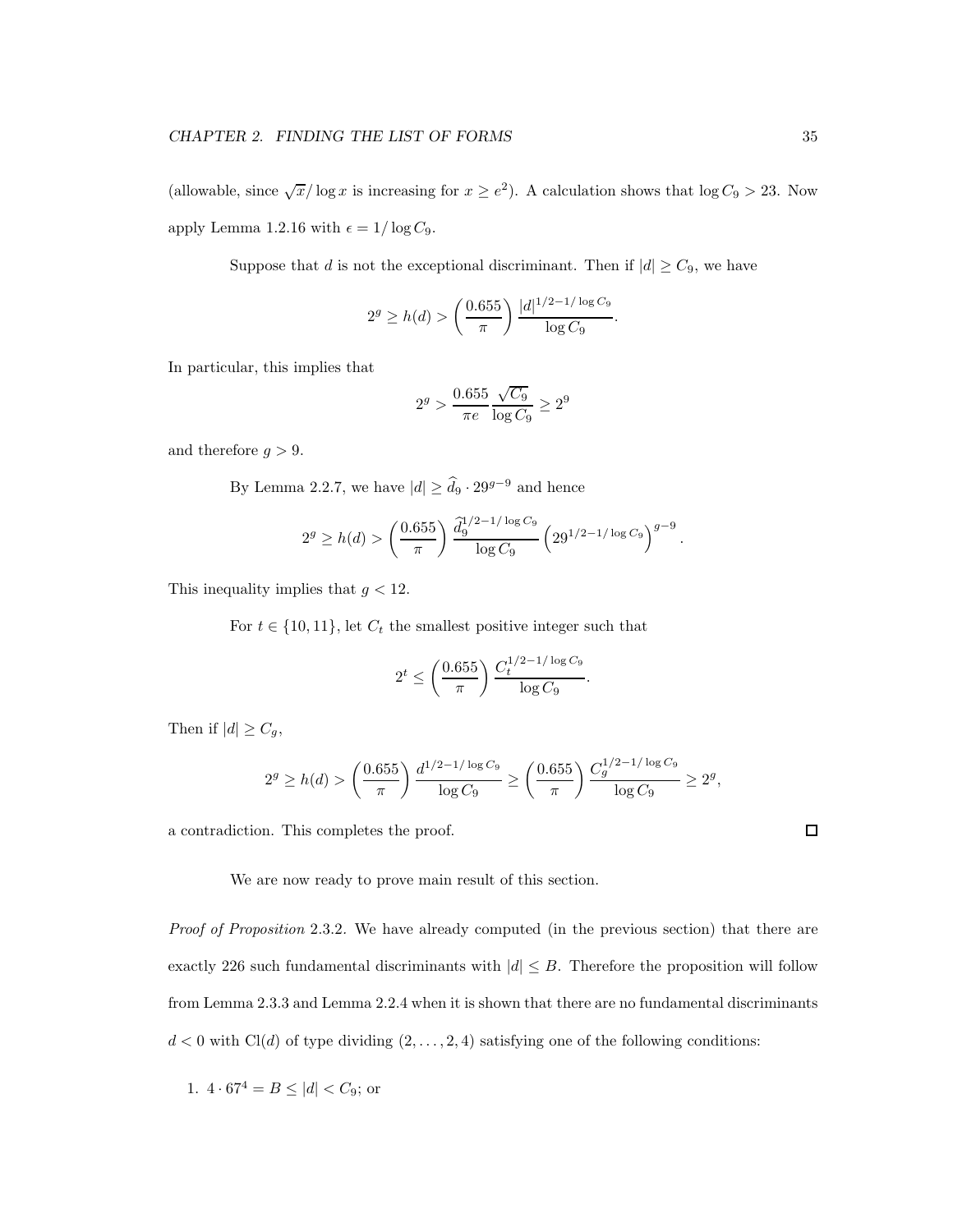(allowable, since  $\sqrt{x}/\log x$  is increasing for  $x \ge e^2$ ). A calculation shows that  $\log C_9 > 23$ . Now apply Lemma 1.2.16 with  $\epsilon = 1/\log C_9$ .

Suppose that d is not the exceptional discriminant. Then if  $|d| \geq C_9$ , we have

$$
2^g \ge h(d) > \left(\frac{0.655}{\pi}\right) \frac{|d|^{1/2 - 1/\log C_9}}{\log C_9}.
$$

In particular, this implies that

$$
2^g > \frac{0.655}{\pi e} \frac{\sqrt{C_9}}{\log C_9} \ge 2^9
$$

and therefore  $g > 9$ .

By Lemma 2.2.7, we have  $|d|\geq \widehat{d}_9 \cdot 29^{g-9}$  and hence

$$
2^{g} \ge h(d) > \left(\frac{0.655}{\pi}\right) \frac{\hat{d}_{9}^{1/2 - 1/\log C_{9}}}{\log C_{9}} \left(29^{1/2 - 1/\log C_{9}}\right)^{g-9}.
$$

This inequality implies that  $g < 12$ .

For  $t \in \{10, 11\}$ , let  $C_t$  the smallest positive integer such that

$$
2^t \le \left(\frac{0.655}{\pi}\right) \frac{C_t^{1/2 - 1/\log C_9}}{\log C_9}.
$$

Then if  $|d| \geq C_g$ ,

$$
2^g \ge h(d) > \left(\frac{0.655}{\pi}\right) \frac{d^{1/2 - 1/\log C_9}}{\log C_9} \ge \left(\frac{0.655}{\pi}\right) \frac{C_g^{1/2 - 1/\log C_9}}{\log C_9} \ge 2^g,
$$

a contradiction. This completes the proof.

We are now ready to prove main result of this section.

Proof of Proposition 2.3.2. We have already computed (in the previous section) that there are exactly 226 such fundamental discriminants with  $|d| \leq B$ . Therefore the proposition will follow from Lemma 2.3.3 and Lemma 2.2.4 when it is shown that there are no fundamental discriminants  $d < 0$  with Cl(d) of type dividing  $(2, \ldots, 2, 4)$  satisfying one of the following conditions:

1. 
$$
4 \cdot 67^4 = B \le |d| < C_9
$$
; or

 $\Box$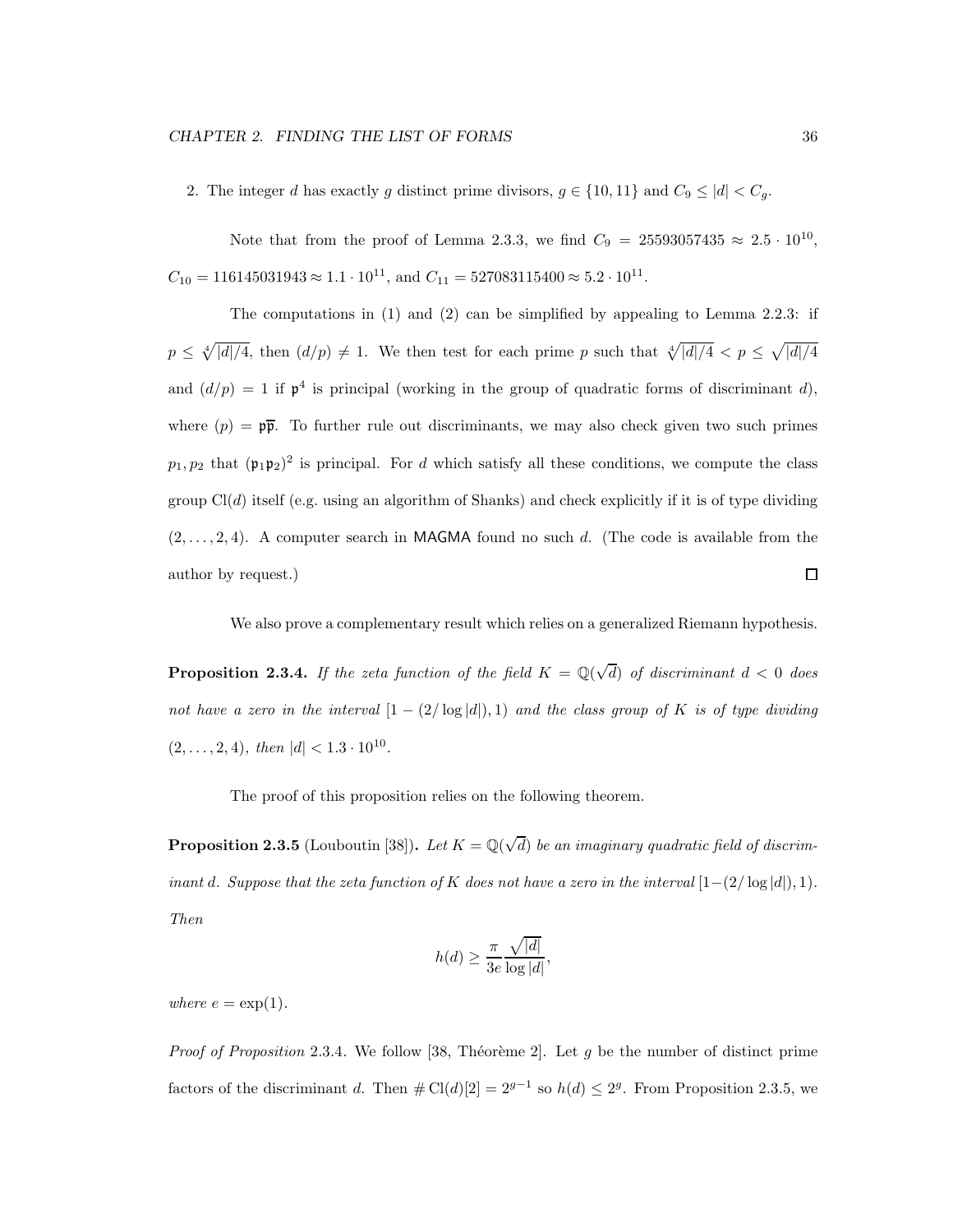2. The integer d has exactly g distinct prime divisors,  $g \in \{10, 11\}$  and  $C_9 \leq |d| < C_g$ .

Note that from the proof of Lemma 2.3.3, we find  $C_9 = 25593057435 \approx 2.5 \cdot 10^{10}$ ,  $C_{10} = 116145031943 \approx 1.1 \cdot 10^{11}$ , and  $C_{11} = 527083115400 \approx 5.2 \cdot 10^{11}$ .

The computations in (1) and (2) can be simplified by appealing to Lemma 2.2.3: if  $p \leq \sqrt[4]{|d|/4}$ , then  $(d/p) \neq 1$ . We then test for each prime p such that  $\sqrt[4]{|d|/4} < p \leq \sqrt{|d|/4}$ and  $(d/p) = 1$  if  $p^4$  is principal (working in the group of quadratic forms of discriminant d), where  $(p) = p\overline{p}$ . To further rule out discriminants, we may also check given two such primes  $p_1, p_2$  that  $(\mathfrak{p}_1 \mathfrak{p}_2)^2$  is principal. For d which satisfy all these conditions, we compute the class group  $Cl(d)$  itself (e.g. using an algorithm of Shanks) and check explicitly if it is of type dividing  $(2, \ldots, 2, 4)$ . A computer search in MAGMA found no such d. (The code is available from the  $\Box$ author by request.)

We also prove a complementary result which relies on a generalized Riemann hypothesis.

**Proposition 2.3.4.** If the zeta function of the field  $K = \mathbb{Q}(\sqrt{d})$  of discriminant  $d < 0$  does not have a zero in the interval  $[1-(2/\log|d|),1)$  and the class group of K is of type dividing  $(2,\ldots,2,4)$ , then  $|d| < 1.3 \cdot 10^{10}$ .

The proof of this proposition relies on the following theorem.

**Proposition 2.3.5** (Louboutin [38]). Let  $K = \mathbb{Q}(\sqrt{d})$  be an imaginary quadratic field of discriminant d. Suppose that the zeta function of K does not have a zero in the interval  $[1-(2/\log |d|), 1)$ . Then

$$
h(d) \ge \frac{\pi}{3e} \frac{\sqrt{|d|}}{\log |d|},
$$

where  $e = \exp(1)$ .

Proof of Proposition 2.3.4. We follow [38, Théorème 2]. Let g be the number of distinct prime factors of the discriminant d. Then  $\#\mathrm{Cl}(d)[2] = 2^{g-1}$  so  $h(d) \leq 2^g$ . From Proposition 2.3.5, we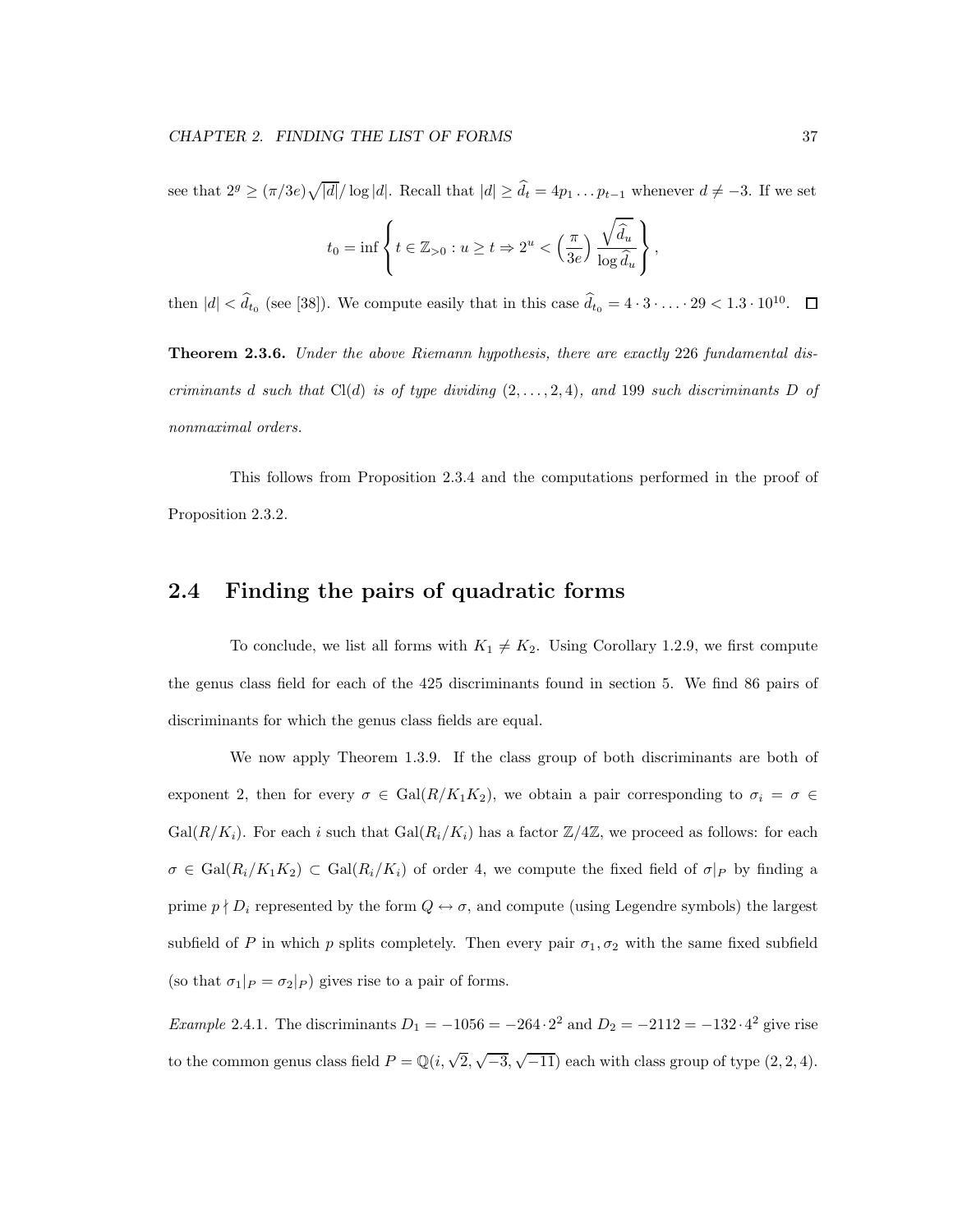see that  $2^g \geq (\pi/3e)\sqrt{|d|}/\log|d|$ . Recall that  $|d| \geq \hat{d}_t = 4p_1 \dots p_{t-1}$  whenever  $d \neq -3$ . If we set

$$
t_0 = \inf \left\{ t \in \mathbb{Z}_{>0} : u \ge t \Rightarrow 2^u < \left(\frac{\pi}{3e}\right) \frac{\sqrt{\hat{d}_u}}{\log \hat{d}_u} \right\}
$$

,

then  $|d| < d_t$  (see [38]). We compute easily that in this case  $d_t$ <sub>0</sub> = 4 · 3 · . . . · 29 < 1.3 · 10<sup>10</sup>.  $\Box$ 

Theorem 2.3.6. Under the above Riemann hypothesis, there are exactly 226 fundamental discriminants d such that  $Cl(d)$  is of type dividing  $(2, \ldots, 2, 4)$ , and 199 such discriminants D of nonmaximal orders.

This follows from Proposition 2.3.4 and the computations performed in the proof of Proposition 2.3.2.

### 2.4 Finding the pairs of quadratic forms

To conclude, we list all forms with  $K_1 \neq K_2$ . Using Corollary 1.2.9, we first compute the genus class field for each of the 425 discriminants found in section 5. We find 86 pairs of discriminants for which the genus class fields are equal.

We now apply Theorem 1.3.9. If the class group of both discriminants are both of exponent 2, then for every  $\sigma \in \text{Gal}(R/K_1K_2)$ , we obtain a pair corresponding to  $\sigma_i = \sigma \in$  $Gal(R/K_i)$ . For each i such that  $Gal(R_i/K_i)$  has a factor  $\mathbb{Z}/4\mathbb{Z}$ , we proceed as follows: for each  $\sigma \in \text{Gal}(R_i/K_1K_2) \subset \text{Gal}(R_i/K_i)$  of order 4, we compute the fixed field of  $\sigma|_P$  by finding a prime  $p \nmid D_i$  represented by the form  $Q \leftrightarrow \sigma$ , and compute (using Legendre symbols) the largest subfield of P in which p splits completely. Then every pair  $\sigma_1, \sigma_2$  with the same fixed subfield (so that  $\sigma_1|_P = \sigma_2|_P$ ) gives rise to a pair of forms.

Example 2.4.1. The discriminants  $D_1 = -1056 = -264 \cdot 2^2$  and  $D_2 = -2112 = -132 \cdot 4^2$  give rise to the common genus class field  $P = \mathbb{Q}(i, \sqrt{2}, \sqrt{-3}, \sqrt{-11})$  each with class group of type  $(2, 2, 4)$ .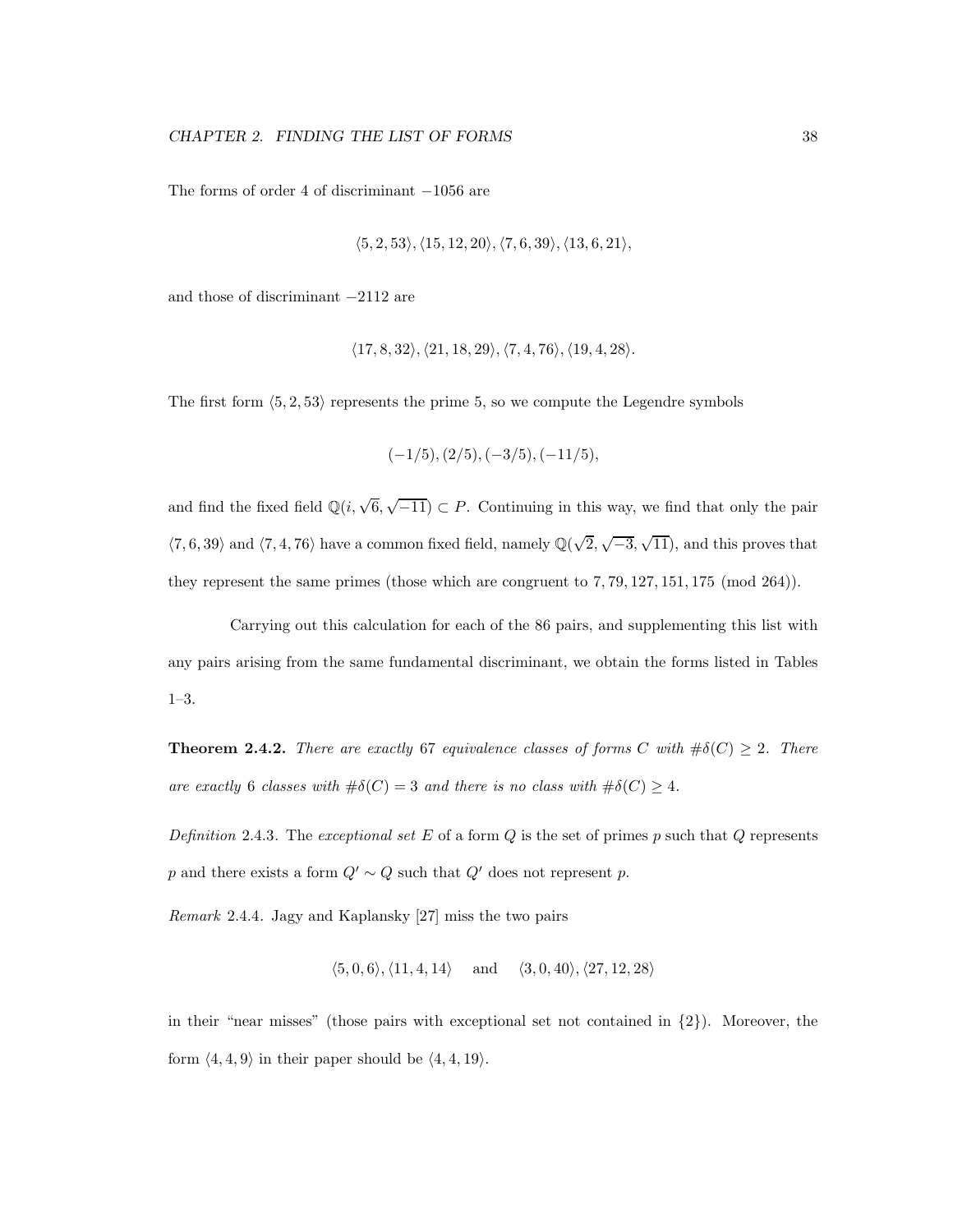The forms of order 4 of discriminant −1056 are

$$
\langle 5, 2, 53 \rangle, \langle 15, 12, 20 \rangle, \langle 7, 6, 39 \rangle, \langle 13, 6, 21 \rangle,
$$

and those of discriminant −2112 are

$$
\langle 17,8,32 \rangle, \langle 21,18,29 \rangle, \langle 7,4,76 \rangle, \langle 19,4,28 \rangle.
$$

The first form  $\langle 5, 2, 53 \rangle$  represents the prime 5, so we compute the Legendre symbols

$$
(-1/5), (2/5), (-3/5), (-11/5), \\
$$

and find the fixed field  $\mathbb{Q}(i, \sqrt{6}, \sqrt{-11}) \subset P$ . Continuing in this way, we find that only the pair  $\langle 7, 6, 39 \rangle$  and  $\langle 7, 4, 76 \rangle$  have a common fixed field, namely  $\mathbb{Q}(\sqrt{2}, \sqrt{-3}, \sqrt{11})$ , and this proves that they represent the same primes (those which are congruent to 7, 79, 127, 151, 175 (mod 264)).

Carrying out this calculation for each of the 86 pairs, and supplementing this list with any pairs arising from the same fundamental discriminant, we obtain the forms listed in Tables 1–3.

**Theorem 2.4.2.** There are exactly 67 equivalence classes of forms C with  $\#\delta(C) \geq 2$ . There are exactly 6 classes with  $\#\delta(C) = 3$  and there is no class with  $\#\delta(C) \geq 4$ .

Definition 2.4.3. The exceptional set E of a form  $Q$  is the set of primes p such that  $Q$  represents p and there exists a form  $Q' \sim Q$  such that  $Q'$  does not represent p.

Remark 2.4.4. Jagy and Kaplansky [27] miss the two pairs

$$
\langle 5,0,6 \rangle, \langle 11,4,14 \rangle \quad \text{ and } \quad \langle 3,0,40 \rangle, \langle 27,12,28 \rangle
$$

in their "near misses" (those pairs with exceptional set not contained in  $\{2\}$ ). Moreover, the form  $\langle 4, 4, 9 \rangle$  in their paper should be  $\langle 4, 4, 19 \rangle$ .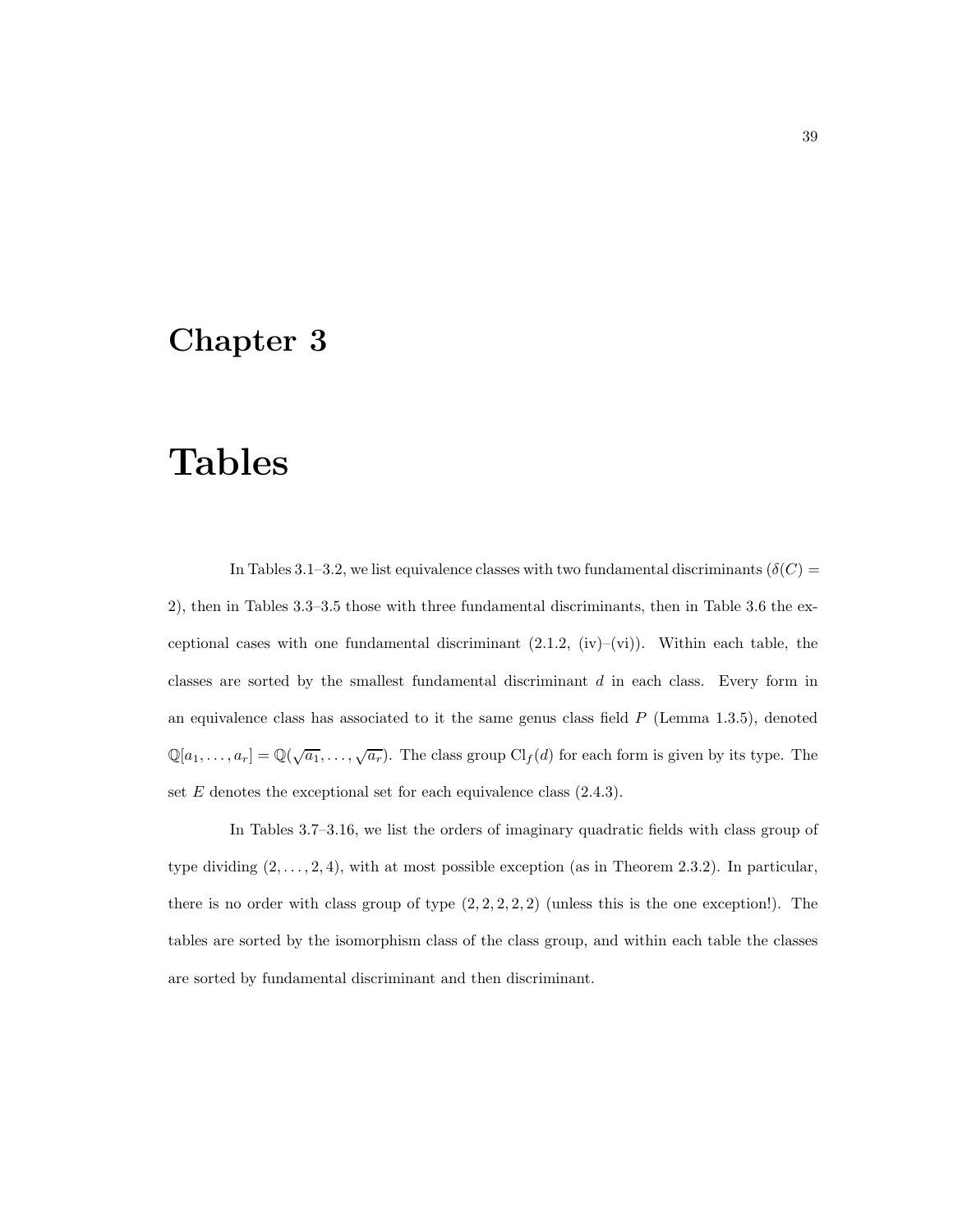### Chapter 3

## Tables

In Tables 3.1–3.2, we list equivalence classes with two fundamental discriminants ( $\delta(C)$  = 2), then in Tables 3.3–3.5 those with three fundamental discriminants, then in Table 3.6 the exceptional cases with one fundamental discriminant  $(2.1.2, (iv)–(vi))$ . Within each table, the classes are sorted by the smallest fundamental discriminant d in each class. Every form in an equivalence class has associated to it the same genus class field  $P$  (Lemma 1.3.5), denoted  $\mathbb{Q}[a_1,\ldots,a_r] = \mathbb{Q}(\sqrt{a_1},\ldots,\sqrt{a_r})$ . The class group  $\mathrm{Cl}_f(d)$  for each form is given by its type. The set  $E$  denotes the exceptional set for each equivalence class  $(2.4.3)$ .

In Tables 3.7–3.16, we list the orders of imaginary quadratic fields with class group of type dividing  $(2, \ldots, 2, 4)$ , with at most possible exception (as in Theorem 2.3.2). In particular, there is no order with class group of type  $(2, 2, 2, 2, 2)$  (unless this is the one exception!). The tables are sorted by the isomorphism class of the class group, and within each table the classes are sorted by fundamental discriminant and then discriminant.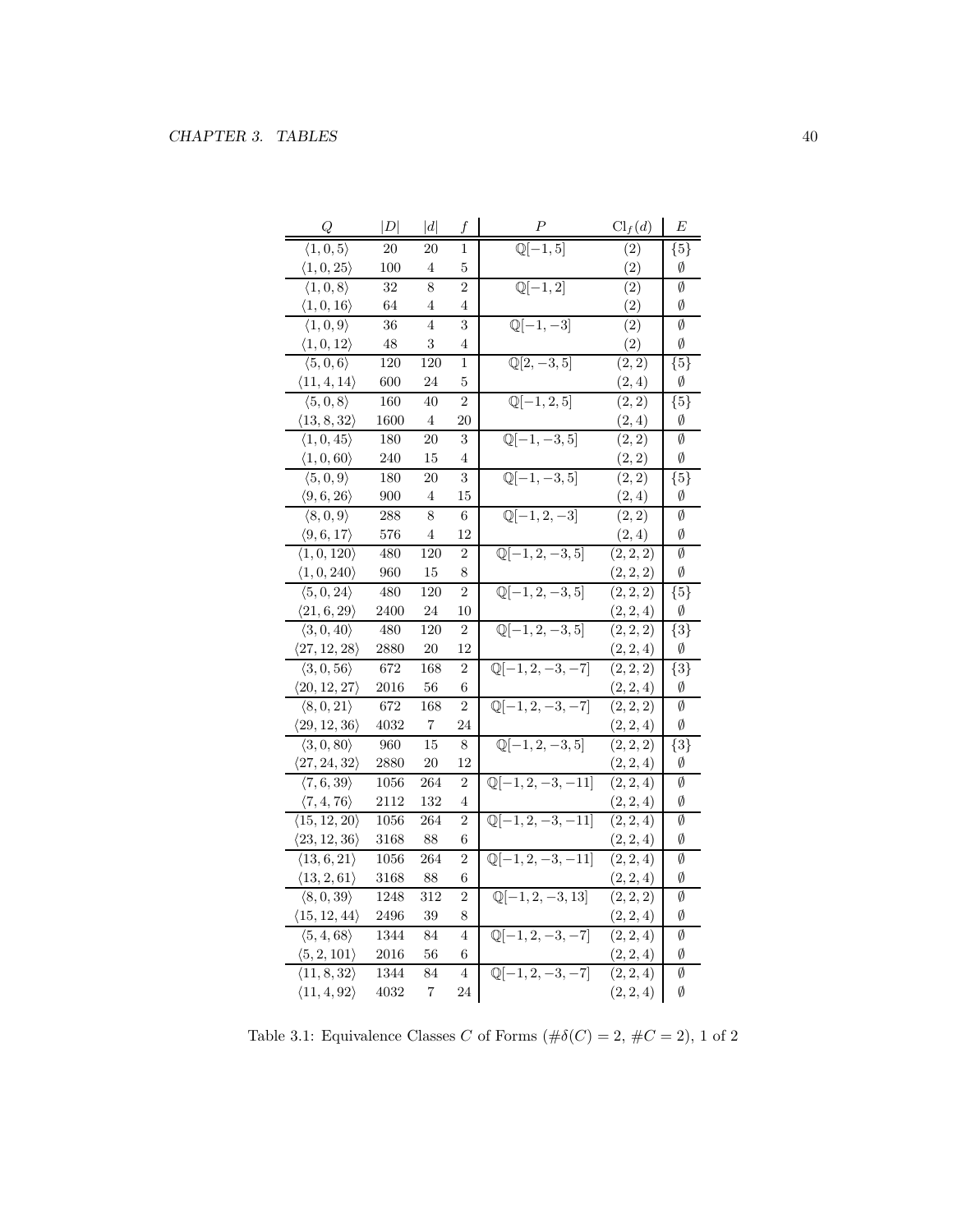| Q                                 | D        | d              | f              | Р                                    | $\text{Cl}_f(d)$ | E                  |
|-----------------------------------|----------|----------------|----------------|--------------------------------------|------------------|--------------------|
| $\langle 1, 0, 5 \rangle$         | 20       | 20             | 1              | $\overline{\mathbb{Q}[-1,5]}$        | (2)              | $\{5\}$            |
| $\langle 1,0,25 \rangle$          | 100      | 4              | 5              |                                      | (2)              | Ø                  |
| $\langle 1, 0, 8 \rangle$         | 32       | 8              | $\overline{2}$ | $\overline{\mathbb{Q}[-1,2]}$        | (2)              | Ø                  |
| $\langle 1, 0, 16 \rangle$        | 64       | 4              | 4              |                                      | (2)              | Ø                  |
| $\langle 1,0,9 \rangle$           | 36       | $\overline{4}$ | 3              | $\mathbb{Q}[-1,-3]$                  | (2)              | Ø                  |
| $\langle 1, 0, 12 \rangle$        | 48       | 3              | 4              |                                      | (2)              | Ø                  |
| $\langle 5,0,6 \rangle$           | 120      | 120            | 1              | $\mathbb{Q}[2, -3, 5]$               | (2, 2)           | ${5}$              |
| $\langle 11, 4, 14 \rangle$       | 600      | 24             | 5              |                                      | (2,4)            | Ø                  |
| $\langle 5,0,8\rangle$            | 160      | 40             | $\overline{2}$ | $\sqrt{[-1, 2, 5]}$                  | (2, 2)           | ${5}$              |
| $\langle 13, 8, 32 \rangle$       | 1600     | 4              | 20             |                                      | (2,4)            | Ø                  |
| $\langle 1, 0, 45 \rangle$        | 180      | 20             | 3              | $\mathbb{Q}[-1, -3, 5]$              | (2, 2)           | Ø                  |
| $\langle 1, 0, 60 \rangle$        | 240      | 15             | 4              |                                      | (2, 2)           | Ø                  |
| $\langle 5,0,9 \rangle$           | 180      | 20             | 3              | $\mathbb{Q}[-1, -3, 5]$              | (2, 2)           | ${5}$              |
| $\langle 9, 6, 26 \rangle$        | 900      | 4              | 15             |                                      | (2,4)            | Ø                  |
| $\overline{\langle 8,0,9\rangle}$ | 288      | 8              | 6              | $\overline{\mathbb{Q}[-1,2,-3]}$     | (2, 2)           | Ø                  |
| $\langle 9,6,17 \rangle$          | 576      | $\overline{4}$ | 12             |                                      | (2, 4)           | Ø                  |
| $\langle 1, 0, 120 \rangle$       | 480      | 120            | $\overline{2}$ | $\mathbb{Q}[-1, 2, -3, 5]$           | (2, 2, 2)        | Ø                  |
| $\langle 1, 0, 240 \rangle$       | 960      | 15             | 8              |                                      | (2, 2, 2)        | Ø                  |
| $\langle 5, 0, 24 \rangle$        | 480      | 120            | $\overline{2}$ | $\mathbb{Q}[-1, 2, -3, 5]$           | (2, 2, 2)        | $\overline{\{5\}}$ |
| $\langle 21, 6, 29 \rangle$       | 2400     | 24             | 10             |                                      | (2, 2, 4)        | Ø                  |
| $\langle 3, 0, 40 \rangle$        | 480      | 120            | $\overline{2}$ | $\overline{\mathbb{Q}[-1,2,-3,5]}$   | (2, 2, 2)        | $\{3\}$            |
| $\langle 27, 12, 28 \rangle$      | 2880     | 20             | 12             |                                      | (2, 2, 4)        | Ø                  |
| $\langle 3,0,56 \rangle$          | 672      | 168            | $\overline{2}$ | $\mathbb{Q}[-1, 2, -3, -7]$          | (2, 2, 2)        | ${3}$              |
| $\langle 20, 12, 27 \rangle$      | 2016     | 56             | 6              |                                      | (2, 2, 4)        | Ø                  |
| $\langle 8, 0, 21 \rangle$        | 672      | 168            | $\overline{2}$ | $\overline{\mathbb{Q}[-1,2,-3,-7]}$  | (2, 2, 2)        | Ø                  |
| $\langle 29, 12, 36 \rangle$      | 4032     | 7              | 24             |                                      | (2, 2, 4)        | Ø                  |
| $\langle 3, 0, 80 \rangle$        | 960      | 15             | 8              | $\mathbb{Q}[-1, 2, -3, 5]$           | (2, 2, 2)        | ${3}$              |
| $\langle 27, 24, 32 \rangle$      | 2880     | 20             | 12             |                                      | (2, 2, 4)        | Ø                  |
| $\langle 7,6,39 \rangle$          | 1056     | 264            | $\overline{2}$ | $\mathbb{Q}[-1, 2, -3, -11]$         | (2, 2, 4)        | Ø                  |
| $\langle 7, 4, 76 \rangle$        | 2112     | 132            | 4              |                                      | (2, 2, 4)        | Ø                  |
| $\langle 15, 12, 20 \rangle$      | 1056     | 264            | $\overline{2}$ | $\mathbb{Q}[-1, 2, -3, -11]$         | (2, 2, 4)        | Ø                  |
| $\langle 23, 12, 36 \rangle$      | $3168\,$ | 88             | 6              |                                      | (2, 2, 4)        | Ø                  |
| $\langle 13, 6, 21 \rangle$       | 1056     | 264            | $\overline{2}$ | $\overline{\mathbb{Q}[-1,2,-3,-11]}$ | (2, 2, 4)        | Ø                  |
| $\langle 13, 2, 61 \rangle$       | 3168     | 88             | 6              |                                      | (2, 2, 4)        | Ø                  |
| $\langle 8, 0, 39 \rangle$        | 1248     | 312            | 2              | $\overline{\mathbb{Q}[-1,2,-3,13]}$  | (2, 2, 2)        | Ø                  |
| $\langle 15, 12, 44 \rangle$      | 2496     | 39             | 8              |                                      | (2, 2, 4)        | Ø                  |
| $\langle 5, 4, 68 \rangle$        | 1344     | 84             | $\overline{4}$ | $\mathbb{Q}[-1, 2, -3, -7]$          | (2, 2, 4)        | Ø                  |
| $\langle 5, 2, 101 \rangle$       | 2016     | 56             | 6              |                                      | (2, 2, 4)        | Ø                  |
| $\langle 11, 8, 32 \rangle$       | 1344     | 84             | $\overline{4}$ | $\mathbb{Q}[-1, 2, -3, -7]$          | (2, 2, 4)        | Ø                  |
| $\langle 11, 4, 92 \rangle$       | 4032     | 7              | 24             |                                      | (2, 2, 4)        | Ø                  |

Table 3.1: Equivalence Classes  $C$  of Forms  $(\#\delta(C)=2,\,\#C=2),\,1$  of  $2$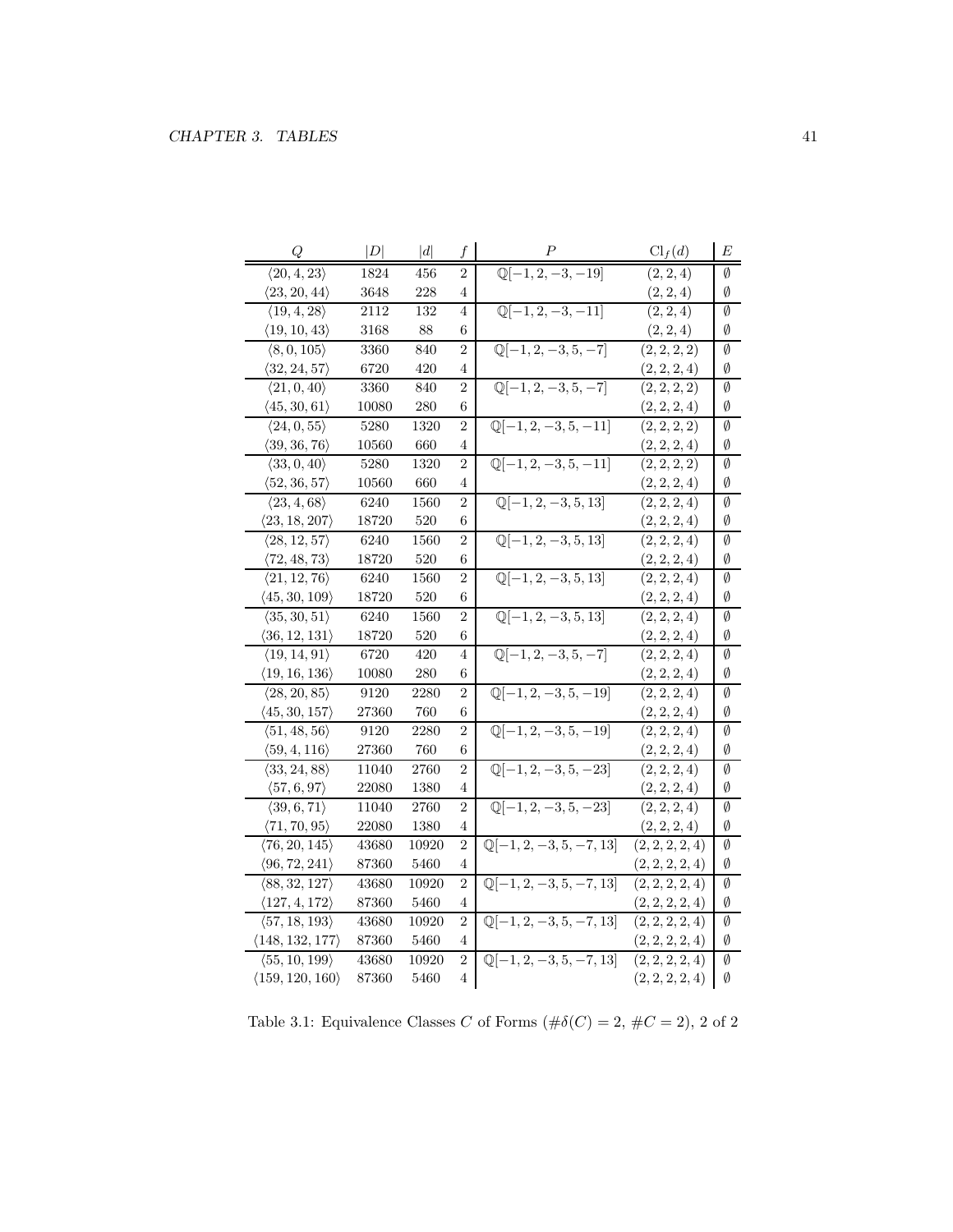| $\mathbb{Q}[-1, 2, -3, -19]$<br>$\langle 20, 4, 23 \rangle$<br>(2, 2, 4)<br>1824<br>456<br>$\overline{2}$<br>Ø<br>$\langle 23, 20, 44 \rangle$<br>3648<br>228<br>(2, 2, 4)<br>Ø<br>4<br>$\overline{\mathbb{Q}[-1,2,-3,-11]}$<br>$\langle 19, 4, 28 \rangle$<br>(2, 2, 4)<br>2112<br>132<br>Ø<br>4<br>$\langle 19, 10, 43 \rangle$<br>3168<br>88<br>6<br>(2, 2, 4)<br>Ø<br>$\mathbb{Q}[-1, 2, -3, 5, -7]$<br>$\langle 8, 0, 105 \rangle$<br>Ø<br>3360<br>840<br>$\overline{2}$<br>(2, 2, 2, 2)<br>$\langle 32, 24, 57 \rangle$<br>(2, 2, 2, 4)<br>6720<br>420<br>Ø<br>4<br>$\mathbb{Q}[-1, 2, -3, 5, -7]$<br>(2, 2, 2, 2)<br>Ø<br>$\langle 21, 0, 40 \rangle$<br>$\overline{2}$<br>3360<br>840<br>$\langle 45, 30, 61 \rangle$<br>10080<br>(2, 2, 2, 4)<br>Ø<br>280<br>6<br>$\overline{\mathbb{Q}[-1,2,-3,5,-11]}$<br>$\langle 24, 0, 55 \rangle$<br>(2, 2, 2, 2)<br>5280<br>Ø<br>1320<br>$\overline{2}$<br>$\langle 39, 36, 76 \rangle$<br>660<br>(2, 2, 2, 4)<br>10560<br>4<br>Ø<br>$\overline{\mathbb{Q}[-1,2,-3,5,-11]}$<br>$\langle 33, 0, 40 \rangle$<br>(2, 2, 2, 2)<br>5280<br>1320<br>2<br>Ø<br>$\langle 52, 36, 57 \rangle$<br>10560<br>660<br>4<br>(2, 2, 2, 4)<br>Ø<br>$\mathbb{Q}[-1, 2, -3, 5, 13]$<br>$\langle 23, 4, 68 \rangle$<br>2<br>6240<br>1560<br>(2, 2, 2, 4)<br>Ø<br>$\langle 23, 18, 207 \rangle$<br>18720<br>520<br>6<br>(2, 2, 2, 4)<br>Ø<br>$\mathbb{Q}[-1, 2, -3, 5, 13]$<br>$\langle 28, 12, 57 \rangle$<br>2<br>Ø<br>6240<br>1560<br>(2, 2, 2, 4)<br>520<br>$\langle 72, 48, 73 \rangle$<br>18720<br>6<br>(2, 2, 2, 4)<br>Ø<br>$\overline{\mathbb{Q}[-1,2,-3,5,13]}$<br>(2, 2, 2, 4)<br>Ø<br>$\langle 21, 12, 76 \rangle$<br>6240<br>1560<br>2<br>18720<br>520<br>Ø<br>$\langle 45, 30, 109 \rangle$<br>6<br>(2, 2, 2, 4)<br>$\mathbb{Q}[-1, 2, -3, 5, 13]$<br>$\langle 35, 30, 51 \rangle$<br>6240<br>$\overline{2}$<br>(2, 2, 2, 4)<br>Ø<br>1560<br>$\langle 36, 12, 131 \rangle$<br>18720<br>520<br>6<br>(2, 2, 2, 4)<br>Ø<br>$\overline{\mathbb{Q}[-1,2,-3,5,-7]}$<br>$\langle 19, 14, 91 \rangle$<br>6720<br>420<br>(2, 2, 2, 4)<br>Ø<br>4<br>280<br>$\langle 19, 16, 136 \rangle$<br>10080<br>6<br>(2, 2, 2, 4)<br>Ø<br>$\mathbb{Q}[-1, 2, -3, 5, -19]$<br>$\langle 28, 20, 85 \rangle$<br>Ø<br>9120<br>2280<br>$\overline{2}$<br>(2, 2, 2, 4)<br>$\langle 45, 30, 157 \rangle$<br>6<br>Ø<br>27360<br>760<br>(2, 2, 2, 4)<br>$\overline{\mathbb{Q}[-1,2,-3,5,-19]}$<br>$\overline{2}$<br>$\overline{(2,2,2,4)}$<br>Ø<br>$\langle 51, 48, 56 \rangle$<br>2280<br>9120<br>$\langle 59, 4, 116 \rangle$<br>27360<br>760<br>(2, 2, 2, 4)<br>Ø<br>6<br>$\mathbb{Q}[-1, 2, -3, 5, -23]$<br>(2, 2, 2, 4)<br>Ø<br>$\langle 33, 24, 88 \rangle$<br>11040<br>2760<br>$\overline{2}$<br>$\langle 57, 6, 97 \rangle$<br>22080<br>(2, 2, 2, 4)<br>Ø<br>1380<br>4<br>$\overline{\mathbb{Q}[-1,2,-3,5,-23]}$<br>$\langle 39, 6, 71 \rangle$<br>(2, 2, 2, 4)<br>Ø<br>11040<br>$2760\,$<br>2<br>$\langle 71, 70, 95 \rangle$<br>22080<br>1380<br>(2, 2, 2, 4)<br>Ø<br>4<br>$\mathbb{Q}[-1, 2, -3, 5, -7, 13]$<br>$\langle 76, 20, 145 \rangle$<br>43680<br>10920<br>2<br>(2, 2, 2, 2, 4)<br>Ø<br>$\langle 96, 72, 241 \rangle$<br>Ø<br>87360<br>5460<br>4<br>(2, 2, 2, 2, 4)<br>$\mathbb{Q}[-1, 2, -3, 5, -7, 13]$<br>$\emptyset$<br>$\langle 88, 32, 127 \rangle$<br>10920<br>2<br>43680<br>(2, 2, 2, 2, 4)<br>$\langle 127, 4, 172 \rangle$<br>Ø<br>87360<br>5460<br>4<br>(2, 2, 2, 2, 4)<br>$\mathbb{Q}[-1, 2, -3, 5, -7, 13]$<br>Ø<br>$\langle 57, 18, 193 \rangle$<br>$\overline{2}$<br>(2, 2, 2, 2, 4)<br>43680<br>10920<br>(148, 132, 177)<br>87360<br>(2, 2, 2, 2, 4)<br>Ø<br>5460<br>4<br>$\mathbb{Q}[-1, 2, -3, 5, -7, 13]$<br>$\langle 55, 10, 199 \rangle$<br>(2, 2, 2, 2, 4)<br>Ø<br>43680<br>10920<br>$\overline{2}$<br>$\langle 159, 120, 160 \rangle$<br>Ø<br>87360<br>5460<br>4<br>(2, 2, 2, 2, 4) | Q | D | d | f | Р | $\text{Cl}_f(d)$ | E |
|-----------------------------------------------------------------------------------------------------------------------------------------------------------------------------------------------------------------------------------------------------------------------------------------------------------------------------------------------------------------------------------------------------------------------------------------------------------------------------------------------------------------------------------------------------------------------------------------------------------------------------------------------------------------------------------------------------------------------------------------------------------------------------------------------------------------------------------------------------------------------------------------------------------------------------------------------------------------------------------------------------------------------------------------------------------------------------------------------------------------------------------------------------------------------------------------------------------------------------------------------------------------------------------------------------------------------------------------------------------------------------------------------------------------------------------------------------------------------------------------------------------------------------------------------------------------------------------------------------------------------------------------------------------------------------------------------------------------------------------------------------------------------------------------------------------------------------------------------------------------------------------------------------------------------------------------------------------------------------------------------------------------------------------------------------------------------------------------------------------------------------------------------------------------------------------------------------------------------------------------------------------------------------------------------------------------------------------------------------------------------------------------------------------------------------------------------------------------------------------------------------------------------------------------------------------------------------------------------------------------------------------------------------------------------------------------------------------------------------------------------------------------------------------------------------------------------------------------------------------------------------------------------------------------------------------------------------------------------------------------------------------------------------------------------------------------------------------------------------------------------------------------------------------------------------------------------------------------------------------------------------------------------------------------------------------------------------------------------------------------------------------------------------------------------------------------------------------------------------------------------------------------------------------------------------------------------------------------------------------------------------------------------------------------------------------------------------------------------------------------------------------------------------------------------------------------------------------------|---|---|---|---|---|------------------|---|
|                                                                                                                                                                                                                                                                                                                                                                                                                                                                                                                                                                                                                                                                                                                                                                                                                                                                                                                                                                                                                                                                                                                                                                                                                                                                                                                                                                                                                                                                                                                                                                                                                                                                                                                                                                                                                                                                                                                                                                                                                                                                                                                                                                                                                                                                                                                                                                                                                                                                                                                                                                                                                                                                                                                                                                                                                                                                                                                                                                                                                                                                                                                                                                                                                                                                                                                                                                                                                                                                                                                                                                                                                                                                                                                                                                                                                                         |   |   |   |   |   |                  |   |
|                                                                                                                                                                                                                                                                                                                                                                                                                                                                                                                                                                                                                                                                                                                                                                                                                                                                                                                                                                                                                                                                                                                                                                                                                                                                                                                                                                                                                                                                                                                                                                                                                                                                                                                                                                                                                                                                                                                                                                                                                                                                                                                                                                                                                                                                                                                                                                                                                                                                                                                                                                                                                                                                                                                                                                                                                                                                                                                                                                                                                                                                                                                                                                                                                                                                                                                                                                                                                                                                                                                                                                                                                                                                                                                                                                                                                                         |   |   |   |   |   |                  |   |
|                                                                                                                                                                                                                                                                                                                                                                                                                                                                                                                                                                                                                                                                                                                                                                                                                                                                                                                                                                                                                                                                                                                                                                                                                                                                                                                                                                                                                                                                                                                                                                                                                                                                                                                                                                                                                                                                                                                                                                                                                                                                                                                                                                                                                                                                                                                                                                                                                                                                                                                                                                                                                                                                                                                                                                                                                                                                                                                                                                                                                                                                                                                                                                                                                                                                                                                                                                                                                                                                                                                                                                                                                                                                                                                                                                                                                                         |   |   |   |   |   |                  |   |
|                                                                                                                                                                                                                                                                                                                                                                                                                                                                                                                                                                                                                                                                                                                                                                                                                                                                                                                                                                                                                                                                                                                                                                                                                                                                                                                                                                                                                                                                                                                                                                                                                                                                                                                                                                                                                                                                                                                                                                                                                                                                                                                                                                                                                                                                                                                                                                                                                                                                                                                                                                                                                                                                                                                                                                                                                                                                                                                                                                                                                                                                                                                                                                                                                                                                                                                                                                                                                                                                                                                                                                                                                                                                                                                                                                                                                                         |   |   |   |   |   |                  |   |
|                                                                                                                                                                                                                                                                                                                                                                                                                                                                                                                                                                                                                                                                                                                                                                                                                                                                                                                                                                                                                                                                                                                                                                                                                                                                                                                                                                                                                                                                                                                                                                                                                                                                                                                                                                                                                                                                                                                                                                                                                                                                                                                                                                                                                                                                                                                                                                                                                                                                                                                                                                                                                                                                                                                                                                                                                                                                                                                                                                                                                                                                                                                                                                                                                                                                                                                                                                                                                                                                                                                                                                                                                                                                                                                                                                                                                                         |   |   |   |   |   |                  |   |
|                                                                                                                                                                                                                                                                                                                                                                                                                                                                                                                                                                                                                                                                                                                                                                                                                                                                                                                                                                                                                                                                                                                                                                                                                                                                                                                                                                                                                                                                                                                                                                                                                                                                                                                                                                                                                                                                                                                                                                                                                                                                                                                                                                                                                                                                                                                                                                                                                                                                                                                                                                                                                                                                                                                                                                                                                                                                                                                                                                                                                                                                                                                                                                                                                                                                                                                                                                                                                                                                                                                                                                                                                                                                                                                                                                                                                                         |   |   |   |   |   |                  |   |
|                                                                                                                                                                                                                                                                                                                                                                                                                                                                                                                                                                                                                                                                                                                                                                                                                                                                                                                                                                                                                                                                                                                                                                                                                                                                                                                                                                                                                                                                                                                                                                                                                                                                                                                                                                                                                                                                                                                                                                                                                                                                                                                                                                                                                                                                                                                                                                                                                                                                                                                                                                                                                                                                                                                                                                                                                                                                                                                                                                                                                                                                                                                                                                                                                                                                                                                                                                                                                                                                                                                                                                                                                                                                                                                                                                                                                                         |   |   |   |   |   |                  |   |
|                                                                                                                                                                                                                                                                                                                                                                                                                                                                                                                                                                                                                                                                                                                                                                                                                                                                                                                                                                                                                                                                                                                                                                                                                                                                                                                                                                                                                                                                                                                                                                                                                                                                                                                                                                                                                                                                                                                                                                                                                                                                                                                                                                                                                                                                                                                                                                                                                                                                                                                                                                                                                                                                                                                                                                                                                                                                                                                                                                                                                                                                                                                                                                                                                                                                                                                                                                                                                                                                                                                                                                                                                                                                                                                                                                                                                                         |   |   |   |   |   |                  |   |
|                                                                                                                                                                                                                                                                                                                                                                                                                                                                                                                                                                                                                                                                                                                                                                                                                                                                                                                                                                                                                                                                                                                                                                                                                                                                                                                                                                                                                                                                                                                                                                                                                                                                                                                                                                                                                                                                                                                                                                                                                                                                                                                                                                                                                                                                                                                                                                                                                                                                                                                                                                                                                                                                                                                                                                                                                                                                                                                                                                                                                                                                                                                                                                                                                                                                                                                                                                                                                                                                                                                                                                                                                                                                                                                                                                                                                                         |   |   |   |   |   |                  |   |
|                                                                                                                                                                                                                                                                                                                                                                                                                                                                                                                                                                                                                                                                                                                                                                                                                                                                                                                                                                                                                                                                                                                                                                                                                                                                                                                                                                                                                                                                                                                                                                                                                                                                                                                                                                                                                                                                                                                                                                                                                                                                                                                                                                                                                                                                                                                                                                                                                                                                                                                                                                                                                                                                                                                                                                                                                                                                                                                                                                                                                                                                                                                                                                                                                                                                                                                                                                                                                                                                                                                                                                                                                                                                                                                                                                                                                                         |   |   |   |   |   |                  |   |
|                                                                                                                                                                                                                                                                                                                                                                                                                                                                                                                                                                                                                                                                                                                                                                                                                                                                                                                                                                                                                                                                                                                                                                                                                                                                                                                                                                                                                                                                                                                                                                                                                                                                                                                                                                                                                                                                                                                                                                                                                                                                                                                                                                                                                                                                                                                                                                                                                                                                                                                                                                                                                                                                                                                                                                                                                                                                                                                                                                                                                                                                                                                                                                                                                                                                                                                                                                                                                                                                                                                                                                                                                                                                                                                                                                                                                                         |   |   |   |   |   |                  |   |
|                                                                                                                                                                                                                                                                                                                                                                                                                                                                                                                                                                                                                                                                                                                                                                                                                                                                                                                                                                                                                                                                                                                                                                                                                                                                                                                                                                                                                                                                                                                                                                                                                                                                                                                                                                                                                                                                                                                                                                                                                                                                                                                                                                                                                                                                                                                                                                                                                                                                                                                                                                                                                                                                                                                                                                                                                                                                                                                                                                                                                                                                                                                                                                                                                                                                                                                                                                                                                                                                                                                                                                                                                                                                                                                                                                                                                                         |   |   |   |   |   |                  |   |
|                                                                                                                                                                                                                                                                                                                                                                                                                                                                                                                                                                                                                                                                                                                                                                                                                                                                                                                                                                                                                                                                                                                                                                                                                                                                                                                                                                                                                                                                                                                                                                                                                                                                                                                                                                                                                                                                                                                                                                                                                                                                                                                                                                                                                                                                                                                                                                                                                                                                                                                                                                                                                                                                                                                                                                                                                                                                                                                                                                                                                                                                                                                                                                                                                                                                                                                                                                                                                                                                                                                                                                                                                                                                                                                                                                                                                                         |   |   |   |   |   |                  |   |
|                                                                                                                                                                                                                                                                                                                                                                                                                                                                                                                                                                                                                                                                                                                                                                                                                                                                                                                                                                                                                                                                                                                                                                                                                                                                                                                                                                                                                                                                                                                                                                                                                                                                                                                                                                                                                                                                                                                                                                                                                                                                                                                                                                                                                                                                                                                                                                                                                                                                                                                                                                                                                                                                                                                                                                                                                                                                                                                                                                                                                                                                                                                                                                                                                                                                                                                                                                                                                                                                                                                                                                                                                                                                                                                                                                                                                                         |   |   |   |   |   |                  |   |
|                                                                                                                                                                                                                                                                                                                                                                                                                                                                                                                                                                                                                                                                                                                                                                                                                                                                                                                                                                                                                                                                                                                                                                                                                                                                                                                                                                                                                                                                                                                                                                                                                                                                                                                                                                                                                                                                                                                                                                                                                                                                                                                                                                                                                                                                                                                                                                                                                                                                                                                                                                                                                                                                                                                                                                                                                                                                                                                                                                                                                                                                                                                                                                                                                                                                                                                                                                                                                                                                                                                                                                                                                                                                                                                                                                                                                                         |   |   |   |   |   |                  |   |
|                                                                                                                                                                                                                                                                                                                                                                                                                                                                                                                                                                                                                                                                                                                                                                                                                                                                                                                                                                                                                                                                                                                                                                                                                                                                                                                                                                                                                                                                                                                                                                                                                                                                                                                                                                                                                                                                                                                                                                                                                                                                                                                                                                                                                                                                                                                                                                                                                                                                                                                                                                                                                                                                                                                                                                                                                                                                                                                                                                                                                                                                                                                                                                                                                                                                                                                                                                                                                                                                                                                                                                                                                                                                                                                                                                                                                                         |   |   |   |   |   |                  |   |
|                                                                                                                                                                                                                                                                                                                                                                                                                                                                                                                                                                                                                                                                                                                                                                                                                                                                                                                                                                                                                                                                                                                                                                                                                                                                                                                                                                                                                                                                                                                                                                                                                                                                                                                                                                                                                                                                                                                                                                                                                                                                                                                                                                                                                                                                                                                                                                                                                                                                                                                                                                                                                                                                                                                                                                                                                                                                                                                                                                                                                                                                                                                                                                                                                                                                                                                                                                                                                                                                                                                                                                                                                                                                                                                                                                                                                                         |   |   |   |   |   |                  |   |
|                                                                                                                                                                                                                                                                                                                                                                                                                                                                                                                                                                                                                                                                                                                                                                                                                                                                                                                                                                                                                                                                                                                                                                                                                                                                                                                                                                                                                                                                                                                                                                                                                                                                                                                                                                                                                                                                                                                                                                                                                                                                                                                                                                                                                                                                                                                                                                                                                                                                                                                                                                                                                                                                                                                                                                                                                                                                                                                                                                                                                                                                                                                                                                                                                                                                                                                                                                                                                                                                                                                                                                                                                                                                                                                                                                                                                                         |   |   |   |   |   |                  |   |
|                                                                                                                                                                                                                                                                                                                                                                                                                                                                                                                                                                                                                                                                                                                                                                                                                                                                                                                                                                                                                                                                                                                                                                                                                                                                                                                                                                                                                                                                                                                                                                                                                                                                                                                                                                                                                                                                                                                                                                                                                                                                                                                                                                                                                                                                                                                                                                                                                                                                                                                                                                                                                                                                                                                                                                                                                                                                                                                                                                                                                                                                                                                                                                                                                                                                                                                                                                                                                                                                                                                                                                                                                                                                                                                                                                                                                                         |   |   |   |   |   |                  |   |
|                                                                                                                                                                                                                                                                                                                                                                                                                                                                                                                                                                                                                                                                                                                                                                                                                                                                                                                                                                                                                                                                                                                                                                                                                                                                                                                                                                                                                                                                                                                                                                                                                                                                                                                                                                                                                                                                                                                                                                                                                                                                                                                                                                                                                                                                                                                                                                                                                                                                                                                                                                                                                                                                                                                                                                                                                                                                                                                                                                                                                                                                                                                                                                                                                                                                                                                                                                                                                                                                                                                                                                                                                                                                                                                                                                                                                                         |   |   |   |   |   |                  |   |
|                                                                                                                                                                                                                                                                                                                                                                                                                                                                                                                                                                                                                                                                                                                                                                                                                                                                                                                                                                                                                                                                                                                                                                                                                                                                                                                                                                                                                                                                                                                                                                                                                                                                                                                                                                                                                                                                                                                                                                                                                                                                                                                                                                                                                                                                                                                                                                                                                                                                                                                                                                                                                                                                                                                                                                                                                                                                                                                                                                                                                                                                                                                                                                                                                                                                                                                                                                                                                                                                                                                                                                                                                                                                                                                                                                                                                                         |   |   |   |   |   |                  |   |
|                                                                                                                                                                                                                                                                                                                                                                                                                                                                                                                                                                                                                                                                                                                                                                                                                                                                                                                                                                                                                                                                                                                                                                                                                                                                                                                                                                                                                                                                                                                                                                                                                                                                                                                                                                                                                                                                                                                                                                                                                                                                                                                                                                                                                                                                                                                                                                                                                                                                                                                                                                                                                                                                                                                                                                                                                                                                                                                                                                                                                                                                                                                                                                                                                                                                                                                                                                                                                                                                                                                                                                                                                                                                                                                                                                                                                                         |   |   |   |   |   |                  |   |
|                                                                                                                                                                                                                                                                                                                                                                                                                                                                                                                                                                                                                                                                                                                                                                                                                                                                                                                                                                                                                                                                                                                                                                                                                                                                                                                                                                                                                                                                                                                                                                                                                                                                                                                                                                                                                                                                                                                                                                                                                                                                                                                                                                                                                                                                                                                                                                                                                                                                                                                                                                                                                                                                                                                                                                                                                                                                                                                                                                                                                                                                                                                                                                                                                                                                                                                                                                                                                                                                                                                                                                                                                                                                                                                                                                                                                                         |   |   |   |   |   |                  |   |
|                                                                                                                                                                                                                                                                                                                                                                                                                                                                                                                                                                                                                                                                                                                                                                                                                                                                                                                                                                                                                                                                                                                                                                                                                                                                                                                                                                                                                                                                                                                                                                                                                                                                                                                                                                                                                                                                                                                                                                                                                                                                                                                                                                                                                                                                                                                                                                                                                                                                                                                                                                                                                                                                                                                                                                                                                                                                                                                                                                                                                                                                                                                                                                                                                                                                                                                                                                                                                                                                                                                                                                                                                                                                                                                                                                                                                                         |   |   |   |   |   |                  |   |
|                                                                                                                                                                                                                                                                                                                                                                                                                                                                                                                                                                                                                                                                                                                                                                                                                                                                                                                                                                                                                                                                                                                                                                                                                                                                                                                                                                                                                                                                                                                                                                                                                                                                                                                                                                                                                                                                                                                                                                                                                                                                                                                                                                                                                                                                                                                                                                                                                                                                                                                                                                                                                                                                                                                                                                                                                                                                                                                                                                                                                                                                                                                                                                                                                                                                                                                                                                                                                                                                                                                                                                                                                                                                                                                                                                                                                                         |   |   |   |   |   |                  |   |
|                                                                                                                                                                                                                                                                                                                                                                                                                                                                                                                                                                                                                                                                                                                                                                                                                                                                                                                                                                                                                                                                                                                                                                                                                                                                                                                                                                                                                                                                                                                                                                                                                                                                                                                                                                                                                                                                                                                                                                                                                                                                                                                                                                                                                                                                                                                                                                                                                                                                                                                                                                                                                                                                                                                                                                                                                                                                                                                                                                                                                                                                                                                                                                                                                                                                                                                                                                                                                                                                                                                                                                                                                                                                                                                                                                                                                                         |   |   |   |   |   |                  |   |
|                                                                                                                                                                                                                                                                                                                                                                                                                                                                                                                                                                                                                                                                                                                                                                                                                                                                                                                                                                                                                                                                                                                                                                                                                                                                                                                                                                                                                                                                                                                                                                                                                                                                                                                                                                                                                                                                                                                                                                                                                                                                                                                                                                                                                                                                                                                                                                                                                                                                                                                                                                                                                                                                                                                                                                                                                                                                                                                                                                                                                                                                                                                                                                                                                                                                                                                                                                                                                                                                                                                                                                                                                                                                                                                                                                                                                                         |   |   |   |   |   |                  |   |
|                                                                                                                                                                                                                                                                                                                                                                                                                                                                                                                                                                                                                                                                                                                                                                                                                                                                                                                                                                                                                                                                                                                                                                                                                                                                                                                                                                                                                                                                                                                                                                                                                                                                                                                                                                                                                                                                                                                                                                                                                                                                                                                                                                                                                                                                                                                                                                                                                                                                                                                                                                                                                                                                                                                                                                                                                                                                                                                                                                                                                                                                                                                                                                                                                                                                                                                                                                                                                                                                                                                                                                                                                                                                                                                                                                                                                                         |   |   |   |   |   |                  |   |
|                                                                                                                                                                                                                                                                                                                                                                                                                                                                                                                                                                                                                                                                                                                                                                                                                                                                                                                                                                                                                                                                                                                                                                                                                                                                                                                                                                                                                                                                                                                                                                                                                                                                                                                                                                                                                                                                                                                                                                                                                                                                                                                                                                                                                                                                                                                                                                                                                                                                                                                                                                                                                                                                                                                                                                                                                                                                                                                                                                                                                                                                                                                                                                                                                                                                                                                                                                                                                                                                                                                                                                                                                                                                                                                                                                                                                                         |   |   |   |   |   |                  |   |
|                                                                                                                                                                                                                                                                                                                                                                                                                                                                                                                                                                                                                                                                                                                                                                                                                                                                                                                                                                                                                                                                                                                                                                                                                                                                                                                                                                                                                                                                                                                                                                                                                                                                                                                                                                                                                                                                                                                                                                                                                                                                                                                                                                                                                                                                                                                                                                                                                                                                                                                                                                                                                                                                                                                                                                                                                                                                                                                                                                                                                                                                                                                                                                                                                                                                                                                                                                                                                                                                                                                                                                                                                                                                                                                                                                                                                                         |   |   |   |   |   |                  |   |
|                                                                                                                                                                                                                                                                                                                                                                                                                                                                                                                                                                                                                                                                                                                                                                                                                                                                                                                                                                                                                                                                                                                                                                                                                                                                                                                                                                                                                                                                                                                                                                                                                                                                                                                                                                                                                                                                                                                                                                                                                                                                                                                                                                                                                                                                                                                                                                                                                                                                                                                                                                                                                                                                                                                                                                                                                                                                                                                                                                                                                                                                                                                                                                                                                                                                                                                                                                                                                                                                                                                                                                                                                                                                                                                                                                                                                                         |   |   |   |   |   |                  |   |
|                                                                                                                                                                                                                                                                                                                                                                                                                                                                                                                                                                                                                                                                                                                                                                                                                                                                                                                                                                                                                                                                                                                                                                                                                                                                                                                                                                                                                                                                                                                                                                                                                                                                                                                                                                                                                                                                                                                                                                                                                                                                                                                                                                                                                                                                                                                                                                                                                                                                                                                                                                                                                                                                                                                                                                                                                                                                                                                                                                                                                                                                                                                                                                                                                                                                                                                                                                                                                                                                                                                                                                                                                                                                                                                                                                                                                                         |   |   |   |   |   |                  |   |
|                                                                                                                                                                                                                                                                                                                                                                                                                                                                                                                                                                                                                                                                                                                                                                                                                                                                                                                                                                                                                                                                                                                                                                                                                                                                                                                                                                                                                                                                                                                                                                                                                                                                                                                                                                                                                                                                                                                                                                                                                                                                                                                                                                                                                                                                                                                                                                                                                                                                                                                                                                                                                                                                                                                                                                                                                                                                                                                                                                                                                                                                                                                                                                                                                                                                                                                                                                                                                                                                                                                                                                                                                                                                                                                                                                                                                                         |   |   |   |   |   |                  |   |
|                                                                                                                                                                                                                                                                                                                                                                                                                                                                                                                                                                                                                                                                                                                                                                                                                                                                                                                                                                                                                                                                                                                                                                                                                                                                                                                                                                                                                                                                                                                                                                                                                                                                                                                                                                                                                                                                                                                                                                                                                                                                                                                                                                                                                                                                                                                                                                                                                                                                                                                                                                                                                                                                                                                                                                                                                                                                                                                                                                                                                                                                                                                                                                                                                                                                                                                                                                                                                                                                                                                                                                                                                                                                                                                                                                                                                                         |   |   |   |   |   |                  |   |
|                                                                                                                                                                                                                                                                                                                                                                                                                                                                                                                                                                                                                                                                                                                                                                                                                                                                                                                                                                                                                                                                                                                                                                                                                                                                                                                                                                                                                                                                                                                                                                                                                                                                                                                                                                                                                                                                                                                                                                                                                                                                                                                                                                                                                                                                                                                                                                                                                                                                                                                                                                                                                                                                                                                                                                                                                                                                                                                                                                                                                                                                                                                                                                                                                                                                                                                                                                                                                                                                                                                                                                                                                                                                                                                                                                                                                                         |   |   |   |   |   |                  |   |
|                                                                                                                                                                                                                                                                                                                                                                                                                                                                                                                                                                                                                                                                                                                                                                                                                                                                                                                                                                                                                                                                                                                                                                                                                                                                                                                                                                                                                                                                                                                                                                                                                                                                                                                                                                                                                                                                                                                                                                                                                                                                                                                                                                                                                                                                                                                                                                                                                                                                                                                                                                                                                                                                                                                                                                                                                                                                                                                                                                                                                                                                                                                                                                                                                                                                                                                                                                                                                                                                                                                                                                                                                                                                                                                                                                                                                                         |   |   |   |   |   |                  |   |
|                                                                                                                                                                                                                                                                                                                                                                                                                                                                                                                                                                                                                                                                                                                                                                                                                                                                                                                                                                                                                                                                                                                                                                                                                                                                                                                                                                                                                                                                                                                                                                                                                                                                                                                                                                                                                                                                                                                                                                                                                                                                                                                                                                                                                                                                                                                                                                                                                                                                                                                                                                                                                                                                                                                                                                                                                                                                                                                                                                                                                                                                                                                                                                                                                                                                                                                                                                                                                                                                                                                                                                                                                                                                                                                                                                                                                                         |   |   |   |   |   |                  |   |
|                                                                                                                                                                                                                                                                                                                                                                                                                                                                                                                                                                                                                                                                                                                                                                                                                                                                                                                                                                                                                                                                                                                                                                                                                                                                                                                                                                                                                                                                                                                                                                                                                                                                                                                                                                                                                                                                                                                                                                                                                                                                                                                                                                                                                                                                                                                                                                                                                                                                                                                                                                                                                                                                                                                                                                                                                                                                                                                                                                                                                                                                                                                                                                                                                                                                                                                                                                                                                                                                                                                                                                                                                                                                                                                                                                                                                                         |   |   |   |   |   |                  |   |

Table 3.1: Equivalence Classes  $C$  of Forms  $(\#\delta(C)=2,\,\#C=2),\,2$  of  $2$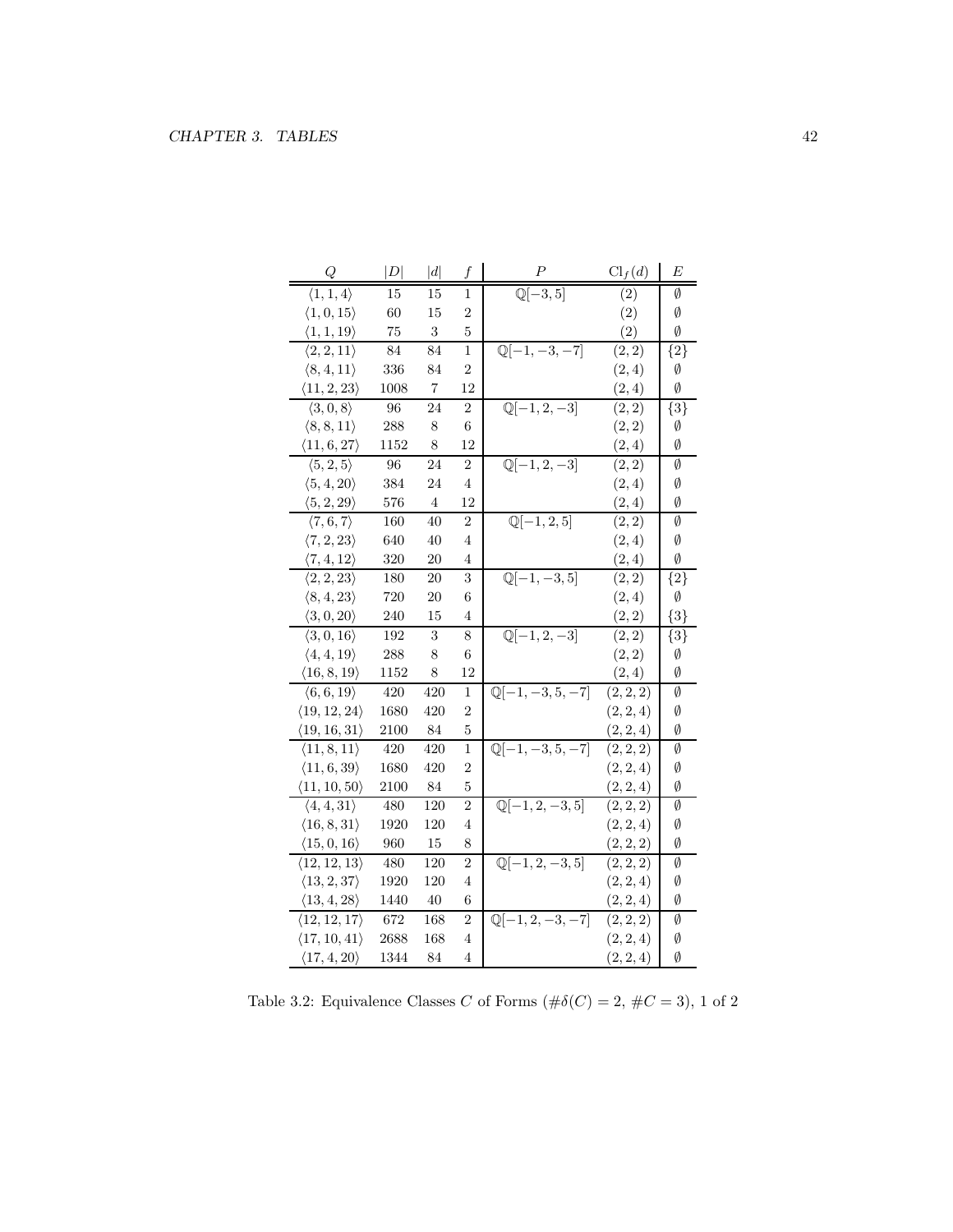| Q                            | $\left\vert D\right\vert$ | d   | f                | $\boldsymbol{P}$                       | $\mathrm{Cl}_f(d)$ | E           |
|------------------------------|---------------------------|-----|------------------|----------------------------------------|--------------------|-------------|
| $\langle 1, 1, 4 \rangle$    | 15                        | 15  | 1                | $\mathbb{Q}[-3,5]$                     | (2)                | Ø           |
| $\langle 1, 0, 15 \rangle$   | 60                        | 15  | $\overline{2}$   |                                        | (2)                | Ø           |
| $\langle 1, 1, 19 \rangle$   | 75                        | 3   | 5                |                                        | (2)                | Ø           |
| $\langle 2, 2, 11 \rangle$   | 84                        | 84  | $\mathbf 1$      | $\mathbb{Q}[-1, -3, -7]$               | (2, 2)             | ${2}$       |
| $\langle 8, 4, 11 \rangle$   | 336                       | 84  | $\overline{2}$   |                                        | (2,4)              | Ø           |
| $\langle 11, 2, 23 \rangle$  | 1008                      | 7   | 12               |                                        | (2, 4)             | Ø           |
| $\langle 3,0,8\rangle$       | 96                        | 24  | $\boldsymbol{2}$ | $\mathbb{Q}[-\overline{1,2,-3]}$       | (2, 2)             | ${3}$       |
| $\langle 8, 8, 11 \rangle$   | 288                       | 8   | 6                |                                        | (2, 2)             | Ø           |
| $\langle 11, 6, 27 \rangle$  | 1152                      | 8   | 12               |                                        | (2, 4)             | Ø           |
| $\langle 5, 2, 5 \rangle$    | 96                        | 24  | $\overline{2}$   | $\mathbb{Q}[-1,\overline{2,-3]}$       | (2, 2)             | Ø           |
| $\langle 5, 4, 20 \rangle$   | 384                       | 24  | 4                |                                        | (2,4)              | Ø           |
| $\langle 5, 2, 29 \rangle$   | 576                       | 4   | 12               |                                        | (2, 4)             | Ø           |
| $\langle 7,6,7\rangle$       | 160                       | 40  | 2                | $\mathbb{Q}[-1, 2, 5]$                 | (2, 2)             | Ø           |
| $\langle 7, 2, 23 \rangle$   | 640                       | 40  | 4                |                                        | (2,4)              | Ø           |
| $\langle 7,4,12 \rangle$     | $320\,$                   | 20  | 4                |                                        | (2, 4)             | Ø           |
| $\langle 2, 2, 23 \rangle$   | 180                       | 20  | 3                | $\mathbb{Q}[-1, -3, 5]$                | (2, 2)             | $\{2\}$     |
| $\langle 8, 4, 23 \rangle$   | 720                       | 20  | 6                |                                        | (2,4)              | Ø           |
| $\langle 3, 0, 20 \rangle$   | 240                       | 15  | 4                |                                        | (2, 2)             | ${3}$       |
| $\langle 3, 0, 16 \rangle$   | 192                       | 3   | 8                | $\mathbb{Q}[-1, 2, -3]$                | (2, 2)             | $\{3\}$     |
| $\langle 4, 4, 19 \rangle$   | 288                       | 8   | 6                |                                        | (2, 2)             | Ø           |
| $\langle 16, 8, 19 \rangle$  | 1152                      | 8   | 12               |                                        | (2, 4)             | Ø           |
| $\langle 6,6,19 \rangle$     | 420                       | 420 | 1                | $\mathbb{Q}[-1, -3, 5, -7]$            | (2, 2, 2)          | Ø           |
| $\langle 19, 12, 24 \rangle$ | 1680                      | 420 | 2                |                                        | (2, 2, 4)          | Ø           |
| $\langle 19, 16, 31 \rangle$ | 2100                      | 84  | 5                |                                        | (2, 2, 4)          | Ø           |
| $\langle 11, 8, 11 \rangle$  | 420                       | 420 | $\mathbf 1$      | $\overline{\mathbb{Q}[-1, -3, 5, -7]}$ | (2, 2, 2)          | $\emptyset$ |
| $\langle 11, 6, 39 \rangle$  | 1680                      | 420 | 2                |                                        | (2, 2, 4)          | Ø           |
| $\langle 11, 10, 50 \rangle$ | 2100                      | 84  | 5                |                                        | (2, 2, 4)          | Ø           |
| $\langle 4, 4, 31 \rangle$   | 480                       | 120 | $\overline{2}$   | $\mathbb{Q}[-1, 2, -3, 5]$             | (2, 2, 2)          | Ø           |
| $\langle 16, 8, 31 \rangle$  | 1920                      | 120 | 4                |                                        | (2, 2, 4)          | Ø           |
| $\langle 15, 0, 16 \rangle$  | 960                       | 15  | 8                |                                        | (2, 2, 2)          | Ø           |
| $\langle 12, 12, 13 \rangle$ | 480                       | 120 | 2                | $\mathbb{Q}[-1, 2, -3, 5]$             | (2, 2, 2)          | Ø           |
| $\langle 13, 2, 37 \rangle$  | 1920                      | 120 | 4                |                                        | (2, 2, 4)          | Ø           |
| $\langle 13, 4, 28 \rangle$  | 1440                      | 40  | 6                |                                        | (2, 2, 4)          | Ø           |
| $\langle 12, 12, 17 \rangle$ | $672\,$                   | 168 | $\overline{2}$   | $\mathbb{Q}[-1, 2, -3, -7]$            | (2, 2, 2)          | Ø           |
| $\langle 17, 10, 41 \rangle$ | 2688                      | 168 | $\overline{4}$   |                                        | (2, 2, 4)          | Ø           |
| $\langle 17, 4, 20 \rangle$  | 1344                      | 84  | $\overline{4}$   |                                        | (2, 2, 4)          | Ø           |

Table 3.2: Equivalence Classes C of Forms  $(\#\delta(C) = 2, \#C = 3)$ , 1 of 2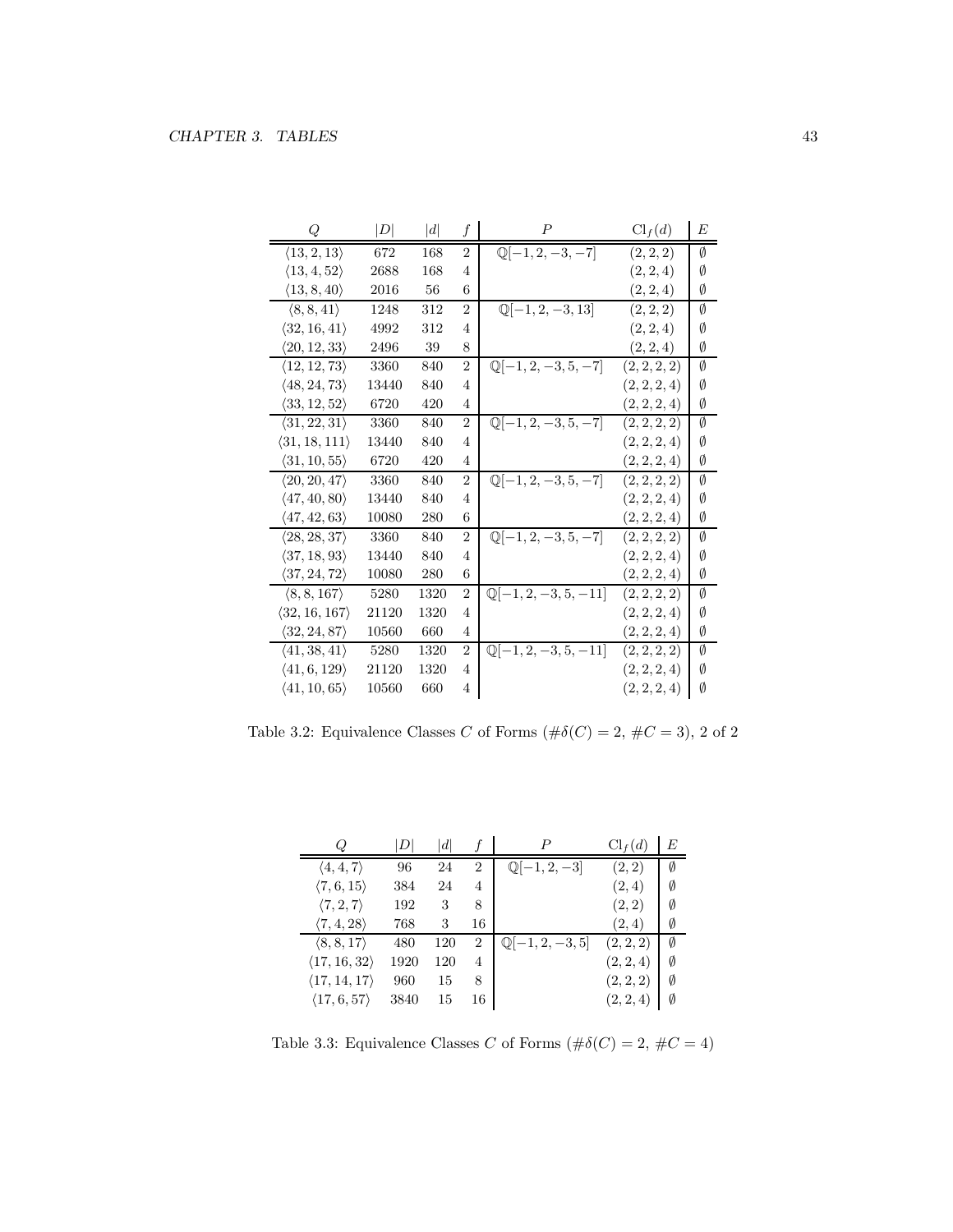| Q                             | D     | d    | f              | $\boldsymbol{P}$                | $\text{Cl}_f(d)$ | E |
|-------------------------------|-------|------|----------------|---------------------------------|------------------|---|
| $\langle 13, 2, 13 \rangle$   | 672   | 168  | $\overline{2}$ | $\mathbb{Q}[-1, 2, -3, -7]$     | (2, 2, 2)        | Ø |
| $\langle 13, 4, 52 \rangle$   | 2688  | 168  | $\overline{4}$ |                                 | (2, 2, 4)        | Ø |
| $\langle 13, 8, 40 \rangle$   | 2016  | 56   | 6              |                                 | (2, 2, 4)        | Ø |
| $\langle 8, 8, 41 \rangle$    | 1248  | 312  | $\overline{2}$ | $\mathbb{Q}[-1, 2, -3, 13]$     | (2, 2, 2)        | Ø |
| $\langle 32, 16, 41 \rangle$  | 4992  | 312  | $\overline{4}$ |                                 | (2, 2, 4)        | Ø |
| $\langle 20, 12, 33 \rangle$  | 2496  | 39   | 8              |                                 | (2, 2, 4)        | Ø |
| $\langle 12, 12, 73 \rangle$  | 3360  | 840  | $\overline{2}$ | $\mathbb{Q}[-1, 2, -3, 5, -7]$  | (2, 2, 2, 2)     | Ø |
| $\langle 48, 24, 73 \rangle$  | 13440 | 840  | $\overline{4}$ |                                 | (2, 2, 2, 4)     | Ø |
| $\langle 33, 12, 52 \rangle$  | 6720  | 420  | 4              |                                 | (2, 2, 2, 4)     | Ø |
| $\langle 31, 22, 31 \rangle$  | 3360  | 840  | $\overline{2}$ | $\mathbb{Q}[-1, 2, -3, 5, -7]$  | (2, 2, 2, 2)     | Ø |
| $\langle 31, 18, 111 \rangle$ | 13440 | 840  | 4              |                                 | (2, 2, 2, 4)     | Ø |
| $\langle 31, 10, 55 \rangle$  | 6720  | 420  | $\overline{4}$ |                                 | (2, 2, 2, 4)     | Ø |
| $\langle 20, 20, 47 \rangle$  | 3360  | 840  | $\overline{2}$ | $\mathbb{Q}[-1, 2, -3, 5, -7]$  | (2, 2, 2, 2)     | Ø |
| $\langle 47, 40, 80 \rangle$  | 13440 | 840  | $\overline{4}$ |                                 | (2, 2, 2, 4)     | Ø |
| $\langle 47, 42, 63 \rangle$  | 10080 | 280  | 6              |                                 | (2, 2, 2, 4)     | Ø |
| $\langle 28, 28, 37 \rangle$  | 3360  | 840  | $\overline{2}$ | $\mathbb{Q}[-1, 2, -3, 5, -7]$  | (2, 2, 2, 2)     | Ø |
| $\langle 37, 18, 93 \rangle$  | 13440 | 840  | $\overline{4}$ |                                 | (2, 2, 2, 4)     | Ø |
| $\langle 37, 24, 72 \rangle$  | 10080 | 280  | 6              |                                 | (2, 2, 2, 4)     | Ø |
| $\langle 8, 8, 167 \rangle$   | 5280  | 1320 | $\overline{2}$ | $\mathbb{Q}[-1, 2, -3, 5, -11]$ | (2, 2, 2, 2)     | Ø |
| $\langle 32, 16, 167 \rangle$ | 21120 | 1320 | 4              |                                 | (2, 2, 2, 4)     | Ø |
| $\langle 32, 24, 87 \rangle$  | 10560 | 660  | 4              |                                 | (2, 2, 2, 4)     | Ø |
| $\langle 41, 38, 41 \rangle$  | 5280  | 1320 | $\overline{2}$ | $\mathbb{Q}[-1, 2, -3, 5, -11]$ | (2, 2, 2, 2)     | Ø |
| $\langle 41, 6, 129 \rangle$  | 21120 | 1320 | 4              |                                 | (2, 2, 2, 4)     | Ø |
| $\langle 41, 10, 65 \rangle$  | 10560 | 660  | 4              |                                 | (2, 2, 2, 4)     | Ø |

Table 3.2: Equivalence Classes  $C$  of Forms  $(\#\delta(C)=2,\,\#C=3),\,2$  of  $2$ 

|                              | D    | d   |                | Р                          | Cl <sub>f</sub> (d) | E |
|------------------------------|------|-----|----------------|----------------------------|---------------------|---|
| $\langle 4, 4, 7 \rangle$    | 96   | 24  | $\overline{2}$ | $\mathbb{Q}[-1,2,-3]$      | (2,2)               | Ø |
| $\langle 7,6,15 \rangle$     | 384  | 24  | 4              |                            | (2,4)               | Ø |
| $\langle 7, 2, 7 \rangle$    | 192  | 3   | 8              |                            | (2, 2)              | Ø |
| $\langle 7, 4, 28 \rangle$   | 768  | 3   | 16             |                            | (2,4)               | Ø |
| $\langle 8, 8, 17 \rangle$   | 480  | 120 | $\overline{2}$ | $\mathbb{Q}[-1, 2, -3, 5]$ | (2, 2, 2)           | Ø |
| $\langle 17, 16, 32 \rangle$ | 1920 | 120 | 4              |                            | (2, 2, 4)           | Ø |
| $\langle 17, 14, 17 \rangle$ | 960  | 15  | 8              |                            | (2, 2, 2)           | Ø |
| $\langle 17, 6, 57 \rangle$  | 3840 | 15  | 16             |                            | (2, 2, 4)           | Ø |

Table 3.3: Equivalence Classes  $C$  of Forms  $(\#\delta(C)=2,\,\#C=4)$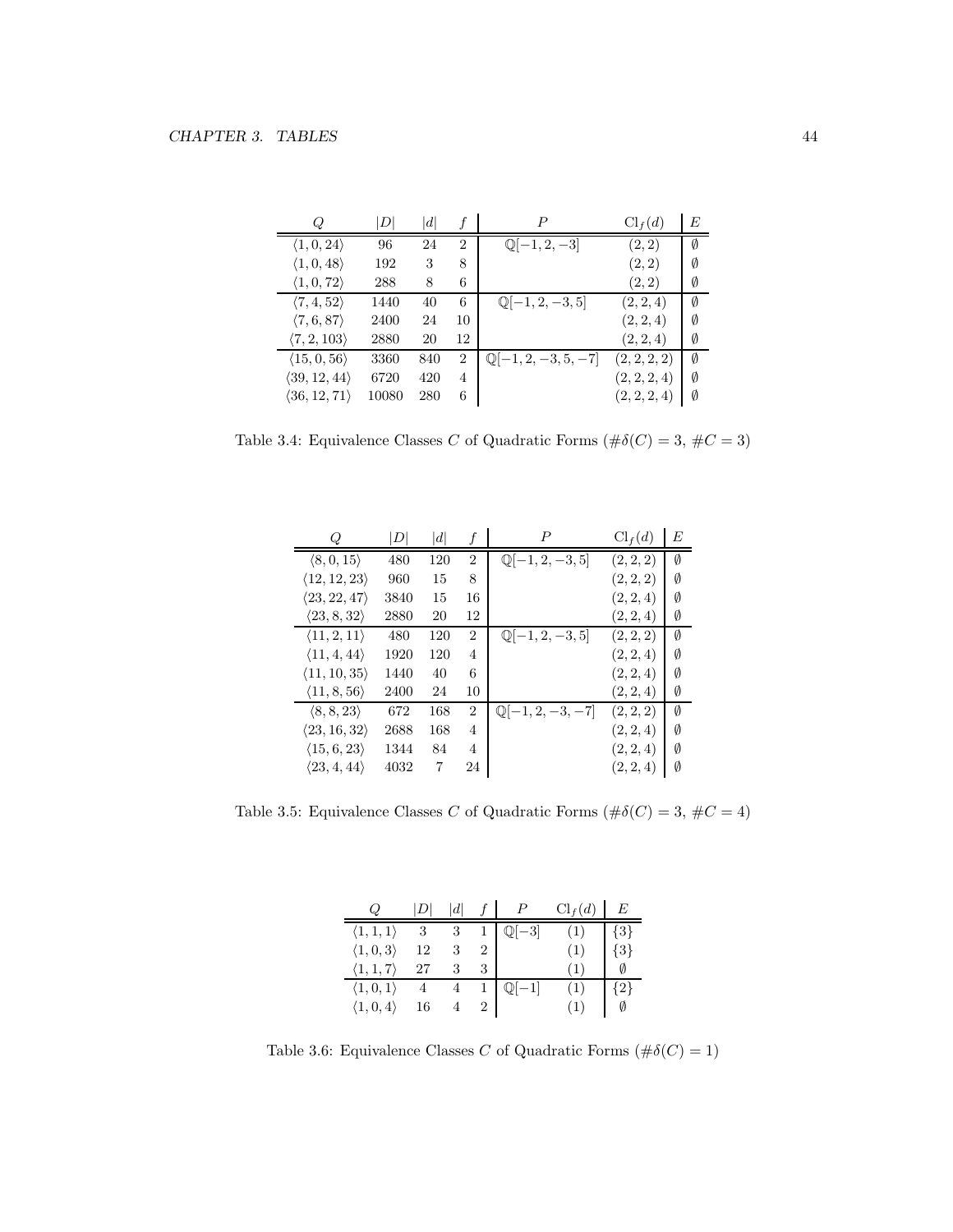| Q                            | $\boldsymbol{D}$ | $\left  d \right $ |                | P                              | $\mathrm{Cl}_f(d)$ | E |
|------------------------------|------------------|--------------------|----------------|--------------------------------|--------------------|---|
| $\langle 1, 0, 24 \rangle$   | 96               | 24                 | $\overline{2}$ | $\mathbb{Q}[-1, 2, -3]$        | (2, 2)             | Ø |
| $\langle 1, 0, 48 \rangle$   | 192              | 3                  | 8              |                                | (2, 2)             | Ø |
| $\langle 1, 0, 72 \rangle$   | 288              | 8                  | 6              |                                | (2, 2)             | Ø |
| $\langle 7, 4, 52 \rangle$   | 1440             | 40                 | 6              | $\mathbb{Q}[-1, 2, -3, 5]$     | (2, 2, 4)          | Ø |
| $\langle 7, 6, 87 \rangle$   | 2400             | 24                 | 10             |                                | (2, 2, 4)          | Ø |
| $\langle 7, 2, 103 \rangle$  | 2880             | 20                 | 12             |                                | (2, 2, 4)          | Ø |
| $\langle 15, 0, 56 \rangle$  | 3360             | 840                | 2              | $\mathbb{Q}[-1, 2, -3, 5, -7]$ | (2, 2, 2, 2)       | Ø |
| $\langle 39, 12, 44 \rangle$ | 6720             | 420                | 4              |                                | (2, 2, 2, 4)       | Ø |
| $\langle 36, 12, 71 \rangle$ | 10080            | 280                | 6              |                                | (2, 2, 2, 4)       | Ø |

Table 3.4: Equivalence Classes  $C$  of Quadratic Forms  $(\#\delta(C)=3,\, \#C=3)$ 

| Ω                            | D    | $\left  d \right $ |                | $\boldsymbol{P}$            | $Cl_f(d)$ | E |
|------------------------------|------|--------------------|----------------|-----------------------------|-----------|---|
| $\langle 8, 0, 15 \rangle$   | 480  | 120                | $\overline{2}$ | $\mathbb{Q}[-1, 2, -3, 5]$  | (2, 2, 2) | Ø |
| $\langle 12, 12, 23 \rangle$ | 960  | 15                 | 8              |                             | (2, 2, 2) | Ø |
| $\langle 23, 22, 47 \rangle$ | 3840 | 15                 | 16             |                             | (2, 2, 4) | Ø |
| $\langle 23, 8, 32 \rangle$  | 2880 | 20                 | 12             |                             | (2, 2, 4) | Ø |
| $\langle 11, 2, 11 \rangle$  | 480  | 120                | $\overline{2}$ | $\mathbb{Q}[-1, 2, -3, 5]$  | (2, 2, 2) | Ø |
| $\langle 11, 4, 44 \rangle$  | 1920 | 120                | 4              |                             | (2, 2, 4) | Ø |
| $\langle 11, 10, 35 \rangle$ | 1440 | 40                 | 6              |                             | (2, 2, 4) | Ø |
| $\langle 11, 8, 56 \rangle$  | 2400 | 24                 | 10             |                             | (2, 2, 4) | Ø |
| $\langle 8, 8, 23 \rangle$   | 672  | 168                | 2              | $\mathbb{Q}[-1, 2, -3, -7]$ | (2, 2, 2) | Ø |
| $\langle 23, 16, 32 \rangle$ | 2688 | 168                | 4              |                             | (2, 2, 4) | Ø |
| $\langle 15, 6, 23 \rangle$  | 1344 | 84                 | 4              |                             | (2, 2, 4) | Ø |
| $\langle 23, 4, 44 \rangle$  | 4032 | 7                  | 24             |                             | (2, 2, 4) | Ø |

Table 3.5: Equivalence Classes  $C$  of Quadratic Forms  $(\#\delta(C)=3,\,\#C=4)$ 

| Q                         |     | d |   |                  | $\mathrm{Cl}_f(d)$ | E       |
|---------------------------|-----|---|---|------------------|--------------------|---------|
| $\langle 1, 1, 1 \rangle$ | - 3 |   |   | $-3$             | (1)                | ${3}$   |
| $\langle 1, 0, 3 \rangle$ | 12  |   |   |                  | (1)                | ${3}$   |
| $\langle 1, 1, 7 \rangle$ | 27  | 3 | 3 |                  | (1)                | Ø       |
| $\langle 1,0,1\rangle$    |     |   |   | $\mathbb{Q}[-1]$ | (1)                | $\{2\}$ |
| $\langle 1, 0, 4 \rangle$ | 16  |   |   |                  | (1)                | Ø       |

Table 3.6: Equivalence Classes C of Quadratic Forms  $(\#\delta(C) = 1)$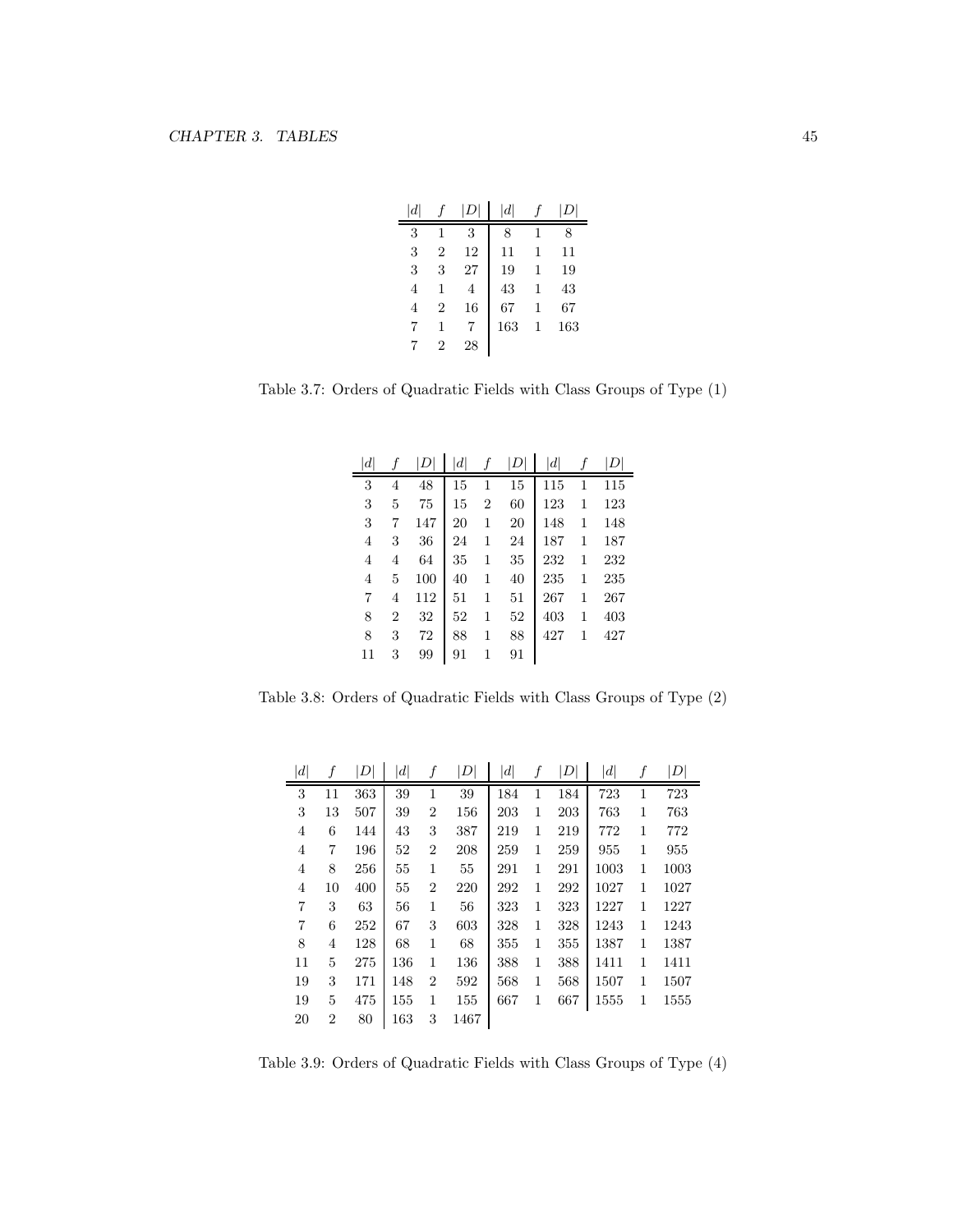| $\left  d \right $ |                |    | $\left  d \right $ |   | L   |
|--------------------|----------------|----|--------------------|---|-----|
| 3                  | 1              | 3  | 8                  | 1 | 8   |
| 3                  | $\overline{2}$ | 12 | 11                 | 1 | 11  |
| 3                  | 3              | 27 | 19                 | 1 | 19  |
| 4                  | 1              | 4  | 43                 | 1 | 43  |
| 4                  | $\overline{2}$ | 16 | 67                 | 1 | 67  |
| 7                  | 1              |    | 163                | 1 | 163 |
|                    | $\overline{2}$ | 28 |                    |   |     |

Table 3.7: Orders of Quadratic Fields with Class Groups of Type (1)

| $\left  d \right $ |                | $D^{\scriptscriptstyle \dagger}$ | $\left  d \right $ | f              | D  | $\left  d \right $ | f | D   |
|--------------------|----------------|----------------------------------|--------------------|----------------|----|--------------------|---|-----|
| 3                  | 4              | 48                               | 15                 | 1              | 15 | 115                | 1 | 115 |
| 3                  | 5              | 75                               | 15                 | $\overline{2}$ | 60 | 123                | 1 | 123 |
| 3                  | 7              | 147                              | 20                 | 1              | 20 | 148                | 1 | 148 |
| 4                  | 3              | 36                               | 24                 | 1              | 24 | 187                | 1 | 187 |
| 4                  | 4              | 64                               | 35                 | 1              | 35 | 232                | 1 | 232 |
| 4                  | 5              | 100                              | 40                 | 1              | 40 | 235                | 1 | 235 |
| 7                  | 4              | 112                              | 51                 | 1              | 51 | 267                | 1 | 267 |
| 8                  | $\overline{2}$ | 32                               | 52                 | 1              | 52 | 403                | 1 | 403 |
| 8                  | 3              | 72                               | 88                 | 1              | 88 | 427                | 1 | 427 |
| 11                 | 3              | 99                               | 91                 | 1              | 91 |                    |   |     |

Table 3.8: Orders of Quadratic Fields with Class Groups of Type (2)

| $\left  d \right $ | f              | $\left  D \right $ | $\left  d \right $ |                | D    | $\left  d \right $ |   | D   | $\left  d \right $ | f            | $\left\vert D\right\vert$ |
|--------------------|----------------|--------------------|--------------------|----------------|------|--------------------|---|-----|--------------------|--------------|---------------------------|
| 3                  | 11             | 363                | 39                 | 1              | 39   | 184                | 1 | 184 | 723                | 1            | 723                       |
| 3                  | 13             | 507                | 39                 | $\overline{2}$ | 156  | 203                | 1 | 203 | 763                | 1            | 763                       |
| 4                  | 6              | 144                | 43                 | 3              | 387  | 219                | 1 | 219 | 772                | $\mathbf{1}$ | 772                       |
| $\overline{4}$     | 7              | 196                | 52                 | $\overline{2}$ | 208  | 259                | 1 | 259 | 955                | 1            | 955                       |
| $\overline{4}$     | 8              | 256                | 55                 | 1              | 55   | 291                | 1 | 291 | 1003               | 1            | 1003                      |
| $\overline{4}$     | 10             | 400                | 55                 | $\overline{2}$ | 220  | 292                | 1 | 292 | 1027               | 1            | 1027                      |
| 7                  | 3              | 63                 | 56                 | 1              | 56   | 323                | 1 | 323 | 1227               | 1            | 1227                      |
| 7                  | 6              | 252                | 67                 | 3              | 603  | 328                | 1 | 328 | 1243               | 1            | 1243                      |
| 8                  | 4              | 128                | 68                 | 1              | 68   | 355                | 1 | 355 | 1387               | 1            | 1387                      |
| 11                 | 5              | 275                | 136                | 1              | 136  | 388                | 1 | 388 | 1411               | 1            | 1411                      |
| 19                 | 3              | 171                | 148                | $\overline{2}$ | 592  | 568                | 1 | 568 | 1507               | 1            | 1507                      |
| 19                 | 5              | 475                | 155                | 1              | 155  | 667                | 1 | 667 | 1555               | 1            | 1555                      |
| 20                 | $\overline{2}$ | 80                 | 163                | 3              | 1467 |                    |   |     |                    |              |                           |

Table 3.9: Orders of Quadratic Fields with Class Groups of Type (4)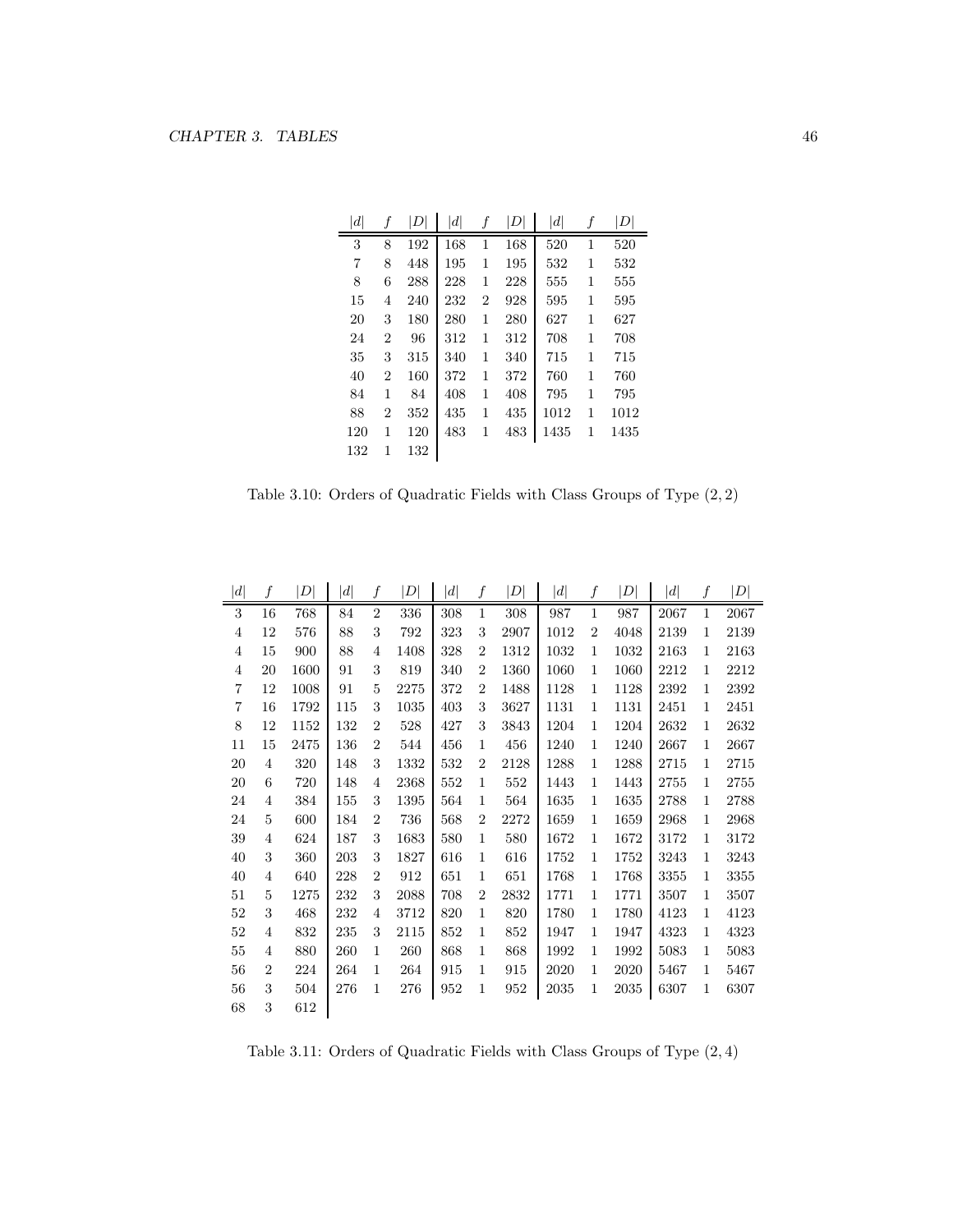| d   | f              | D   | $\left  d \right $ | f              | D   | $\left  d \right $ | f | D    |
|-----|----------------|-----|--------------------|----------------|-----|--------------------|---|------|
| 3   | 8              | 192 | 168                | 1              | 168 | 520                | 1 | 520  |
| 7   | 8              | 448 | 195                | 1              | 195 | 532                | 1 | 532  |
| 8   | 6              | 288 | 228                | 1              | 228 | 555                | 1 | 555  |
| 15  | 4              | 240 | 232                | $\overline{2}$ | 928 | 595                | 1 | 595  |
| 20  | 3              | 180 | 280                | 1              | 280 | 627                | 1 | 627  |
| 24  | $\overline{2}$ | 96  | 312                | 1              | 312 | 708                | 1 | 708  |
| 35  | 3              | 315 | 340                | 1              | 340 | 715                | 1 | 715  |
| 40  | $\overline{2}$ | 160 | 372                | 1              | 372 | 760                | 1 | 760  |
| 84  | 1              | 84  | 408                | 1              | 408 | 795                | 1 | 795  |
| 88  | $\overline{2}$ | 352 | 435                | 1              | 435 | 1012               | 1 | 1012 |
| 120 | 1              | 120 | 483                | 1              | 483 | 1435               | 1 | 1435 |
| 132 | 1              | 132 |                    |                |     |                    |   |      |

Table 3.10: Orders of Quadratic Fields with Class Groups of Type (2, 2)

| d              | f              | D    | $\left  d \right $ | f              | $\vert D \vert$ | d   | f              | $\left D\right $ | $\left  d \right $ | $\boldsymbol{f}$ | $\left  D \right $ | $\left  d \right $ | f            | D    |
|----------------|----------------|------|--------------------|----------------|-----------------|-----|----------------|------------------|--------------------|------------------|--------------------|--------------------|--------------|------|
| 3              | 16             | 768  | 84                 | $\overline{2}$ | 336             | 308 | $\mathbf{1}$   | 308              | 987                | $\mathbf{1}$     | 987                | 2067               | $\mathbf{1}$ | 2067 |
| $\overline{4}$ | 12             | 576  | 88                 | 3              | 792             | 323 | 3              | 2907             | 1012               | $\overline{2}$   | 4048               | 2139               | 1            | 2139 |
| $\overline{4}$ | 15             | 900  | 88                 | 4              | 1408            | 328 | $\overline{2}$ | 1312             | 1032               | 1                | 1032               | 2163               | 1            | 2163 |
| $\overline{4}$ | 20             | 1600 | 91                 | 3              | 819             | 340 | $\overline{2}$ | 1360             | 1060               | 1                | 1060               | 2212               | $\mathbf{1}$ | 2212 |
| $\overline{7}$ | 12             | 1008 | 91                 | 5              | 2275            | 372 | $\overline{2}$ | 1488             | 1128               | 1                | 1128               | 2392               | 1            | 2392 |
| $\overline{7}$ | 16             | 1792 | 115                | 3              | 1035            | 403 | 3              | 3627             | 1131               | 1                | 1131               | 2451               | 1            | 2451 |
| 8              | 12             | 1152 | 132                | $\overline{2}$ | 528             | 427 | 3              | 3843             | 1204               | 1                | 1204               | 2632               | $\mathbf{1}$ | 2632 |
| 11             | 15             | 2475 | 136                | $\overline{2}$ | 544             | 456 | $\mathbf{1}$   | 456              | 1240               | 1                | 1240               | 2667               | 1            | 2667 |
| 20             | 4              | 320  | 148                | 3              | 1332            | 532 | $\overline{2}$ | 2128             | 1288               | 1                | 1288               | 2715               | $\mathbf{1}$ | 2715 |
| 20             | 6              | 720  | 148                | 4              | 2368            | 552 | 1              | 552              | 1443               | 1                | 1443               | 2755               | 1            | 2755 |
| 24             | 4              | 384  | 155                | 3              | 1395            | 564 | 1              | 564              | 1635               | 1                | 1635               | 2788               | 1            | 2788 |
| 24             | 5              | 600  | 184                | $\overline{2}$ | 736             | 568 | $\overline{2}$ | 2272             | 1659               | 1                | 1659               | 2968               | $\mathbf{1}$ | 2968 |
| 39             | 4              | 624  | 187                | 3              | 1683            | 580 | $\mathbf{1}$   | 580              | 1672               | 1                | 1672               | 3172               | 1            | 3172 |
| 40             | 3              | 360  | 203                | 3              | 1827            | 616 | $\mathbf 1$    | 616              | 1752               | $\mathbf 1$      | 1752               | 3243               | $\mathbf{1}$ | 3243 |
| 40             | 4              | 640  | 228                | $\overline{2}$ | 912             | 651 | 1              | 651              | 1768               | 1                | 1768               | 3355               | 1            | 3355 |
| 51             | 5              | 1275 | 232                | 3              | 2088            | 708 | $\overline{2}$ | 2832             | 1771               | 1                | 1771               | 3507               | 1            | 3507 |
| 52             | 3              | 468  | 232                | 4              | 3712            | 820 | 1              | 820              | 1780               | $\mathbf{1}$     | 1780               | 4123               | $\mathbf{1}$ | 4123 |
| $52\,$         | 4              | 832  | 235                | 3              | 2115            | 852 | 1              | 852              | 1947               | 1                | 1947               | 4323               | 1            | 4323 |
| 55             | 4              | 880  | 260                | $\mathbf 1$    | 260             | 868 | 1              | 868              | 1992               | 1                | 1992               | 5083               | 1            | 5083 |
| 56             | $\overline{2}$ | 224  | 264                | 1              | 264             | 915 | 1              | 915              | 2020               | 1                | 2020               | 5467               | 1            | 5467 |
| 56             | 3              | 504  | 276                | 1              | 276             | 952 | 1              | 952              | 2035               | 1                | 2035               | 6307               | $\mathbf{1}$ | 6307 |
| 68             | 3              | 612  |                    |                |                 |     |                |                  |                    |                  |                    |                    |              |      |

Table 3.11: Orders of Quadratic Fields with Class Groups of Type (2, 4)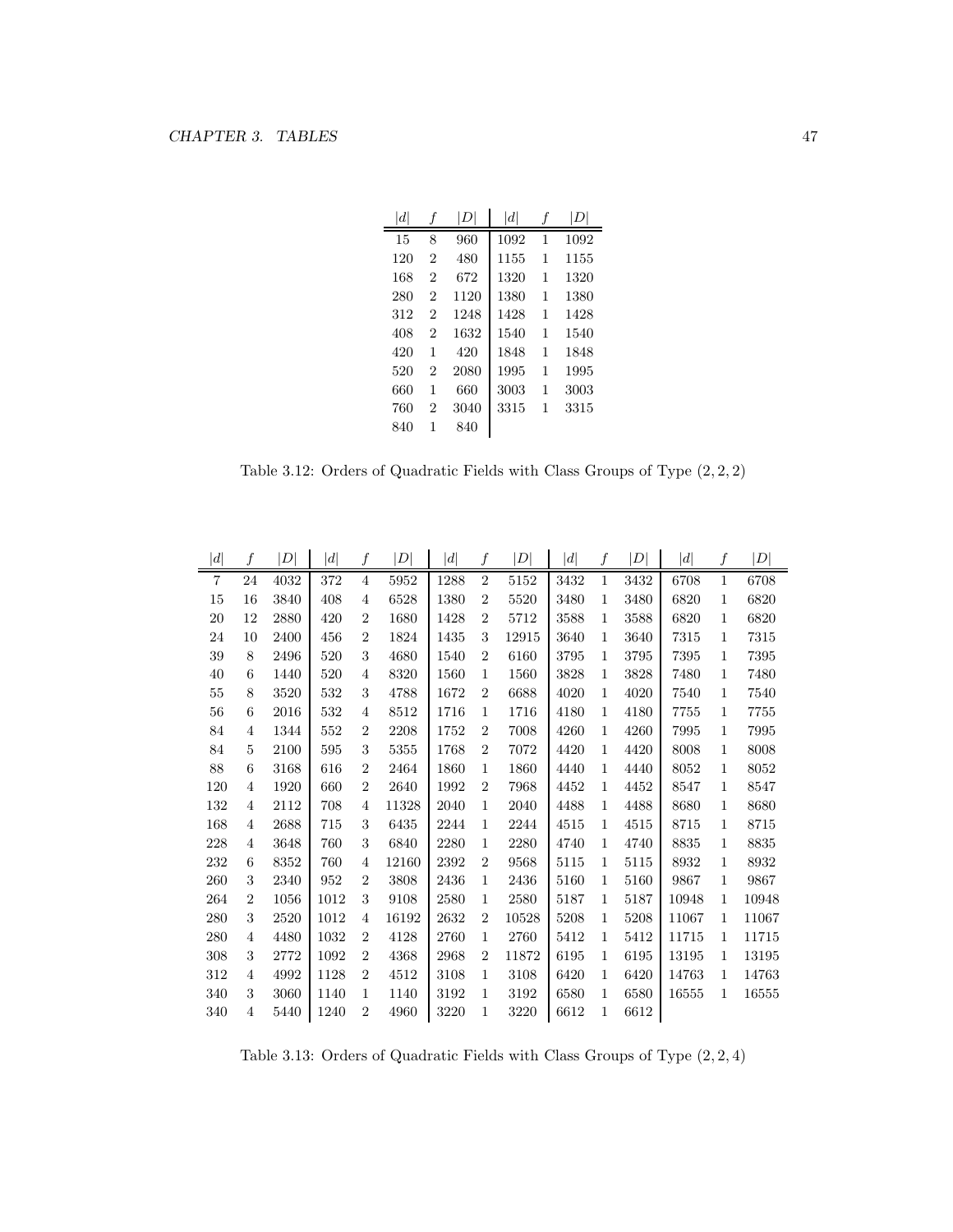| $\left  d \right $ | 1              | D    | $\left  d \right $ | 1 |      |
|--------------------|----------------|------|--------------------|---|------|
| 15                 | 8              | 960  | 1092               | 1 | 1092 |
| 120                | $\overline{2}$ | 480  | 1155               | 1 | 1155 |
| 168                | $\overline{2}$ | 672  | 1320               | 1 | 1320 |
| 280                | $\overline{2}$ | 1120 | 1380               | 1 | 1380 |
| 312                | $\overline{2}$ | 1248 | 1428               | 1 | 1428 |
| 408                | $\mathfrak{D}$ | 1632 | 1540               | 1 | 1540 |
| 420                | 1              | 420  | 1848               | 1 | 1848 |
| 520                | $\overline{2}$ | 2080 | 1995               | 1 | 1995 |
| 660                | 1              | 660  | 3003               | 1 | 3003 |
| 760                | 2              | 3040 | 3315               | 1 | 3315 |
| 840                | 1              | 840  |                    |   |      |
|                    |                |      |                    |   |      |

Table 3.12: Orders of Quadratic Fields with Class Groups of Type (2, 2, 2)

| d              | f              | $\overline{D}$ | $\left  d \right $ | f              | $\vert D \vert$ | $\left d\right $ | f              | $\vert D \vert$ | $\left  d \right $ | f            | $\vert D \vert$ | d     | f            | $\left  D\right $ |
|----------------|----------------|----------------|--------------------|----------------|-----------------|------------------|----------------|-----------------|--------------------|--------------|-----------------|-------|--------------|-------------------|
| $\overline{7}$ | 24             | 4032           | 372                | 4              | 5952            | 1288             | $\overline{2}$ | 5152            | 3432               | 1            | 3432            | 6708  | 1            | 6708              |
| 15             | 16             | 3840           | 408                | 4              | 6528            | 1380             | $\overline{2}$ | 5520            | 3480               | 1            | 3480            | 6820  | 1            | 6820              |
| 20             | 12             | 2880           | 420                | $\overline{2}$ | 1680            | 1428             | $\overline{2}$ | 5712            | 3588               | 1            | 3588            | 6820  | 1            | 6820              |
| 24             | 10             | 2400           | 456                | $\overline{2}$ | 1824            | 1435             | 3              | 12915           | 3640               | 1            | 3640            | 7315  | 1            | 7315              |
| 39             | 8              | 2496           | 520                | 3              | 4680            | 1540             | $\overline{2}$ | 6160            | 3795               | $\mathbf{1}$ | 3795            | 7395  | 1            | 7395              |
| 40             | 6              | 1440           | 520                | $\overline{4}$ | 8320            | 1560             | 1              | 1560            | 3828               | $\mathbf{1}$ | 3828            | 7480  | $\mathbf{1}$ | 7480              |
| 55             | 8              | 3520           | 532                | 3              | 4788            | 1672             | $\overline{2}$ | 6688            | 4020               | 1            | 4020            | 7540  | 1            | 7540              |
| 56             | 6              | 2016           | 532                | 4              | 8512            | 1716             | 1              | 1716            | 4180               | 1            | 4180            | 7755  | 1            | 7755              |
| 84             | 4              | 1344           | 552                | $\overline{2}$ | 2208            | 1752             | $\overline{2}$ | 7008            | 4260               | $\mathbf{1}$ | 4260            | 7995  | $\mathbf{1}$ | 7995              |
| 84             | 5              | 2100           | 595                | 3              | 5355            | 1768             | $\overline{2}$ | 7072            | 4420               | $\mathbf{1}$ | 4420            | 8008  | $\mathbf{1}$ | 8008              |
| 88             | 6              | 3168           | 616                | $\overline{2}$ | 2464            | 1860             | 1              | 1860            | 4440               | $\mathbf{1}$ | 4440            | 8052  | 1            | 8052              |
| 120            | 4              | 1920           | 660                | $\overline{2}$ | 2640            | 1992             | $\overline{2}$ | 7968            | 4452               | $\mathbf{1}$ | 4452            | 8547  | 1            | 8547              |
| 132            | 4              | 2112           | 708                | 4              | 11328           | 2040             | $\mathbf{1}$   | 2040            | 4488               | $\mathbf{1}$ | 4488            | 8680  | $\mathbf{1}$ | 8680              |
| 168            | 4              | 2688           | 715                | 3              | 6435            | 2244             | 1              | 2244            | 4515               | $\mathbf{1}$ | 4515            | 8715  | $\mathbf{1}$ | 8715              |
| 228            | 4              | 3648           | 760                | 3              | 6840            | 2280             | 1              | 2280            | 4740               | $\mathbf{1}$ | 4740            | 8835  | $\mathbf{1}$ | 8835              |
| 232            | 6              | 8352           | 760                | 4              | 12160           | 2392             | $\overline{2}$ | 9568            | 5115               | $\mathbf{1}$ | 5115            | 8932  | $\mathbf{1}$ | 8932              |
| 260            | 3              | 2340           | 952                | $\overline{2}$ | 3808            | 2436             | 1              | 2436            | 5160               | 1            | 5160            | 9867  | $\mathbf{1}$ | 9867              |
| 264            | $\overline{2}$ | 1056           | 1012               | 3              | 9108            | 2580             | 1              | 2580            | 5187               | 1            | 5187            | 10948 | 1            | 10948             |
| 280            | 3              | 2520           | 1012               | 4              | 16192           | 2632             | $\overline{2}$ | 10528           | 5208               | 1            | 5208            | 11067 | 1            | 11067             |
| 280            | 4              | 4480           | 1032               | $\overline{2}$ | 4128            | 2760             | 1              | 2760            | 5412               | 1            | 5412            | 11715 | 1            | 11715             |
| 308            | 3              | 2772           | 1092               | $\overline{2}$ | 4368            | 2968             | $\overline{2}$ | 11872           | 6195               | $\mathbf{1}$ | 6195            | 13195 | 1            | 13195             |
| 312            | 4              | 4992           | 1128               | $\overline{2}$ | 4512            | 3108             | 1              | 3108            | 6420               | 1            | 6420            | 14763 | 1            | 14763             |
| 340            | 3              | 3060           | 1140               | 1              | 1140            | 3192             | 1              | 3192            | 6580               | 1            | 6580            | 16555 | 1            | 16555             |
| 340            | 4              | 5440           | 1240               | $\overline{2}$ | 4960            | 3220             | 1              | 3220            | 6612               | 1            | 6612            |       |              |                   |

Table 3.13: Orders of Quadratic Fields with Class Groups of Type (2, 2, 4)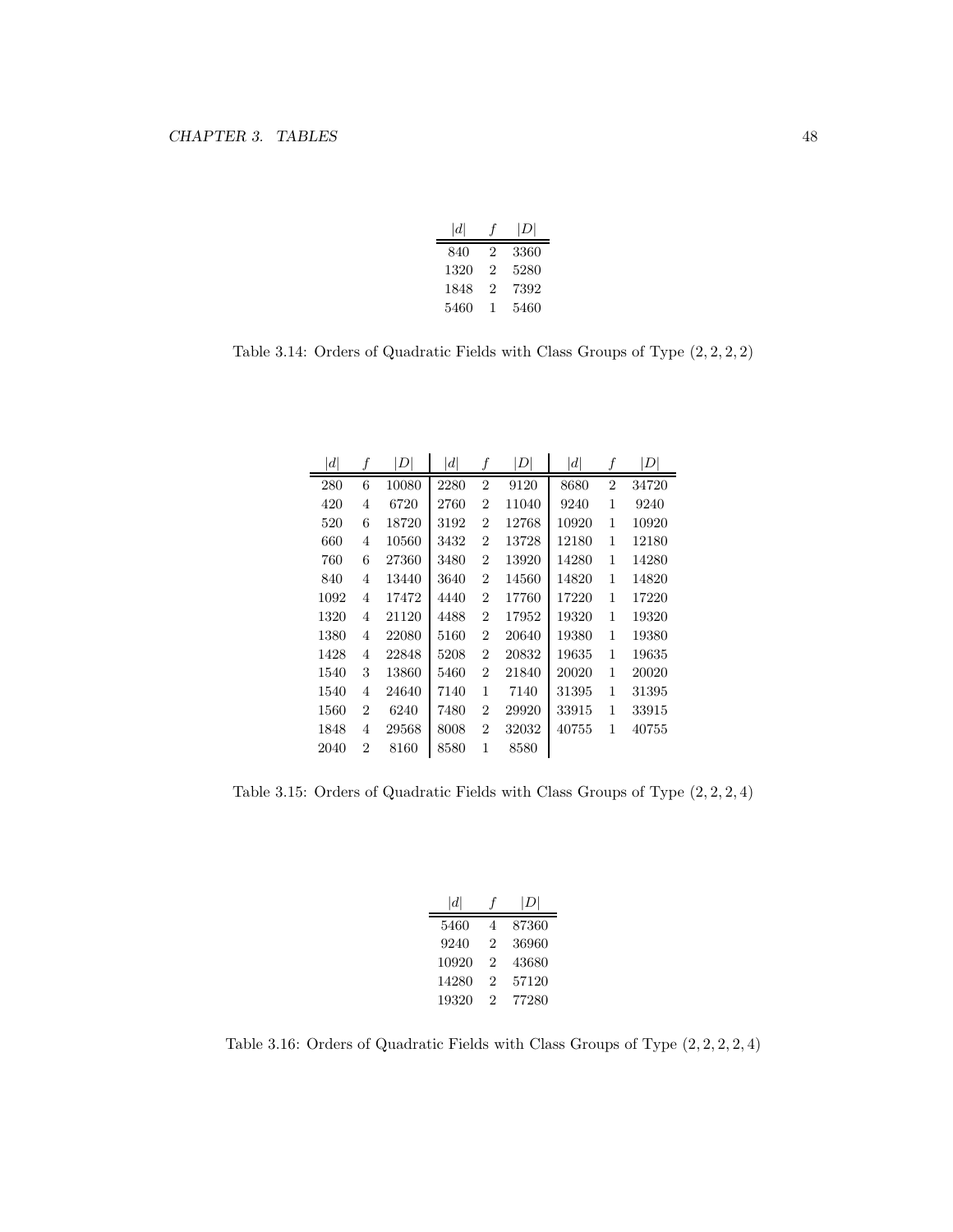| d    |   | D <sub>1</sub> |
|------|---|----------------|
| 840  | 2 | 3360           |
| 1320 | 2 | 5280           |
| 1848 | 2 | 7392           |
| 5460 | 1 | 5460           |

Table 3.14: Orders of Quadratic Fields with Class Groups of Type (2, 2, 2, 2)

| d    | f              | $\left  D \right $ | $\left  d \right $ | f              | DI    | d     | $\boldsymbol{f}$ | $\left  D \right $ |
|------|----------------|--------------------|--------------------|----------------|-------|-------|------------------|--------------------|
| 280  | 6              | 10080              | 2280               | $\overline{2}$ | 9120  | 8680  | $\overline{2}$   | 34720              |
| 420  | 4              | 6720               | 2760               | $\overline{2}$ | 11040 | 9240  | 1                | 9240               |
| 520  | 6              | 18720              | 3192               | $\overline{2}$ | 12768 | 10920 | 1                | 10920              |
| 660  | 4              | 10560              | 3432               | $\overline{2}$ | 13728 | 12180 | 1                | 12180              |
| 760  | 6              | 27360              | 3480               | $\overline{2}$ | 13920 | 14280 | 1                | 14280              |
| 840  | 4              | 13440              | 3640               | $\overline{2}$ | 14560 | 14820 | 1                | 14820              |
| 1092 | 4              | 17472              | 4440               | $\overline{2}$ | 17760 | 17220 | 1                | 17220              |
| 1320 | 4              | 21120              | 4488               | $\overline{2}$ | 17952 | 19320 | 1                | 19320              |
| 1380 | 4              | 22080              | 5160               | $\overline{2}$ | 20640 | 19380 | 1                | 19380              |
| 1428 | 4              | 22848              | 5208               | $\overline{2}$ | 20832 | 19635 | 1                | 19635              |
| 1540 | 3              | 13860              | 5460               | $\overline{2}$ | 21840 | 20020 | 1                | 20020              |
| 1540 | 4              | 24640              | 7140               | 1              | 7140  | 31395 | 1                | 31395              |
| 1560 | $\overline{2}$ | 6240               | 7480               | $\overline{2}$ | 29920 | 33915 | 1                | 33915              |
| 1848 | 4              | 29568              | 8008               | $\overline{2}$ | 32032 | 40755 | 1                | 40755              |
| 2040 | 2              | 8160               | 8580               | 1              | 8580  |       |                  |                    |

Table 3.15: Orders of Quadratic Fields with Class Groups of Type (2, 2, 2, 4)

| $\left  d \right $ |   | D     |
|--------------------|---|-------|
| 5460               | 4 | 87360 |
| 9240               | 2 | 36960 |
| 10920              | 2 | 43680 |
| 14280              | 2 | 57120 |
| 19320              | 2 | 77280 |

Table 3.16: Orders of Quadratic Fields with Class Groups of Type (2, 2, 2, 2, 4)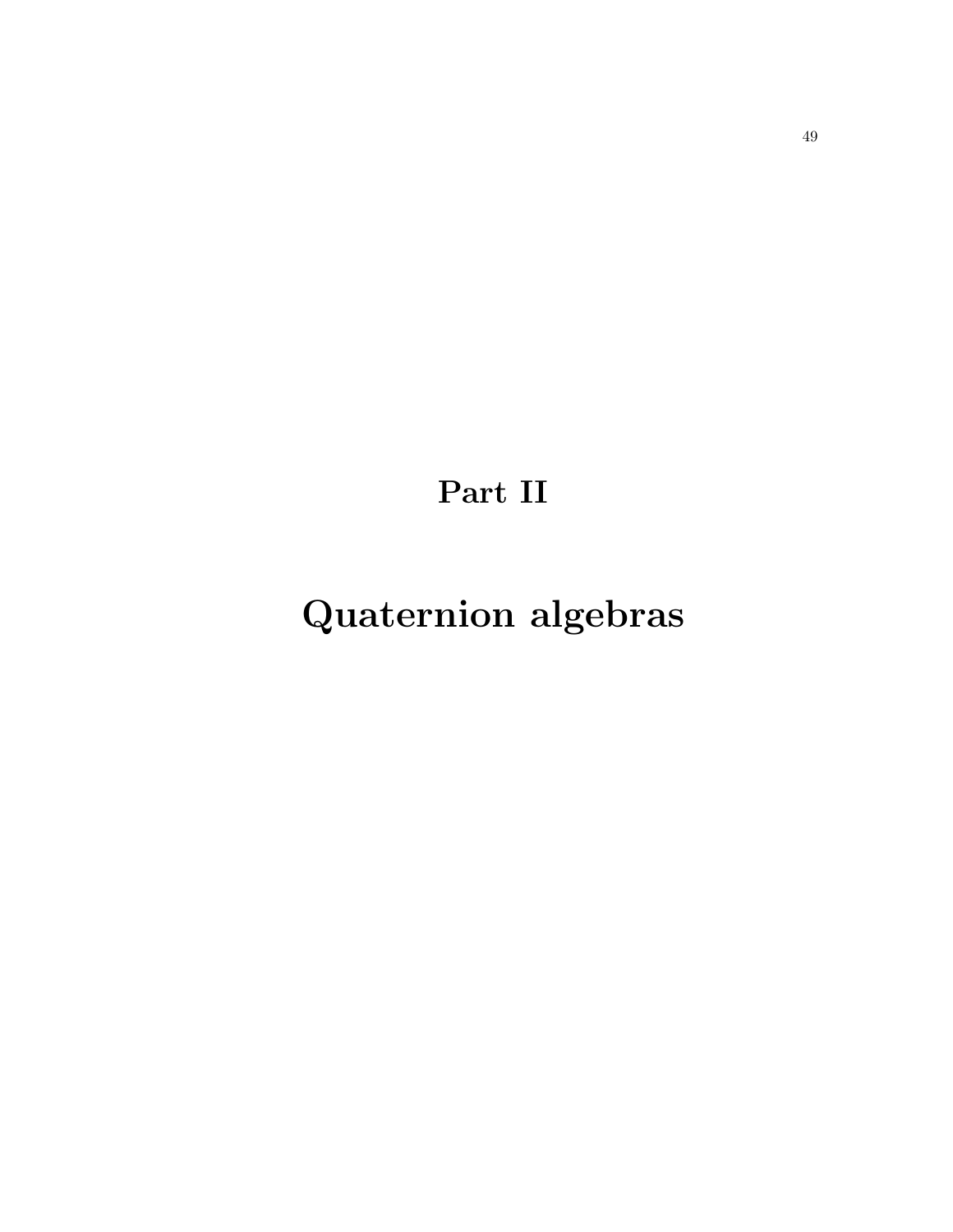Part II

Quaternion algebras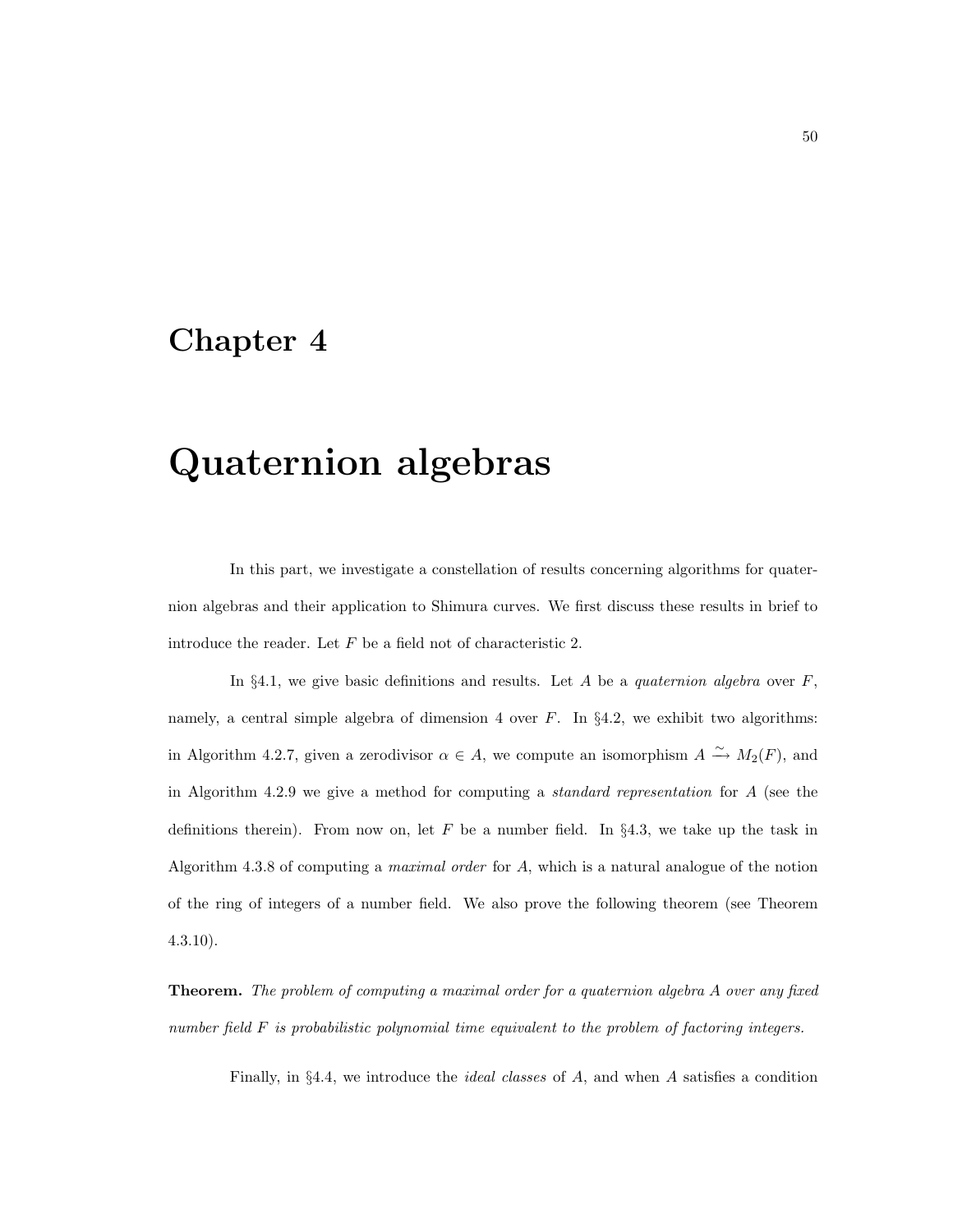### Chapter 4

# Quaternion algebras

In this part, we investigate a constellation of results concerning algorithms for quaternion algebras and their application to Shimura curves. We first discuss these results in brief to introduce the reader. Let F be a field not of characteristic 2.

In §4.1, we give basic definitions and results. Let A be a *quaternion algebra* over  $F$ , namely, a central simple algebra of dimension 4 over  $F$ . In §4.2, we exhibit two algorithms: in Algorithm 4.2.7, given a zerodivisor  $\alpha \in A$ , we compute an isomorphism  $A \xrightarrow{\sim} M_2(F)$ , and in Algorithm 4.2.9 we give a method for computing a standard representation for A (see the definitions therein). From now on, let F be a number field. In  $\S 4.3$ , we take up the task in Algorithm 4.3.8 of computing a maximal order for A, which is a natural analogue of the notion of the ring of integers of a number field. We also prove the following theorem (see Theorem 4.3.10).

Theorem. The problem of computing a maximal order for a quaternion algebra A over any fixed number field F is probabilistic polynomial time equivalent to the problem of factoring integers.

Finally, in §4.4, we introduce the ideal classes of A, and when A satisfies a condition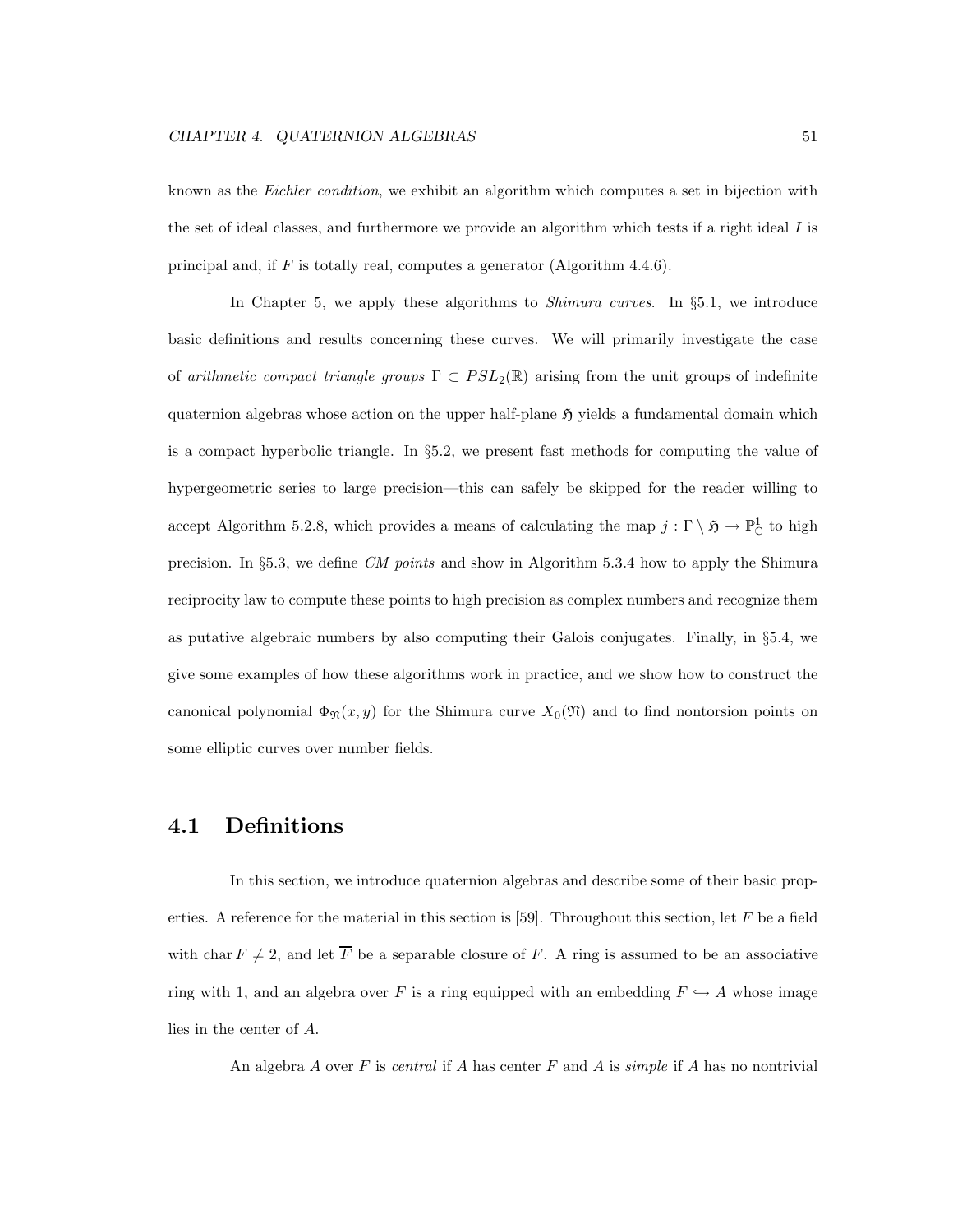known as the *Eichler condition*, we exhibit an algorithm which computes a set in bijection with the set of ideal classes, and furthermore we provide an algorithm which tests if a right ideal  $I$  is principal and, if  $F$  is totally real, computes a generator (Algorithm 4.4.6).

In Chapter 5, we apply these algorithms to *Shimura curves*. In §5.1, we introduce basic definitions and results concerning these curves. We will primarily investigate the case of arithmetic compact triangle groups  $\Gamma \subset PSL_2(\mathbb{R})$  arising from the unit groups of indefinite quaternion algebras whose action on the upper half-plane  $\mathfrak{H}$  yields a fundamental domain which is a compact hyperbolic triangle. In §5.2, we present fast methods for computing the value of hypergeometric series to large precision—this can safely be skipped for the reader willing to accept Algorithm 5.2.8, which provides a means of calculating the map  $j: \Gamma \setminus \mathfrak{H} \to \mathbb{P}^1_{\mathbb{C}}$  to high precision. In §5.3, we define CM points and show in Algorithm 5.3.4 how to apply the Shimura reciprocity law to compute these points to high precision as complex numbers and recognize them as putative algebraic numbers by also computing their Galois conjugates. Finally, in §5.4, we give some examples of how these algorithms work in practice, and we show how to construct the canonical polynomial  $\Phi_{\mathfrak{N}}(x, y)$  for the Shimura curve  $X_0(\mathfrak{N})$  and to find nontorsion points on some elliptic curves over number fields.

### 4.1 Definitions

In this section, we introduce quaternion algebras and describe some of their basic properties. A reference for the material in this section is [59]. Throughout this section, let  $F$  be a field with char  $F \neq 2$ , and let  $\overline{F}$  be a separable closure of F. A ring is assumed to be an associative ring with 1, and an algebra over F is a ring equipped with an embedding  $F \hookrightarrow A$  whose image lies in the center of A.

An algebra A over F is central if A has center F and A is simple if A has no nontrivial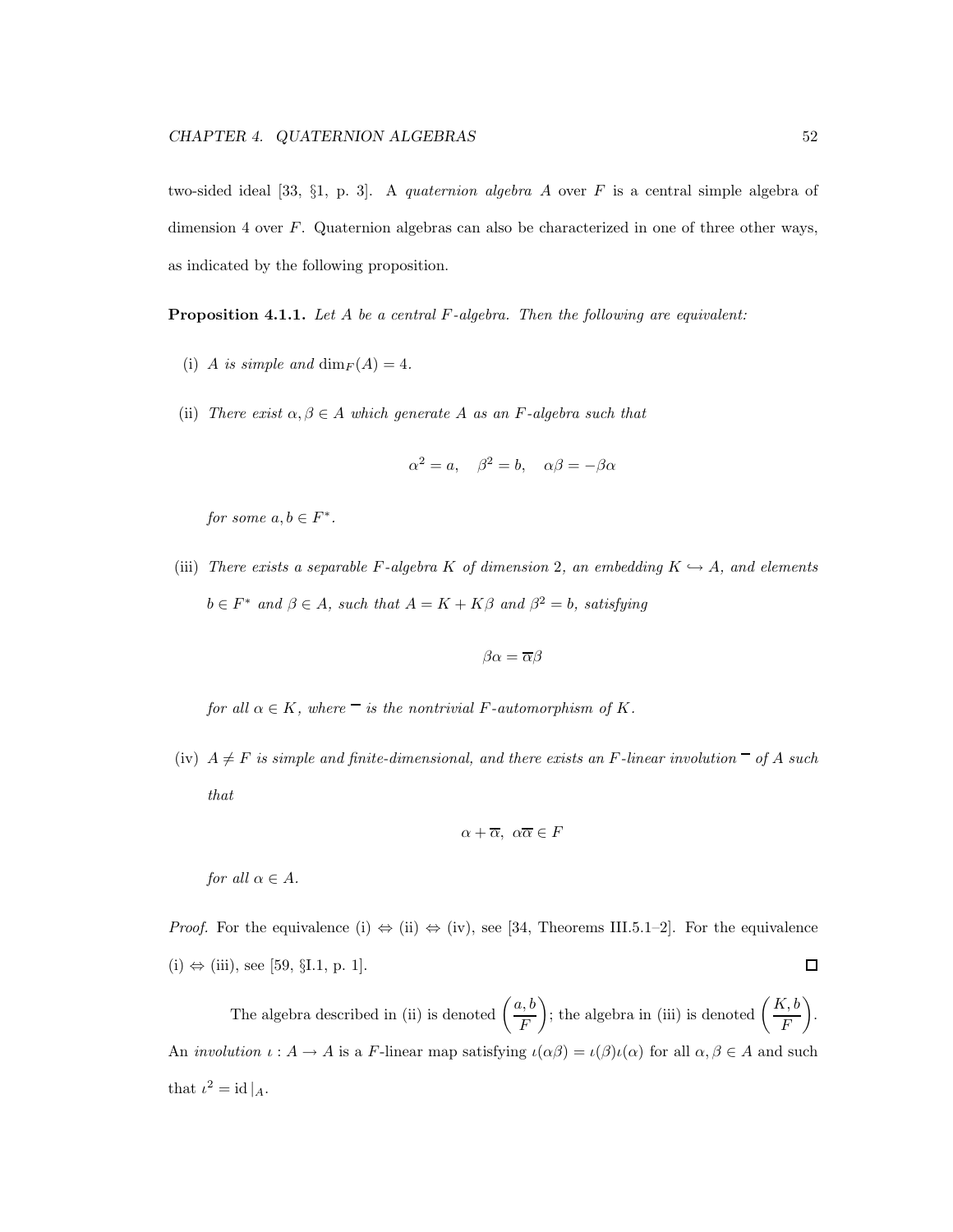two-sided ideal [33,  $\S1$ , p. 3]. A *quaternion algebra A* over F is a central simple algebra of dimension 4 over F. Quaternion algebras can also be characterized in one of three other ways, as indicated by the following proposition.

**Proposition 4.1.1.** Let  $A$  be a central  $F$ -algebra. Then the following are equivalent:

- (i) A is simple and  $\dim_F(A) = 4$ .
- (ii) There exist  $\alpha, \beta \in A$  which generate A as an F-algebra such that

$$
\alpha^2 = a, \quad \beta^2 = b, \quad \alpha\beta = -\beta\alpha
$$

for some  $a, b \in F^*$ .

(iii) There exists a separable F-algebra K of dimension 2, an embedding  $K \hookrightarrow A$ , and elements  $b \in F^*$  and  $\beta \in A$ , such that  $A = K + K\beta$  and  $\beta^2 = b$ , satisfying

$$
\beta\alpha=\overline{\alpha}\beta
$$

for all  $\alpha \in K$ , where  $\overline{\phantom{a}}$  is the nontrivial F-automorphism of K.

(iv)  $A \neq F$  is simple and finite-dimensional, and there exists an F-linear involution  $\overline{\phantom{a}}$  of A such that

$$
\alpha + \overline{\alpha}, \ \alpha \overline{\alpha} \in F
$$

for all  $\alpha \in A$ .

*Proof.* For the equivalence (i)  $\Leftrightarrow$  (ii)  $\Leftrightarrow$  (iv), see [34, Theorems III.5.1–2]. For the equivalence  $\Box$  $(i) \Leftrightarrow (iii)$ , see [59, §I.1, p. 1].

The algebra described in (ii) is denoted  $\left(\frac{a, b}{b}\right)$ F ); the algebra in (iii) is denoted  $\left(\frac{K, b}{E}\right)$ F  $\setminus$ . An *involution*  $\iota: A \to A$  is a F-linear map satisfying  $\iota(\alpha \beta) = \iota(\beta)\iota(\alpha)$  for all  $\alpha, \beta \in A$  and such that  $\iota^2 = \mathrm{id} |_{A}$ .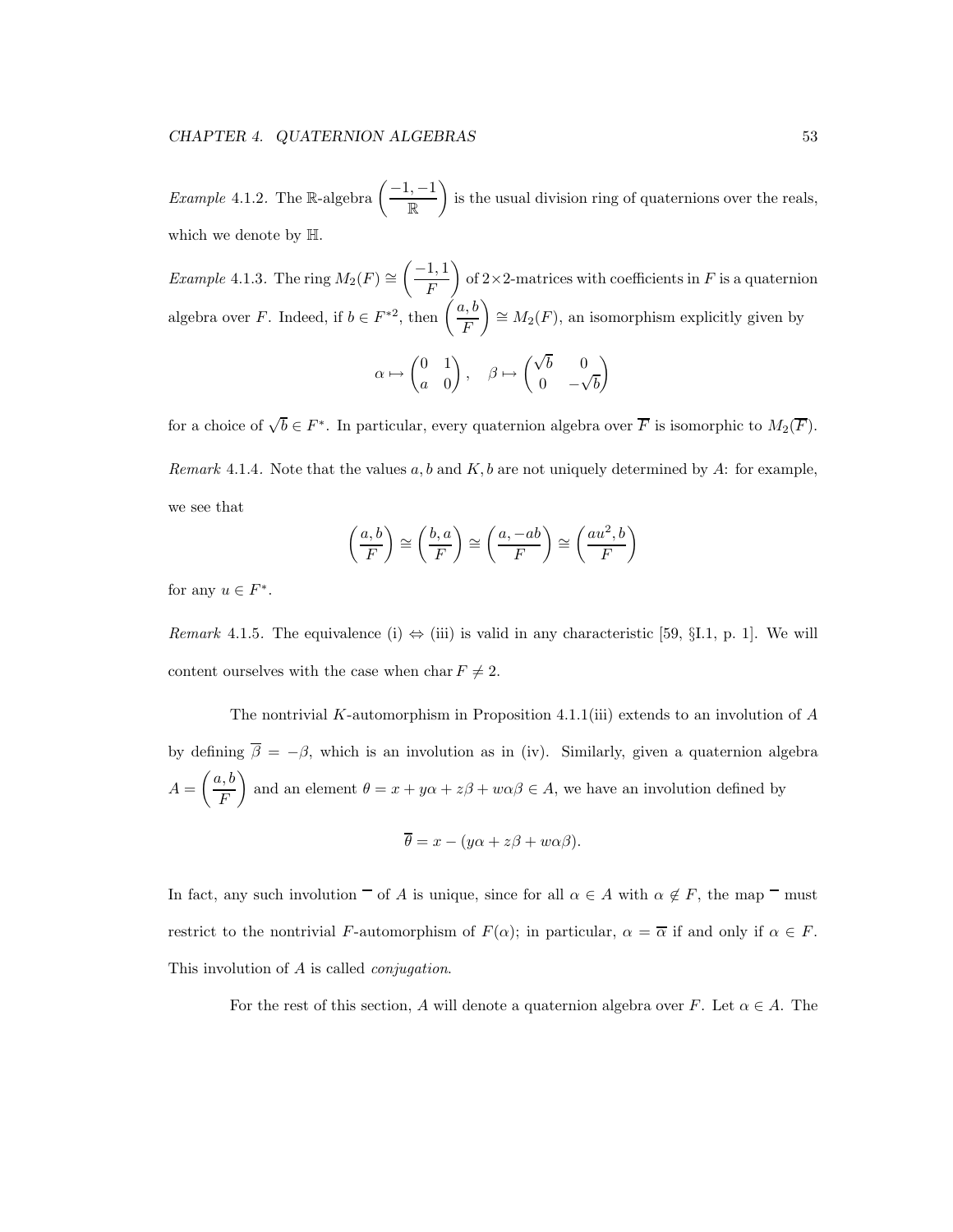*Example* 4.1.2. The R-algebra  $\left(-\frac{1}{m}\right)^{-1}$ R  $\overline{\phantom{0}}$ is the usual division ring of quaternions over the reals, which we denote by H.

Example 4.1.3. The ring  $M_2(F) \cong$  $\left( \frac{-1}{\cdot} \right)$ F  $\setminus$ of  $2\times 2$ -matrices with coefficients in F is a quaternion algebra over F. Indeed, if  $b \in F^{*2}$ , then  $\left(\frac{a, b}{F}\right)$ F  $\overline{\phantom{0}}$  $\cong M_2(F)$ , an isomorphism explicitly given by  $\alpha \mapsto$  $(0 1)$ a 0  $\overline{\phantom{0}}$  $, \quad \beta \mapsto$  $\sqrt{b}$  0  $0 -\sqrt{b}$  $\setminus$ 

for a choice of  $\sqrt{b} \in F^*$ . In particular, every quaternion algebra over  $\overline{F}$  is isomorphic to  $M_2(\overline{F})$ . Remark 4.1.4. Note that the values  $a, b$  and  $K, b$  are not uniquely determined by A: for example, we see that

$$
\left(\frac{a,b}{F}\right) \cong \left(\frac{b,a}{F}\right) \cong \left(\frac{a,-ab}{F}\right) \cong \left(\frac{au^2,b}{F}\right)
$$

for any  $u \in F^*$ .

Remark 4.1.5. The equivalence (i)  $\Leftrightarrow$  (iii) is valid in any characteristic [59, §I.1, p. 1]. We will content ourselves with the case when char  $F \neq 2$ .

The nontrivial K-automorphism in Proposition 4.1.1(iii) extends to an involution of  $A$ by defining  $\overline{\beta} = -\beta$ , which is an involution as in (iv). Similarly, given a quaternion algebra  $A =$  $\int a, b$ F  $\overline{ }$ and an element  $\theta = x + y\alpha + z\beta + w\alpha\beta \in A$ , we have an involution defined by

$$
\overline{\theta} = x - (y\alpha + z\beta + w\alpha\beta).
$$

In fact, any such involution  $\Box$  of A is unique, since for all  $\alpha \in A$  with  $\alpha \notin F$ , the map  $\Box$  must restrict to the nontrivial F-automorphism of  $F(\alpha)$ ; in particular,  $\alpha = \overline{\alpha}$  if and only if  $\alpha \in F$ . This involution of A is called *conjugation*.

For the rest of this section, A will denote a quaternion algebra over F. Let  $\alpha \in A$ . The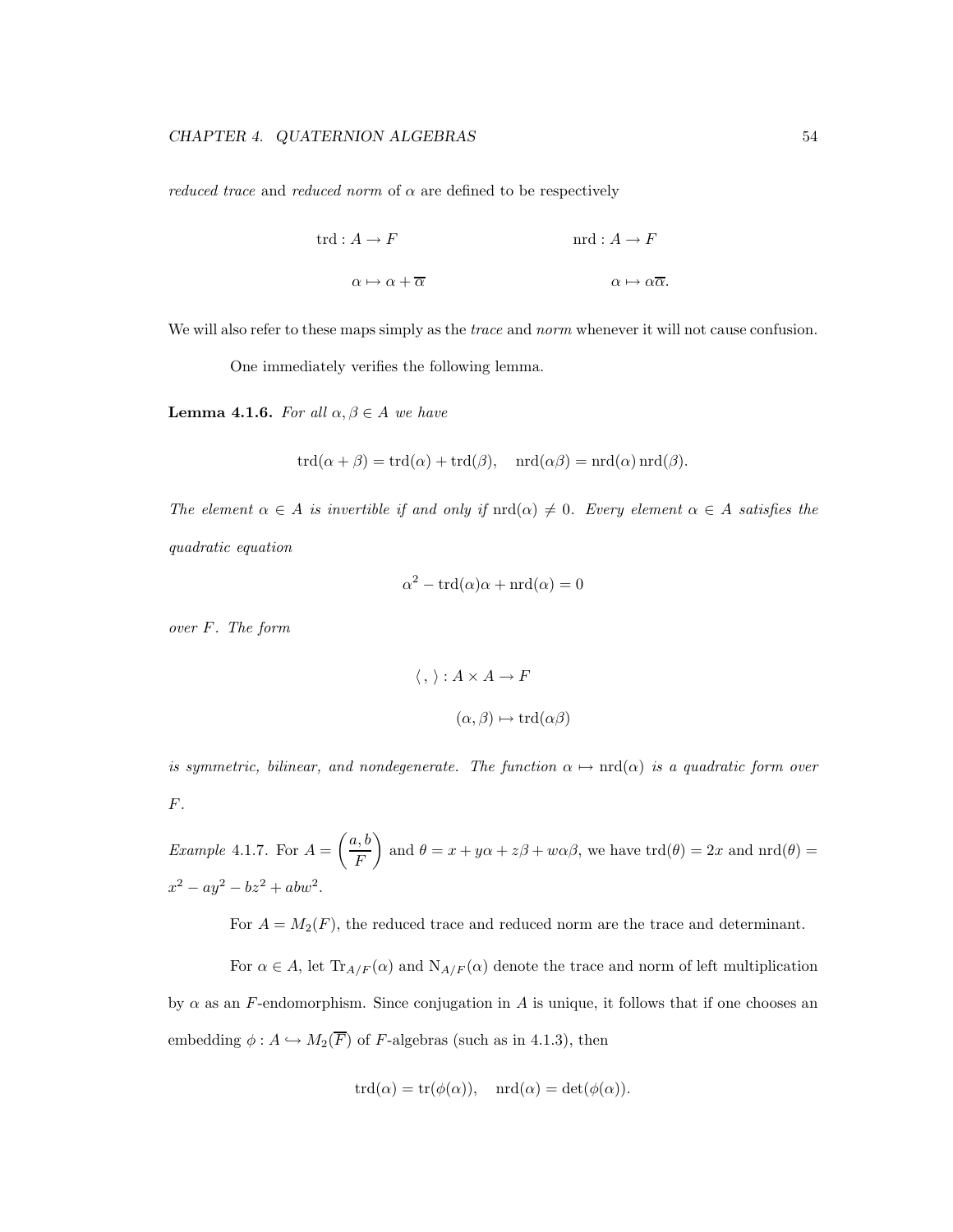*reduced trace* and *reduced norm* of  $\alpha$  are defined to be respectively

$$
\text{trd}: A \to F \qquad \text{and} \qquad A \to F
$$

$$
\alpha \mapsto \alpha + \overline{\alpha} \qquad \alpha \mapsto \alpha \overline{\alpha}.
$$

We will also refer to these maps simply as the *trace* and *norm* whenever it will not cause confusion.

One immediately verifies the following lemma.

**Lemma 4.1.6.** For all  $\alpha, \beta \in A$  we have

$$
trd(\alpha + \beta) = trd(\alpha) + trd(\beta), \quad \text{and } (\alpha\beta) = \text{nrd}(\alpha) \text{ and } (\beta).
$$

The element  $\alpha \in A$  is invertible if and only if  $\text{nrd}(\alpha) \neq 0$ . Every element  $\alpha \in A$  satisfies the quadratic equation

$$
\alpha^2 - \text{trd}(\alpha)\alpha + \text{nrd}(\alpha) = 0
$$

over F. The form

$$
\langle \, , \, \rangle : A \times A \to F
$$

$$
(\alpha, \beta) \mapsto \text{trd}(\alpha \beta)
$$

is symmetric, bilinear, and nondegenerate. The function  $\alpha \mapsto \text{nrd}(\alpha)$  is a quadratic form over  $\cal F.$ 

Example 4.1.7. For  $A =$  $\int a, b$ F  $\setminus$ and  $\theta = x + y\alpha + z\beta + w\alpha\beta$ , we have  $\text{trd}(\theta) = 2x$  and  $\text{trd}(\theta) = 1$  $x^2 - ay^2 - bz^2 + abw^2$ .

For  $A = M_2(F)$ , the reduced trace and reduced norm are the trace and determinant.

For  $\alpha \in A$ , let  $\text{Tr}_{A/F}(\alpha)$  and  $\text{N}_{A/F}(\alpha)$  denote the trace and norm of left multiplication by  $\alpha$  as an F-endomorphism. Since conjugation in A is unique, it follows that if one chooses an embedding  $\phi: A \hookrightarrow M_2(\overline{F})$  of F-algebras (such as in 4.1.3), then

$$
trd(\alpha) = tr(\phi(\alpha)), \quad trd(\alpha) = det(\phi(\alpha)).
$$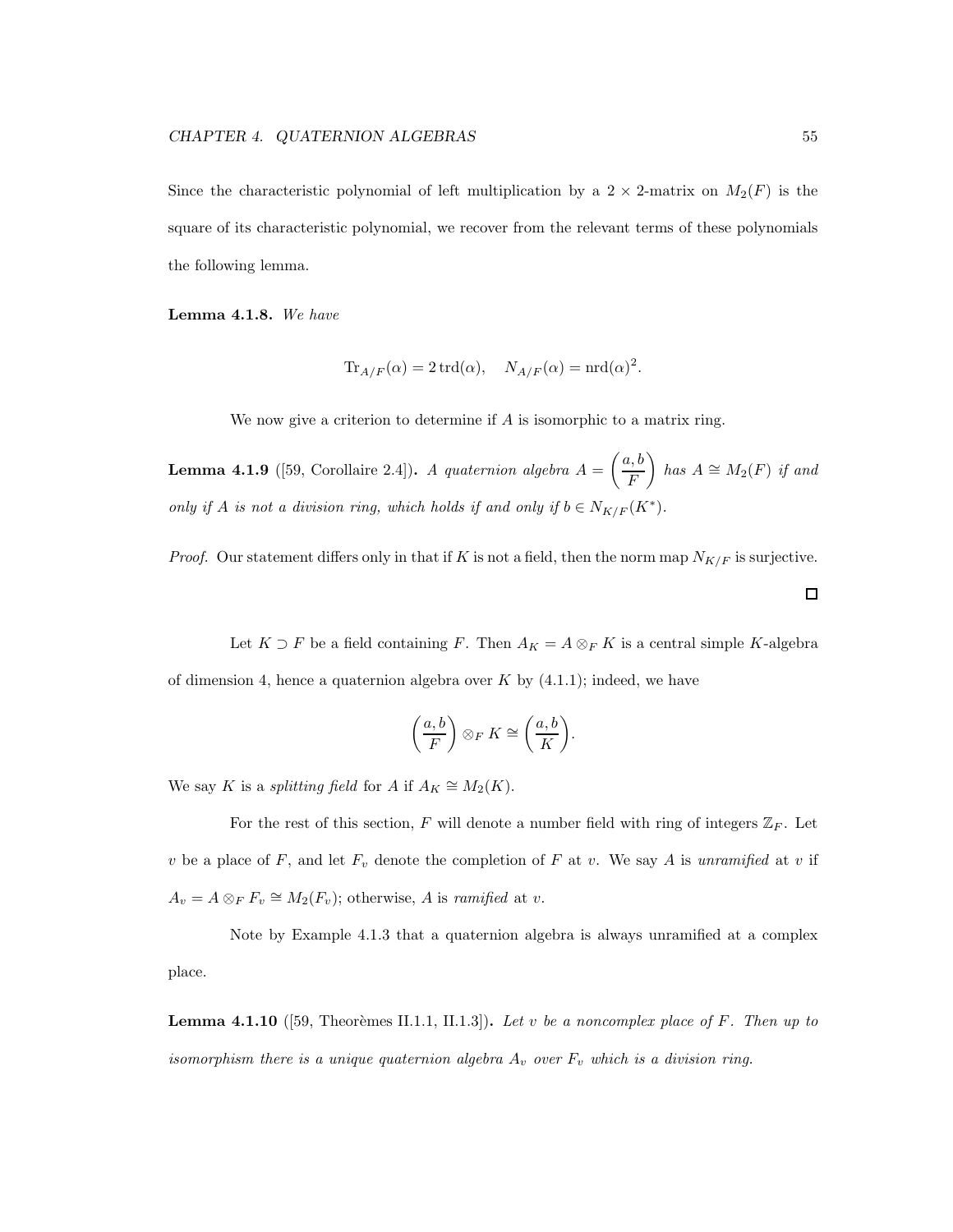Since the characteristic polynomial of left multiplication by a  $2 \times 2$ -matrix on  $M_2(F)$  is the square of its characteristic polynomial, we recover from the relevant terms of these polynomials the following lemma.

Lemma 4.1.8. We have

$$
\text{Tr}_{A/F}(\alpha) = 2 \operatorname{trd}(\alpha), \quad N_{A/F}(\alpha) = \operatorname{nrd}(\alpha)^2.
$$

We now give a criterion to determine if A is isomorphic to a matrix ring.

**Lemma 4.1.9** ([59, Corollaire 2.4]). A quaternion algebra  $A =$  $\int a, b$ F  $\setminus$ has  $A \cong M_2(F)$  if and only if A is not a division ring, which holds if and only if  $b \in N_{K/F}(K^*)$ .

*Proof.* Our statement differs only in that if K is not a field, then the norm map  $N_{K/F}$  is surjective.

Let  $K \supset F$  be a field containing F. Then  $A_K = A \otimes_F K$  is a central simple K-algebra of dimension 4, hence a quaternion algebra over  $K$  by  $(4.1.1)$ ; indeed, we have

$$
\left(\frac{a,b}{F}\right)\otimes_F K\cong\left(\frac{a,b}{K}\right).
$$

We say K is a *splitting field* for A if  $A_K \cong M_2(K)$ .

For the rest of this section, F will denote a number field with ring of integers  $\mathbb{Z}_F$ . Let v be a place of F, and let  $F_v$  denote the completion of F at v. We say A is unramified at v if  $A_v = A \otimes_F F_v \cong M_2(F_v)$ ; otherwise, A is ramified at v.

Note by Example 4.1.3 that a quaternion algebra is always unramified at a complex place.

**Lemma 4.1.10** ([59, Theorèmes II.1.1, II.1.3]). Let v be a noncomplex place of F. Then up to isomorphism there is a unique quaternion algebra  $A_v$  over  $F_v$  which is a division ring.

 $\Box$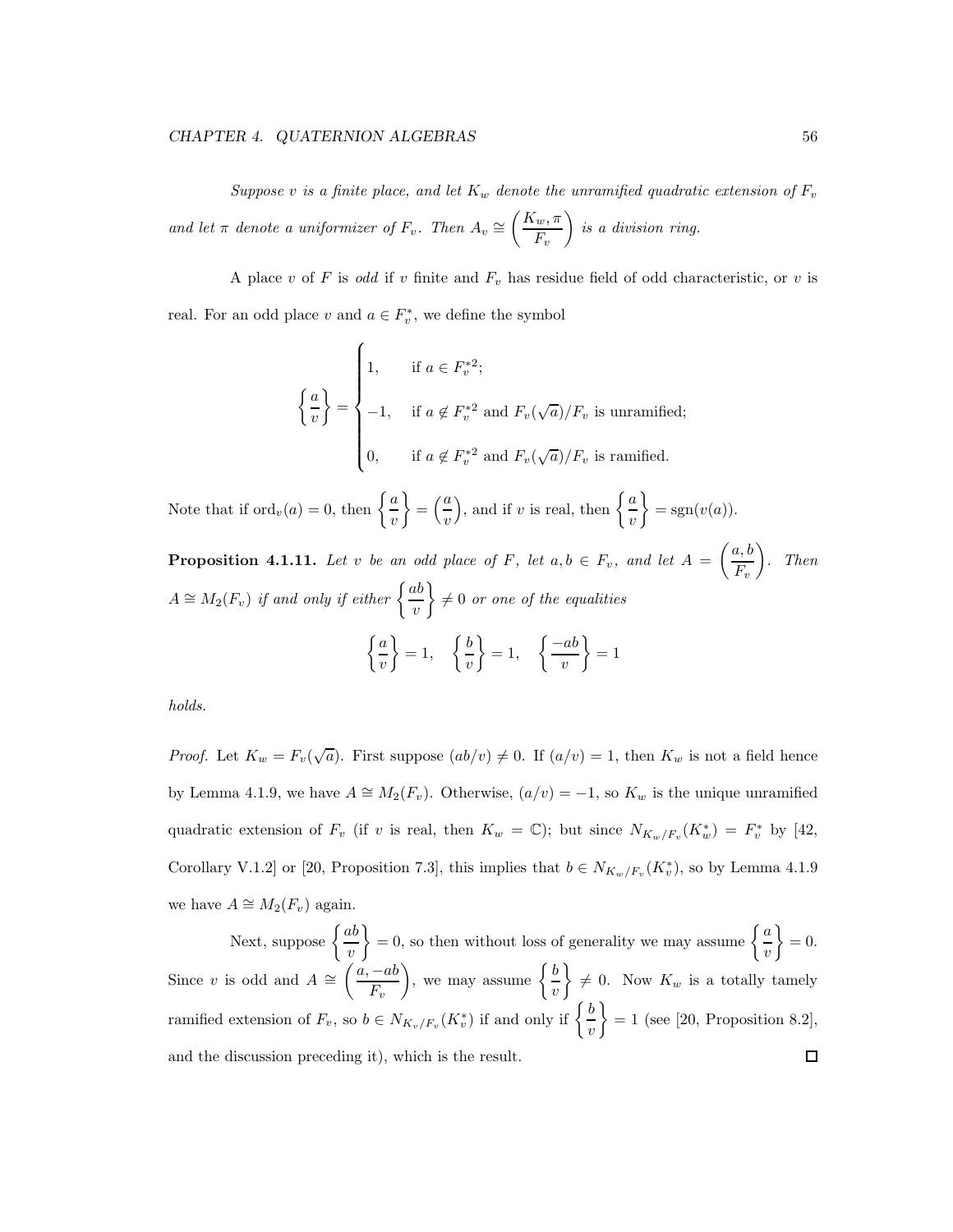Suppose v is a finite place, and let  $K_w$  denote the unramified quadratic extension of  $F_v$ and let  $\pi$  denote a uniformizer of  $F_v$ . Then  $A_v \cong$  $K_w, \pi$  $F_v$  $\setminus$ is a division ring.

A place v of F is odd if v finite and  $F_v$  has residue field of odd characteristic, or v is real. For an odd place  $v$  and  $a \in F_v^*$ , we define the symbol

$$
\left\{\frac{a}{v}\right\} = \begin{cases} 1, & \text{if } a \in F_v^{*2}; \\ -1, & \text{if } a \notin F_v^{*2} \text{ and } F_v(\sqrt{a})/F_v \text{ is unramified}; \\ 0, & \text{if } a \notin F_v^{*2} \text{ and } F_v(\sqrt{a})/F_v \text{ is ramified.} \end{cases}
$$

Note that if  $\operatorname{ord}_v(a) = 0$ , then  $\left\{ \frac{a}{a} \right\}$  $\overline{v}$  $\mathcal{L}$  $=\left(\frac{a}{a}\right)$  $\overline{v}$ ), and if v is real, then  $\left\{\frac{a}{a}\right\}$  $\overline{v}$  $\mathcal{L}$  $=$  sgn $(v(a))$ .

**Proposition 4.1.11.** Let v be an odd place of F, let  $a, b \in F_v$ , and let  $A =$  $\int a, b$  $F_v$  $\overline{\phantom{0}}$ . Then  $A \cong M_2(F_v)$  if and only if either  $\bigg\{\frac{ab}{dx}\bigg\}$  $\overline{v}$  $\mathcal{L}$  $\neq 0$  or one of the equalities  $\int a$  $\overline{v}$  $\mathcal{L}$  $= 1,$  $\int b$  $\overline{v}$  $\mathcal{L}$  $= 1,$  $\int -ab$  $\overline{v}$  $\mathcal{L}$  $= 1$ 

holds.

*Proof.* Let  $K_w = F_v(\sqrt{a})$ . First suppose  $(ab/v) \neq 0$ . If  $(a/v) = 1$ , then  $K_w$  is not a field hence by Lemma 4.1.9, we have  $A \cong M_2(F_v)$ . Otherwise,  $(a/v) = -1$ , so  $K_w$  is the unique unramified quadratic extension of  $F_v$  (if v is real, then  $K_w = \mathbb{C}$ ); but since  $N_{K_w/F_v}(K_w^*) = F_v^*$  by [42, Corollary V.1.2 or [20, Proposition 7.3], this implies that  $b \in N_{K_w/F_v}(K_v^*)$ , so by Lemma 4.1.9 we have  $A \cong M_2(F_v)$  again.

Next, suppose  $\left\{\frac{ab}{ }$  $\left\{ = 0, \text{ so then without loss of generality we may assume } \right\}$  $\mathcal{L}$  $= 0.$  $\overline{v}$  $\overline{v}$  $\left(\frac{a}{a}, -ab\right)$ ), we may assume  $\left\{\frac{b}{a}\right\}$  $\mathcal{L}$ Since v is odd and  $A \cong$  $\neq$  0. Now  $K_w$  is a totally tamely  $F_v$  $\overline{v}$ ramified extension of  $F_v$ , so  $b \in N_{K_v/F_v}(K_v^*)$  if and only if  $\begin{cases} \frac{b}{v} & \text{if } v \leq 0 \\ \frac{b}{v} & \text{if } v \leq 0 \end{cases}$  $\mathcal{L}$  $= 1$  (see [20, Proposition 8.2],  $\overline{v}$ and the discussion preceding it), which is the result. $\Box$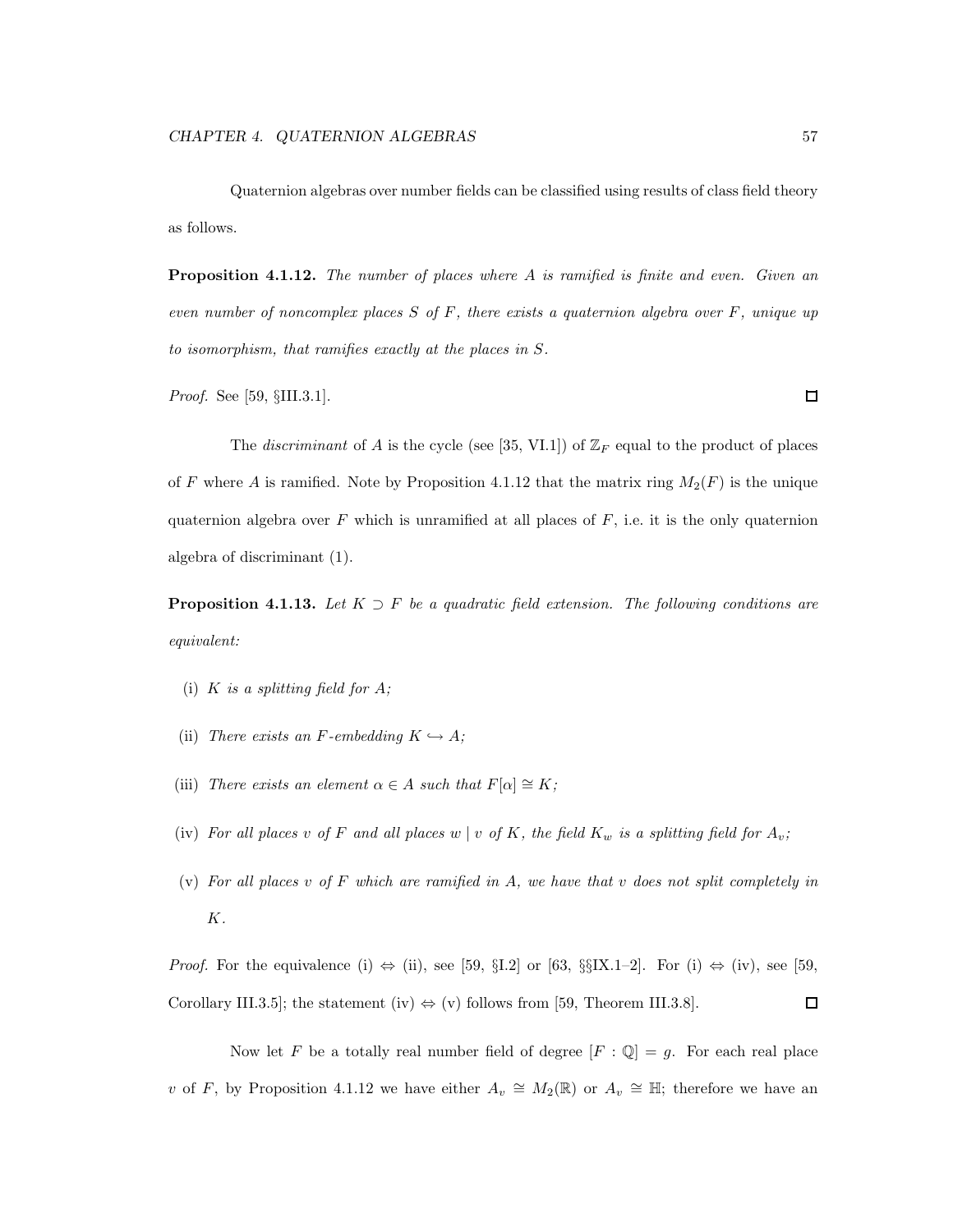Quaternion algebras over number fields can be classified using results of class field theory as follows.

Proposition 4.1.12. The number of places where A is ramified is finite and even. Given an even number of noncomplex places  $S$  of  $F$ , there exists a quaternion algebra over  $F$ , unique up to isomorphism, that ramifies exactly at the places in S.

Proof. See [59, §III.3.1].

The *discriminant* of A is the cycle (see [35, VI.1]) of  $\mathbb{Z}_F$  equal to the product of places of F where A is ramified. Note by Proposition 4.1.12 that the matrix ring  $M_2(F)$  is the unique quaternion algebra over  $F$  which is unramified at all places of  $F$ , i.e. it is the only quaternion algebra of discriminant (1).

**Proposition 4.1.13.** Let  $K \supset F$  be a quadratic field extension. The following conditions are equivalent:

- (i) K is a splitting field for  $A$ ;
- (ii) There exists an F-embedding  $K \hookrightarrow A$ ;
- (iii) There exists an element  $\alpha \in A$  such that  $F[\alpha] \cong K$ ;
- (iv) For all places v of F and all places w | v of K, the field  $K_w$  is a splitting field for  $A_v$ ;
- (v) For all places v of F which are ramified in A, we have that v does not split completely in K.

*Proof.* For the equivalence (i)  $\Leftrightarrow$  (ii), see [59, §I.2] or [63, §§IX.1–2]. For (i)  $\Leftrightarrow$  (iv), see [59, Corollary III.3.5]; the statement (iv)  $\Leftrightarrow$  (v) follows from [59, Theorem III.3.8].  $\Box$ 

Now let F be a totally real number field of degree  $[F: \mathbb{Q}] = g$ . For each real place v of F, by Proposition 4.1.12 we have either  $A_v \cong M_2(\mathbb{R})$  or  $A_v \cong \mathbb{H}$ ; therefore we have an

 $\Box$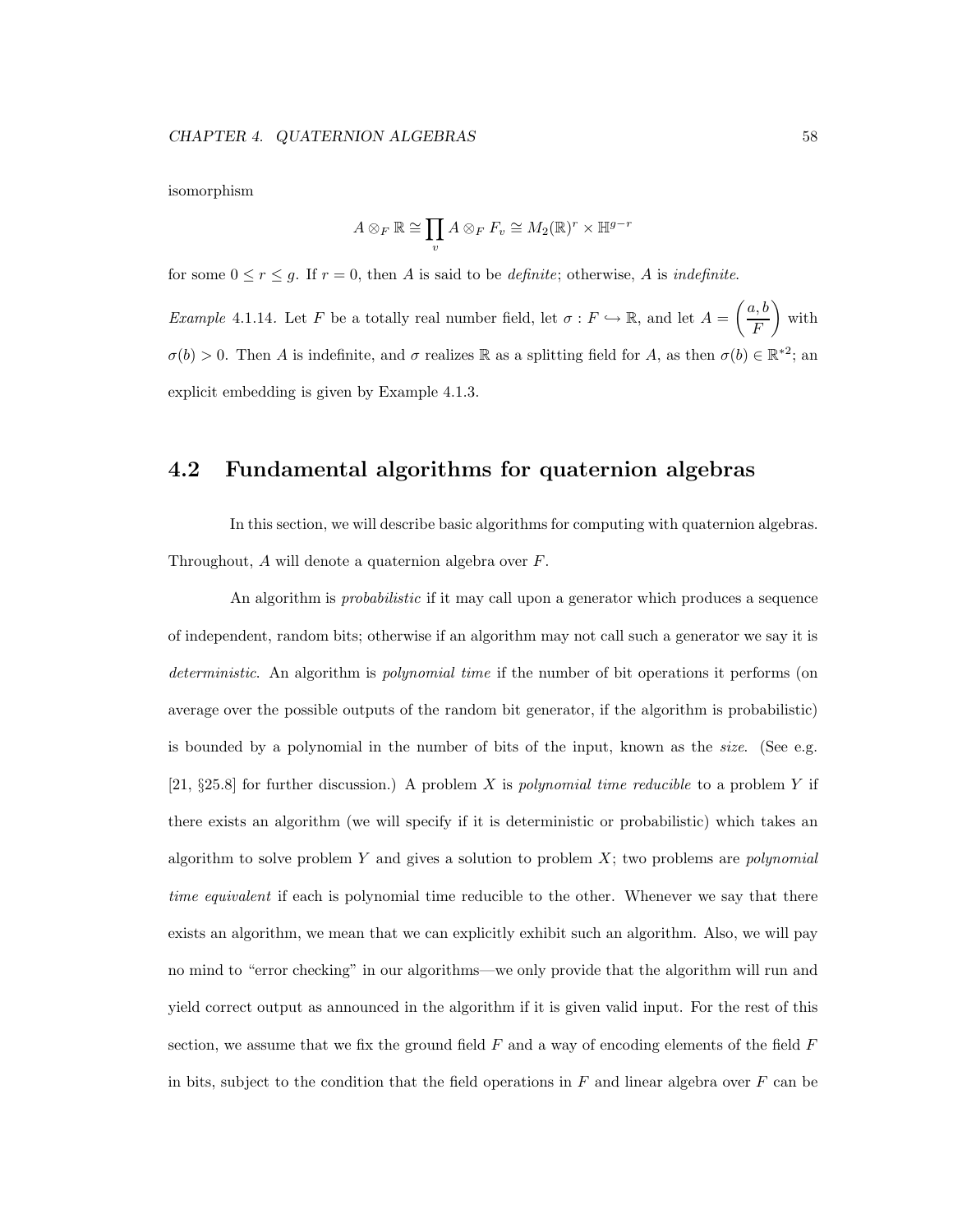isomorphism

$$
A \otimes_F \mathbb{R} \cong \prod_v A \otimes_F F_v \cong M_2(\mathbb{R})^r \times \mathbb{H}^{g-r}
$$

for some  $0 \le r \le g$ . If  $r = 0$ , then A is said to be *definite*; otherwise, A is *indefinite*.

*Example* 4.1.14. Let F be a totally real number field, let  $\sigma : F \hookrightarrow \mathbb{R}$ , and let  $A =$  $\int a, b$ F  $\setminus$ with  $\sigma(b) > 0$ . Then A is indefinite, and  $\sigma$  realizes R as a splitting field for A, as then  $\sigma(b) \in \mathbb{R}^{*2}$ ; and explicit embedding is given by Example 4.1.3.

### 4.2 Fundamental algorithms for quaternion algebras

In this section, we will describe basic algorithms for computing with quaternion algebras. Throughout, A will denote a quaternion algebra over F.

An algorithm is *probabilistic* if it may call upon a generator which produces a sequence of independent, random bits; otherwise if an algorithm may not call such a generator we say it is deterministic. An algorithm is *polynomial time* if the number of bit operations it performs (on average over the possible outputs of the random bit generator, if the algorithm is probabilistic) is bounded by a polynomial in the number of bits of the input, known as the *size*. (See e.g. [21,  $\S25.8$ ] for further discussion.) A problem X is polynomial time reducible to a problem Y if there exists an algorithm (we will specify if it is deterministic or probabilistic) which takes an algorithm to solve problem Y and gives a solution to problem  $X$ ; two problems are *polynomial* time equivalent if each is polynomial time reducible to the other. Whenever we say that there exists an algorithm, we mean that we can explicitly exhibit such an algorithm. Also, we will pay no mind to "error checking" in our algorithms—we only provide that the algorithm will run and yield correct output as announced in the algorithm if it is given valid input. For the rest of this section, we assume that we fix the ground field  $F$  and a way of encoding elements of the field  $F$ in bits, subject to the condition that the field operations in  $F$  and linear algebra over  $F$  can be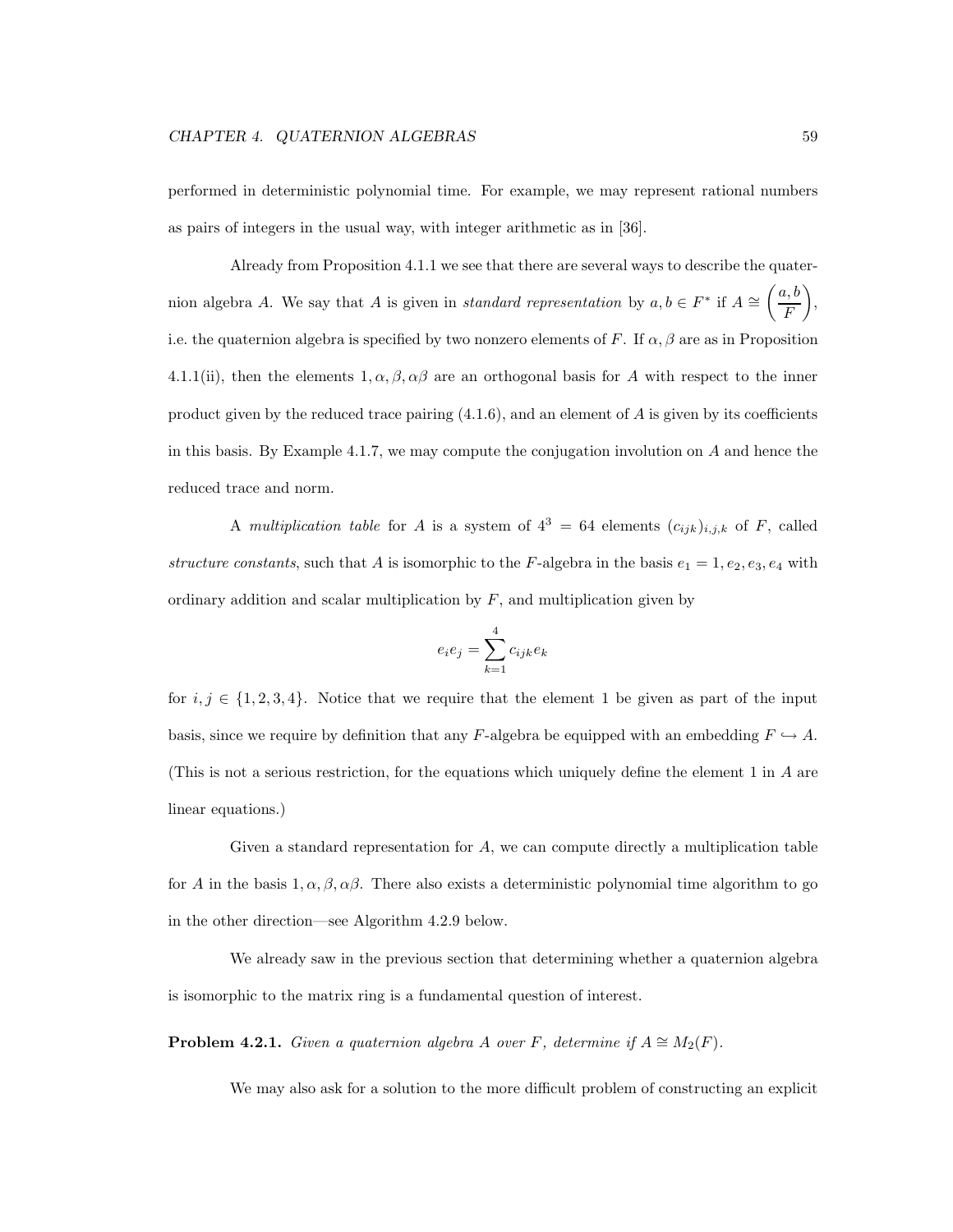performed in deterministic polynomial time. For example, we may represent rational numbers as pairs of integers in the usual way, with integer arithmetic as in [36].

Already from Proposition 4.1.1 we see that there are several ways to describe the quaternion algebra A. We say that A is given in *standard representation* by  $a, b \in F^*$  if  $A \cong$  $\int a, b$ F  $\setminus$ , i.e. the quaternion algebra is specified by two nonzero elements of F. If  $\alpha, \beta$  are as in Proposition 4.1.1(ii), then the elements  $1, \alpha, \beta, \alpha\beta$  are an orthogonal basis for A with respect to the inner product given by the reduced trace pairing  $(4.1.6)$ , and an element of A is given by its coefficients in this basis. By Example 4.1.7, we may compute the conjugation involution on  $A$  and hence the reduced trace and norm.

A multiplication table for A is a system of  $4^3 = 64$  elements  $(c_{ijk})_{i,j,k}$  of F, called structure constants, such that A is isomorphic to the F-algebra in the basis  $e_1 = 1, e_2, e_3, e_4$  with ordinary addition and scalar multiplication by  $F$ , and multiplication given by

$$
e_ie_j=\sum_{k=1}^4 c_{ijk}e_k
$$

for  $i, j \in \{1, 2, 3, 4\}$ . Notice that we require that the element 1 be given as part of the input basis, since we require by definition that any F-algebra be equipped with an embedding  $F \hookrightarrow A$ . (This is not a serious restriction, for the equations which uniquely define the element 1 in A are linear equations.)

Given a standard representation for  $A$ , we can compute directly a multiplication table for A in the basis 1,  $\alpha$ ,  $\beta$ ,  $\alpha\beta$ . There also exists a deterministic polynomial time algorithm to go in the other direction—see Algorithm 4.2.9 below.

We already saw in the previous section that determining whether a quaternion algebra is isomorphic to the matrix ring is a fundamental question of interest.

**Problem 4.2.1.** Given a quaternion algebra A over F, determine if  $A \cong M_2(F)$ .

We may also ask for a solution to the more difficult problem of constructing an explicit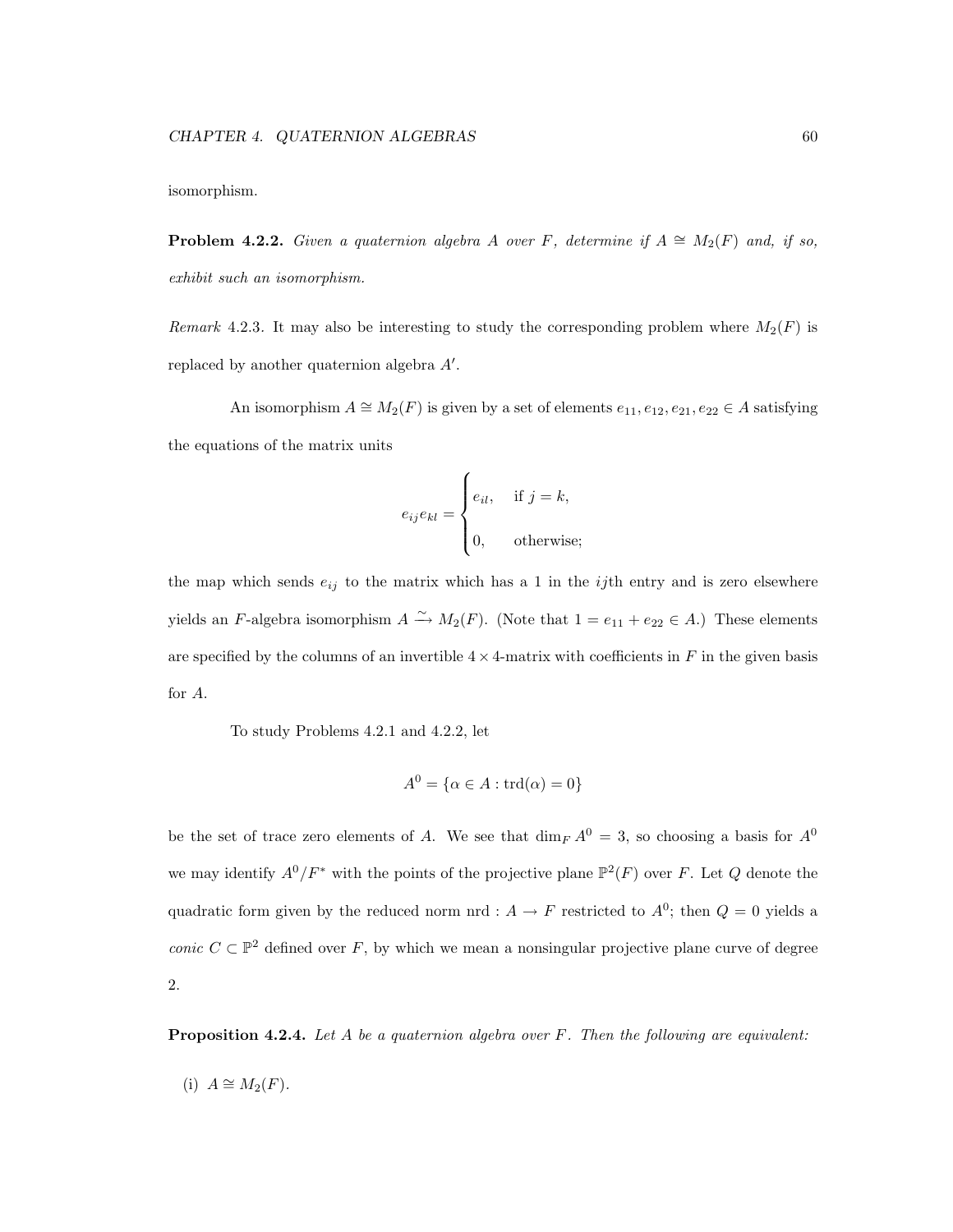isomorphism.

**Problem 4.2.2.** Given a quaternion algebra A over F, determine if  $A \cong M_2(F)$  and, if so, exhibit such an isomorphism.

Remark 4.2.3. It may also be interesting to study the corresponding problem where  $M_2(F)$  is replaced by another quaternion algebra  $A'$ .

An isomorphism  $A \cong M_2(F)$  is given by a set of elements  $e_{11}, e_{12}, e_{21}, e_{22} \in A$  satisfying the equations of the matrix units

$$
e_{ij}e_{kl} = \begin{cases} e_{il}, & \text{if } j = k, \\ 0, & \text{otherwise}; \end{cases}
$$

the map which sends  $e_{ij}$  to the matrix which has a 1 in the *ij*th entry and is zero elsewhere yields an F-algebra isomorphism  $A \xrightarrow{\sim} M_2(F)$ . (Note that  $1 = e_{11} + e_{22} \in A$ .) These elements are specified by the columns of an invertible  $4 \times 4$ -matrix with coefficients in F in the given basis for A.

To study Problems 4.2.1 and 4.2.2, let

$$
A^0 = \{ \alpha \in A : \text{trd}(\alpha) = 0 \}
$$

be the set of trace zero elements of A. We see that  $\dim_F A^0 = 3$ , so choosing a basis for  $A^0$ we may identify  $A^0/F^*$  with the points of the projective plane  $\mathbb{P}^2(F)$  over F. Let Q denote the quadratic form given by the reduced norm nrd :  $A \to F$  restricted to  $A^0$ ; then  $Q = 0$  yields a conic  $C \subset \mathbb{P}^2$  defined over F, by which we mean a nonsingular projective plane curve of degree 2.

**Proposition 4.2.4.** Let A be a quaternion algebra over  $F$ . Then the following are equivalent:

(i) 
$$
A \cong M_2(F)
$$
.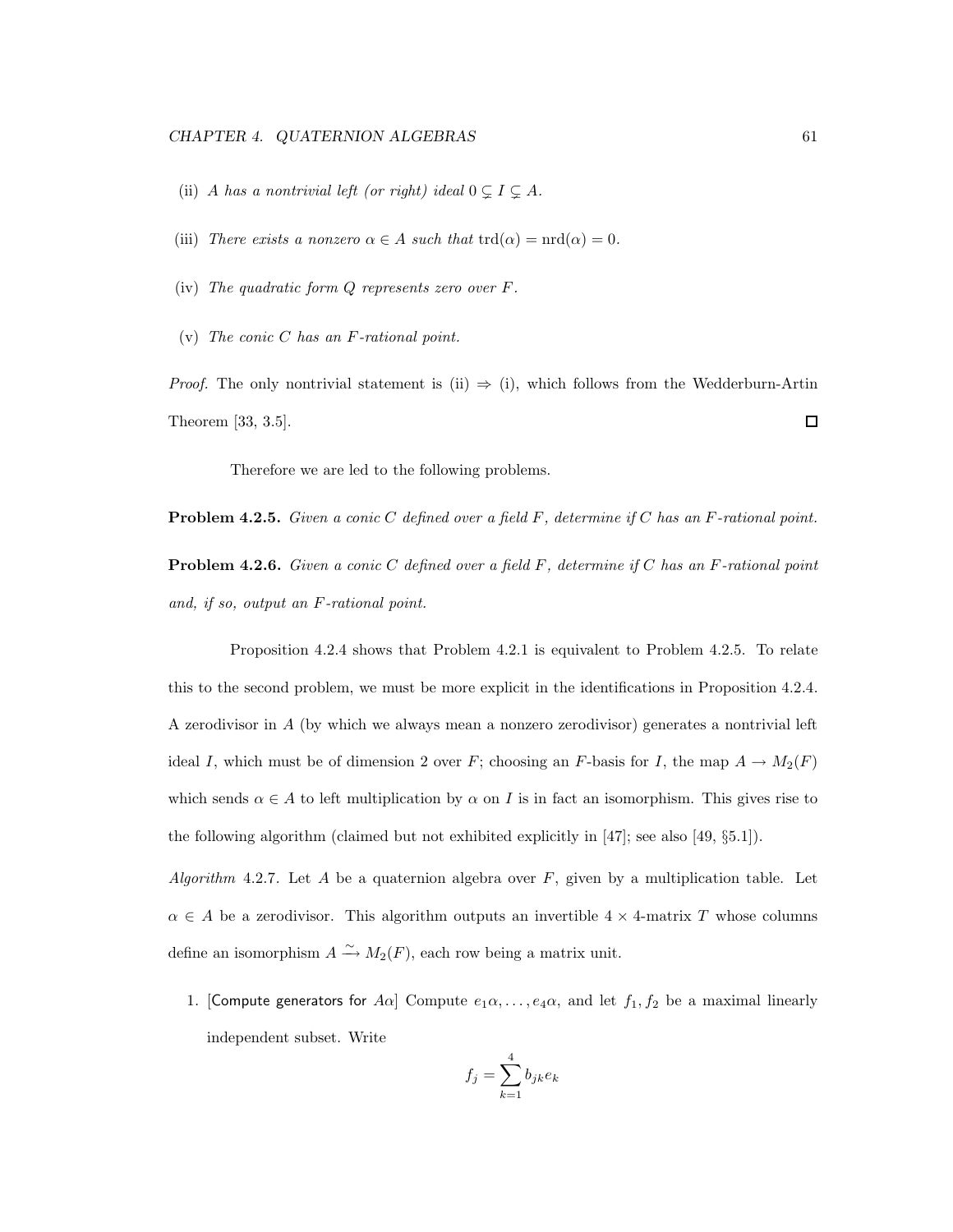- (ii) A has a nontrivial left (or right) ideal  $0 \subsetneq I \subsetneq A$ .
- (iii) There exists a nonzero  $\alpha \in A$  such that  $\text{trd}(\alpha) = \text{ord}(\alpha) = 0$ .
- (iv) The quadratic form Q represents zero over F.
- (v) The conic  $C$  has an  $F$ -rational point.

*Proof.* The only nontrivial statement is (ii)  $\Rightarrow$  (i), which follows from the Wedderburn-Artin Theorem [33, 3.5].  $\Box$ 

Therefore we are led to the following problems.

**Problem 4.2.5.** Given a conic C defined over a field F, determine if C has an F-rational point.

**Problem 4.2.6.** Given a conic C defined over a field  $F$ , determine if C has an F-rational point and, if so, output an F-rational point.

Proposition 4.2.4 shows that Problem 4.2.1 is equivalent to Problem 4.2.5. To relate this to the second problem, we must be more explicit in the identifications in Proposition 4.2.4. A zerodivisor in A (by which we always mean a nonzero zerodivisor) generates a nontrivial left ideal I, which must be of dimension 2 over F; choosing an F-basis for I, the map  $A \to M_2(F)$ which sends  $\alpha \in A$  to left multiplication by  $\alpha$  on I is in fact an isomorphism. This gives rise to the following algorithm (claimed but not exhibited explicitly in [47]; see also [49, §5.1]).

Algorithm 4.2.7. Let A be a quaternion algebra over  $F$ , given by a multiplication table. Let  $\alpha \in A$  be a zerodivisor. This algorithm outputs an invertible  $4 \times 4$ -matrix T whose columns define an isomorphism  $A \xrightarrow{\sim} M_2(F)$ , each row being a matrix unit.

1. [Compute generators for A $\alpha$ ] Compute  $e_1\alpha, \ldots, e_4\alpha$ , and let  $f_1, f_2$  be a maximal linearly independent subset. Write

$$
f_j = \sum_{k=1}^{4} b_{jk} e_k
$$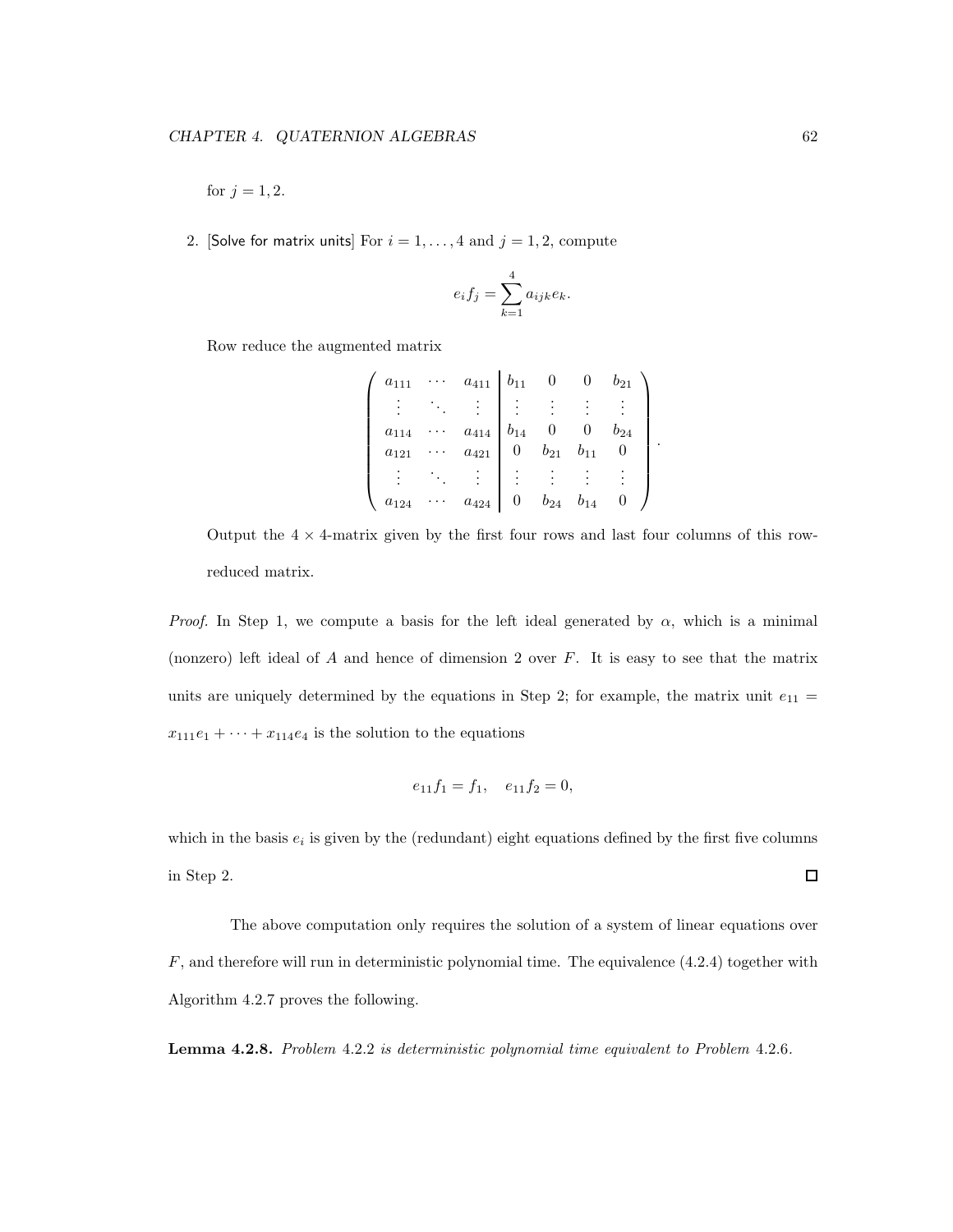for  $j = 1, 2$ .

2. [Solve for matrix units] For  $i = 1, ..., 4$  and  $j = 1, 2$ , compute

$$
e_i f_j = \sum_{k=1}^4 a_{ijk} e_k.
$$

Row reduce the augmented matrix

$$
\begin{pmatrix}\n a_{111} & \cdots & a_{411} & b_{11} & 0 & 0 & b_{21} \\
\vdots & \ddots & \vdots & \vdots & \vdots & \vdots & \vdots \\
a_{114} & \cdots & a_{414} & b_{14} & 0 & 0 & b_{24} \\
a_{121} & \cdots & a_{421} & 0 & b_{21} & b_{11} & 0 \\
\vdots & \ddots & \vdots & \vdots & \vdots & \vdots & \vdots \\
a_{124} & \cdots & a_{424} & 0 & b_{24} & b_{14} & 0\n\end{pmatrix}
$$

.

Output the  $4 \times 4$ -matrix given by the first four rows and last four columns of this rowreduced matrix.

*Proof.* In Step 1, we compute a basis for the left ideal generated by  $\alpha$ , which is a minimal (nonzero) left ideal of  $A$  and hence of dimension 2 over  $F$ . It is easy to see that the matrix units are uniquely determined by the equations in Step 2; for example, the matrix unit  $e_{11}$  =  $x_{111}e_1 + \cdots + x_{114}e_4$  is the solution to the equations

$$
e_{11}f_1 = f_1, \quad e_{11}f_2 = 0,
$$

which in the basis  $e_i$  is given by the (redundant) eight equations defined by the first five columns in Step 2.  $\Box$ 

The above computation only requires the solution of a system of linear equations over  $F$ , and therefore will run in deterministic polynomial time. The equivalence  $(4.2.4)$  together with Algorithm 4.2.7 proves the following.

Lemma 4.2.8. Problem 4.2.2 is deterministic polynomial time equivalent to Problem 4.2.6.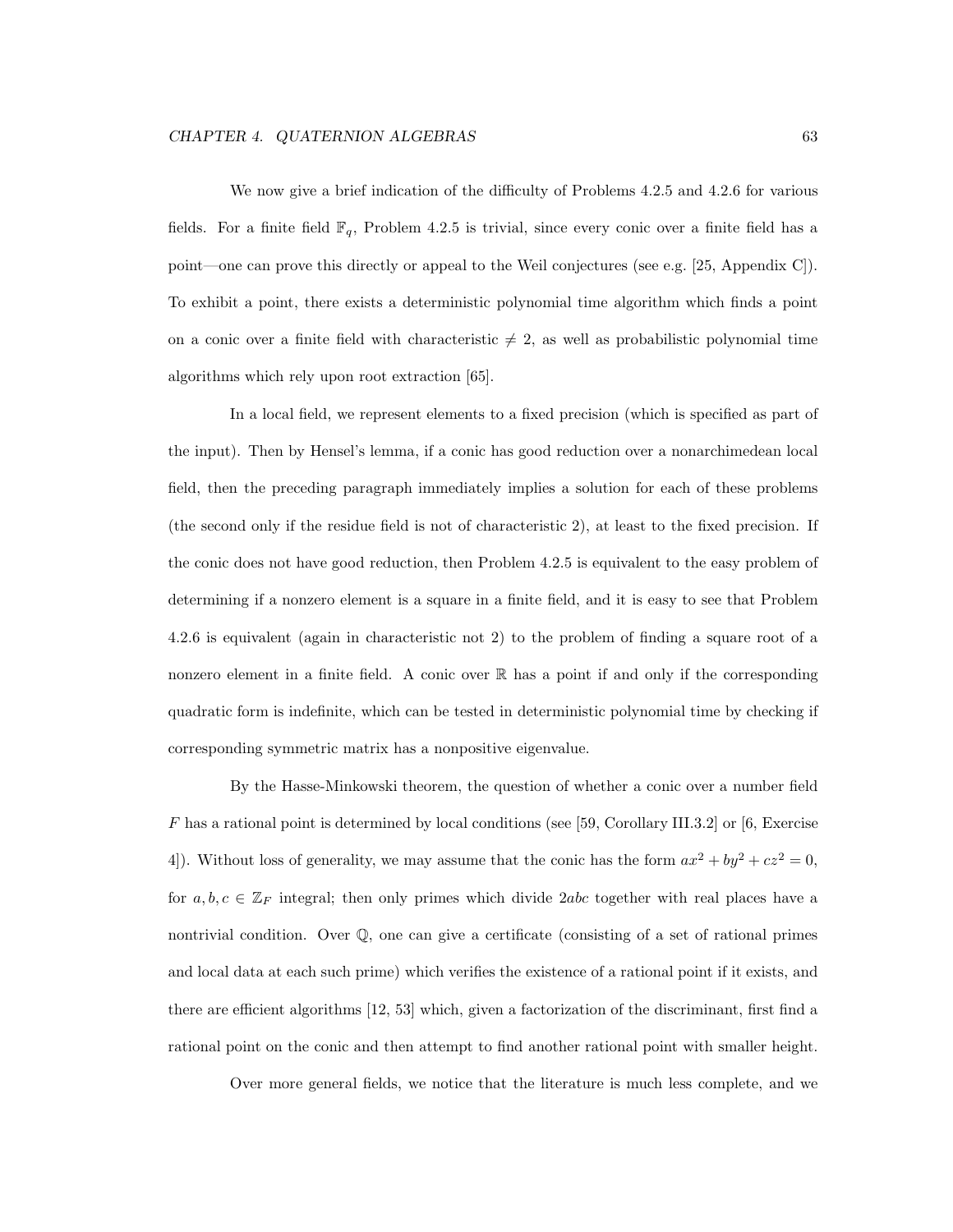We now give a brief indication of the difficulty of Problems 4.2.5 and 4.2.6 for various fields. For a finite field  $\mathbb{F}_q$ , Problem 4.2.5 is trivial, since every conic over a finite field has a point—one can prove this directly or appeal to the Weil conjectures (see e.g. [25, Appendix C]). To exhibit a point, there exists a deterministic polynomial time algorithm which finds a point on a conic over a finite field with characteristic  $\neq 2$ , as well as probabilistic polynomial time algorithms which rely upon root extraction [65].

In a local field, we represent elements to a fixed precision (which is specified as part of the input). Then by Hensel's lemma, if a conic has good reduction over a nonarchimedean local field, then the preceding paragraph immediately implies a solution for each of these problems (the second only if the residue field is not of characteristic 2), at least to the fixed precision. If the conic does not have good reduction, then Problem 4.2.5 is equivalent to the easy problem of determining if a nonzero element is a square in a finite field, and it is easy to see that Problem 4.2.6 is equivalent (again in characteristic not 2) to the problem of finding a square root of a nonzero element in a finite field. A conic over  $\mathbb R$  has a point if and only if the corresponding quadratic form is indefinite, which can be tested in deterministic polynomial time by checking if corresponding symmetric matrix has a nonpositive eigenvalue.

By the Hasse-Minkowski theorem, the question of whether a conic over a number field F has a rational point is determined by local conditions (see [59, Corollary III.3.2] or [6, Exercise 4]). Without loss of generality, we may assume that the conic has the form  $ax^2 + by^2 + cz^2 = 0$ , for  $a, b, c \in \mathbb{Z}_F$  integral; then only primes which divide 2abc together with real places have a nontrivial condition. Over Q, one can give a certificate (consisting of a set of rational primes and local data at each such prime) which verifies the existence of a rational point if it exists, and there are efficient algorithms [12, 53] which, given a factorization of the discriminant, first find a rational point on the conic and then attempt to find another rational point with smaller height.

Over more general fields, we notice that the literature is much less complete, and we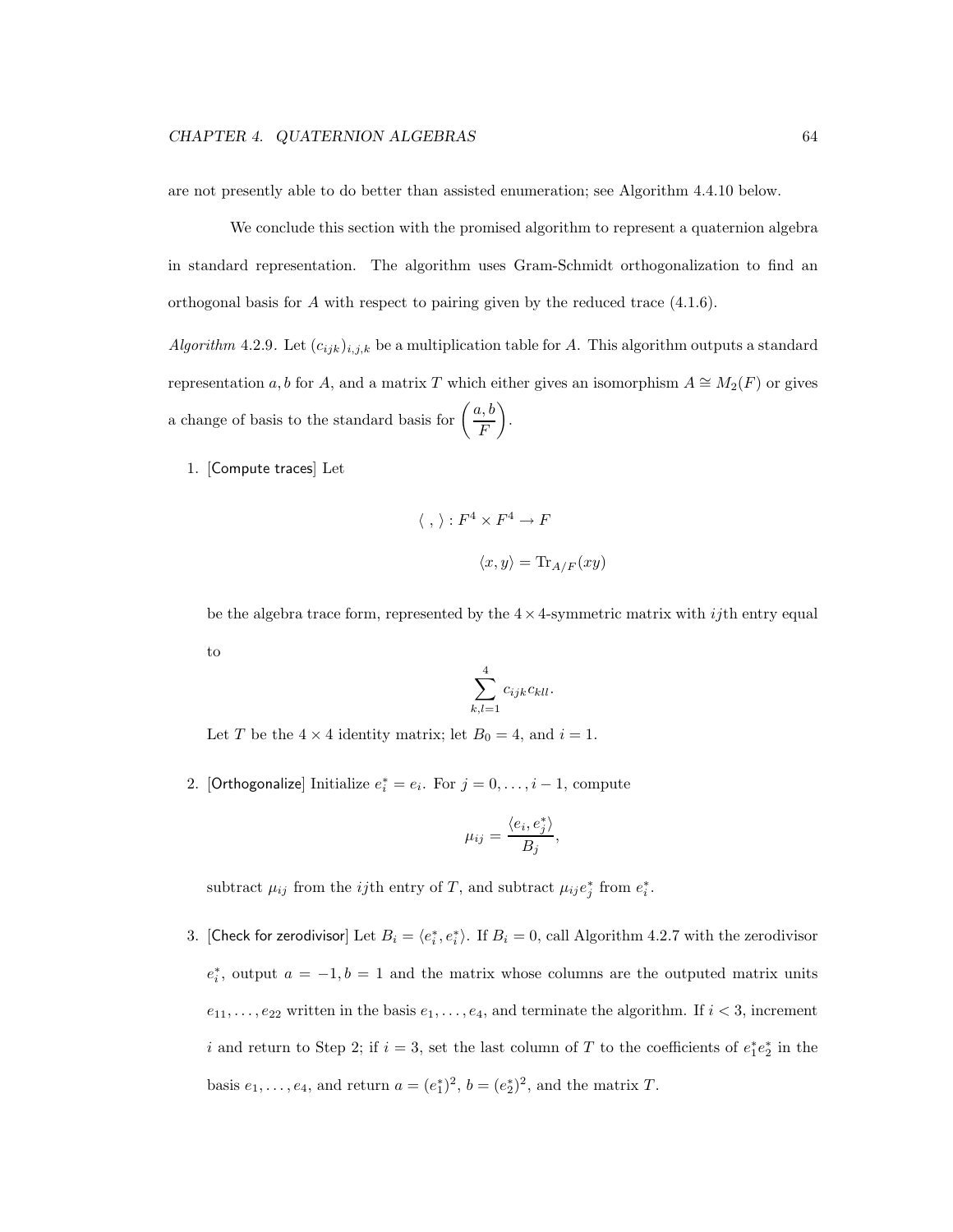are not presently able to do better than assisted enumeration; see Algorithm 4.4.10 below.

We conclude this section with the promised algorithm to represent a quaternion algebra in standard representation. The algorithm uses Gram-Schmidt orthogonalization to find an orthogonal basis for A with respect to pairing given by the reduced trace  $(4.1.6)$ .

Algorithm 4.2.9. Let  $(c_{ijk})_{i,j,k}$  be a multiplication table for A. This algorithm outputs a standard representation a, b for A, and a matrix T which either gives an isomorphism  $A \cong M_2(F)$  or gives a change of basis to the standard basis for  $\left(\frac{a, b}{b}\right)$ F  $\overline{ }$ .

1. [Compute traces] Let

$$
\langle , \rangle : F^4 \times F^4 \to F
$$
  
 $\langle x, y \rangle = \text{Tr}_{A/F}(xy)$ 

be the algebra trace form, represented by the  $4 \times 4$ -symmetric matrix with *ij*th entry equal to

$$
\sum_{k,l=1}^4 c_{ijk}c_{kll}.
$$

Let T be the  $4 \times 4$  identity matrix; let  $B_0 = 4$ , and  $i = 1$ .

2. [Orthogonalize] Initialize  $e_i^* = e_i$ . For  $j = 0, ..., i - 1$ , compute

$$
\mu_{ij} = \frac{\langle e_i, e_j^* \rangle}{B_j},
$$

subtract  $\mu_{ij}$  from the *ij*th entry of T, and subtract  $\mu_{ij} e_j^*$  from  $e_i^*$ .

3. [Check for zerodivisor] Let  $B_i = \langle e_i^*, e_i^* \rangle$ . If  $B_i = 0$ , call Algorithm 4.2.7 with the zerodivisor  $e_i^*$ , output  $a = -1, b = 1$  and the matrix whose columns are the outputed matrix units  $e_{11}, \ldots, e_{22}$  written in the basis  $e_1, \ldots, e_4$ , and terminate the algorithm. If  $i < 3$ , increment i and return to Step 2; if  $i = 3$ , set the last column of T to the coefficients of  $e_1^*e_2^*$  in the basis  $e_1, \ldots, e_4$ , and return  $a = (e_1^*)^2$ ,  $b = (e_2^*)^2$ , and the matrix T.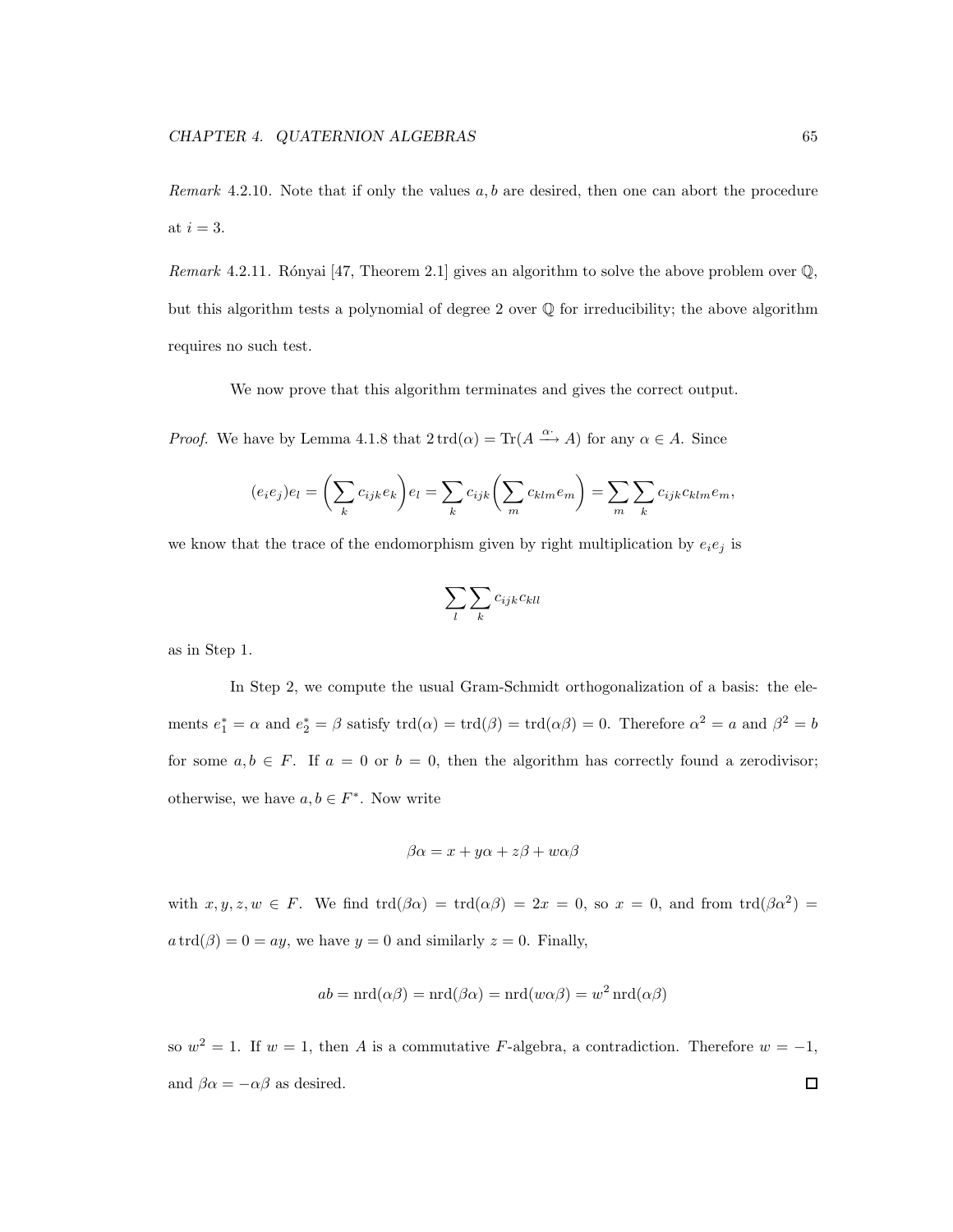Remark 4.2.10. Note that if only the values  $a, b$  are desired, then one can abort the procedure at  $i = 3$ .

Remark 4.2.11. Rónyai [47, Theorem 2.1] gives an algorithm to solve the above problem over  $\mathbb{Q}$ , but this algorithm tests a polynomial of degree 2 over Q for irreducibility; the above algorithm requires no such test.

We now prove that this algorithm terminates and gives the correct output.

*Proof.* We have by Lemma 4.1.8 that  $2 \text{ trd}(\alpha) = \text{Tr}(A \xrightarrow{\alpha} A)$  for any  $\alpha \in A$ . Since

$$
(e_i e_j)e_l = \left(\sum_k c_{ijk} e_k\right) e_l = \sum_k c_{ijk} \left(\sum_m c_{klm} e_m\right) = \sum_m \sum_k c_{ijk} c_{klm} e_m,
$$

we know that the trace of the endomorphism given by right multiplication by  $e_i e_j$  is

$$
\sum_l \sum_k c_{ijk} c_{kll}
$$

as in Step 1.

In Step 2, we compute the usual Gram-Schmidt orthogonalization of a basis: the elements  $e_1^* = \alpha$  and  $e_2^* = \beta$  satisfy  $\text{trd}(\alpha) = \text{trd}(\beta) = \text{trd}(\alpha\beta) = 0$ . Therefore  $\alpha^2 = a$  and  $\beta^2 = b$ for some  $a, b \in F$ . If  $a = 0$  or  $b = 0$ , then the algorithm has correctly found a zerodivisor; otherwise, we have  $a, b \in F^*$ . Now write

$$
\beta \alpha = x + y\alpha + z\beta + w\alpha\beta
$$

with  $x, y, z, w \in F$ . We find  $trd(\beta \alpha) = trd(\alpha \beta) = 2x = 0$ , so  $x = 0$ , and from  $trd(\beta \alpha^2) =$  $a \, \text{trd}(\beta) = 0 = ay$ , we have  $y = 0$  and similarly  $z = 0$ . Finally,

$$
ab = \operatorname{nrd}(\alpha \beta) = \operatorname{nrd}(\beta \alpha) = \operatorname{nrd}(w \alpha \beta) = w^2 \operatorname{nrd}(\alpha \beta)
$$

so  $w^2 = 1$ . If  $w = 1$ , then A is a commutative F-algebra, a contradiction. Therefore  $w = -1$ , and  $\beta \alpha = -\alpha \beta$  as desired.  $\Box$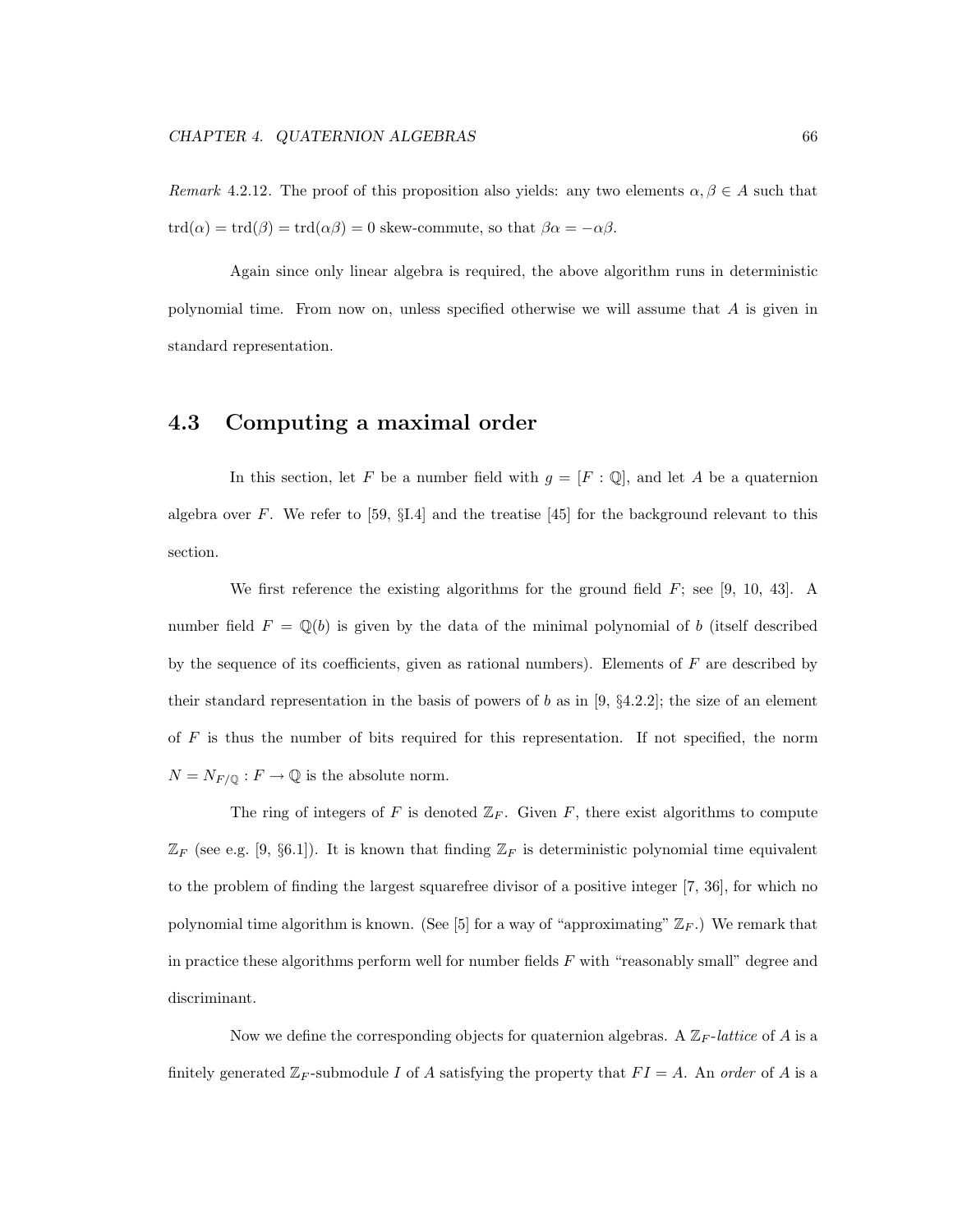Remark 4.2.12. The proof of this proposition also yields: any two elements  $\alpha, \beta \in A$  such that  $trd(\alpha) = trd(\beta) = trd(\alpha\beta) = 0$  skew-commute, so that  $\beta\alpha = -\alpha\beta$ .

Again since only linear algebra is required, the above algorithm runs in deterministic polynomial time. From now on, unless specified otherwise we will assume that A is given in standard representation.

#### 4.3 Computing a maximal order

In this section, let F be a number field with  $g = [F : \mathbb{Q}]$ , and let A be a quaternion algebra over F. We refer to [59,  $\S I.4$ ] and the treatise [45] for the background relevant to this section.

We first reference the existing algorithms for the ground field  $F$ ; see [9, 10, 43]. A number field  $F = \mathbb{Q}(b)$  is given by the data of the minimal polynomial of b (itself described by the sequence of its coefficients, given as rational numbers). Elements of  $F$  are described by their standard representation in the basis of powers of b as in [9,  $\S 4.2.2$ ]; the size of an element of  $F$  is thus the number of bits required for this representation. If not specified, the norm  $N = N_{F/\mathbb{Q}} : F \to \mathbb{Q}$  is the absolute norm.

The ring of integers of F is denoted  $\mathbb{Z}_F$ . Given F, there exist algorithms to compute  $\mathbb{Z}_F$  (see e.g. [9, §6.1]). It is known that finding  $\mathbb{Z}_F$  is deterministic polynomial time equivalent to the problem of finding the largest squarefree divisor of a positive integer [7, 36], for which no polynomial time algorithm is known. (See [5] for a way of "approximating"  $\mathbb{Z}_F$ .) We remark that in practice these algorithms perform well for number fields  $F$  with "reasonably small" degree and discriminant.

Now we define the corresponding objects for quaternion algebras. A  $\mathbb{Z}_F$ -lattice of A is a finitely generated  $\mathbb{Z}_F$ -submodule I of A satisfying the property that  $FI = A$ . An order of A is a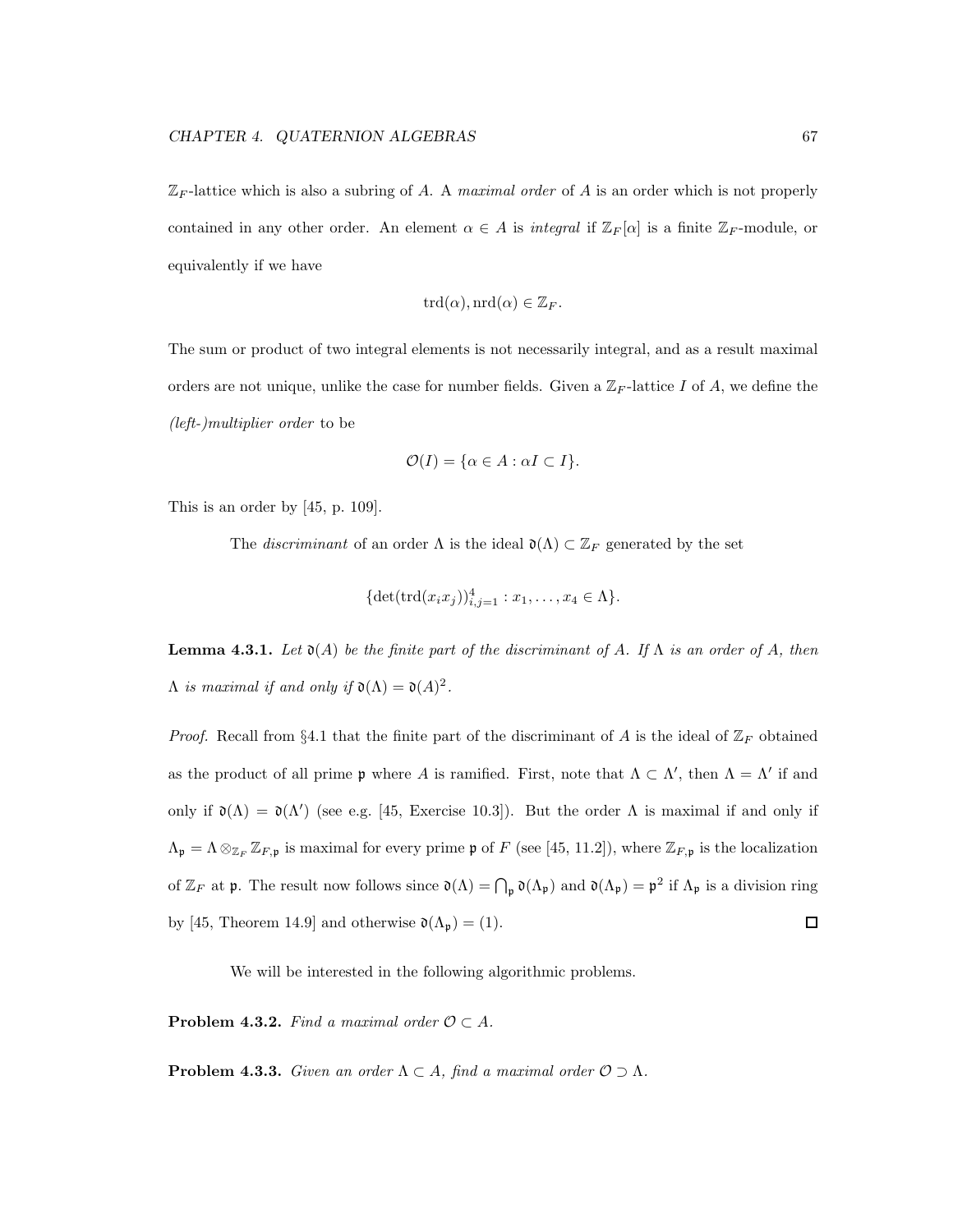$\mathbb{Z}_F$ -lattice which is also a subring of A. A maximal order of A is an order which is not properly contained in any other order. An element  $\alpha \in A$  is integral if  $\mathbb{Z}_F[\alpha]$  is a finite  $\mathbb{Z}_F$ -module, or equivalently if we have

$$
\mathrm{trd}(\alpha), \mathrm{nrd}(\alpha) \in \mathbb{Z}_F.
$$

The sum or product of two integral elements is not necessarily integral, and as a result maximal orders are not unique, unlike the case for number fields. Given a  $\mathbb{Z}_F$ -lattice I of A, we define the (left-)multiplier order to be

$$
\mathcal{O}(I) = \{ \alpha \in A : \alpha I \subset I \}.
$$

This is an order by [45, p. 109].

The *discriminant* of an order  $\Lambda$  is the ideal  $\mathfrak{d}(\Lambda) \subset \mathbb{Z}_F$  generated by the set

$$
\{\det(\text{trd}(x_i x_j))_{i,j=1}^4 : x_1,\ldots,x_4 \in \Lambda\}.
$$

**Lemma 4.3.1.** Let  $\mathfrak{d}(A)$  be the finite part of the discriminant of A. If  $\Lambda$  is an order of A, then  $\Lambda$  is maximal if and only if  $\mathfrak{d}(\Lambda) = \mathfrak{d}(A)^2$ .

*Proof.* Recall from §4.1 that the finite part of the discriminant of A is the ideal of  $\mathbb{Z}_F$  obtained as the product of all prime  $\mathfrak p$  where A is ramified. First, note that  $\Lambda \subset \Lambda'$ , then  $\Lambda = \Lambda'$  if and only if  $\mathfrak{d}(\Lambda) = \mathfrak{d}(\Lambda')$  (see e.g. [45, Exercise 10.3]). But the order  $\Lambda$  is maximal if and only if  $\Lambda_{\mathfrak{p}} = \Lambda \otimes_{\mathbb{Z}_F} \mathbb{Z}_{F,\mathfrak{p}}$  is maximal for every prime  $\mathfrak{p}$  of F (see [45, 11.2]), where  $\mathbb{Z}_{F,\mathfrak{p}}$  is the localization of  $\mathbb{Z}_F$  at  $\mathfrak{p}$ . The result now follows since  $\mathfrak{d}(\Lambda) = \bigcap_{\mathfrak{p}} \mathfrak{d}(\Lambda_{\mathfrak{p}})$  and  $\mathfrak{d}(\Lambda_{\mathfrak{p}}) = \mathfrak{p}^2$  if  $\Lambda_{\mathfrak{p}}$  is a division ring by [45, Theorem 14.9] and otherwise  $\mathfrak{d}(\Lambda_{\mathfrak{p}}) = (1)$ .  $\Box$ 

We will be interested in the following algorithmic problems.

**Problem 4.3.2.** Find a maximal order  $\mathcal{O} \subset A$ .

**Problem 4.3.3.** Given an order  $\Lambda \subset A$ , find a maximal order  $\mathcal{O} \supset \Lambda$ .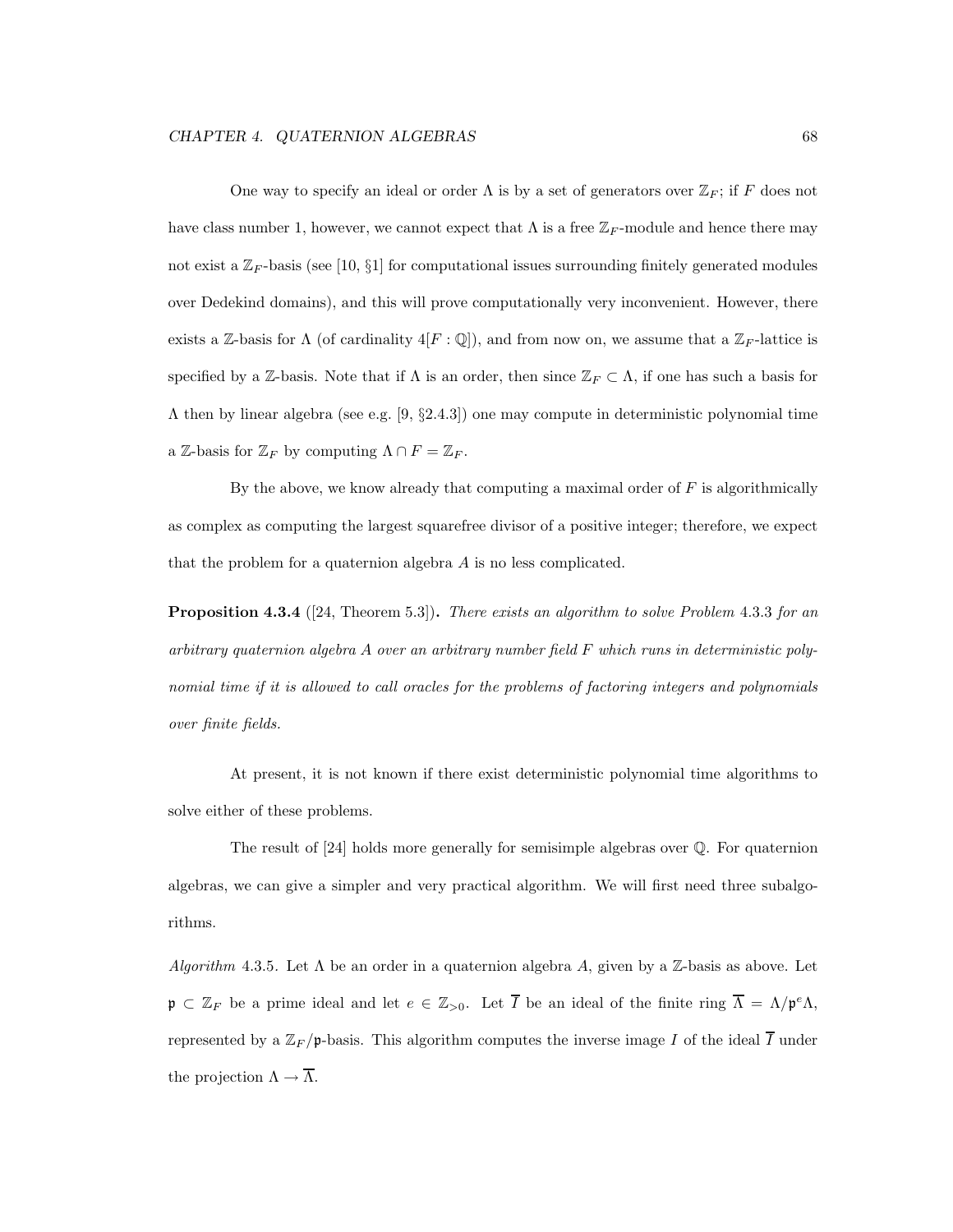One way to specify an ideal or order  $\Lambda$  is by a set of generators over  $\mathbb{Z}_F$ ; if F does not have class number 1, however, we cannot expect that  $\Lambda$  is a free  $\mathbb{Z}_F$ -module and hence there may not exist a  $\mathbb{Z}_F$ -basis (see [10, §1] for computational issues surrounding finitely generated modules over Dedekind domains), and this will prove computationally very inconvenient. However, there exists a Z-basis for  $\Lambda$  (of cardinality  $4[F:\mathbb{Q}]$ ), and from now on, we assume that a  $\mathbb{Z}_F$ -lattice is specified by a Z-basis. Note that if  $\Lambda$  is an order, then since  $\mathbb{Z}_F \subset \Lambda$ , if one has such a basis for  $\Lambda$  then by linear algebra (see e.g. [9, §2.4.3]) one may compute in deterministic polynomial time a Z-basis for  $\mathbb{Z}_F$  by computing  $\Lambda \cap F = \mathbb{Z}_F$ .

By the above, we know already that computing a maximal order of  $F$  is algorithmically as complex as computing the largest squarefree divisor of a positive integer; therefore, we expect that the problem for a quaternion algebra  $A$  is no less complicated.

**Proposition 4.3.4** ([24, Theorem 5.3]). There exists an algorithm to solve Problem 4.3.3 for an arbitrary quaternion algebra A over an arbitrary number field F which runs in deterministic polynomial time if it is allowed to call oracles for the problems of factoring integers and polynomials over finite fields.

At present, it is not known if there exist deterministic polynomial time algorithms to solve either of these problems.

The result of [24] holds more generally for semisimple algebras over Q. For quaternion algebras, we can give a simpler and very practical algorithm. We will first need three subalgorithms.

Algorithm 4.3.5. Let  $\Lambda$  be an order in a quaternion algebra A, given by a Z-basis as above. Let  $\mathfrak{p} \subset \mathbb{Z}_F$  be a prime ideal and let  $e \in \mathbb{Z}_{>0}$ . Let  $\overline{I}$  be an ideal of the finite ring  $\overline{\Lambda} = \Lambda/\mathfrak{p}^e \Lambda$ , represented by a  $\mathbb{Z}_F/\mathfrak{p}$ -basis. This algorithm computes the inverse image I of the ideal  $\overline{I}$  under the projection  $\Lambda \to \overline{\Lambda}$ .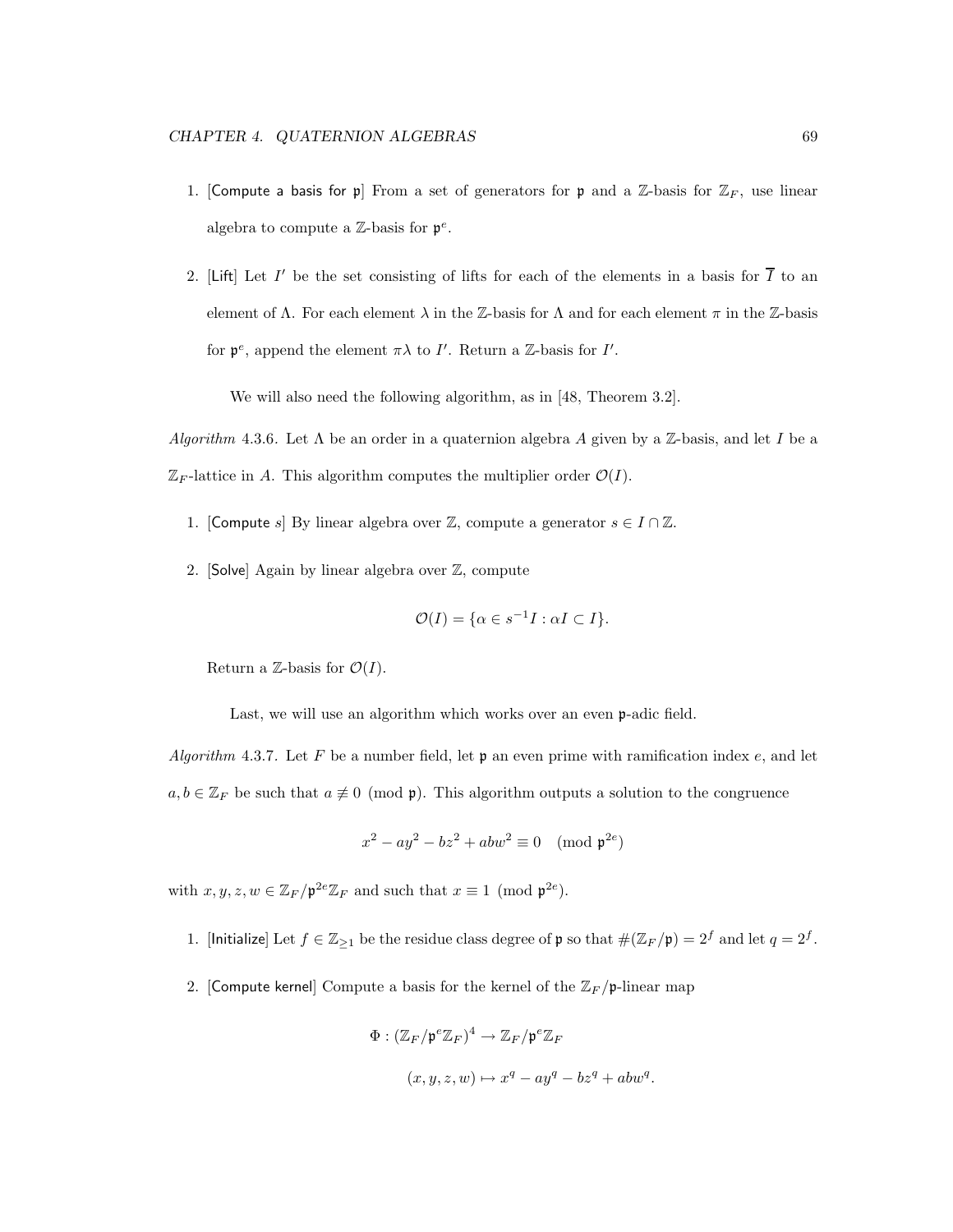- 1. [Compute a basis for p] From a set of generators for p and a  $\mathbb{Z}$ -basis for  $\mathbb{Z}_F$ , use linear algebra to compute a  $\mathbb{Z}$ -basis for  $\mathfrak{p}^e$ .
- 2. [Lift] Let I' be the set consisting of lifts for each of the elements in a basis for  $\overline{I}$  to an element of  $\Lambda$ . For each element  $\lambda$  in the Z-basis for  $\Lambda$  and for each element  $\pi$  in the Z-basis for  $\mathfrak{p}^e$ , append the element  $\pi\lambda$  to I'. Return a Z-basis for I'.

We will also need the following algorithm, as in [48, Theorem 3.2].

Algorithm 4.3.6. Let  $\Lambda$  be an order in a quaternion algebra A given by a Z-basis, and let I be a  $\mathbb{Z}_F$ -lattice in A. This algorithm computes the multiplier order  $\mathcal{O}(I)$ .

- 1. [Compute s] By linear algebra over  $\mathbb{Z}$ , compute a generator  $s \in I \cap \mathbb{Z}$ .
- 2. [Solve] Again by linear algebra over Z, compute

$$
\mathcal{O}(I) = \{ \alpha \in s^{-1}I : \alpha I \subset I \}.
$$

Return a Z-basis for  $\mathcal{O}(I)$ .

Last, we will use an algorithm which works over an even **p**-adic field.

Algorithm 4.3.7. Let F be a number field, let  $\mathfrak p$  an even prime with ramification index e, and let  $a, b \in \mathbb{Z}_F$  be such that  $a \not\equiv 0 \pmod{\mathfrak{p}}$ . This algorithm outputs a solution to the congruence

$$
x^2 - ay^2 - bz^2 + abw^2 \equiv 0 \pmod{\mathfrak{p}^{2e}}
$$

with  $x, y, z, w \in \mathbb{Z}_F / \mathfrak{p}^{2e} \mathbb{Z}_F$  and such that  $x \equiv 1 \pmod{\mathfrak{p}^{2e}}$ .

- 1. [Initialize] Let  $f \in \mathbb{Z}_{\geq 1}$  be the residue class degree of  $\mathfrak p$  so that  $\#(\mathbb{Z}_F/\mathfrak p) = 2^f$  and let  $q = 2^f$ .
- 2. [Compute kernel] Compute a basis for the kernel of the  $\mathbb{Z}_F/\mathfrak{p}$ -linear map

$$
\Phi : (\mathbb{Z}_F/\mathfrak{p}^e \mathbb{Z}_F)^4 \to \mathbb{Z}_F/\mathfrak{p}^e \mathbb{Z}_F
$$
  

$$
(x, y, z, w) \mapsto x^q - ay^q - bz^q + abw^q.
$$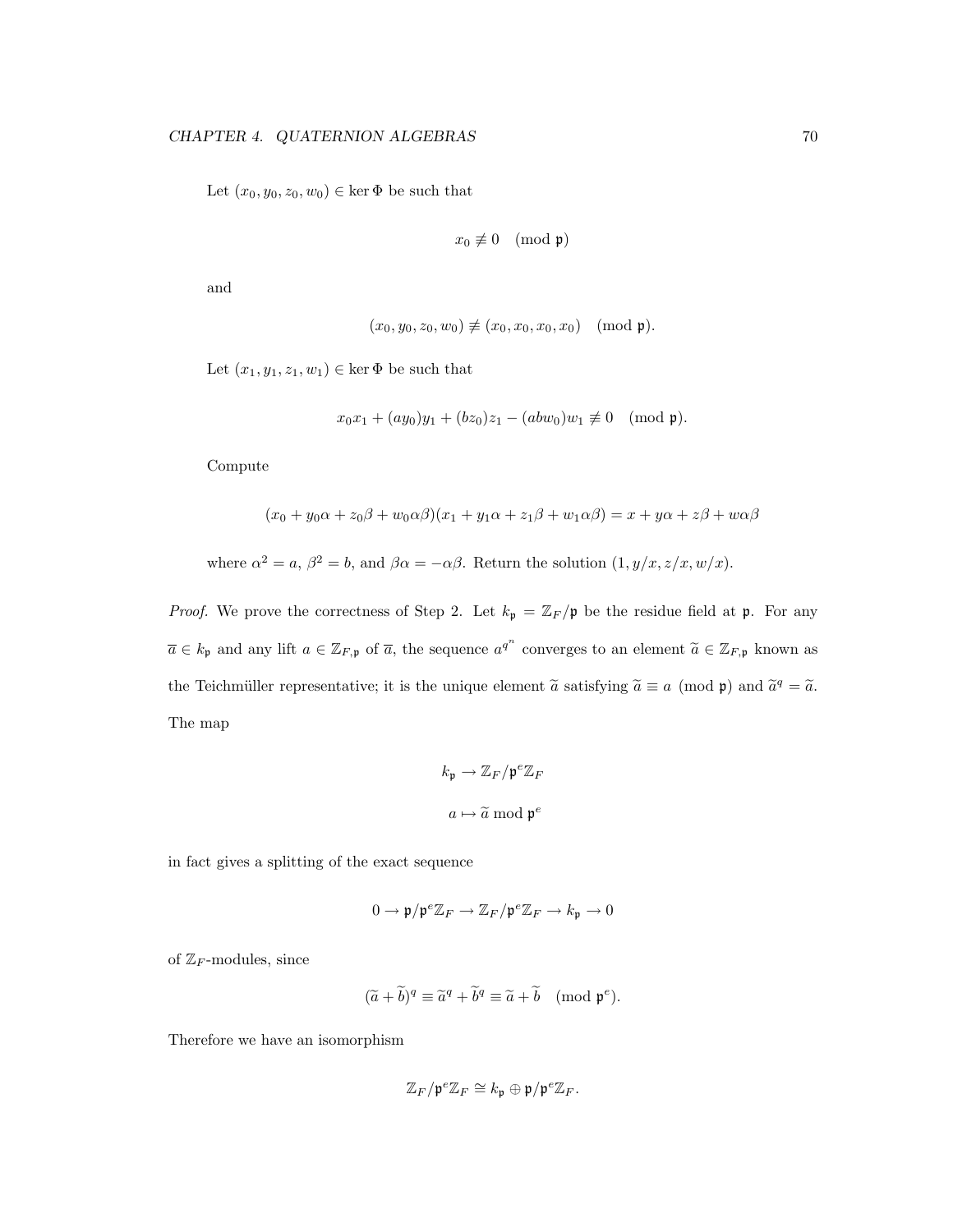Let  $(x_0, y_0, z_0, w_0) \in \ker \Phi$  be such that

$$
x_0 \not\equiv 0 \pmod{\mathfrak{p}}
$$

and

$$
(x_0, y_0, z_0, w_0) \not\equiv (x_0, x_0, x_0, x_0) \pmod{\mathfrak{p}}.
$$

Let  $(x_1, y_1, z_1, w_1) \in \ker \Phi$  be such that

$$
x_0x_1 + (ay_0)y_1 + (bz_0)z_1 - (abw_0)w_1 \not\equiv 0 \pmod{\mathfrak{p}}.
$$

Compute

$$
(x_0 + y_0\alpha + z_0\beta + w_0\alpha\beta)(x_1 + y_1\alpha + z_1\beta + w_1\alpha\beta) = x + y\alpha + z\beta + w\alpha\beta
$$

where  $\alpha^2 = a$ ,  $\beta^2 = b$ , and  $\beta \alpha = -\alpha \beta$ . Return the solution  $(1, y/x, z/x, w/x)$ .

*Proof.* We prove the correctness of Step 2. Let  $k_{\mathfrak{p}} = \mathbb{Z}_F/\mathfrak{p}$  be the residue field at  $\mathfrak{p}$ . For any  $\overline{a} \in k_{\mathfrak{p}}$  and any lift  $a \in \mathbb{Z}_{F,\mathfrak{p}}$  of  $\overline{a}$ , the sequence  $a^{q^n}$  converges to an element  $\widetilde{a} \in \mathbb{Z}_{F,\mathfrak{p}}$  known as the Teichmüller representative; it is the unique element  $\tilde{a}$  satisfying  $\tilde{a} \equiv a \pmod{p}$  and  $\tilde{a}^q = \tilde{a}$ . The map

$$
k_{\mathfrak{p}} \to \mathbb{Z}_F / \mathfrak{p}^e \mathbb{Z}_F
$$

$$
a \mapsto \widetilde{a} \mod \mathfrak{p}^e
$$

in fact gives a splitting of the exact sequence

$$
0\to \mathfrak{p}/\mathfrak{p}^e\mathbb{Z}_F\to \mathbb{Z}_F/\mathfrak{p}^e\mathbb{Z}_F\to k_{\mathfrak{p}}\to 0
$$

of  $\mathbb{Z}_F$ -modules, since

$$
(\widetilde{a} + \widetilde{b})^q \equiv \widetilde{a}^q + \widetilde{b}^q \equiv \widetilde{a} + \widetilde{b} \pmod{\mathfrak{p}^e}.
$$

Therefore we have an isomorphism

$$
\mathbb{Z}_F/\mathfrak{p}^e\mathbb{Z}_F\cong k_\mathfrak{p}\oplus\mathfrak{p}/\mathfrak{p}^e\mathbb{Z}_F.
$$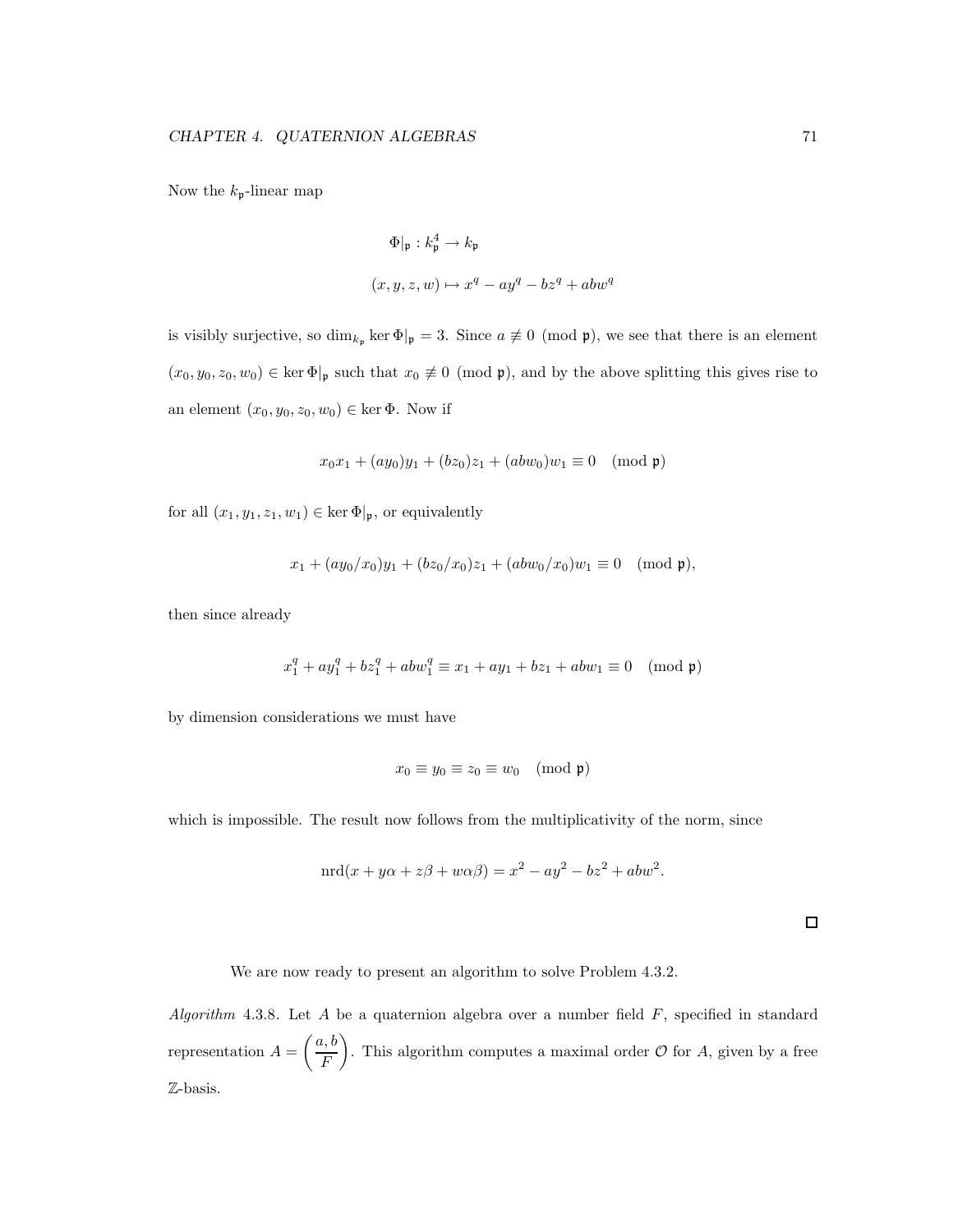Now the  $k_{\mathfrak{p}}$ -linear map

$$
\Phi|_{\mathfrak{p}} : k_{\mathfrak{p}}^4 \to k_{\mathfrak{p}}
$$

$$
(x, y, z, w) \mapsto x^q - ay^q - bz^q + abw^q
$$

is visibly surjective, so  $\dim_{k_{\mathfrak{p}}} \ker \Phi|_{\mathfrak{p}} = 3$ . Since  $a \not\equiv 0 \pmod{\mathfrak{p}}$ , we see that there is an element  $(x_0, y_0, z_0, w_0) \in \ker \Phi|_{\mathfrak{p}}$  such that  $x_0 \not\equiv 0 \pmod{\mathfrak{p}}$ , and by the above splitting this gives rise to an element  $(x_0, y_0, z_0, w_0) \in \text{ker } \Phi$ . Now if

$$
x_0x_1 + (ay_0)y_1 + (bz_0)z_1 + (abw_0)w_1 \equiv 0 \pmod{\mathfrak{p}}
$$

for all  $(x_1, y_1, z_1, w_1) \in \ker \Phi|_{\mathfrak{p}}$ , or equivalently

$$
x_1 + (ay_0/x_0)y_1 + (bz_0/x_0)z_1 + (abw_0/x_0)w_1 \equiv 0 \pmod{\mathfrak{p}},
$$

then since already

$$
x_1^q + ay_1^q + bz_1^q + abw_1^q \equiv x_1 + ay_1 + bz_1 + abw_1 \equiv 0 \pmod{\mathfrak{p}}
$$

by dimension considerations we must have

$$
x_0 \equiv y_0 \equiv z_0 \equiv w_0 \pmod{\mathfrak{p}}
$$

which is impossible. The result now follows from the multiplicativity of the norm, since

$$
\operatorname{nrd}(x + y\alpha + z\beta + w\alpha\beta) = x^2 - ay^2 - bz^2 + abw^2.
$$

 $\Box$ 

We are now ready to present an algorithm to solve Problem 4.3.2.

Algorithm 4.3.8. Let A be a quaternion algebra over a number field  $F$ , specified in standard representation  $A =$  $\int a, b$ F  $\overline{\phantom{0}}$ . This algorithm computes a maximal order  $\mathcal O$  for  $A$ , given by a free Z-basis.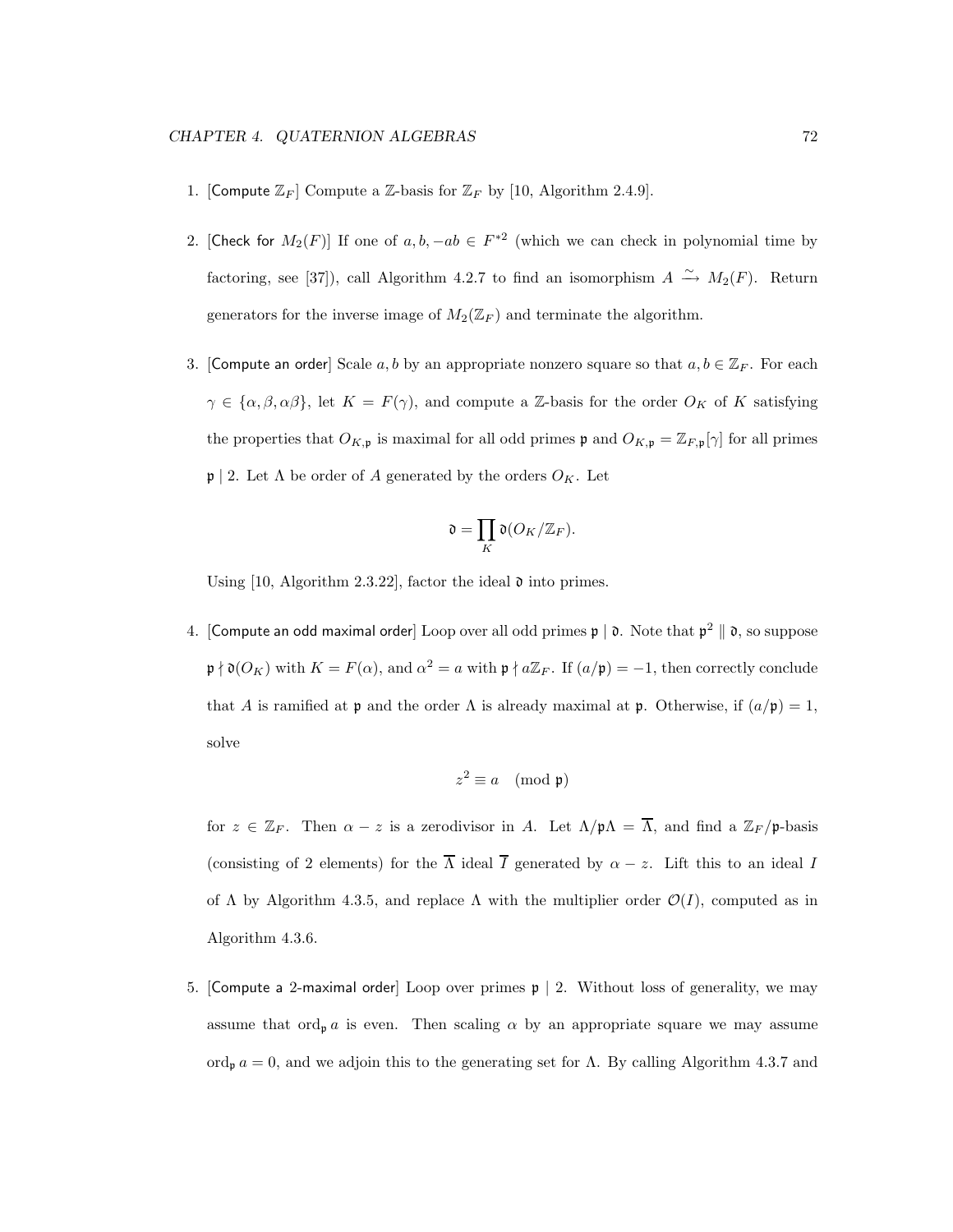- 1. [Compute  $\mathbb{Z}_F$ ] Compute a  $\mathbb{Z}_r$ -basis for  $\mathbb{Z}_F$  by [10, Algorithm 2.4.9].
- 2. [Check for  $M_2(F)$ ] If one of  $a, b, -ab \in F^{*2}$  (which we can check in polynomial time by factoring, see [37]), call Algorithm 4.2.7 to find an isomorphism  $A \xrightarrow{\sim} M_2(F)$ . Return generators for the inverse image of  $M_2(\mathbb{Z}_F)$  and terminate the algorithm.
- 3. [Compute an order] Scale a, b by an appropriate nonzero square so that  $a, b \in \mathbb{Z}_F$ . For each  $\gamma \in {\{\alpha, \beta, \alpha\beta\}}$ , let  $K = F(\gamma)$ , and compute a Z-basis for the order  $O_K$  of K satisfying the properties that  $O_{K,\mathfrak{p}}$  is maximal for all odd primes  $\mathfrak{p}$  and  $O_{K,\mathfrak{p}} = \mathbb{Z}_{F,\mathfrak{p}}[\gamma]$  for all primes  $\mathfrak{p} \mid 2$ . Let  $\Lambda$  be order of A generated by the orders  $O_K$ . Let

$$
\mathfrak{d} = \prod_{K} \mathfrak{d}(O_K/\mathbb{Z}_F).
$$

Using  $[10,$  Algorithm 2.3.22, factor the ideal  $\mathfrak d$  into primes.

4. [Compute an odd maximal order] Loop over all odd primes  $\mathfrak{p} \mid \mathfrak{d}$ . Note that  $\mathfrak{p}^2 \parallel \mathfrak{d}$ , so suppose  $\mathfrak{p} \nmid \mathfrak{d}(O_K)$  with  $K = F(\alpha)$ , and  $\alpha^2 = a$  with  $\mathfrak{p} \nmid a\mathbb{Z}_F$ . If  $(a/\mathfrak{p}) = -1$ , then correctly conclude that A is ramified at p and the order  $\Lambda$  is already maximal at p. Otherwise, if  $(a/\mathfrak{p}) = 1$ , solve

$$
z^2 \equiv a \pmod{\mathfrak{p}}
$$

for  $z \in \mathbb{Z}_F$ . Then  $\alpha - z$  is a zerodivisor in A. Let  $\Lambda/\mathfrak{p}\Lambda = \overline{\Lambda}$ , and find a  $\mathbb{Z}_F/\mathfrak{p}$ -basis (consisting of 2 elements) for the  $\overline{\Lambda}$  ideal  $\overline{I}$  generated by  $\alpha - z$ . Lift this to an ideal I of  $\Lambda$  by Algorithm 4.3.5, and replace  $\Lambda$  with the multiplier order  $\mathcal{O}(I)$ , computed as in Algorithm 4.3.6.

5. [Compute a 2-maximal order] Loop over primes  $\mathfrak{p} \mid 2$ . Without loss of generality, we may assume that  $\text{ord}_{\mathfrak{p}} a$  is even. Then scaling  $\alpha$  by an appropriate square we may assume ord<sub>p</sub>  $a = 0$ , and we adjoin this to the generating set for  $\Lambda$ . By calling Algorithm 4.3.7 and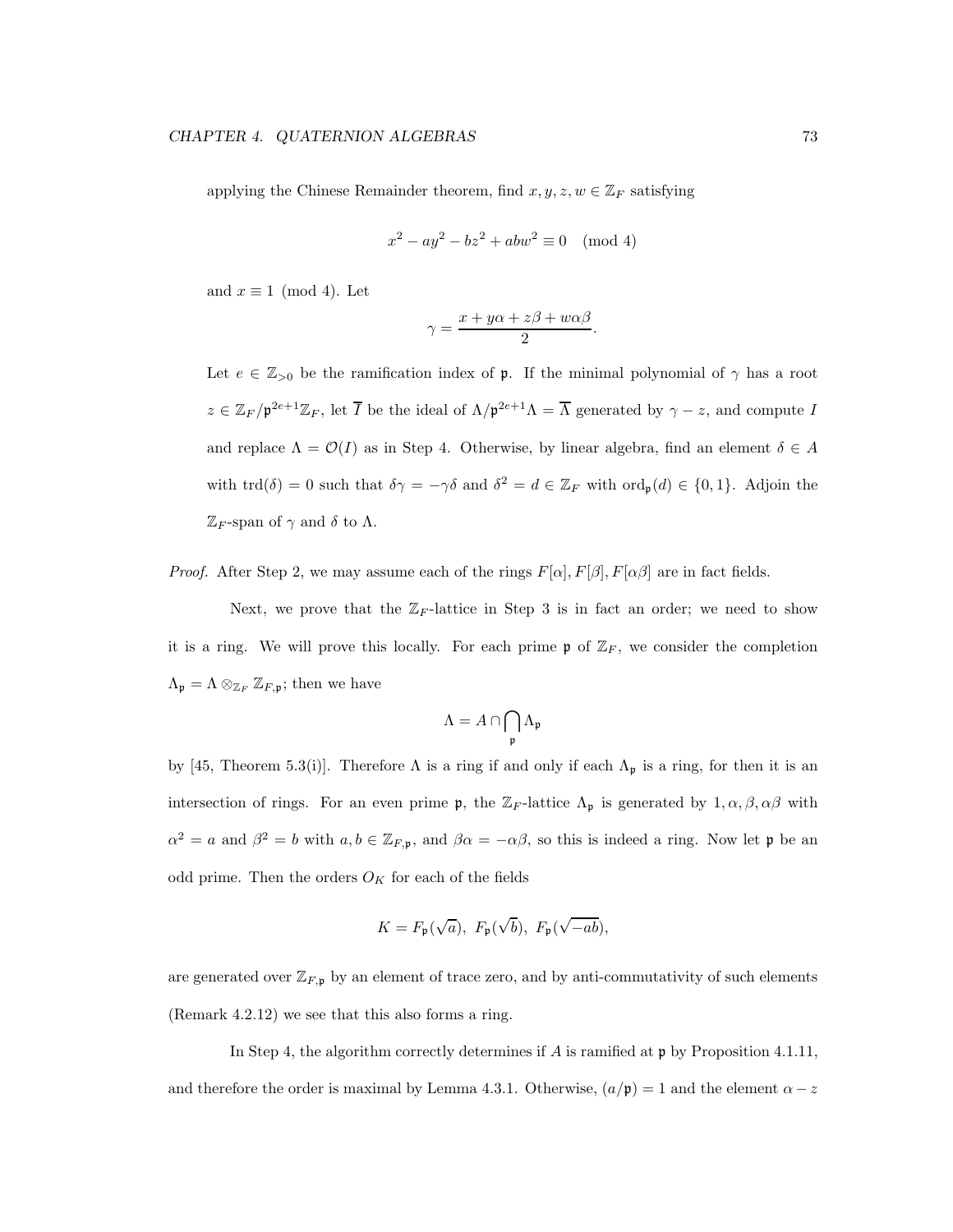applying the Chinese Remainder theorem, find  $x, y, z, w \in \mathbb{Z}_F$  satisfying

$$
x^2 - ay^2 - bz^2 + abw^2 \equiv 0 \pmod{4}
$$

and  $x \equiv 1 \pmod{4}$ . Let

$$
\gamma = \frac{x + y\alpha + z\beta + w\alpha\beta}{2}.
$$

Let  $e \in \mathbb{Z}_{>0}$  be the ramification index of **p**. If the minimal polynomial of  $\gamma$  has a root  $z \in \mathbb{Z}_F/\mathfrak{p}^{2e+1}\mathbb{Z}_F$ , let  $\overline{I}$  be the ideal of  $\Lambda/\mathfrak{p}^{2e+1}\Lambda = \overline{\Lambda}$  generated by  $\gamma - z$ , and compute  $I$ and replace  $\Lambda = \mathcal{O}(I)$  as in Step 4. Otherwise, by linear algebra, find an element  $\delta \in A$ with  $\text{trd}(\delta) = 0$  such that  $\delta \gamma = -\gamma \delta$  and  $\delta^2 = d \in \mathbb{Z}_F$  with  $\text{ord}_{\mathfrak{p}}(d) \in \{0,1\}$ . Adjoin the  $\mathbb{Z}_F$ -span of  $\gamma$  and  $\delta$  to  $\Lambda$ .

*Proof.* After Step 2, we may assume each of the rings  $F[\alpha], F[\beta], F[\alpha\beta]$  are in fact fields.

Next, we prove that the  $\mathbb{Z}_F$ -lattice in Step 3 is in fact an order; we need to show it is a ring. We will prove this locally. For each prime  $\mathfrak{p}$  of  $\mathbb{Z}_F$ , we consider the completion  $\Lambda_{\mathfrak{p}} = \Lambda \otimes_{\mathbb{Z}_F} \mathbb{Z}_{F,\mathfrak{p}}$ ; then we have

$$
\Lambda = A \cap \bigcap_{\mathfrak{p}} \Lambda_{\mathfrak{p}}
$$

by [45, Theorem 5.3(i)]. Therefore  $\Lambda$  is a ring if and only if each  $\Lambda_p$  is a ring, for then it is an intersection of rings. For an even prime **p**, the  $\mathbb{Z}_F$ -lattice  $\Lambda_p$  is generated by  $1, \alpha, \beta, \alpha\beta$  with  $\alpha^2 = a$  and  $\beta^2 = b$  with  $a, b \in \mathbb{Z}_{F,\mathfrak{p}}$ , and  $\beta\alpha = -\alpha\beta$ , so this is indeed a ring. Now let  $\mathfrak{p}$  be an odd prime. Then the orders  $O_K$  for each of the fields

$$
K = F_{\mathfrak{p}}(\sqrt{a}), F_{\mathfrak{p}}(\sqrt{b}), F_{\mathfrak{p}}(\sqrt{-ab}),
$$

are generated over  $\mathbb{Z}_{F,\mathfrak{p}}$  by an element of trace zero, and by anti-commutativity of such elements (Remark 4.2.12) we see that this also forms a ring.

In Step 4, the algorithm correctly determines if  $A$  is ramified at  $\mathfrak p$  by Proposition 4.1.11, and therefore the order is maximal by Lemma 4.3.1. Otherwise,  $(a/\mathfrak{p}) = 1$  and the element  $\alpha - z$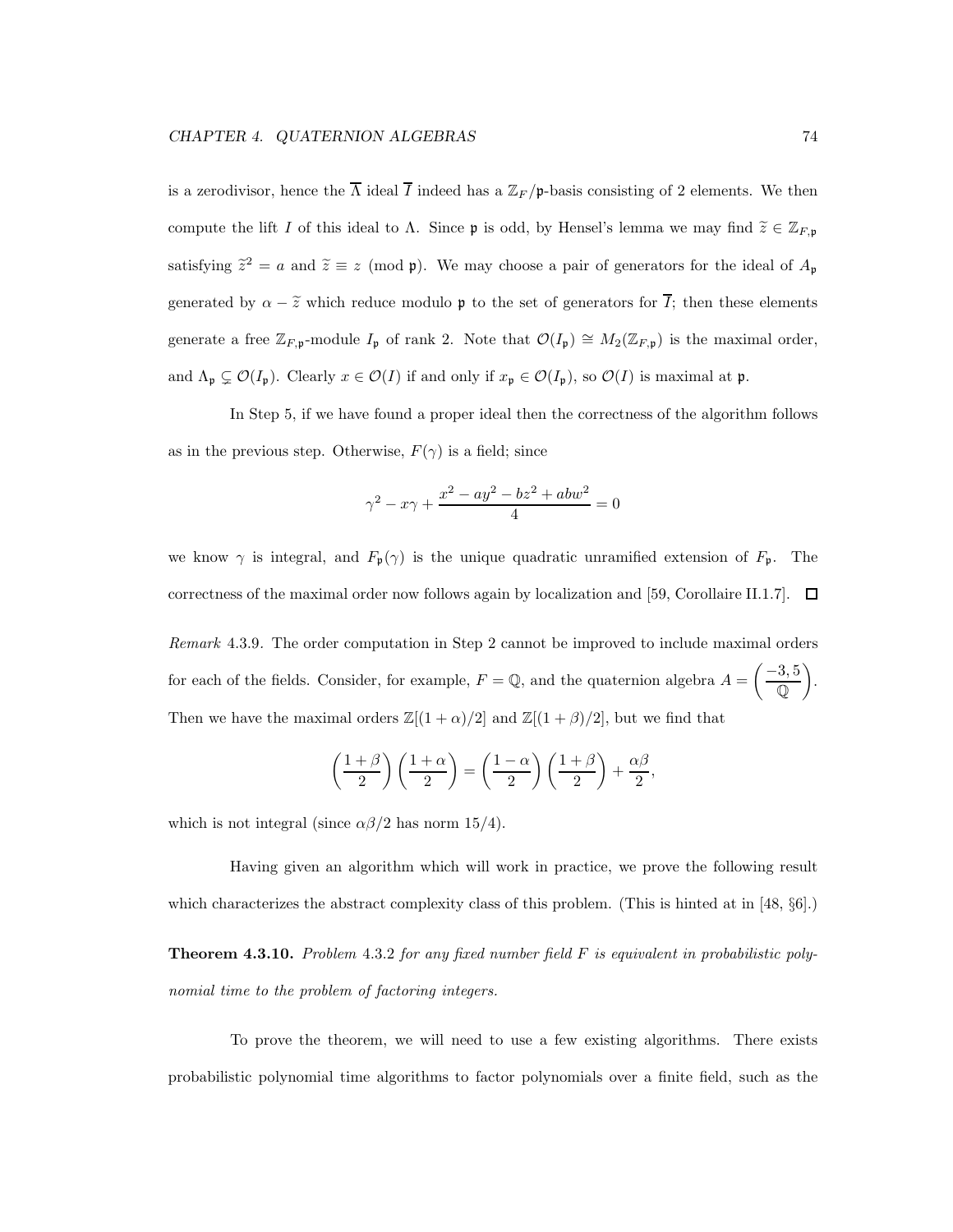is a zerodivisor, hence the  $\overline{\Lambda}$  ideal  $\overline{I}$  indeed has a  $\mathbb{Z}_F/\mathfrak{p}$ -basis consisting of 2 elements. We then compute the lift I of this ideal to  $\Lambda$ . Since **p** is odd, by Hensel's lemma we may find  $\tilde{z} \in \mathbb{Z}_{F,\mathfrak{p}}$ satisfying  $\tilde{z}^2 = a$  and  $\tilde{z} \equiv z \pmod{\mathfrak{p}}$ . We may choose a pair of generators for the ideal of  $A_{\mathfrak{p}}$ generated by  $\alpha - \tilde{z}$  which reduce modulo p to the set of generators for  $\overline{I}$ ; then these elements generate a free  $\mathbb{Z}_{F,\mathfrak{p}}$ -module  $I_{\mathfrak{p}}$  of rank 2. Note that  $\mathcal{O}(I_{\mathfrak{p}}) \cong M_2(\mathbb{Z}_{F,\mathfrak{p}})$  is the maximal order, and  $\Lambda_{\mathfrak{p}} \subsetneq \mathcal{O}(I_{\mathfrak{p}})$ . Clearly  $x \in \mathcal{O}(I)$  if and only if  $x_{\mathfrak{p}} \in \mathcal{O}(I_{\mathfrak{p}})$ , so  $\mathcal{O}(I)$  is maximal at  $\mathfrak{p}$ .

In Step 5, if we have found a proper ideal then the correctness of the algorithm follows as in the previous step. Otherwise,  $F(\gamma)$  is a field; since

$$
\gamma^{2} - x\gamma + \frac{x^{2} - ay^{2} - bz^{2} + abw^{2}}{4} = 0
$$

we know  $\gamma$  is integral, and  $F_{\mathfrak{p}}(\gamma)$  is the unique quadratic unramified extension of  $F_{\mathfrak{p}}$ . The correctness of the maximal order now follows again by localization and [59, Corollaire II.1.7].  $\Box$ 

Remark 4.3.9. The order computation in Step 2 cannot be improved to include maximal orders for each of the fields. Consider, for example,  $F = \mathbb{Q}$ , and the quaternion algebra  $A =$  $\left( \frac{-3,5}{2} \right)$  $\mathbb Q$  $\setminus$ . Then we have the maximal orders  $\mathbb{Z}[(1+\alpha)/2]$  and  $\mathbb{Z}[(1+\beta)/2]$ , but we find that

$$
\left(\frac{1+\beta}{2}\right)\left(\frac{1+\alpha}{2}\right) = \left(\frac{1-\alpha}{2}\right)\left(\frac{1+\beta}{2}\right) + \frac{\alpha\beta}{2},
$$

which is not integral (since  $\alpha\beta/2$  has norm 15/4).

Having given an algorithm which will work in practice, we prove the following result which characterizes the abstract complexity class of this problem. (This is hinted at in [48, §6].)

**Theorem 4.3.10.** Problem 4.3.2 for any fixed number field  $F$  is equivalent in probabilistic polynomial time to the problem of factoring integers.

To prove the theorem, we will need to use a few existing algorithms. There exists probabilistic polynomial time algorithms to factor polynomials over a finite field, such as the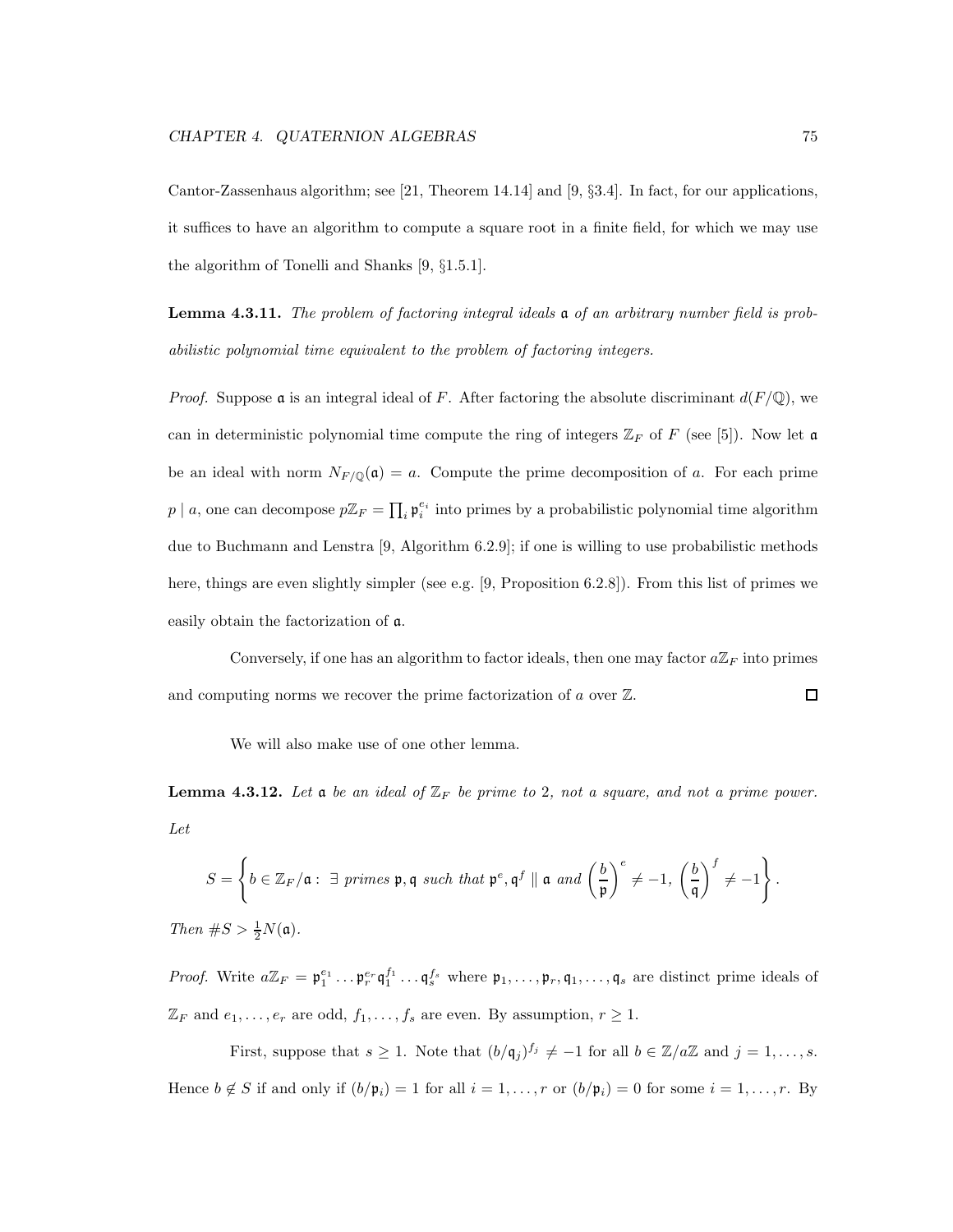Cantor-Zassenhaus algorithm; see [21, Theorem 14.14] and [9, §3.4]. In fact, for our applications, it suffices to have an algorithm to compute a square root in a finite field, for which we may use the algorithm of Tonelli and Shanks [9, §1.5.1].

Lemma 4.3.11. The problem of factoring integral ideals a of an arbitrary number field is probabilistic polynomial time equivalent to the problem of factoring integers.

*Proof.* Suppose a is an integral ideal of F. After factoring the absolute discriminant  $d(F/\mathbb{Q})$ , we can in deterministic polynomial time compute the ring of integers  $\mathbb{Z}_F$  of F (see [5]). Now let a be an ideal with norm  $N_{F/\mathbb{Q}}(\mathfrak{a}) = a$ . Compute the prime decomposition of a. For each prime  $p \mid a$ , one can decompose  $p\mathbb{Z}_F = \prod_i \mathfrak{p}_i^{e_i}$  into primes by a probabilistic polynomial time algorithm due to Buchmann and Lenstra [9, Algorithm 6.2.9]; if one is willing to use probabilistic methods here, things are even slightly simpler (see e.g. [9, Proposition 6.2.8]). From this list of primes we easily obtain the factorization of a.

Conversely, if one has an algorithm to factor ideals, then one may factor  $a\mathbb{Z}_F$  into primes and computing norms we recover the prime factorization of  $a$  over  $\mathbb{Z}$ .  $\Box$ 

We will also make use of one other lemma.

**Lemma 4.3.12.** Let **a** be an ideal of  $\mathbb{Z}_F$  be prime to 2, not a square, and not a prime power. Let

$$
S = \left\{ b \in \mathbb{Z}_F / \mathfrak{a} : \exists \text{ primes } \mathfrak{p}, \mathfrak{q} \text{ such that } \mathfrak{p}^e, \mathfrak{q}^f \parallel \mathfrak{a} \text{ and } \left(\frac{b}{\mathfrak{p}}\right)^e \neq -1, \left(\frac{b}{\mathfrak{q}}\right)^f \neq -1 \right\}.
$$

Then  $\#S > \frac{1}{2}N(\mathfrak{a})$ .

*Proof.* Write  $a\mathbb{Z}_F = \mathfrak{p}_1^{e_1} \dots \mathfrak{p}_r^{e_r} \mathfrak{q}_1^{f_1} \dots \mathfrak{q}_s^{f_s}$  where  $\mathfrak{p}_1, \dots, \mathfrak{p}_r, \mathfrak{q}_1, \dots, \mathfrak{q}_s$  are distinct prime ideals of  $\mathbb{Z}_F$  and  $e_1, \ldots, e_r$  are odd,  $f_1, \ldots, f_s$  are even. By assumption,  $r \geq 1$ .

First, suppose that  $s \geq 1$ . Note that  $(b/\mathfrak{q}_j)^{f_j} \neq -1$  for all  $b \in \mathbb{Z}/a\mathbb{Z}$  and  $j = 1, \ldots, s$ . Hence  $b \notin S$  if and only if  $(b/\mathfrak{p}_i) = 1$  for all  $i = 1, \ldots, r$  or  $(b/\mathfrak{p}_i) = 0$  for some  $i = 1, \ldots, r$ . By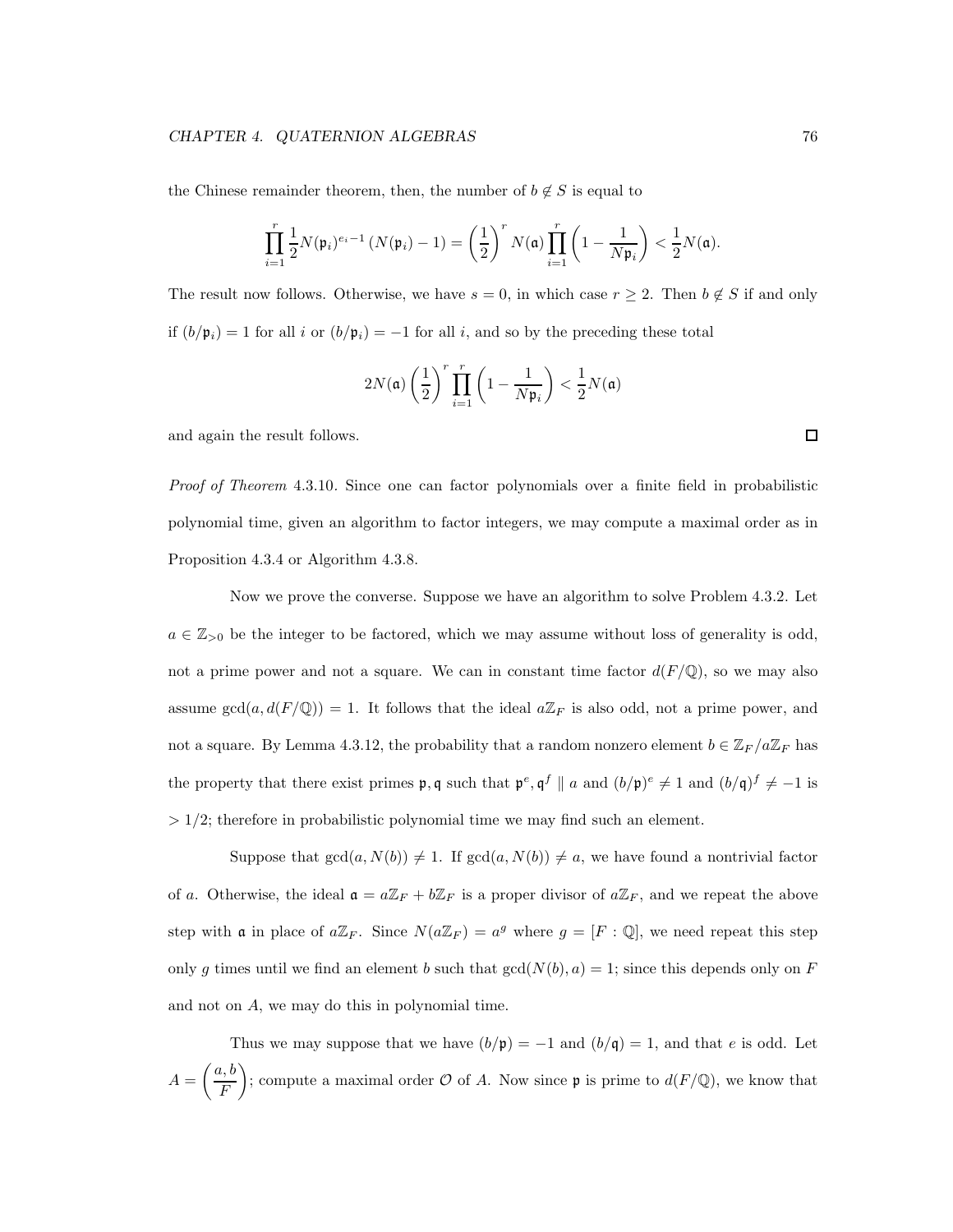the Chinese remainder theorem, then, the number of  $b \notin S$  is equal to

$$
\prod_{i=1}^r\frac{1}{2}N(\mathfrak{p}_i)^{e_i-1}\left(N(\mathfrak{p}_i)-1\right)=\left(\frac{1}{2}\right)^rN(\mathfrak{a})\prod_{i=1}^r\left(1-\frac{1}{N\mathfrak{p}_i}\right)<\frac{1}{2}N(\mathfrak{a}).
$$

The result now follows. Otherwise, we have  $s = 0$ , in which case  $r \geq 2$ . Then  $b \notin S$  if and only if  $(b/\mathfrak{p}_i) = 1$  for all i or  $(b/\mathfrak{p}_i) = -1$  for all i, and so by the preceding these total

$$
2N(\mathfrak{a})\left(\frac{1}{2}\right)^r\prod_{i=1}^r\left(1-\frac{1}{N\mathfrak{p}_i}\right)<\frac{1}{2}N(\mathfrak{a})
$$

and again the result follows.

Proof of Theorem 4.3.10. Since one can factor polynomials over a finite field in probabilistic polynomial time, given an algorithm to factor integers, we may compute a maximal order as in Proposition 4.3.4 or Algorithm 4.3.8.

Now we prove the converse. Suppose we have an algorithm to solve Problem 4.3.2. Let  $a \in \mathbb{Z}_{\geq 0}$  be the integer to be factored, which we may assume without loss of generality is odd, not a prime power and not a square. We can in constant time factor  $d(F/\mathbb{Q})$ , so we may also assume  $gcd(a, d(F/\mathbb{Q})) = 1$ . It follows that the ideal  $a\mathbb{Z}_F$  is also odd, not a prime power, and not a square. By Lemma 4.3.12, the probability that a random nonzero element  $b \in \mathbb{Z}_F/a\mathbb{Z}_F$  has the property that there exist primes  $\mathfrak{p}, \mathfrak{q}$  such that  $\mathfrak{p}^e, \mathfrak{q}^f \parallel a$  and  $(b/\mathfrak{p})^e \neq 1$  and  $(b/\mathfrak{q})^f \neq -1$  is  $> 1/2$ ; therefore in probabilistic polynomial time we may find such an element.

Suppose that  $gcd(a, N(b)) \neq 1$ . If  $gcd(a, N(b)) \neq a$ , we have found a nontrivial factor of a. Otherwise, the ideal  $\mathfrak{a} = a\mathbb{Z}_F + b\mathbb{Z}_F$  is a proper divisor of  $a\mathbb{Z}_F$ , and we repeat the above step with a in place of  $a\mathbb{Z}_F$ . Since  $N(a\mathbb{Z}_F) = a^g$  where  $g = [F : \mathbb{Q}]$ , we need repeat this step only g times until we find an element b such that  $gcd(N(b), a) = 1$ ; since this depends only on F and not on A, we may do this in polynomial time.

Thus we may suppose that we have  $(b/\mathfrak{p}) = -1$  and  $(b/\mathfrak{q}) = 1$ , and that e is odd. Let  $A =$  $\int a, b$ F  $\setminus$ ; compute a maximal order  $\mathcal O$  of A. Now since  $\mathfrak p$  is prime to  $d(F/\mathbb Q)$ , we know that

 $\Box$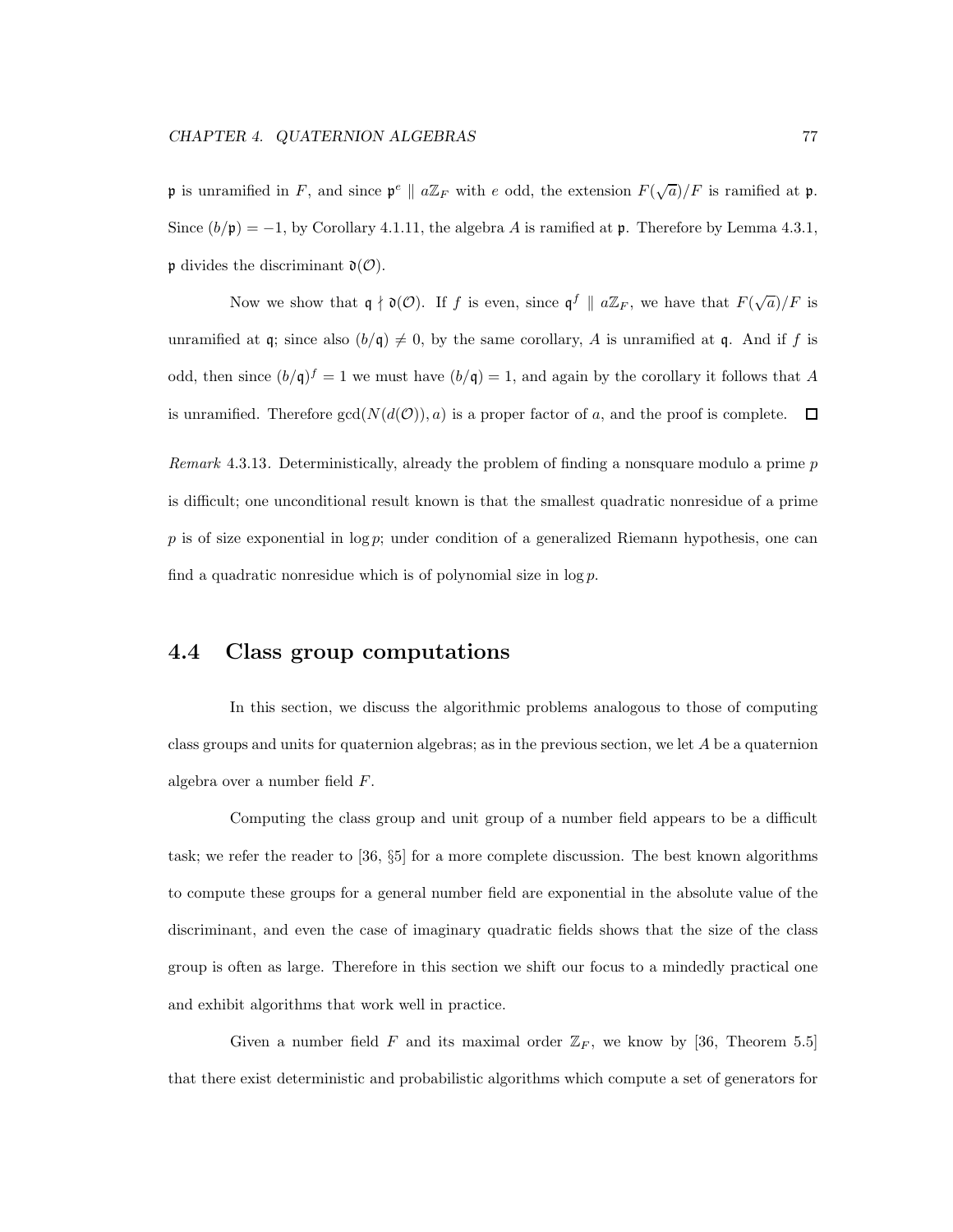**p** is unramified in F, and since  $\mathfrak{p}^e \parallel a\mathbb{Z}_F$  with e odd, the extension  $F(\sqrt{a})/F$  is ramified at **p**. Since  $(b/\mathfrak{p}) = -1$ , by Corollary 4.1.11, the algebra A is ramified at  $\mathfrak{p}$ . Therefore by Lemma 4.3.1,  $\mathfrak p$  divides the discriminant  $\mathfrak d(\mathcal O)$ .

Now we show that  $\mathfrak{q} \nmid \mathfrak{d}(\mathcal{O})$ . If f is even, since  $\mathfrak{q}^f \parallel a\mathbb{Z}_F$ , we have that  $F(\sqrt{a})/F$  is unramified at q; since also  $(b/q) \neq 0$ , by the same corollary, A is unramified at q. And if f is odd, then since  $(b/q)^f = 1$  we must have  $(b/q) = 1$ , and again by the corollary it follows that A is unramified. Therefore  $gcd(N(d(\mathcal{O})), a)$  is a proper factor of a, and the proof is complete.  $\Box$ 

Remark 4.3.13. Deterministically, already the problem of finding a nonsquare modulo a prime  $p$ is difficult; one unconditional result known is that the smallest quadratic nonresidue of a prime  $p$  is of size exponential in log  $p$ ; under condition of a generalized Riemann hypothesis, one can find a quadratic nonresidue which is of polynomial size in  $\log p$ .

## 4.4 Class group computations

In this section, we discuss the algorithmic problems analogous to those of computing class groups and units for quaternion algebras; as in the previous section, we let A be a quaternion algebra over a number field F.

Computing the class group and unit group of a number field appears to be a difficult task; we refer the reader to [36, §5] for a more complete discussion. The best known algorithms to compute these groups for a general number field are exponential in the absolute value of the discriminant, and even the case of imaginary quadratic fields shows that the size of the class group is often as large. Therefore in this section we shift our focus to a mindedly practical one and exhibit algorithms that work well in practice.

Given a number field F and its maximal order  $\mathbb{Z}_F$ , we know by [36, Theorem 5.5] that there exist deterministic and probabilistic algorithms which compute a set of generators for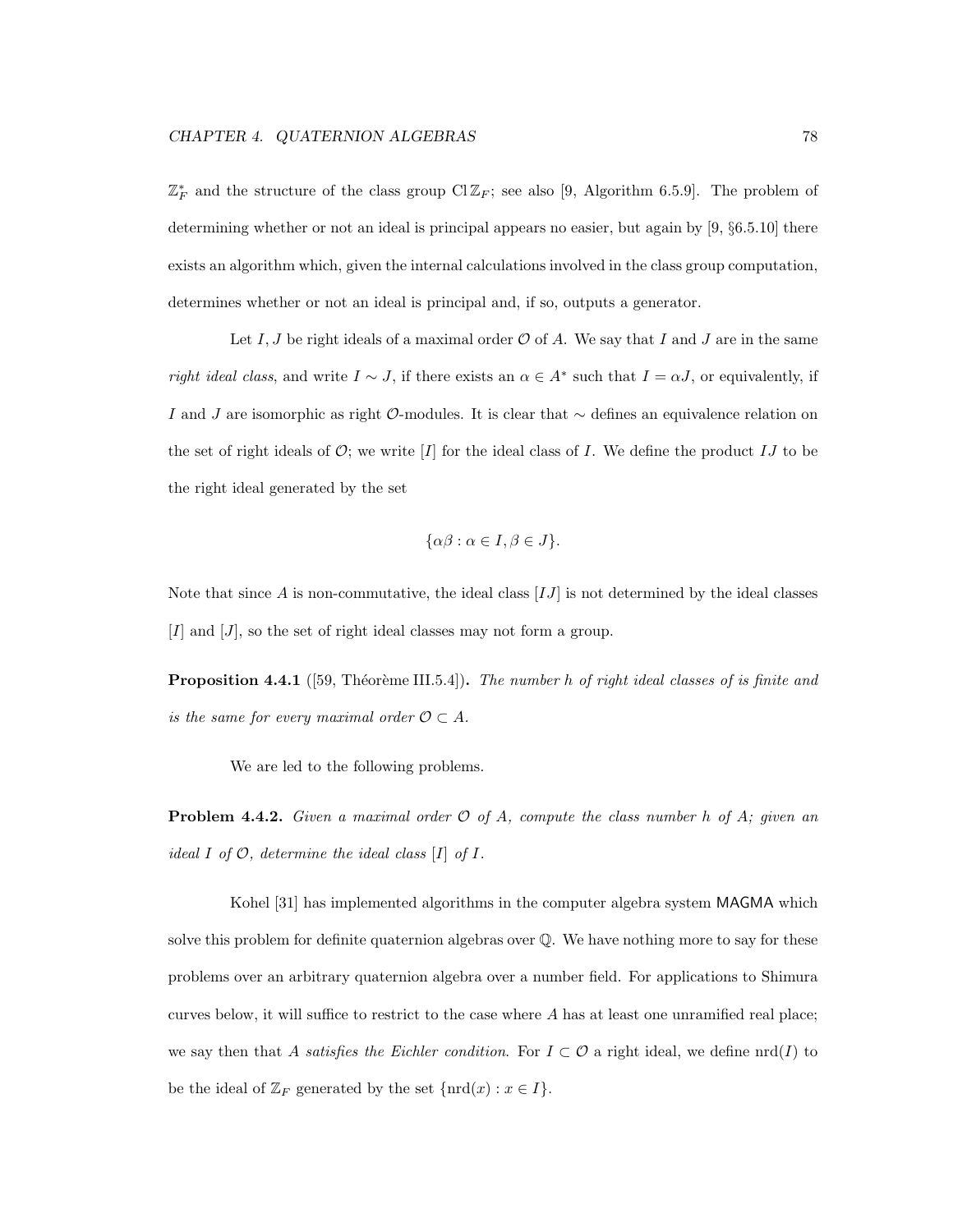$\mathbb{Z}_F^*$  and the structure of the class group  $\text{Cl}\,\mathbb{Z}_F$ ; see also [9, Algorithm 6.5.9]. The problem of determining whether or not an ideal is principal appears no easier, but again by [9, §6.5.10] there exists an algorithm which, given the internal calculations involved in the class group computation, determines whether or not an ideal is principal and, if so, outputs a generator.

Let I, J be right ideals of a maximal order  $\mathcal O$  of A. We say that I and J are in the same right ideal class, and write  $I \sim J$ , if there exists an  $\alpha \in A^*$  such that  $I = \alpha J$ , or equivalently, if I and J are isomorphic as right  $\mathcal{O}\text{-modules}$ . It is clear that  $\sim$  defines an equivalence relation on the set of right ideals of  $\mathcal{O}$ ; we write [I] for the ideal class of I. We define the product IJ to be the right ideal generated by the set

$$
\{\alpha\beta : \alpha \in I, \beta \in J\}.
$$

Note that since  $A$  is non-commutative, the ideal class  $[IJ]$  is not determined by the ideal classes  $[I]$  and  $[J]$ , so the set of right ideal classes may not form a group.

**Proposition 4.4.1** ([59, Théorème III.5.4]). The number h of right ideal classes of is finite and is the same for every maximal order  $\mathcal{O} \subset A$ .

We are led to the following problems.

**Problem 4.4.2.** Given a maximal order  $\mathcal O$  of A, compute the class number h of A; given an ideal I of  $\mathcal{O}$ , determine the ideal class  $[I]$  of  $I$ .

Kohel [31] has implemented algorithms in the computer algebra system MAGMA which solve this problem for definite quaternion algebras over Q. We have nothing more to say for these problems over an arbitrary quaternion algebra over a number field. For applications to Shimura curves below, it will suffice to restrict to the case where  $A$  has at least one unramified real place; we say then that A satisfies the Eichler condition. For  $I \subset \mathcal{O}$  a right ideal, we define  $\text{nrd}(I)$  to be the ideal of  $\mathbb{Z}_F$  generated by the set  $\{\text{ord}(x) : x \in I\}.$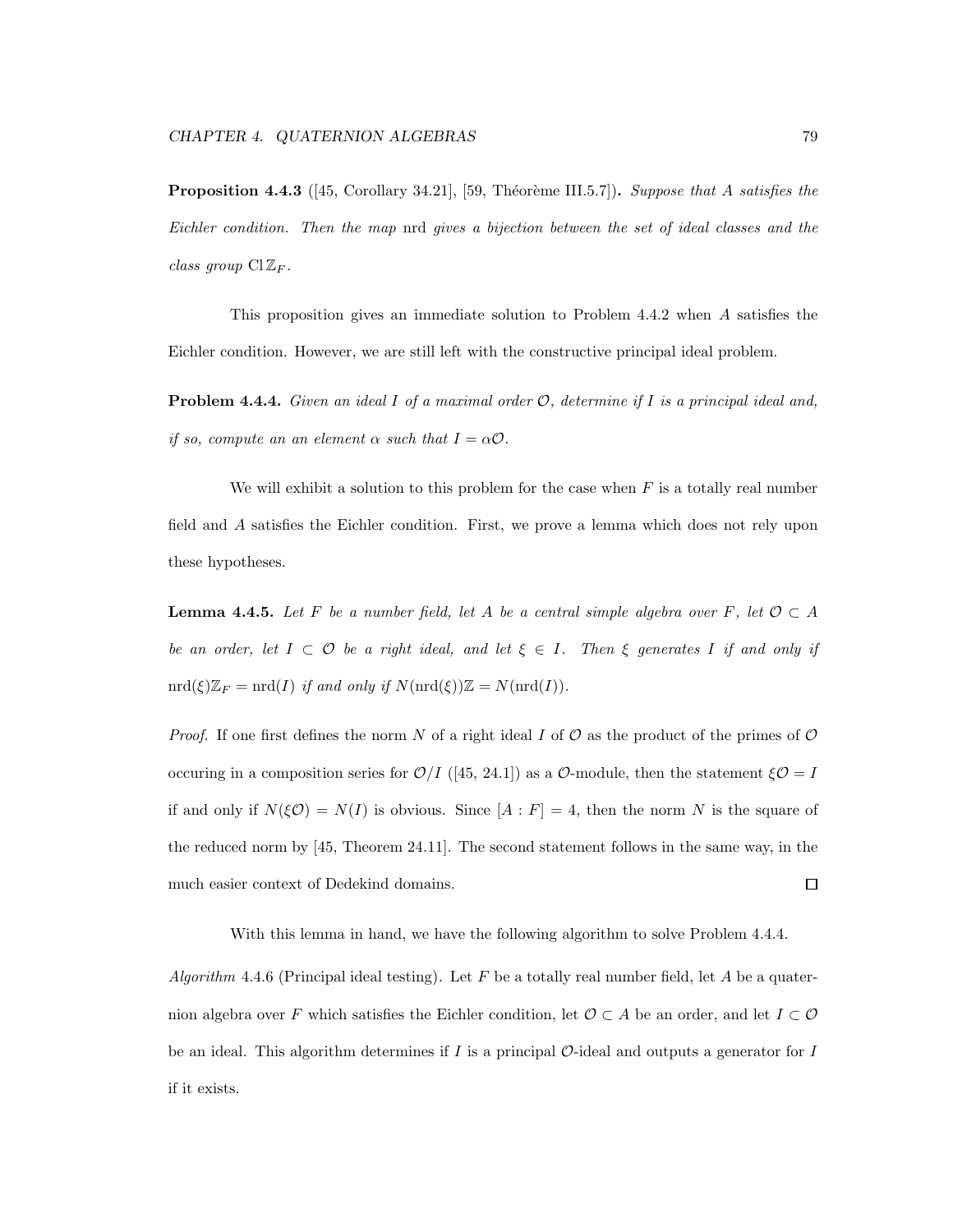**Proposition 4.4.3** ([45, Corollary 34.21], [59, Théorème III.5.7]). Suppose that A satisfies the Eichler condition. Then the map nrd gives a bijection between the set of ideal classes and the class group  $ClZ_F$ .

This proposition gives an immediate solution to Problem 4.4.2 when A satisfies the Eichler condition. However, we are still left with the constructive principal ideal problem.

**Problem 4.4.4.** Given an ideal I of a maximal order  $\mathcal{O}$ , determine if I is a principal ideal and, if so, compute an an element  $\alpha$  such that  $I = \alpha \mathcal{O}$ .

We will exhibit a solution to this problem for the case when  $F$  is a totally real number field and A satisfies the Eichler condition. First, we prove a lemma which does not rely upon these hypotheses.

**Lemma 4.4.5.** Let F be a number field, let A be a central simple algebra over F, let  $\mathcal{O} \subset A$ be an order, let  $I \subset \mathcal{O}$  be a right ideal, and let  $\xi \in I$ . Then  $\xi$  generates I if and only if  $\mathrm{ord}(\xi)\mathbb{Z}_F = \mathrm{ord}(I)$  if and only if  $N(\mathrm{ord}(\xi))\mathbb{Z} = N(\mathrm{ord}(I)).$ 

*Proof.* If one first defines the norm N of a right ideal I of  $\mathcal O$  as the product of the primes of  $\mathcal O$ occuring in a composition series for  $\mathcal{O}/I$  ([45, 24.1]) as a  $\mathcal{O}$ -module, then the statement  $\xi \mathcal{O} = I$ if and only if  $N(\xi \mathcal{O}) = N(I)$  is obvious. Since  $[A : F] = 4$ , then the norm N is the square of the reduced norm by [45, Theorem 24.11]. The second statement follows in the same way, in the much easier context of Dedekind domains.  $\Box$ 

With this lemma in hand, we have the following algorithm to solve Problem 4.4.4.

Algorithm 4.4.6 (Principal ideal testing). Let F be a totally real number field, let A be a quaternion algebra over F which satisfies the Eichler condition, let  $\mathcal{O} \subset A$  be an order, and let  $I \subset \mathcal{O}$ be an ideal. This algorithm determines if  $I$  is a principal  $O$ -ideal and outputs a generator for  $I$ if it exists.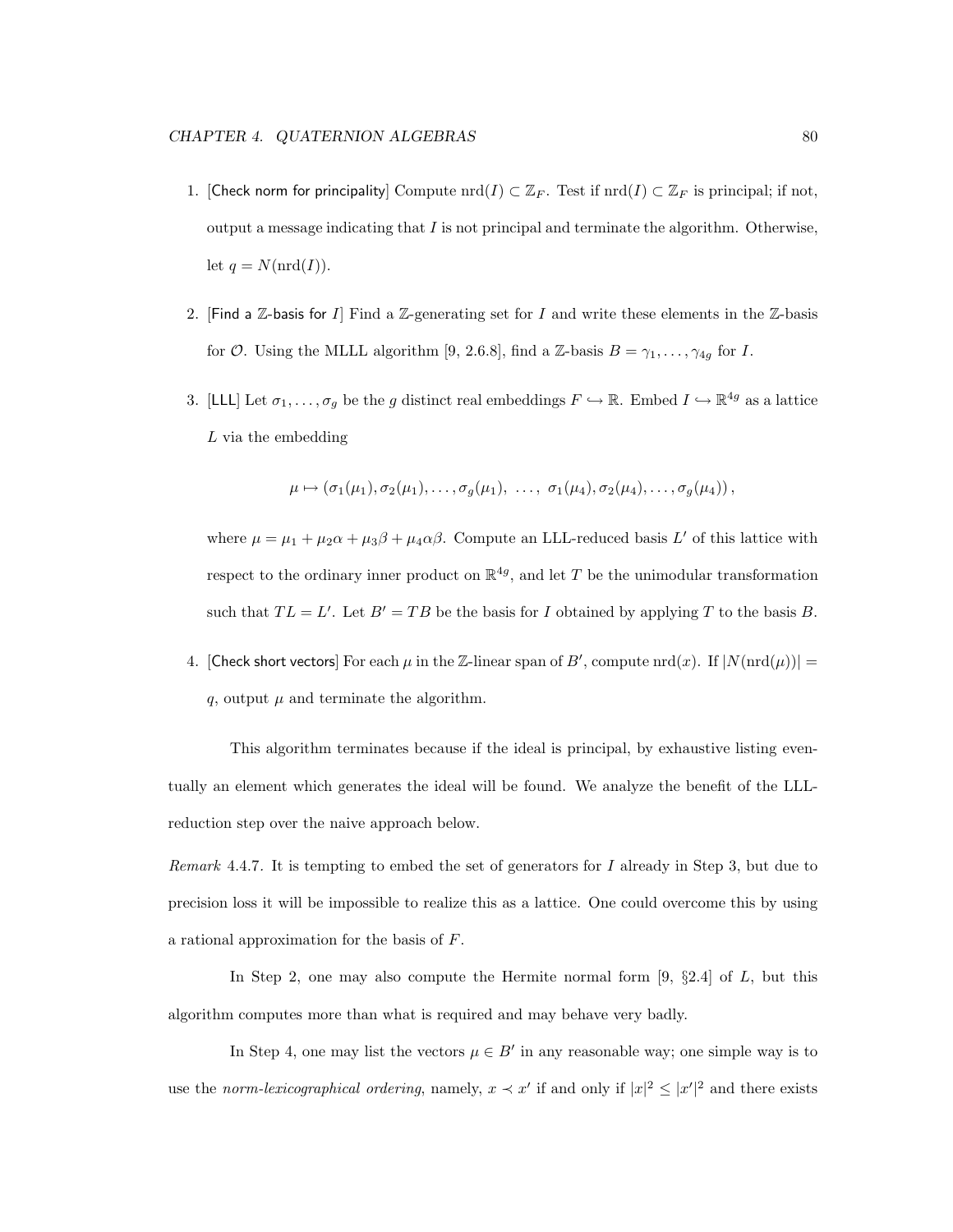- 1. [Check norm for principality] Compute  $\text{nrd}(I) \subset \mathbb{Z}_F$ . Test if  $\text{nrd}(I) \subset \mathbb{Z}_F$  is principal; if not, output a message indicating that  $I$  is not principal and terminate the algorithm. Otherwise, let  $q = N(\text{nrd}(I)).$
- 2. [Find a Z-basis for I] Find a Z-generating set for I and write these elements in the Z-basis for O. Using the MLLL algorithm [9, 2.6.8], find a Z-basis  $B = \gamma_1, \ldots, \gamma_{4g}$  for I.
- 3. [LLL] Let  $\sigma_1, \ldots, \sigma_g$  be the g distinct real embeddings  $F \hookrightarrow \mathbb{R}$ . Embed  $I \hookrightarrow \mathbb{R}^{4g}$  as a lattice L via the embedding

$$
\mu \mapsto (\sigma_1(\mu_1), \sigma_2(\mu_1), \ldots, \sigma_g(\mu_1), \ldots, \sigma_1(\mu_4), \sigma_2(\mu_4), \ldots, \sigma_g(\mu_4)),
$$

where  $\mu = \mu_1 + \mu_2 \alpha + \mu_3 \beta + \mu_4 \alpha \beta$ . Compute an LLL-reduced basis L' of this lattice with respect to the ordinary inner product on  $\mathbb{R}^{4g}$ , and let T be the unimodular transformation such that  $TL = L'$ . Let  $B' = TB$  be the basis for I obtained by applying T to the basis B.

4. [Check short vectors] For each  $\mu$  in the Z-linear span of  $B'$ , compute  $\text{ord}(x)$ . If  $|N(\text{ord}(\mu))|$  = q, output  $\mu$  and terminate the algorithm.

This algorithm terminates because if the ideal is principal, by exhaustive listing eventually an element which generates the ideal will be found. We analyze the benefit of the LLLreduction step over the naive approach below.

Remark 4.4.7. It is tempting to embed the set of generators for  $I$  already in Step 3, but due to precision loss it will be impossible to realize this as a lattice. One could overcome this by using a rational approximation for the basis of F.

In Step 2, one may also compute the Hermite normal form  $[9, §2.4]$  of L, but this algorithm computes more than what is required and may behave very badly.

In Step 4, one may list the vectors  $\mu \in B'$  in any reasonable way; one simple way is to use the *norm-lexicographical ordering*, namely,  $x \prec x'$  if and only if  $|x|^2 \leq |x'|^2$  and there exists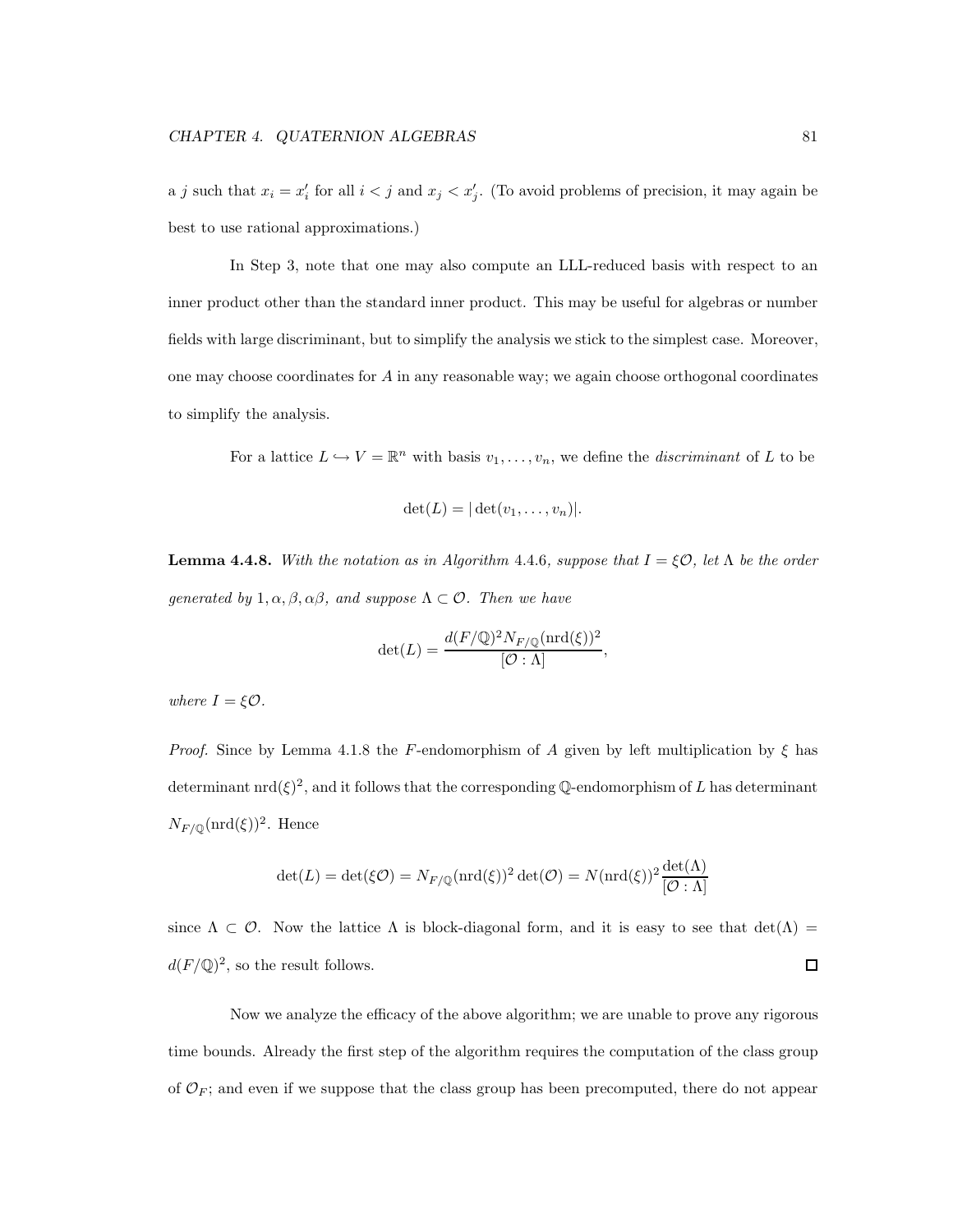a j such that  $x_i = x'_i$  for all  $i < j$  and  $x_j < x'_j$ . (To avoid problems of precision, it may again be best to use rational approximations.)

In Step 3, note that one may also compute an LLL-reduced basis with respect to an inner product other than the standard inner product. This may be useful for algebras or number fields with large discriminant, but to simplify the analysis we stick to the simplest case. Moreover, one may choose coordinates for  $A$  in any reasonable way; we again choose orthogonal coordinates to simplify the analysis.

For a lattice  $L \hookrightarrow V = \mathbb{R}^n$  with basis  $v_1, \ldots, v_n$ , we define the *discriminant* of L to be

$$
\det(L) = |\det(v_1,\ldots,v_n)|.
$$

**Lemma 4.4.8.** With the notation as in Algorithm 4.4.6, suppose that  $I = \xi \mathcal{O}$ , let  $\Lambda$  be the order generated by  $1, \alpha, \beta, \alpha\beta$ , and suppose  $\Lambda \subset \mathcal{O}$ . Then we have

$$
\det(L) = \frac{d(F/\mathbb{Q})^2 N_{F/\mathbb{Q}}(\mathrm{nrd}(\xi))^2}{[\mathcal{O}:\Lambda]},
$$

where  $I = \xi \mathcal{O}$ .

*Proof.* Since by Lemma 4.1.8 the F-endomorphism of A given by left multiplication by  $\xi$  has determinant  $\text{nrd}(\xi)^2$ , and it follows that the corresponding Q-endomorphism of L has determinant  $N_{F/\mathbb{Q}}(\text{nrd}(\xi))^2$ . Hence

$$
\det(L) = \det(\xi \mathcal{O}) = N_{F/\mathbb{Q}} (\text{nrd}(\xi))^2 \det(\mathcal{O}) = N(\text{nrd}(\xi))^2 \frac{\det(\Lambda)}{[\mathcal{O} : \Lambda]}
$$

since  $\Lambda \subset \mathcal{O}$ . Now the lattice  $\Lambda$  is block-diagonal form, and it is easy to see that  $\det(\Lambda)$  $d(F/\mathbb{Q})^2$ , so the result follows.  $\Box$ 

Now we analyze the efficacy of the above algorithm; we are unable to prove any rigorous time bounds. Already the first step of the algorithm requires the computation of the class group of  $\mathcal{O}_F$ ; and even if we suppose that the class group has been precomputed, there do not appear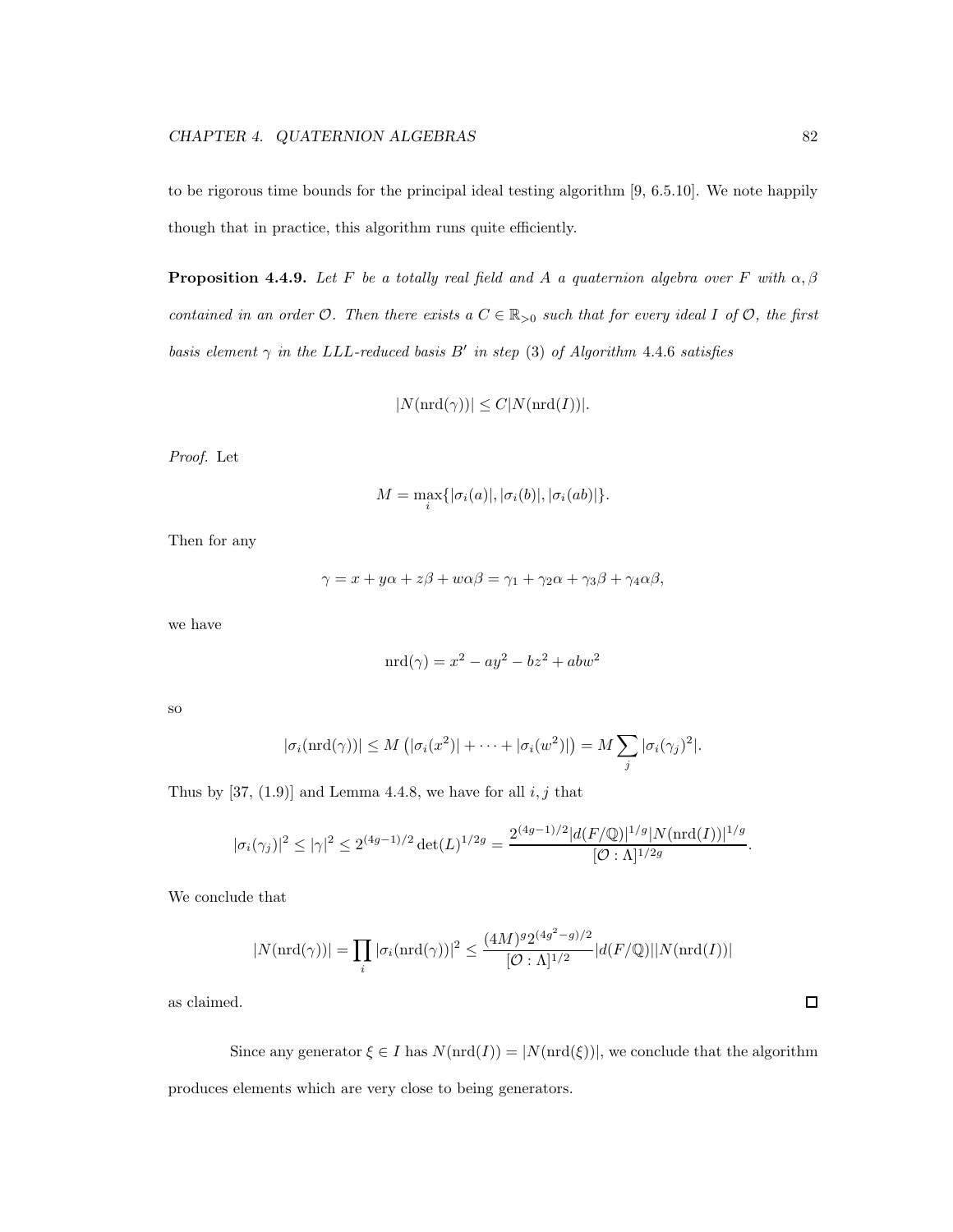to be rigorous time bounds for the principal ideal testing algorithm [9, 6.5.10]. We note happily though that in practice, this algorithm runs quite efficiently.

**Proposition 4.4.9.** Let F be a totally real field and A a quaternion algebra over F with  $\alpha, \beta$ contained in an order  $\mathcal{O}$ . Then there exists a  $C \in \mathbb{R}_{>0}$  such that for every ideal I of  $\mathcal{O}$ , the first basis element  $\gamma$  in the LLL-reduced basis  $B'$  in step (3) of Algorithm 4.4.6 satisfies

$$
|N(\operatorname{nrd}(\gamma))| \le C|N(\operatorname{nrd}(I))|.
$$

Proof. Let

$$
M = \max_{i} \{ |\sigma_i(a)|, |\sigma_i(b)|, |\sigma_i(ab)| \}.
$$

Then for any

$$
\gamma = x + y\alpha + z\beta + w\alpha\beta = \gamma_1 + \gamma_2\alpha + \gamma_3\beta + \gamma_4\alpha\beta,
$$

we have

$$
m\mathrm{d}(\gamma) = x^2 - ay^2 - bz^2 + abw^2
$$

so

$$
|\sigma_i(\mathrm{nrd}(\gamma))| \leq M\left(|\sigma_i(x^2)| + \cdots + |\sigma_i(w^2)|\right) = M \sum_j |\sigma_i(\gamma_j)^2|.
$$

Thus by [37, (1.9)] and Lemma 4.4.8, we have for all  $i, j$  that

$$
|\sigma_i(\gamma_j)|^2 \le |\gamma|^2 \le 2^{(4g-1)/2} \det(L)^{1/2g} = \frac{2^{(4g-1)/2} |d(F/\mathbb{Q})|^{1/g} |N(\operatorname{ord}(I))|^{1/g}}{[\mathcal{O}:\Lambda]^{1/2g}}
$$

We conclude that

$$
|N(\mathrm{nrd}(\gamma))| = \prod_i |\sigma_i(\mathrm{nrd}(\gamma))|^2 \le \frac{(4M)^g 2^{(4g^2 - g)/2}}{[\mathcal{O} : \Lambda]^{1/2}} |d(F/\mathbb{Q})| |N(\mathrm{nrd}(I))|
$$

as claimed.

Since any generator  $\xi \in I$  has  $N(\text{nrd}(I)) = |N(\text{nrd}(\xi))|$ , we conclude that the algorithm produces elements which are very close to being generators.

 $\Box$ 

.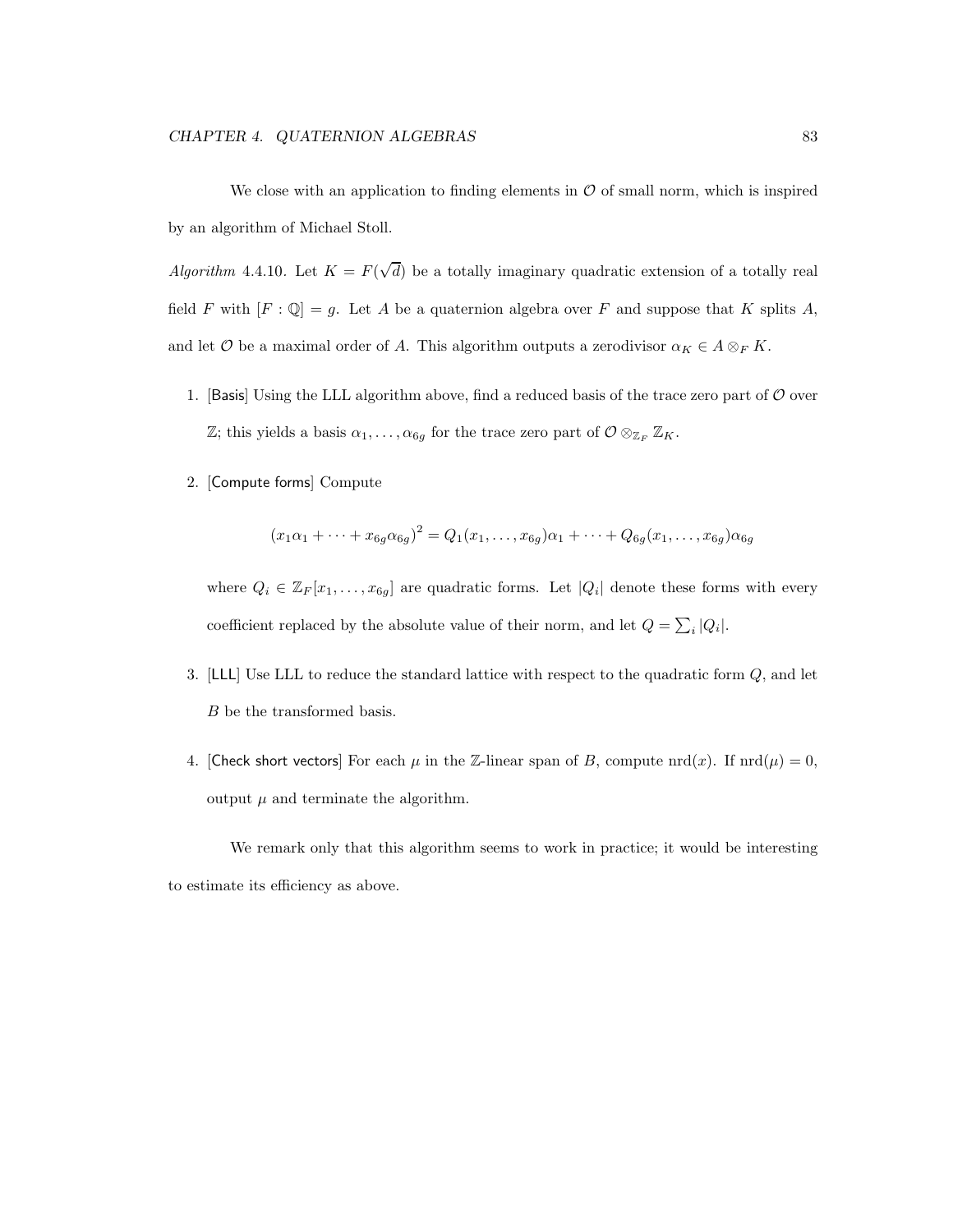We close with an application to finding elements in  $\mathcal O$  of small norm, which is inspired by an algorithm of Michael Stoll.

Algorithm 4.4.10. Let  $K = F(\sqrt{d})$  be a totally imaginary quadratic extension of a totally real field F with  $[F: \mathbb{Q}] = g$ . Let A be a quaternion algebra over F and suppose that K splits A, and let  $\mathcal O$  be a maximal order of A. This algorithm outputs a zerodivisor  $\alpha_K \in A \otimes_F K$ .

- 1. [Basis] Using the LLL algorithm above, find a reduced basis of the trace zero part of  $\mathcal O$  over  $\mathbb{Z}$ ; this yields a basis  $\alpha_1, \ldots, \alpha_{6g}$  for the trace zero part of  $\mathcal{O} \otimes_{\mathbb{Z}_F} \mathbb{Z}_K$ .
- 2. [Compute forms] Compute

$$
(x_1\alpha_1 + \dots + x_{6g}\alpha_{6g})^2 = Q_1(x_1, \dots, x_{6g})\alpha_1 + \dots + Q_{6g}(x_1, \dots, x_{6g})\alpha_{6g}
$$

where  $Q_i \in \mathbb{Z}_F[x_1,\ldots,x_{6g}]$  are quadratic forms. Let  $|Q_i|$  denote these forms with every coefficient replaced by the absolute value of their norm, and let  $Q = \sum_i |Q_i|$ .

- 3. [LLL] Use LLL to reduce the standard lattice with respect to the quadratic form Q, and let B be the transformed basis.
- 4. [Check short vectors] For each  $\mu$  in the Z-linear span of B, compute nrd(x). If  $\text{nrd}(\mu) = 0$ , output  $\mu$  and terminate the algorithm.

We remark only that this algorithm seems to work in practice; it would be interesting to estimate its efficiency as above.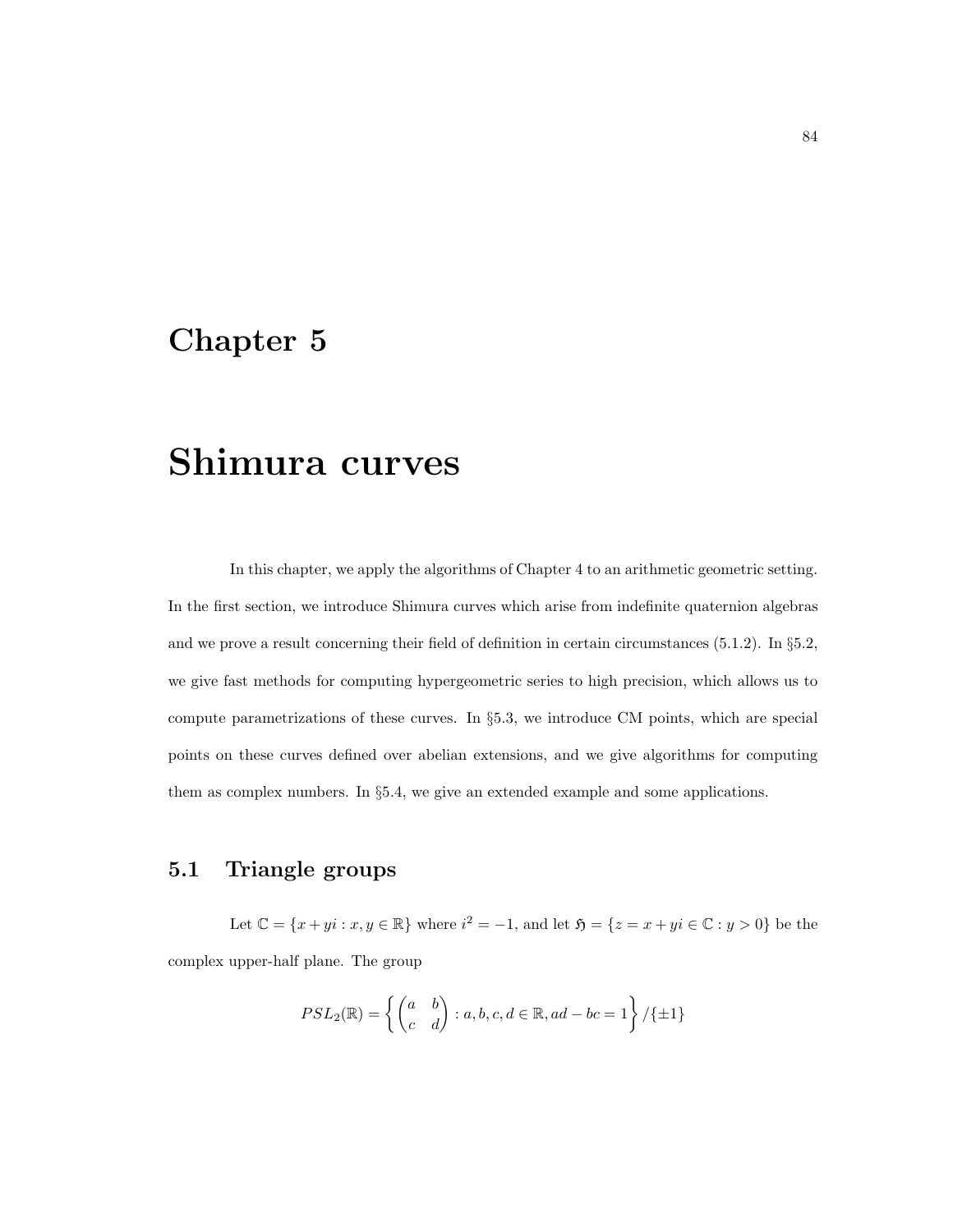## Chapter 5

# Shimura curves

In this chapter, we apply the algorithms of Chapter 4 to an arithmetic geometric setting. In the first section, we introduce Shimura curves which arise from indefinite quaternion algebras and we prove a result concerning their field of definition in certain circumstances (5.1.2). In §5.2, we give fast methods for computing hypergeometric series to high precision, which allows us to compute parametrizations of these curves. In §5.3, we introduce CM points, which are special points on these curves defined over abelian extensions, and we give algorithms for computing them as complex numbers. In §5.4, we give an extended example and some applications.

## 5.1 Triangle groups

Let  $\mathbb{C} = \{x + yi : x, y \in \mathbb{R}\}$  where  $i^2 = -1$ , and let  $\mathfrak{H} = \{z = x + yi \in \mathbb{C} : y > 0\}$  be the complex upper-half plane. The group

$$
PSL_2(\mathbb{R}) = \left\{ \begin{pmatrix} a & b \\ c & d \end{pmatrix} : a, b, c, d \in \mathbb{R}, ad - bc = 1 \right\} / \{ \pm 1 \}
$$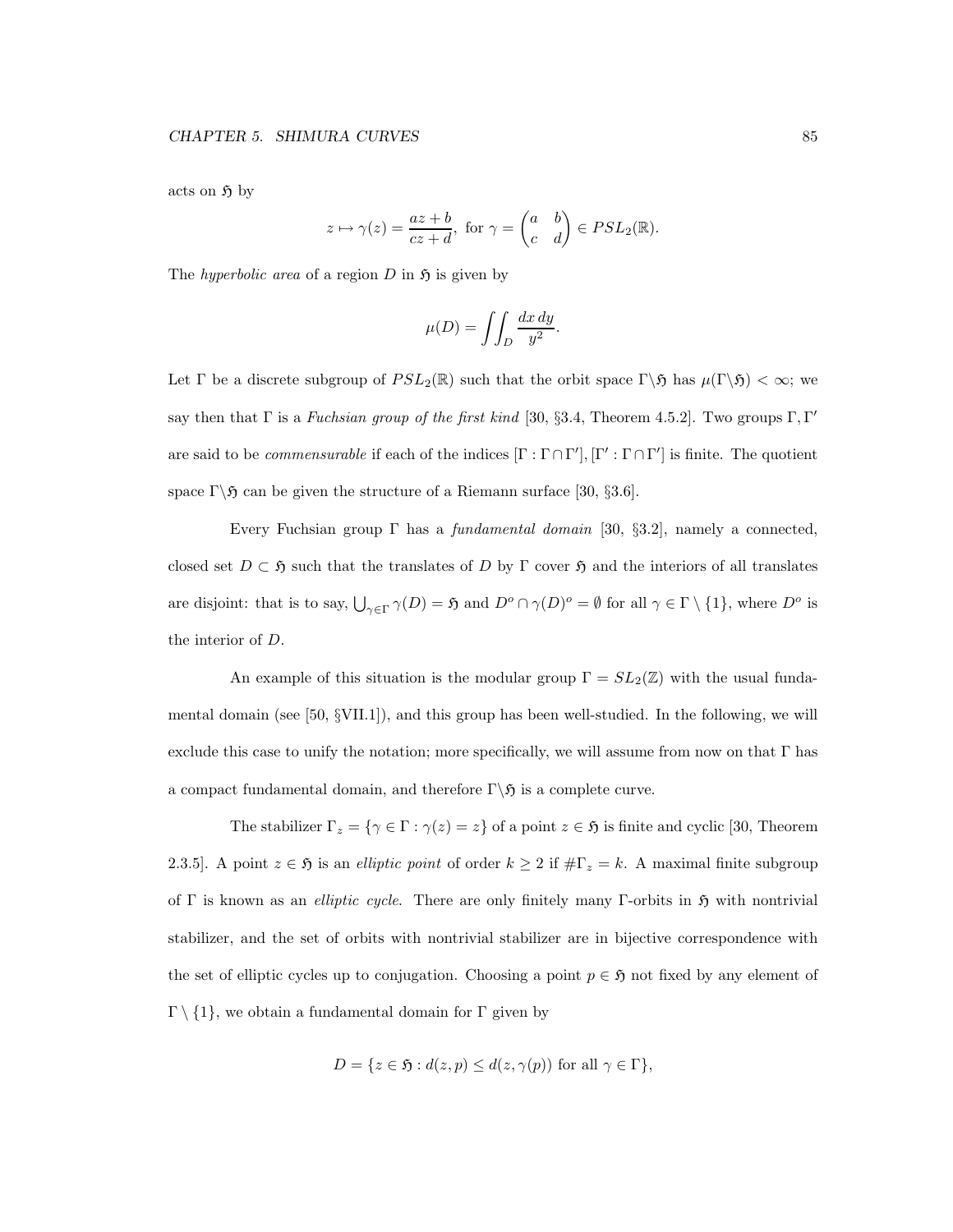acts on  $\mathfrak{H}$  by

$$
z \mapsto \gamma(z) = \frac{az+b}{cz+d}
$$
, for  $\gamma = \begin{pmatrix} a & b \\ c & d \end{pmatrix} \in PSL_2(\mathbb{R})$ .

The *hyperbolic area* of a region  $D$  in  $\mathfrak{H}$  is given by

$$
\mu(D) = \iint_D \frac{dx \, dy}{y^2}.
$$

Let Γ be a discrete subgroup of  $PSL_2(\mathbb{R})$  such that the orbit space  $\Gamma \setminus \mathfrak{H}$  has  $\mu(\Gamma \setminus \mathfrak{H}) < \infty$ ; we say then that  $\Gamma$  is a *Fuchsian group of the first kind* [30, §3.4, Theorem 4.5.2]. Two groups  $\Gamma, \Gamma'$ are said to be *commensurable* if each of the indices  $[\Gamma : \Gamma \cap \Gamma'], [\Gamma' : \Gamma \cap \Gamma']$  is finite. The quotient space  $\Gamma \backslash \mathfrak{H}$  can be given the structure of a Riemann surface [30, §3.6].

Every Fuchsian group  $\Gamma$  has a *fundamental domain* [30, §3.2], namely a connected, closed set  $D \subset \mathfrak{H}$  such that the translates of D by Γ cover  $\mathfrak{H}$  and the interiors of all translates are disjoint: that is to say,  $\bigcup_{\gamma \in \Gamma} \gamma(D) = \mathfrak{H}$  and  $D^o \cap \gamma(D)^o = \emptyset$  for all  $\gamma \in \Gamma \setminus \{1\}$ , where  $D^o$  is the interior of D.

An example of this situation is the modular group  $\Gamma = SL_2(\mathbb{Z})$  with the usual fundamental domain (see  $[50, \text{\{VII.1\}}]$ ), and this group has been well-studied. In the following, we will exclude this case to unify the notation; more specifically, we will assume from now on that Γ has a compact fundamental domain, and therefore  $\Gamma \backslash \mathfrak{H}$  is a complete curve.

The stabilizer  $\Gamma_z = \{ \gamma \in \Gamma : \gamma(z) = z \}$  of a point  $z \in \mathfrak{H}$  is finite and cyclic [30, Theorem 2.3.5]. A point  $z \in \mathfrak{H}$  is an *elliptic point* of order  $k \geq 2$  if  $\#\Gamma_z = k$ . A maximal finite subgroup of Γ is known as an *elliptic cycle*. There are only finitely many Γ-orbits in  $\mathfrak{H}$  with nontrivial stabilizer, and the set of orbits with nontrivial stabilizer are in bijective correspondence with the set of elliptic cycles up to conjugation. Choosing a point  $p \in \mathfrak{H}$  not fixed by any element of  $\Gamma \setminus \{1\}$ , we obtain a fundamental domain for Γ given by

$$
D = \{ z \in \mathfrak{H} : d(z, p) \leq d(z, \gamma(p)) \text{ for all } \gamma \in \Gamma \},
$$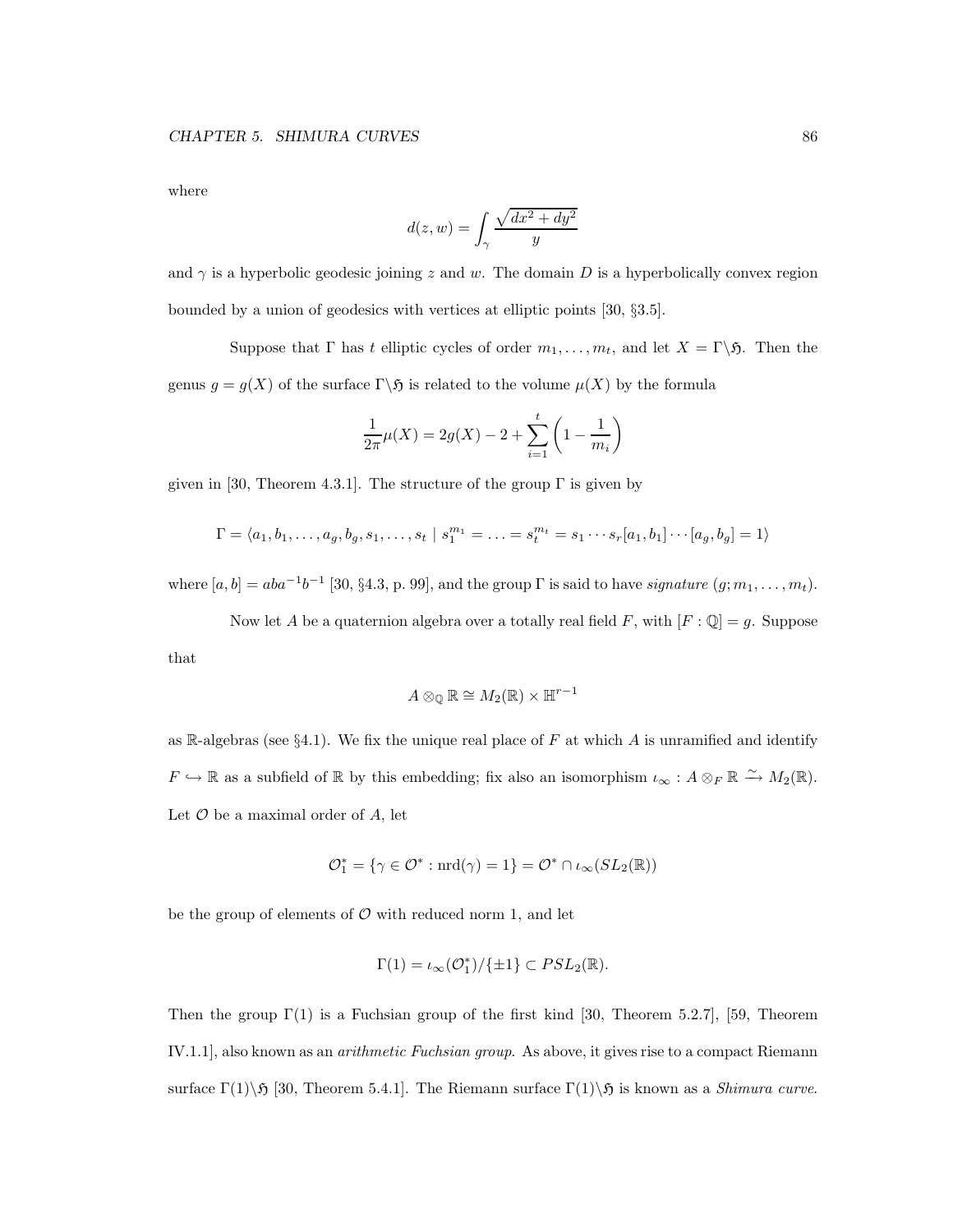where

$$
d(z, w) = \int_{\gamma} \frac{\sqrt{dx^2 + dy^2}}{y}
$$

and  $\gamma$  is a hyperbolic geodesic joining z and w. The domain D is a hyperbolically convex region bounded by a union of geodesics with vertices at elliptic points [30, §3.5].

Suppose that  $\Gamma$  has t elliptic cycles of order  $m_1, \ldots, m_t$ , and let  $X = \Gamma \backslash \mathfrak{H}$ . Then the genus  $g = g(X)$  of the surface  $\Gamma \backslash \mathfrak{H}$  is related to the volume  $\mu(X)$  by the formula

$$
\frac{1}{2\pi}\mu(X) = 2g(X) - 2 + \sum_{i=1}^{t} \left(1 - \frac{1}{m_i}\right)
$$

given in [30, Theorem 4.3.1]. The structure of the group  $\Gamma$  is given by

$$
\Gamma = \langle a_1, b_1, \dots, a_g, b_g, s_1, \dots, s_t | s_1^{m_1} = \dots = s_t^{m_t} = s_1 \cdots s_r [a_1, b_1] \cdots [a_g, b_g] = 1 \rangle
$$

where  $[a, b] = aba^{-1}b^{-1}$  [30, §4.3, p. 99], and the group  $\Gamma$  is said to have *signature*  $(g; m_1, \ldots, m_t)$ .

Now let A be a quaternion algebra over a totally real field F, with  $[F: \mathbb{Q}] = g$ . Suppose that

$$
A\otimes_{\mathbb{Q}}\mathbb{R}\cong M_2(\mathbb{R})\times \mathbb{H}^{r-1}
$$

as R-algebras (see  $\S 4.1$ ). We fix the unique real place of F at which A is unramified and identify  $F \hookrightarrow \mathbb{R}$  as a subfield of  $\mathbb{R}$  by this embedding; fix also an isomorphism  $\iota_{\infty}: A \otimes_F \mathbb{R} \xrightarrow{\sim} M_2(\mathbb{R})$ . Let  $\mathcal O$  be a maximal order of  $A$ , let

$$
\mathcal{O}_1^* = \{ \gamma \in \mathcal{O}^* : \text{nrd}(\gamma) = 1 \} = \mathcal{O}^* \cap \iota_{\infty}(SL_2(\mathbb{R}))
$$

be the group of elements of  $\mathcal O$  with reduced norm 1, and let

$$
\Gamma(1) = \iota_{\infty}(\mathcal{O}_1^*) / \{\pm 1\} \subset PSL_2(\mathbb{R}).
$$

Then the group  $\Gamma(1)$  is a Fuchsian group of the first kind [30, Theorem 5.2.7], [59, Theorem IV.1.1], also known as an arithmetic Fuchsian group. As above, it gives rise to a compact Riemann surface  $\Gamma(1)\$  5 [30, Theorem 5.4.1]. The Riemann surface  $\Gamma(1)\$  5 is known as a *Shimura curve*.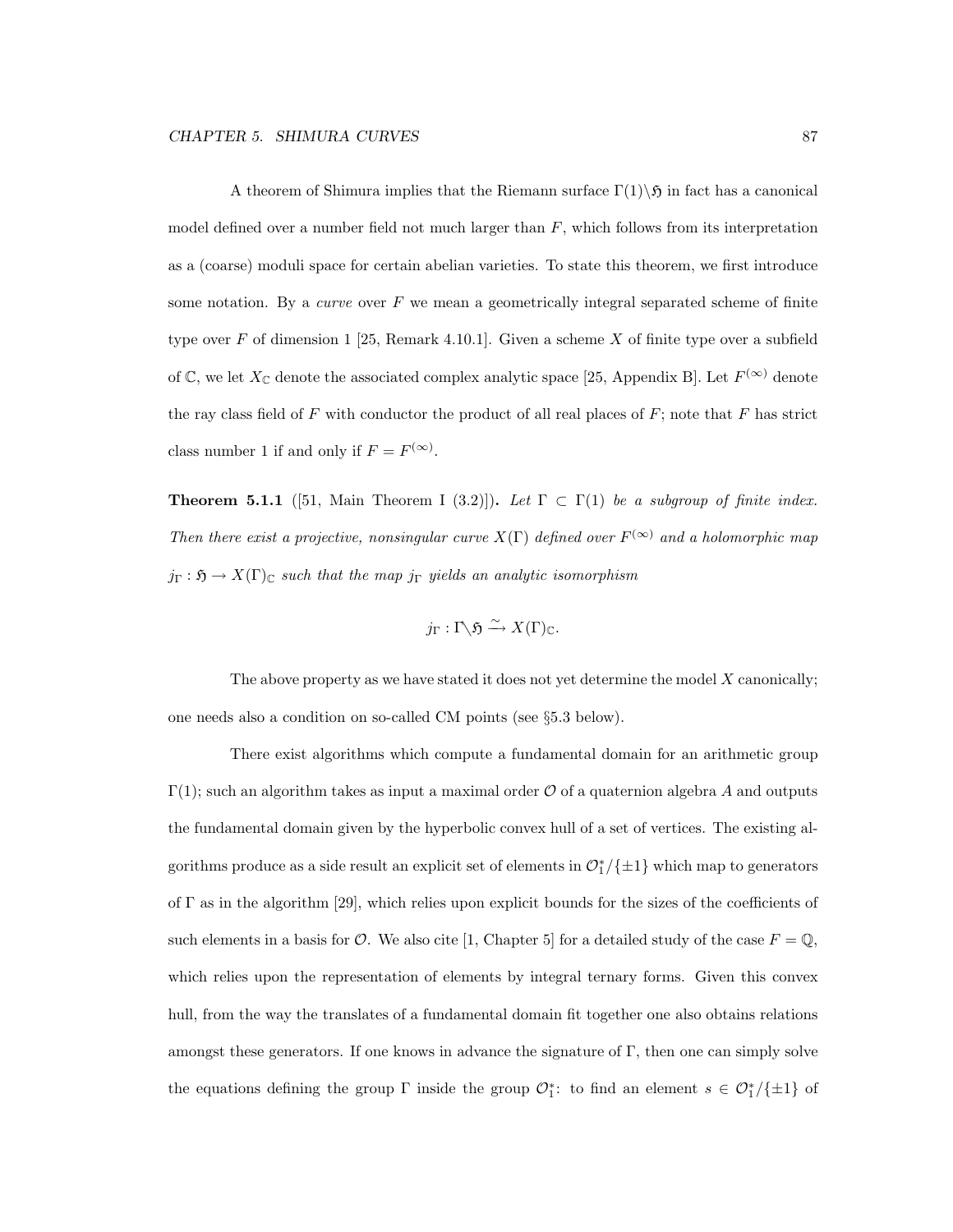A theorem of Shimura implies that the Riemann surface  $\Gamma(1)\setminus\mathfrak{H}$  in fact has a canonical model defined over a number field not much larger than  $F$ , which follows from its interpretation as a (coarse) moduli space for certain abelian varieties. To state this theorem, we first introduce some notation. By a *curve* over  $F$  we mean a geometrically integral separated scheme of finite type over F of dimension 1 [25, Remark 4.10.1]. Given a scheme X of finite type over a subfield of  $\mathbb{C}$ , we let  $X_{\mathbb{C}}$  denote the associated complex analytic space [25, Appendix B]. Let  $F^{(\infty)}$  denote the ray class field of F with conductor the product of all real places of  $F$ ; note that  $F$  has strict class number 1 if and only if  $F = F^{(\infty)}$ .

**Theorem 5.1.1** ([51, Main Theorem I (3.2)]). Let  $\Gamma \subset \Gamma(1)$  be a subgroup of finite index. Then there exist a projective, nonsingular curve  $X(\Gamma)$  defined over  $F^{(\infty)}$  and a holomorphic map  $j_{\Gamma} : \mathfrak{H} \to X(\Gamma)_{\mathbb{C}}$  such that the map  $j_{\Gamma}$  yields an analytic isomorphism

$$
j_{\Gamma}: \Gamma \backslash \mathfrak{H} \xrightarrow{\sim} X(\Gamma)_{\mathbb{C}}.
$$

The above property as we have stated it does not yet determine the model  $X$  canonically; one needs also a condition on so-called CM points (see §5.3 below).

There exist algorithms which compute a fundamental domain for an arithmetic group  $\Gamma(1)$ ; such an algorithm takes as input a maximal order O of a quaternion algebra A and outputs the fundamental domain given by the hyperbolic convex hull of a set of vertices. The existing algorithms produce as a side result an explicit set of elements in  $\mathcal{O}_1^*/\{\pm 1\}$  which map to generators of  $\Gamma$  as in the algorithm [29], which relies upon explicit bounds for the sizes of the coefficients of such elements in a basis for  $\mathcal{O}$ . We also cite [1, Chapter 5] for a detailed study of the case  $F = \mathbb{Q}$ , which relies upon the representation of elements by integral ternary forms. Given this convex hull, from the way the translates of a fundamental domain fit together one also obtains relations amongst these generators. If one knows in advance the signature of  $\Gamma$ , then one can simply solve the equations defining the group  $\Gamma$  inside the group  $\mathcal{O}_1^*$ : to find an element  $s \in \mathcal{O}_1^*/\{\pm 1\}$  of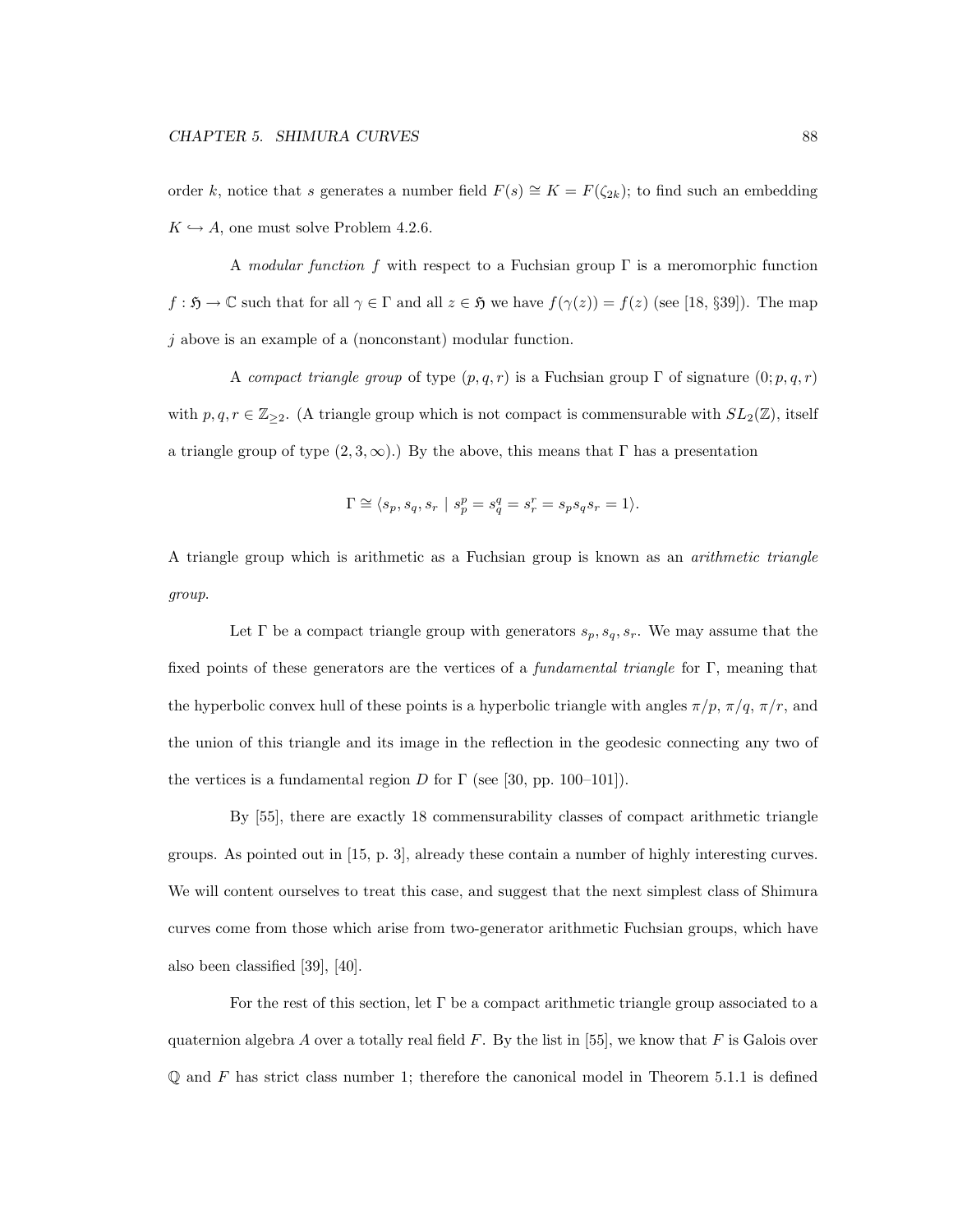order k, notice that s generates a number field  $F(s) \cong K = F(\zeta_{2k})$ ; to find such an embedding  $K \hookrightarrow A$ , one must solve Problem 4.2.6.

A modular function f with respect to a Fuchsian group  $\Gamma$  is a meromorphic function  $f : \mathfrak{H} \to \mathbb{C}$  such that for all  $\gamma \in \Gamma$  and all  $z \in \mathfrak{H}$  we have  $f(\gamma(z)) = f(z)$  (see [18, §39]). The map j above is an example of a (nonconstant) modular function.

A compact triangle group of type  $(p, q, r)$  is a Fuchsian group Γ of signature  $(0; p, q, r)$ with  $p, q, r \in \mathbb{Z}_{\geq 2}$ . (A triangle group which is not compact is commensurable with  $SL_2(\mathbb{Z})$ , itself a triangle group of type  $(2, 3, \infty)$ .) By the above, this means that Γ has a presentation

$$
\Gamma\cong \langle s_p,s_q,s_r \ | \ s_p^p=s_q^q=s_r^r=s_ps_qs_r=1\rangle.
$$

A triangle group which is arithmetic as a Fuchsian group is known as an arithmetic triangle group.

Let  $\Gamma$  be a compact triangle group with generators  $s_p, s_q, s_r$ . We may assume that the fixed points of these generators are the vertices of a *fundamental triangle* for Γ, meaning that the hyperbolic convex hull of these points is a hyperbolic triangle with angles  $\pi/p$ ,  $\pi/q$ ,  $\pi/r$ , and the union of this triangle and its image in the reflection in the geodesic connecting any two of the vertices is a fundamental region D for  $\Gamma$  (see [30, pp. 100–101]).

By [55], there are exactly 18 commensurability classes of compact arithmetic triangle groups. As pointed out in [15, p. 3], already these contain a number of highly interesting curves. We will content ourselves to treat this case, and suggest that the next simplest class of Shimura curves come from those which arise from two-generator arithmetic Fuchsian groups, which have also been classified [39], [40].

For the rest of this section, let  $\Gamma$  be a compact arithmetic triangle group associated to a quaternion algebra A over a totally real field  $F$ . By the list in [55], we know that  $F$  is Galois over  $\mathbb Q$  and F has strict class number 1; therefore the canonical model in Theorem 5.1.1 is defined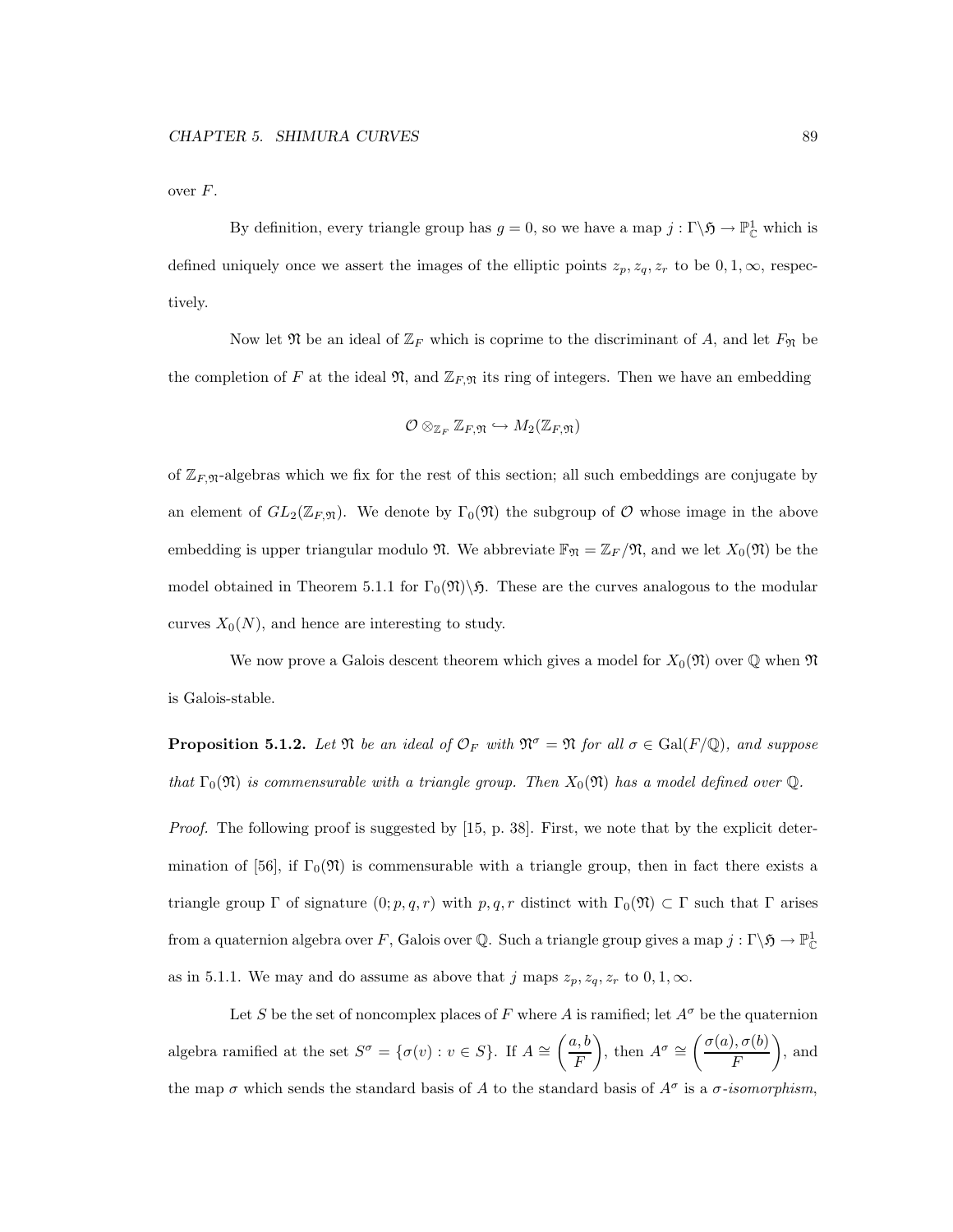over F.

By definition, every triangle group has  $g = 0$ , so we have a map  $j : \Gamma \backslash \mathfrak{H} \to \mathbb{P}^1_{\mathbb{C}}$  which is defined uniquely once we assert the images of the elliptic points  $z_p, z_q, z_r$  to be  $0, 1, \infty$ , respectively.

Now let  $\mathfrak N$  be an ideal of  $\mathbb Z_F$  which is coprime to the discriminant of A, and let  $F_{\mathfrak N}$  be the completion of F at the ideal  $\mathfrak{N}$ , and  $\mathbb{Z}_{F,\mathfrak{N}}$  its ring of integers. Then we have an embedding

$$
\mathcal{O}\otimes_{\mathbb{Z}_F}\mathbb{Z}_{F,\mathfrak{N}}\hookrightarrow M_2(\mathbb{Z}_{F,\mathfrak{N}})
$$

of  $\mathbb{Z}_{F,\mathfrak{N}}$ -algebras which we fix for the rest of this section; all such embeddings are conjugate by an element of  $GL_2(\mathbb{Z}_F,\mathfrak{n})$ . We denote by  $\Gamma_0(\mathfrak{N})$  the subgroup of  $\mathcal O$  whose image in the above embedding is upper triangular modulo  $\mathfrak{N}$ . We abbreviate  $\mathbb{F}_{\mathfrak{N}} = \mathbb{Z}_F/\mathfrak{N}$ , and we let  $X_0(\mathfrak{N})$  be the model obtained in Theorem 5.1.1 for  $\Gamma_0(\mathfrak{N})\backslash\mathfrak{H}$ . These are the curves analogous to the modular curves  $X_0(N)$ , and hence are interesting to study.

We now prove a Galois descent theorem which gives a model for  $X_0(\mathfrak{N})$  over  $\mathbb Q$  when  $\mathfrak{N}$ is Galois-stable.

**Proposition 5.1.2.** Let  $\mathfrak{N}$  be an ideal of  $\mathcal{O}_F$  with  $\mathfrak{N}^\sigma = \mathfrak{N}$  for all  $\sigma \in \text{Gal}(F/\mathbb{Q})$ , and suppose that  $\Gamma_0(\mathfrak{N})$  is commensurable with a triangle group. Then  $X_0(\mathfrak{N})$  has a model defined over  $\mathbb Q$ .

Proof. The following proof is suggested by [15, p. 38]. First, we note that by the explicit determination of [56], if  $\Gamma_0(\mathfrak{N})$  is commensurable with a triangle group, then in fact there exists a triangle group Γ of signature  $(0; p, q, r)$  with  $p, q, r$  distinct with  $\Gamma_0(\mathfrak{N}) \subset \Gamma$  such that Γ arises from a quaternion algebra over F, Galois over Q. Such a triangle group gives a map  $j: \Gamma \backslash \mathfrak{H} \to \mathbb{P}^1_{\mathbb{C}}$ as in 5.1.1. We may and do assume as above that j maps  $z_p, z_q, z_r$  to  $0, 1, \infty$ .

Let S be the set of noncomplex places of F where A is ramified; let  $A^{\sigma}$  be the quaternion algebra ramified at the set  $S^{\sigma} = {\sigma(v) : v \in S}$ . If  $A \cong \left(\frac{a, b}{F}\right)$ F ), then  $A^{\sigma} \cong \left(\frac{\sigma(a), \sigma(b)}{E}\right)$ F  $\overline{\phantom{0}}$ , and the map  $\sigma$  which sends the standard basis of A to the standard basis of  $A^{\sigma}$  is a  $\sigma$ -isomorphism,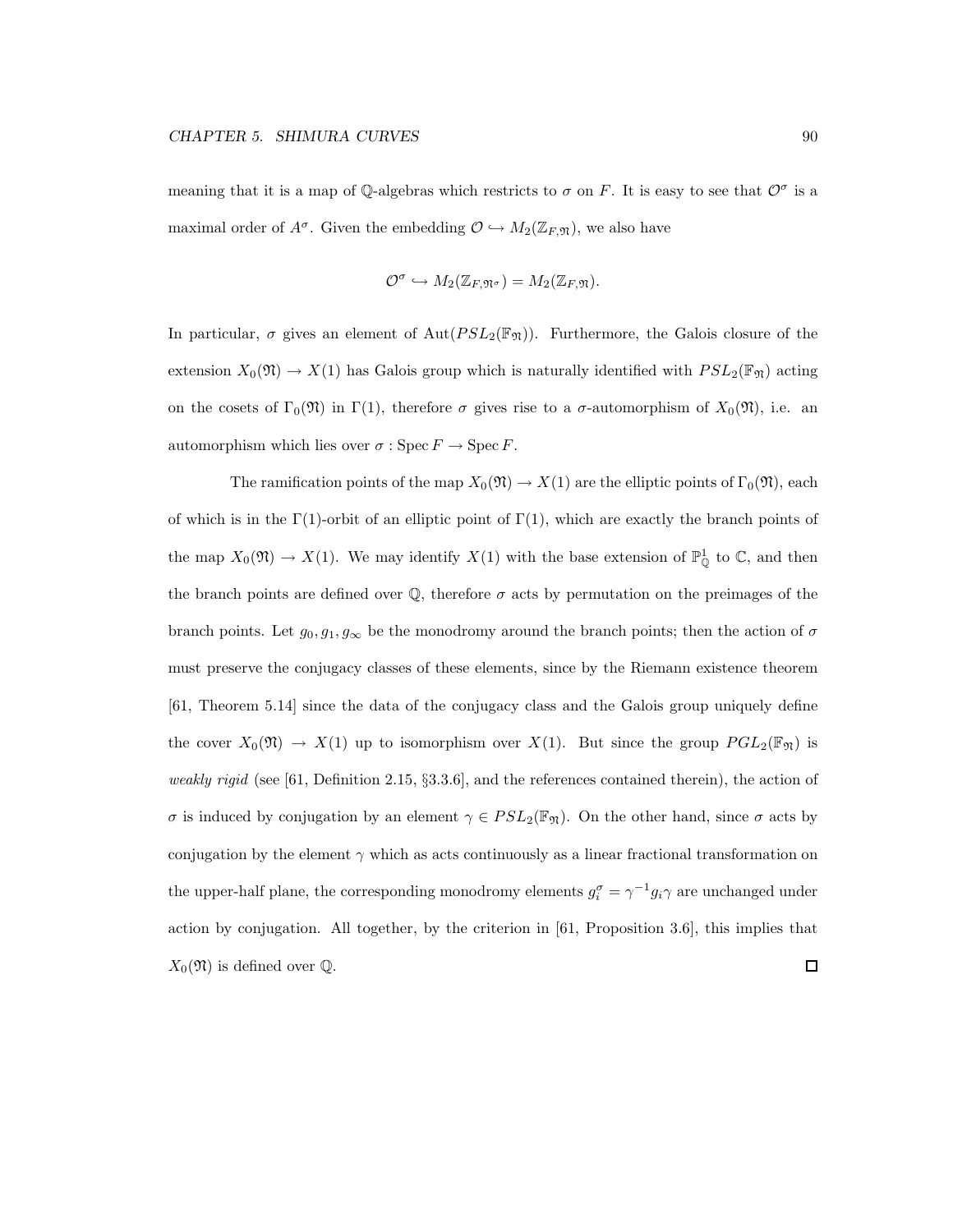meaning that it is a map of Q-algebras which restricts to  $\sigma$  on F. It is easy to see that  $\mathcal{O}^{\sigma}$  is a maximal order of  $A^{\sigma}$ . Given the embedding  $\mathcal{O} \hookrightarrow M_2(\mathbb{Z}_F, \mathfrak{N})$ , we also have

$$
\mathcal{O}^{\sigma} \hookrightarrow M_2(\mathbb{Z}_{F,\mathfrak{N}^{\sigma}}) = M_2(\mathbb{Z}_{F,\mathfrak{N}}).
$$

In particular,  $\sigma$  gives an element of  $Aut(PSL_2(\mathbb{F}_N))$ . Furthermore, the Galois closure of the extension  $X_0(\mathfrak{N}) \to X(1)$  has Galois group which is naturally identified with  $PSL_2(\mathbb{F}_{\mathfrak{N}})$  acting on the cosets of  $\Gamma_0(\mathfrak{N})$  in  $\Gamma(1)$ , therefore  $\sigma$  gives rise to a  $\sigma$ -automorphism of  $X_0(\mathfrak{N})$ , i.e. an automorphism which lies over  $\sigma : \operatorname{Spec} F \to \operatorname{Spec} F$ .

The ramification points of the map  $X_0(\mathfrak{N}) \to X(1)$  are the elliptic points of  $\Gamma_0(\mathfrak{N})$ , each of which is in the  $\Gamma(1)$ -orbit of an elliptic point of  $\Gamma(1)$ , which are exactly the branch points of the map  $X_0(\mathfrak{N}) \to X(1)$ . We may identify  $X(1)$  with the base extension of  $\mathbb{P}^1_{\mathbb{Q}}$  to  $\mathbb{C}$ , and then the branch points are defined over  $\mathbb{Q}$ , therefore  $\sigma$  acts by permutation on the preimages of the branch points. Let  $g_0, g_1, g_\infty$  be the monodromy around the branch points; then the action of  $\sigma$ must preserve the conjugacy classes of these elements, since by the Riemann existence theorem [61, Theorem 5.14] since the data of the conjugacy class and the Galois group uniquely define the cover  $X_0(\mathfrak{N}) \to X(1)$  up to isomorphism over  $X(1)$ . But since the group  $PGL_2(\mathbb{F}_{\mathfrak{N}})$  is weakly rigid (see [61, Definition 2.15,  $\S 3.3.6$ ], and the references contained therein), the action of σ is induced by conjugation by an element  $\gamma \in PSL_2(\mathbb{F}_{\mathfrak{N}})$ . On the other hand, since σ acts by conjugation by the element  $\gamma$  which as acts continuously as a linear fractional transformation on the upper-half plane, the corresponding monodromy elements  $g_i^{\sigma} = \gamma^{-1} g_i \gamma$  are unchanged under action by conjugation. All together, by the criterion in [61, Proposition 3.6], this implies that  $X_0(\mathfrak{N})$  is defined over  $\mathbb{Q}$ .  $\Box$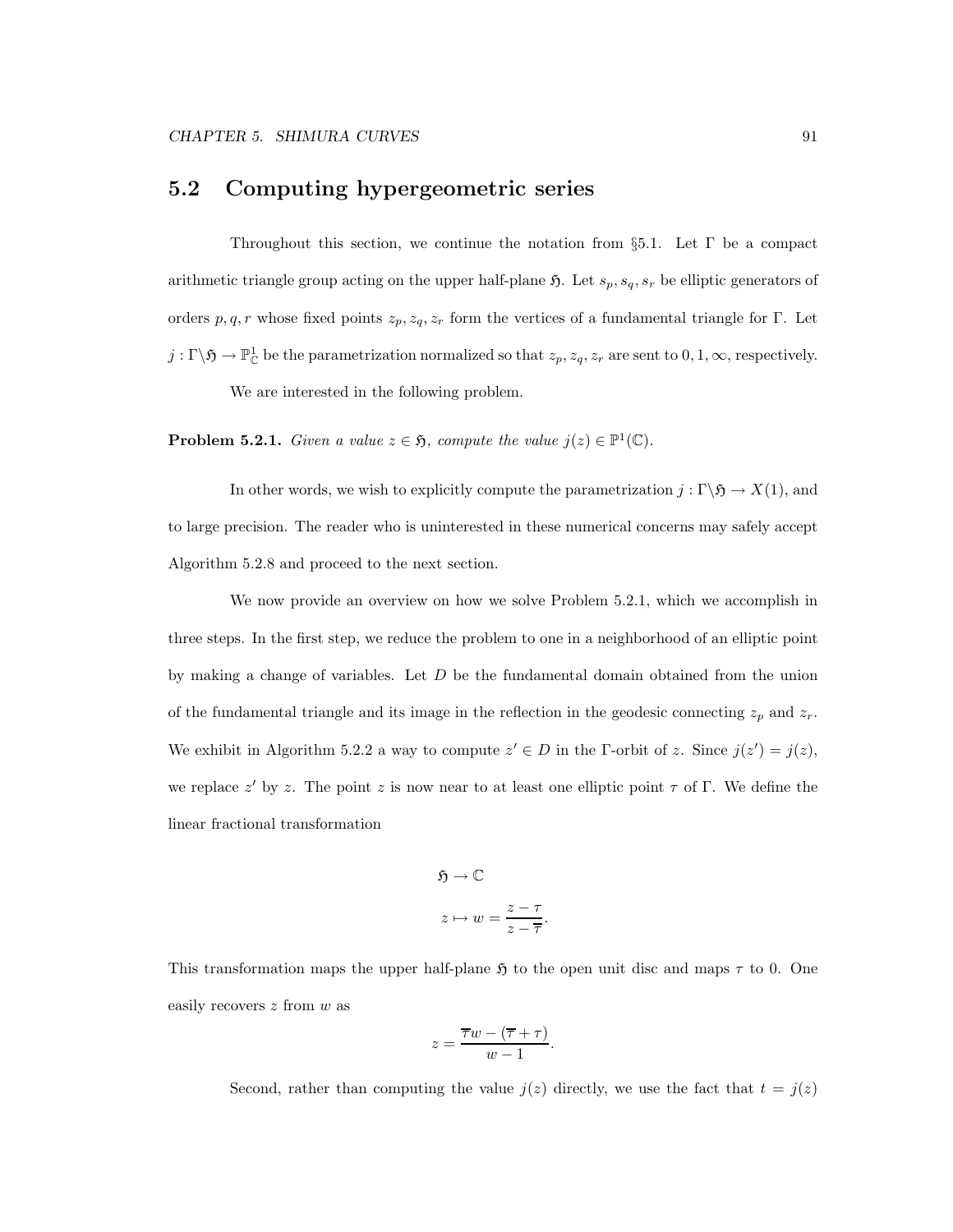### 5.2 Computing hypergeometric series

Throughout this section, we continue the notation from  $\S5.1$ . Let  $\Gamma$  be a compact arithmetic triangle group acting on the upper half-plane  $\mathfrak{H}$ . Let  $s_p, s_q, s_r$  be elliptic generators of orders p, q, r whose fixed points  $z_p, z_q, z_r$  form the vertices of a fundamental triangle for Γ. Let  $j: \Gamma \backslash \mathfrak{H} \to \mathbb{P}^1_{\mathbb{C}}$  be the parametrization normalized so that  $z_p, z_q, z_r$  are sent to  $0, 1, \infty$ , respectively. We are interested in the following problem.

**Problem 5.2.1.** Given a value  $z \in \mathfrak{H}$ , compute the value  $j(z) \in \mathbb{P}^1(\mathbb{C})$ .

In other words, we wish to explicitly compute the parametrization  $j : \Gamma \backslash \mathfrak{H} \to X(1)$ , and to large precision. The reader who is uninterested in these numerical concerns may safely accept Algorithm 5.2.8 and proceed to the next section.

We now provide an overview on how we solve Problem 5.2.1, which we accomplish in three steps. In the first step, we reduce the problem to one in a neighborhood of an elliptic point by making a change of variables. Let  $D$  be the fundamental domain obtained from the union of the fundamental triangle and its image in the reflection in the geodesic connecting  $z_p$  and  $z_r$ . We exhibit in Algorithm 5.2.2 a way to compute  $z' \in D$  in the Γ-orbit of z. Since  $j(z') = j(z)$ , we replace  $z'$  by z. The point z is now near to at least one elliptic point  $\tau$  of  $\Gamma$ . We define the linear fractional transformation

$$
\mathfrak{H} \to \mathbb{C}
$$

$$
z \mapsto w = \frac{z - \tau}{z - \overline{\tau}}.
$$

This transformation maps the upper half-plane  $\mathfrak{H}$  to the open unit disc and maps  $\tau$  to 0. One easily recovers z from w as

$$
z = \frac{\overline{\tau}w - (\overline{\tau} + \tau)}{w - 1}.
$$

Second, rather than computing the value  $j(z)$  directly, we use the fact that  $t = j(z)$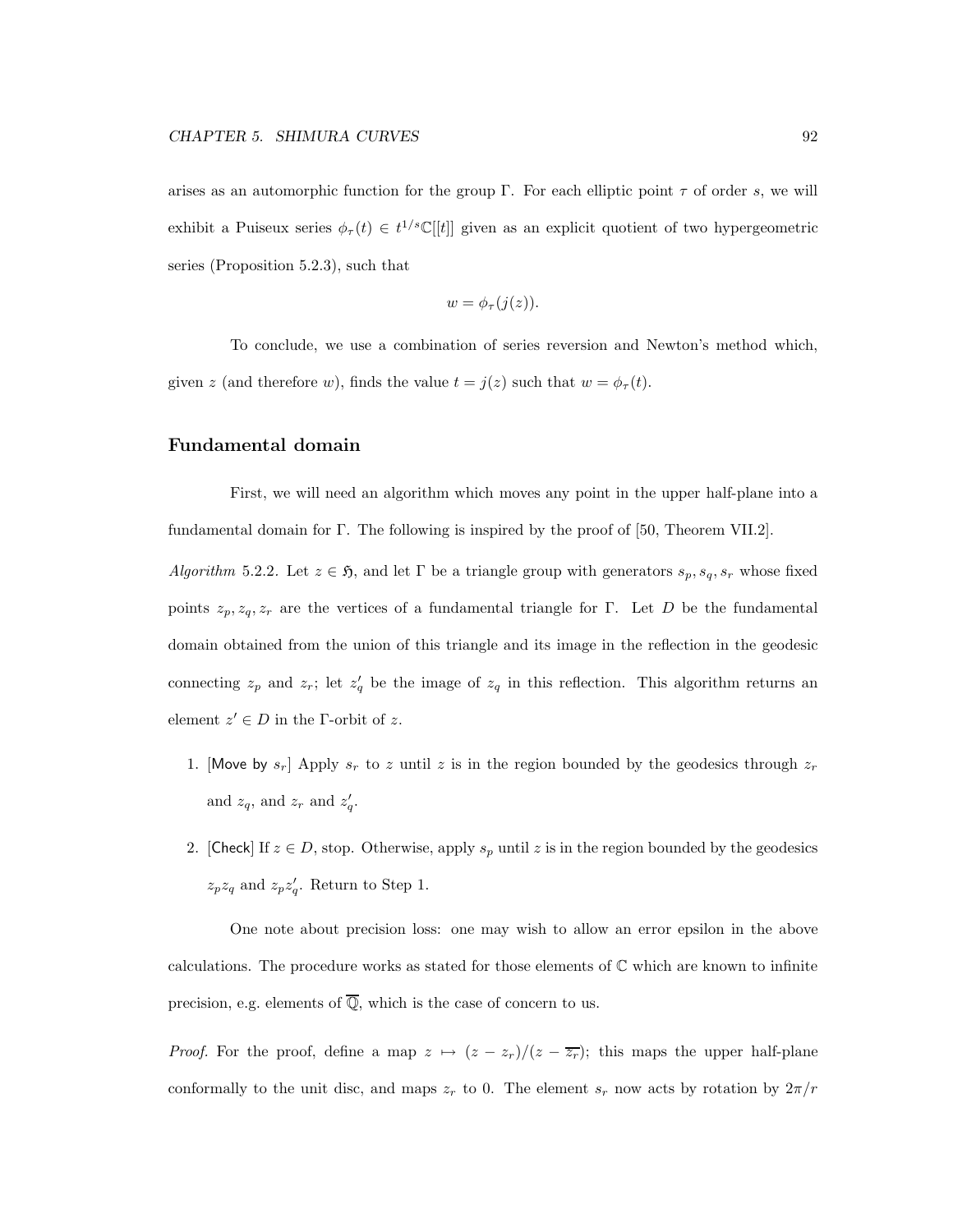arises as an automorphic function for the group Γ. For each elliptic point  $\tau$  of order s, we will exhibit a Puiseux series  $\phi_{\tau}(t) \in t^{1/s} \mathbb{C}[[t]]$  given as an explicit quotient of two hypergeometric series (Proposition 5.2.3), such that

$$
w=\phi_{\tau}(j(z)).
$$

To conclude, we use a combination of series reversion and Newton's method which, given z (and therefore w), finds the value  $t = j(z)$  such that  $w = \phi_{\tau}(t)$ .

#### Fundamental domain

First, we will need an algorithm which moves any point in the upper half-plane into a fundamental domain for Γ. The following is inspired by the proof of [50, Theorem VII.2].

Algorithm 5.2.2. Let  $z \in \mathfrak{H}$ , and let  $\Gamma$  be a triangle group with generators  $s_p, s_q, s_r$  whose fixed points  $z_p, z_q, z_r$  are the vertices of a fundamental triangle for Γ. Let D be the fundamental domain obtained from the union of this triangle and its image in the reflection in the geodesic connecting  $z_p$  and  $z_r$ ; let  $z'_q$  be the image of  $z_q$  in this reflection. This algorithm returns an element  $z' \in D$  in the *Γ*-orbit of z.

- 1. [Move by  $s_r$ ] Apply  $s_r$  to z until z is in the region bounded by the geodesics through  $z_r$ and  $z_q$ , and  $z_r$  and  $z'_q$ .
- 2. [Check] If  $z \in D$ , stop. Otherwise, apply  $s_p$  until z is in the region bounded by the geodesics  $z_p z_q$  and  $z_p z'_q$ . Return to Step 1.

One note about precision loss: one may wish to allow an error epsilon in the above calculations. The procedure works as stated for those elements of  $\mathbb C$  which are known to infinite precision, e.g. elements of  $\overline{Q}$ , which is the case of concern to us.

*Proof.* For the proof, define a map  $z \mapsto (z - z_r)/(z - \overline{z_r})$ ; this maps the upper half-plane conformally to the unit disc, and maps  $z_r$  to 0. The element  $s_r$  now acts by rotation by  $2\pi/r$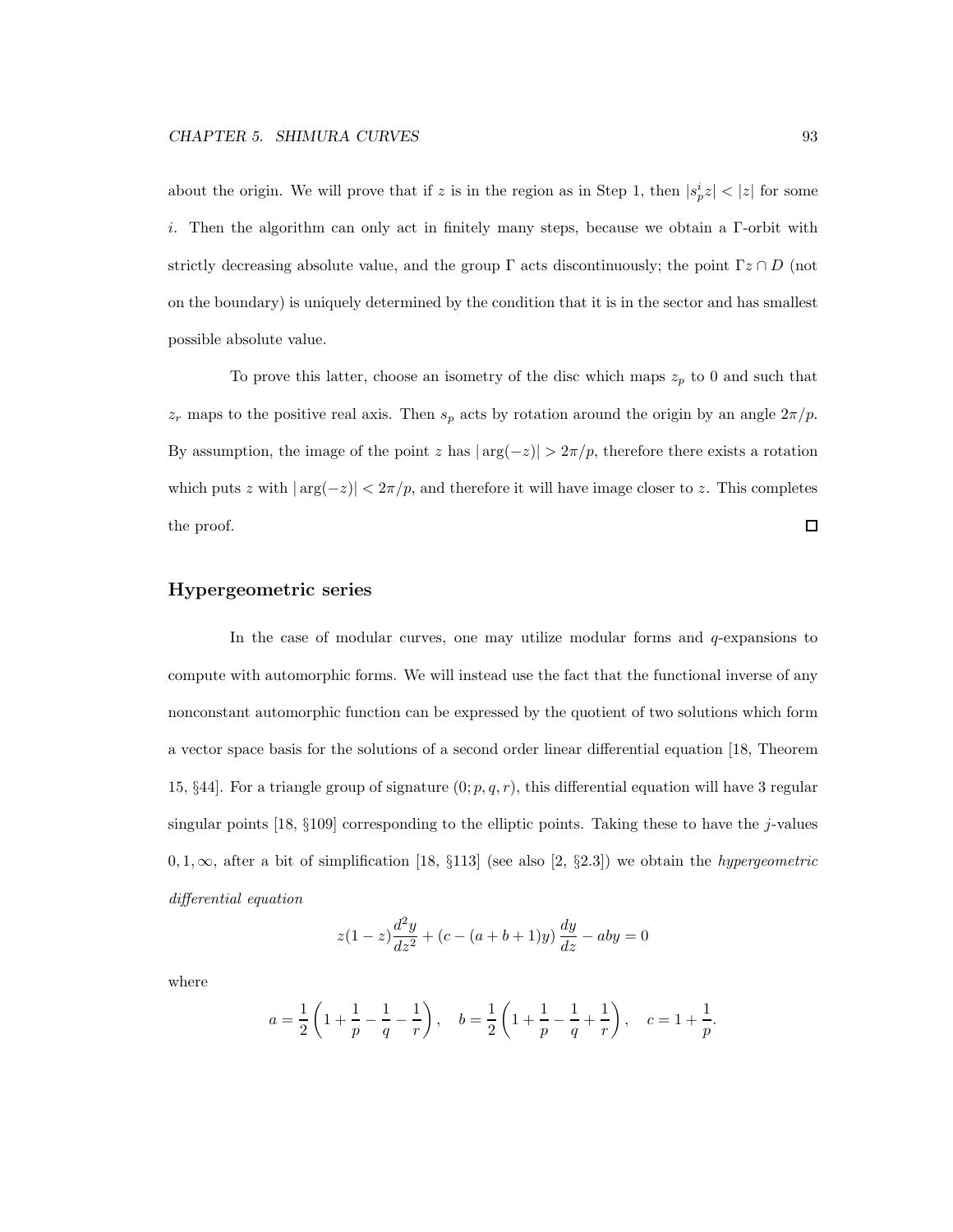about the origin. We will prove that if z is in the region as in Step 1, then  $|s_p^i z| < |z|$  for some i. Then the algorithm can only act in finitely many steps, because we obtain a Γ-orbit with strictly decreasing absolute value, and the group  $\Gamma$  acts discontinuously; the point  $\Gamma z \cap D$  (not on the boundary) is uniquely determined by the condition that it is in the sector and has smallest possible absolute value.

To prove this latter, choose an isometry of the disc which maps  $z_p$  to 0 and such that  $z_r$  maps to the positive real axis. Then  $s_p$  acts by rotation around the origin by an angle  $2\pi/p$ . By assumption, the image of the point z has  $|\arg(-z)| > 2\pi/p$ , therefore there exists a rotation which puts z with  $|\arg(-z)| < 2\pi/p$ , and therefore it will have image closer to z. This completes the proof.  $\Box$ 

#### Hypergeometric series

In the case of modular curves, one may utilize modular forms and  $q$ -expansions to compute with automorphic forms. We will instead use the fact that the functional inverse of any nonconstant automorphic function can be expressed by the quotient of two solutions which form a vector space basis for the solutions of a second order linear differential equation [18, Theorem 15, §44]. For a triangle group of signature  $(0; p, q, r)$ , this differential equation will have 3 regular singular points [18,  $\S109$ ] corresponding to the elliptic points. Taking these to have the j-values 0, 1,  $\infty$ , after a bit of simplification [18, §113] (see also [2, §2.3]) we obtain the *hypergeometric* differential equation

$$
z(1-z)\frac{d^2y}{dz^2} + (c - (a+b+1)y)\frac{dy}{dz} - aby = 0
$$

where

$$
a = \frac{1}{2} \left( 1 + \frac{1}{p} - \frac{1}{q} - \frac{1}{r} \right), \quad b = \frac{1}{2} \left( 1 + \frac{1}{p} - \frac{1}{q} + \frac{1}{r} \right), \quad c = 1 + \frac{1}{p}.
$$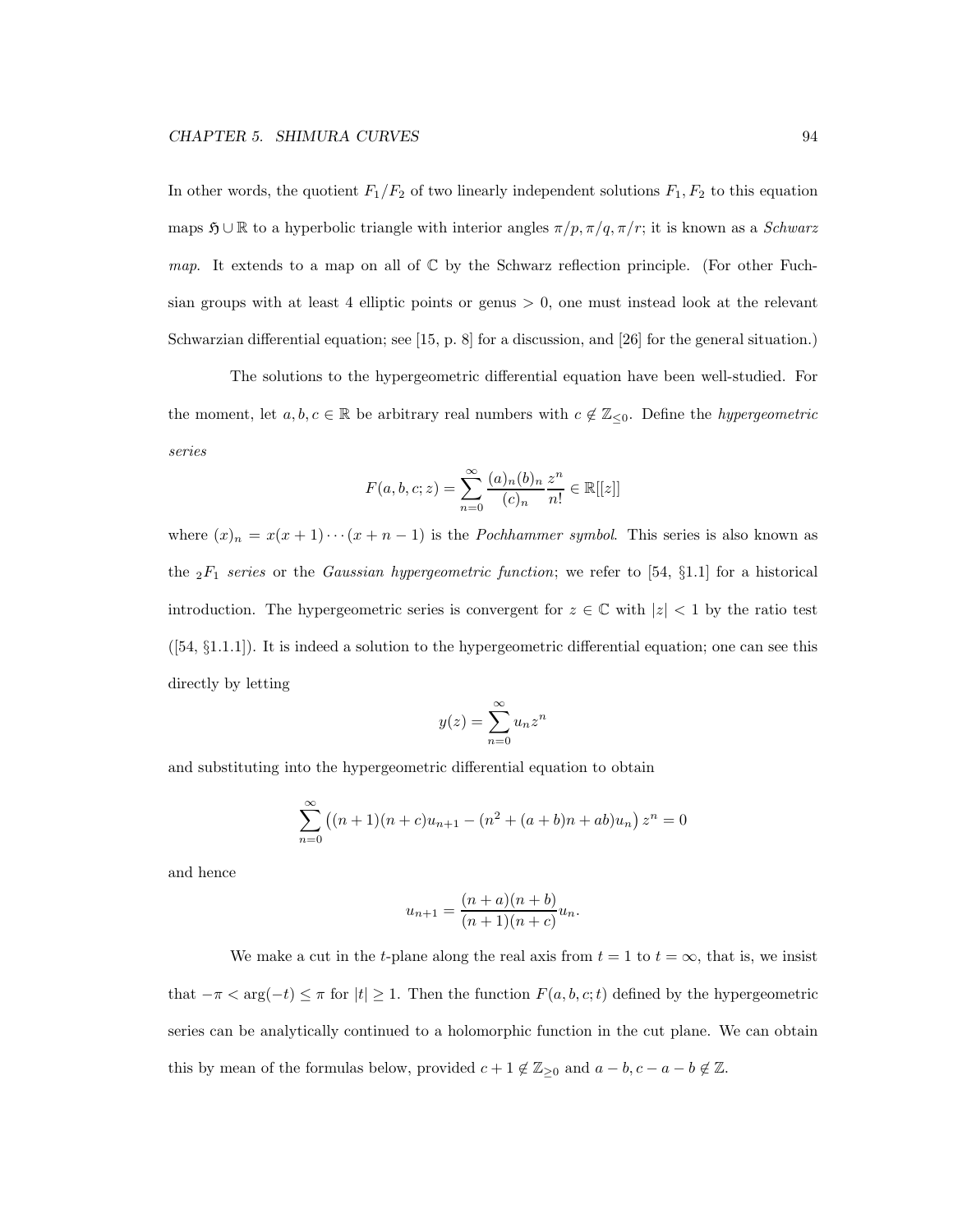In other words, the quotient  $F_1/F_2$  of two linearly independent solutions  $F_1, F_2$  to this equation maps  $\mathfrak{H} \cup \mathbb{R}$  to a hyperbolic triangle with interior angles  $\pi/p, \pi/q, \pi/r$ ; it is known as a *Schwarz* map. It extends to a map on all of  $\mathbb C$  by the Schwarz reflection principle. (For other Fuchsian groups with at least 4 elliptic points or genus  $> 0$ , one must instead look at the relevant Schwarzian differential equation; see [15, p. 8] for a discussion, and [26] for the general situation.)

The solutions to the hypergeometric differential equation have been well-studied. For the moment, let  $a, b, c \in \mathbb{R}$  be arbitrary real numbers with  $c \notin \mathbb{Z}_{\leq 0}$ . Define the *hypergeometric* series

$$
F(a, b, c; z) = \sum_{n=0}^{\infty} \frac{(a)_n (b)_n}{(c)_n} \frac{z^n}{n!} \in \mathbb{R}[[z]]
$$

where  $(x)_n = x(x+1)\cdots(x+n-1)$  is the *Pochhammer symbol*. This series is also known as the  ${}_2F_1$  series or the Gaussian hypergeometric function; we refer to [54, §1.1] for a historical introduction. The hypergeometric series is convergent for  $z \in \mathbb{C}$  with  $|z| < 1$  by the ratio test  $(54, §1.1.1)$ . It is indeed a solution to the hypergeometric differential equation; one can see this directly by letting

$$
y(z) = \sum_{n=0}^{\infty} u_n z^n
$$

and substituting into the hypergeometric differential equation to obtain

$$
\sum_{n=0}^{\infty} ((n+1)(n+c)u_{n+1} - (n^2 + (a+b)n + ab)u_n) z^n = 0
$$

and hence

$$
u_{n+1} = \frac{(n+a)(n+b)}{(n+1)(n+c)}u_n.
$$

We make a cut in the t-plane along the real axis from  $t = 1$  to  $t = \infty$ , that is, we insist that  $-\pi < \arg(-t) \leq \pi$  for  $|t| \geq 1$ . Then the function  $F(a, b, c; t)$  defined by the hypergeometric series can be analytically continued to a holomorphic function in the cut plane. We can obtain this by mean of the formulas below, provided  $c + 1 \notin \mathbb{Z}_{\geq 0}$  and  $a - b, c - a - b \notin \mathbb{Z}$ .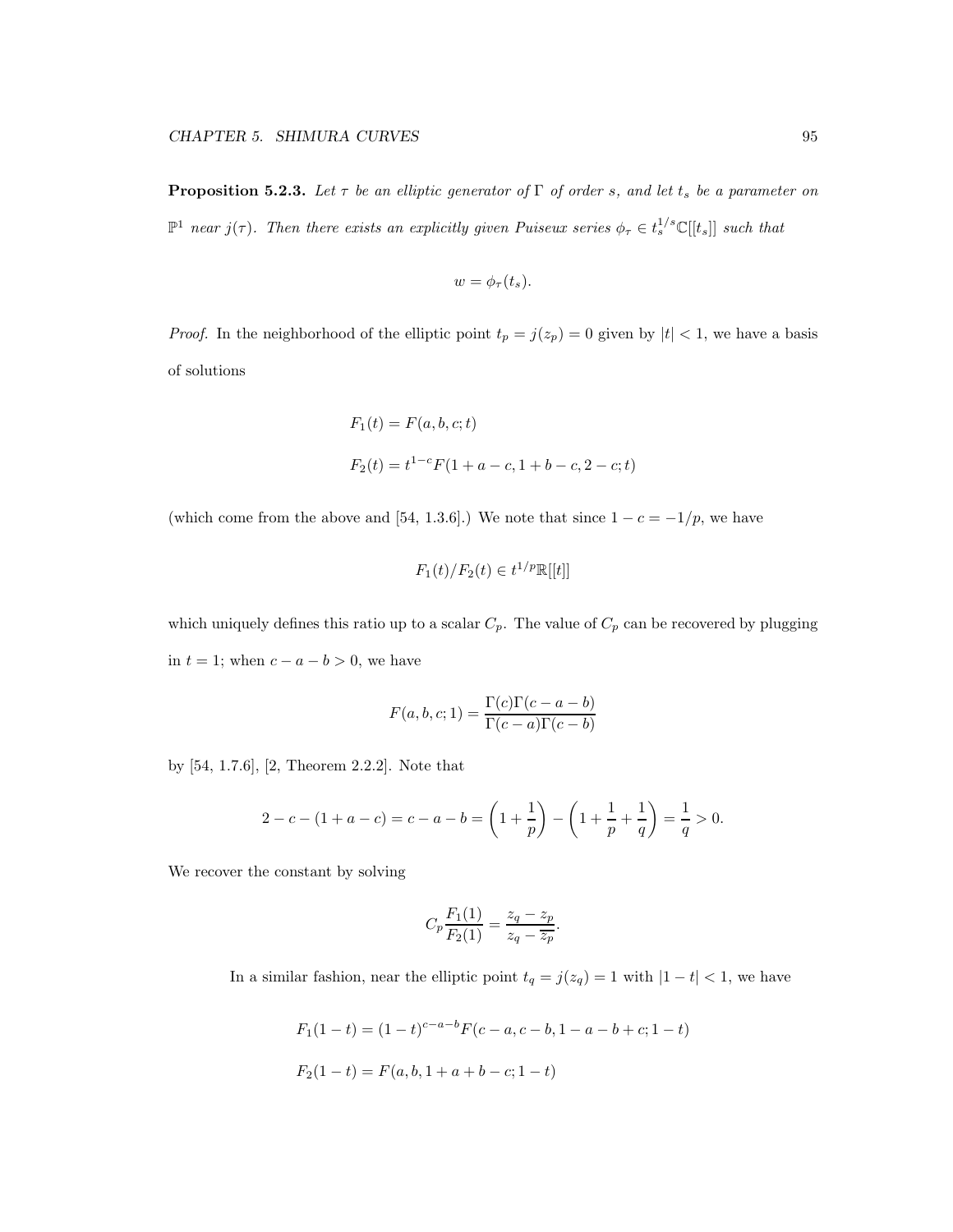**Proposition 5.2.3.** Let  $\tau$  be an elliptic generator of  $\Gamma$  of order s, and let  $t_s$  be a parameter on  $\mathbb{P}^1$  near  $j(\tau)$ . Then there exists an explicitly given Puiseux series  $\phi_{\tau} \in t_s^{1/s} \mathbb{C}[[t_s]]$  such that

$$
w=\phi_{\tau}(t_s).
$$

*Proof.* In the neighborhood of the elliptic point  $t_p = j(z_p) = 0$  given by  $|t| < 1$ , we have a basis of solutions

$$
F_1(t) = F(a, b, c; t)
$$
  

$$
F_2(t) = t^{1-c} F(1 + a - c, 1 + b - c, 2 - c; t)
$$

(which come from the above and [54, 1.3.6].) We note that since  $1 - c = -1/p$ , we have

$$
F_1(t)/F_2(t) \in t^{1/p} \mathbb{R}[[t]]
$$

which uniquely defines this ratio up to a scalar  $C_p$ . The value of  $C_p$  can be recovered by plugging in  $t = 1$ ; when  $c - a - b > 0$ , we have

$$
F(a, b, c; 1) = \frac{\Gamma(c)\Gamma(c - a - b)}{\Gamma(c - a)\Gamma(c - b)}
$$

by [54, 1.7.6], [2, Theorem 2.2.2]. Note that

$$
2 - c - (1 + a - c) = c - a - b = \left(1 + \frac{1}{p}\right) - \left(1 + \frac{1}{p} + \frac{1}{q}\right) = \frac{1}{q} > 0.
$$

We recover the constant by solving

$$
C_p \frac{F_1(1)}{F_2(1)} = \frac{z_q - z_p}{z_q - \overline{z_p}}.
$$

In a similar fashion, near the elliptic point  $t_q = j(z_q) = 1$  with  $|1 - t| < 1$ , we have

$$
F_1(1-t) = (1-t)^{c-a-b} F(c-a, c-b, 1-a-b+c; 1-t)
$$
  

$$
F_2(1-t) = F(a, b, 1+a+b-c; 1-t)
$$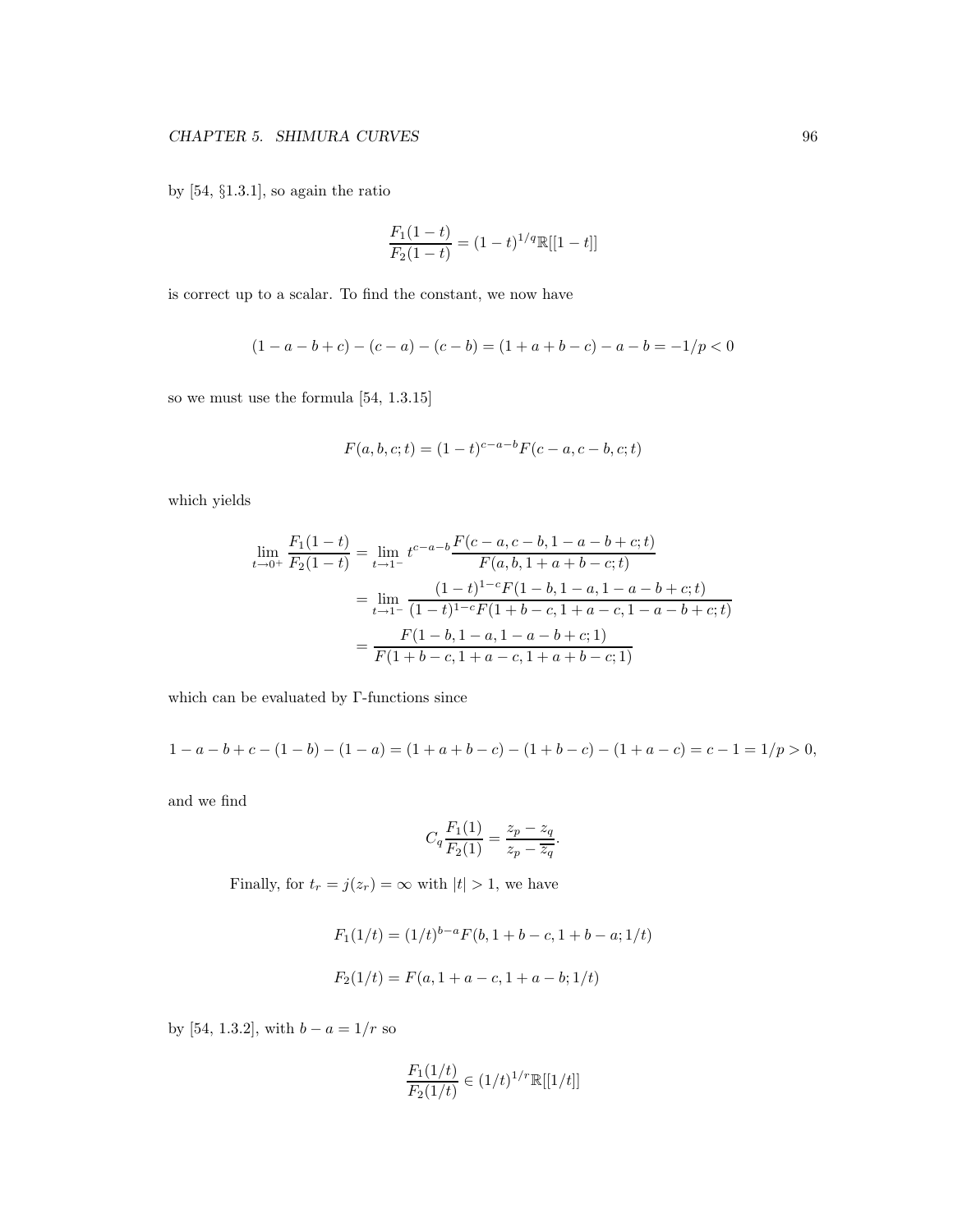by [54, §1.3.1], so again the ratio

$$
\frac{F_1(1-t)}{F_2(1-t)} = (1-t)^{1/q} \mathbb{R}[[1-t]]
$$

is correct up to a scalar. To find the constant, we now have

$$
(1 - a - b + c) - (c - a) - (c - b) = (1 + a + b - c) - a - b = -1/p < 0
$$

so we must use the formula [54, 1.3.15]

$$
F(a, b, c; t) = (1 - t)^{c - a - b} F(c - a, c - b, c; t)
$$

which yields

$$
\lim_{t \to 0^{+}} \frac{F_1(1-t)}{F_2(1-t)} = \lim_{t \to 1^{-}} t^{c-a-b} \frac{F(c-a, c-b, 1-a-b+c; t)}{F(a, b, 1+a+b-c; t)}
$$

$$
= \lim_{t \to 1^{-}} \frac{(1-t)^{1-c} F(1-b, 1-a, 1-a-b+c; t)}{(1-t)^{1-c} F(1+b-c, 1+a-c, 1-a-b+c; t)}
$$

$$
= \frac{F(1-b, 1-a, 1-a-b+c; 1)}{F(1+b-c, 1+a-c, 1+a+b-c; 1)}
$$

which can be evaluated by Γ-functions since

$$
1 - a - b + c - (1 - b) - (1 - a) = (1 + a + b - c) - (1 + b - c) - (1 + a - c) = c - 1 = 1/p > 0,
$$

and we find

$$
C_q \frac{F_1(1)}{F_2(1)} = \frac{z_p - z_q}{z_p - \overline{z}_q}.
$$

Finally, for  $t_r = j(z_r) = \infty$  with  $|t| > 1$ , we have

$$
F_1(1/t) = (1/t)^{b-a} F(b, 1+b-c, 1+b-a; 1/t)
$$

$$
F_2(1/t) = F(a, 1+a-c, 1+a-b; 1/t)
$$

by [54, 1.3.2], with  $b - a = 1/r$  so

$$
\frac{F_1(1/t)}{F_2(1/t)} \in (1/t)^{1/r} \mathbb{R}[[1/t]]
$$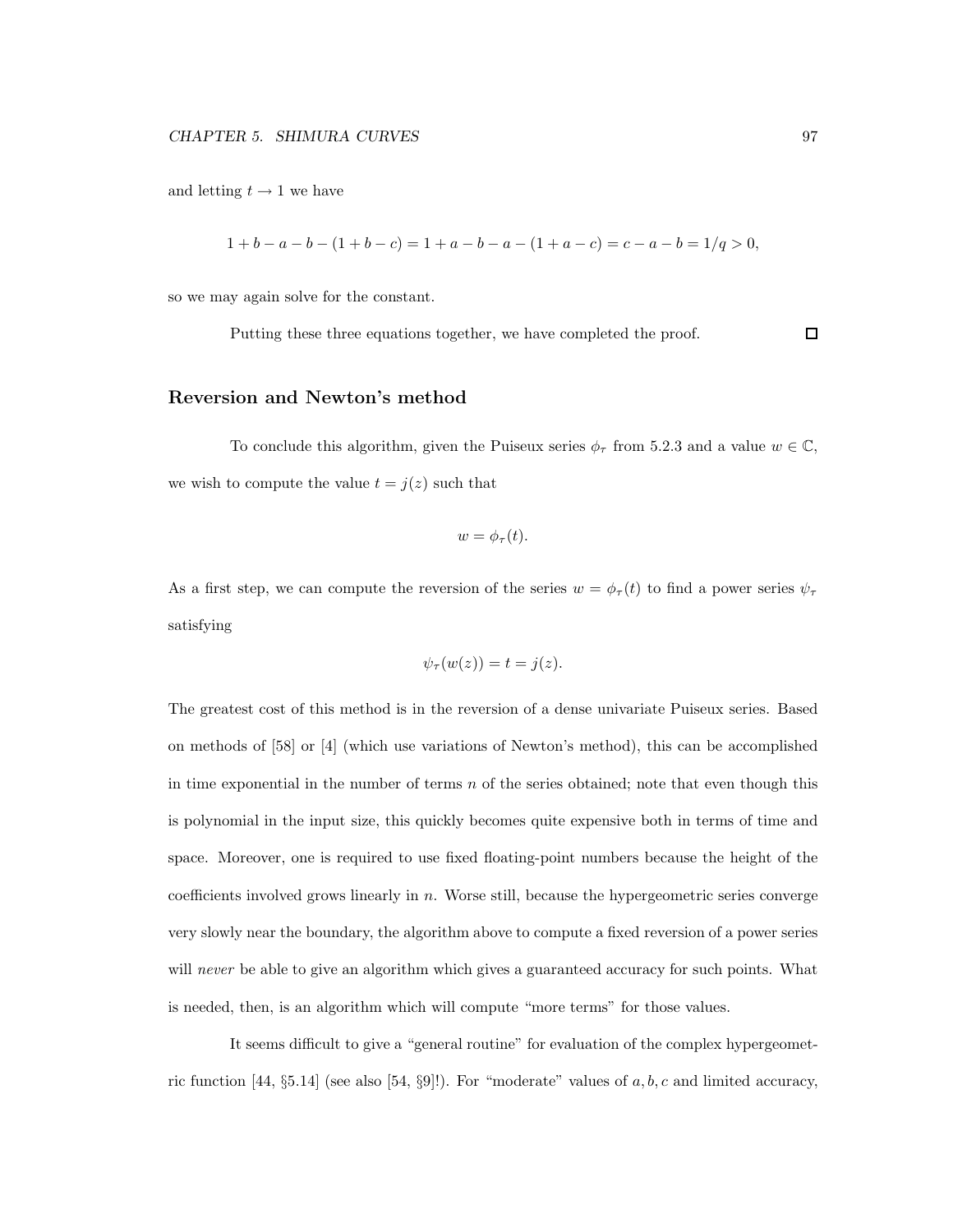and letting  $t \rightarrow 1$  we have

$$
1+b-a-b-(1+b-c) = 1+a-b-a-(1+a-c) = c-a-b = 1/q > 0,
$$

so we may again solve for the constant.

Putting these three equations together, we have completed the proof.

#### $\Box$

#### Reversion and Newton's method

To conclude this algorithm, given the Puiseux series  $\phi_{\tau}$  from 5.2.3 and a value  $w \in \mathbb{C}$ , we wish to compute the value  $t = j(z)$  such that

$$
w=\phi_{\tau}(t).
$$

As a first step, we can compute the reversion of the series  $w = \phi_\tau(t)$  to find a power series  $\psi_\tau$ satisfying

$$
\psi_{\tau}(w(z)) = t = j(z).
$$

The greatest cost of this method is in the reversion of a dense univariate Puiseux series. Based on methods of [58] or [4] (which use variations of Newton's method), this can be accomplished in time exponential in the number of terms  $n$  of the series obtained; note that even though this is polynomial in the input size, this quickly becomes quite expensive both in terms of time and space. Moreover, one is required to use fixed floating-point numbers because the height of the coefficients involved grows linearly in n. Worse still, because the hypergeometric series converge very slowly near the boundary, the algorithm above to compute a fixed reversion of a power series will never be able to give an algorithm which gives a guaranteed accuracy for such points. What is needed, then, is an algorithm which will compute "more terms" for those values.

It seems difficult to give a "general routine" for evaluation of the complex hypergeometric function [44, §5.14] (see also [54, §9]!). For "moderate" values of  $a, b, c$  and limited accuracy,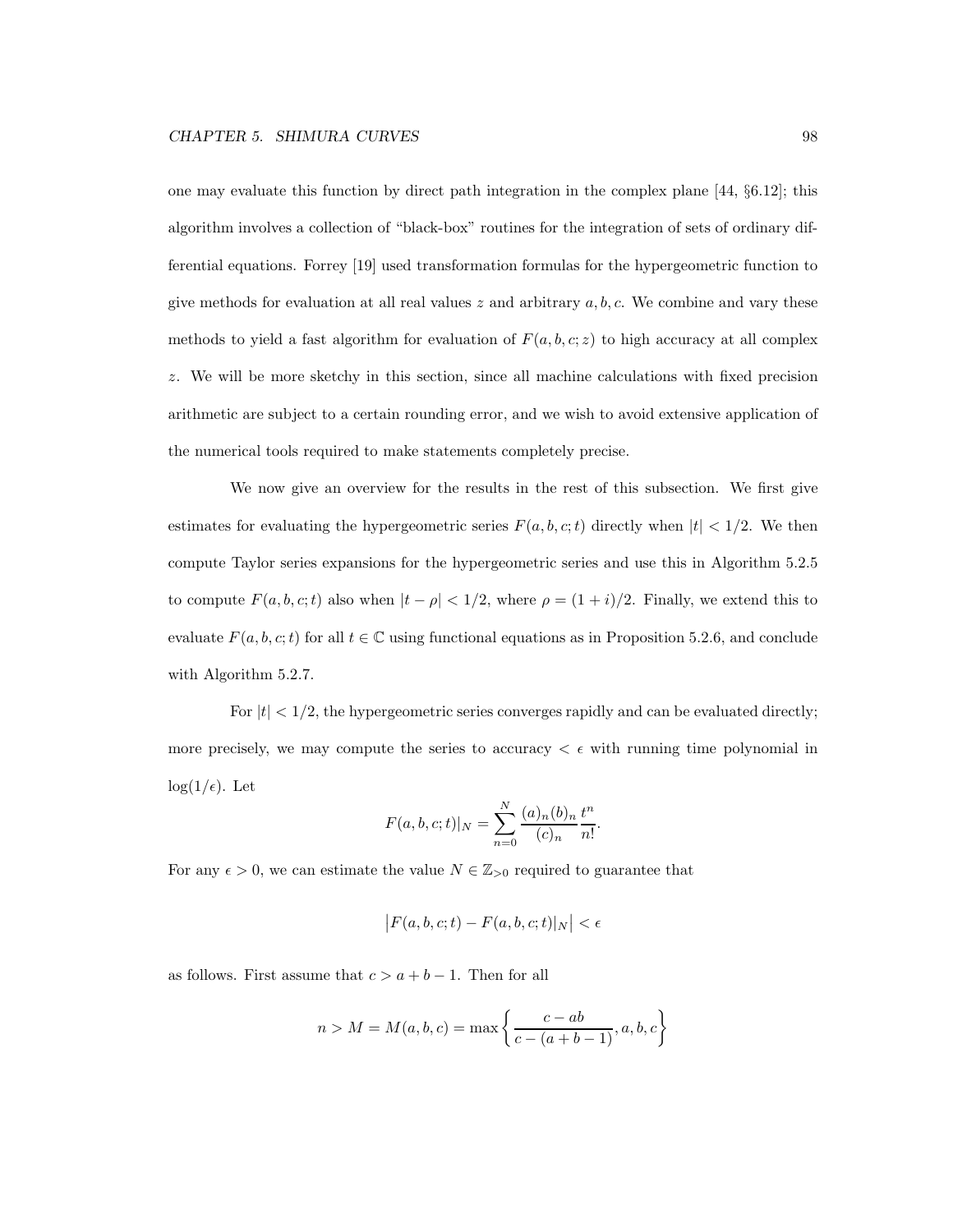one may evaluate this function by direct path integration in the complex plane [44, §6.12]; this algorithm involves a collection of "black-box" routines for the integration of sets of ordinary differential equations. Forrey [19] used transformation formulas for the hypergeometric function to give methods for evaluation at all real values  $z$  and arbitrary  $a, b, c$ . We combine and vary these methods to yield a fast algorithm for evaluation of  $F(a, b, c; z)$  to high accuracy at all complex z. We will be more sketchy in this section, since all machine calculations with fixed precision arithmetic are subject to a certain rounding error, and we wish to avoid extensive application of the numerical tools required to make statements completely precise.

We now give an overview for the results in the rest of this subsection. We first give estimates for evaluating the hypergeometric series  $F(a, b, c; t)$  directly when  $|t| < 1/2$ . We then compute Taylor series expansions for the hypergeometric series and use this in Algorithm 5.2.5 to compute  $F(a, b, c; t)$  also when  $|t - \rho| < 1/2$ , where  $\rho = (1 + i)/2$ . Finally, we extend this to evaluate  $F(a, b, c; t)$  for all  $t \in \mathbb{C}$  using functional equations as in Proposition 5.2.6, and conclude with Algorithm 5.2.7.

For  $|t| < 1/2$ , the hypergeometric series converges rapidly and can be evaluated directly; more precisely, we may compute the series to accuracy  $\epsilon \in \mathbb{R}$  running time polynomial in  $log(1/\epsilon)$ . Let

$$
F(a, b, c; t)|_N = \sum_{n=0}^{N} \frac{(a)_n (b)_n}{(c)_n} \frac{t^n}{n!}.
$$

For any  $\epsilon > 0$ , we can estimate the value  $N \in \mathbb{Z}_{>0}$  required to guarantee that

$$
\big|F(a,b,c;t)-F(a,b,c;t)|_N\big|<\epsilon
$$

as follows. First assume that  $c > a + b - 1$ . Then for all

$$
n > M = M(a, b, c) = \max \left\{ \frac{c - ab}{c - (a + b - 1)}, a, b, c \right\}
$$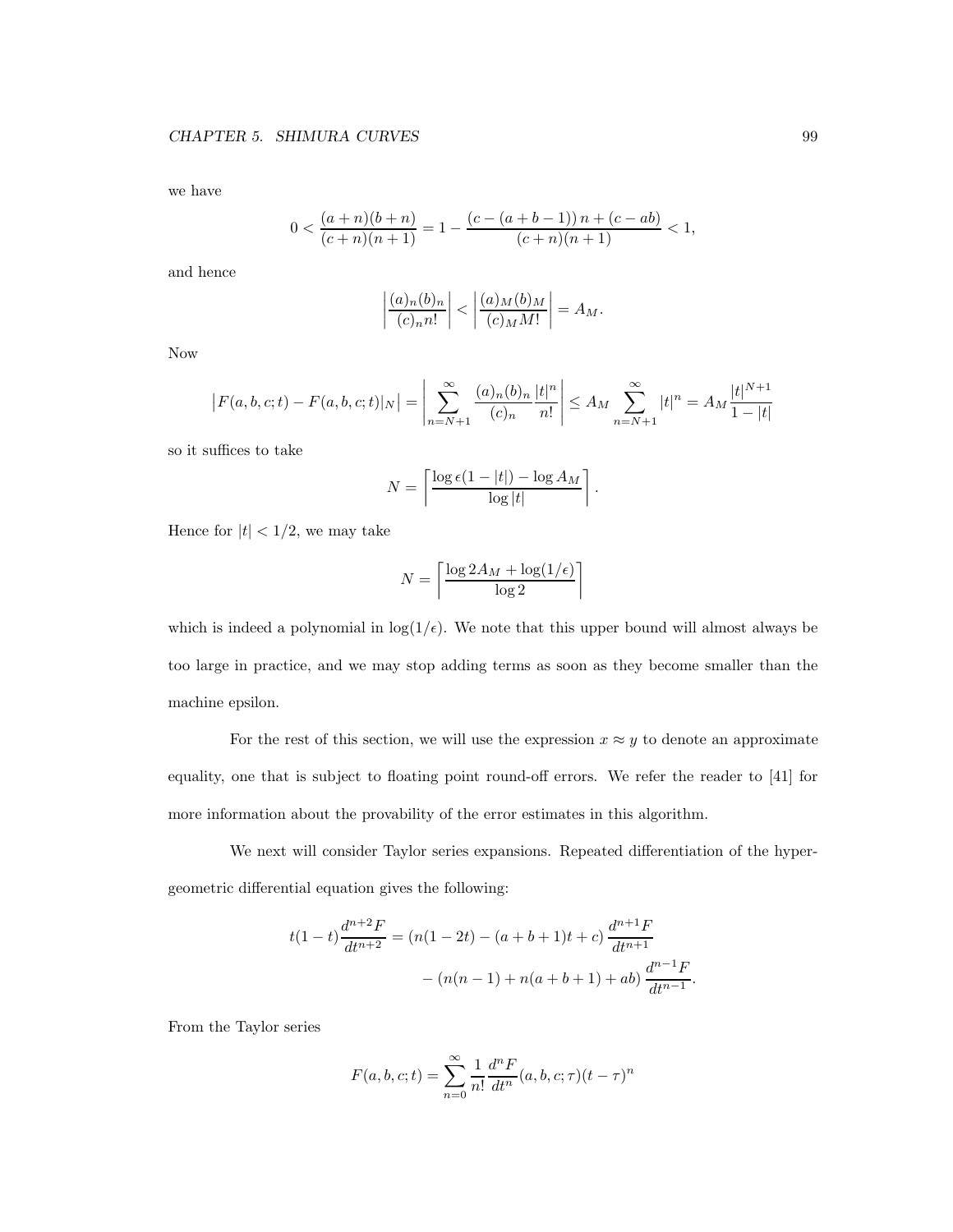we have

$$
0<\frac{(a+n)(b+n)}{(c+n)(n+1)}=1-\frac{(c-(a+b-1))\,n+(c-ab)}{(c+n)(n+1)}<1,
$$

and hence

$$
\left|\frac{(a)_n(b)_n}{(c)_n n!}\right| < \left|\frac{(a)_M(b)_M}{(c)_M M!}\right| = A_M.
$$

Now

$$
\left|F(a,b,c;t) - F(a,b,c;t)|_N\right| = \left|\sum_{n=N+1}^{\infty} \frac{(a)_n (b)_n}{(c)_n} \frac{|t|^n}{n!}\right| \le A_M \sum_{n=N+1}^{\infty} |t|^n = A_M \frac{|t|^{N+1}}{1-|t|}
$$

so it suffices to take

$$
N = \left\lceil \frac{\log \epsilon (1 - |t|) - \log A_M}{\log |t|} \right\rceil.
$$

Hence for  $|t| < 1/2$ , we may take

$$
N = \left\lceil \frac{\log 2A_M + \log(1/\epsilon)}{\log 2} \right\rceil
$$

which is indeed a polynomial in  $log(1/\epsilon)$ . We note that this upper bound will almost always be too large in practice, and we may stop adding terms as soon as they become smaller than the machine epsilon.

For the rest of this section, we will use the expression  $x \approx y$  to denote an approximate equality, one that is subject to floating point round-off errors. We refer the reader to [41] for more information about the provability of the error estimates in this algorithm.

We next will consider Taylor series expansions. Repeated differentiation of the hypergeometric differential equation gives the following:

$$
t(1-t)\frac{d^{n+2}F}{dt^{n+2}} = (n(1-2t) - (a+b+1)t + c)\frac{d^{n+1}F}{dt^{n+1}}
$$

$$
- (n(n-1) + n(a+b+1) + ab)\frac{d^{n-1}F}{dt^{n-1}}.
$$

From the Taylor series

$$
F(a, b, c; t) = \sum_{n=0}^{\infty} \frac{1}{n!} \frac{d^n F}{dt^n} (a, b, c; \tau) (t - \tau)^n
$$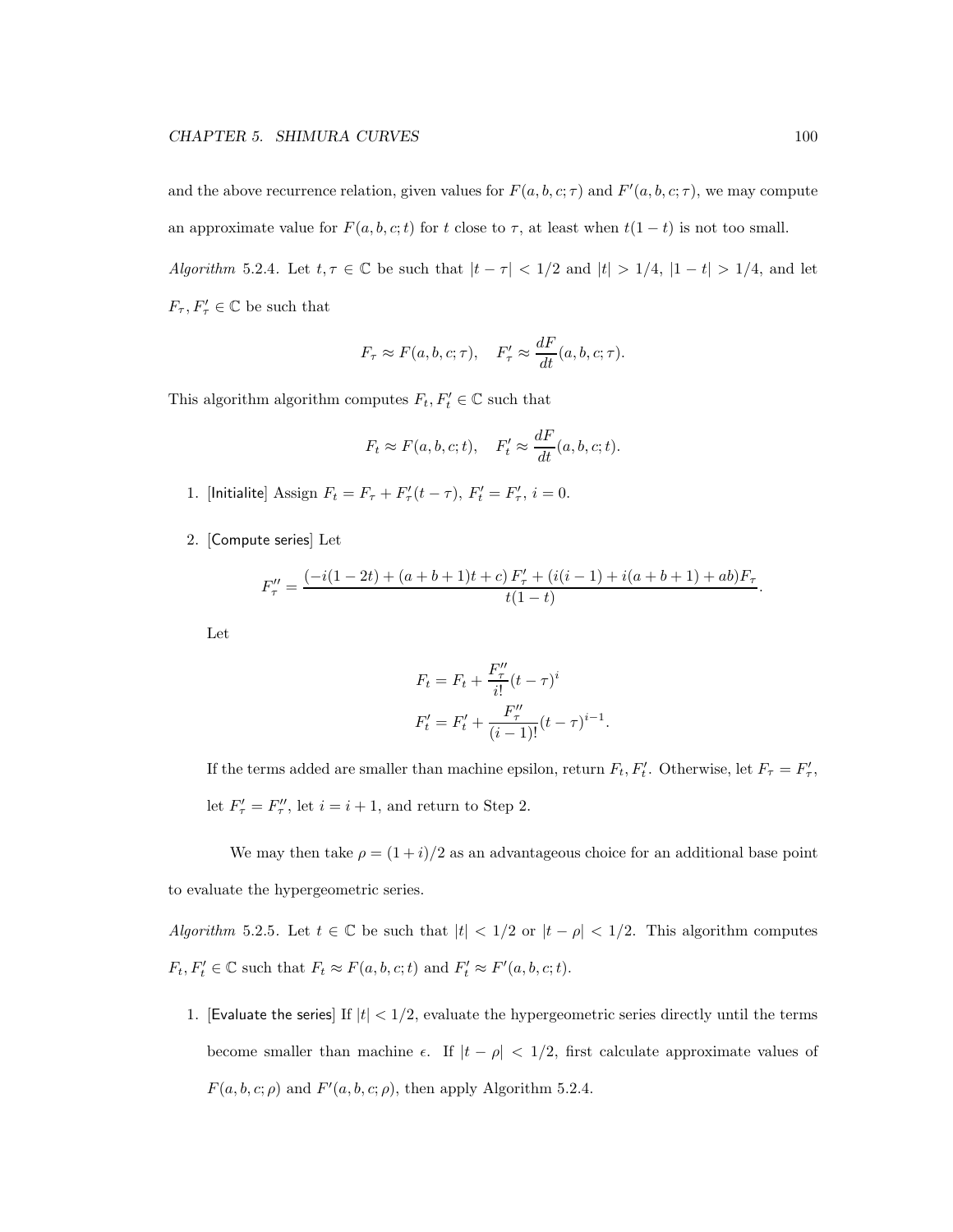and the above recurrence relation, given values for  $F(a, b, c; \tau)$  and  $F'(a, b, c; \tau)$ , we may compute an approximate value for  $F(a, b, c; t)$  for t close to  $\tau$ , at least when  $t(1-t)$  is not too small.

Algorithm 5.2.4. Let  $t, \tau \in \mathbb{C}$  be such that  $|t - \tau| < 1/2$  and  $|t| > 1/4$ ,  $|1 - t| > 1/4$ , and let  $F_{\tau}, F'_{\tau} \in \mathbb{C}$  be such that

$$
F_{\tau} \approx F(a, b, c; \tau), \quad F'_{\tau} \approx \frac{dF}{dt}(a, b, c; \tau).
$$

This algorithm algorithm computes  $F_t, F'_t \in \mathbb{C}$  such that

$$
F_t \approx F(a, b, c; t), \quad F'_t \approx \frac{dF}{dt}(a, b, c; t).
$$

- 1. [Initialite] Assign  $F_t = F_{\tau} + F'_{\tau}(t \tau)$ ,  $F'_t = F'_{\tau}$ ,  $i = 0$ .
- 2. [Compute series] Let

$$
F_{\tau}'' = \frac{(-i(1-2t) + (a+b+1)t + c) F_{\tau}' + (i(i-1) + i(a+b+1) + ab)F_{\tau}}{t(1-t)}.
$$

Let

$$
F_t = F_t + \frac{F''_{\tau}}{i!} (t - \tau)^i
$$
  

$$
F'_t = F'_t + \frac{F''_{\tau}}{(i - 1)!} (t - \tau)^{i - 1}.
$$

If the terms added are smaller than machine epsilon, return  $F_t, F'_t$ . Otherwise, let  $F_\tau = F'_\tau$ , let  $F'_{\tau} = F''_{\tau}$ , let  $i = i + 1$ , and return to Step 2.

We may then take  $\rho = (1 + i)/2$  as an advantageous choice for an additional base point to evaluate the hypergeometric series.

Algorithm 5.2.5. Let  $t \in \mathbb{C}$  be such that  $|t| < 1/2$  or  $|t - \rho| < 1/2$ . This algorithm computes  $F_t, F'_t \in \mathbb{C}$  such that  $F_t \approx F(a, b, c; t)$  and  $F'_t \approx F'(a, b, c; t)$ .

1. [Evaluate the series] If  $|t| < 1/2$ , evaluate the hypergeometric series directly until the terms become smaller than machine  $\epsilon$ . If  $|t - \rho| < 1/2$ , first calculate approximate values of  $F(a, b, c; \rho)$  and  $F'(a, b, c; \rho)$ , then apply Algorithm 5.2.4.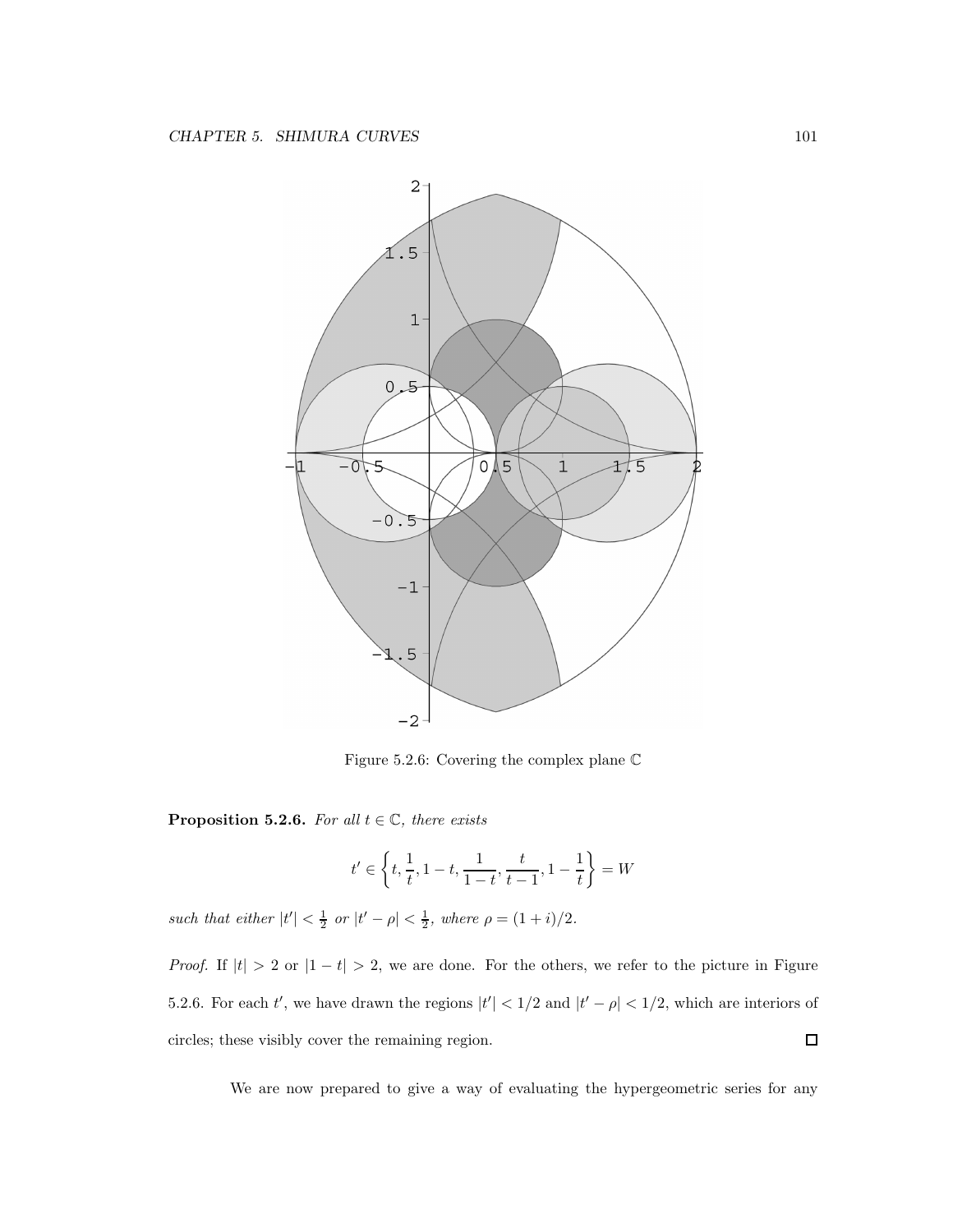

Figure 5.2.6: Covering the complex plane C

**Proposition 5.2.6.** For all  $t \in \mathbb{C}$ , there exists

$$
t'\in\left\{t,\frac{1}{t},1-t,\frac{1}{1-t},\frac{t}{t-1},1-\frac{1}{t}\right\}=W
$$

such that either  $|t'| < \frac{1}{2}$  or  $|t' - \rho| < \frac{1}{2}$ , where  $\rho = (1 + i)/2$ .

*Proof.* If  $|t| > 2$  or  $|1 - t| > 2$ , we are done. For the others, we refer to the picture in Figure 5.2.6. For each t', we have drawn the regions  $|t'| < 1/2$  and  $|t' - \rho| < 1/2$ , which are interiors of circles; these visibly cover the remaining region.  $\Box$ 

We are now prepared to give a way of evaluating the hypergeometric series for any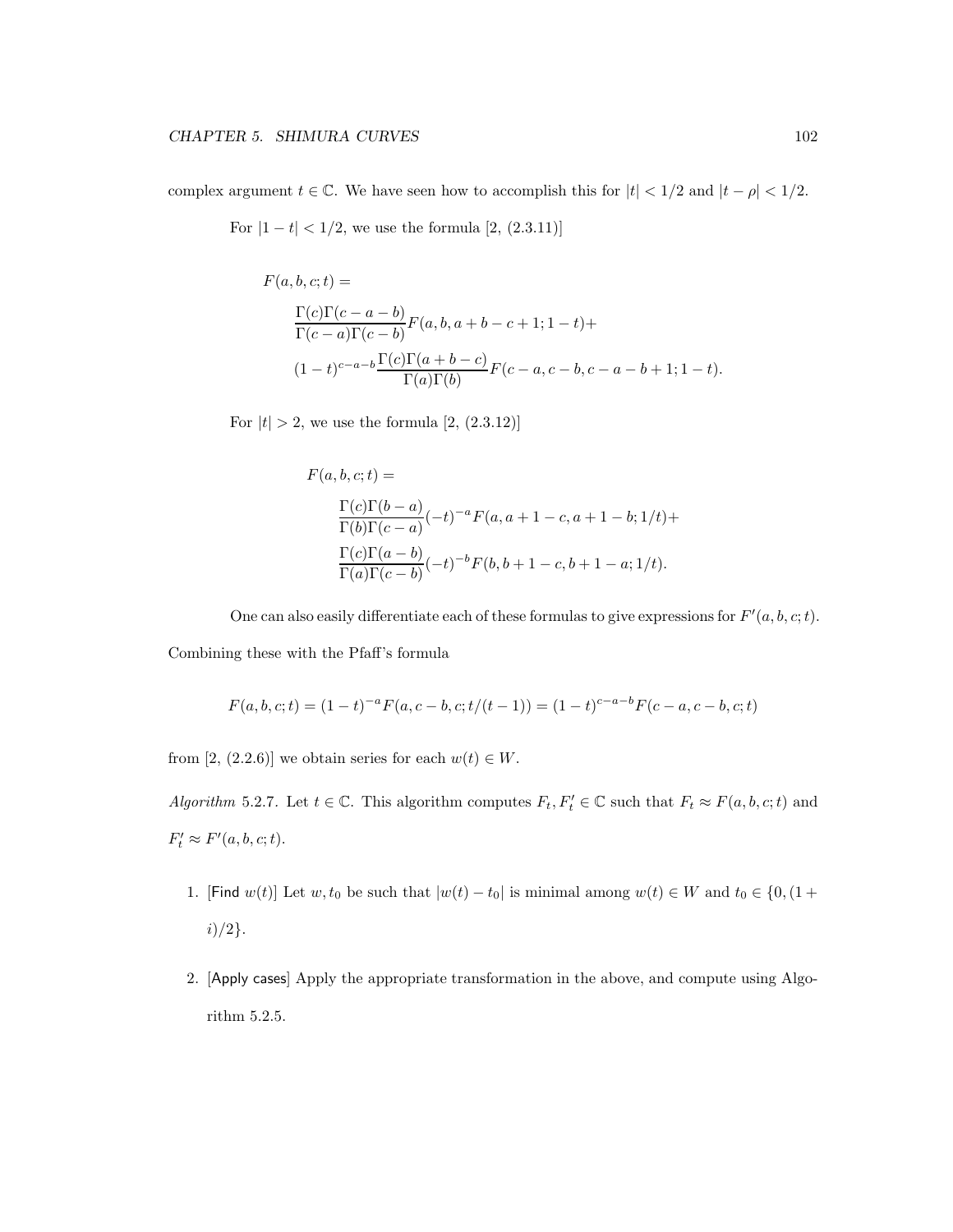complex argument  $t \in \mathbb{C}$ . We have seen how to accomplish this for  $|t| < 1/2$  and  $|t - \rho| < 1/2$ .

For  $|1 - t| < 1/2$ , we use the formula [2, (2.3.11)]

$$
F(a, b, c; t) =
$$
  
\n
$$
\frac{\Gamma(c)\Gamma(c - a - b)}{\Gamma(c - a)\Gamma(c - b)} F(a, b, a + b - c + 1; 1 - t) +
$$
  
\n
$$
(1 - t)^{c - a - b} \frac{\Gamma(c)\Gamma(a + b - c)}{\Gamma(a)\Gamma(b)} F(c - a, c - b, c - a - b + 1; 1 - t).
$$

For  $|t| > 2$ , we use the formula  $[2, (2.3.12)]$ 

$$
F(a, b, c; t) =
$$
  
\n
$$
\frac{\Gamma(c)\Gamma(b-a)}{\Gamma(b)\Gamma(c-a)}(-t)^{-a}F(a, a+1-c, a+1-b; 1/t) +
$$
  
\n
$$
\frac{\Gamma(c)\Gamma(a-b)}{\Gamma(a)\Gamma(c-b)}(-t)^{-b}F(b, b+1-c, b+1-a; 1/t).
$$

One can also easily differentiate each of these formulas to give expressions for  $F'(a, b, c; t)$ .

Combining these with the Pfaff's formula

$$
F(a, b, c; t) = (1 - t)^{-a} F(a, c - b, c; t/(t - 1)) = (1 - t)^{c - a - b} F(c - a, c - b, c; t)
$$

from [2, (2.2.6)] we obtain series for each  $w(t) \in W$ .

Algorithm 5.2.7. Let  $t \in \mathbb{C}$ . This algorithm computes  $F_t, F'_t \in \mathbb{C}$  such that  $F_t \approx F(a, b, c; t)$  and  $F'_t \approx F'(a, b, c; t).$ 

- 1. [Find  $w(t)$ ] Let  $w, t_0$  be such that  $|w(t) t_0|$  is minimal among  $w(t) \in W$  and  $t_0 \in \{0, 1 +$  $i)/2$ .
- 2. [Apply cases] Apply the appropriate transformation in the above, and compute using Algorithm 5.2.5.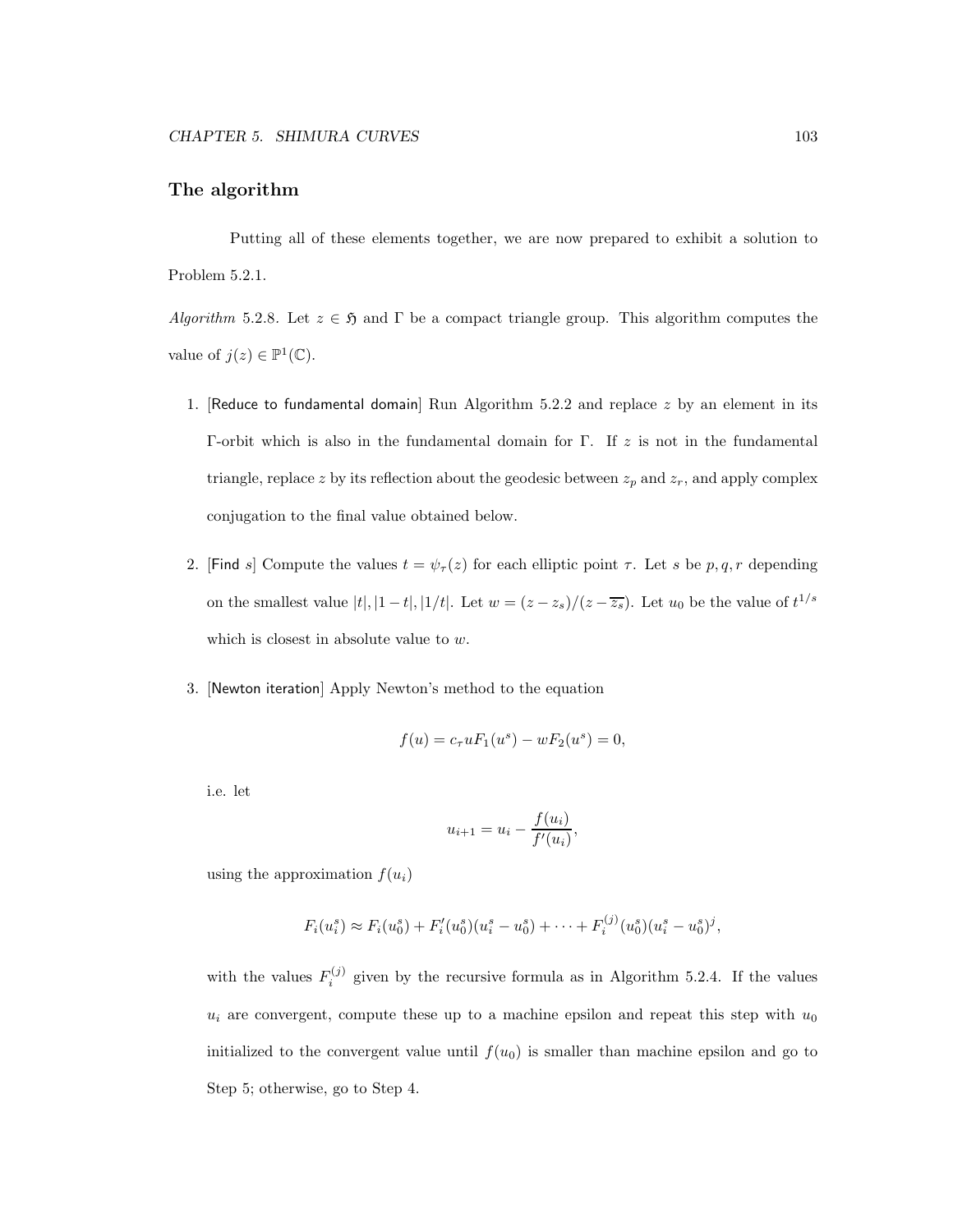#### The algorithm

Putting all of these elements together, we are now prepared to exhibit a solution to Problem 5.2.1.

Algorithm 5.2.8. Let  $z \in \mathfrak{H}$  and  $\Gamma$  be a compact triangle group. This algorithm computes the value of  $j(z) \in \mathbb{P}^1(\mathbb{C})$ .

- 1. [Reduce to fundamental domain] Run Algorithm 5.2.2 and replace  $z$  by an element in its Γ-orbit which is also in the fundamental domain for Γ. If z is not in the fundamental triangle, replace z by its reflection about the geodesic between  $z_p$  and  $z_r$ , and apply complex conjugation to the final value obtained below.
- 2. [Find s] Compute the values  $t = \psi_\tau(z)$  for each elliptic point  $\tau$ . Let s be p, q, r depending on the smallest value  $|t|, |1-t|, |1/t|$ . Let  $w = (z - z_s)/(z - \overline{z_s})$ . Let  $u_0$  be the value of  $t^{1/s}$ which is closest in absolute value to w.
- 3. [Newton iteration] Apply Newton's method to the equation

$$
f(u) = c_{\tau} u F_1(u^s) - w F_2(u^s) = 0,
$$

i.e. let

$$
u_{i+1} = u_i - \frac{f(u_i)}{f'(u_i)},
$$

using the approximation  $f(u_i)$ 

$$
F_i(u_i^s) \approx F_i(u_0^s) + F'_i(u_0^s)(u_i^s - u_0^s) + \cdots + F_i^{(j)}(u_0^s)(u_i^s - u_0^s)^j,
$$

with the values  $F_i^{(j)}$  $i^{(j)}$  given by the recursive formula as in Algorithm 5.2.4. If the values  $u_i$  are convergent, compute these up to a machine epsilon and repeat this step with  $u_0$ initialized to the convergent value until  $f(u_0)$  is smaller than machine epsilon and go to Step 5; otherwise, go to Step 4.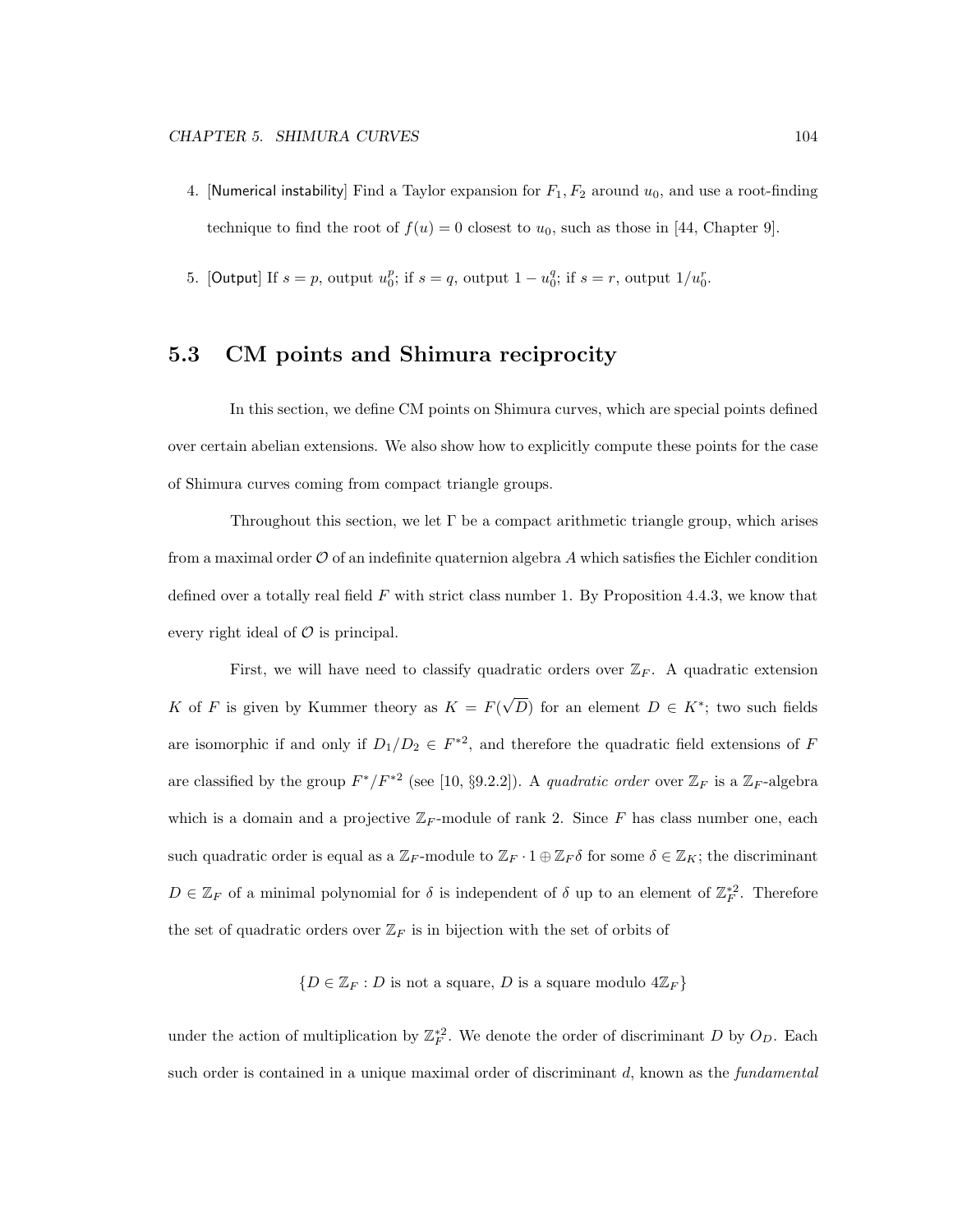- 4. [Numerical instability] Find a Taylor expansion for  $F_1, F_2$  around  $u_0$ , and use a root-finding technique to find the root of  $f(u) = 0$  closest to  $u_0$ , such as those in [44, Chapter 9].
- 5. [Output] If  $s = p$ , output  $u_0^p$ ; if  $s = q$ , output  $1 u_0^q$ ; if  $s = r$ , output  $1/u_0^r$ .

### 5.3 CM points and Shimura reciprocity

In this section, we define CM points on Shimura curves, which are special points defined over certain abelian extensions. We also show how to explicitly compute these points for the case of Shimura curves coming from compact triangle groups.

Throughout this section, we let  $\Gamma$  be a compact arithmetic triangle group, which arises from a maximal order  $\mathcal O$  of an indefinite quaternion algebra A which satisfies the Eichler condition defined over a totally real field  $F$  with strict class number 1. By Proposition 4.4.3, we know that every right ideal of  $\mathcal O$  is principal.

First, we will have need to classify quadratic orders over  $\mathbb{Z}_F$ . A quadratic extension K of F is given by Kummer theory as  $K = F(\sqrt{D})$  for an element  $D \in K^*$ ; two such fields are isomorphic if and only if  $D_1/D_2 \in F^{*2}$ , and therefore the quadratic field extensions of F are classified by the group  $F^*/F^{*2}$  (see [10, §9.2.2]). A quadratic order over  $\mathbb{Z}_F$  is a  $\mathbb{Z}_F$ -algebra which is a domain and a projective  $\mathbb{Z}_F$ -module of rank 2. Since F has class number one, each such quadratic order is equal as a  $\mathbb{Z}_F$ -module to  $\mathbb{Z}_F \cdot 1 \oplus \mathbb{Z}_F \delta$  for some  $\delta \in \mathbb{Z}_K$ ; the discriminant  $D \in \mathbb{Z}_F$  of a minimal polynomial for  $\delta$  is independent of  $\delta$  up to an element of  $\mathbb{Z}_F^{*2}$ . Therefore the set of quadratic orders over  $\mathbb{Z}_F$  is in bijection with the set of orbits of

 ${D \in \mathbb{Z}_F : D \text{ is not a square}, D \text{ is a square modulo } 4\mathbb{Z}_F}$ 

under the action of multiplication by  $\mathbb{Z}_F^{*2}$ . We denote the order of discriminant D by  $O_D$ . Each such order is contained in a unique maximal order of discriminant  $d$ , known as the *fundamental*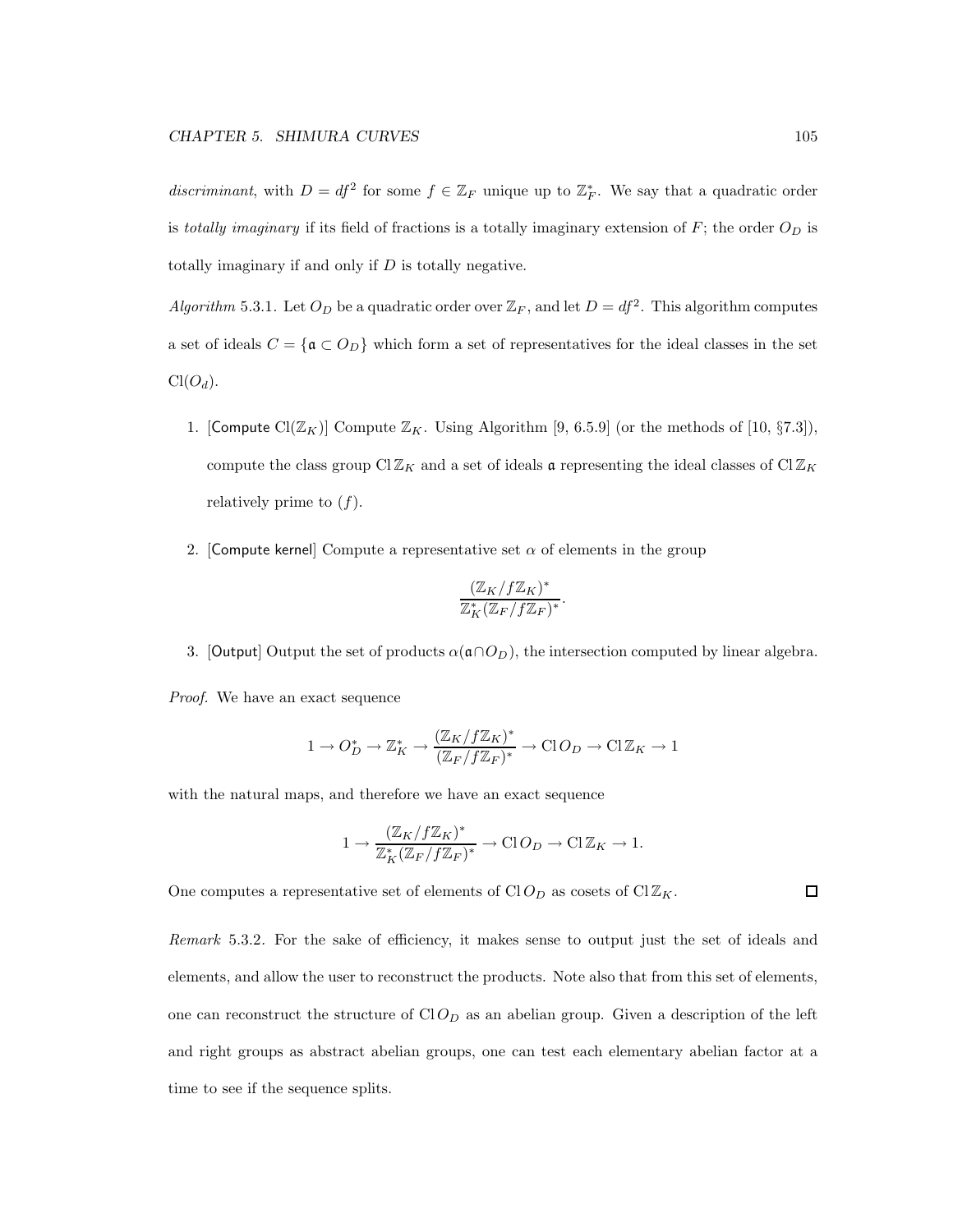discriminant, with  $D = df^2$  for some  $f \in \mathbb{Z}_F$  unique up to  $\mathbb{Z}_F^*$ . We say that a quadratic order is totally imaginary if its field of fractions is a totally imaginary extension of  $F$ ; the order  $O_D$  is totally imaginary if and only if  $D$  is totally negative.

Algorithm 5.3.1. Let  $O_D$  be a quadratic order over  $\mathbb{Z}_F$ , and let  $D = df^2$ . This algorithm computes a set of ideals  $C = {\mathfrak{a} \subset O_D}$  which form a set of representatives for the ideal classes in the set  $Cl(O_d)$ .

- 1. [Compute Cl( $\mathbb{Z}_K$ )] Compute  $\mathbb{Z}_K$ . Using Algorithm [9, 6.5.9] (or the methods of [10, §7.3]), compute the class group  $ClZ_K$  and a set of ideals a representing the ideal classes of  $ClZ_K$ relatively prime to  $(f)$ .
- 2. [Compute kernel] Compute a representative set  $\alpha$  of elements in the group

$$
\frac{(\mathbb{Z}_K/f\mathbb{Z}_K)^*}{\mathbb{Z}_K^*(\mathbb{Z}_F/f\mathbb{Z}_F)^*}.
$$

3. [Output] Output the set of products  $\alpha(\mathfrak{a}\cap O_D)$ , the intersection computed by linear algebra.

Proof. We have an exact sequence

$$
1 \to O_D^* \to \mathbb{Z}_K^* \to \frac{(\mathbb{Z}_K/f\mathbb{Z}_K)^*}{(\mathbb{Z}_F/f\mathbb{Z}_F)^*} \to \text{Cl}\,O_D \to \text{Cl}\,\mathbb{Z}_K \to 1
$$

with the natural maps, and therefore we have an exact sequence

$$
1 \to \frac{(\mathbb{Z}_K/f\mathbb{Z}_K)^*}{\mathbb{Z}_K^*(\mathbb{Z}_F/f\mathbb{Z}_F)^*} \to \text{Cl}\,O_D \to \text{Cl}\,\mathbb{Z}_K \to 1.
$$

One computes a representative set of elements of  $CLO<sub>D</sub>$  as cosets of  $CIZ<sub>K</sub>$ .

Remark 5.3.2. For the sake of efficiency, it makes sense to output just the set of ideals and elements, and allow the user to reconstruct the products. Note also that from this set of elements, one can reconstruct the structure of  $ClO_D$  as an abelian group. Given a description of the left and right groups as abstract abelian groups, one can test each elementary abelian factor at a time to see if the sequence splits.

□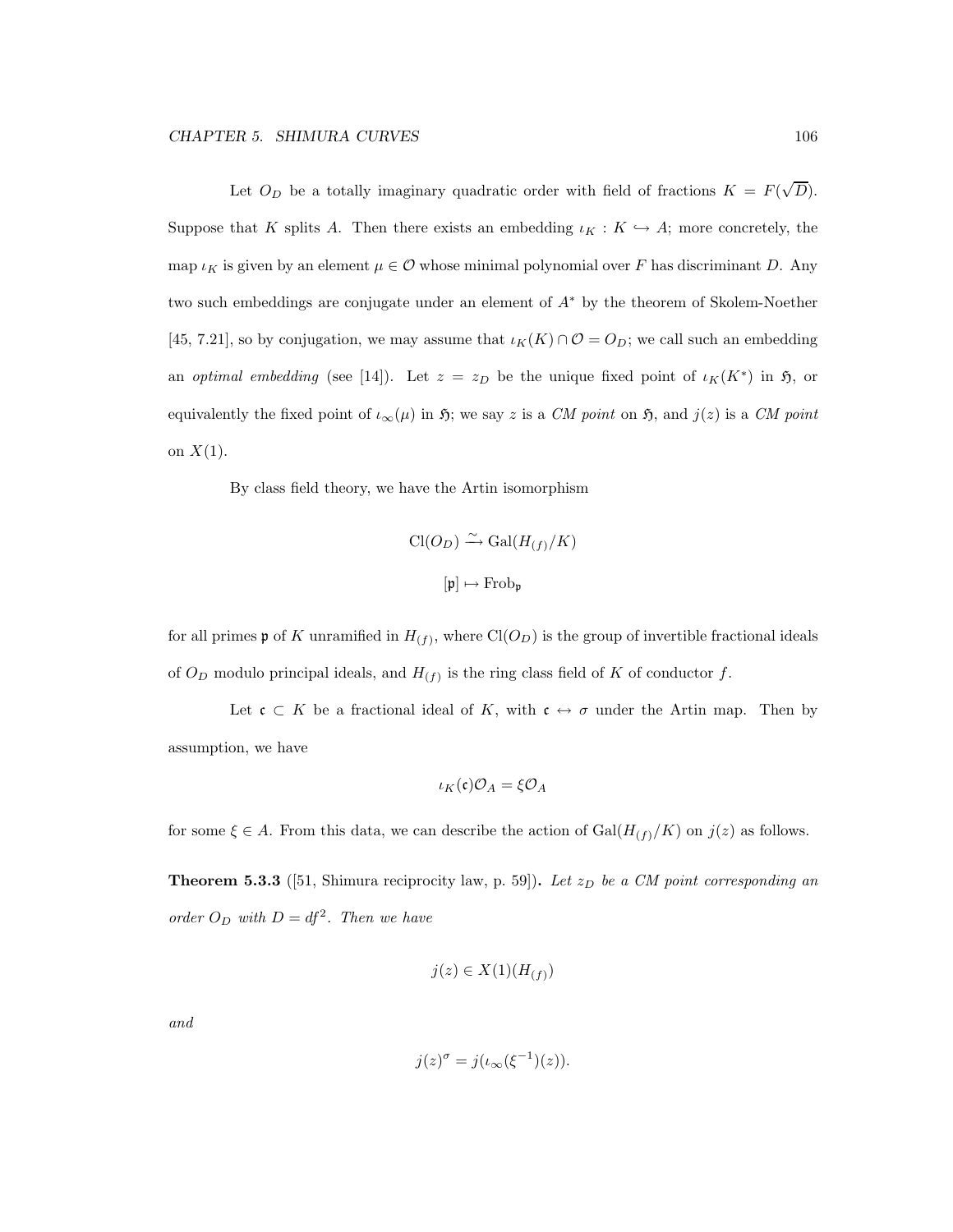Let  $O_D$  be a totally imaginary quadratic order with field of fractions  $K = F(\sqrt{D})$ . Suppose that K splits A. Then there exists an embedding  $\iota_K : K \hookrightarrow A$ ; more concretely, the map  $\iota_K$  is given by an element  $\mu \in \mathcal{O}$  whose minimal polynomial over F has discriminant D. Any two such embeddings are conjugate under an element of A<sup>∗</sup> by the theorem of Skolem-Noether [45, 7.21], so by conjugation, we may assume that  $\iota_K(K) \cap \mathcal{O} = O_D$ ; we call such an embedding an optimal embedding (see [14]). Let  $z = z_D$  be the unique fixed point of  $\iota_K(K^*)$  in  $\mathfrak{H}$ , or equivalently the fixed point of  $\iota_{\infty}(\mu)$  in  $\mathfrak{H}$ ; we say z is a CM point on  $\mathfrak{H}$ , and  $j(z)$  is a CM point on  $X(1)$ .

By class field theory, we have the Artin isomorphism

$$
\text{Cl}(O_D) \xrightarrow{\sim} \text{Gal}(H_{(f)}/K)
$$

$$
[\mathfrak{p}] \mapsto \text{Frob}_{\mathfrak{p}}
$$

for all primes  $\mathfrak p$  of K unramified in  $H_{(f)}$ , where  $Cl(O_D)$  is the group of invertible fractional ideals of  $O_D$  modulo principal ideals, and  $H_{(f)}$  is the ring class field of K of conductor f.

Let  $\mathfrak{c} \subset K$  be a fractional ideal of K, with  $\mathfrak{c} \leftrightarrow \sigma$  under the Artin map. Then by assumption, we have

$$
\iota_K(\mathfrak{c})\mathcal{O}_A=\xi\mathcal{O}_A
$$

for some  $\xi \in A$ . From this data, we can describe the action of  $Gal(H_{(f)}/K)$  on  $j(z)$  as follows.

**Theorem 5.3.3** ([51, Shimura reciprocity law, p. 59]). Let  $z_D$  be a CM point corresponding an order  $O_D$  with  $D = df^2$ . Then we have

$$
j(z) \in X(1)(H_{(f)})
$$

and

$$
j(z)^{\sigma} = j(\iota_{\infty}(\xi^{-1})(z)).
$$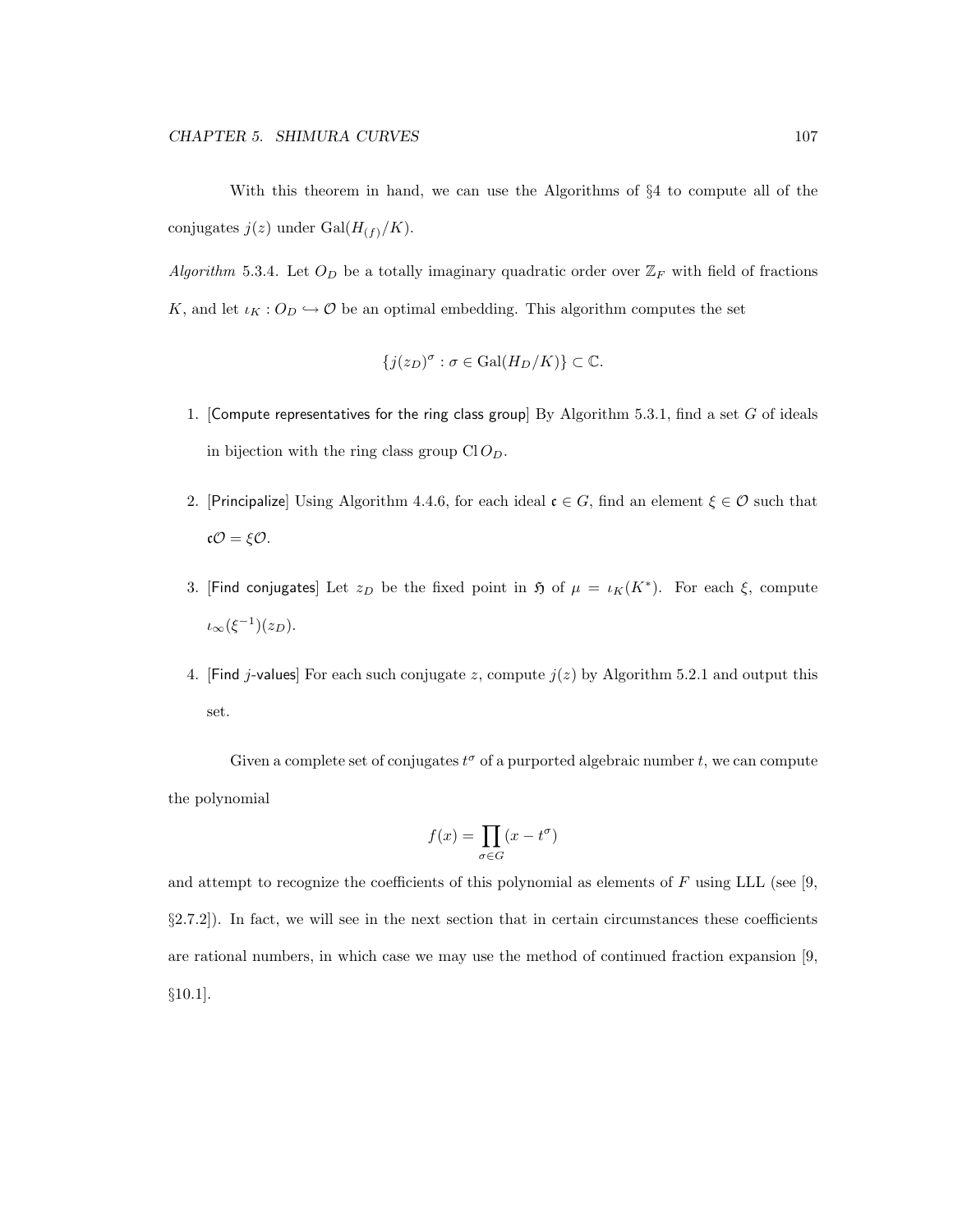With this theorem in hand, we can use the Algorithms of §4 to compute all of the conjugates  $j(z)$  under  $Gal(H<sub>(f)</sub>/K).$ 

Algorithm 5.3.4. Let  $O_D$  be a totally imaginary quadratic order over  $\mathbb{Z}_F$  with field of fractions K, and let  $\iota_K : O_D \hookrightarrow \mathcal{O}$  be an optimal embedding. This algorithm computes the set

$$
\{j(z_D)^\sigma : \sigma \in \text{Gal}(H_D/K)\} \subset \mathbb{C}.
$$

- 1. [Compute representatives for the ring class group] By Algorithm 5.3.1, find a set  $G$  of ideals in bijection with the ring class group  $ClO<sub>D</sub>$ .
- 2. [Principalize] Using Algorithm 4.4.6, for each ideal  $\mathfrak{c} \in G$ , find an element  $\xi \in \mathcal{O}$  such that cO = ξO.
- 3. [Find conjugates] Let  $z_D$  be the fixed point in  $\mathfrak H$  of  $\mu = \iota_K(K^*)$ . For each  $\xi$ , compute  $\iota_{\infty}(\xi^{-1})(z_D).$
- 4. [Find j-values] For each such conjugate z, compute  $j(z)$  by Algorithm 5.2.1 and output this set.

Given a complete set of conjugates  $t^{\sigma}$  of a purported algebraic number t, we can compute the polynomial

$$
f(x) = \prod_{\sigma \in G} (x - t^{\sigma})
$$

and attempt to recognize the coefficients of this polynomial as elements of  $F$  using LLL (see [9, §2.7.2]). In fact, we will see in the next section that in certain circumstances these coefficients are rational numbers, in which case we may use the method of continued fraction expansion [9, §10.1].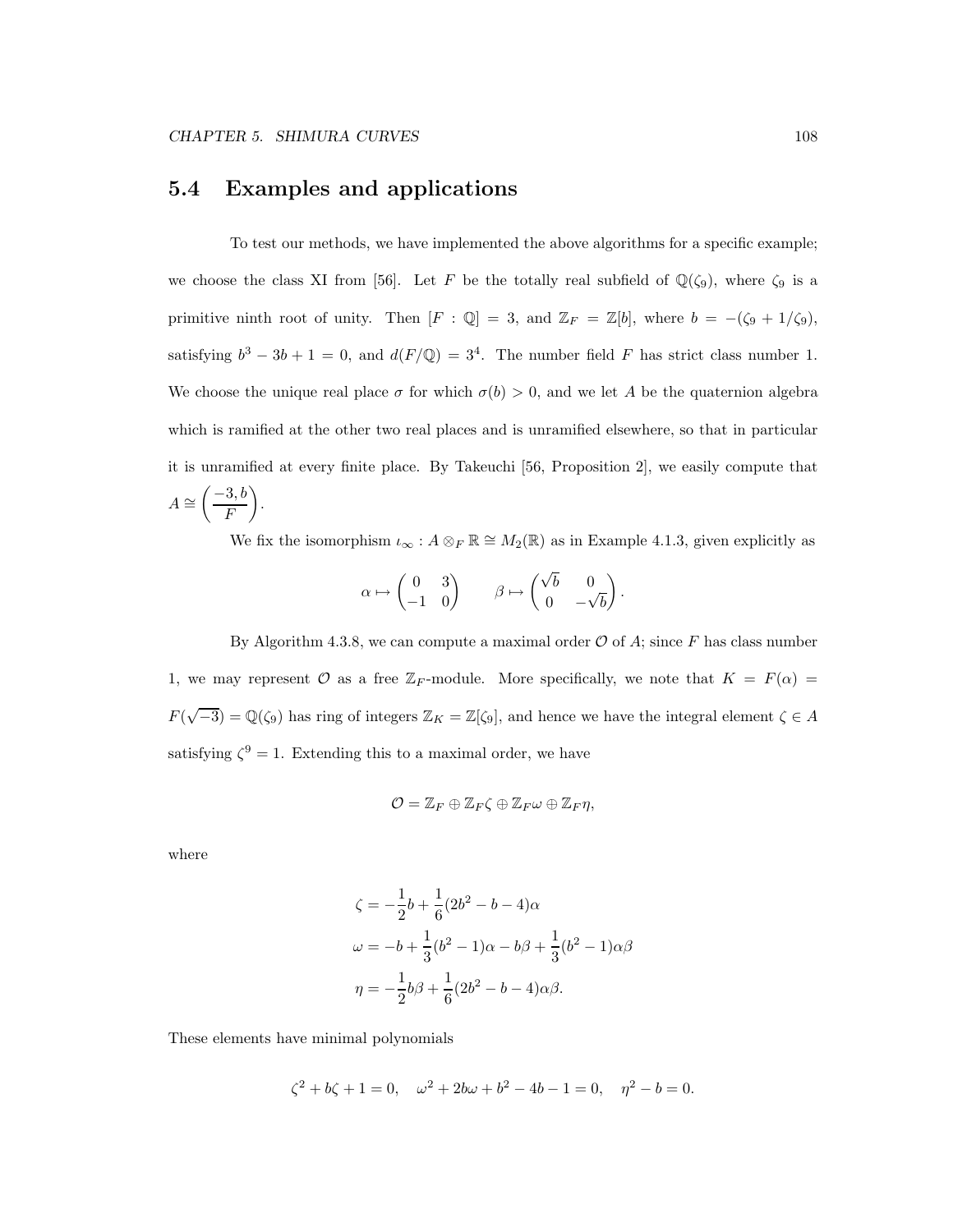### 5.4 Examples and applications

To test our methods, we have implemented the above algorithms for a specific example; we choose the class XI from [56]. Let F be the totally real subfield of  $\mathbb{Q}(\zeta_9)$ , where  $\zeta_9$  is a primitive ninth root of unity. Then  $[F : \mathbb{Q}] = 3$ , and  $\mathbb{Z}_F = \mathbb{Z}[b]$ , where  $b = -(\zeta_9 + 1/\zeta_9)$ , satisfying  $b^3 - 3b + 1 = 0$ , and  $d(F/\mathbb{Q}) = 3^4$ . The number field F has strict class number 1. We choose the unique real place  $\sigma$  for which  $\sigma(b) > 0$ , and we let A be the quaternion algebra which is ramified at the other two real places and is unramified elsewhere, so that in particular it is unramified at every finite place. By Takeuchi [56, Proposition 2], we easily compute that  $A \cong$  $\left( \frac{-3, b}{2} \right)$ F  $\overline{ }$ .

We fix the isomorphism  $\iota_{\infty}: A \otimes_F \mathbb{R} \cong M_2(\mathbb{R})$  as in Example 4.1.3, given explicitly as

$$
\alpha \mapsto \begin{pmatrix} 0 & 3 \\ -1 & 0 \end{pmatrix} \qquad \beta \mapsto \begin{pmatrix} \sqrt{b} & 0 \\ 0 & -\sqrt{b} \end{pmatrix}.
$$

By Algorithm 4.3.8, we can compute a maximal order  $\mathcal O$  of A; since F has class number 1, we may represent O as a free  $\mathbb{Z}_F$ -module. More specifically, we note that  $K = F(\alpha) =$  $F(\sqrt{-3}) = \mathbb{Q}(\zeta_9)$  has ring of integers  $\mathbb{Z}_K = \mathbb{Z}[\zeta_9]$ , and hence we have the integral element  $\zeta \in A$ satisfying  $\zeta^9 = 1$ . Extending this to a maximal order, we have

$$
\mathcal{O}=\mathbb{Z}_F\oplus\mathbb{Z}_F\zeta\oplus\mathbb{Z}_F\omega\oplus\mathbb{Z}_F\eta,
$$

where

$$
\zeta = -\frac{1}{2}b + \frac{1}{6}(2b^2 - b - 4)\alpha
$$
  

$$
\omega = -b + \frac{1}{3}(b^2 - 1)\alpha - b\beta + \frac{1}{3}(b^2 - 1)\alpha\beta
$$
  

$$
\eta = -\frac{1}{2}b\beta + \frac{1}{6}(2b^2 - b - 4)\alpha\beta.
$$

These elements have minimal polynomials

$$
\zeta^2+b\zeta+1=0,\quad \omega^2+2b\omega+b^2-4b-1=0,\quad \eta^2-b=0.
$$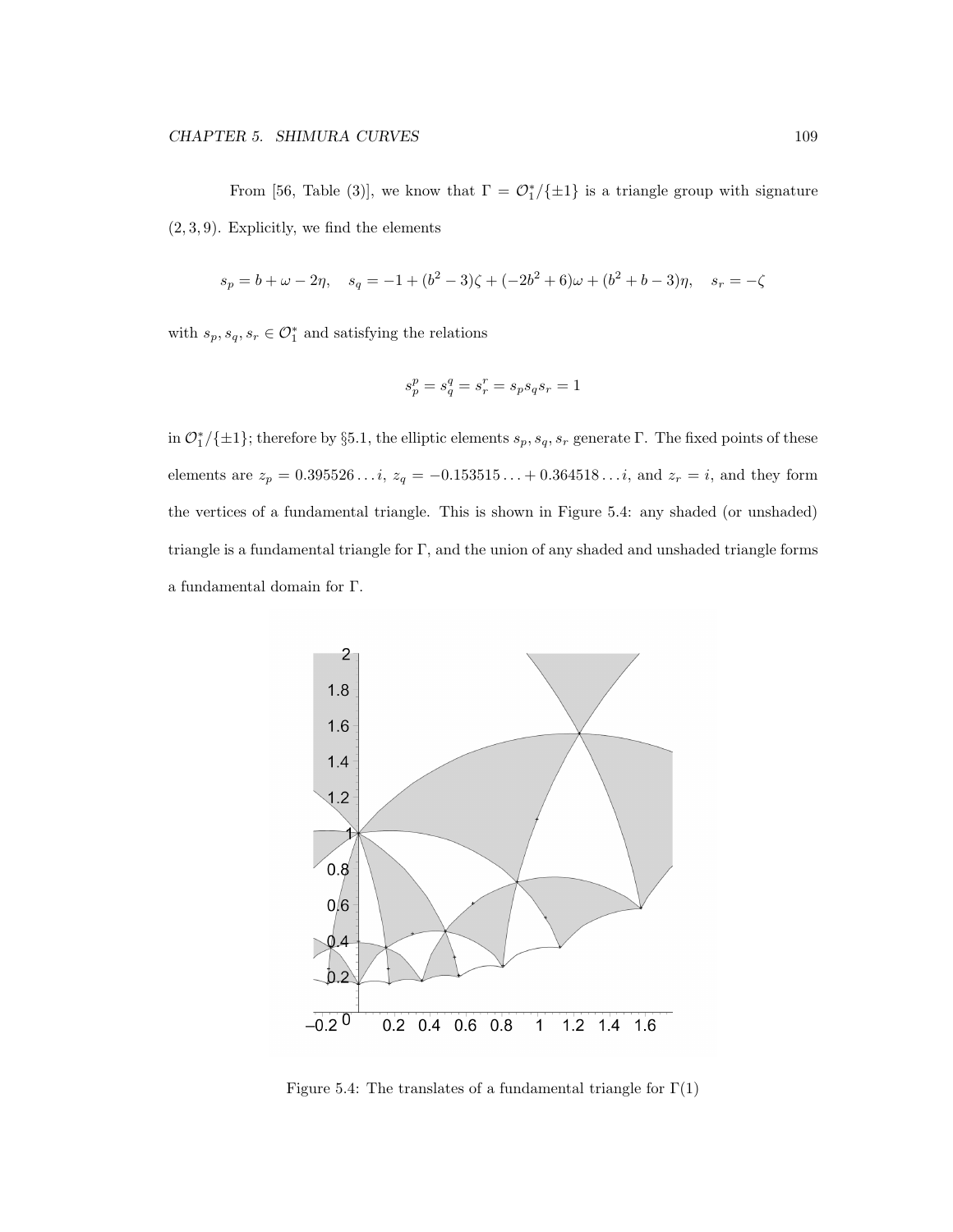From [56, Table (3)], we know that  $\Gamma = \mathcal{O}_1^*/\{\pm 1\}$  is a triangle group with signature  $(2, 3, 9)$ . Explicitly, we find the elements

$$
s_p = b + \omega - 2\eta, \quad s_q = -1 + (b^2 - 3)\zeta + (-2b^2 + 6)\omega + (b^2 + b - 3)\eta, \quad s_r = -\zeta
$$

with  $s_p, s_q, s_r \in \mathcal{O}_1^*$  and satisfying the relations

$$
s_p^p=s_q^q=s_r^r=s_ps_qs_r=1\\
$$

in  $\mathcal{O}_1^*/\{\pm 1\}$ ; therefore by §5.1, the elliptic elements  $s_p, s_q, s_r$  generate Γ. The fixed points of these elements are  $z_p = 0.395526...$ ,  $z_q = -0.153515...+0.364518...$ , and  $z_r = i$ , and they form the vertices of a fundamental triangle. This is shown in Figure 5.4: any shaded (or unshaded) triangle is a fundamental triangle for  $\Gamma$ , and the union of any shaded and unshaded triangle forms a fundamental domain for Γ.



Figure 5.4: The translates of a fundamental triangle for  $\Gamma(1)$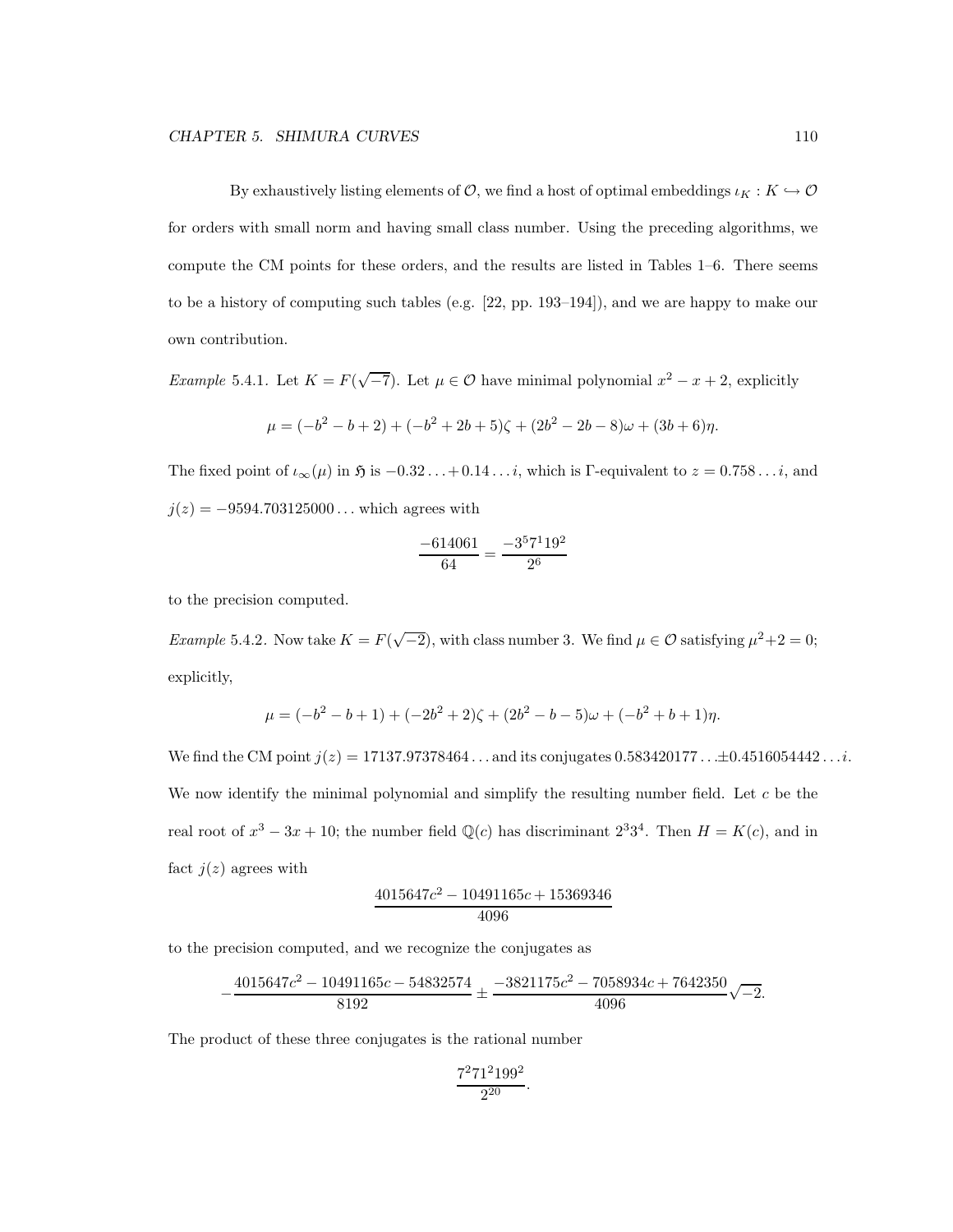By exhaustively listing elements of  $\mathcal{O}$ , we find a host of optimal embeddings  $\iota_K : K \hookrightarrow \mathcal{O}$ for orders with small norm and having small class number. Using the preceding algorithms, we compute the CM points for these orders, and the results are listed in Tables 1–6. There seems to be a history of computing such tables (e.g. [22, pp. 193–194]), and we are happy to make our own contribution.

Example 5.4.1. Let  $K = F(\sqrt{-7})$ . Let  $\mu \in \mathcal{O}$  have minimal polynomial  $x^2 - x + 2$ , explicitly

$$
\mu = (-b^2 - b + 2) + (-b^2 + 2b + 5)\zeta + (2b^2 - 2b - 8)\omega + (3b + 6)\eta.
$$

The fixed point of  $\iota_{\infty}(\mu)$  in  $\mathfrak{H}$  is  $-0.32\dots+0.14\dots i$ , which is Γ-equivalent to  $z = 0.758\dots i$ , and  $j(z) = -9594.703125000...$  which agrees with

$$
\frac{-614061}{64} = \frac{-3^57^119^2}{2^6}
$$

to the precision computed.

*Example* 5.4.2. Now take  $K = F(\sqrt{-2})$ , with class number 3. We find  $\mu \in \mathcal{O}$  satisfying  $\mu^2 + 2 = 0$ ; explicitly,

$$
\mu = (-b^2 - b + 1) + (-2b^2 + 2)\zeta + (2b^2 - b - 5)\omega + (-b^2 + b + 1)\eta.
$$

We find the CM point  $j(z) = 17137.97378464...$  and its conjugates 0.583420177... $\pm$ 0.4516054442.... We now identify the minimal polynomial and simplify the resulting number field. Let  $c$  be the real root of  $x^3 - 3x + 10$ ; the number field  $\mathbb{Q}(c)$  has discriminant  $2^3 3^4$ . Then  $H = K(c)$ , and in fact  $j(z)$  agrees with

$$
\frac{4015647c^2 - 10491165c + 15369346}{4096}
$$

to the precision computed, and we recognize the conjugates as

$$
-\frac{4015647c^2-10491165c-54832574}{8192}\pm\frac{-3821175c^2-7058934c+7642350}{4096}\sqrt{-2}.
$$

The product of these three conjugates is the rational number

$$
\frac{7^2 71^2 199^2}{2^{20}}.
$$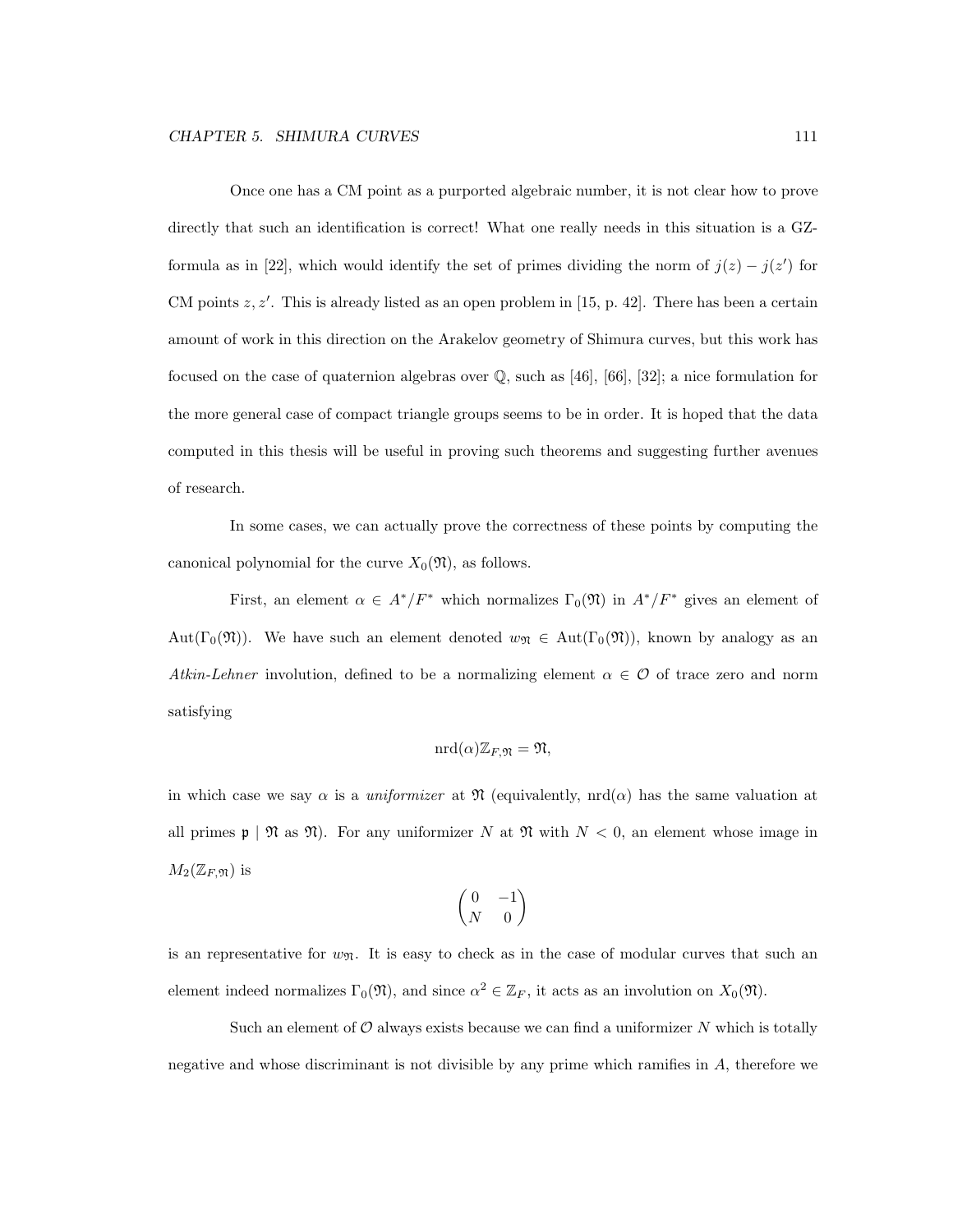Once one has a CM point as a purported algebraic number, it is not clear how to prove directly that such an identification is correct! What one really needs in this situation is a GZformula as in [22], which would identify the set of primes dividing the norm of  $j(z) - j(z')$  for CM points  $z, z'$ . This is already listed as an open problem in [15, p. 42]. There has been a certain amount of work in this direction on the Arakelov geometry of Shimura curves, but this work has focused on the case of quaternion algebras over Q, such as [46], [66], [32]; a nice formulation for the more general case of compact triangle groups seems to be in order. It is hoped that the data computed in this thesis will be useful in proving such theorems and suggesting further avenues of research.

In some cases, we can actually prove the correctness of these points by computing the canonical polynomial for the curve  $X_0(\mathfrak{N})$ , as follows.

First, an element  $\alpha \in A^*/F^*$  which normalizes  $\Gamma_0(\mathfrak{N})$  in  $A^*/F^*$  gives an element of Aut(Γ<sub>0</sub>( $\mathfrak{N}$ )). We have such an element denoted  $w_{\mathfrak{N}} \in \text{Aut}(\Gamma_0(\mathfrak{N}))$ , known by analogy as an Atkin-Lehner involution, defined to be a normalizing element  $\alpha \in \mathcal{O}$  of trace zero and norm satisfying

$$
\mathrm{nrd}(\alpha)\mathbb{Z}_{F,\mathfrak{N}}=\mathfrak{N},
$$

in which case we say  $\alpha$  is a *uniformizer* at  $\mathfrak{N}$  (equivalently, nrd( $\alpha$ ) has the same valuation at all primes  $\mathfrak{p} \mid \mathfrak{N}$  as  $\mathfrak{N}$ ). For any uniformizer N at  $\mathfrak{N}$  with  $N < 0$ , an element whose image in  $M_2(\mathbb{Z}_F, \mathfrak{N})$  is

$$
\begin{pmatrix} 0 & -1 \\ N & 0 \end{pmatrix}
$$

is an representative for  $w_{\mathfrak{N}}$ . It is easy to check as in the case of modular curves that such an element indeed normalizes  $\Gamma_0(\mathfrak{N})$ , and since  $\alpha^2 \in \mathbb{Z}_F$ , it acts as an involution on  $X_0(\mathfrak{N})$ .

Such an element of  $\mathcal O$  always exists because we can find a uniformizer N which is totally negative and whose discriminant is not divisible by any prime which ramifies in A, therefore we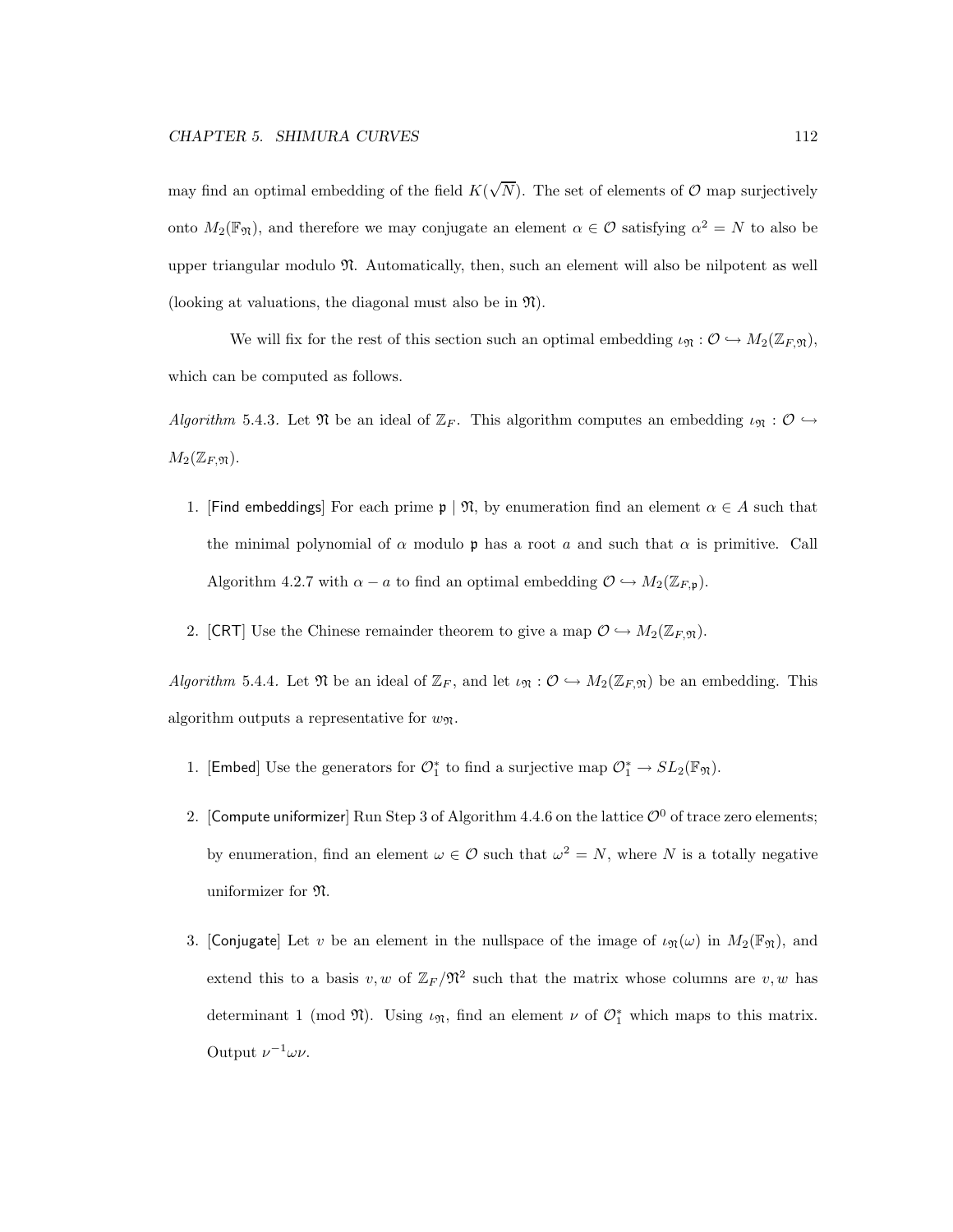may find an optimal embedding of the field  $K(\sqrt{N})$ . The set of elements of  $\mathcal{O}$  map surjectively onto  $M_2(\mathbb{F}_\mathfrak{N})$ , and therefore we may conjugate an element  $\alpha \in \mathcal{O}$  satisfying  $\alpha^2 = N$  to also be upper triangular modulo N. Automatically, then, such an element will also be nilpotent as well (looking at valuations, the diagonal must also be in  $\mathfrak{N}$ ).

We will fix for the rest of this section such an optimal embedding  $\iota_{\mathfrak{N}} : \mathcal{O} \hookrightarrow M_2(\mathbb{Z}_F,\mathfrak{N}),$ which can be computed as follows.

Algorithm 5.4.3. Let  $\mathfrak N$  be an ideal of  $\mathbb{Z}_F$ . This algorithm computes an embedding  $\iota_{\mathfrak N}: \mathcal O \hookrightarrow$  $M_2(\mathbb{Z}_F, \mathfrak{N}).$ 

- 1. [Find embeddings] For each prime  $\mathfrak{p} \mid \mathfrak{N}$ , by enumeration find an element  $\alpha \in A$  such that the minimal polynomial of  $\alpha$  modulo p has a root a and such that  $\alpha$  is primitive. Call Algorithm 4.2.7 with  $\alpha - a$  to find an optimal embedding  $\mathcal{O} \hookrightarrow M_2(\mathbb{Z}_{F,\mathfrak{p}})$ .
- 2. [CRT] Use the Chinese remainder theorem to give a map  $\mathcal{O} \hookrightarrow M_2(\mathbb{Z}_F, \mathfrak{m})$ .

Algorithm 5.4.4. Let  $\mathfrak N$  be an ideal of  $\mathbb{Z}_F$ , and let  $\iota_{\mathfrak N}: \mathcal{O} \hookrightarrow M_2(\mathbb{Z}_F, \mathfrak{N})$  be an embedding. This algorithm outputs a representative for  $w_{\mathfrak{N}}$ .

- 1. [Embed] Use the generators for  $\mathcal{O}_1^*$  to find a surjective map  $\mathcal{O}_1^* \to SL_2(\mathbb{F}_m)$ .
- 2. [Compute uniformizer] Run Step 3 of Algorithm 4.4.6 on the lattice  $\mathcal{O}^0$  of trace zero elements; by enumeration, find an element  $\omega \in \mathcal{O}$  such that  $\omega^2 = N$ , where N is a totally negative uniformizer for N.
- 3. [Conjugate] Let v be an element in the nullspace of the image of  $\iota_{\mathfrak{N}}(\omega)$  in  $M_2(\mathbb{F}_{\mathfrak{N}})$ , and extend this to a basis  $v, w$  of  $\mathbb{Z}_F/\mathfrak{N}^2$  such that the matrix whose columns are  $v, w$  has determinant 1 (mod  $\mathfrak{N}$ ). Using  $\iota_{\mathfrak{N}}$ , find an element  $\nu$  of  $\mathcal{O}_1^*$  which maps to this matrix. Output  $\nu^{-1}\omega\nu$ .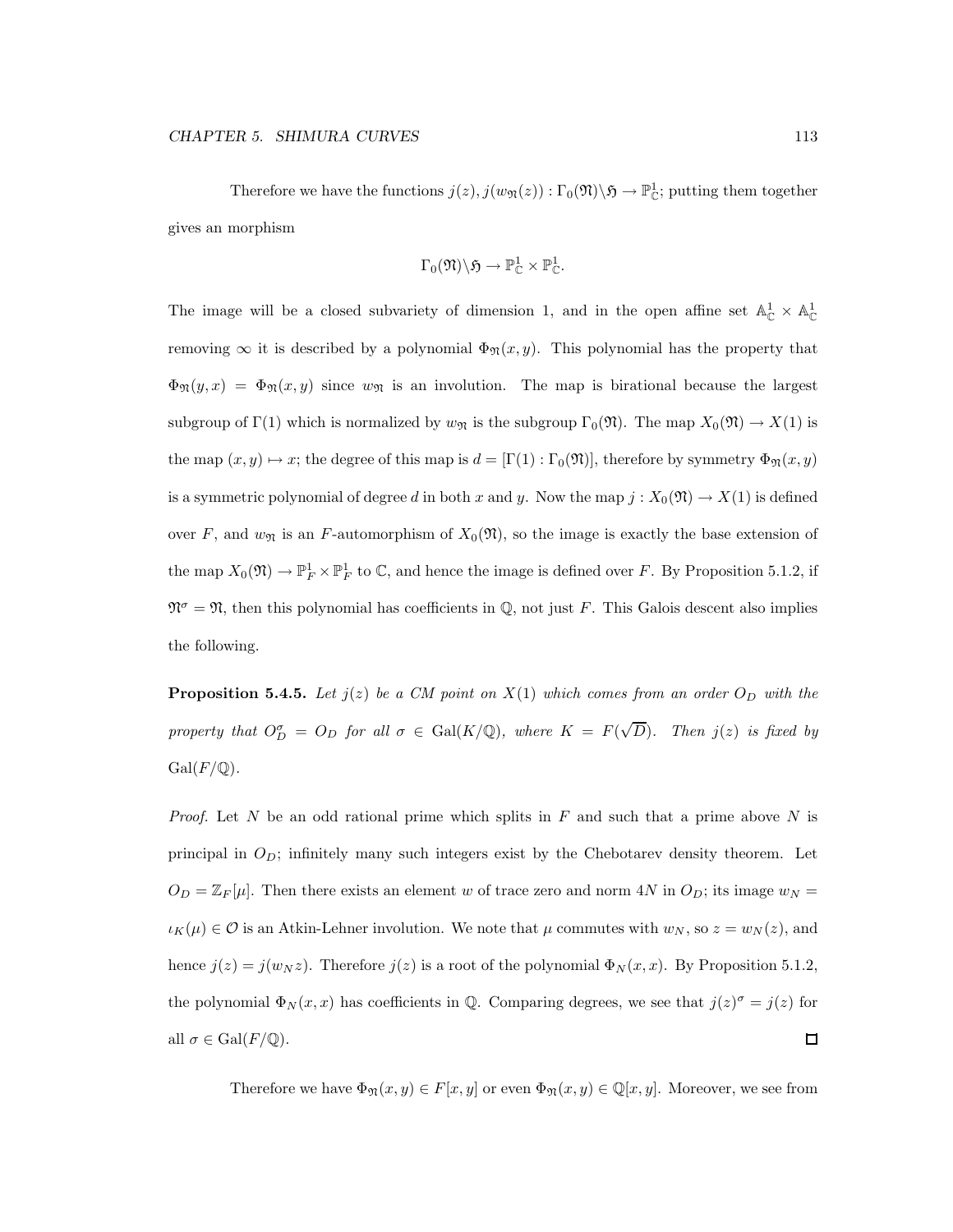Therefore we have the functions  $j(z)$ ,  $j(w_{\mathfrak{N}}(z)) : \Gamma_0(\mathfrak{N}) \setminus \mathfrak{H} \to \mathbb{P}^1_{\mathbb{C}}$ ; putting them together gives an morphism

$$
\Gamma_0(\mathfrak{N})\backslash\mathfrak{H}\to\mathbb{P}^1_\mathbb{C}\times\mathbb{P}^1_\mathbb{C}.
$$

The image will be a closed subvariety of dimension 1, and in the open affine set  $\mathbb{A}^1_{\mathbb{C}} \times \mathbb{A}^1_{\mathbb{C}}$ removing  $\infty$  it is described by a polynomial  $\Phi_{\mathfrak{N}}(x, y)$ . This polynomial has the property that  $\Phi_{\mathfrak{N}}(y,x) = \Phi_{\mathfrak{N}}(x,y)$  since  $w_{\mathfrak{N}}$  is an involution. The map is birational because the largest subgroup of  $\Gamma(1)$  which is normalized by  $w_{\mathfrak{N}}$  is the subgroup  $\Gamma_0(\mathfrak{N})$ . The map  $X_0(\mathfrak{N}) \to X(1)$  is the map  $(x, y) \mapsto x$ ; the degree of this map is  $d = [\Gamma(1) : \Gamma_0(\mathfrak{N})]$ , therefore by symmetry  $\Phi_{\mathfrak{N}}(x, y)$ is a symmetric polynomial of degree d in both x and y. Now the map  $j : X_0(\mathfrak{N}) \to X(1)$  is defined over F, and  $w_{\mathfrak{N}}$  is an F-automorphism of  $X_0(\mathfrak{N})$ , so the image is exactly the base extension of the map  $X_0(\mathfrak{N}) \to \mathbb{P}^1_F \times \mathbb{P}^1_F$  to  $\mathbb{C}$ , and hence the image is defined over F. By Proposition 5.1.2, if  $\mathfrak{N}^{\sigma} = \mathfrak{N}$ , then this polynomial has coefficients in Q, not just F. This Galois descent also implies the following.

**Proposition 5.4.5.** Let  $j(z)$  be a CM point on  $X(1)$  which comes from an order  $O_D$  with the property that  $O_D^{\sigma} = O_D$  for all  $\sigma \in \text{Gal}(K/\mathbb{Q})$ , where  $K = F(\sqrt{D})$ . Then  $j(z)$  is fixed by  $Gal(F/\mathbb{Q})$ .

*Proof.* Let N be an odd rational prime which splits in  $F$  and such that a prime above N is principal in  $O_D$ ; infinitely many such integers exist by the Chebotarev density theorem. Let  $O_D = \mathbb{Z}_F[\mu]$ . Then there exists an element w of trace zero and norm 4N in  $O_D$ ; its image  $w_N =$  $\iota_K(\mu) \in \mathcal{O}$  is an Atkin-Lehner involution. We note that  $\mu$  commutes with  $w_N$ , so  $z = w_N(z)$ , and hence  $j(z) = j(w_N z)$ . Therefore  $j(z)$  is a root of the polynomial  $\Phi_N(x, x)$ . By Proposition 5.1.2, the polynomial  $\Phi_N(x, x)$  has coefficients in Q. Comparing degrees, we see that  $j(z)^{\sigma} = j(z)$  for all  $\sigma \in \text{Gal}(F/\mathbb{Q})$ . □

Therefore we have  $\Phi_{\mathfrak{N}}(x, y) \in F[x, y]$  or even  $\Phi_{\mathfrak{N}}(x, y) \in \mathbb{Q}[x, y]$ . Moreover, we see from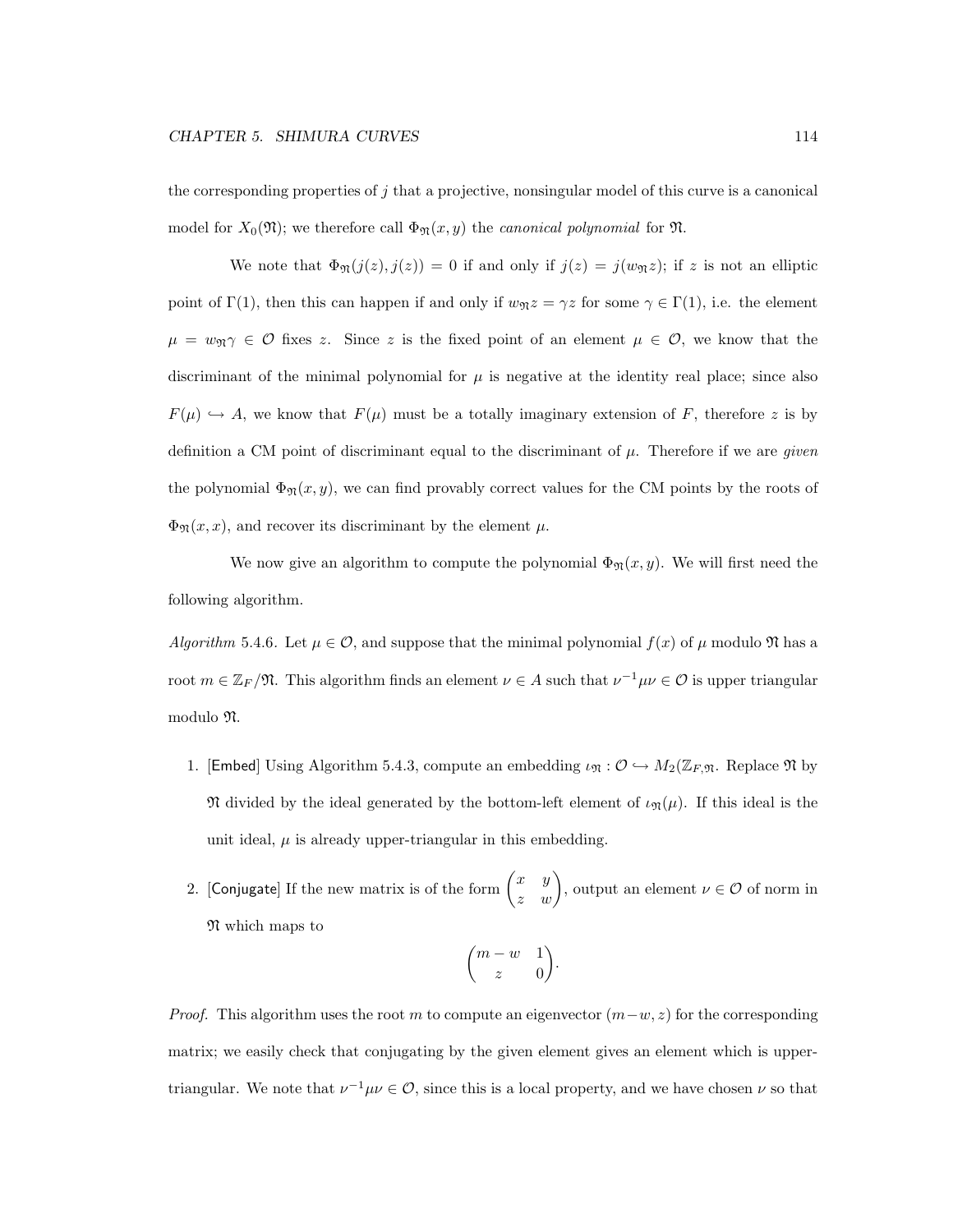the corresponding properties of  $j$  that a projective, nonsingular model of this curve is a canonical model for  $X_0(\mathfrak{N})$ ; we therefore call  $\Phi_{\mathfrak{N}}(x, y)$  the *canonical polynomial* for  $\mathfrak{N}$ .

We note that  $\Phi_{\mathfrak{N}}(j(z), j(z)) = 0$  if and only if  $j(z) = j(w_{\mathfrak{N}}z)$ ; if z is not an elliptic point of  $\Gamma(1)$ , then this can happen if and only if  $w_{\mathfrak{N}} z = \gamma z$  for some  $\gamma \in \Gamma(1)$ , i.e. the element  $\mu = w_{\mathfrak{N}} \gamma \in \mathcal{O}$  fixes z. Since z is the fixed point of an element  $\mu \in \mathcal{O}$ , we know that the discriminant of the minimal polynomial for  $\mu$  is negative at the identity real place; since also  $F(\mu) \hookrightarrow A$ , we know that  $F(\mu)$  must be a totally imaginary extension of F, therefore z is by definition a CM point of discriminant equal to the discriminant of  $\mu$ . Therefore if we are *given* the polynomial  $\Phi_{\mathfrak{N}}(x, y)$ , we can find provably correct values for the CM points by the roots of  $\Phi_{\mathfrak{N}}(x,x)$ , and recover its discriminant by the element  $\mu$ .

We now give an algorithm to compute the polynomial  $\Phi_{\mathfrak{N}}(x, y)$ . We will first need the following algorithm.

Algorithm 5.4.6. Let  $\mu \in \mathcal{O}$ , and suppose that the minimal polynomial  $f(x)$  of  $\mu$  modulo  $\mathfrak{N}$  has a root  $m \in \mathbb{Z}_F/\mathfrak{N}$ . This algorithm finds an element  $\nu \in A$  such that  $\nu^{-1}\mu\nu \in \mathcal{O}$  is upper triangular modulo N.

- 1. [Embed] Using Algorithm 5.4.3, compute an embedding  $\iota_{\mathfrak{N}} : \mathcal{O} \hookrightarrow M_2(\mathbb{Z}_F, \mathfrak{N}$ . Replace  $\mathfrak{N}$  by  $\mathfrak N$  divided by the ideal generated by the bottom-left element of  $\iota_{\mathfrak N}(\mu)$ . If this ideal is the unit ideal,  $\mu$  is already upper-triangular in this embedding.
- 2. [Conjugate] If the new matrix is of the form  $\begin{pmatrix} x & y \\ z & w \end{pmatrix}$ , output an element  $\nu \in \mathcal{O}$  of norm in N which maps to

$$
\binom{m-w\quad 1}{z\quad 0}.
$$

*Proof.* This algorithm uses the root m to compute an eigenvector  $(m-w, z)$  for the corresponding matrix; we easily check that conjugating by the given element gives an element which is uppertriangular. We note that  $\nu^{-1}\mu\nu \in \mathcal{O}$ , since this is a local property, and we have chosen  $\nu$  so that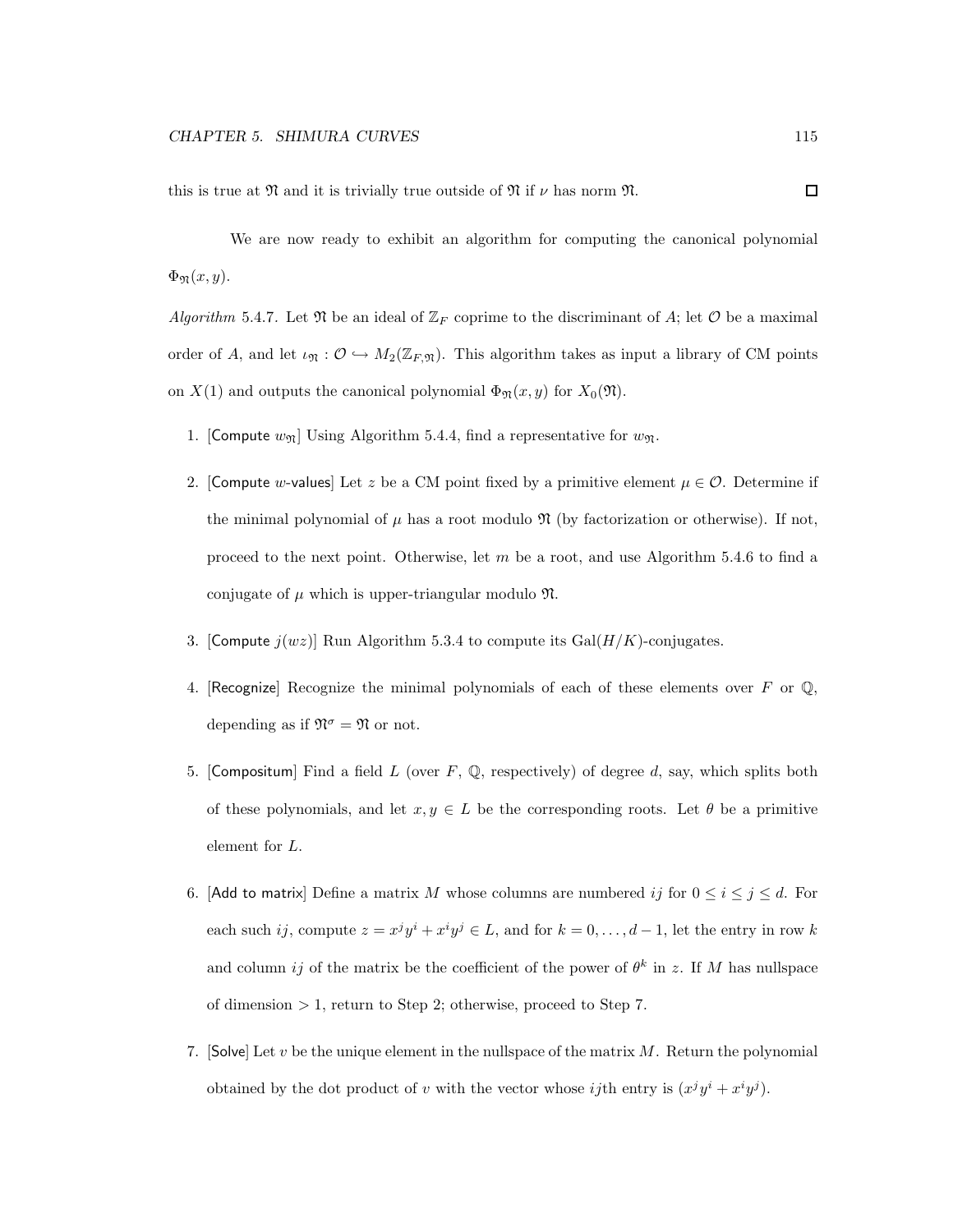this is true at  $\mathfrak N$  and it is trivially true outside of  $\mathfrak N$  if  $\nu$  has norm  $\mathfrak N$ .

We are now ready to exhibit an algorithm for computing the canonical polynomial  $\Phi_{\mathfrak{N}}(x,y).$ 

Algorithm 5.4.7. Let  $\mathfrak N$  be an ideal of  $\mathbb Z_F$  coprime to the discriminant of A; let  $\mathcal O$  be a maximal order of A, and let  $\iota_{\mathfrak{N}} : \mathcal{O} \hookrightarrow M_2(\mathbb{Z}_F, \mathfrak{N})$ . This algorithm takes as input a library of CM points on  $X(1)$  and outputs the canonical polynomial  $\Phi_{\mathfrak{N}}(x, y)$  for  $X_0(\mathfrak{N})$ .

- 1. [Compute  $w_{\mathfrak{N}}$ ] Using Algorithm 5.4.4, find a representative for  $w_{\mathfrak{N}}$ .
- 2. [Compute w-values] Let z be a CM point fixed by a primitive element  $\mu \in \mathcal{O}$ . Determine if the minimal polynomial of  $\mu$  has a root modulo  $\mathfrak{N}$  (by factorization or otherwise). If not, proceed to the next point. Otherwise, let m be a root, and use Algorithm 5.4.6 to find a conjugate of  $\mu$  which is upper-triangular modulo  $\mathfrak{N}$ .
- 3. [Compute  $j(wz)$ ] Run Algorithm 5.3.4 to compute its Gal( $H/K$ )-conjugates.
- 4. [Recognize] Recognize the minimal polynomials of each of these elements over F or  $\mathbb Q$ , depending as if  $\mathfrak{N}^{\sigma} = \mathfrak{N}$  or not.
- 5. [Compositum] Find a field L (over  $F$ , Q, respectively) of degree d, say, which splits both of these polynomials, and let  $x, y \in L$  be the corresponding roots. Let  $\theta$  be a primitive element for L.
- 6. [Add to matrix] Define a matrix M whose columns are numbered ij for  $0 \le i \le j \le d$ . For each such ij, compute  $z = x^j y^i + x^i y^j \in L$ , and for  $k = 0, \ldots, d - 1$ , let the entry in row k and column *ij* of the matrix be the coefficient of the power of  $\theta^k$  in z. If M has nullspace of dimension > 1, return to Step 2; otherwise, proceed to Step 7.
- 7. [Solve] Let  $v$  be the unique element in the nullspace of the matrix  $M$ . Return the polynomial obtained by the dot product of v with the vector whose *ij*th entry is  $(x^j y^i + x^i y^j)$ .

 $\Box$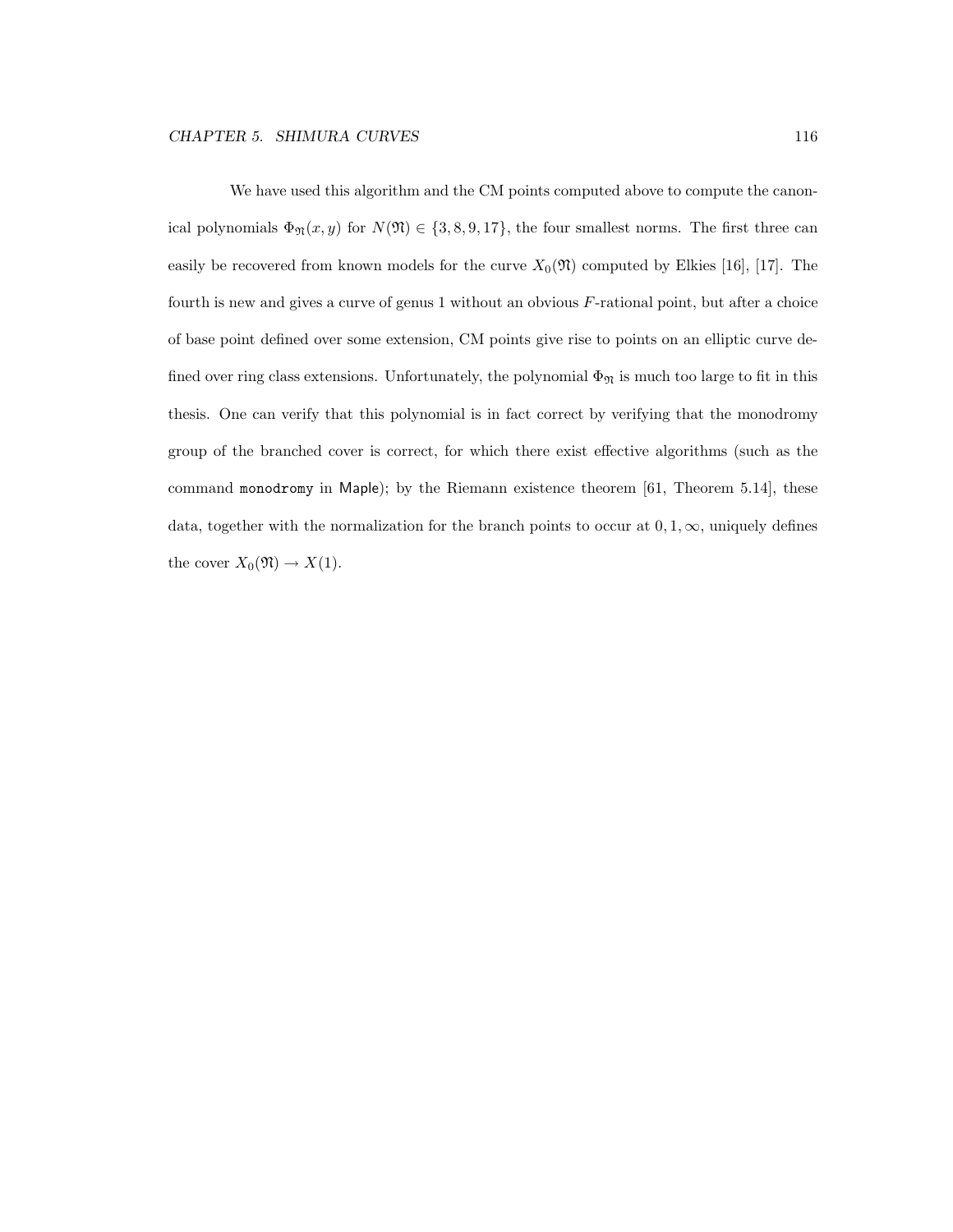We have used this algorithm and the CM points computed above to compute the canonical polynomials  $\Phi_{\mathfrak{N}}(x, y)$  for  $N(\mathfrak{N}) \in \{3, 8, 9, 17\}$ , the four smallest norms. The first three can easily be recovered from known models for the curve  $X_0(\mathfrak{N})$  computed by Elkies [16], [17]. The fourth is new and gives a curve of genus 1 without an obvious  $F$ -rational point, but after a choice of base point defined over some extension, CM points give rise to points on an elliptic curve defined over ring class extensions. Unfortunately, the polynomial  $\Phi_{\mathfrak{N}}$  is much too large to fit in this thesis. One can verify that this polynomial is in fact correct by verifying that the monodromy group of the branched cover is correct, for which there exist effective algorithms (such as the command monodromy in Maple); by the Riemann existence theorem [61, Theorem 5.14], these data, together with the normalization for the branch points to occur at  $0, 1, \infty$ , uniquely defines the cover  $X_0(\mathfrak{N}) \to X(1)$ .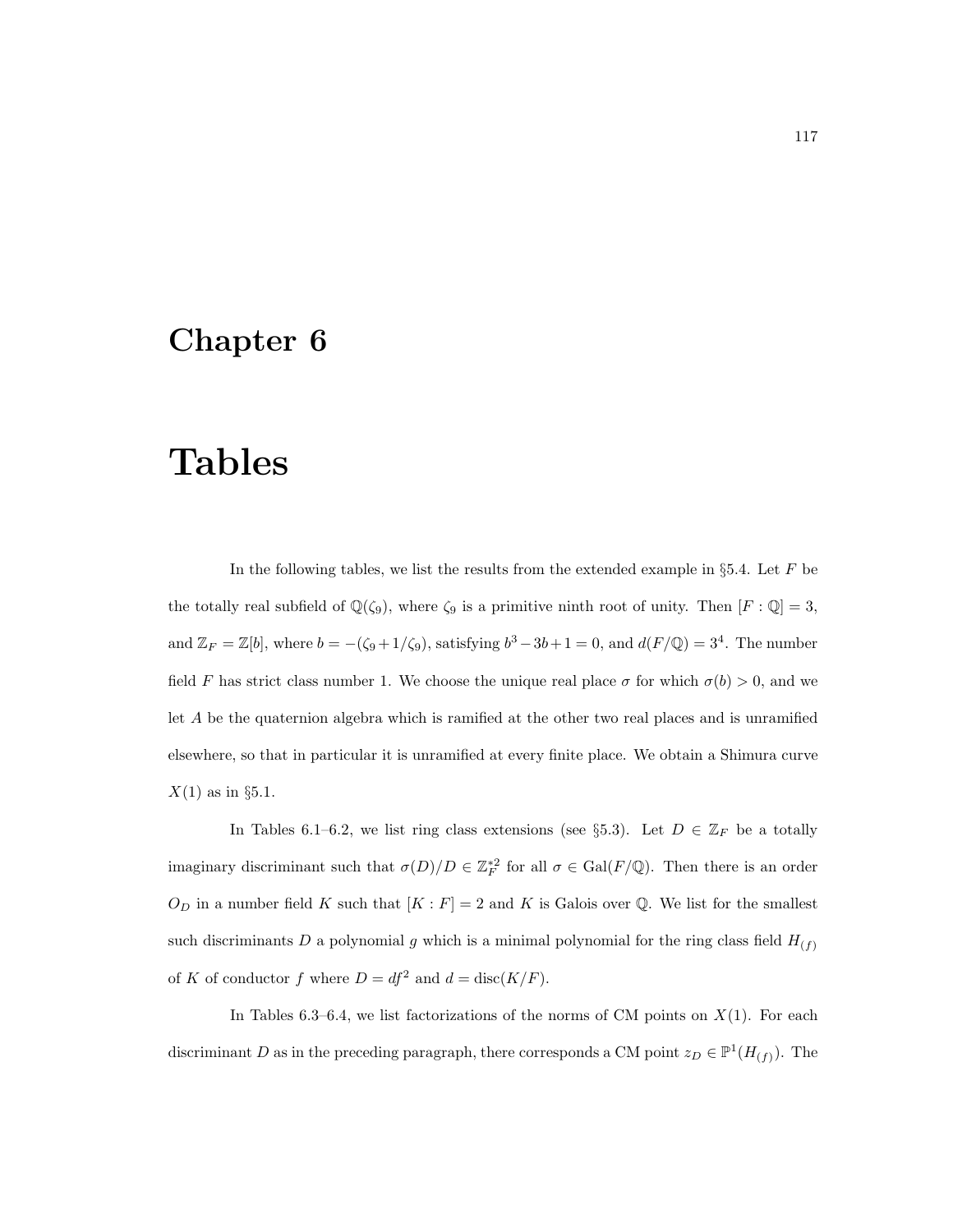## Chapter 6

## Tables

In the following tables, we list the results from the extended example in §5.4. Let  $F$  be the totally real subfield of  $\mathbb{Q}(\zeta_9)$ , where  $\zeta_9$  is a primitive ninth root of unity. Then  $[F:\mathbb{Q}]=3$ , and  $\mathbb{Z}_F = \mathbb{Z}[b]$ , where  $b = -(\zeta_9 + 1/\zeta_9)$ , satisfying  $b^3 - 3b + 1 = 0$ , and  $d(F/\mathbb{Q}) = 3^4$ . The number field F has strict class number 1. We choose the unique real place  $\sigma$  for which  $\sigma(b) > 0$ , and we let A be the quaternion algebra which is ramified at the other two real places and is unramified elsewhere, so that in particular it is unramified at every finite place. We obtain a Shimura curve  $X(1)$  as in §5.1.

In Tables 6.1–6.2, we list ring class extensions (see §5.3). Let  $D \in \mathbb{Z}_F$  be a totally imaginary discriminant such that  $\sigma(D)/D \in \mathbb{Z}_F^{*2}$  for all  $\sigma \in \text{Gal}(F/\mathbb{Q})$ . Then there is an order  $O_D$  in a number field K such that  $[K : F] = 2$  and K is Galois over Q. We list for the smallest such discriminants  $D$  a polynomial  $g$  which is a minimal polynomial for the ring class field  $H_{(f)}$ of K of conductor f where  $D = df^2$  and  $d = \text{disc}(K/F)$ .

In Tables 6.3–6.4, we list factorizations of the norms of CM points on  $X(1)$ . For each discriminant D as in the preceding paragraph, there corresponds a CM point  $z_D \in \mathbb{P}^1(H_{(f)})$ . The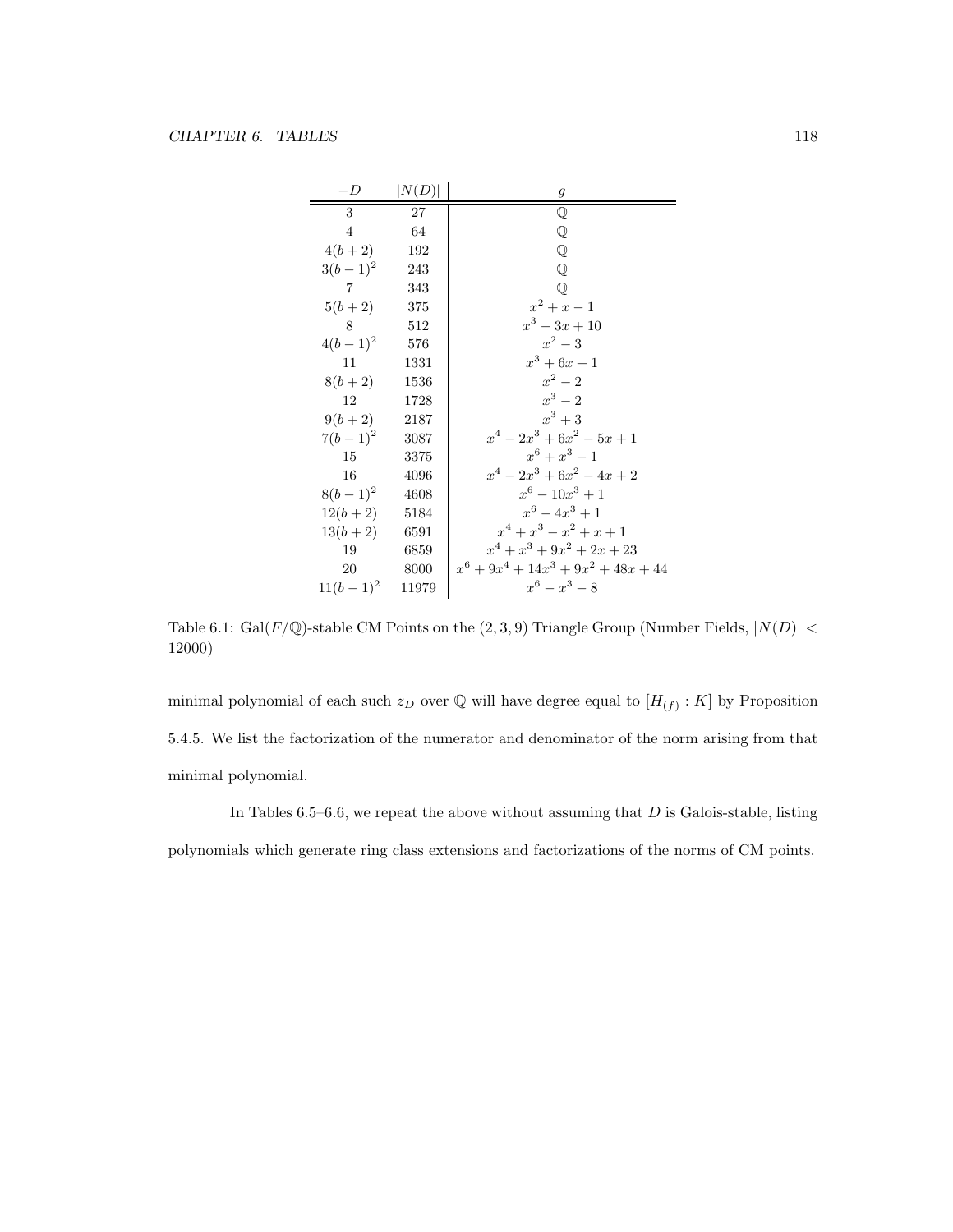| $-D$            | N(D)   | $\,g$                                  |
|-----------------|--------|----------------------------------------|
| 3               | 27     | $\mathbb Q$                            |
| $\overline{4}$  | 64     | $\mathbb Q$                            |
| $4(b+2)$        | 192    | $\mathbb Q$                            |
| $3(b-1)^2$      | 243    | ${\mathbb Q}$                          |
| $7\overline{7}$ | 343    | $\mathbb Q$                            |
| $5(b+2)$ 375    |        | $x^2 + x - 1$                          |
| 8               | 512    | $x^3 - 3x + 10$                        |
| $4(b-1)^2$ 576  |        | $x^2-3$                                |
| 11              | 1331   | $x^3 + 6x + 1$                         |
| $8(b+2)$ 1536   |        | $x^2-2$                                |
| 12              | 1728   | $x^3-2$                                |
| $9(b+2)$ 2187   |        | $x^3+3$                                |
| $7(b-1)^2$ 3087 |        | $x^4-2x^3+6x^2-5x+1$                   |
| 15              | - 3375 | $x^6 + x^3 - 1$                        |
| 16              | 4096   | $x^4-2x^3+6x^2-4x+2$                   |
| $8(b-1)^2$ 4608 |        | $x^6-10x^3+1$                          |
| $12(b+2)$ 5184  |        | $x^6 - 4x^3 + 1$                       |
| $13(b+2)$ 6591  |        | $x^4 + x^3 - x^2 + x + 1$              |
| 19              | 6859   | $x^4 + x^3 + 9x^2 + 2x + 23$           |
| 20              | 8000   | $x^6 + 9x^4 + 14x^3 + 9x^2 + 48x + 44$ |
| $11(b-1)^2$     | 11979  | $x^6 - x^3 - 8$                        |

Table 6.1: Gal( $F/\mathbb{Q}$ )-stable CM Points on the  $(2, 3, 9)$  Triangle Group (Number Fields,  $|N(D)| <$ 12000)

minimal polynomial of each such  $z_D$  over Q will have degree equal to  $[H_{(f)}:K]$  by Proposition 5.4.5. We list the factorization of the numerator and denominator of the norm arising from that minimal polynomial.

In Tables  $6.5-6.6$ , we repeat the above without assuming that  $D$  is Galois-stable, listing polynomials which generate ring class extensions and factorizations of the norms of CM points.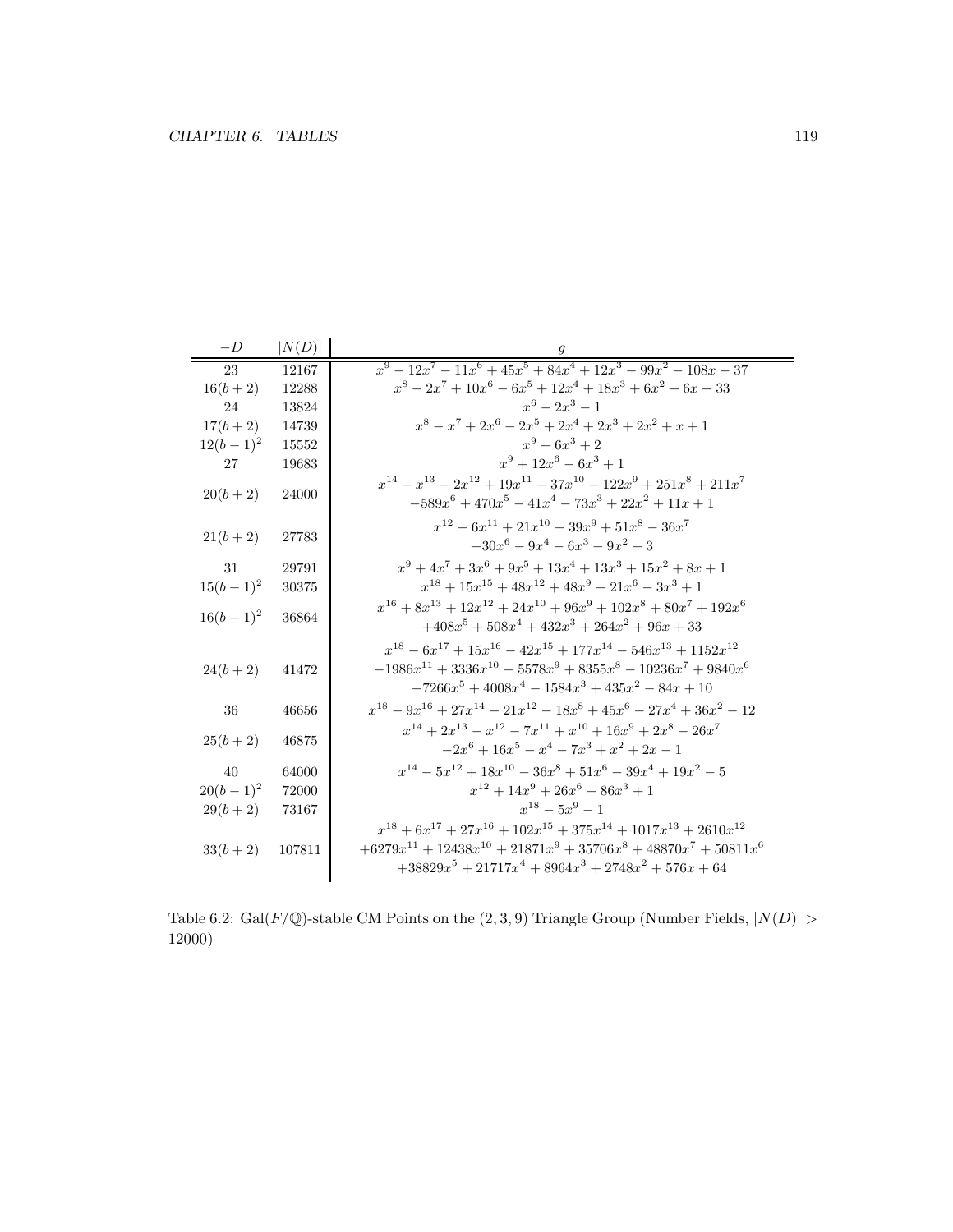| $-D$        | N(D)   |                                                                                                                                                                                                                      |
|-------------|--------|----------------------------------------------------------------------------------------------------------------------------------------------------------------------------------------------------------------------|
| 23          | 12167  | $x^9 - 12x^7 - 11x^6 + 45x^5 + 84x^4 + 12x^3 - 99x^2 - 108x - 37$                                                                                                                                                    |
| $16(b+2)$   | 12288  | $x^8 - 2x^7 + 10x^6 - 6x^5 + 12x^4 + 18x^3 + 6x^2 + 6x + 33$                                                                                                                                                         |
| 24          | 13824  | $x^6-2x^3-1$                                                                                                                                                                                                         |
| $17(b+2)$   | 14739  | $x^8 - x^7 + 2x^6 - 2x^5 + 2x^4 + 2x^3 + 2x^2 + x + 1$                                                                                                                                                               |
| $12(b-1)^2$ | 15552  | $x^9+6x^3+2$                                                                                                                                                                                                         |
| 27          | 19683  | $x^9 + 12x^6 - 6x^3 + 1$                                                                                                                                                                                             |
| $20(b+2)$   | 24000  | $x^{14} - x^{13} - 2x^{12} + 19x^{11} - 37x^{10} - 122x^9 + 251x^8 + 211x^7$<br>$-589x^{6} + 470x^{5} - 41x^{4} - 73x^{3} + 22x^{2} + 11x + 1$                                                                       |
| $21(b+2)$   | 27783  | $x^{12} - 6x^{11} + 21x^{10} - 39x^9 + 51x^8 - 36x^7$<br>$+30x^6-9x^4-6x^3-9x^2-3$                                                                                                                                   |
| 31          | 29791  | $x^9 + 4x^7 + 3x^6 + 9x^5 + 13x^4 + 13x^3 + 15x^2 + 8x + 1$                                                                                                                                                          |
| $15(b-1)^2$ | 30375  | $x^{18} + 15x^{15} + 48x^{12} + 48x^9 + 21x^6 - 3x^3 + 1$                                                                                                                                                            |
| $16(b-1)^2$ | 36864  | $x^{16} + 8x^{13} + 12x^{12} + 24x^{10} + 96x^9 + 102x^8 + 80x^7 + 192x^6$<br>$+408x^5 + 508x^4 + 432x^3 + 264x^2 + 96x + 33$                                                                                        |
| $24(b+2)$   | 41472  | $x^{18} - 6x^{17} + 15x^{16} - 42x^{15} + 177x^{14} - 546x^{13} + 1152x^{12}$<br>$-1986x^{11} + 3336x^{10} - 5578x^9 + 8355x^8 - 10236x^7 + 9840x^6$<br>$-7266x^5 + 4008x^4 - 1584x^3 + 435x^2 - 84x + 10$           |
| 36          | 46656  | $x^{18} - 9x^{16} + 27x^{14} - 21x^{12} - 18x^8 + 45x^6 - 27x^4 + 36x^2 - 12$                                                                                                                                        |
| $25(b+2)$   | 46875  | $x^{14} + 2x^{13} - x^{12} - 7x^{11} + x^{10} + 16x^9 + 2x^8 - 26x^7$<br>$-2x^6+16x^5-x^4-7x^3+x^2+2x-1$                                                                                                             |
| 40          | 64000  | $x^{14} - 5x^{12} + 18x^{10} - 36x^8 + 51x^6 - 39x^4 + 19x^2 - 5$                                                                                                                                                    |
| $20(b-1)^2$ | 72000  | $x^{12} + 14x^9 + 26x^6 - 86x^3 + 1$                                                                                                                                                                                 |
| $29(b+2)$   | 73167  | $x^{18} - 5x^9 - 1$                                                                                                                                                                                                  |
| $33(b+2)$   | 107811 | $x^{18} + 6x^{17} + 27x^{16} + 102x^{15} + 375x^{14} + 1017x^{13} + 2610x^{12}$<br>$+6279x^{11} + 12438x^{10} + 21871x^9 + 35706x^8 + 48870x^7 + 50811x^6$<br>$+38829x^5 + 21717x^4 + 8964x^3 + 2748x^2 + 576x + 64$ |

Table 6.2: Gal( $F/\mathbb{Q}$ )-stable CM Points on the  $(2, 3, 9)$  Triangle Group (Number Fields,  $|N(D)| >$ 12000)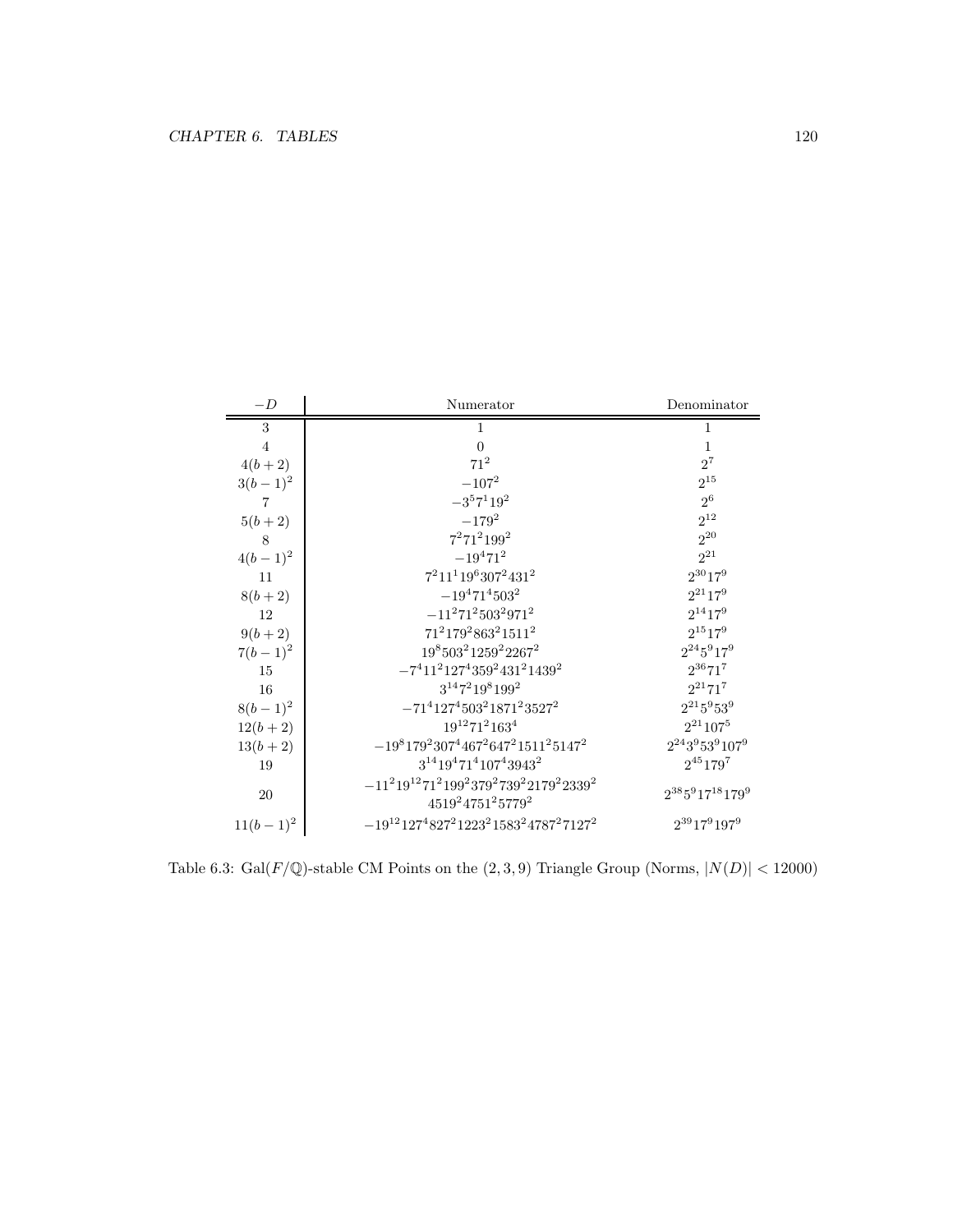| $-D$           | Numerator                                                             | Denominator               |
|----------------|-----------------------------------------------------------------------|---------------------------|
| 3              | 1                                                                     | 1                         |
| $\overline{4}$ | $\Omega$                                                              | $\mathbf{1}$              |
| $4(b+2)$       | $71^2$                                                                | $2^7$                     |
| $3(b-1)^2$     | $-107^{2}$                                                            | $2^{15}$                  |
| 7              | $-3^57^119^2$                                                         | $2^6$                     |
| $5(b+2)$       | $-179^{2}$                                                            | $2^{12}$                  |
| 8              | $7^271^2199^2$                                                        | $2^{20}$                  |
| $4(b-1)^2$     | $-19^{4}71^{2}$                                                       | $2^{21}$                  |
| 11             | $7^211^119^6307^2431^2$                                               | $2^{30}17^9$              |
| $8(b+2)$       | $-19^{4}71^{4}503^{2}$                                                | $2^{21}17^9$              |
| 12             | $-11^271^2503^2971^2$                                                 | $2^{14}17^9$              |
| $9(b+2)$       | $71^2179^2863^21511^2$                                                | $2^{15}17^9$              |
| $7(b-1)^2$     | $19^8 503^2 1259^2 2267^2$                                            | $2^{24}5^917^9$           |
| 15             | $-7^411^2127^4359^2431^21439^2$                                       | $2^{36}71^7$              |
| 16             | $3^{14}7^219^8199^2$                                                  | $2^{21}71^7$              |
| $8(b-1)^2$     | $-71^4127^4503^21871^23527^2$                                         | $2^{21}5^953^9$           |
| $12(b+2)$      | $19^{12}71^2163^4$                                                    | $2^{21}107^5$             |
| $13(b+2)$      | $-19817923074467264721511251472$                                      | $2^{24}3^953^9107^9$      |
| 19             | $3^{14}19^471^4107^43943^2$                                           | $2^{45}$ 179 <sup>7</sup> |
| 20             | $-11^219^{12}71^2199^2379^2739^22179^22339^2$<br>$4519^24751^25779^2$ | $2^{38}5^917^{18}179^9$   |
| $11(b-1)^2$    | $-19^{12}127^4827^21223^21583^24787^27127^2$                          | $2^{39}17^9197^9$         |

Table 6.3: Gal( $F/\mathbb{Q}$ )-stable CM Points on the  $(2, 3, 9)$  Triangle Group (Norms,  $|N(D)| < 12000$ )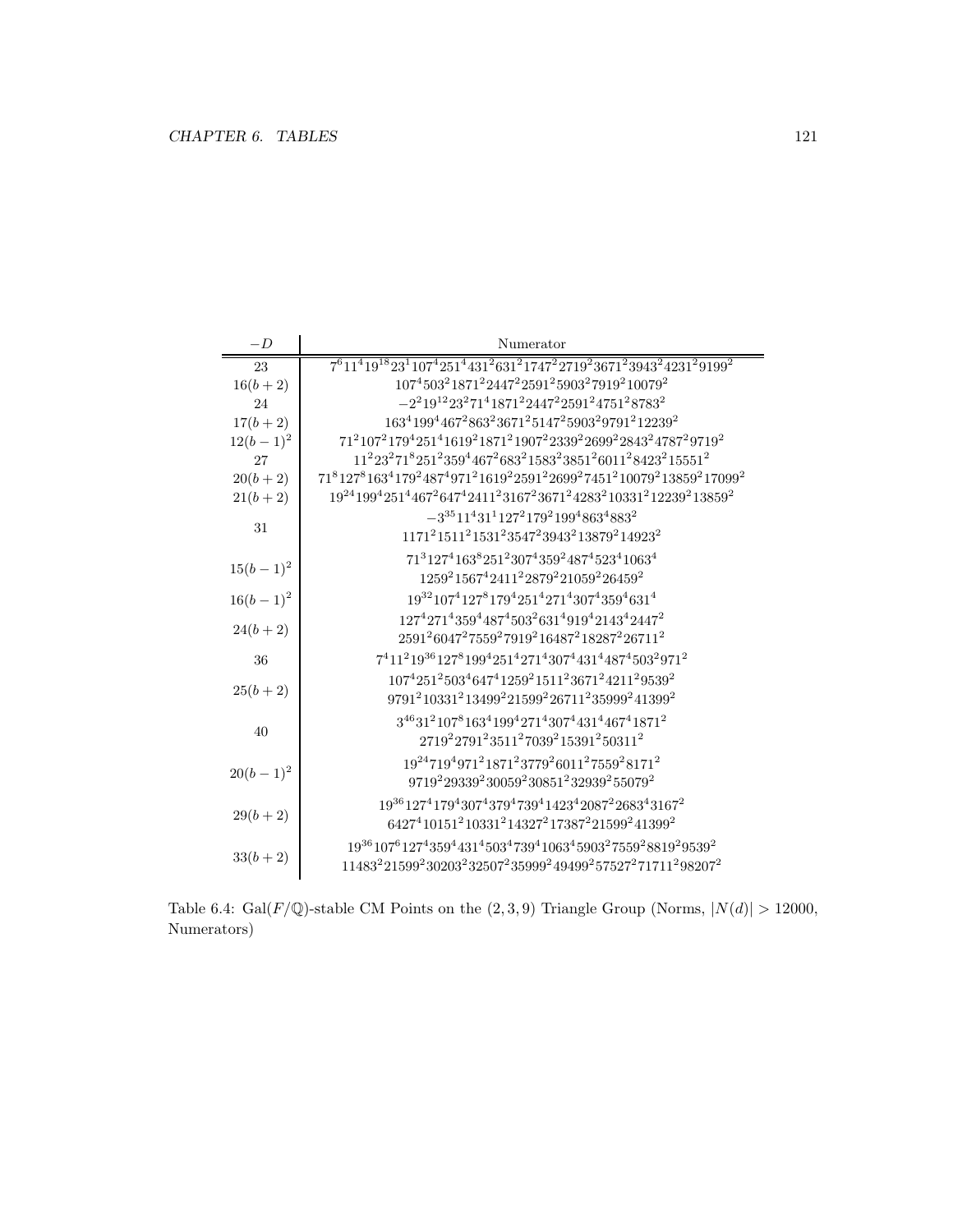| Table 6.4: Gal( $F/\mathbb{Q}$ )-stable CM Points on the $(2,3,9)$ Triangle Group (Norms, $ N(d)  > 12000$ , |  |  |  |  |
|--------------------------------------------------------------------------------------------------------------|--|--|--|--|
| Numerators)                                                                                                  |  |  |  |  |

| $-D$        | Numerator                                                                                                                                                                                                             |
|-------------|-----------------------------------------------------------------------------------------------------------------------------------------------------------------------------------------------------------------------|
| 23          | $7^{6}11^{4}19^{18}23^{1}107^{4}251^{4}431^{2}631^{2}1747^{2}2719^{2}3671^{2}3943^{2}4231^{2}9199^{2}$                                                                                                                |
| $16(b+2)$   | $107^4503^21871^22447^22591^25903^27919^210079^2$                                                                                                                                                                     |
| 24          | $-2^219^{12}23^271^41871^22447^22591^24751^28783^2$                                                                                                                                                                   |
| $17(b+2)$   | 163 <sup>4</sup> 199 <sup>4</sup> 467 <sup>2</sup> 863 <sup>2</sup> 3671 <sup>2</sup> 5147 <sup>2</sup> 5903 <sup>2</sup> 9791 <sup>2</sup> 12239 <sup>2</sup>                                                        |
| $12(b-1)^2$ | 71 <sup>2</sup> 107 <sup>2</sup> 179 <sup>4</sup> 251 <sup>4</sup> 1619 <sup>2</sup> 1871 <sup>2</sup> 1907 <sup>2</sup> 2339 <sup>2</sup> 2699 <sup>2</sup> 2843 <sup>2</sup> 4787 <sup>2</sup> 9719 <sup>2</sup>    |
| 27          | $112232718251235944672683215832385126011284232155512$                                                                                                                                                                 |
| $20(b+2)$   | $7181278163417924874971216192259122699274512100792138592170992$                                                                                                                                                       |
| $21(b+2)$   | 19 <sup>24</sup> 199 <sup>4</sup> 251 <sup>4</sup> 467 <sup>2</sup> 647 <sup>4</sup> 2411 <sup>2</sup> 3167 <sup>2</sup> 3671 <sup>2</sup> 4283 <sup>2</sup> 10331 <sup>2</sup> 12239 <sup>2</sup> 13859 <sup>2</sup> |
| 31          | $-3^{35}11^431^1127^2179^2199^4863^4883^2$                                                                                                                                                                            |
|             | $1171215112153123547239432138792149232$                                                                                                                                                                               |
|             | 71 <sup>3</sup> 127 <sup>4</sup> 163 <sup>8</sup> 251 <sup>2</sup> 307 <sup>4</sup> 359 <sup>2</sup> 487 <sup>4</sup> 523 <sup>4</sup> 1063 <sup>4</sup>                                                              |
| $15(b-1)^2$ | $1259^21567^42411^22879^221059^226459^2$                                                                                                                                                                              |
| $16(b-1)^2$ | 19 <sup>32</sup> 107 <sup>4</sup> 127 <sup>8</sup> 179 <sup>4</sup> 251 <sup>4</sup> 271 <sup>4</sup> 307 <sup>4</sup> 359 <sup>4</sup> 631 <sup>4</sup>                                                              |
|             | $127^4271^4359^4487^4503^2631^4919^42143^42447^2$                                                                                                                                                                     |
| $24(b+2)$   | 2591 <sup>2</sup> 6047 <sup>2</sup> 7559 <sup>2</sup> 7919 <sup>2</sup> 16487 <sup>2</sup> 18287 <sup>2</sup> 26711 <sup>2</sup>                                                                                      |
| 36          | $7^411^219^{36}127^8199^4251^4271^4307^4431^4487^4503^2971^2$                                                                                                                                                         |
|             | $10742512503464741259215112367124211295392$                                                                                                                                                                           |
| $25(b+2)$   | 9791 <sup>2</sup> 10331 <sup>2</sup> 13499 <sup>2</sup> 21599 <sup>2</sup> 26711 <sup>2</sup> 35999 <sup>2</sup> 41399 <sup>2</sup>                                                                                   |
| 40          | $3^{46}31^2107^8163^4199^4271^4307^4431^4467^41871^2$                                                                                                                                                                 |
|             | $2719^22791^23511^27039^215391^250311^2$                                                                                                                                                                              |
| $20(b-1)^2$ | $19^{24}719^4971^21871^23779^26011^27559^28171^2$                                                                                                                                                                     |
|             | 9719 <sup>2</sup> 29339 <sup>2</sup> 30059 <sup>2</sup> 30851 <sup>2</sup> 32939 <sup>2</sup> 55079 <sup>2</sup>                                                                                                      |
| $29(b+2)$   | 19 <sup>36</sup> 127 <sup>4</sup> 179 <sup>4</sup> 307 <sup>4</sup> 379 <sup>4</sup> 739 <sup>4</sup> 1423 <sup>4</sup> 2087 <sup>2</sup> 2683 <sup>4</sup> 3167 <sup>2</sup>                                         |
|             | 6427 <sup>4</sup> 10151 <sup>2</sup> 10331 <sup>2</sup> 14327 <sup>2</sup> 17387 <sup>2</sup> 21599 <sup>2</sup> 41399 <sup>2</sup>                                                                                   |
|             | 19361076127435944314503473941063459032755928819295392                                                                                                                                                                 |
| $33(b+2)$   | 11483 <sup>2</sup> 21599 <sup>2</sup> 30203 <sup>2</sup> 32507 <sup>2</sup> 35999 <sup>2</sup> 49499 <sup>2</sup> 57527 <sup>2</sup> 71711 <sup>2</sup> 98207 <sup>2</sup>                                            |
|             |                                                                                                                                                                                                                       |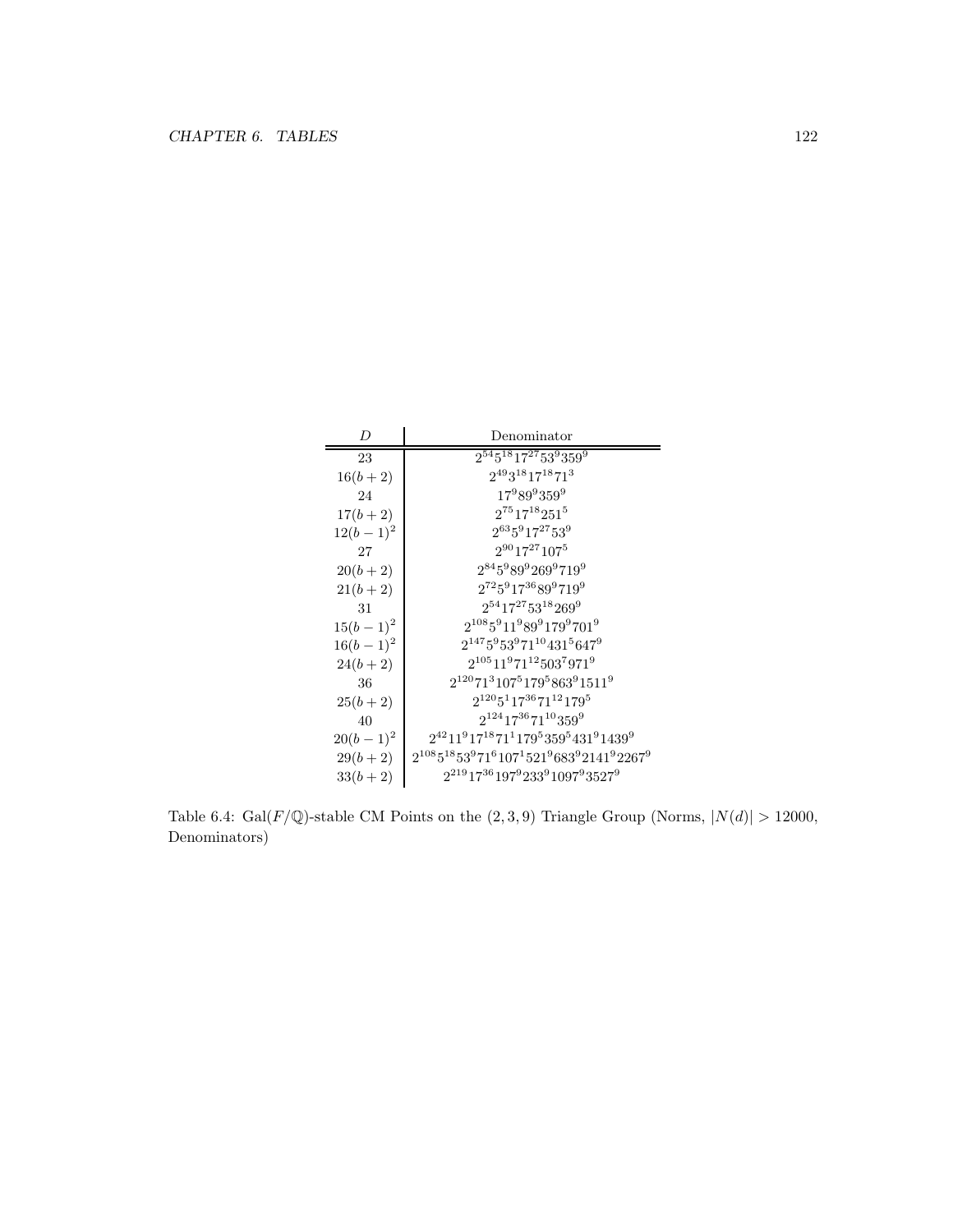| D           | Denominator                                                                                      |
|-------------|--------------------------------------------------------------------------------------------------|
| 23          | $2^{54}5^{18}17^{27}53^9359^9$                                                                   |
| $16(b+2)$   | $2^{49}3^{18}17^{18}71^3$                                                                        |
| 24          | $17^989^9359^9$                                                                                  |
| $17(b+2)$   | $2^{75}17^{18}251^5$                                                                             |
| $12(b-1)^2$ | $2^{63}5^917^{27}53^9$                                                                           |
| 27          | $2^{90}$ 17 <sup>27</sup> 107 <sup>5</sup>                                                       |
| $20(b+2)$   | $2^{84}5^989^9269^9719^9$                                                                        |
| $21(b+2)$   | $2^{72}5^917^{36}89^9719^9$                                                                      |
| 31          | $2^{54}$ 17 <sup>27</sup> 53 <sup>18</sup> 269 <sup>9</sup>                                      |
| $15(b-1)^2$ | $2^{108}5^911^989^9179^9701^9$                                                                   |
| $16(b-1)^2$ | $2^{147}5^953^971^{10}431^5647^9$                                                                |
| $24(b+2)$   | $2^{105}11^971^{12}503^7971^9$                                                                   |
| 36          | $2^{120}71^3107^5179^5863^91511^9$                                                               |
| $25(b+2)$   | $2^{120}5^117^{36}71^{12}179^5$                                                                  |
| 40          | $2^{124}$ 17 <sup>36</sup> 71 <sup>10</sup> 359 <sup>9</sup>                                     |
| $20(b-1)^2$ | $2^{42}11^917^{18}71^1179^5359^5431^91439^9$                                                     |
| $29(b+2)$   | $2^{108}5^{18}53^971^6107^1521^9683^92141^92267^9$                                               |
| $33(b+2)$   | $2^{219}$ 17 <sup>36</sup> 197 <sup>9</sup> 233 <sup>9</sup> 1097 <sup>9</sup> 3527 <sup>9</sup> |

Table 6.4: Gal( $F/\mathbb{Q}$ )-stable CM Points on the  $(2, 3, 9)$  Triangle Group (Norms,  $|N(d)| > 12000$ , Denominators)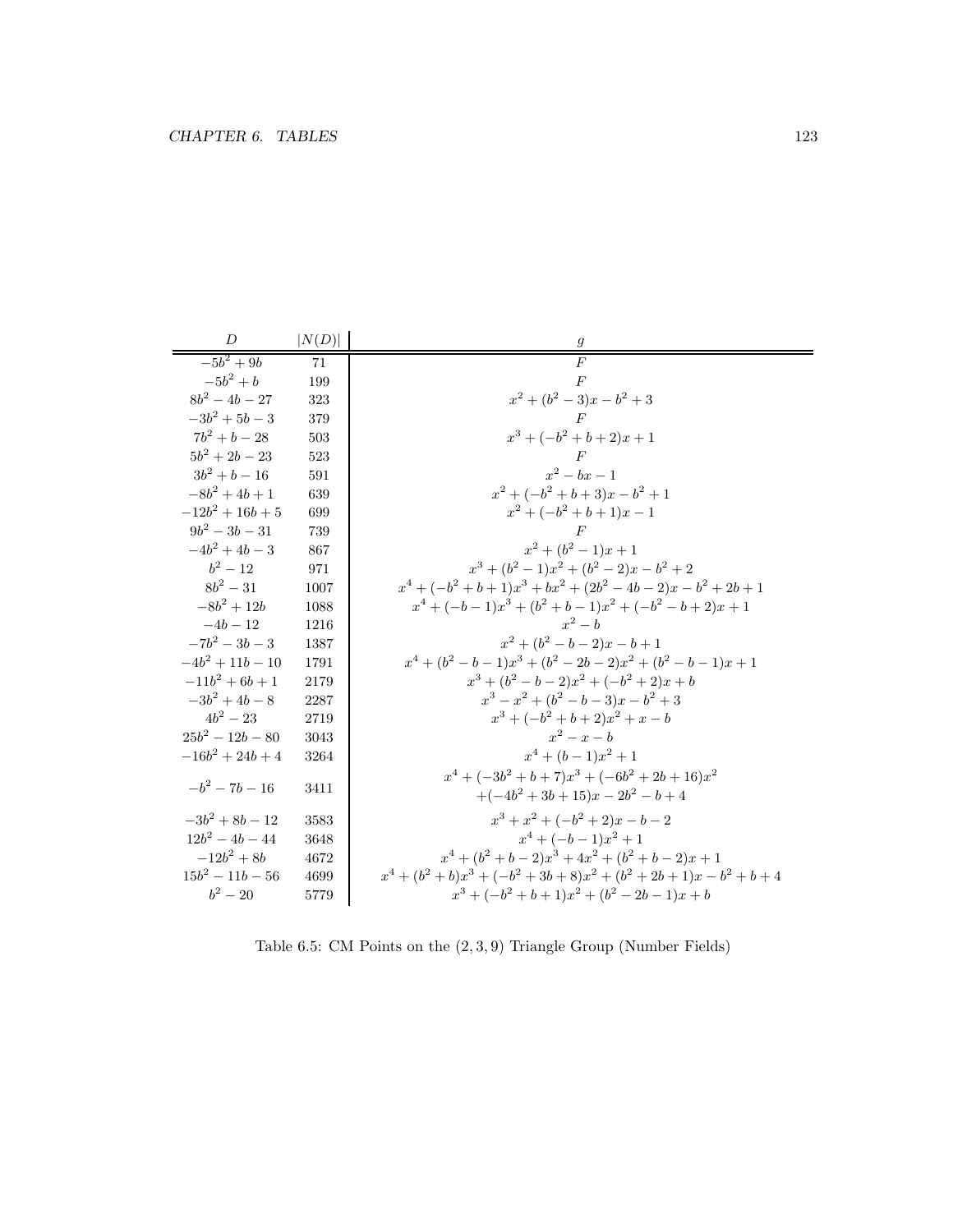| D                  | N(D) | 9                                                                         |
|--------------------|------|---------------------------------------------------------------------------|
| $-5b^2 + 9b$       | 71   | $\overline{F}$                                                            |
| $-5b^2 + b$        | 199  | F                                                                         |
| $8b^2 - 4b - 27$   | 323  | $x^2 + (b^2 - 3)x - b^2 + 3$                                              |
| $-3b^2 + 5b - 3$   | 379  | F                                                                         |
| $7b^2 + b - 28$    | 503  | $x^3 + (-b^2 + b + 2)x + 1$                                               |
| $5b^2 + 2b - 23$   | 523  |                                                                           |
| $3b^2 + b - 16$    | 591  | $x^2-bx-1$                                                                |
| $-8b^2 + 4b + 1$   | 639  | $x^{2} + (-b^{2} + b + 3)x - b^{2} + 1$                                   |
| $-12b^2+16b+5$     | 699  | $x^2 + (-b^2 + b + 1)x - 1$                                               |
| $9b^2 - 3b - 31$   | 739  | $\,F$                                                                     |
| $-4b^2 + 4b - 3$   | 867  | $x^2 + (b^2 - 1)x + 1$                                                    |
| $b^2 - 12$         | 971  | $x^3 + (b^2 - 1)x^2 + (b^2 - 2)x - b^2 + 2$                               |
| $8b^2 - 31$        | 1007 | $x^4 + (-b^2 + b + 1)x^3 + bx^2 + (2b^2 - 4b - 2)x - b^2 + 2b + 1$        |
| $-8b^2 + 12b$      | 1088 | $x^4 + (-b-1)x^3 + (b^2 + b - 1)x^2 + (-b^2 - b + 2)x + 1$                |
| $-4b-12$           | 1216 | $r^2-b$                                                                   |
| $-7b^2 - 3b - 3$   | 1387 | $x^2 + (b^2 - b - 2)x - b + 1$                                            |
| $-4b^2 + 11b - 10$ | 1791 | $x^4 + (b^2 - b - 1)x^3 + (b^2 - 2b - 2)x^2 + (b^2 - b - 1)x + 1$         |
| $-11b^2 + 6b + 1$  | 2179 | $x^3 + (b^2 - b - 2)x^2 + (-b^2 + 2)x + b$                                |
| $-3b^2 + 4b - 8$   | 2287 | $x^3 - x^2 + (b^2 - b - 3)x - b^2 + 3$                                    |
| $4h^2 - 23$        | 2719 | $x^3 + (-b^2 + b + 2)x^2 + x - b$                                         |
| $25b^2 - 12b - 80$ | 3043 | $x^2-x-b$                                                                 |
| $-16b^2 + 24b + 4$ | 3264 | $x^4 + (b-1)x^2 + 1$                                                      |
| $-b^2 - 7b - 16$   | 3411 | $x^4 + (-3b^2 + b + 7)x^3 + (-6b^2 + 2b + 16)x^2$                         |
|                    |      | $+(-4b^2+3b+15)x-2b^2-b+4$                                                |
| $-3b^2 + 8b - 12$  | 3583 | $x^3 + x^2 + (-b^2 + 2)x - b - 2$                                         |
| $12b^2 - 4b - 44$  | 3648 | $x^4 + (-b-1)x^2 + 1$                                                     |
| $-12b^2 + 8b$      | 4672 | $x^4 + (b^2 + b - 2)x^3 + 4x^2 + (b^2 + b - 2)x + 1$                      |
| $15b^2 - 11b - 56$ | 4699 | $x^4 + (b^2 + b)x^3 + (-b^2 + 3b + 8)x^2 + (b^2 + 2b + 1)x - b^2 + b + 4$ |
| $b^2 - 20$         | 5779 | $x^3 + (-b^2 + b + 1)x^2 + (b^2 - 2b - 1)x + b$                           |

Table 6.5: CM Points on the (2, 3, 9) Triangle Group (Number Fields)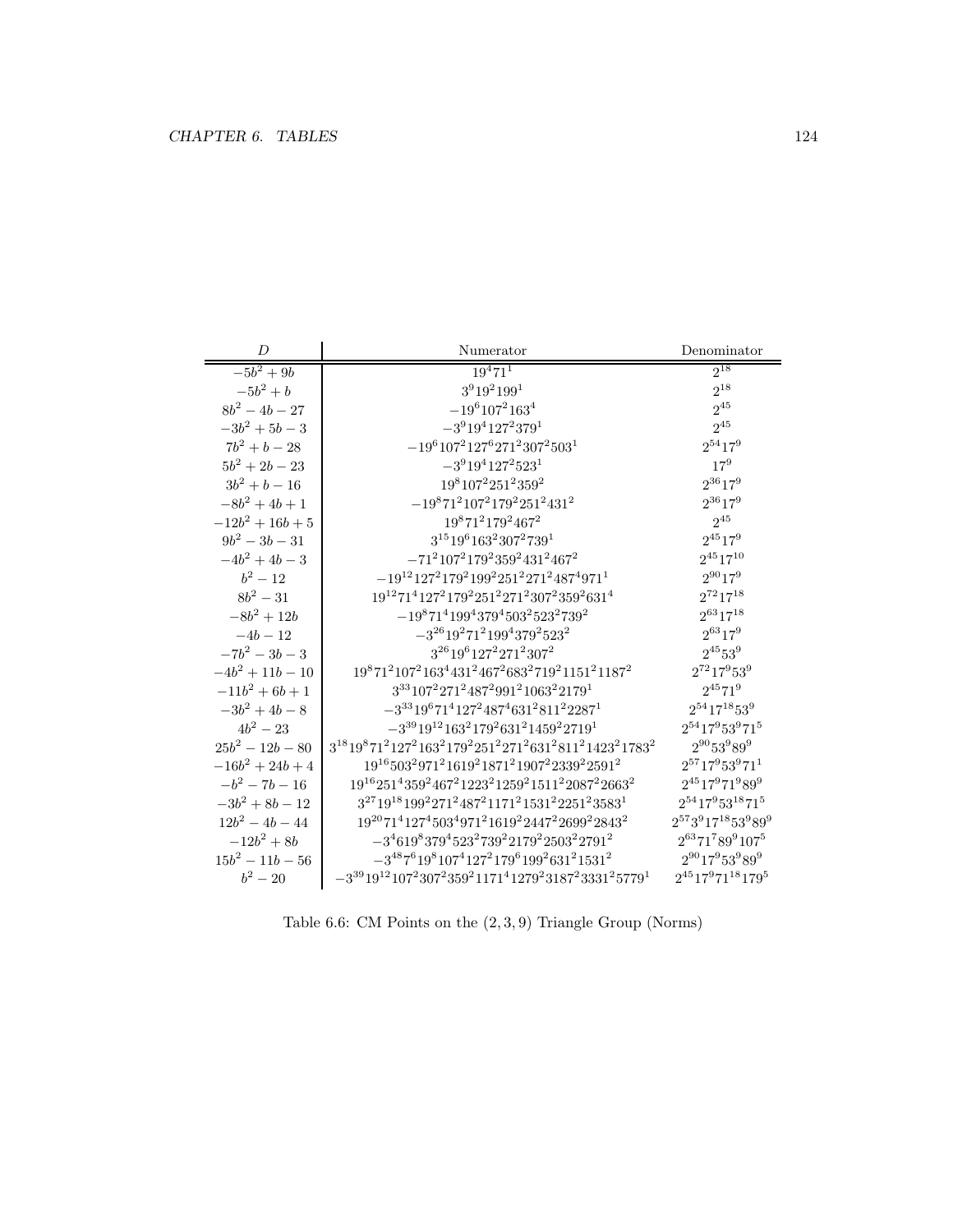| D                  | Numerator                                                                                                                                                     | Denominator                                              |
|--------------------|---------------------------------------------------------------------------------------------------------------------------------------------------------------|----------------------------------------------------------|
| $-5b^2 + 9b$       | $19^{4}71^{1}$                                                                                                                                                | $2^{18}$                                                 |
| $-5b^2 + b$        | $3^9 19^2 199^1$                                                                                                                                              | $2^{18}$                                                 |
| $8b^2 - 4b - 27$   | $-19^6 107^2 163^4$                                                                                                                                           | $2^{45}$                                                 |
| $-3b^2 + 5b - 3$   | $-3^9 19^4 127^2 379^1$                                                                                                                                       | $2^{45}$                                                 |
| $7b^2 + b - 28$    | $-19^6 107^2 127^6 271^2 307^2 503^1$                                                                                                                         | $2^{54}17^9$                                             |
| $5b^2 + 2b - 23$   | $-3^9$ 19 <sup>4</sup> 127 <sup>2</sup> 523 <sup>1</sup>                                                                                                      | $17^{9}$                                                 |
| $3b^2 + b - 16$    | $198107225123592$                                                                                                                                             | $2^{36}17^9$                                             |
| $-8b^2 + 4b + 1$   | $-1987121072179225124312$                                                                                                                                     | $2^{36}17^9$                                             |
| $-12b^2+16b+5$     | $19871217924672$                                                                                                                                              | $2^{45}$                                                 |
| $9b^2 - 3b - 31$   | $3^{15}19^6163^2307^2739^1$                                                                                                                                   | $2^{45}17^9$                                             |
| $-4b^2 + 4b - 3$   | $-71^2107^2179^2359^2431^2467^2$                                                                                                                              | $2^{45}17^{10}$                                          |
| $b^2 - 12$         | $-19^{12}127^2179^2199^2251^2271^2487^4971^1$                                                                                                                 | $2^{90}17^9$                                             |
| $8b^2 - 31$        | $19^{12}71^4127^2179^2251^2271^2307^2359^2631^4$                                                                                                              | $2^{72}17^{18}$                                          |
| $-8b^2 + 12b$      | $-19871419943794503252327392$                                                                                                                                 | $2^{63}17^{18}$                                          |
| $-4b - 12$         | $-3^{26}19^271^2199^4379^2523^2$                                                                                                                              | $2^{63}17^9$                                             |
| $-7b^2 - 3b - 3$   | $3^{26}19^6127^2271^2307^2$                                                                                                                                   | $2^{45}53^9\,$                                           |
| $-4b^2 + 11b - 10$ | $1987121072163443124672683271921151211872$                                                                                                                    | $2^{72}17^953^9$                                         |
| $-11b^2 + 6b + 1$  | $3^{33}107^2271^2487^2991^21063^22179^1$                                                                                                                      | $2^{45}$ 71 <sup>9</sup>                                 |
| $-3b^2 + 4b - 8$   | $-3^{33}19^671^4127^2487^4631^2811^22287^1$                                                                                                                   | $2^{54}$ 17 <sup>18</sup> 53 <sup>9</sup>                |
| $4b^2 - 23$        | $-3^{39}19^{12}163^2179^2631^21459^22719^1$                                                                                                                   | $2^{54}$ 17 <sup>9</sup> 53 <sup>9</sup> 71 <sup>5</sup> |
| $25b^2 - 12b - 80$ | $3^{18}19^871^2127^2163^2179^2251^2271^2631^2811^21423^21783^2$                                                                                               | $2^{90}53^989^9$                                         |
| $-16b^2 + 24b + 4$ | $19^{16}503^2971^21619^21871^21907^22339^22591^2$                                                                                                             | $2^{57}17^953^971^1$                                     |
| $-b^2 - 7b - 16$   | 19 <sup>16</sup> 251 <sup>4</sup> 359 <sup>2</sup> 467 <sup>2</sup> 1223 <sup>2</sup> 1259 <sup>2</sup> 1511 <sup>2</sup> 2087 <sup>2</sup> 2663 <sup>2</sup> | $2^{45}$ 17 <sup>9</sup> 71 <sup>9</sup> 89 <sup>9</sup> |
| $-3b^2 + 8b - 12$  | $3^{27}19^{18}199^2271^2487^21171^21531^22251^23583^1$                                                                                                        | $2^{54}$ 17 $9$ 53 $^{18}$ 71 $^5$                       |
| $12b^2 - 4b - 44$  | $19^{20}71^4127^4503^4971^21619^22447^22699^22843^2$                                                                                                          | $2^{57}3^917^{18}53^989^9$                               |
| $-12b^2 + 8b$      | $-3^{4}619^{8}379^{4}523^{2}739^{2}2179^{2}2503^{2}2791^{2}$                                                                                                  | $2^{63}71^789^9107^5$                                    |
| $15b^2 - 11b - 56$ | $-3^{48}7^619^8107^4127^2179^6199^2631^21531^2$                                                                                                               | $2^{90}17^953^989^9$                                     |
| $b^2 - 20$         | $-3^{39}19^{12}107^2307^2359^21171^41279^23187^23331^25779^1$                                                                                                 | $2^{45}17^971^{18}179^5$                                 |

Table 6.6: CM Points on the (2, 3, 9) Triangle Group (Norms)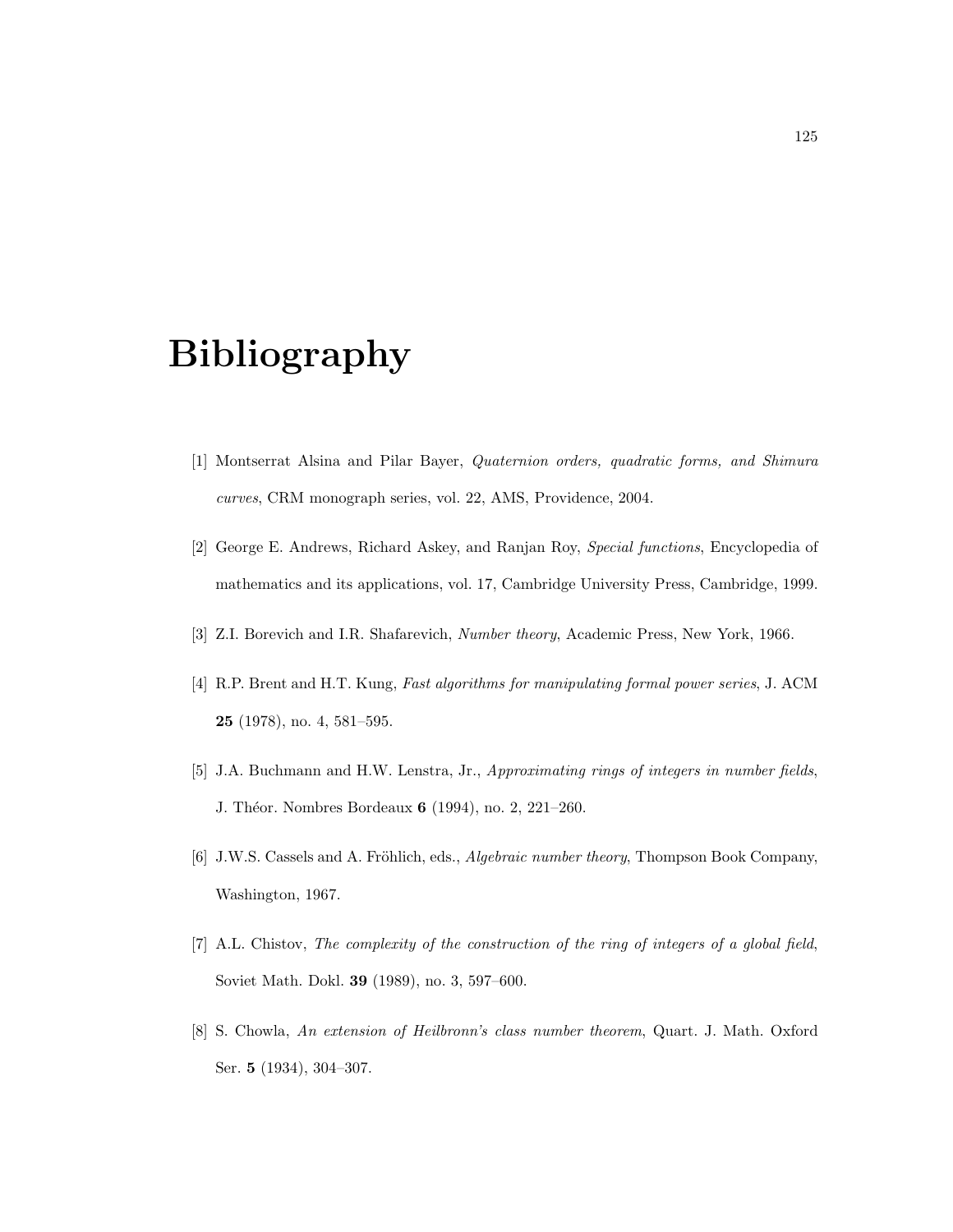# Bibliography

- [1] Montserrat Alsina and Pilar Bayer, Quaternion orders, quadratic forms, and Shimura curves, CRM monograph series, vol. 22, AMS, Providence, 2004.
- [2] George E. Andrews, Richard Askey, and Ranjan Roy, Special functions, Encyclopedia of mathematics and its applications, vol. 17, Cambridge University Press, Cambridge, 1999.
- [3] Z.I. Borevich and I.R. Shafarevich, Number theory, Academic Press, New York, 1966.
- [4] R.P. Brent and H.T. Kung, Fast algorithms for manipulating formal power series, J. ACM 25 (1978), no. 4, 581–595.
- [5] J.A. Buchmann and H.W. Lenstra, Jr., Approximating rings of integers in number fields, J. Théor. Nombres Bordeaux **6** (1994), no. 2, 221–260.
- [6] J.W.S. Cassels and A. Fröhlich, eds., *Algebraic number theory*, Thompson Book Company, Washington, 1967.
- [7] A.L. Chistov, The complexity of the construction of the ring of integers of a global field, Soviet Math. Dokl. 39 (1989), no. 3, 597–600.
- [8] S. Chowla, An extension of Heilbronn's class number theorem, Quart. J. Math. Oxford Ser. 5 (1934), 304–307.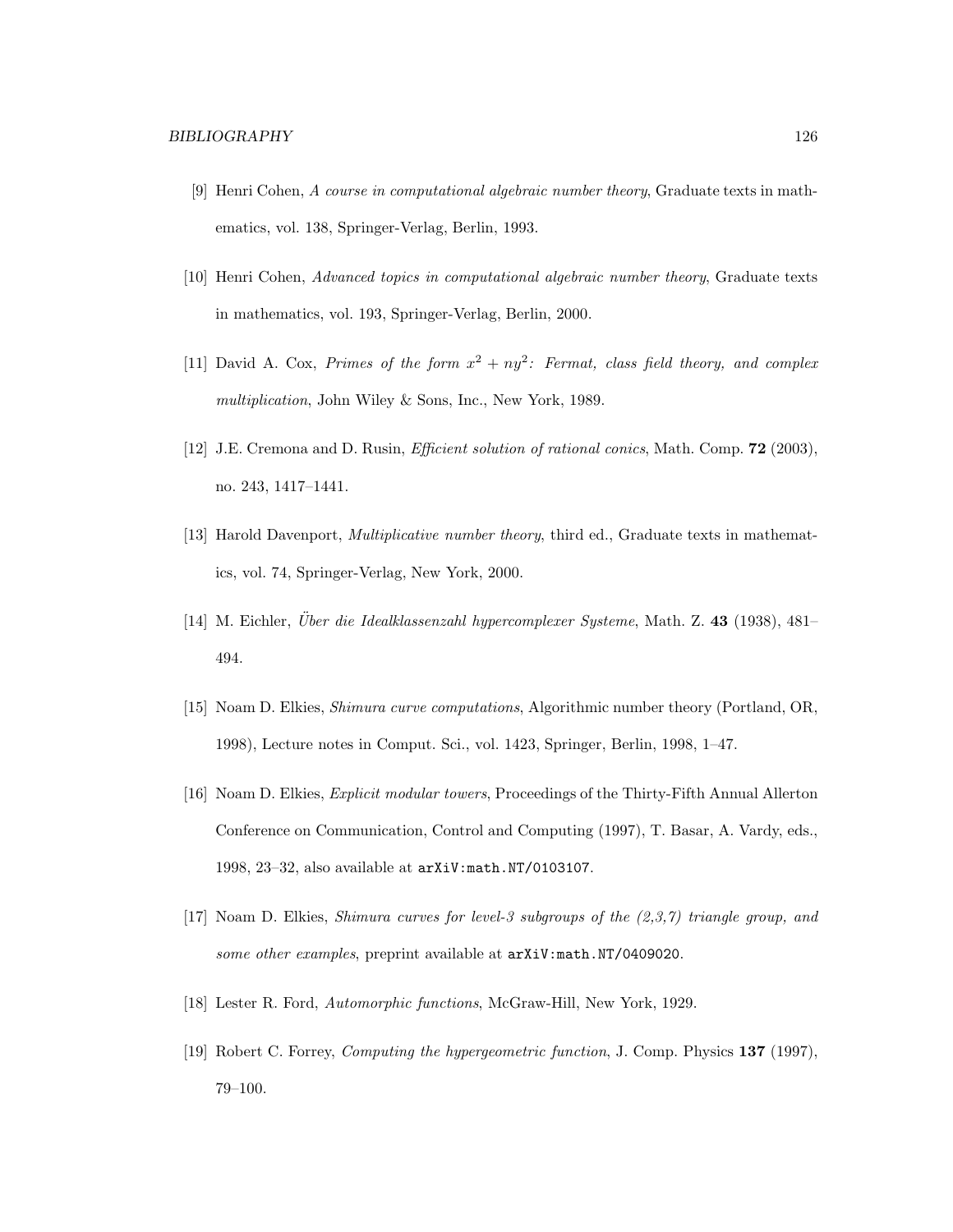- [9] Henri Cohen, A course in computational algebraic number theory, Graduate texts in mathematics, vol. 138, Springer-Verlag, Berlin, 1993.
- [10] Henri Cohen, Advanced topics in computational algebraic number theory, Graduate texts in mathematics, vol. 193, Springer-Verlag, Berlin, 2000.
- [11] David A. Cox, Primes of the form  $x^2 + ny^2$ : Fermat, class field theory, and complex multiplication, John Wiley & Sons, Inc., New York, 1989.
- [12] J.E. Cremona and D. Rusin, Efficient solution of rational conics, Math. Comp. 72 (2003), no. 243, 1417–1441.
- [13] Harold Davenport, *Multiplicative number theory*, third ed., Graduate texts in mathematics, vol. 74, Springer-Verlag, New York, 2000.
- [14] M. Eichler, *Über die Idealklassenzahl hypercomplexer Systeme*, Math. Z. 43 (1938), 481– 494.
- [15] Noam D. Elkies, Shimura curve computations, Algorithmic number theory (Portland, OR, 1998), Lecture notes in Comput. Sci., vol. 1423, Springer, Berlin, 1998, 1–47.
- [16] Noam D. Elkies, Explicit modular towers, Proceedings of the Thirty-Fifth Annual Allerton Conference on Communication, Control and Computing (1997), T. Basar, A. Vardy, eds., 1998, 23–32, also available at arXiV:math.NT/0103107.
- [17] Noam D. Elkies, Shimura curves for level-3 subgroups of the (2,3,7) triangle group, and some other examples, preprint available at  $arXiV:math.NT/0409020$ .
- [18] Lester R. Ford, Automorphic functions, McGraw-Hill, New York, 1929.
- [19] Robert C. Forrey, Computing the hypergeometric function, J. Comp. Physics 137 (1997), 79–100.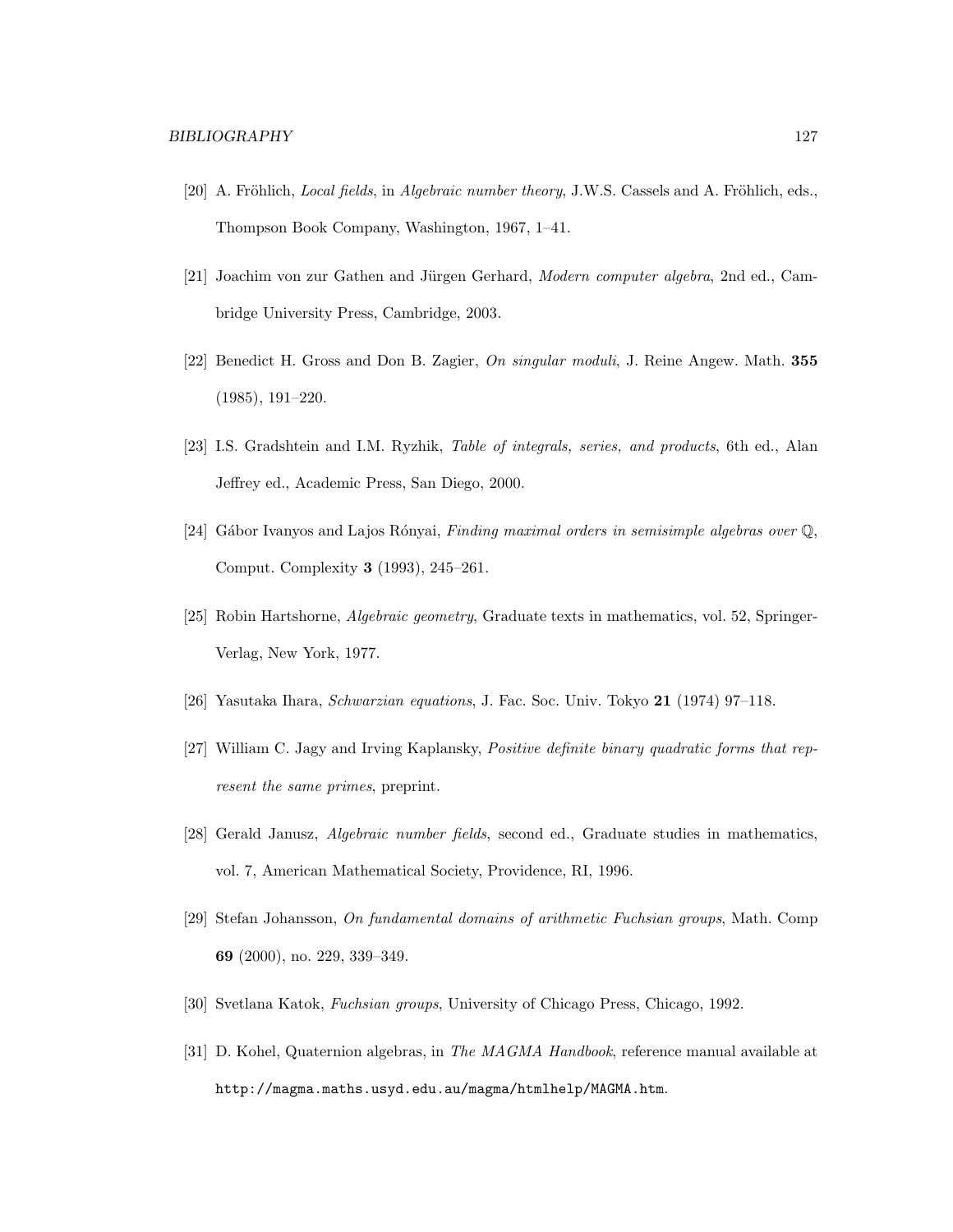- [20] A. Fröhlich, *Local fields*, in *Algebraic number theory*, J.W.S. Cassels and A. Fröhlich, eds., Thompson Book Company, Washington, 1967, 1–41.
- [21] Joachim von zur Gathen and Jürgen Gerhard, Modern computer algebra, 2nd ed., Cambridge University Press, Cambridge, 2003.
- [22] Benedict H. Gross and Don B. Zagier, On singular moduli, J. Reine Angew. Math. 355 (1985), 191–220.
- [23] I.S. Gradshtein and I.M. Ryzhik, Table of integrals, series, and products, 6th ed., Alan Jeffrey ed., Academic Press, San Diego, 2000.
- [24] Gábor Ivanyos and Lajos Rónyai, Finding maximal orders in semisimple algebras over  $\mathbb{Q}$ , Comput. Complexity 3 (1993), 245–261.
- [25] Robin Hartshorne, Algebraic geometry, Graduate texts in mathematics, vol. 52, Springer-Verlag, New York, 1977.
- [26] Yasutaka Ihara, Schwarzian equations, J. Fac. Soc. Univ. Tokyo 21 (1974) 97–118.
- [27] William C. Jagy and Irving Kaplansky, Positive definite binary quadratic forms that represent the same primes, preprint.
- [28] Gerald Janusz, Algebraic number fields, second ed., Graduate studies in mathematics, vol. 7, American Mathematical Society, Providence, RI, 1996.
- [29] Stefan Johansson, On fundamental domains of arithmetic Fuchsian groups, Math. Comp 69 (2000), no. 229, 339–349.
- [30] Svetlana Katok, Fuchsian groups, University of Chicago Press, Chicago, 1992.
- [31] D. Kohel, Quaternion algebras, in The MAGMA Handbook, reference manual available at http://magma.maths.usyd.edu.au/magma/htmlhelp/MAGMA.htm.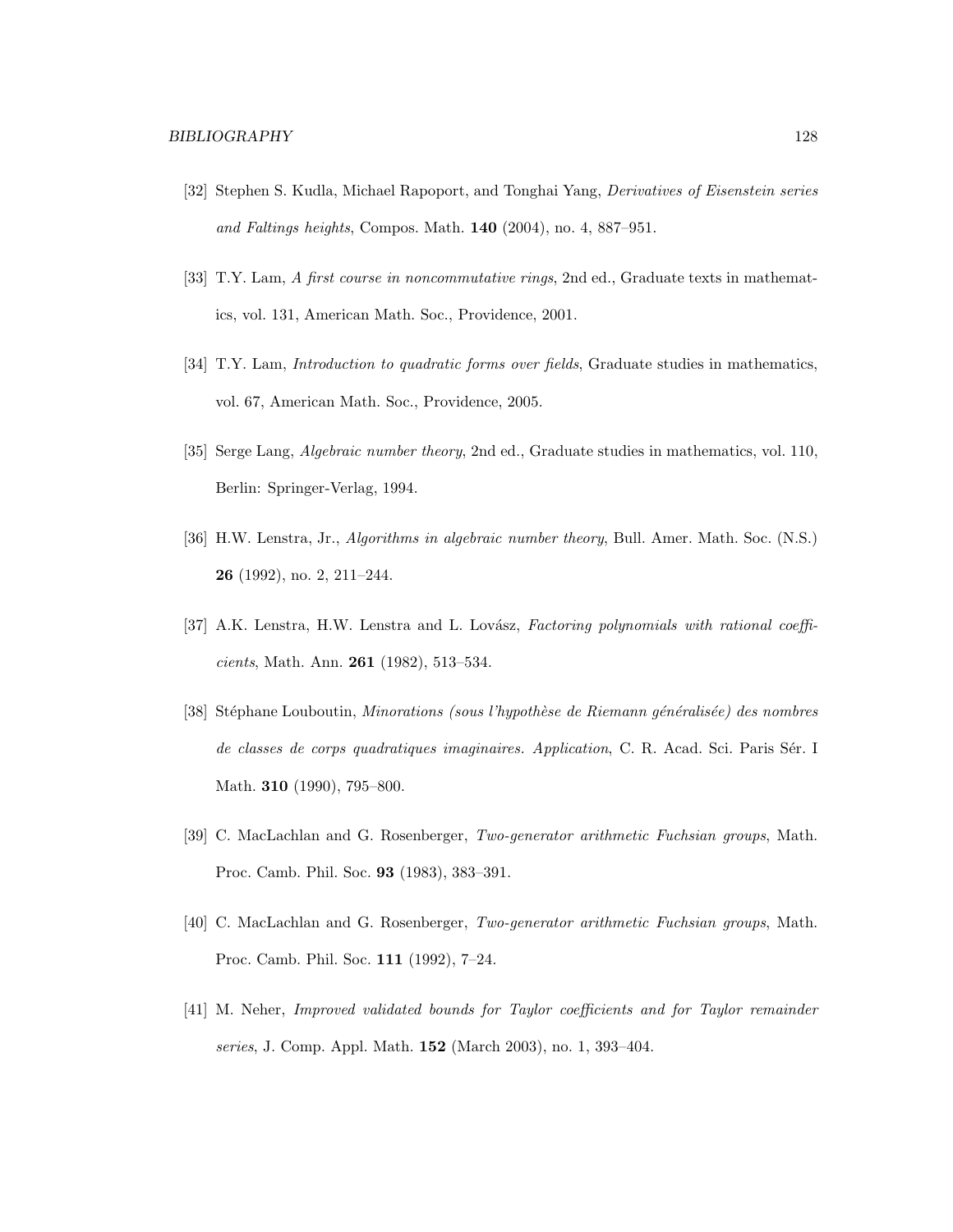- [32] Stephen S. Kudla, Michael Rapoport, and Tonghai Yang, Derivatives of Eisenstein series and Faltings heights, Compos. Math. 140 (2004), no. 4, 887–951.
- [33] T.Y. Lam, A first course in noncommutative rings, 2nd ed., Graduate texts in mathematics, vol. 131, American Math. Soc., Providence, 2001.
- [34] T.Y. Lam, Introduction to quadratic forms over fields, Graduate studies in mathematics, vol. 67, American Math. Soc., Providence, 2005.
- [35] Serge Lang, *Algebraic number theory*, 2nd ed., Graduate studies in mathematics, vol. 110, Berlin: Springer-Verlag, 1994.
- [36] H.W. Lenstra, Jr., Algorithms in algebraic number theory, Bull. Amer. Math. Soc. (N.S.) 26 (1992), no. 2, 211–244.
- [37] A.K. Lenstra, H.W. Lenstra and L. Lovász, Factoring polynomials with rational coefficients, Math. Ann. 261 (1982), 513–534.
- [38] Stéphane Louboutin, Minorations (sous l'hypothèse de Riemann généralisée) des nombres de classes de corps quadratiques imaginaires. Application, C. R. Acad. Sci. Paris Sér. I Math. 310 (1990), 795–800.
- [39] C. MacLachlan and G. Rosenberger, Two-generator arithmetic Fuchsian groups, Math. Proc. Camb. Phil. Soc. 93 (1983), 383–391.
- [40] C. MacLachlan and G. Rosenberger, Two-generator arithmetic Fuchsian groups, Math. Proc. Camb. Phil. Soc. 111 (1992), 7–24.
- [41] M. Neher, Improved validated bounds for Taylor coefficients and for Taylor remainder series, J. Comp. Appl. Math. 152 (March 2003), no. 1, 393–404.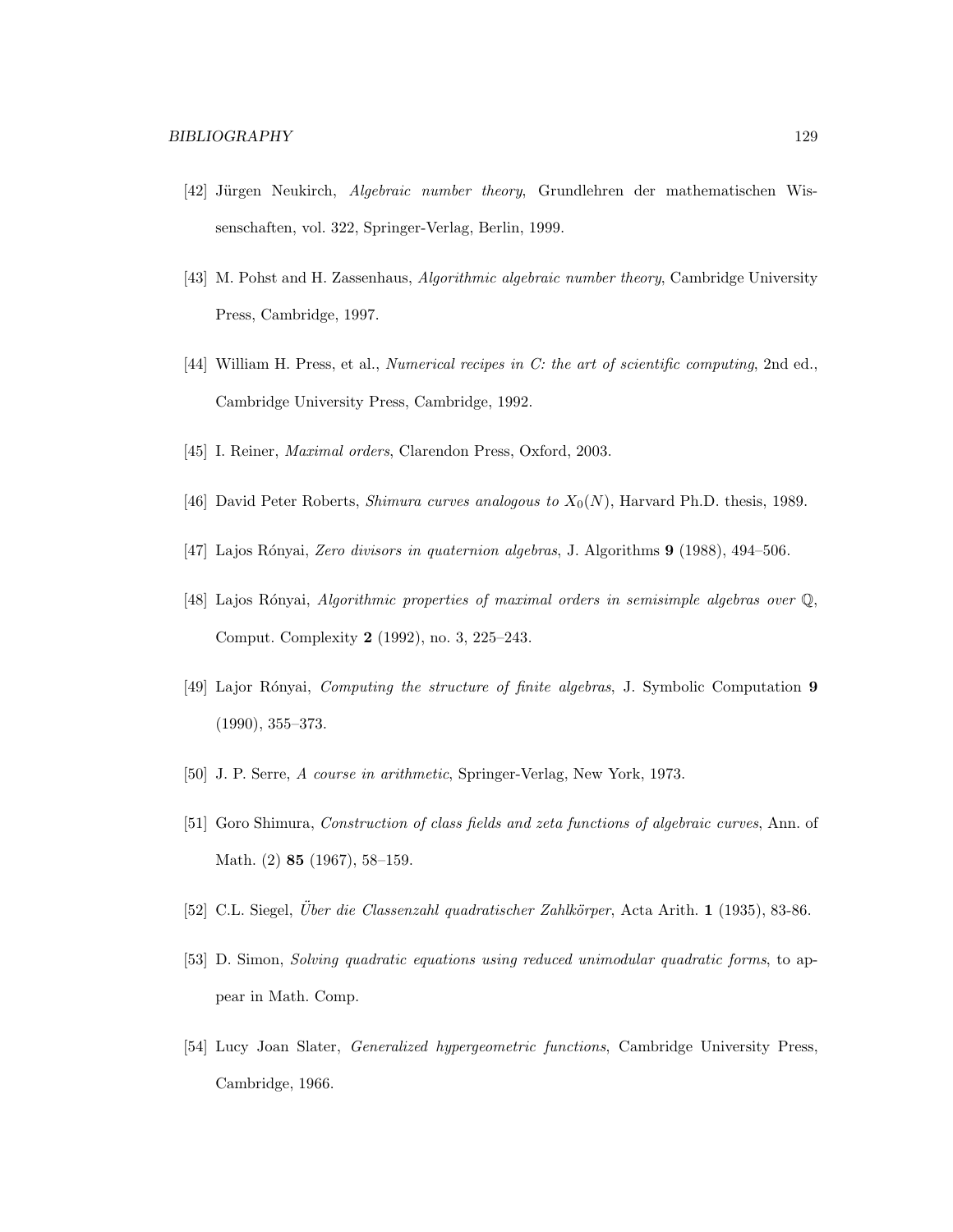- [42] Jürgen Neukirch, Algebraic number theory, Grundlehren der mathematischen Wissenschaften, vol. 322, Springer-Verlag, Berlin, 1999.
- [43] M. Pohst and H. Zassenhaus, Algorithmic algebraic number theory, Cambridge University Press, Cambridge, 1997.
- [44] William H. Press, et al., Numerical recipes in C: the art of scientific computing, 2nd ed., Cambridge University Press, Cambridge, 1992.
- [45] I. Reiner, Maximal orders, Clarendon Press, Oxford, 2003.
- [46] David Peter Roberts, *Shimura curves analogous to*  $X_0(N)$ , Harvard Ph.D. thesis, 1989.
- [47] Lajos R´onyai, Zero divisors in quaternion algebras, J. Algorithms 9 (1988), 494–506.
- [48] Lajos R´onyai, Algorithmic properties of maximal orders in semisimple algebras over Q, Comput. Complexity 2 (1992), no. 3, 225–243.
- [49] Lajor Rónyai, Computing the structure of finite algebras, J. Symbolic Computation 9 (1990), 355–373.
- [50] J. P. Serre, A course in arithmetic, Springer-Verlag, New York, 1973.
- [51] Goro Shimura, Construction of class fields and zeta functions of algebraic curves, Ann. of Math. (2) 85 (1967), 58–159.
- [52] C.L. Siegel, *Über die Classenzahl quadratischer Zahlkörper*, Acta Arith. 1 (1935), 83-86.
- [53] D. Simon, Solving quadratic equations using reduced unimodular quadratic forms, to appear in Math. Comp.
- [54] Lucy Joan Slater, Generalized hypergeometric functions, Cambridge University Press, Cambridge, 1966.